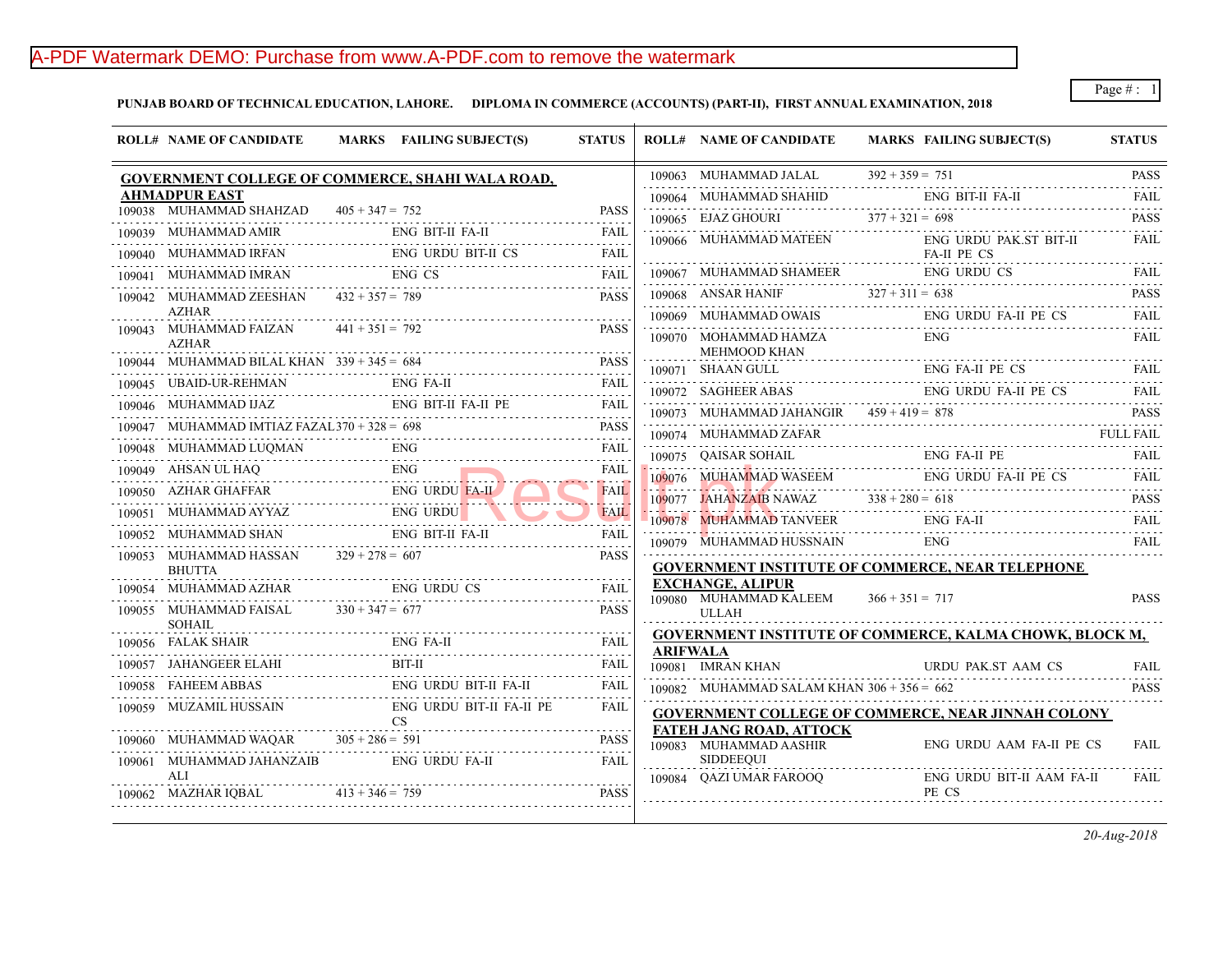# A-PDF Watermark DEMO: Purchase from www.A-PDF.com to remove the watermark

| <b>ROLL# NAME OF CANDIDATE</b>                            |                   | MARKS FAILING SUBJECT(S)           | <b>STATUS</b>    |                 | <b>ROLL# NAME OF CANDIDATE</b>                           | <b>MARKS FAIL</b> |
|-----------------------------------------------------------|-------------------|------------------------------------|------------------|-----------------|----------------------------------------------------------|-------------------|
| <b>GOVERNMENT COLLEGE OF COMMERCE, SHAHI WALA ROAD,</b>   |                   |                                    |                  |                 | 109063 MUHAMMAD JALAL                                    | $392 + 359 = 751$ |
| <b>AHMADPUR EAST</b>                                      |                   |                                    |                  |                 | 109064 MUHAMMAD SHAHID                                   | <b>ENG</b>        |
| 109038 MUHAMMAD SHAHZAD $405 + 347 = 752$                 |                   |                                    | <b>PASS</b>      |                 | 109065 EJAZ GHOURI $377 + 321 = 698$                     |                   |
| 109039 MUHAMMAD AMIR ENG BIT-II FA-II FA-11 FAIL          |                   |                                    |                  |                 | 109066 MUHAMMAD MATEEN                                   | <b>ENG</b>        |
| 109040 MUHAMMAD IRFAN ENG URDU BIT-II CS FAIL             |                   |                                    | <b>FAIL</b>      |                 |                                                          | $FA-II$           |
| 109041 MUHAMMAD IMRAN ENG CS                              |                   | N<br>ENG CS FAIL                   |                  |                 | 109067 MUHAMMAD SHAMEER                                  | <b>ENG</b>        |
| 109042 MUHAMMAD ZEESHAN $432 + 357 = 789$<br><b>AZHAR</b> |                   |                                    | <b>PASS</b>      |                 | 109068 ANSAR HANIF $327 + 311 = 638$                     |                   |
| 109043 MUHAMMAD FAIZAN                                    | $441 + 351 = 792$ |                                    | <b>PASS</b>      |                 | 109069 MUHAMMAD OWAIS                                    | <b>ENG</b>        |
| <b>AZHAR</b>                                              |                   |                                    |                  |                 | 109070 MOHAMMAD HAMZA<br>MEHMOOD KHAN                    | <b>ENG</b>        |
| 109044 MUHAMMAD BILAL KHAN 339 + 345 = 684 PASS           |                   |                                    |                  |                 | 109071 SHAAN GULL<br>FULL ENG                            | <b>ENG</b>        |
| 109045 UBAID-UR-REHMAN ENG FA-II FAIL FAIL FAIL           |                   |                                    |                  |                 | 109072 SAGHEER ABAS                                      | <b>ENG</b>        |
|                                                           |                   |                                    |                  |                 | 109073 MUHAMMAD JAHANGIR $459 + 419 = 878$               |                   |
| 109047 MUHAMMAD IMTIAZ FAZAL $370 + 328 = 698$            |                   | $MTIAZ$ FAZAL 370 + 328 = 698 PASS | <b>PASS</b>      |                 | 109074 MUHAMMAD ZAFAR                                    |                   |
| 9048 MUHAMMAD LUQMAN ENG FAIL<br>109048 MUHAMMAD LUQMAN   |                   |                                    | FAIL             |                 | 109075 QAISAR SOHAIL ENG                                 | <b>ENG</b>        |
| 109049 AHSAN UL HAQ ENG                                   |                   |                                    | <b>FAIL</b><br>. |                 | 109076 MUHAMMAD WASEEM ENG                               | <b>ENG</b>        |
| 109050 AZHAR GHAFFAR ENG URDU FA-IL                       |                   |                                    | <b>FAIL</b><br>. |                 | 109077 JAHANZAIB NAWAZ $338 + 280 = 618$                 |                   |
| 109051 MUHAMMAD AYYAZ ENG URDU                            |                   |                                    | <b>FAIL</b>      |                 | 109078 MUHAMMAD TANVEER                                  | <b>ENG</b>        |
| 109052 MUHAMMAD SHAN                                      |                   | ENG BIT-II FA-II                   | FAIL             |                 | 109079 MUHAMMAD HUSSNAIN                                 | <b>ENG</b>        |
| 109053 MUHAMMAD HASSAN $329 + 278 = 607$<br><b>BHUTTA</b> |                   |                                    | <b>PASS</b>      |                 | <b>GOVERNMENT INSTITUTE OF COMMERCE,</b>                 |                   |
| 109054 MUHAMMAD AZHAR ENG URDU CS                         |                   |                                    |                  |                 | <b>EXCHANGE, ALIPUR</b>                                  |                   |
| 109055 MUHAMMAD FAISAL $330 + 347 = 677$                  |                   |                                    | <b>PASS</b>      |                 | 109080 MUHAMMAD KALEEM $366 + 351 = 717$<br>ULLAH        |                   |
| <b>SOHAIL</b>                                             |                   |                                    |                  |                 | <b>GOVERNMENT INSTITUTE OF COMMERCE,</b>                 |                   |
| 109056 FALAK SHAIR                                        |                   | R ENG FA-II FAIL                   | FAIL             | <b>ARIFWALA</b> |                                                          |                   |
|                                                           |                   | BIT-II                             | FAIL             |                 | 109081 IMRAN KHAN                                        | <b>URD</b>        |
| 109058 FAHEEM ABBAS ENG URDU BIT-II FA-II FAIL FAIL       |                   | ENG URDU BIT-II FA-II              |                  |                 | 109082 MUHAMMAD SALAM KHAN $306 + 356 = 662$             |                   |
| 109059 MUZAMIL HUSSAIN                                    |                   | ENG URDU BIT-II FA-II PE<br>CS     | FAIL             |                 | <b>GOVERNMENT COLLEGE OF COMMERCE, I</b>                 |                   |
| 109060 MUHAMMAD WAQAR $305 + 286 = 591$                   |                   | R $305 + 286 = 591$ PASS           | <b>PASS</b>      |                 | <b>FATEH JANG ROAD, ATTOCK</b><br>109083 MUHAMMAD AASHIR | <b>ENG</b>        |
| 109061 MUHAMMAD JAHANZAIB<br>ALI                          |                   | ENG URDU FA-II                     | FAIL             |                 | SIDDEEQUI                                                | <b>ENG</b>        |
| 109062 MAZHAR IQBAL $413 + 346 = 759$ PASS                |                   |                                    | PASS             |                 | 109084 QAZI UMAR FAROOQ                                  | PE C              |
|                                                           |                   |                                    |                  |                 |                                                          |                   |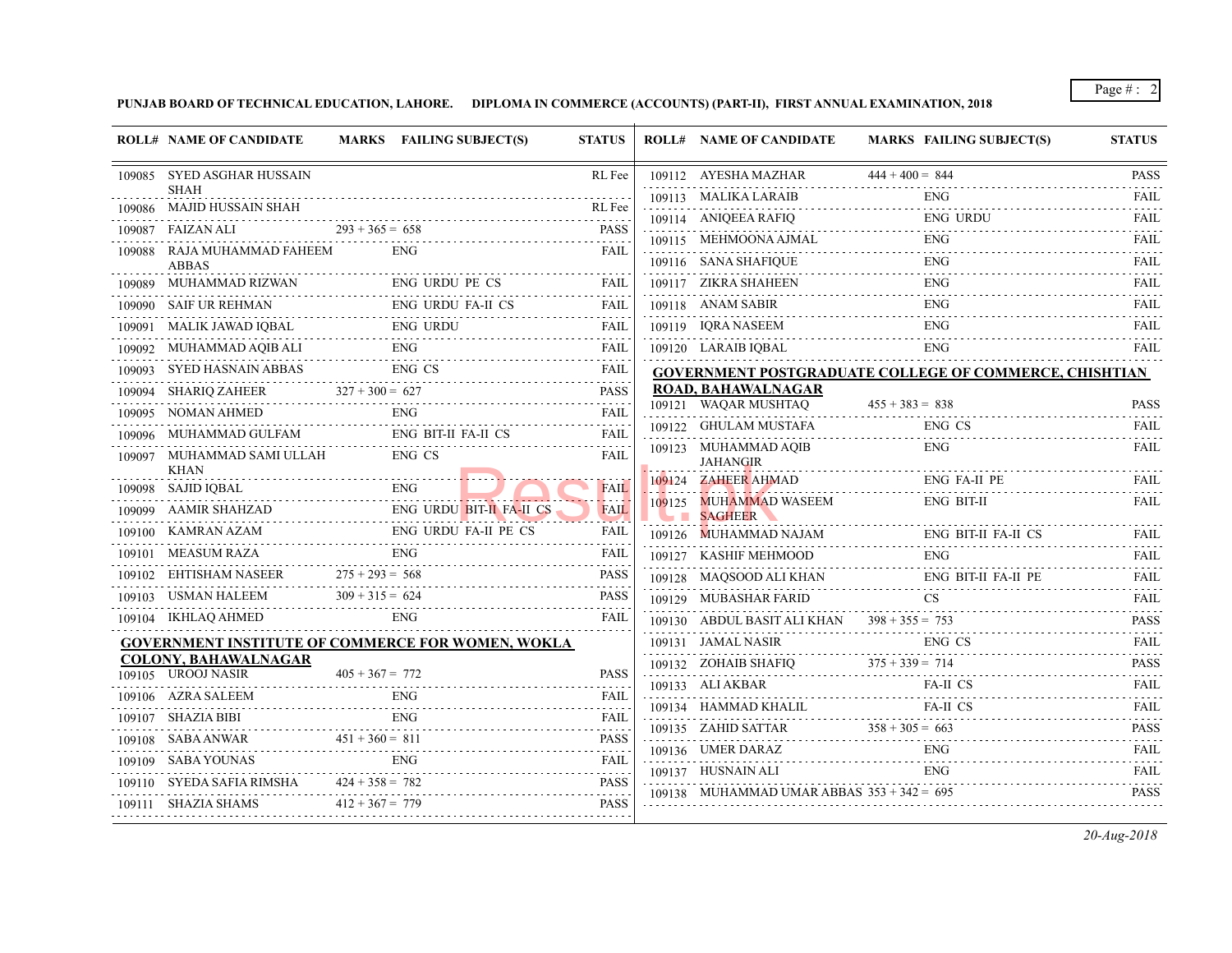|        | <b>ROLL# NAME OF CANDIDATE</b>                                                                  |                   | MARKS FAILING SUBJECT(S)         | <b>STATUS</b>                                                                                                                                       |              | <b>ROLL# NAME OF CANDIDATE</b>               | <b>MARKS FAIL</b> |
|--------|-------------------------------------------------------------------------------------------------|-------------------|----------------------------------|-----------------------------------------------------------------------------------------------------------------------------------------------------|--------------|----------------------------------------------|-------------------|
|        | 109085 SYED ASGHAR HUSSAIN                                                                      |                   |                                  | RL Fee                                                                                                                                              |              | 109112 AYESHA MAZHAR                         | $444 + 400 = 844$ |
|        | <b>SHAH</b>                                                                                     |                   |                                  |                                                                                                                                                     |              | 109113 MALIKA LARAIB                         | <b>ENG</b>        |
|        | 109086 MAJID HUSSAIN SHAH                                                                       |                   |                                  | RL Fee                                                                                                                                              |              | 109114 ANIQEEA RAFIQ                         | <b>ENG</b>        |
|        | 109087 FAIZAN ALI                                                                               |                   | $293 + 365 = 658$                | <b>PASS</b>                                                                                                                                         |              | 109115 MEHMOONA AJMAL                        | <b>ENG</b>        |
|        | 109088 RAJA MUHAMMAD FAHEEM<br><b>ABBAS</b>                                                     |                   | <b>ENG</b>                       | <b>FAIL</b>                                                                                                                                         |              | 109116 SANA SHAFIQUE                         | <b>ENG</b>        |
|        | 109089 MUHAMMAD RIZWAN                                                                          |                   |                                  |                                                                                                                                                     |              | 109117 ZIKRA SHAHEEN                         | <b>ENG</b>        |
|        | 109090 SAIF UR REHMAN                                                                           |                   | N ENG URDU FA-II CS FAIL         | FAIL                                                                                                                                                |              | 109118 ANAM SABIR ENG                        | <b>ENG</b>        |
|        | 109091 MALIK JAWAD IQBAL                                                                        |                   | ENG URDU                         | FAIL                                                                                                                                                |              | 109119 IORA NASEEM                           | <b>ENG</b>        |
| 109092 | MUHAMMAD AQIB ALI                                                                               |                   | <b>ENG</b>                       | FAIL                                                                                                                                                |              | 109120 LARAIB IQBAL                          | <b>ENG</b>        |
| 109093 | SYED HASNAIN ABBAS                                                                              |                   | ENG CS                           | FAIL                                                                                                                                                |              | <b>GOVERNMENT POSTGRADUATE COLLEGE</b>       |                   |
| 109094 | SHARIO ZAHEER                                                                                   | $327 + 300 = 627$ |                                  | <b>PASS</b>                                                                                                                                         |              | ROAD, BAHAWALNAGAR                           |                   |
| 109095 | NOMAN AHMED                                                                                     |                   | ENG-                             | <b>FAIL</b>                                                                                                                                         |              | 109121 WAQAR MUSHTAQ                         | $455 + 383 = 838$ |
|        | 109096 MUHAMMAD GULFAM                                                                          |                   | ENG BIT-II FA-II CS              | FAIL                                                                                                                                                |              | 109122 GHULAM MUSTAFA                        | <b>ENG</b>        |
|        | 109097 MUHAMMAD SAMI ULLAH<br><b>KHAN</b>                                                       |                   | ENG CS                           | FAIL                                                                                                                                                |              | 109123 MUHAMMAD AQIB<br>JAHANGIR             | <b>ENG</b>        |
|        | 109098 SAJID IOBAL                                                                              |                   | <b>ENG</b>                       | <b>FAIL</b>                                                                                                                                         |              | 109124 ZAHEER AHMAD                          | <b>ENG</b>        |
|        | 109099 AAMIR SHAHZAD ENG URDU BIT-II FA-II CS                                                   |                   |                                  | <b>FAIL</b>                                                                                                                                         | <b>START</b> | 109125 MUHAMMAD WASEEM<br><b>SAGHEER</b>     | <b>ENG</b>        |
|        | 109100 KAMRAN AZAM                                                                              |                   | ENG URDU FA-II PE CS             | - 4<br>FAIL                                                                                                                                         |              | 109126 MUHAMMAD NAJAM                        | <b>ENG</b>        |
|        | 109101 MEASUM RAZA                                                                              |                   | ENG-                             | FAIL                                                                                                                                                |              | 109127 KASHIF MEHMOOD                        | <b>ENG</b>        |
|        | 109102 EHTISHAM NASEER $275 + 293 = 568$                                                        |                   |                                  | <b>PASS</b>                                                                                                                                         |              | 109128 MAQSOOD ALI KHAN                      | <b>ENG</b>        |
| 109103 | USMAN HALEEM                                                                                    | $309 + 315 = 624$ |                                  | <b>PASS</b>                                                                                                                                         |              | 109129 MUBASHAR FARID                        | CS.               |
|        | 109104 IKHLAQ AHMED                                                                             |                   | ENG-                             | <b>FAIL</b>                                                                                                                                         |              | 109130 ABDUL BASIT ALI KHAN 398 + 355 = 753  |                   |
|        | <b>GOVERNMENT INSTITUTE OF COMMERCE FOR WOMEN, WOKLA</b>                                        |                   |                                  |                                                                                                                                                     |              | 109131 JAMAL NASIR                           | <b>ENG</b>        |
|        | <b>COLONY, BAHAWALNAGAR</b>                                                                     |                   |                                  |                                                                                                                                                     |              | 109132 ZOHAIB SHAFIQ 375 + 339 = 714         |                   |
|        | 109105 UROOJ NASIR                                                                              | $405 + 367 = 772$ |                                  | <b>PASS</b>                                                                                                                                         |              | 109133 ALI AKBAR                             | FA-II             |
|        | 109106 AZRA SALEEM<br>AZRA SALEEM ENG FAIL                                                      |                   |                                  |                                                                                                                                                     |              | 109134 HAMMAD KHALIL                         | FA-II             |
|        | 109107 SHAZIA BIBI ENG                                                                          |                   |                                  | FAIL                                                                                                                                                |              | 109135 ZAHID SATTAR                          | $358 + 305 = 663$ |
|        | 109108 SABA ANWAR                                                                               |                   | $\text{ANWAR}$ $451 + 360 = 811$ | <b>PASS</b><br>$\mathcal{L}^{\mathcal{A}}\left( \mathcal{A}^{\mathcal{A}}\right) =\mathcal{L}^{\mathcal{A}}\left( \mathcal{A}^{\mathcal{A}}\right)$ |              | 109136 UMER DARAZ                            | <b>ENG</b>        |
|        | 109109 SABA YOUNAS                                                                              | .                 | ENG                              | FAIL                                                                                                                                                |              | 109137 HUSNAIN ALI                           | <b>ENG</b>        |
|        | 109110 SYEDA SAFIA RIMSHA $424 + 358 = 782$<br>109110 SYEDA SAFIA RIMSHA $424 + 358 = 782$ PASS |                   |                                  | <b>PASS</b>                                                                                                                                         |              | 109138 MUHAMMAD UMAR ABBAS $353 + 342 = 695$ |                   |
|        | 109111 SHAZIA SHAMS $412 + 367 = 779$                                                           |                   |                                  | <b>PASS</b>                                                                                                                                         |              |                                              |                   |
|        |                                                                                                 |                   |                                  |                                                                                                                                                     |              |                                              |                   |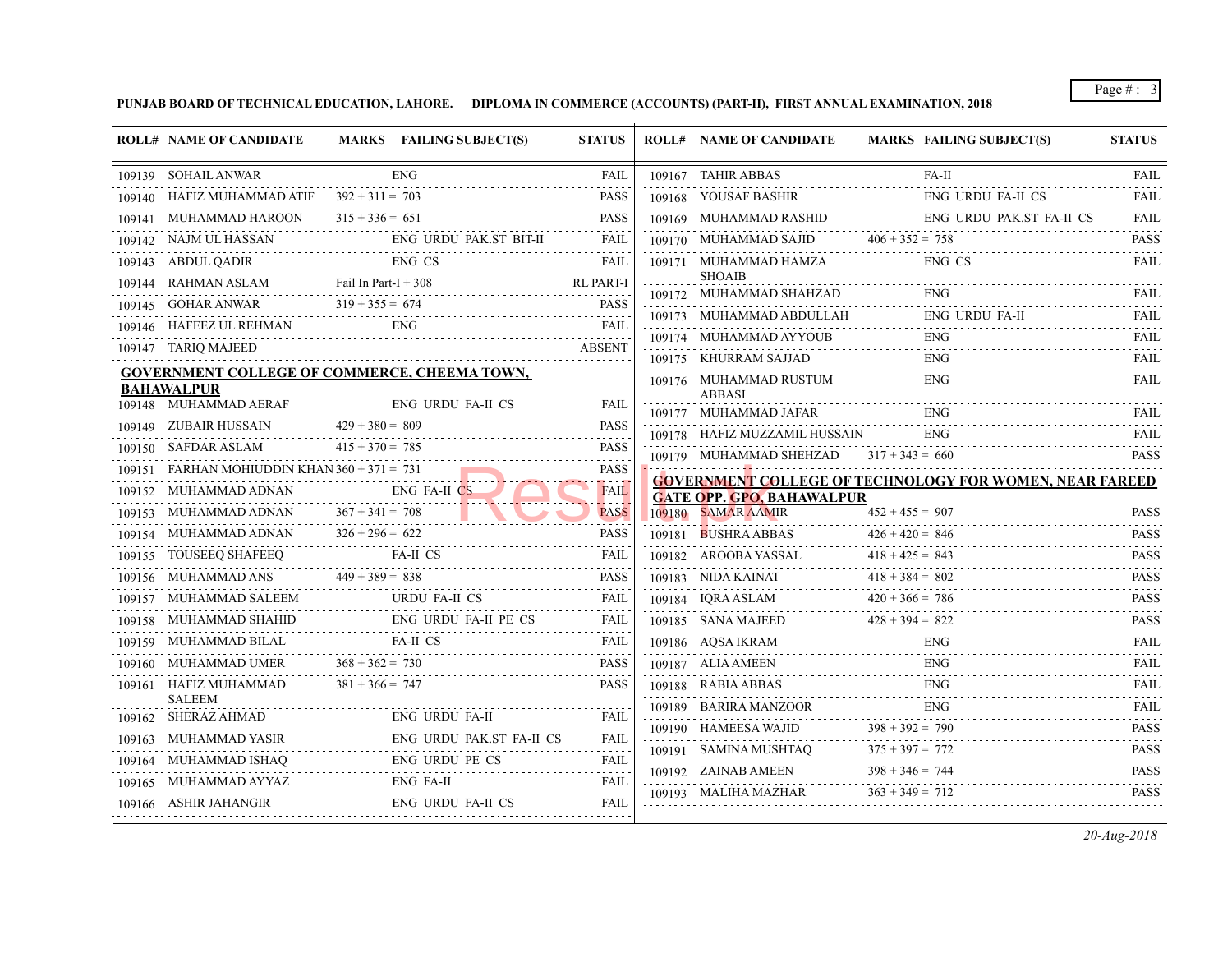| <b>ROLL# NAME OF CANDIDATE</b>                 | <b>MARKS</b> FAILING SUBJECT(S)                                                    | <b>STATUS</b> | <b>ROLL# NAME OF CANDIDATE</b>                        | <b>MARKS FAIL</b> |
|------------------------------------------------|------------------------------------------------------------------------------------|---------------|-------------------------------------------------------|-------------------|
| 109139 SOHAIL ANWAR                            | <b>ENG</b>                                                                         | <b>FAIL</b>   | 109167 TAHIR ABBAS                                    | FA-II             |
| 109140 HAFIZ MUHAMMAD ATIF $392 + 311 = 703$   |                                                                                    | <b>PASS</b>   | 109168 YOUSAF BASHIR                                  | <b>ENG</b>        |
| 109141 MUHAMMAD HAROON $315 + 336 = 651$       |                                                                                    | PASS          | 109169 MUHAMMAD RASHID                                | ENG               |
|                                                | 109142 NAJM UL HASSAN ENG URDU PAK.ST BIT-II FAIL                                  |               | 109170 MUHAMMAD SAJID $406 + 352 = 758$               |                   |
|                                                | 109143 ABDUL QADIR ENG CS FAIL                                                     | <b>FAIL</b>   | 109171 MUHAMMAD HAMZA                                 | <b>ENG</b>        |
| 109144 RAHMAN ASLAM Fail In Part-I + 308       | 9144 RAHMAN ASLAM Fail In Part-I + 308 RL PART-I                                   |               | <b>SHOAIB</b><br>109172 MUHAMMAD SHAHZAD              | ENG.              |
|                                                | 109145 GOHAR ANWAR 319 + 355 = 674 PASS                                            | <b>PASS</b>   |                                                       | <b>ENG</b>        |
|                                                | 109146 HAFEEZ UL REHMAN ENG FAIL                                                   |               | 109173 MUHAMMAD ABDULLAH EN<br>109174 MUHAMMAD AYYOUB | <b>ENG</b>        |
| 109147 TARIQ MAJEED                            | <b>ABSENT</b>                                                                      |               | 109175 KHURRAM SAJJAD                                 | <b>ENG</b>        |
|                                                | GOVERNMENT COLLEGE OF COMMERCE, CHEEMA TOWN,                                       |               | 109176 MUHAMMAD RUSTUM                                | <b>ENG</b>        |
| <b>BAHAWALPUR</b>                              |                                                                                    |               | ABBASI                                                |                   |
|                                                | 109148 MUHAMMAD AERAF ENG URDU FA-II CS                                            | <b>FAIL</b>   | 109177 MUHAMMAD JAFAR                                 | <b>ENG</b>        |
|                                                | 109149 ZUBAIR HUSSAIN $429 + 380 = 809$ PASS                                       |               | 109178 HAFIZ MUZZAMIL HUSSAIN                         | <b>ENG</b>        |
| 109150 SAFDAR ASLAM $415 + 370 = 785$          |                                                                                    | <b>PASS</b>   | 109179 MUHAMMAD SHEHZAD $317 + 343 = 660$             |                   |
| 109151 FARHAN MOHIUDDIN KHAN $360 + 371 = 731$ |                                                                                    | <b>PASS</b>   | <b>GOVERNMENT COLLEGE OF TECHNOLOGY</b>               |                   |
|                                                | 109152 MUHAMMAD ADNAN ENG FA-II CS                                                 | <b>FAIL</b>   | <b>GATE OPP. GPO, BAHAWALPUR</b>                      |                   |
| 109153 MUHAMMAD ADNAN $367 + 341 = 708$        |                                                                                    | <b>PASS</b>   | 109180 SAMAR AAMIR                                    | $452 + 455 = 907$ |
| 109154 MUHAMMAD ADNAN $326 + 296 = 622$        |                                                                                    | <b>PASS</b>   | 109181 BUSHRA ABBAS<br>.                              | $426 + 420 = 846$ |
|                                                | 109155 TOUSEEQ SHAFEEQ FA-II CS                                                    | FAIL          | 109182 AROOBA YASSAL $418 + 425 = 843$                |                   |
|                                                | 109156 MUHAMMAD ANS $449 + 389 = 838$ PASS                                         | <b>PASS</b>   | 109183 NIDA KAINAT $418 + 384 = 802$                  |                   |
|                                                | 109157 MUHAMMAD SALEEM URDU FA-II CS FAIL                                          | <b>FAIL</b>   | 109184 IQRA ASLAM $420 + 366 = 786$                   |                   |
|                                                | $\textbf{109158}\quad \textbf{MUHAMMAD SHAHID}\quad \textbf{ENG UNDU FA-II PE CS}$ | FAIL          | 109185 SANA MAJEED $428 + 394 = 822$                  |                   |
|                                                | 109159 MUHAMMAD BILAL FA-II CS FAIL FA-II CS FAIL                                  |               | 109186 AQSA IKRAM E                                   | <b>ENG</b>        |
| 109160 MUHAMMAD UMER $368 + 362 = 730$         |                                                                                    | <b>PASS</b>   | 109187 ALIA AMEEN                                     | <b>ENG</b>        |
| 109161 HAFIZ MUHAMMAD<br><b>SALEEM</b>         | $381 + 366 = 747$                                                                  | <b>PASS</b>   | 109188 RABIA ABBAS                                    | ENG I             |
| 109162 SHERAZ AHMAD                            | D ENG URDU FA-II                                                                   | FAIL          | 109189 BARIRA MANZOOR                                 | <b>ENG</b>        |
|                                                | 109163 MUHAMMAD YASIR ENG URDU PAK.ST FA-II CS FAIL                                |               | 109190 HAMEESA WAJID $398 + 392 = 790$                |                   |
|                                                | 109164 MUHAMMAD ISHAQ ENG URDU PE CS FAIL                                          |               | 109191 SAMINA MUSHTAQ $375 + 397 = 772$               |                   |
| 109165 MUHAMMAD AYYAZ                          | 165 MUHAMMAD AYYAZ ENG FA-II FAIL                                                  | FAIL          | 109192 ZAINAB AMEEN $398 + 346 = 744$                 |                   |
|                                                | 109166 ASHIR JAHANGIR ENG URDU FA-II CS                                            | FAIL          | 109193 MALIHA MAZHAR $363 + 349 = 712$                |                   |
|                                                |                                                                                    |               |                                                       |                   |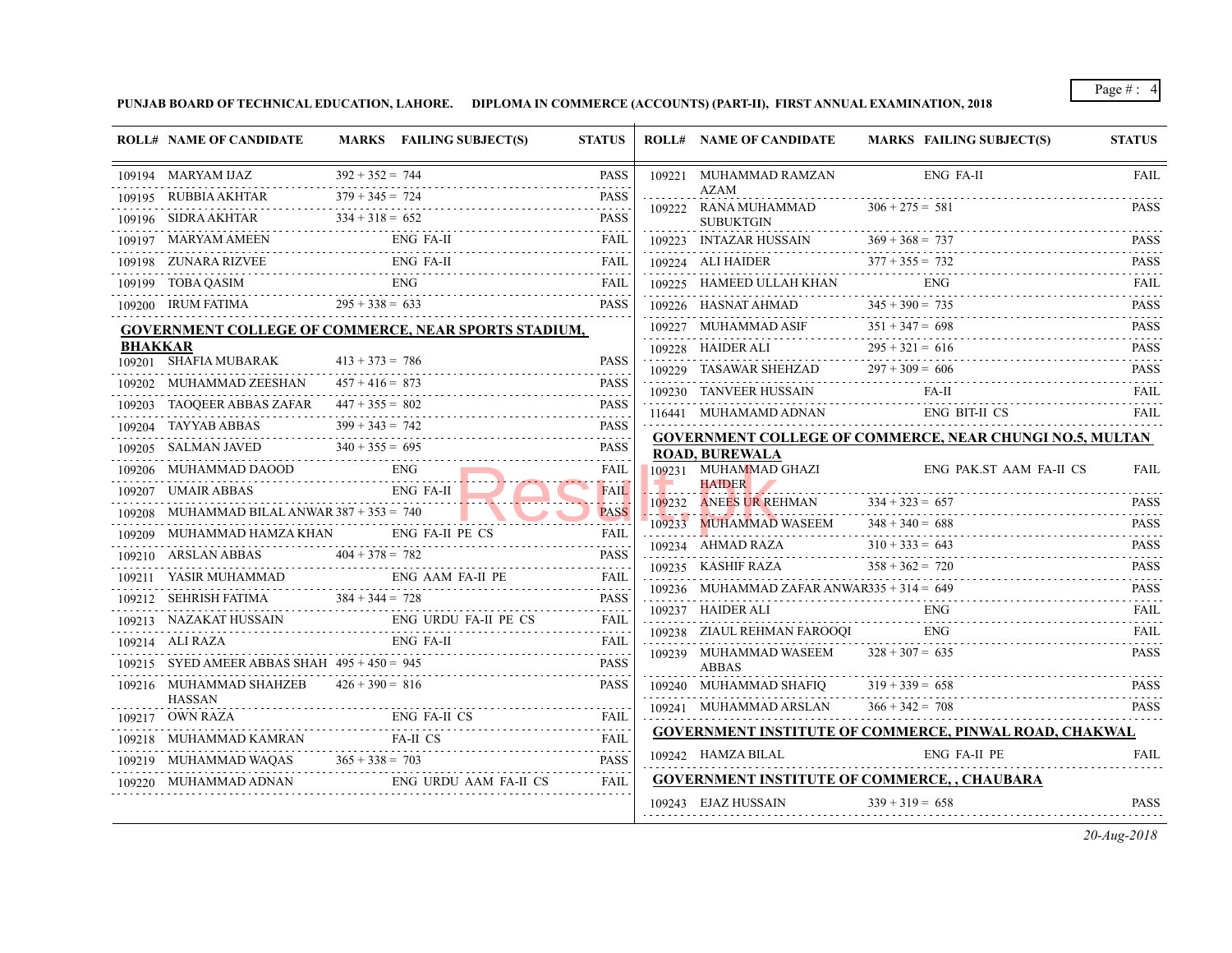|                | <b>ROLL# NAME OF CANDIDATE</b>                                                                       |                   | MARKS FAILING SUBJECT(S)        | <b>STATUS</b>                                     |        | <b>ROLL# NAME OF CANDIDATE</b>                                                                                                    | <b>MARKS FAIL</b> |
|----------------|------------------------------------------------------------------------------------------------------|-------------------|---------------------------------|---------------------------------------------------|--------|-----------------------------------------------------------------------------------------------------------------------------------|-------------------|
|                | 109194 MARYAM IJAZ                                                                                   | $392 + 352 = 744$ |                                 | <b>PASS</b>                                       | 109221 | MUHAMMAD RAMZAN                                                                                                                   | ENG               |
|                | 109195 RUBBIA AKHTAR                                                                                 | $379 + 345 = 724$ |                                 | <b>PASS</b>                                       |        | <b>AZAM</b><br>109222 RANA MUHAMMAD                                                                                               | $306 + 275 = 581$ |
|                | 109196 SIDRA AKHTAR $334 + 318 = 652$                                                                |                   |                                 |                                                   |        | <b>SUBUKTGIN</b>                                                                                                                  |                   |
|                | 109197 MARYAM AMEEN ENG FA-II FAIL FAIL                                                              |                   |                                 |                                                   |        | 109223 INTAZAR HUSSAIN                                                                                                            | $369 + 368 = 737$ |
|                | 109198 ZUNARA RIZVEE                                                                                 |                   |                                 | FAIL                                              |        | 109224 ALI HAIDER                                                                                                                 | $377 + 355 = 732$ |
|                | 109199 TOBA QASIM                                                                                    |                   | ASIM ENG FAIL                   |                                                   |        | 109225 HAMEED ULLAH KHAN                                                                                                          | ENG               |
|                | 109200 IRUM FATIMA $295 + 338 = 633$                                                                 |                   |                                 | <b>PASS</b>                                       |        | 109226 HASNAT AHMAD                                                                                                               | $345 + 390 = 735$ |
|                | <b>GOVERNMENT COLLEGE OF COMMERCE, NEAR SPORTS STADIUM,</b>                                          |                   |                                 |                                                   |        | 109227 MUHAMMAD ASIF $351 + 347 = 698$                                                                                            |                   |
| <b>BHAKKAR</b> |                                                                                                      |                   |                                 |                                                   |        | 109228 HAIDER ALI                                                                                                                 | $295 + 321 = 616$ |
|                | 109201 SHAFIA MUBARAK                                                                                | $413 + 373 = 786$ |                                 | <b>PASS</b>                                       |        | 109229 TASAWAR SHEHZAD $297 + 309 = 606$                                                                                          |                   |
|                | 109202 MUHAMMAD ZEESHAN                                                                              | $457 + 416 = 873$ | D ZEESHAN 457 + 416 = 873 PASS  | <b>PASS</b>                                       |        | 109230 TANVEER HUSSAIN                                                                                                            | FA-II             |
| 109203         | TAOQEER ABBAS ZAFAR $447 + 355 = 802$                                                                |                   |                                 | PASS                                              |        | 116441 MUHAMAMD ADNAN                                                                                                             | ENG               |
|                | 109204 TAYYAB ABBAS                                                                                  |                   |                                 | PASS                                              |        | <b>GOVERNMENT COLLEGE OF COMMERCE, I</b>                                                                                          |                   |
|                | 109205 SALMAN JAVED $340 + 355 = 695$                                                                |                   | LMAN JAVED 340 + 355 = 695 PASS | <b>PASS</b>                                       |        | <b>ROAD, BUREWALA</b>                                                                                                             |                   |
|                | 109206 MUHAMMAD DAOOD                                                                                |                   | <b>ENG</b>                      | FAIL                                              |        | 109231 MUHAMMAD GHAZI                                                                                                             | ENG               |
|                | 109207 UMAIR ABBAS                                                                                   | ENG FA-II         |                                 | <b>FAIL</b>                                       | 109232 | HAIDER<br><b>ANEES UR REHMAN</b> $334 + 323 = 657$                                                                                |                   |
|                | 109208 MUHAMMAD BILAL ANWAR $387 + 353 = 740$                                                        |                   |                                 | <b>PASS</b>                                       |        | <b>The Additional Property Construction of the Additional Property Construction</b><br>$109233$ MUHAMMAD WASEEM $348 + 340 = 688$ |                   |
|                | 109209 MUHAMMAD HAMZA KHAN ENG FA-II PE CS<br>109209 MUHAMMAD HAMZA KHAN ENG FA-II PE CS FAIL FE RIL |                   |                                 |                                                   |        | 109234 AHMAD RAZA                                                                                                                 | $310 + 333 = 643$ |
|                | 109210 ARSLAN ABBAS $404 + 378 = 782$ PASS                                                           |                   |                                 | <b>PASS</b>                                       |        | 109235 KASHIF RAZA $358 + 362 = 720$                                                                                              |                   |
|                | 109211 YASIR MUHAMMAD<br>YASIR MUHAMMAD ENG AAM FA-II PE                                             |                   |                                 |                                                   |        | 109236 MUHAMMAD ZAFAR ANWAR335 + 314 = 649                                                                                        |                   |
|                | 109212 SEHRISH FATIMA $384 + 344 = 728$                                                              |                   |                                 | <b>PASS</b>                                       |        | 109237 HAIDER ALI                                                                                                                 | ENG               |
|                | 109213 NAZAKAT HUSSAIN ENG URDU FA-II PE CS FAIL                                                     |                   |                                 |                                                   |        | 109238 ZIAUL REHMAN FAROOQI                                                                                                       | ENG               |
|                | 109214 ALI RAZA                                                                                      |                   |                                 |                                                   |        | 109239 MUHAMMAD WASEEM                                                                                                            | $328 + 307 = 635$ |
|                | 109215 SYED AMEER ABBAS SHAH $495 + 450 = 945$                                                       |                   |                                 | <b>PASS</b><br>$\sim$ $\sim$ $\sim$ $\sim$ $\sim$ |        | <b>ABBAS</b>                                                                                                                      |                   |
|                | 109216 MUHAMMAD SHAHZEB $426 + 390 = 816$<br><b>HASSAN</b>                                           |                   |                                 | PASS                                              |        | 109240 MUHAMMAD SHAFIO                                                                                                            | $319 + 339 = 658$ |
|                | 109217 OWN RAZA                                                                                      |                   | 4 ENG FA-II CS FAIL             |                                                   |        | 109241 MUHAMMAD ARSLAN                                                                                                            | $366 + 342 = 708$ |
|                | 109218 MUHAMMAD KAMRAN FA-II CS                                                                      |                   | RAN FA-II CS FAIL FAIL          | FAIL                                              |        | <b>GOVERNMENT INSTITUTE OF COMMERCE,</b>                                                                                          |                   |
|                | 109219 MUHAMMAD WAQAS $365 + 338 = 703$                                                              |                   |                                 | <b>PASS</b>                                       |        | 109242 HAMZA BILAL                                                                                                                | <b>ENG</b>        |
|                | 109220 MUHAMMAD ADNAN                                                                                |                   | ENG URDU AAM FA-II CS           | <b>FAIL</b>                                       |        | <b>GOVERNMENT INSTITUTE OF COMMERCE.</b>                                                                                          |                   |
|                |                                                                                                      |                   |                                 |                                                   |        | 109243 EJAZ HUSSAIN                                                                                                               | $339 + 319 = 658$ |
|                |                                                                                                      |                   |                                 |                                                   |        |                                                                                                                                   |                   |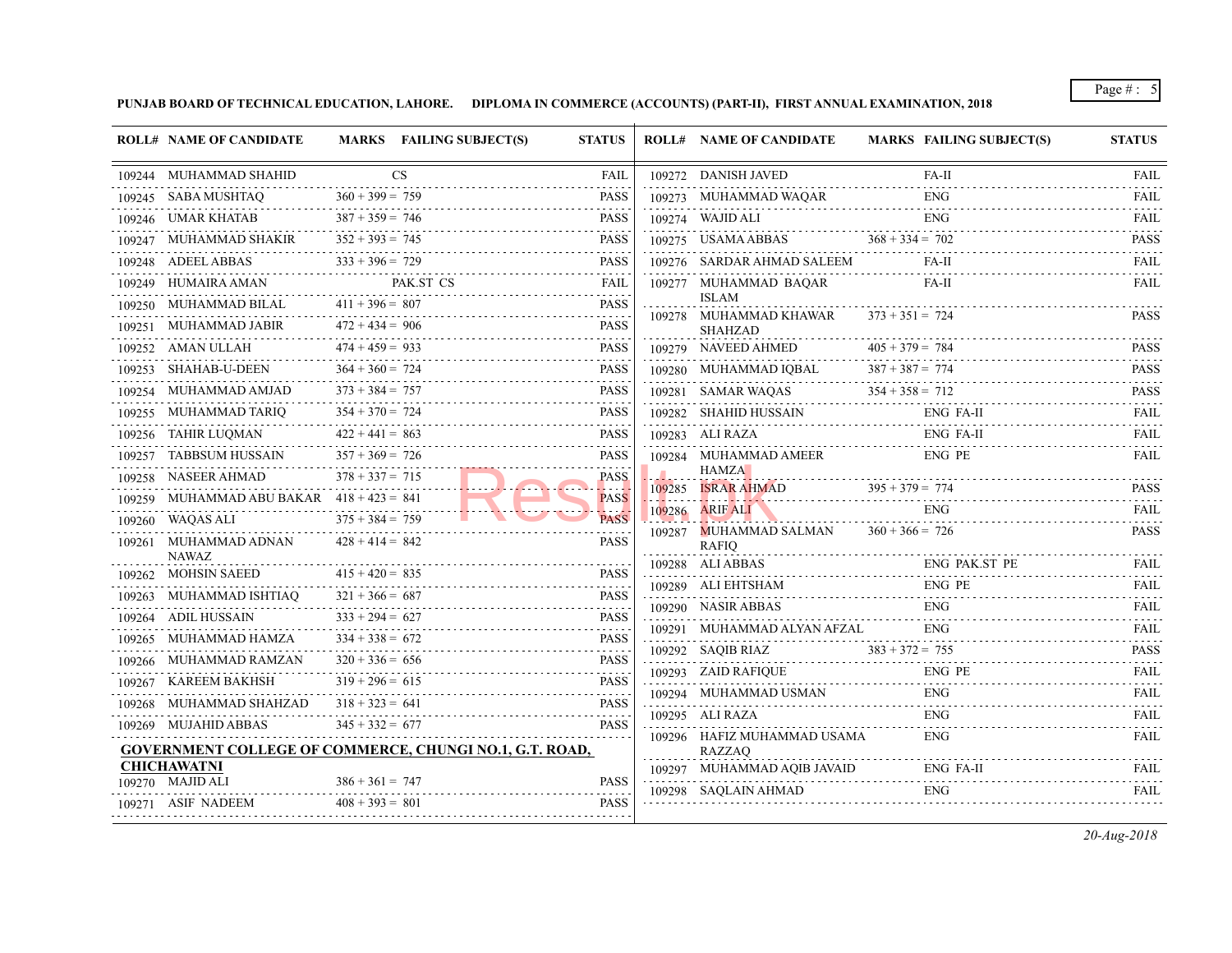|        | <b>ROLL# NAME OF CANDIDATE</b>                                 |                                   | MARKS FAILING SUBJECT(S) | <b>STATUS</b>                 | <b>ROLL# NAME OF CANDIDATE</b>            | <b>MARKS FAIL</b>         |
|--------|----------------------------------------------------------------|-----------------------------------|--------------------------|-------------------------------|-------------------------------------------|---------------------------|
|        | 109244 MUHAMMAD SHAHID                                         |                                   | <b>CS</b>                | FAIL                          | 109272 DANISH JAVED                       | FA-II                     |
|        | 109245 SABA MUSHTAQ                                            | . <b>.</b> .<br>$360 + 399 = 759$ |                          | <b>PASS</b>                   | 109273 MUHAMMAD WAQAR                     | <b>ENG</b>                |
|        | 109246 UMAR KHATAB                                             | $387 + 359 = 746$                 |                          | <b>PASS</b>                   | 109274 WAJID ALI                          | <b>ENG</b>                |
|        | 109247 MUHAMMAD SHAKIR                                         | $352 + 393 = 745$                 |                          | <b>PASS</b>                   | $109275$ USAMA ABBAS $368 + 334 = 702$    |                           |
|        | 109248 ADEEL ABBAS                                             | $333 + 396 = 729$                 |                          | <b>PASS</b>                   | 109276 SARDAR AHMAD SALEEM                | FA-II                     |
|        | 109249 HUMAIRA AMAN                                            |                                   | PAK.ST CS                | FAIL                          | 109277 MUHAMMAD BAQAR                     | FA-II                     |
|        | 109250 MUHAMMAD BILAL $411 + 396 = 807$                        |                                   |                          | <b>PASS</b>                   | ISLAM                                     |                           |
|        | 109251 MUHAMMAD JABIR                                          | $472 + 434 = 906$                 |                          | <b>PASS</b><br>and a state of | 109278 MUHAMMAD KHAWAR<br><b>SHAHZAD</b>  | $373 + 351 = 724$         |
|        | 109252 AMAN ULLAH                                              | $474 + 459 = 933$                 |                          | <b>PASS</b>                   | 109279 NAVEED AHMED                       | .<br>$405 + 379 = 784$    |
|        | 109253 SHAHAB-U-DEEN                                           | $364 + 360 = 724$                 |                          | PASS                          | 109280 MUHAMMAD IQBAL                     | $387 + 387 = 774$         |
|        | 109254 MUHAMMAD AMJAD $373 + 384 = 757$                        |                                   |                          | <b>PASS</b>                   | 109281 SAMAR WAQAS                        | $354 + 358 = 712$         |
|        | 109255 MUHAMMAD TARIQ                                          | $354 + 370 = 724$                 |                          | <b>PASS</b>                   | 109282 SHAHID HUSSAIN                     | <b>ENG</b>                |
|        | 109256 TAHIR LUQMAN                                            | $422 + 441 = 863$                 |                          | <b>PASS</b>                   | 109283 ALI RAZA                           | <b>ENG</b>                |
| 109257 | TABBSUM HUSSAIN                                                | $357 + 369 = 726$<br>.            |                          | <b>PASS</b>                   | 109284 MUHAMMAD AMEER                     | <b>ENG</b>                |
|        | 109258 NASEER AHMAD                                            | $378 + 337 = 715$                 |                          | <b>PASS</b>                   | <b>HAMZA</b><br>109285 ISRAR AHMAD        | $395 + 379 = 774$         |
|        | 109259 MUHAMMAD ABU BAKAR $418 + 423 = 841$                    |                                   |                          | <b>PASS</b>                   |                                           |                           |
|        | 109260 WAQAS ALI                                               | $375 + 384 = 759$                 |                          | <b>PASS</b>                   | 109286 ARIF ALI<br>109287 MUHAMMAD SALMAN | ENG.<br>$360 + 366 = 726$ |
|        | 109261 MUHAMMAD ADNAN<br><b>NAWAZ</b>                          | $428 + 414 = 842$                 |                          | <b>PASS</b>                   | <b>RAFIO</b>                              |                           |
|        | 109262 MOHSIN SAEED                                            | $415 + 420 = 835$                 |                          | <b>PASS</b>                   | 109288 ALI ABBAS                          | ENG.                      |
|        | 109263 MUHAMMAD ISHTIAQ                                        | $321 + 366 = 687$                 |                          | الداعات عامات<br><b>PASS</b>  | 109289 ALI EHTSHAM                        | <b>ENG</b>                |
|        | 109264 ADIL HUSSAIN                                            | $333 + 294 = 627$                 |                          | <b>PASS</b>                   | 109290 NASIR ABBAS                        | <b>ENG</b>                |
|        | 109265 MUHAMMAD HAMZA                                          | .<br>$334 + 338 = 672$            |                          | د د د د د<br><b>PASS</b>      | 109291 MUHAMMAD ALYAN AFZAL               | <b>ENG</b>                |
|        | 109266 MUHAMMAD RAMZAN                                         | $320 + 336 = 656$                 |                          | .<br><b>PASS</b>              | 109292 SAQIB RIAZ                         | $383 + 372 = 755$         |
|        | 109267 KAREEM BAKHSH                                           | $319 + 296 = 615$                 |                          | <b>PASS</b>                   | 109293 ZAID RAFIQUE                       | <b>ENG</b>                |
|        | 109268 MUHAMMAD SHAHZAD                                        | .<br>$318 + 323 = 641$            |                          | <b>PASS</b>                   | 109294 MUHAMMAD USMAN                     | <b>ENG</b>                |
|        | 109269 MUJAHID ABBAS                                           | $345 + 332 = 677$                 |                          | <b>PASS</b>                   | 109295 ALI RAZA                           | <b>ENG</b>                |
|        | <b>GOVERNMENT COLLEGE OF COMMERCE, CHUNGI NO.1, G.T. ROAD,</b> |                                   |                          |                               | 109296 HAFIZ MUHAMMAD USAMA<br>RAZZAQ     | <b>ENG</b>                |
|        | <b>CHICHAWATNI</b>                                             |                                   |                          |                               | 109297 MUHAMMAD AQIB JAVAID               | <b>ENG</b>                |
|        | 109270 MAJID ALI                                               | $386 + 361 = 747$                 |                          | <b>PASS</b>                   | 109298 SAOLAIN AHMAD                      | <b>ENG</b>                |
|        | 109271 ASIF NADEEM                                             | $408 + 393 = 801$                 |                          | <b>PASS</b>                   |                                           |                           |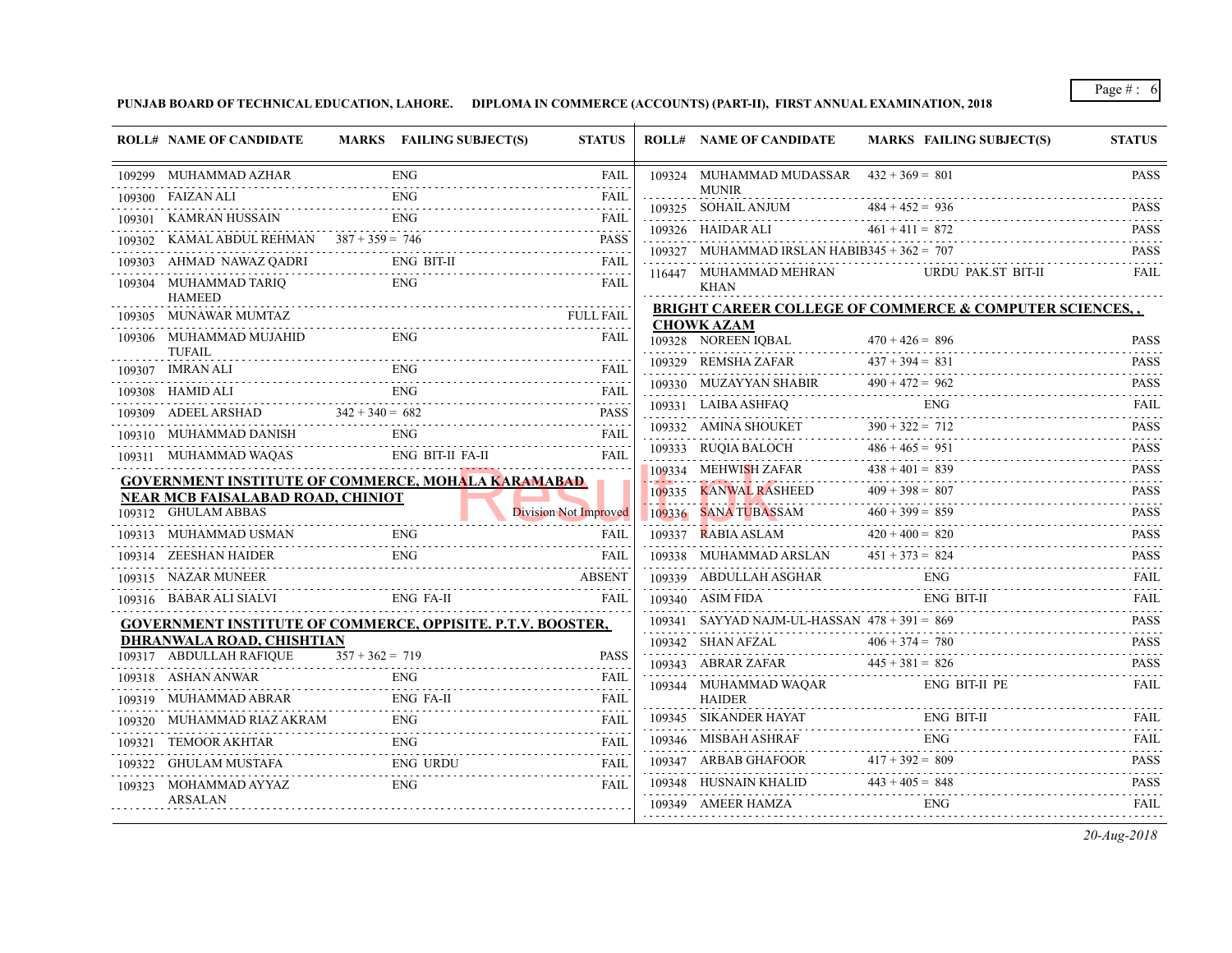| <b>ROLL# NAME OF CANDIDATE</b>                                                                |                   | MARKS FAILING SUBJECT(S)    | <b>STATUS</b>                | <b>ROLL# NAME OF CANDIDATE</b>                                   | <b>MARKS FAIL</b>      |
|-----------------------------------------------------------------------------------------------|-------------------|-----------------------------|------------------------------|------------------------------------------------------------------|------------------------|
| 109299 MUHAMMAD AZHAR                                                                         |                   | <b>ENG</b>                  |                              | 109324 MUHAMMAD MUDASSAR $432 + 369 = 801$                       |                        |
| 109300 FAIZAN ALI                                                                             |                   | ENG                         |                              | <b>MUNIR</b><br>109325 SOHAIL ANJUM                              | $484 + 452 = 936$      |
| 109301 KAMRAN HUSSAIN                                                                         |                   | V ENG FAIL                  |                              |                                                                  | $461 + 411 = 872$      |
| 109302 KAMAL ABDUL REHMAN $387 + 359 = 746$                                                   |                   | N $387 + 359 = 746$ PASS    |                              | 109326 HAIDAR ALI<br>109327 MUHAMMAD IRSLAN HABIB345 + 362 = 707 |                        |
| 109303 AHMAD NAWAZ QADRI                                                                      |                   | ENG BIT-II                  |                              | 116447 MUHAMMAD MEHRAN                                           | <b>URDI</b>            |
| 109304 MUHAMMAD TARIQ<br><b>HAMEED</b>                                                        |                   | ENG                         | FAIL                         | KHAN                                                             |                        |
| 109305 MUNAWAR MUMTAZ                                                                         |                   |                             | <b>FULL FAIL</b>             | <b>BRIGHT CAREER COLLEGE OF COMMERCE</b><br><b>CHOWK AZAM</b>    |                        |
| 109306 MUHAMMAD MUJAHID<br><b>TUFAIL</b>                                                      |                   | ENG.                        | <b>FAIL</b>                  | 109328 NOREEN IQBAL 470 + 426 = 896                              |                        |
| 109307 IMRAN ALI                                                                              |                   | <b>ENG</b>                  |                              | 109329 REMSHA ZAFAR $437 + 394 = 831$                            |                        |
| $\underbrace{109308}\quad \  {\rm HAMID\,ALI}\qquad \qquad {\rm ENG}\qquad \qquad {\rm FAIL}$ |                   | <b>ENG</b>                  |                              | 109330 MUZAYYAN SHABIR $490 + 472 = 962$                         |                        |
| 109309 ADEEL ARSHAD $342 + 340 = 682$ PASS                                                    |                   |                             | <b>PASS</b>                  | 109331 LAIBA ASHFAQ                                              | <b>ENG</b>             |
| 109310 MUHAMMAD DANISH ENG FAIL FAIL                                                          |                   |                             |                              | 109332 AMINA SHOUKET 390 + 322 = 712                             |                        |
| 109311 MUHAMMAD WAQAS ENG BIT-II FA-II                                                        |                   |                             | <b>FAIL</b>                  | 109333 RUQIA BALOCH 486 + 4                                      | $486 + 465 = 951$      |
| <b>GOVERNMENT INSTITUTE OF COMMERCE, MOHALA KARAMABAD</b>                                     |                   |                             |                              | 109334 MEHWISH ZAFAR $438 + 401 = 839$                           |                        |
| <b>NEAR MCB FAISALABAD ROAD, CHINIOT</b>                                                      |                   |                             |                              | 109335 KANWAL RASHEED $409 + 398 = 807$                          |                        |
| 109312 GHULAM ABBAS                                                                           |                   |                             | <b>Division Not Improved</b> | 109336 SANATUBASSAM $460 + 399 = 859$                            |                        |
| 109313 MUHAMMAD USMAN ENG FAIL                                                                |                   |                             |                              | 109337 RABIA ASLAM $420 + 400 = 820$                             |                        |
| 109314 ZEESHAN HAIDER                                                                         |                   | <b>ENG</b><br>R ENG ENG     | <b>FAIL</b>                  | 109338 MUHAMMAD ARSLAN                                           | $451 + 373 = 824$      |
| 109315 NAZAR MUNEER                                                                           |                   | ER<br>ABSENI                | ABSENT                       | 109339 ABDULLAH ASGHAR EN                                        | ENG.                   |
| 109316 BABAR ALI SIALVI                                                                       |                   | ENG FA-II                   | <b>FAIL</b>                  | 109340 ASIM FIDA                                                 | <b>ENG</b>             |
| <b>GOVERNMENT INSTITUTE OF COMMERCE, OPPISITE. P.T.V. BOOSTER,</b>                            |                   |                             |                              | 109341 SAYYAD NAJM-UL-HASSAN $478 + 391 = 869$                   |                        |
| <b>DHRANWALA ROAD, CHISHTIAN</b>                                                              | $357 + 362 = 719$ |                             | <b>PASS</b>                  | 109342 SHAN AFZAL $406 + 374 = 780$                              |                        |
| 109317 ABDULLAH RAFIQUE                                                                       |                   | AFIQUE 357 + 362 = 719 PASS |                              | 109343 ABRAR ZAFAR $445 + 381 = 826$                             |                        |
| 109318 ASHAN ANWAR                                                                            |                   | ENG                         | FAIL                         | 109344 MUHAMMAD WAQAR                                            | <b>ENG</b>             |
| 109319 MUHAMMAD ABRAR ENG FA-II FAIL FAIL                                                     |                   |                             |                              | <b>HAIDER</b><br>109345 SIKANDER HAYAT                           | <b>ENG</b>             |
| 109320 MUHAMMAD RIAZ AKRAM ENG FAIL                                                           |                   | ENG                         |                              |                                                                  | XYAT ENG<br><b>ENG</b> |
| 109321 TEMOOR AKHTAR                                                                          |                   | <u>ENG</u> FAIL             | <b>FAIL</b>                  | 109346 MISBAH ASHRAF                                             |                        |
| 109322 GHULAM MUSTAFA ENG URDU FAIL                                                           |                   |                             |                              | 109347 ARBAB GHAFOOR $417 + 392 = 809$                           |                        |
| 109323 MOHAMMAD AYYAZ<br><b>ARSALAN</b>                                                       |                   | <b>ENG</b>                  | <b>FAIL</b>                  | 109348 HUSNAIN KHALID $443 + 405 = 848$                          |                        |
|                                                                                               |                   |                             |                              | 109349 AMEER HAMZA                                               | <b>ENG</b>             |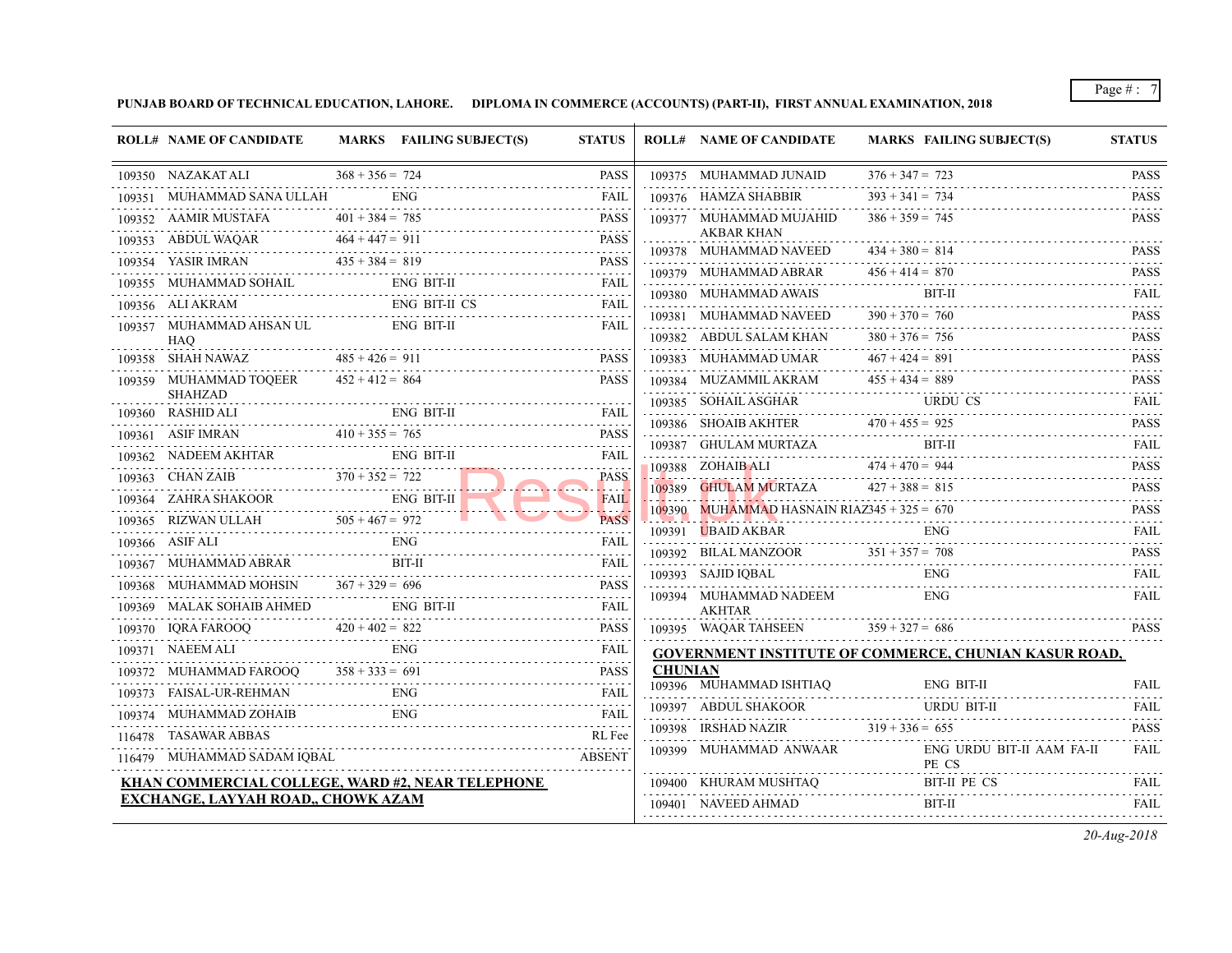|        | <b>ROLL# NAME OF CANDIDATE</b>                                                                                                                                                                       | MARKS FAILING SUBJECT(S)      | <b>STATUS</b>               |                | <b>ROLL# NAME OF CANDIDATE</b>                                    | <b>MARKS FAIL</b>      |
|--------|------------------------------------------------------------------------------------------------------------------------------------------------------------------------------------------------------|-------------------------------|-----------------------------|----------------|-------------------------------------------------------------------|------------------------|
|        | 109350 NAZAKAT ALI<br>$368 + 356 = 724$                                                                                                                                                              |                               | <b>PASS</b>                 |                | 109375 MUHAMMAD JUNAID                                            | $376 + 347 = 723$      |
|        | 109351 MUHAMMAD SANA ULLAH ENG                                                                                                                                                                       |                               | FAIL                        |                | 109376 HAMZA SHABBIR                                              | .<br>$393 + 341 = 734$ |
|        | 109352 AAMIR MUSTAFA $401 + 384 = 785$ PASS PASS                                                                                                                                                     |                               |                             |                | 109377 MUHAMMAD MUJAHID                                           | $386 + 359 = 745$      |
|        | 109353 ABDUL WAQAR 464 + 447 = 911 PASS                                                                                                                                                              |                               |                             |                | <b>AKBAR KHAN</b>                                                 | $434 + 380 = 814$      |
|        | 109354 YASIR IMRAN $435 + 384 = 819$ PASS                                                                                                                                                            |                               | <b>PASS</b>                 |                | 109378 MUHAMMAD NAVEED                                            |                        |
|        | 109355 MUHAMMAD SOHAIL ENG BIT-II FAIL FAIL                                                                                                                                                          |                               |                             |                | 109379 MUHAMMAD ABRAR                                             | $456 + 414 = 870$      |
|        | 109356 ALI AKRAM                                                                                                                                                                                     | M ENG BIT-II CS FAIL          |                             |                | 109380 MUHAMMAD AWAIS<br>109381 MUHAMMAD NAVEED $390 + 370 = 760$ | -BIT-I                 |
|        | 109357 MUHAMMAD AHSAN UL ENG BIT-II                                                                                                                                                                  |                               | FAIL                        |                |                                                                   |                        |
|        | HAO                                                                                                                                                                                                  |                               |                             |                | 109382 ABDUL SALAM KHAN $380 + 376 = 756$                         |                        |
|        | 109358 SHAH NAWAZ                                                                                                                                                                                    | $Z$ 485 + 426 = 911           | <b>PASS</b>                 |                | 109383 MUHAMMAD UMAR $467 + 424 = 891$                            |                        |
|        | 109359 MUHAMMAD TOQEER $452 + 412 = 864$<br><b>SHAHZAD</b>                                                                                                                                           |                               | <b>PASS</b>                 |                | 109384 MUZAMMILAKRAM $455 + 434 = 889$                            |                        |
|        | 109360 RASHID ALI                                                                                                                                                                                    |                               |                             |                | 109385 SOHAIL ASGHAR                                              | <b>URD</b>             |
|        | 109361 ASIF IMRAN $410 + 355 = 765$ PASS                                                                                                                                                             |                               |                             |                | $109386$ SHOAIB AKHTER<br>$470 + 455 = 925$<br>$470 + 455 = 925$  |                        |
|        |                                                                                                                                                                                                      |                               |                             |                | 109387 GHULAM MURTAZA BI                                          | BIT-I                  |
|        | 109362 NADEEM AKHTAR ENG BIT-II FAIL FAIL PASS                                                                                                                                                       |                               |                             |                | 109388 ZOHAIB ALI $474 + 470 = 944$                               |                        |
|        | 109364 ZAHRA SHAKOOR ENG BIT-II                                                                                                                                                                      |                               | <b>FAIL</b>                 |                | 109389 GHULAM MURTAZA 427+388 = 815                               |                        |
|        | 109365 RIZWAN ULLAH $505 + 467 = 972$                                                                                                                                                                |                               | . <i>.</i> .<br><b>PASS</b> |                | $109390$ MUHAMMAD HASNAIN RIAZ345 + 325 = 670                     |                        |
|        |                                                                                                                                                                                                      |                               | FAIL                        |                | 109391 <b>UBAID AKBAR</b> EN                                      | <b>ENG</b>             |
|        |                                                                                                                                                                                                      |                               |                             |                | 109392 BILAL MANZOOR 351 + 357 = 708                              |                        |
|        | $\begin{tabular}{lllllllllll} \hline 109367 & \text{MUHAMMAD ABRAR} & \text{BIT-II} & \text{FAIL} \\ \hline 109368 & \text{MUHAMMAD MOHSIN} & 367 + 329 = 696 & \text{PASS} \\ \hline \end{tabular}$ |                               |                             |                | 109393 SAJID IQBAL                                                | <b>ENG</b>             |
|        | 109369 MALAK SOHAIB AHMED<br>109369 MALAK SOHAIB AHMED ENG BIT-II FAIL FAIL                                                                                                                          |                               |                             |                | 109394 MUHAMMAD NADEEM<br>AKHTAR                                  | <b>ENG</b>             |
|        | 109370 IQRA FAROOQ $420 + 402 = 822$                                                                                                                                                                 |                               | <b>PASS</b>                 |                | 109395 WAQAR TAHSEEN $359 + 327 = 686$                            |                        |
|        | 109371 NAEEM ALI ENG                                                                                                                                                                                 |                               |                             |                | <b>GOVERNMENT INSTITUTE OF COMMERCE,</b>                          |                        |
| 109372 | MUHAMMAD FAROOQ $358 + 333 = 691$                                                                                                                                                                    | FAROOQ $358 + 333 = 691$ PASS | <b>PASS</b>                 | <b>CHUNIAN</b> |                                                                   |                        |
|        |                                                                                                                                                                                                      |                               | FAIL                        |                | 109396 MUHAMMAD ISHTIAQ                                           | <b>ENG</b>             |
|        | 109374 MUHAMMAD ZOHAIB                                                                                                                                                                               |                               |                             |                | 109397 ABDUL SHAKOOR                                              | <b>URD</b>             |
|        | 116478 TASAWAR ABBAS                                                                                                                                                                                 |                               | RL Fee                      |                | 109398 IRSHAD NAZIR $319 + 336 = 655$                             |                        |
|        | 116479 MUHAMMAD SADAM IQBAL                                                                                                                                                                          | ABSENT                        |                             |                | 109399 MUHAMMAD ANWAAR                                            | <b>ENG</b><br>PE C     |
|        | KHAN COMMERCIAL COLLEGE, WARD #2, NEAR TELEPHONE                                                                                                                                                     |                               |                             |                | 109400 KHURAM MUSHTAQ BIT                                         | BIT-I                  |
|        | <b>EXCHANGE, LAYYAH ROAD,, CHOWK AZAM</b>                                                                                                                                                            |                               |                             |                | 109401 NAVEED AHMAD                                               | BIT-I                  |
|        |                                                                                                                                                                                                      |                               |                             |                |                                                                   |                        |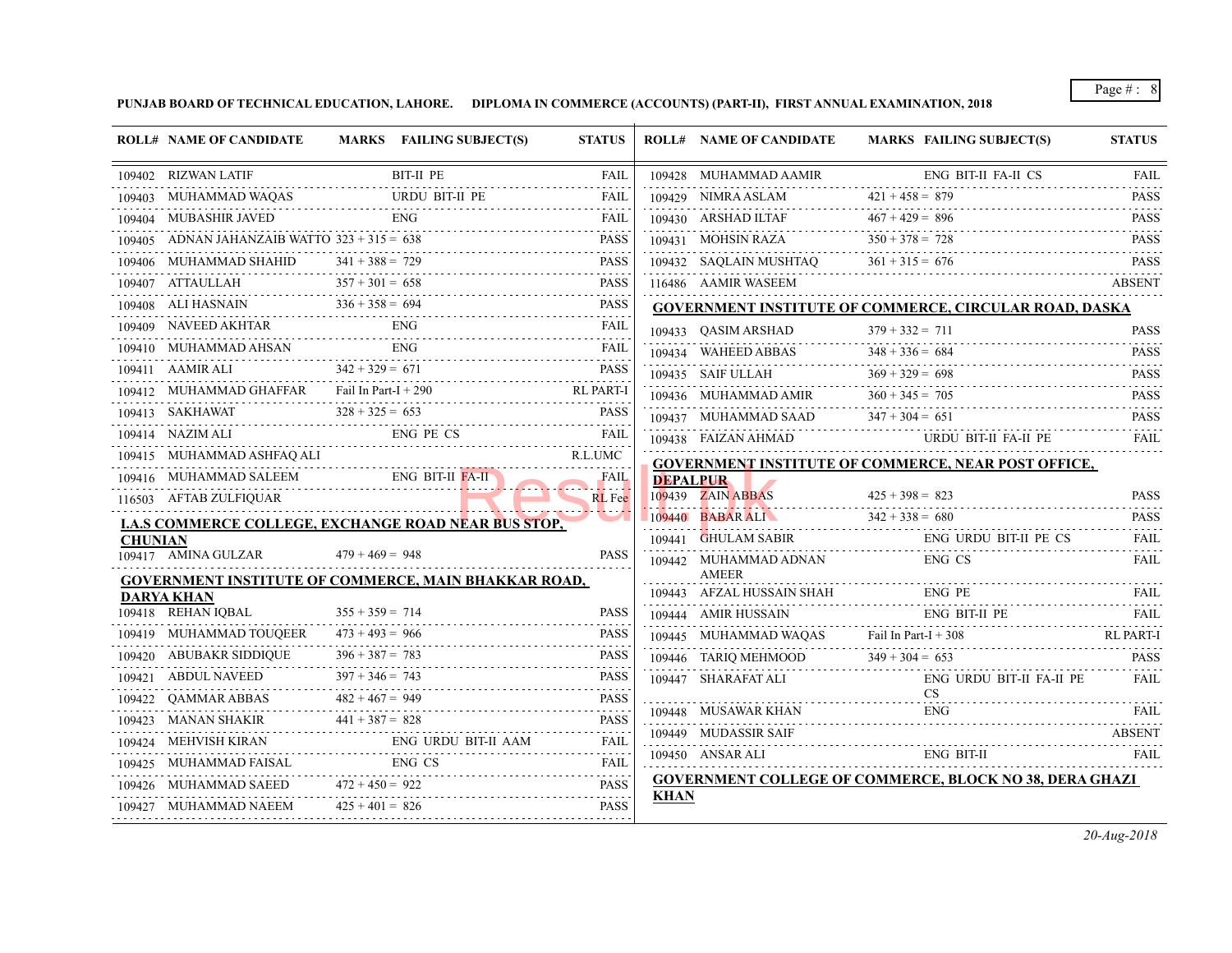|                | <b>ROLL# NAME OF CANDIDATE</b>                 | MARKS FAILING SUBJECT(S)                                                                                                    | <b>STATUS</b> |                 | <b>ROLL# NAME OF CANDIDATE</b>                        | <b>MARKS FAIL</b> |
|----------------|------------------------------------------------|-----------------------------------------------------------------------------------------------------------------------------|---------------|-----------------|-------------------------------------------------------|-------------------|
|                | 109402 RIZWAN LATIF                            | BIT-II PE                                                                                                                   | <b>FAIL</b>   |                 | 109428 MUHAMMAD AAMIR                                 | <b>ENG</b>        |
|                | 109403 MUHAMMAD WAQAS                          |                                                                                                                             | FAIL          |                 | 109429 NIMRA ASLAM                                    | $421 + 458 = 879$ |
|                | 109404 MUBASHIR JAVED                          | ENG-                                                                                                                        | <b>FAIL</b>   |                 | 109430 ARSHAD ILTAF                                   | $467 + 429 = 896$ |
|                | 109405 ADNAN JAHANZAIB WATTO $323 + 315 = 638$ |                                                                                                                             |               |                 | 109431 MOHSIN RAZA                                    | $350 + 378 = 728$ |
|                | 109406 MUHAMMAD SHAHID                         | $341 + 388 = 729$                                                                                                           | <b>PASS</b>   |                 | 109432 SAQLAIN MUSHTAQ $361 + 315 = 676$              |                   |
|                | 109407 ATTAULLAH                               | $357 + 301 = 658$<br>LLAH $357 + 301 = 658$ PASS                                                                            | <b>PASS</b>   |                 | 116486 AAMIR WASEEM                                   |                   |
|                |                                                | 109408 ALI HASNAIN $336 + 358 = 694$ PASS                                                                                   |               |                 | <b>GOVERNMENT INSTITUTE OF COMMERCE,</b>              |                   |
|                |                                                |                                                                                                                             | FAIL          |                 | 109433 QASIM ARSHAD                                   | $379 + 332 = 711$ |
|                | 109410 MUHAMMAD AHSAN                          | MAD AHSAN ENG FAIL                                                                                                          | FAIL          |                 | 109434 WAHEED ABBAS                                   | $348 + 336 = 684$ |
|                | 109411 AAMIR ALI                               | $342 + 329 = 671$                                                                                                           | <b>PASS</b>   |                 | 109435 SAIF ULLAH                                     | $369 + 329 = 698$ |
|                |                                                | 109412 MUHAMMAD GHAFFAR Fail In Part-I + 290 RL PART-I                                                                      |               |                 | 109436 MUHAMMAD AMIR $360 + 345 = 705$                |                   |
|                |                                                | 109413 SAKHAWAT $328 + 325 = 653$ PASS                                                                                      | <b>PASS</b>   |                 | 109437 MUHAMMAD SAAD $347 + 304 = 651$                |                   |
|                | 109414 NAZIM ALI                               | ENG PE CS                                                                                                                   | FAIL          |                 | 109438 FAIZAN AHMAD                                   | <b>URD</b>        |
|                |                                                |                                                                                                                             | R.L.UMC       |                 | <b>GOVERNMENT INSTITUTE OF COMMERCE,</b>              |                   |
|                |                                                | 109415 MUHAMMAD ASHFAQ ALI ENG BIT-II FA-II 200416 MUHAMMAD SALEEM ENG BIT-II FA-II 200416 MUHAMMAD SALEEM ENG BIT-II FA-II | FAIL          | <b>DEPALPUR</b> |                                                       |                   |
|                | 116503 AFTAB ZULFIQUAR                         |                                                                                                                             | RL Fee        |                 | 109439 ZAIN ABBAS<br>09439 ZAIN ABBAS 425 + 398 = 823 |                   |
|                |                                                | <b>LA.S COMMERCE COLLEGE, EXCHANGE ROAD NEAR BUS STOP,</b>                                                                  |               |                 | $109440$ BABAR ALI 342 + 338 = 680                    |                   |
| <b>CHUNIAN</b> |                                                |                                                                                                                             |               |                 | 109441 GHULAM SABIR                                   | <b>ENG</b>        |
|                | 109417 AMINA GULZAR                            | $479 + 469 = 948$                                                                                                           | <b>PASS</b>   |                 | 109442 MUHAMMAD ADNAN                                 | ENG I             |
|                |                                                | <b>GOVERNMENT INSTITUTE OF COMMERCE, MAIN BHAKKAR ROAD,</b>                                                                 |               |                 | <b>AMEER</b><br>109443 AFZAL HUSSAIN SHAH             | <b>ENG</b>        |
|                | <b>DARYA KHAN</b><br>109418 REHAN IQBAL        | $355 + 359 = 714$                                                                                                           | <b>PASS</b>   |                 | 109444 AMIR HUSSAIN                                   | ENG               |
|                | 109419 MUHAMMAD TOUQEER                        | $473 + 493 = 966$                                                                                                           | PASS          |                 | 109445 MUHAMMAD WAQAS Fail In Part-I + 3              |                   |
|                | 109420 ABUBAKR SIDDIQUE                        | $396 + 387 = 783$                                                                                                           | <b>PASS</b>   |                 | 109446 TARIQ MEHMOOD $349 + 304 = 653$                |                   |
|                | 109421 ABDUL NAVEED                            | $397 + 346 = 743$                                                                                                           |               |                 | 109447 SHARAFAT ALI                                   | <b>ENG</b>        |
|                | 109422 QAMMAR ABBAS                            | $482 + 467 = 949$                                                                                                           | <b>PASS</b>   |                 |                                                       | <b>CS</b>         |
|                | 109423 MANAN SHAKIR                            | $441 + 387 = 828$                                                                                                           | <b>PASS</b>   |                 | 109448 MUSAWAR KHAN                                   | <b>ENG</b>        |
|                | 109424 MEHVISH KIRAN                           | ENG URDU BIT-II AAM FAIL FAIL                                                                                               |               |                 | 109449 MUDASSIR SAIF                                  |                   |
|                | 109425 MUHAMMAD FAISAL                         | ENG CS                                                                                                                      | FAIL          |                 | 109450 ANSAR ALI                                      | ENG               |
|                | 109426 MUHAMMAD SAEED $472 + 450 = 922$        |                                                                                                                             | <b>PASS</b>   |                 | <b>GOVERNMENT COLLEGE OF COMMERCE, I</b>              |                   |
|                | 109427 MUHAMMAD NAEEM                          | $425 + 401 = 826$                                                                                                           | <b>PASS</b>   | KHAN            |                                                       |                   |
|                |                                                |                                                                                                                             |               |                 |                                                       |                   |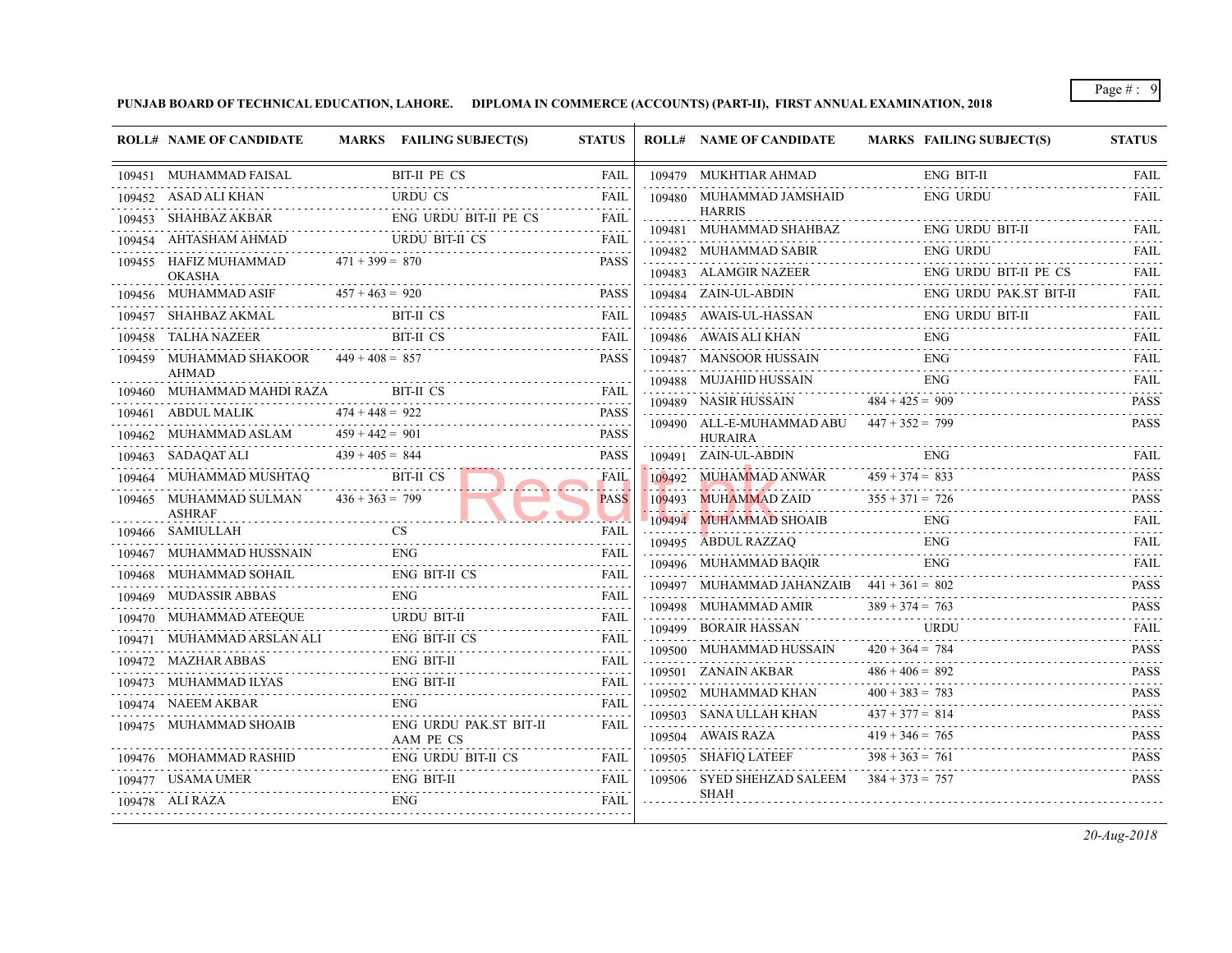| <b>ROLL# NAME OF CANDIDATE</b>                                                                                                                          |                   | MARKS FAILING SUBJECT(S)            | <b>STATUS</b>       | <b>ROLL# NAME OF CANDIDATE</b>                                | <b>MARKS FAIL</b>        |
|---------------------------------------------------------------------------------------------------------------------------------------------------------|-------------------|-------------------------------------|---------------------|---------------------------------------------------------------|--------------------------|
| 109451 MUHAMMAD FAISAL                                                                                                                                  |                   | BIT-II PE CS                        | FAIL                | 109479 MUKHTIAR AHMAD                                         | <b>ENG</b>               |
| 109452 ASAD ALI KHAN                                                                                                                                    |                   | URDU CS                             | FAIL                | 109480 MUHAMMAD JAMSHAID                                      | <b>ENG</b>               |
| 109453 SHAHBAZ AKBAR                                                                                                                                    |                   | ENG URDU BIT-II PE CS<br>.          | FAIL                | <b>HARRIS</b>                                                 |                          |
| 109454 AHTASHAM AHMAD URDU BIT-II CS                                                                                                                    |                   |                                     | <b>FAIL</b>         | 109481 MUHAMMAD SHAHBAZ<br>AHBAZ<br>-------------------       | <b>ENG</b>               |
| 109455 HAFIZ MUHAMMAD<br><b>OKASHA</b>                                                                                                                  | $471 + 399 = 870$ |                                     | <b>PASS</b>         | 109482 MUHAMMAD SABIR<br>109483 ALAMGIR NAZEER                | <b>ENG</b><br><b>ENG</b> |
| 109456 MUHAMMAD ASIF                                                                                                                                    |                   | IF $457 + 463 = 920$                | <b>PASS</b>         | 109484 ZAIN-UL-ABDIN                                          | <b>ENG</b>               |
| 109457 SHAHBAZ AKMAL BIT-II CS                                                                                                                          |                   |                                     | FAIL                | 109485 AWAIS-UL-HASSAN                                        | <b>ENG</b>               |
| 109458 TALHA NAZEER                                                                                                                                     | BIT-II CS         |                                     | FAIL                | 109486 AWAIS ALI KHAN                                         | <b>ENG</b>               |
| 109459 MUHAMMAD SHAKOOR $449 + 408 = 857$                                                                                                               |                   |                                     | <b>PASS</b>         | 109487 MANSOOR HUSSAIN                                        | <b>ENG</b>               |
| AHMAD<br>109460 MUHAMMAD MAHDI RAZA BIT-II CS                                                                                                           |                   |                                     | <b>FAIL</b>         | 109488 MUJAHID HUSSAIN                                        | <b>ENG</b>               |
| 109461 ABDUL MALIK                                                                                                                                      | $474 + 448 = 922$ |                                     | <b>PASS</b>         | 109489 NASIR HUSSAIN $484 + 425 = 909$                        |                          |
| 109462 MUHAMMAD ASLAM $459 + 442 = 901$                                                                                                                 |                   |                                     | <b>PASS</b>         | 109490 ALL-E-MUHAMMAD ABU $447 + 352 = 799$<br><b>HURAIRA</b> |                          |
| 109463 SADAQAT ALI                                                                                                                                      | $439 + 405 = 844$ |                                     | <b>PASS</b>         | 109491 ZAIN-UL-ABDIN                                          | <b>ENG</b>               |
| 109464 MUHAMMAD MUSHTAQ                                                                                                                                 |                   | BIT-II CS                           | FAIL                | 109492 MUHAMMAD ANWAR                                         | $459 + 374 = 833$        |
| 109465 MUHAMMAD SULMAN                                                                                                                                  | $436 + 363 = 799$ |                                     | <b>PASS</b>         | $109493$ MUHAMMAD ZAID $355 + 371 = 726$                      |                          |
| <b>ASHRAF</b>                                                                                                                                           |                   |                                     |                     | 109494 MUHAMMAD SHOAIB                                        | <b>ENG</b>               |
| 109466 SAMIULLAH                                                                                                                                        |                   | CS                                  | FAIL                | 109495 ABDUL RAZZAQ                                           | ENG I                    |
|                                                                                                                                                         |                   |                                     | FAIL<br>and a state | 109496 MUHAMMAD BAQIR                                         | ENGI                     |
| 109468 MUHAMMAD SOHAIL                                                                                                                                  |                   |                                     | FAIL<br>.           | $109497$ MUHAMMAD JAHANZAIB $441 + 361 = 802$                 |                          |
| 109469 MUDASSIR ABBAS                                                                                                                                   |                   | <b>ENG</b>                          | <b>FAIL</b>         | 109498 MUHAMMAD AMIR                                          | $389 + 374 = 763$        |
| 109470 MUHAMMAD ATEEQUE                                                                                                                                 |                   |                                     |                     | 109499 BORAIR HASSAN                                          | <b>URD</b>               |
| $\begin{tabular}{llllllll} \bf 109471 & MUHAMMAD ARSLAN ALL & \multicolumn{3}{l} {ENG} BIT-II & CS & \multicolumn{3}{l} {FAIL} \\ \hline \end{tabular}$ |                   |                                     |                     | 109500 MUHAMMAD HUSSAIN $420 + 364 = 784$                     |                          |
| 109472 MAZHAR ABBAS                                                                                                                                     |                   | ENG BIT-II                          | FAIL                | 109501 ZANAIN AKBAR                                           | $486 + 406 = 892$        |
| 109473 MUHAMMAD ILYAS<br>XAS<br>---------------------                                                                                                   |                   | ENG BIT-II FAIL                     |                     | 109502 MUHAMMAD KHAN $400 + 383 = 783$                        |                          |
| 109474 NAEEM AKBAR                                                                                                                                      |                   | <b>ENG</b>                          | FAIL<br>.           | 109503 SANA ULLAH KHAN                                        | $437 + 377 = 814$        |
| 109475 MUHAMMAD SHOAIB                                                                                                                                  |                   | ENG URDU PAK.ST BIT-II<br>AAM PE CS | FAIL                | 109504 AWAIS RAZA                                             | $419 + 346 = 765$        |
| 109476 MOHAMMAD RASHID<br>RASHID<br>-----------------------                                                                                             |                   | ENG URDU BIT-II CS<br>DU BIT-II CS  | FAIL                | 109505 SHAFIQ LATEEF $398 + 363 = 761$                        |                          |
| 109477 USAMA UMER                                                                                                                                       |                   |                                     |                     | 109506 SYED SHEHZAD SALEEM $384 + 373 = 757$                  |                          |
| 09478 ALI RAZA ENG FAIL<br>109478 ALI RAZA                                                                                                              |                   |                                     | FAIL                | <b>SHAH</b>                                                   |                          |
|                                                                                                                                                         |                   |                                     |                     |                                                               |                          |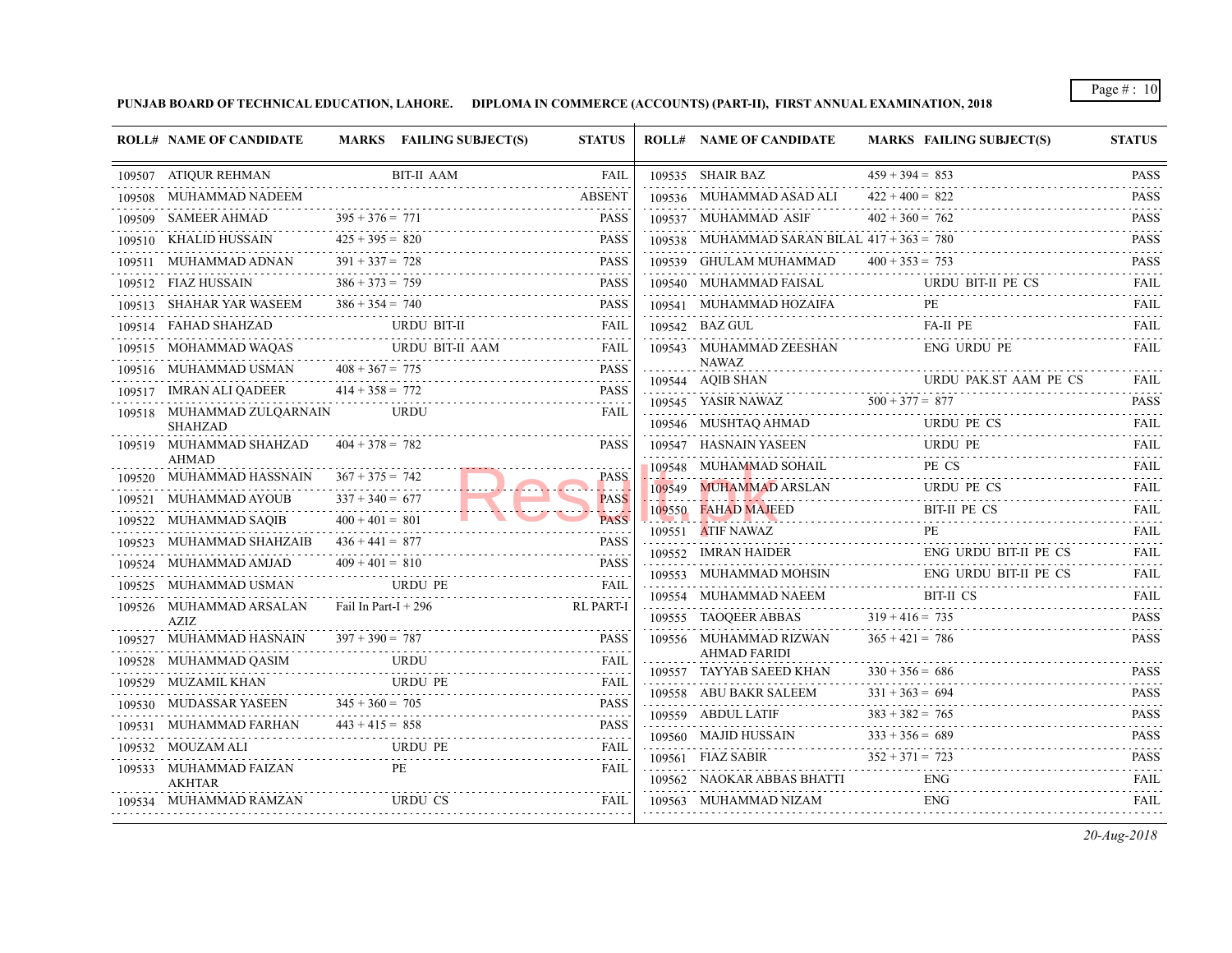|        | <b>ROLL# NAME OF CANDIDATE</b>                                                     |                       | MARKS FAILING SUBJECT(S)    | <b>STATUS</b>                                | <b>ROLL# NAME OF CANDIDATE</b>                                  | <b>MARKS FAIL</b>         |
|--------|------------------------------------------------------------------------------------|-----------------------|-----------------------------|----------------------------------------------|-----------------------------------------------------------------|---------------------------|
|        | 109507 ATIQUR REHMAN                                                               |                       | <b>BIT-II AAM</b>           | FAIL                                         | 109535 SHAIR BAZ                                                | $459 + 394 = 853$         |
|        | 109508 MUHAMMAD NADEEM                                                             |                       |                             | ABSENT                                       | 109536 MUHAMMAD ASAD ALI                                        | $422 + 400 = 822$         |
|        | 109509 SAMEER AHMAD                                                                | $395 + 376 = 771$     |                             | <b>PASS</b>                                  | 109537 MUHAMMAD ASIF                                            | $402 + 360 = 762$         |
|        | 109510 KHALID HUSSAIN                                                              | $425 + 395 = 820$     | $3$ SSAIN $425 + 395 = 820$ | <b>PASS</b>                                  | 109538 MUHAMMAD SARAN BILAL $417 + 363 = 780$                   |                           |
|        | 109511 MUHAMMAD ADNAN $391 + 337 = 728$                                            |                       |                             | <b>PASS</b>                                  | 109539 GHULAM MUHAMMAD                                          | $400 + 353 = 753$         |
|        | $386 + 373 = 759$<br>109512 FIAZ HUSSAIN                                           |                       |                             | <b>PASS</b><br>$\sqrt{386 + 373} = 759$ PASS | 109540 MUHAMMAD FAISAL                                          | <b>URD</b>                |
|        | 109513 SHAHAR YAR WASEEM $386 + 354 = 740$                                         |                       |                             | <b>PASS</b>                                  | 109541 MUHAMMAD HOZAIFA                                         | PE                        |
|        | 109514 FAHAD SHAHZAD                                                               |                       | URDU BIT-II                 | FAIL                                         | 109542 BAZ GUL                                                  | FA-II                     |
|        | 109515 MOHAMMAD WAQAS                                                              |                       | URDU BIT-II AAM             |                                              | 109543 MUHAMMAD ZEESHAN                                         | <b>ENG</b>                |
|        | 109516 MUHAMMAD USMAN                                                              | $408 + 367 = 775$     | N $408 + 367 = 775$ PASS    | <b>PASS</b>                                  | NAWAZ<br>109544 AQIB SHAN                                       | <b>URD</b>                |
|        | 109517 IMRAN ALI QADEER                                                            | $414 + 358 = 772$     |                             | $414 + 358 = 772$ PASS                       | 109545 YASIR NAWAZ $500 + 377 = 877$                            |                           |
|        | 109518 MUHAMMAD ZULQARNAIN<br><b>SHAHZAD</b>                                       |                       | <b>URDU</b>                 | FAIL                                         | 109546 MUSHTAQ AHMAD                                            | <b>URD</b>                |
|        | 109519 MUHAMMAD SHAHZAD<br><b>AHMAD</b>                                            | $404 + 378 = 782$     |                             | PASS                                         | 109547 HASNAIN YASEEN                                           | <b>URD</b>                |
| 109520 | MUHAMMAD HASSNAIN                                                                  | $367 + 375 = 742$     |                             | <b>PASS</b>                                  | 109548 MUHAMMAD SOHAIL P                                        | PE C                      |
|        | 109521 MUHAMMAD AYOUB                                                              | $337 + 340 = 677$     |                             | .<br><b>PASS</b>                             | 109549 MUHAMMAD ARSLAN UI                                       | <b>URD</b>                |
|        | 109522 MUHAMMAD SAQIB                                                              | $400 + 401 = 801$     |                             | .<br><b>PASS</b>                             | 109550 FAHAD MAJEED                                             | BIT-I                     |
|        | 109523 MUHAMMAD SHAHZAIB $436 + 441 = 877$                                         |                       |                             | <b>PASS</b>                                  | 109551 ATIF NAWAZ                                               | PE                        |
|        | 109524 MUHAMMAD AMJAD                                                              |                       |                             | $D$ 409 + 401 = 810 PASS                     | 109552 IMRAN HAIDER                                             | <b>ENG</b>                |
|        | 109525 MUHAMMAD USMAN                                                              |                       | URDU PE                     | FAIL                                         | 109553 MUHAMMAD MOHSIN                                          | ENG I                     |
|        | 109526 MUHAMMAD ARSALAN<br><b>AZIZ</b>                                             | Fail In Part-I $+296$ |                             | RL PART-I                                    | 109554 MUHAMMAD NAEEM<br>109555 TAOQEER ABBAS $319 + 416 = 735$ | BIT-I                     |
|        | 109527 MUHAMMAD HASNAIN                                                            | $397 + 390 = 787$     |                             | PASS                                         | 109556 MUHAMMAD RIZWAN                                          | $365 + 421 = 786$         |
| 109528 | MUHAMMAD QASIM                                                                     |                       | URDU                        | QASIM URDU FAIL                              | AHMAD FARIDI                                                    |                           |
|        | 109529 MUZAMIL KHAN                                                                |                       | <b>URDU PE</b>              | FAIL                                         | 109557 TAYYAB SAEED KHAN                                        | $330 + 356 = 686$         |
|        | 109530 MUDASSAR YASEEN $345 + 360 = 705$                                           |                       |                             | YASEEN $345 + 360 = 705$ PASS                | 109558 ABU BAKR SALEEM                                          | $331 + 363 = 694$         |
|        | 109531 MUHAMMAD FARHAN $443 + 415 = 858$<br>MUHAMMAD FARHAN $443 + 415 = 858$ PASS |                       |                             | PASS                                         | 109559 ABDUL LATIF                                              | $383 + 382 = 765$         |
|        | 109532 MOUZAM ALI                                                                  |                       | <b>URDU PE</b>              | FAIL                                         | 109560 MAJID HUSSAIN $333 + 356 = 689$                          |                           |
|        | 109533 MUHAMMAD FAIZAN                                                             |                       | PE                          | FAIL                                         | 109561 FIAZ SABIR<br>109562 NAOKAR ABBAS BHATTI                 | $352 + 371 = 723$<br>ENG. |
|        | <b>AKHTAR</b><br>109534 MUHAMMAD RAMZAN                                            | .                     | <b>URDU CS</b>              | FAIL                                         | 109563 MUHAMMAD NIZAM                                           | <b>ENG</b>                |
|        |                                                                                    |                       |                             |                                              |                                                                 |                           |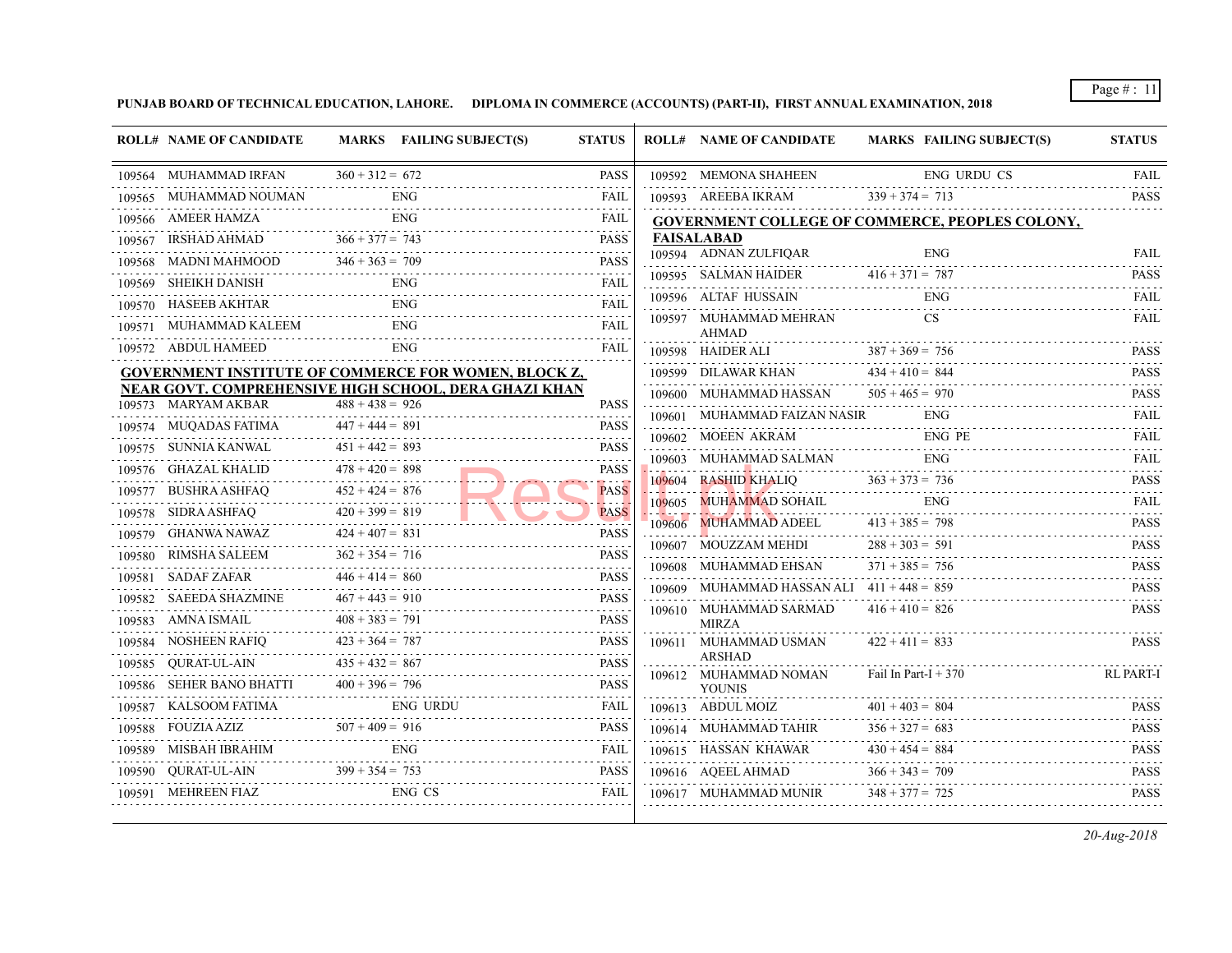|        | <b>ROLL# NAME OF CANDIDATE</b>         |                   | MARKS FAILING SUBJECT(S)                              | <b>STATUS</b>                | <b>ROLL# NAME OF CANDIDATE</b>                 | <b>MARKS FAIL</b>   |
|--------|----------------------------------------|-------------------|-------------------------------------------------------|------------------------------|------------------------------------------------|---------------------|
|        | 109564 MUHAMMAD IRFAN                  | $360 + 312 = 672$ |                                                       | <b>PASS</b>                  | 109592 MEMONA SHAHEEN<br>.                     | <b>ENG</b>          |
|        | 109565 MUHAMMAD NOUMAN<br>NOUMAN ENG   |                   | <b>ENG</b>                                            | FAIL                         | 109593 AREEBA IKRAM                            | $339 + 374 = 713$   |
|        | 109566 AMEER HAMZA                     |                   | ENG                                                   | FAIL<br>and a state          | <b>GOVERNMENT COLLEGE OF COMMERCE, I</b>       |                     |
|        | 109567 IRSHAD AHMAD $366 + 377 = 743$  |                   |                                                       | PASS                         | FAISALABAD                                     |                     |
|        | 109568 MADNI MAHMOOD $346 + 363 = 709$ |                   |                                                       | <b>PASS</b>                  | 109594 ADNAN ZULFIQAR                          | ENG.                |
|        | 109569 SHEIKH DANISH                   |                   |                                                       | FAIL                         | 109595 SALMAN HAIDER $416 + 371 = 787$         |                     |
|        | 109570 HASEEB AKHTAR                   |                   | R ENG FAIL                                            |                              | 109596 ALTAF HUSSAIN                           | <b>ENG</b>          |
|        |                                        |                   | ENG                                                   | FAIL<br>$\omega$ is a set of | 109597 MUHAMMAD MEHRAN<br>AHMAD                | CS.                 |
|        | 109572 ABDUL HAMEED                    |                   | <b>ENG</b>                                            | FAIL                         | 109598 HAIDER ALI                              | $387 + 369 = 756$   |
|        |                                        |                   | GOVERNMENT INSTITUTE OF COMMERCE FOR WOMEN, BLOCK Z,  |                              | 109599 DILAWAR KHAN $434 + 410 = 844$          |                     |
|        |                                        |                   | NEAR GOVT. COMPREHENSIVE HIGH SCHOOL, DERA GHAZI KHAN |                              | 109600 MUHAMMAD HASSAN $505 + 465 = 970$       |                     |
|        | 109573 MARYAM AKBAR                    | $488 + 438 = 926$ |                                                       | <b>PASS</b>                  | 109601 MUHAMMAD FAIZAN NASIR                   | ENG I               |
|        | 109574 MUQADAS FATIMA                  | $447 + 444 = 891$ |                                                       | <b>PASS</b>                  | 109602 MOEEN AKRAM                             | <b>ENG</b>          |
|        | 109575 SUNNIA KANWAL                   | $451 + 442 = 893$ | AL $451 + 442 = 893$ PASS                             | <b>PASS</b>                  | 109603 MUHAMMAD SALMAN                         | <b>ENG</b>          |
|        | 109576 GHAZAL KHALID                   | $478 + 420 = 898$ |                                                       | <b>PASS</b>                  | 109604 RASHID KHALIQ                           | $363 + 373 = 736$   |
|        | 109577 BUSHRA ASHFAQ $452 + 424 = 876$ |                   |                                                       | <b>PASS</b>                  | 109605 MUHAMMAD SOHAIL                         | <b>ENG</b>          |
|        | 109578 SIDRA ASHFAQ                    | $420 + 399 = 819$ |                                                       | <b>PASS</b>                  | 109606 MUHAMMAD ADEEL                          | $413 + 385 = 798$   |
|        | 109579 GHANWA NAWAZ $424 + 407 = 831$  |                   |                                                       | <b>PASS</b>                  | 109607 MOUZZAM MEHDI                           | $288 + 303 = 591$   |
|        | 109580 RIMSHA SALEEM $362 + 354 = 716$ |                   |                                                       | PASS                         | 109608 MUHAMMAD EHSAN                          | $371 + 385 = 756$   |
|        | 109581 SADAF ZAFAR                     |                   | 109581 SADAF ZAFAR $446 + 414 = 860$ PASS             |                              | $109609$ MUHAMMAD HASSAN ALI $411 + 448 = 859$ |                     |
|        |                                        |                   | 109582 SAEEDA SHAZMINE $467 + 443 = 910$              | <b>PASS</b>                  | 109610 MUHAMMAD SARMAD                         | $416 + 410 = 826$   |
|        | 109583 AMNA ISMAIL $408 + 383 = 791$   |                   |                                                       | <b>PASS</b>                  | <b>MIRZA</b>                                   |                     |
|        | 109584 NOSHEEN RAFIQ $423 + 364 = 787$ |                   |                                                       | <b>PASS</b>                  | 109611 MUHAMMAD USMAN                          | $422 + 411 = 833$   |
|        | 109585 QURAT-UL-AIN                    | $435 + 432 = 867$ |                                                       | <b>PASS</b>                  | ARSHAD                                         | Fail In Part-I $+3$ |
| 109586 | SEHER BANO BHATTI $400 + 396 = 796$    |                   |                                                       | <b>PASS</b>                  | 109612 MUHAMMAD NOMAN<br><b>YOUNIS</b>         |                     |
|        |                                        |                   | 109587 KALSOOM FATIMA ENG URDU FAIL                   | <b>FAIL</b>                  | 109613 ABDUL MOIZ                              | $401 + 403 = 804$   |
|        | 109588 FOUZIA AZIZ                     |                   | $Z$ $507 + 409 = 916$                                 | <b>PASS</b>                  | 109614 MUHAMMAD TAHIR                          | $356 + 327 = 683$   |
|        |                                        |                   |                                                       | FAIL                         | 109615 HASSAN KHAWAR                           | $430 + 454 = 884$   |
|        | 109590 OURAT-UL-AIN                    |                   | $IN$ $399 + 354 = 753$ PASS                           |                              | 109616 AQEEL AHMAD                             | $366 + 343 = 709$   |
|        | 109591 MEHREEN FIAZ                    |                   | ENG CS                                                | FAIL                         | 109617 MUHAMMAD MUNIR                          | $348 + 377 = 725$   |
|        |                                        |                   |                                                       |                              |                                                |                     |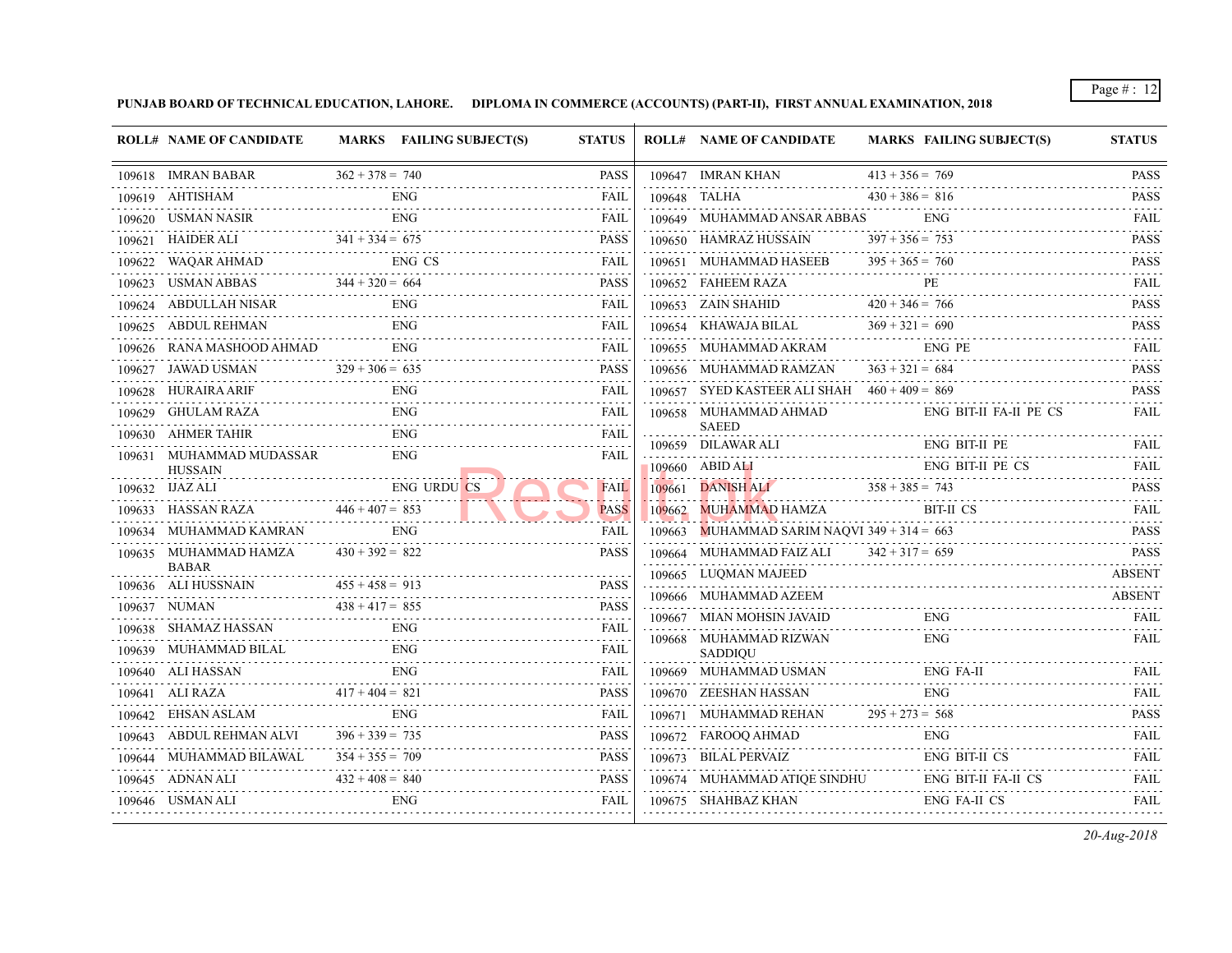| <b>ROLL# NAME OF CANDIDATE</b>                      |                   | MARKS FAILING SUBJECT(S) | <b>STATUS</b>    | <b>ROLL# NAME OF CANDIDATE</b>                 | <b>MARKS FAIL</b>        |
|-----------------------------------------------------|-------------------|--------------------------|------------------|------------------------------------------------|--------------------------|
| 109618 IMRAN BABAR                                  | $362 + 378 = 740$ |                          | <b>PASS</b>      | 109647 IMRAN KHAN                              | $413 + 356 = 769$        |
| 109619 AHTISHAM<br>M ENG<br>.                       |                   |                          | <b>FAIL</b>      | 109648 TALHA                                   | $430 + 386 = 816$        |
| 109620 USMAN NASIR                                  |                   |                          | FAIL             | 109649 MUHAMMAD ANSAR ABBAS                    | <b>ENG</b>               |
| 109621 HAIDER ALI $341 + 334 = 675$                 |                   |                          | <b>PASS</b>      | 109650 HAMRAZ HUSSAIN                          | $397 + 356 = 753$        |
| 109622 WAQAR AHMAD                                  |                   | ENG CS                   | <b>FAIL</b>      | 109651 MUHAMMAD HASEEB $395 + 365 = 760$       |                          |
| 109623 USMAN ABBAS                                  | $344 + 320 = 664$ |                          | <b>PASS</b>      | 109652 FAHEEM RAZA                             | PE                       |
| 109624 ABDULLAH NISAR                               |                   | <b>ENG</b>               | FAIL             | 109653 ZAIN SHAHID $420 + 346 = 766$           |                          |
| 109625 ABDUL REHMAN                                 |                   |                          | FAIL             | 109654 KHAWAJA BILAL $369 + 321 = 690$         |                          |
| 109626 RANA MASHOOD AHMAD                           |                   | ENG                      | FAIL             | 109655 MUHAMMAD AKRAM                          | <b>ENG</b>               |
| $109627$ JAWAD USMAN $329 + 306 = 635$              |                   |                          | <b>PASS</b>      | 109656 MUHAMMAD RAMZAN                         | $363 + 321 = 684$        |
| 109628 HURAIRA ARIF                                 |                   |                          | FAIL             | 109657 SYED KASTEER ALI SHAH $460 + 409 = 869$ |                          |
| 109629 GHULAM RAZA                                  |                   | <b>ENG</b>               | FAIL             | 109658 MUHAMMAD AHMAD                          | <b>ENG</b>               |
| 109630 AHMER TAHIR                                  |                   | ENG-                     | <b>FAIL</b>      | <b>SAEED</b>                                   |                          |
| 109631 MUHAMMAD MUDASSAR<br><b>HUSSAIN</b>          |                   | <b>ENG</b>               | .<br><b>FAIL</b> | 109659 DILAWAR ALI<br>$109660$ ABID ALI        | <b>ENG</b><br><b>ENG</b> |
| 109632 IJAZ ALI                                     |                   | ENG URDU CS              | <b>FAIL</b>      | 109661 DANISH ALI                              | $358 + 385 = 743$        |
| 109633 HASSAN RAZA $446 + 407 = 853$                |                   |                          | <b>PASS</b>      | 109662 MUHAMMAD HAMZA                          | BIT-I                    |
| 109634 MUHAMMAD KAMRAN                              |                   | ENG                      | FAIL             | 109663 MUHAMMAD SARIM NAQVI 349 + 314 = 663    |                          |
| 109635 MUHAMMAD HAMZA $430 + 392 = 822$             | .                 |                          | <b>PASS</b>      | 109664 MUHAMMAD FAIZ ALI $342 + 317 = 659$     |                          |
| <b>BABAR</b>                                        |                   |                          |                  | 109665 LUOMAN MAJEED                           |                          |
| $455 + 458 = 913$<br>109636 ALI HUSSNAIN            |                   |                          | <b>PASS</b>      | 109666 MUHAMMAD AZEEM                          |                          |
| 109637 NUMAN $438 + 417 = 855$ PASS<br>109637 NUMAN |                   |                          | <b>PASS</b>      | 109667 MIAN MOHSIN JAVAID                      | ENG                      |
|                                                     |                   |                          | FAIL             | 109668 MUHAMMAD RIZWAN                         | <b>ENG</b>               |
|                                                     |                   |                          | FAIL             | SADDIQU                                        |                          |
| 109640 ALI HASSAN ENG FAIL                          |                   | ENG                      |                  | 109669 MUHAMMAD USMAN                          | ENG.                     |
| 9641 ALI RAZA $417 + 404 = 821$<br>109641 ALI RAZA  |                   |                          | <b>PASS</b>      | 109670 ZEESHAN HASSAN                          | <b>ENG</b>               |
| 109642 EHSAN ASLAM                                  |                   | <b>ENG</b>               | FAIL             | 109671 MUHAMMAD REHAN                          | $295 + 273 = 568$        |
| 109643 ABDUL REHMAN ALVI                            | $396 + 339 = 735$ |                          | <b>PASS</b>      | 109672 FAROOO AHMAD                            | <b>ENG</b>               |
| 109644 MUHAMMAD BILAWAL                             | $354 + 355 = 709$ |                          | <b>PASS</b>      | 109673 BILAL PERVAIZ                           | <b>ENG</b>               |
| 109645 ADNAN ALI                                    | $432 + 408 = 840$ | \LI 432 + 408 = 840      | <b>PASS</b>      | 109674 MUHAMMAD ATIQE SINDHU                   | <b>ENG</b>               |
| 109646 USMAN ALI                                    |                   | ENG                      | FAIL             | 109675 SHAHBAZ KHAN                            | <b>ENG</b>               |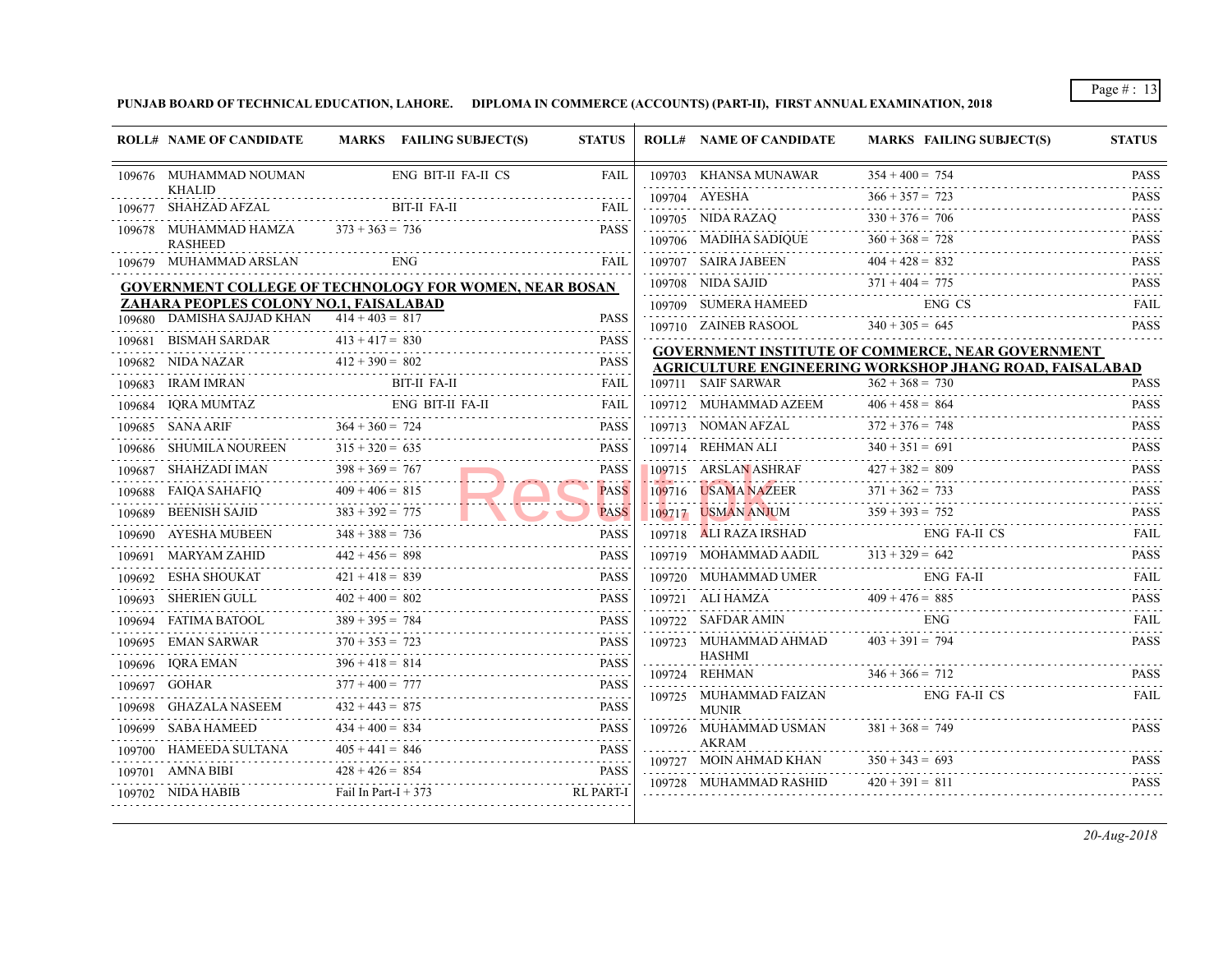|        | <b>ROLL# NAME OF CANDIDATE</b>          | <b>FAILING SUBJECT(S)</b><br><b>MARKS</b>                     | <b>STATUS</b>                |        | <b>ROLL# NAME OF CANDIDATE</b>           | <b>MARKS FAIL</b>      |
|--------|-----------------------------------------|---------------------------------------------------------------|------------------------------|--------|------------------------------------------|------------------------|
|        | 109676 MUHAMMAD NOUMAN                  | ENG BIT-II FA-II CS                                           | FAIL                         |        | 109703 KHANSA MUNAWAR                    | $354 + 400 = 754$      |
|        | <b>KHALID</b><br>109677 SHAHZAD AFZAL   | BIT-II FA-II                                                  | FAIL                         |        | 109704 AYESHA                            | $366 + 357 = 723$      |
|        |                                         | $373 + 363 = 736$                                             | الداعات عامات<br><b>PASS</b> |        | 109705 NIDA RAZAO                        | $330 + 376 = 706$      |
|        | 109678 MUHAMMAD HAMZA<br><b>RASHEED</b> |                                                               |                              |        | 109706 MADIHA SADIQUE                    | $360 + 368 = 728$      |
|        | 109679 MUHAMMAD ARSLAN                  | ENG.                                                          | FAIL                         |        | 109707 SAIRA JABEEN                      | $404 + 428 = 832$      |
|        |                                         | <b>GOVERNMENT COLLEGE OF TECHNOLOGY FOR WOMEN, NEAR BOSAN</b> |                              |        | $109708$ NIDA SAJID                      | $371 + 404 = 775$      |
|        | ZAHARA PEOPLES COLONY NO.1. FAISALABAD  |                                                               |                              |        | 109709 SUMERA HAMEED                     | <b>ENG</b>             |
|        | 109680 DAMISHA SAJJAD KHAN              | $414 + 403 = 817$                                             | <b>PASS</b>                  |        | 109710 ZAINEB RASOOL                     | $340 + 305 = 645$      |
|        | 109681 BISMAH SARDAR                    | $413 + 417 = 830$                                             | <b>PASS</b>                  |        | <b>GOVERNMENT INSTITUTE OF COMMERCE,</b> |                        |
|        | 109682 NIDA NAZAR                       | $412 + 390 = 802$                                             | <b>PASS</b>                  |        | <b>AGRICULTURE ENGINEERING WORKSHOP</b>  |                        |
|        | 109683 IRAM IMRAN                       | BIT-II FA-II                                                  | FAIL                         |        | 109711 SAIF SARWAR                       | $362 + 368 = 730$      |
| 109684 | IQRA MUMTAZ                             | ENG BIT-II FA-II                                              | FAIL                         |        | 109712 MUHAMMAD AZEEM                    | $406 + 458 = 864$      |
|        | 109685 SANA ARIF                        | $364 + 360 = 724$                                             | <b>PASS</b>                  |        | 109713 NOMAN AFZAL                       | $372 + 376 = 748$      |
|        | 109686 SHUMILA NOUREEN                  | $315 + 320 = 635$<br>.                                        | <b>PASS</b>                  |        | 109714 REHMAN ALI                        | $340 + 351 = 691$<br>. |
|        | 109687 SHAHZADI IMAN                    | $398 + 369 = 767$                                             | <b>PASS</b>                  |        | 109715 ARSLAN ASHRAF                     | $427 + 382 = 809$      |
|        | 109688 FAIQA SAHAFIQ                    | $409 + 406 = 815$                                             | <b>PASS</b>                  |        | 109716 USAMA NAZEER                      | $371 + 362 = 733$      |
|        | 109689 BEENISH SAJID                    | $383 + 392 = 775$                                             | <b>PASS</b>                  | 109717 | USMAN ANJUM                              | $359 + 393 = 752$      |
|        | 109690 AYESHA MUBEEN                    | $348 + 388 = 736$<br>.                                        | <b>PASS</b>                  |        | 109718 ALI RAZA IRSHAD                   | <b>ENG</b>             |
|        | 109691 MARYAM ZAHID                     | $442 + 456 = 898$                                             | <b>PASS</b>                  |        | 109719 MOHAMMAD AADIL                    | $313 + 329 = 642$      |
|        | 109692 ESHA SHOUKAT                     | $421 + 418 = 839$                                             | <b>PASS</b>                  |        | 109720 MUHAMMAD UMER                     | <b>ENG</b>             |
|        | 109693 SHERIEN GULL                     | $402 + 400 = 802$                                             | <b>PASS</b><br>.             |        | 109721 ALI HAMZA                         | $409 + 476 = 885$      |
|        | 109694 FATIMA BATOOL                    | $389 + 395 = 784$                                             | <b>PASS</b>                  |        | 109722 SAFDAR AMIN                       | <b>ENG</b>             |
|        | 109695 EMAN SARWAR                      | $370 + 353 = 723$                                             | <b>PASS</b><br>.             |        | 109723 MUHAMMAD AHMAD                    | $403 + 391 = 794$      |
|        | 109696 IQRA EMAN                        | $396 + 418 = 814$                                             | <b>PASS</b>                  |        | <b>HASHMI</b><br>109724 REHMAN           | $346 + 366 = 712$      |
|        | 109697 GOHAR                            | $377 + 400 = 777$                                             | <b>PASS</b>                  |        | 109725 MUHAMMAD FAIZAN                   |                        |
|        | 109698 GHAZALA NASEEM                   | $432 + 443 = 875$                                             | المتحديث<br>PASS             |        | <b>MUNIR</b>                             | <b>ENG</b>             |
|        | 109699 SABA HAMEED                      | $434 + 400 = 834$                                             | <b>PASS</b>                  |        | 109726 MUHAMMAD USMAN                    | $381 + 368 = 749$      |
|        | 109700 HAMEEDA SULTANA                  | $405 + 441 = 846$                                             | <b>PASS</b>                  |        | <b>AKRAM</b>                             |                        |
|        | 109701 AMNA BIBI                        | $428 + 426 = 854$                                             | <b>PASS</b>                  |        | 109727 MOIN AHMAD KHAN                   | $350 + 343 = 693$      |
|        | 109702 NIDA HABIB                       | Fail In Part-I $+373$                                         | RL PART-I                    |        | 109728 MUHAMMAD RASHID                   | $420 + 391 = 81$       |
|        |                                         |                                                               |                              |        |                                          |                        |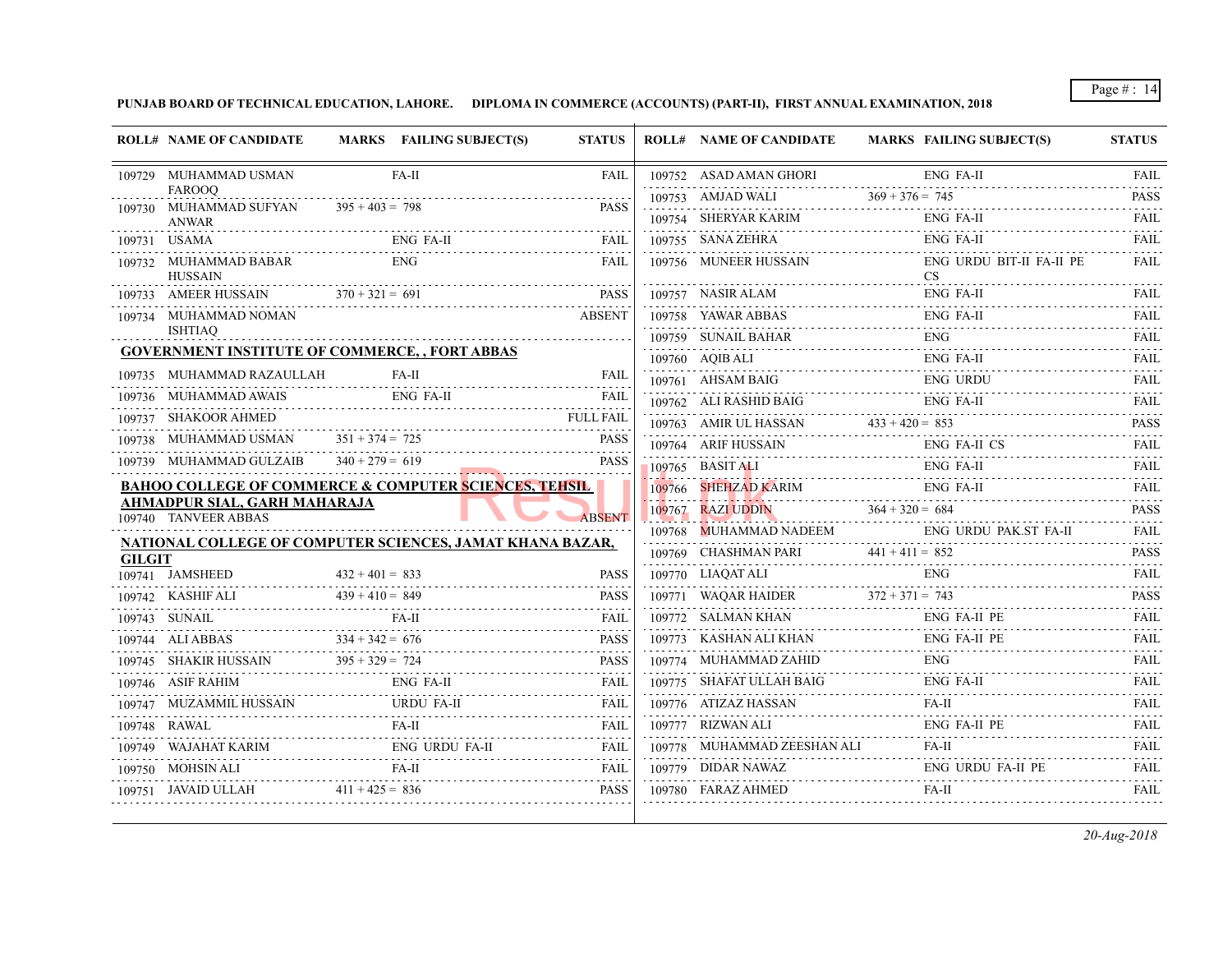|               | <b>ROLL# NAME OF CANDIDATE</b>                                                                                                                                                                                                                                                                                                                                                                                                                           |                   | MARKS FAILING SUBJECT(S)                    | <b>STATUS</b>    | <b>ROLL# NAME OF CANDIDATE</b>                 | <b>MARKS FAIL</b>      |
|---------------|----------------------------------------------------------------------------------------------------------------------------------------------------------------------------------------------------------------------------------------------------------------------------------------------------------------------------------------------------------------------------------------------------------------------------------------------------------|-------------------|---------------------------------------------|------------------|------------------------------------------------|------------------------|
|               | 109729 MUHAMMAD USMAN                                                                                                                                                                                                                                                                                                                                                                                                                                    |                   | $FA-II$                                     | <b>FAIL</b>      | 109752 ASAD AMAN GHORI                         | <b>ENG</b>             |
|               | <b>FAROOO</b><br>109730 MUHAMMAD SUFYAN                                                                                                                                                                                                                                                                                                                                                                                                                  | $395 + 403 = 798$ |                                             | <b>PASS</b>      | 109753 AMJAD WALI $369 + 376 = 745$            |                        |
|               | ANWAR                                                                                                                                                                                                                                                                                                                                                                                                                                                    |                   |                                             |                  | 109754 SHERYAR KARIM ENG                       | <b>ENG</b>             |
|               | 109731 USAMA                                                                                                                                                                                                                                                                                                                                                                                                                                             |                   | ENG FA-II<br>ENG FA-II FAIL FAIL            |                  | 109755 SANA ZEHRA                              | <b>ENG</b>             |
|               | 109732 MUHAMMAD BABAR ENG<br>HUSSAIN                                                                                                                                                                                                                                                                                                                                                                                                                     |                   |                                             | FAIL             | 109756 MUNEER HUSSAIN                          | <b>ENG</b><br>CS       |
|               | 109733 AMEER HUSSAIN $370 + 321 = 691$                                                                                                                                                                                                                                                                                                                                                                                                                   |                   |                                             | <b>PASS</b>      | 109757 NASIR ALAM ENG                          | <b>ENG</b>             |
|               | 109734 MUHAMMAD NOMAN                                                                                                                                                                                                                                                                                                                                                                                                                                    |                   |                                             | <b>ABSENT</b>    | 109758 YAWAR ABBAS EN                          | <b>ENG</b>             |
|               | <b>ISHTIAQ</b>                                                                                                                                                                                                                                                                                                                                                                                                                                           |                   |                                             |                  | 109759 SUNAIL BAHAR ENC                        | <b>ENG</b>             |
|               | <b>GOVERNMENT INSTITUTE OF COMMERCE,, FORT ABBAS</b>                                                                                                                                                                                                                                                                                                                                                                                                     |                   |                                             |                  | 109760 AQIB ALI                                | <b>ENG</b>             |
|               | 109735 MUHAMMAD RAZAULLAH                                                                                                                                                                                                                                                                                                                                                                                                                                |                   | FA-II                                       | <b>FAIL</b>      | 109761 AHSAM BAIG                              | $IG$ ENG<br><b>ENG</b> |
|               |                                                                                                                                                                                                                                                                                                                                                                                                                                                          |                   |                                             | FAII.            | 109762 ALI RASHID BAIG                         | <b>ENG</b>             |
|               | 109737 SHAKOOR AHMED                                                                                                                                                                                                                                                                                                                                                                                                                                     |                   |                                             | <b>FULL FAIL</b> | 109763 AMIR UL HASSAN $433 + 420 = 853$        |                        |
|               | 109738 MUHAMMAD USMAN $351 + 374 = 725$                                                                                                                                                                                                                                                                                                                                                                                                                  |                   |                                             | <b>PASS</b>      | 109764 ARIF HUSSAIN<br>109764 ARIF HUSSAIN ENC | <b>ENG</b>             |
|               | 109739 MUHAMMAD GULZAIB $340 + 279 = 619$                                                                                                                                                                                                                                                                                                                                                                                                                |                   | GULZAIB $340 + 279 = 619$                   | <b>PASS</b>      | 109765 BASIT ALI                               | <b>ENG</b>             |
|               | <b>BAHOO COLLEGE OF COMMERCE &amp; COMPUTER SCIENCES, TEHSIL</b>                                                                                                                                                                                                                                                                                                                                                                                         |                   |                                             |                  | 109766 SHEHZAD KARIM E                         | <b>ENG</b>             |
|               | AHMADPUR SIAL, GARH MAHARAJA<br>109740 TANVEER ABBAS                                                                                                                                                                                                                                                                                                                                                                                                     |                   |                                             | <b>ABSENT</b>    | $109767$ RAZI UDDIN $364 + 320 = 684$          |                        |
|               | NATIONAL COLLEGE OF COMPUTER SCIENCES, JAMAT KHANA BAZAR,                                                                                                                                                                                                                                                                                                                                                                                                |                   |                                             |                  | 109768 MUHAMMAD NADEEM                         | <b>ENG</b>             |
| <b>GILGIT</b> |                                                                                                                                                                                                                                                                                                                                                                                                                                                          |                   |                                             |                  | 109769 CHASHMAN PARI $441 + 411 = 852$         |                        |
|               | D $432 + 401 = 833$<br>109741 JAMSHEED                                                                                                                                                                                                                                                                                                                                                                                                                   |                   |                                             | <b>PASS</b>      | 109770 LIAQAT ALI E                            | ENG I                  |
|               | 109742 KASHIF ALI $439 + 410 = 849$ PASS                                                                                                                                                                                                                                                                                                                                                                                                                 |                   |                                             |                  | 109771 WAQAR HAIDER $372 + 371 = 743$          |                        |
|               | 109743 SUNAIL FA-II FAIL FAIL FAIL                                                                                                                                                                                                                                                                                                                                                                                                                       |                   |                                             | FAIL             | 109772 SALMAN KHAN EN                          | <b>ENG</b>             |
|               | 109744 ALIABBAS $334 + 342 = 676$ PASS                                                                                                                                                                                                                                                                                                                                                                                                                   |                   |                                             |                  |                                                | <b>ENG</b>             |
|               | 109745 SHAKIR HUSSAIN $395 + 329 = 724$ PASS                                                                                                                                                                                                                                                                                                                                                                                                             |                   |                                             |                  | 109774 MUHAMMAD ZAHID ENG                      | <b>ENG</b>             |
|               | $\begin{tabular}{lllllllll} \bf 109746 & ASIF RAHIM & \bf \multicolumn{3}{l} {ENG FA-II} & \bf \multicolumn{3}{l} {FAIL} & \bf \multicolumn{3}{l} {FAIL} & \bf \multicolumn{3}{l} {FAIL} & \bf \multicolumn{3}{l} {FAIL} & \bf \multicolumn{3}{l} {FAIL} & \bf \multicolumn{3}{l} {FAIL} & \bf \multicolumn{3}{l} {FAIL} & \bf \multicolumn{3}{l} {FAIL} & \bf \multicolumn{3}{l} {FAIL} & \bf \multicolumn{3}{l} {FAIL} & \bf \multicolumn{3}{l} {FAIL$ |                   |                                             |                  | 109775 SHAFAT ULLAH BAIG EN                    | <b>ENG</b>             |
|               | 109747 MUZAMMIL HUSSAIN URDU FA-II                                                                                                                                                                                                                                                                                                                                                                                                                       |                   |                                             | FAIL             | $109776 \quad ATIZAZ HASSAN$                   | $FA-II$                |
|               | 109748 RAWAL                                                                                                                                                                                                                                                                                                                                                                                                                                             |                   | $FA-II$<br>. FA-II FAIL FAIL FAIL FAIL FAIL |                  | 109777 RIZWAN ALI                              | <b>ENG</b>             |
|               | 109749 WAJAHAT KARIM ENG URDU FA-II FAIL FAIL                                                                                                                                                                                                                                                                                                                                                                                                            |                   |                                             | FAIL             | 109778 MUHAMMAD ZEESHAN ALI                    | FA-II                  |
|               | 109750 MOHSIN ALI FA-II                                                                                                                                                                                                                                                                                                                                                                                                                                  |                   |                                             | FAIL             | 109779 DIDAR NAWAZ                             | <b>ENG</b>             |
|               | 109751 JAVAID ULLAH $411 + 425 = 836$ PASS                                                                                                                                                                                                                                                                                                                                                                                                               |                   |                                             | <b>PASS</b>      | 109780 FARAZ AHMED FA-II                       |                        |
|               |                                                                                                                                                                                                                                                                                                                                                                                                                                                          |                   |                                             |                  |                                                |                        |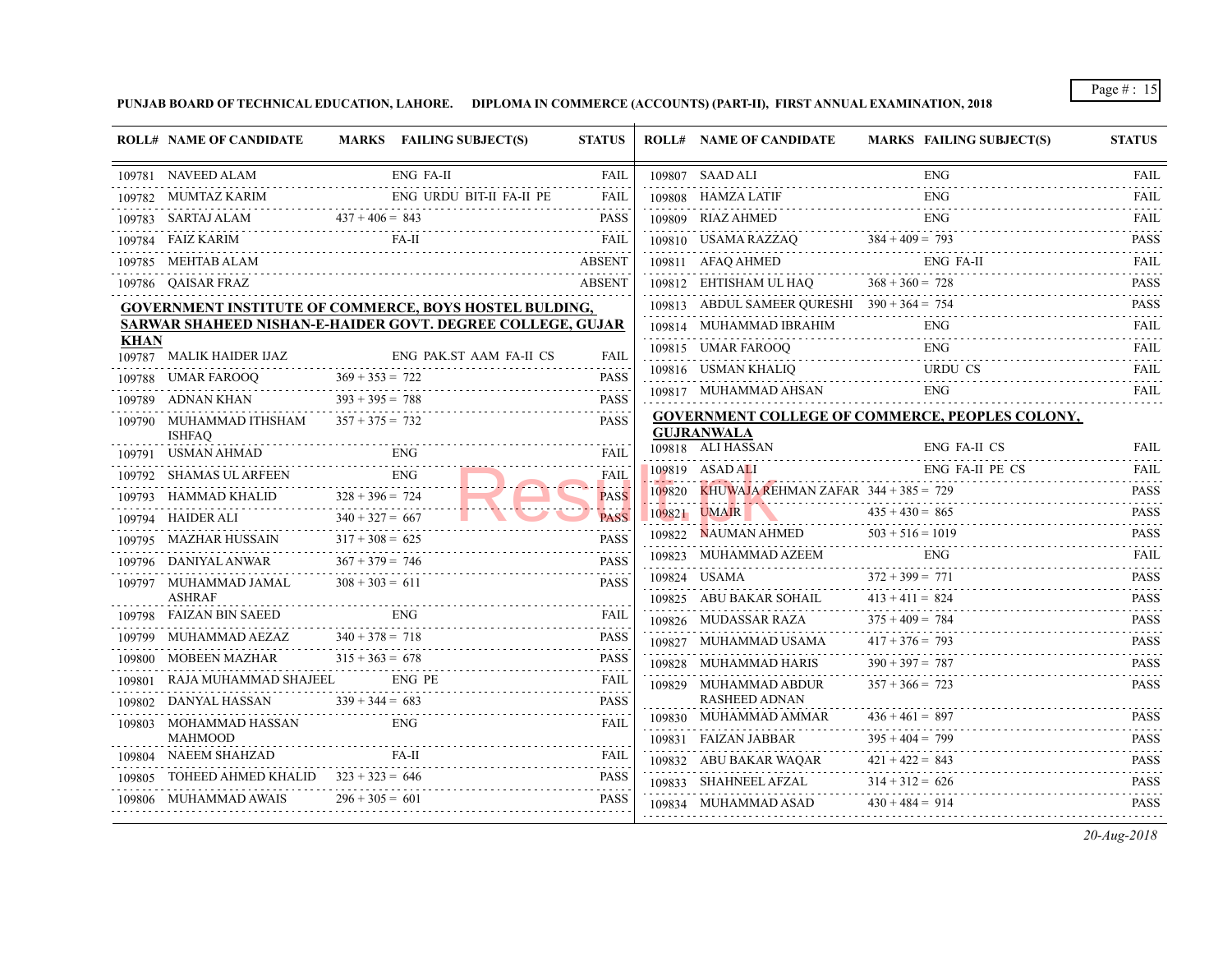|             | <b>ROLL# NAME OF CANDIDATE</b>                                                                                                                                                                  | MARKS FAILING SUBJECT(S) |                                | <b>STATUS</b>    | <b>ROLL# NAME OF CANDIDATE</b>                                                                                                                                                                                                                       | <b>MARKS FAIL</b> |
|-------------|-------------------------------------------------------------------------------------------------------------------------------------------------------------------------------------------------|--------------------------|--------------------------------|------------------|------------------------------------------------------------------------------------------------------------------------------------------------------------------------------------------------------------------------------------------------------|-------------------|
|             | 109781 NAVEED ALAM                                                                                                                                                                              | ENG FA-II                |                                | FAIL             | 109807 SAAD ALI                                                                                                                                                                                                                                      | <b>ENG</b>        |
|             | 109782 MUMTAZ KARIM ENG URDU BIT-II FA-II PE FAIL                                                                                                                                               |                          | ENG URDU BIT-II FA-II PE       | FAIL             | 109808 HAMZA LATIF                                                                                                                                                                                                                                   | <b>ENG</b>        |
|             | 109783 SARTAJ ALAM $437 + 406 = 843$ PASS                                                                                                                                                       |                          |                                | PASS             | e de la componentación de la componentación de la componentación de la componentación de la componentación de<br>En la componentación de la componentación de la componentación de la componentación de la componentación de la<br>109809 RIAZ AHMED | <b>ENG</b>        |
|             | 109784 FAIZ KARIM                                                                                                                                                                               | IM FA-II FAIL            |                                |                  | 109810 USAMA RAZZAQ 384 + 409 = 793                                                                                                                                                                                                                  |                   |
|             | 109785 MEHTAB ALAM                                                                                                                                                                              |                          |                                |                  | 109811 AFAQ AHMED                                                                                                                                                                                                                                    | <b>ENG</b>        |
|             | 109786 QAISAR FRAZ                                                                                                                                                                              |                          |                                | <b>ABSENT</b>    | 109812 EHTISHAM UL HAQ $368 + 360 = 728$                                                                                                                                                                                                             |                   |
|             | GOVERNMENT INSTITUTE OF COMMERCE, BOYS HOSTEL BULDING,                                                                                                                                          |                          |                                |                  | 109813 ABDUL SAMEER QURESHI 390 + 364 = 754                                                                                                                                                                                                          |                   |
|             | SARWAR SHAHEED NISHAN-E-HAIDER GOVT. DEGREE COLLEGE, GUJAR                                                                                                                                      |                          |                                |                  | 109814 MUHAMMAD IBRAHIM EN                                                                                                                                                                                                                           | ENG I             |
| <b>KHAN</b> | 109787 MALIK HAIDER IJAZ                                                                                                                                                                        |                          | ENG PAK.ST AAM FA-II CS        | <b>FAIL</b>      | 109815 UMAR FAROOQ                                                                                                                                                                                                                                   | ENG               |
|             |                                                                                                                                                                                                 |                          |                                |                  | 109816 USMAN KHALIQ URI                                                                                                                                                                                                                              | URDI              |
|             | 109788 UMAR FAROOQ $369 + 353 = 722$ PASS<br>109789 ADNAN KHAN $393 + 395 = 788$                                                                                                                |                          |                                | <b>PASS</b>      | 109817 MUHAMMAD AHSAN                                                                                                                                                                                                                                | <b>ENG</b>        |
|             | 109790 MUHAMMAD ITHSHAM $357 + 375 = 732$                                                                                                                                                       |                          |                                | <b>PASS</b>      | <b>GOVERNMENT COLLEGE OF COMMERCE, I</b>                                                                                                                                                                                                             |                   |
|             | <b>ISHFAO</b>                                                                                                                                                                                   |                          |                                |                  | <b>GUJRANWALA</b>                                                                                                                                                                                                                                    |                   |
|             | 109791 USMAN AHMAD                                                                                                                                                                              | ENG                      |                                | <b>FAIL</b>      | 109818 ALI HASSAN                                                                                                                                                                                                                                    | <b>ENG</b>        |
|             | 109792 SHAMAS UL ARFEEN                                                                                                                                                                         | ENG                      |                                | FAIL             | 109819 ASAD ALI                                                                                                                                                                                                                                      | <b>ENG</b>        |
|             | 109793 HAMMAD KHALID $328 + 396 = 724$                                                                                                                                                          |                          |                                | <b>PASS</b><br>. | $109820$ KHUWAJA REHMAN ZAFAR $344 + 385 = 729$                                                                                                                                                                                                      |                   |
|             | 109794 HAIDER ALI $340 + 327 = 667$                                                                                                                                                             |                          |                                | <b>PASS</b>      | $109821$ UMAIR 435 + 430 = 865                                                                                                                                                                                                                       |                   |
|             | 109795 MAZHAR HUSSAIN $317 + 308 = 625$ PASS                                                                                                                                                    |                          |                                |                  | 109822 NAUMAN AHMED $503 + 516 = 101$                                                                                                                                                                                                                |                   |
|             | 109796 DANIYAL ANWAR $367 + 379 = 746$ PASS                                                                                                                                                     |                          |                                |                  | 109823 MUHAMMAD AZEEM                                                                                                                                                                                                                                | ENG               |
|             | 109797 MUHAMMAD JAMAL $308 + 303 = 611$                                                                                                                                                         |                          |                                | <b>PASS</b>      | 109824 USAMA $372 + 399 = 771$                                                                                                                                                                                                                       |                   |
|             | <b>ASHRAF</b>                                                                                                                                                                                   |                          |                                |                  | 109825 ABU BAKAR SOHAIL $413 + 411 = 824$                                                                                                                                                                                                            |                   |
|             | $\begin{tabular}{c} 109798 \quad FAILAN BIN SAEED \qquad \qquad ENG \qquad \qquad FAIL \\ 109799 \quad MUHAMMAD AEZAZ \qquad \qquad 340 + 378 = 718 \qquad \qquad \qquad PASS \\ \end{tabular}$ |                          |                                | FAIL             | 109826 MUDASSAR RAZA $375 + 409 = 784$                                                                                                                                                                                                               |                   |
|             |                                                                                                                                                                                                 | $340 + 378 = 718$ PASS   |                                | PASS             | 109827 MUHAMMAD USAMA $417 + 376 = 793$                                                                                                                                                                                                              |                   |
|             | 109800 MOBEEN MAZHAR $315 + 363 = 678$                                                                                                                                                          |                          |                                | PASS             | 109828 MUHAMMAD HARIS                                                                                                                                                                                                                                | $390 + 397 = 787$ |
| 109801      | RAJA MUHAMMAD SHAJEEL ENG PE                                                                                                                                                                    |                          |                                |                  | 109829 MUHAMMAD ABDUR                                                                                                                                                                                                                                | $357 + 366 = 723$ |
| 109802      | DANYAL HASSAN $339 + 344 = 683$                                                                                                                                                                 |                          |                                | <b>PASS</b>      | RASHEED ADNAN<br>109830 MUHAMMAD AMMAR                                                                                                                                                                                                               | $436 + 461 = 897$ |
| 109803      | MOHAMMAD HASSAN<br>MAHMOOD                                                                                                                                                                      | <b>ENG</b>               |                                | FAIL             | 109831 FAIZAN JABBAR                                                                                                                                                                                                                                 | $395 + 404 = 799$ |
|             | 109804 NAEEM SHAHZAD                                                                                                                                                                            |                          | FA-II    FA-II    FAIL    FAIL |                  | 109832 ABU BAKAR WAQAR                                                                                                                                                                                                                               | $421 + 422 = 843$ |
| 109805      | TOHEED AHMED KHALID $323 + 323 = 646$<br>DHEED AHMED KHALID 323 + 323 = 646 PASS                                                                                                                |                          |                                | PASS             | 109833 SHAHNEEL AFZAL $314 + 312 = 626$                                                                                                                                                                                                              |                   |
|             | 109806 MUHAMMAD AWAIS $296 + 305 = 601$                                                                                                                                                         |                          |                                | <b>PASS</b>      | 109834 MUHAMMAD ASAD                                                                                                                                                                                                                                 | $430 + 484 = 914$ |
|             |                                                                                                                                                                                                 |                          |                                |                  |                                                                                                                                                                                                                                                      |                   |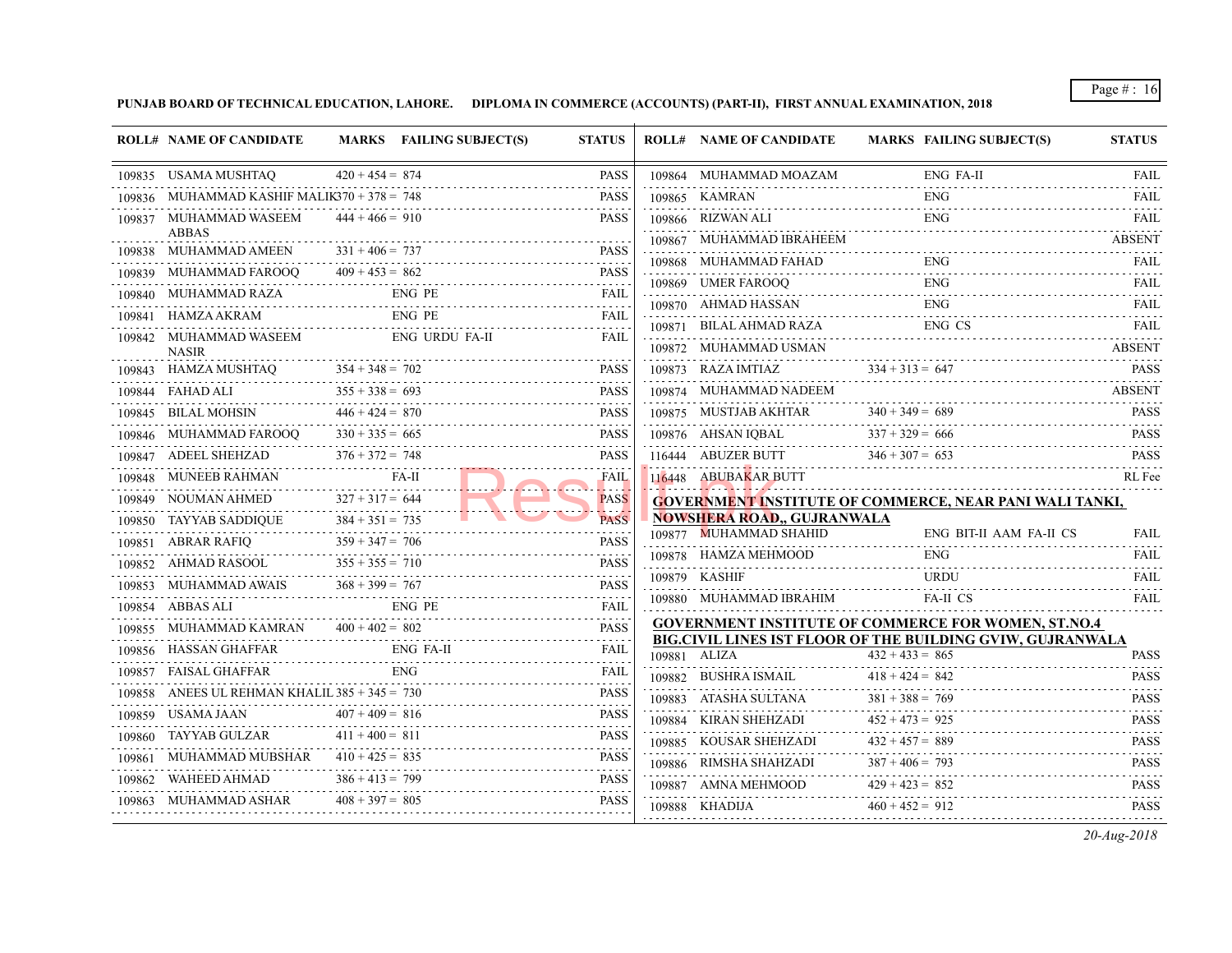|        | <b>ROLL# NAME OF CANDIDATE</b>                |                   | MARKS FAILING SUBJECT(S)                  | <b>STATUS</b> |        | <b>ROLL# NAME OF CANDIDATE</b>                                | <b>MARKS FAIL</b> |
|--------|-----------------------------------------------|-------------------|-------------------------------------------|---------------|--------|---------------------------------------------------------------|-------------------|
|        | 109835 USAMA MUSHTAQ                          | $420 + 454 = 874$ |                                           | <b>PASS</b>   |        | 109864 MUHAMMAD MOAZAM                                        | ENG.              |
|        | 109836 MUHAMMAD KASHIF MALIK370 + 378 = 748   |                   |                                           | <b>PASS</b>   |        | 109865 KAMRAN                                                 | ENG.              |
| 109837 | MUHAMMAD WASEEM<br><b>ABBAS</b>               | $444 + 466 = 910$ |                                           | <b>PASS</b>   |        | 109866 RIZWAN ALI                                             | ENG.              |
|        | 109838 MUHAMMAD AMEEN                         | $331 + 406 = 737$ |                                           | <b>PASS</b>   |        | 109867 MUHAMMAD IBRAHEEM                                      |                   |
|        | 109839 MUHAMMAD FAROOQ                        | $409 + 453 = 862$ | PASS                                      | <b>PASS</b>   |        | 109868 MUHAMMAD FAHAD                                         | ENG I             |
|        | 109840 MUHAMMAD RAZA                          |                   | $OQ$ $409 + 453 = 862$ PASS<br>ENG PE     |               |        | 109869 UMER FAROOQ                                            | ENG.              |
| 109841 | HAMZA AKRAM                                   |                   | <b>ENG PE</b>                             | <b>FAIL</b>   |        | 109870 AHMAD HASSAN                                           | ENG               |
|        | 109842 MUHAMMAD WASEEM                        |                   | ENG URDU FA-II                            | <b>FAIL</b>   |        | 109871 BILAL AHMAD RAZA                                       | ENG               |
|        | <b>NASIR</b>                                  |                   |                                           |               |        | 109872 MUHAMMAD USMAN                                         |                   |
|        | 109843 HAMZA MUSHTAQ                          | $354 + 348 = 702$ |                                           | <b>PASS</b>   |        | 109873 RAZA IMTIAZ                                            | $334 + 313 = 647$ |
|        | 109844 FAHAD ALI                              | $355 + 338 = 693$ |                                           | <b>PASS</b>   |        | 109874 MUHAMMAD NADEEM                                        |                   |
|        | 109845 BILAL MOHSIN                           | $446 + 424 = 870$ |                                           | <b>PASS</b>   |        | 109875 MUSTJAB AKHTAR                                         | $340 + 349 = 689$ |
|        | 109846 MUHAMMAD FAROOQ $330 + 335 = 665$      |                   |                                           | <b>PASS</b>   |        | 109876 AHSAN IQBAL $337 + 329 = 666$                          |                   |
|        | 109847 ADEEL SHEHZAD                          | $376 + 372 = 748$ |                                           | <b>PASS</b>   |        | 116444 ABUZER BUTT                                            | $346 + 307 = 653$ |
|        | 109848 MUNEEB RAHMAN                          | $FA-II$           |                                           | FAIL<br>.     |        | 116448 ABUBAKAR BUTT                                          |                   |
|        | 109849 NOUMAN AHMED                           | $327 + 317 = 644$ |                                           | <b>PASS</b>   |        | <b>GOVERNMENT INSTITUTE OF COMMERCE,</b>                      |                   |
|        | 109850 TAYYAB SADDIQUE                        | $384 + 351 = 735$ |                                           | <b>PASS</b>   |        | <b>NOWSHERA ROAD,, GUJRANWALA</b>                             |                   |
|        | 109851 ABRAR RAFIQ                            | $359 + 347 = 706$ |                                           | PASS          |        | 109877 MUHAMMAD SHAHID                                        | <b>ENG</b>        |
|        | 109852 AHMAD RASOOL                           | $355 + 355 = 710$ |                                           | <b>PASS</b>   |        | 109878 HAMZA MEHMOOD                                          | ENG.              |
|        | 109853 MUHAMMAD AWAIS                         | $368 + 399 = 767$ |                                           | <b>PASS</b>   |        | 109879 KASHIF                                                 | <b>URD</b>        |
|        | 109854 ABBAS ALI                              |                   | ENG PE                                    | <b>FAIL</b>   |        | 109880 MUHAMMAD IBRAHIM                                       | FA-II             |
| 109855 | 09855 MUHAMMAD KAMRAN $400 + 402 = 802$ PASS  |                   |                                           | <b>PASS</b>   |        | <b>GOVERNMENT INSTITUTE OF COMMERCE</b>                       |                   |
|        | 109856 HASSAN GHAFFAR                         |                   | ENG FA-II                                 | FAIL          |        | <b>BIG.CIVIL LINES IST FLOOR OF THE BUILD</b><br>109881 ALIZA | $432 + 433 = 865$ |
|        | 109857 FAISAL GHAFFAR                         |                   | ENG                                       | FAIL          |        | 109882 BUSHRA ISMAIL                                          | $418 + 424 = 842$ |
|        | 109858 ANEES UL REHMAN KHALIL 385 + 345 = 730 |                   |                                           | <b>PASS</b>   |        | 109883 ATASHA SULTANA                                         | $381 + 388 = 769$ |
|        | 109859 USAMA JAAN                             | $407 + 409 = 816$ | PASS<br>--------------------------------- | <b>PASS</b>   | 109884 | KIRAN SHEHZADI                                                | $452 + 473 = 925$ |
|        | 109860 TAYYAB GULZAR                          | $411 + 400 = 811$ |                                           | <b>PASS</b>   |        | 109885 KOUSAR SHEHZADI                                        | $432 + 457 = 889$ |
|        | 109861 MUHAMMAD MUBSHAR                       | $410 + 425 = 835$ |                                           | <b>PASS</b>   |        | 109886 RIMSHA SHAHZADI                                        | $387 + 406 = 793$ |
|        | 109862 WAHEED AHMAD                           | $386 + 413 = 799$ |                                           | <b>PASS</b>   |        | 109887 AMNA MEHMOOD                                           | $429 + 423 = 852$ |
|        | 109863 MUHAMMAD ASHAR                         | $408 + 397 = 805$ |                                           | <b>PASS</b>   |        | 109888 KHADIJA                                                | $460 + 452 = 912$ |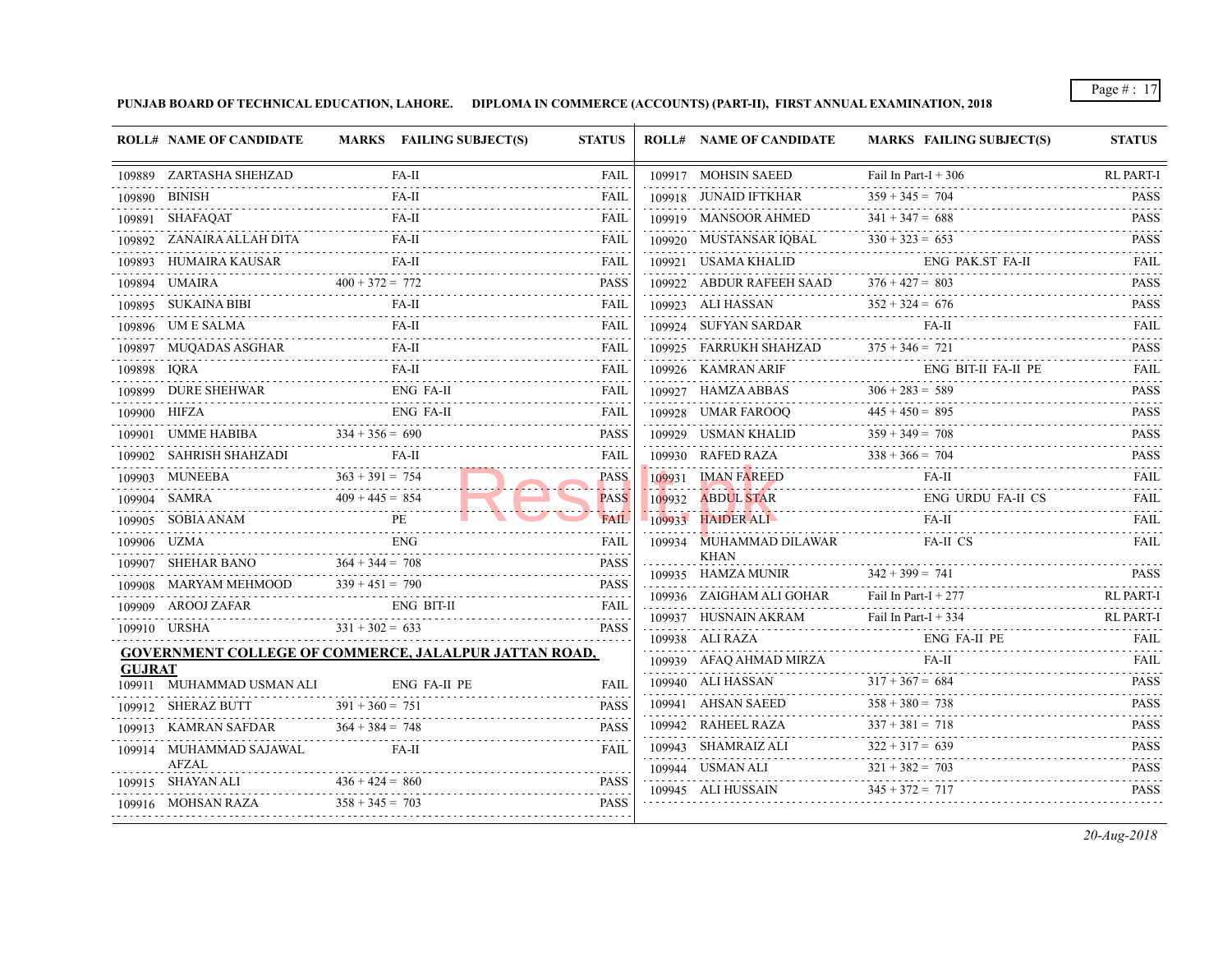|               | <b>ROLL# NAME OF CANDIDATE</b>                               |                   | MARKS FAILING SUBJECT(S)  | <b>STATUS</b>    | <b>ROLL# NAME OF CANDIDATE</b>                                                                                  | <b>MARKS FAIL</b>    |
|---------------|--------------------------------------------------------------|-------------------|---------------------------|------------------|-----------------------------------------------------------------------------------------------------------------|----------------------|
|               | 109889 ZARTASHA SHEHZAD<br>ZARTASHA SHEHZAD FA-II FAIL       |                   |                           |                  | 109917 MOHSIN SAEED                                                                                             | Fail In Part-I + $3$ |
|               | 109890 BINISH                                                |                   | $FA-II$                   | FAIL             | 109918 JUNAID IFTKHAR                                                                                           | $359 + 345 = 704$    |
|               | 109891 SHAFAQAT                                              |                   |                           | FAIL             | 109919 MANSOOR AHMED                                                                                            | $341 + 347 = 688$    |
|               | 109892 ZANAIRA ALLAH DITA FA-II FAIL FAIL FAIL               |                   |                           |                  | 109920 MUSTANSAR IQBAL $330 + 323 = 653$                                                                        |                      |
|               |                                                              |                   |                           | FAIL             | 109921 USAMA KHALID                                                                                             | <b>ENG</b>           |
|               | 109894 UMAIRA $400 + 372 = 772$ PASS                         |                   |                           | <b>PASS</b>      | 109922 ABDUR RAFEEH SAAD $376 + 427 = 803$                                                                      |                      |
|               | 109895 SUKAINA BIBI FA-II FAIL FAIL FAIL                     |                   |                           |                  | 109923 ALI HASSAN                                                                                               | $352 + 324 = 676$    |
|               | 109896 UM E SALMA                                            |                   |                           |                  | 109924 SUFYAN SARDAR                                                                                            | FA-II                |
|               | 109897 MUQADAS ASGHAR FA-II FAIL FAIL                        |                   |                           | FAIL             | 109925 FARRUKH SHAHZAD $375 + 346 = 721$                                                                        |                      |
| 109898 IQRA   |                                                              |                   | FA-II                     | FAIL             |                                                                                                                 |                      |
|               | 109899 DURE SHEHWAR ENG FA-II FAIL FAIL                      |                   |                           |                  | $\begin{tabular}{ll} 109926 & KAMRAN ARIF & ENG \\ \hline 109927 & HAMZA ABBAS & 306 + 283 = 589 \end{tabular}$ |                      |
|               | ENG FA-II<br>109900 HIFZA ENG FA-II FAIL FAIL                |                   |                           | FAIL             | 109928 UMAR FAROOQ $445 + 450 = 895$                                                                            |                      |
|               | 109901 UMME HABIBA $334 + 356 = 690$ PASS                    |                   |                           | <b>PASS</b>      | 109929 USMAN KHALID $359 + 349 = 708$                                                                           |                      |
|               | 109902 SAHRISH SHAHZADI FA-II                                |                   |                           | FAIL             | 109930 RAFED RAZA $338 + 366 = 704$                                                                             |                      |
|               | 109903 MUNEEBA $363 + 391 = 754$                             |                   |                           | <b>PASS</b>      | 109931 IMAN FAREED                                                                                              | FA-II                |
|               | 109904 SAMRA $409 + 445 = 854$                               |                   |                           | <b>PASS</b>      | 109932 ABDUL STAR<br>AR EN                                                                                      | <b>ENG</b>           |
|               | 109905 SOBIA ANAM PE                                         |                   |                           | <b>FAIL</b>      | $109933$ HAIDER ALI                                                                                             | FA-II                |
|               | 109906 UZMA                                                  |                   |                           | FAIL             | 109934 MUHAMMAD DILAWAR                                                                                         | FA-II                |
|               | 109907 SHEHAR BANO $364 + 344 = 708$                         |                   |                           | <b>PASS</b>      | KHAN                                                                                                            |                      |
|               | $109908$ MARYAM MEHMOOD $339 + 451 = 790$                    |                   | $HMOOD$ $339 + 451 = 790$ | <b>PASS</b><br>. | 109935 HAMZA MUNIR $342 + 399 = 741$<br>109936 ZAIGHAM ALI GOHAR                                                | Fail In Part-I + $2$ |
|               | 109909 AROOJ ZAFAR ENG BIT-II FAIL FAIL                      |                   |                           |                  |                                                                                                                 |                      |
|               | $331 + 302 = 633$<br>109910 URSHA                            |                   |                           | <b>PASS</b>      | 109937 HUSNAIN AKRAM Fail In Part-I + 3<br>109938 ALI RAZA                                                      | ENG                  |
|               | <b>GOVERNMENT COLLEGE OF COMMERCE, JALALPUR JATTAN ROAD,</b> |                   |                           |                  | 109939 AFAQ AHMAD MIRZA                                                                                         | FA-II                |
| <b>GUJRAT</b> |                                                              |                   |                           |                  |                                                                                                                 |                      |
|               | 109911 MUHAMMAD USMAN ALI                                    |                   | ENG FA-II PE              | <b>FAIL</b>      | 109940 ALIHASSAN $317 + 367 = 684$<br>109941 AHSAN SAEED                                                        | $358 + 380 = 738$    |
|               | 109912 SHERAZ BUTT                                           | $391 + 360 = 751$ |                           | <b>PASS</b>      |                                                                                                                 |                      |
|               | 109913 KAMRAN SAFDAR                                         | $364 + 384 = 748$ |                           | <b>PASS</b>      | 109942 RAHEEL RAZA $337 + 381 = 718$                                                                            |                      |
|               | 109914 MUHAMMAD SAJAWAL<br><b>AFZAL</b>                      |                   | $FA-II$                   | FAII.            | 109943 SHAMRAIZ ALI $322 + 317 = 639$                                                                           |                      |
|               | $436 + 424 = 860$<br>109915 SHAYAN ALI                       |                   |                           | <b>PASS</b>      | 109944 USMAN ALI $321 + 382 = 703$                                                                              |                      |
|               | 109916 MOHSAN RAZA                                           | $358 + 345 = 703$ |                           | <b>PASS</b>      | 109945 ALI HUSSAIN $345 + 372 = 717$                                                                            |                      |
|               |                                                              |                   |                           |                  |                                                                                                                 |                      |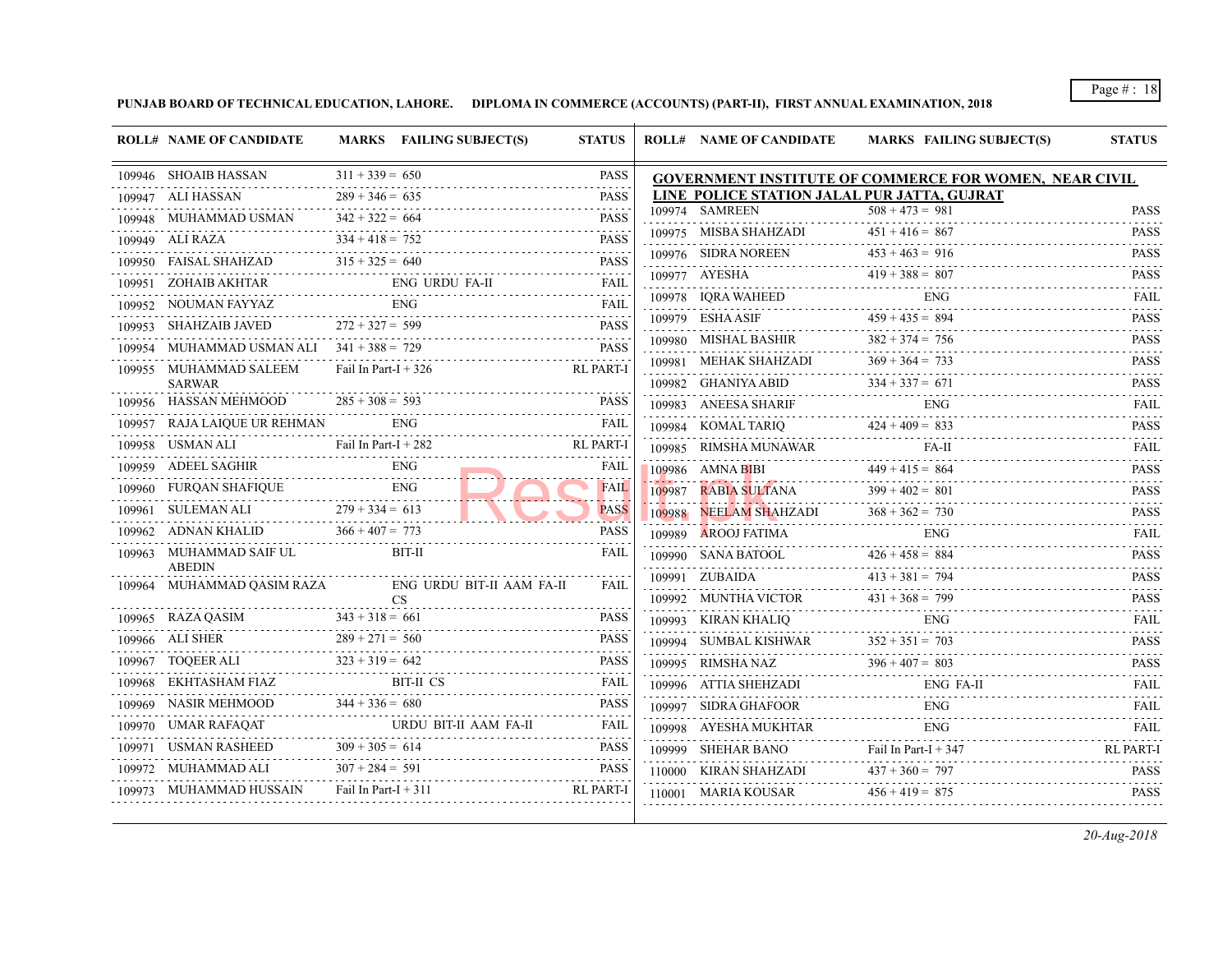| <b>ROLL# NAME OF CANDIDATE</b>                                                  | MARKS FAILING SUBJECT(S)             | <b>STATUS</b> | <b>ROLL# NAME OF CANDIDATE</b>                                                                   | <b>MARKS FAIL</b> |
|---------------------------------------------------------------------------------|--------------------------------------|---------------|--------------------------------------------------------------------------------------------------|-------------------|
| 109946 SHOAIB HASSAN $311 + 339 = 650$ PASS                                     |                                      | <b>PASS</b>   | <b>GOVERNMENT INSTITUTE OF COMMERCE</b>                                                          |                   |
| $289 + 346 = 635$<br>109947 ALI HASSAN                                          |                                      | <b>PASS</b>   | LINE POLICE STATION JALAL PUR JATTA, C                                                           |                   |
| $109948$ MUHAMMAD USMAN $342 + 322 = 664$ PASS                                  |                                      | <b>PASS</b>   | 109974 SAMREEN                                                                                   | $508 + 473 = 981$ |
| 109949 ALI RAZA $334 + 418 = 752$ PASS                                          |                                      |               | 109975 MISBA SHAHZADI $451 + 416 = 867$                                                          |                   |
| 109950 FAISAL SHAHZAD $315 + 325 = 640$ PASS                                    |                                      | <b>PASS</b>   | 109976 SIDRA NOREEN $453 + 463 = 916$                                                            |                   |
| 109951 ZOHAIB AKHTAR ENG URDU FA-II FAIL FAIL                                   |                                      |               | 109977 AYESHA $419 + 388 = 807$                                                                  |                   |
| 109952 NOUMAN FAYYAZ ENG FAIL FAIL                                              |                                      |               | $109978$ IQRA WAHEED                                                                             | <b>ENG</b>        |
| 109953 SHAHZAIB JAVED $272 + 327 = 599$ PASS                                    |                                      | PASS          | 109979 ESHA ASIF $459 + 435 = 894$                                                               |                   |
| 109954 MUHAMMAD USMAN ALI $341 + 388 = 729$                                     | LI $341 + 388 = 729$ PASS            | <b>PASS</b>   | 109980 MISHAL BASHIR $382 + 374 = 756$                                                           |                   |
| 109955 MUHAMMAD SALEEM Fail In Part-I + 326                                     | RL PART-I                            |               | 109981 MEHAK SHAHZADI $369 + 364 = 733$                                                          |                   |
| <b>SARWAR</b><br>109956 HASSAN MEHMOOD $285 + 308 = 593$                        |                                      | <b>PASS</b>   | 109982 GHANIYA ABID $334 + 337 = 671$                                                            |                   |
|                                                                                 | ASSAN MEHMOOD $285 + 308 = 593$ PASS | FAIL          | 109983 ANEESA SHARIF ENG<br>109984 KOMAL TARIQ 424+409 = 833<br>109984 KOMAL TARIQ 424+409 = 833 |                   |
| 109957 RAJA LAIQUE UR REHMAN ENG FAIL                                           |                                      |               |                                                                                                  |                   |
| 109958 USMAN ALI Fail In Part-I + 282 RL PART-I                                 |                                      | FAIL          | 109985 RIMSHA MUNAWAR FA-II                                                                      |                   |
|                                                                                 |                                      | <b>FAIL</b>   | 109986 AMNA BIBI 449 + 415 = 864                                                                 |                   |
| 109961 SULEMAN ALI 279 + 334 = 613                                              |                                      |               | 109987 RABIA SULTANA 399 + 402 = 801                                                             |                   |
|                                                                                 |                                      | <b>PASS</b>   | 109988 NEELAM SHAHZADI 368 + 362 = 730                                                           |                   |
| 109962 ADNAN KHALID $366 + 407 = 773$                                           | BIT-II                               | PASS          | 109989 AROOJ FATIMA EN                                                                           | <b>ENG</b>        |
| 109963 MUHAMMAD SAIF UL<br><b>ABEDIN</b>                                        |                                      | <b>FAIL</b>   | 109990 SANA BATOOL 426 + 458 = 884                                                               |                   |
|                                                                                 |                                      | FAIL          | 109991 ZUBAIDA $413 + 381 = 794$                                                                 |                   |
|                                                                                 |                                      |               | 109992 MUNTHA VICTOR $431 + 368 = 799$                                                           |                   |
| 109965 RAZA QASIM $343 + 318 = 661$                                             |                                      | PASS          | 109993 KIRAN KHALIQ ENG                                                                          | <b>ENG</b>        |
| 109966 ALI SHER $289 + 271 = 560$ PASS                                          |                                      | <b>PASS</b>   | 109994 SUMBAL KISHWAR $352 + 351 = 703$                                                          |                   |
| 109967 TOQEER ALI $323 + 319 = 642$ PASS                                        |                                      |               | 109995 RIMSHA NAZ<br>$396 + 407 = 803$<br>$396 + 407 = 803$                                      |                   |
| 109968 EKHTASHAM FIAZ BIT-II CS FAIL                                            |                                      |               |                                                                                                  | ENG.              |
| 109969 NASIR MEHMOOD $344 + 336 = 680$ PASS                                     |                                      | PASS          | 109997 SIDRA GHAFOOR EN                                                                          | <b>ENG</b>        |
| 109970 UMAR RAFAQAT URDU BIT-II AAM FA-II FAIL FAIL                             |                                      | FAIL          | 109998 AYESHA MUKHTAR EN EN                                                                      | ENG               |
| 109971 USMAN RASHEED $309 + 305 = 614$ PASS                                     |                                      | PASS          | 109999 SHEHAR BANO Fail In Part-I + 3                                                            |                   |
| 109972 MUHAMMAD ALI $307 + 284 = 591$<br>9972 MUHAMMAD ALI 307 + 284 = 591 PASS |                                      | <b>PASS</b>   | 110000 KIRAN SHAHZADI $437 + 360 = 797$                                                          |                   |
| 109973 MUHAMMAD HUSSAIN Fail In Part-I + 311 RL PART-I                          |                                      |               | 110001 MARIA KOUSAR $456 + 419 = 875$                                                            |                   |
|                                                                                 |                                      |               |                                                                                                  |                   |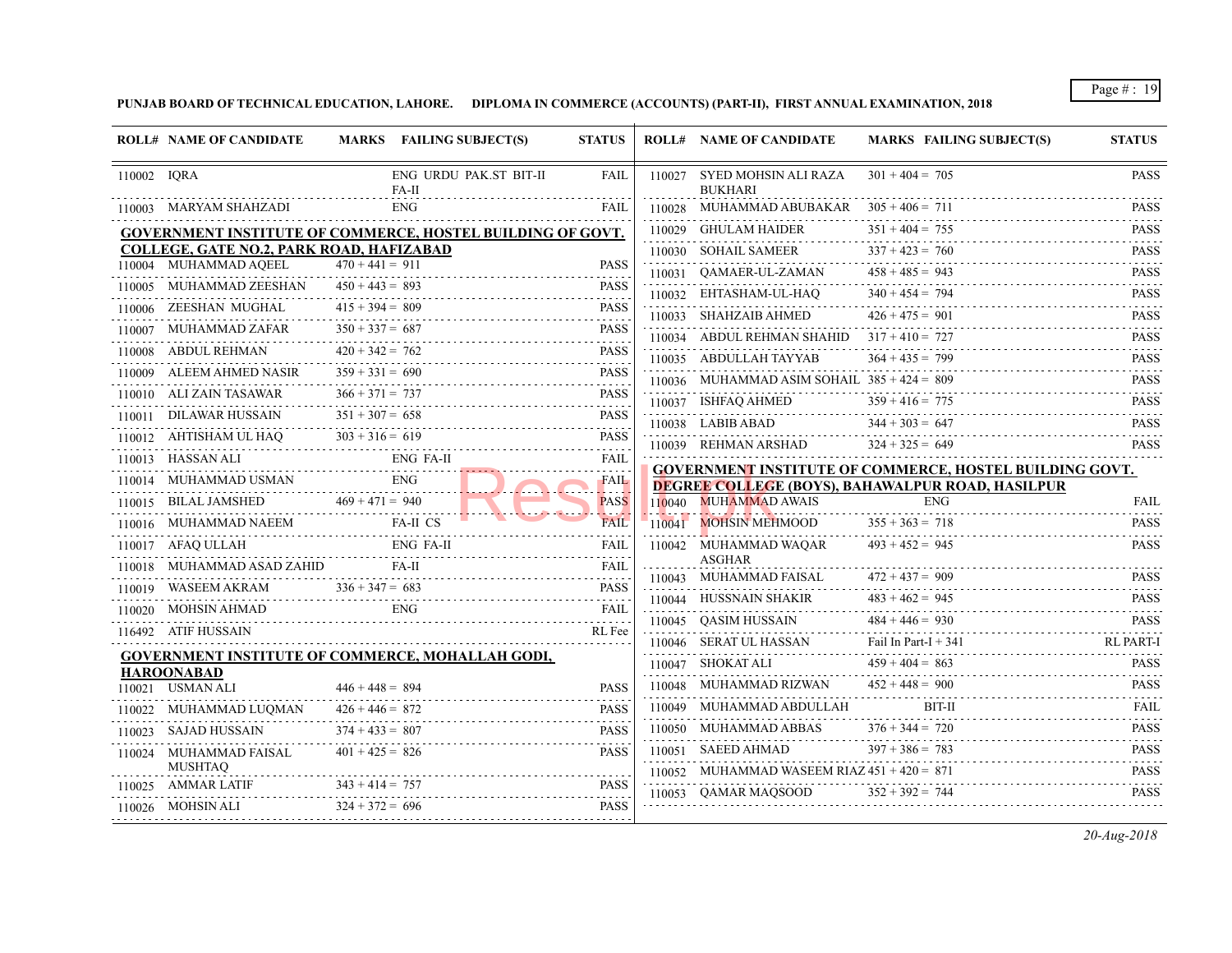|             | <b>ROLL# NAME OF CANDIDATE</b>                          | MARKS FAILING SUBJECT(S)                                          | <b>STATUS</b> |        | <b>ROLL# NAME OF CANDIDATE</b>                                      | <b>MARKS FAIL</b>    |
|-------------|---------------------------------------------------------|-------------------------------------------------------------------|---------------|--------|---------------------------------------------------------------------|----------------------|
| 110002 IQRA |                                                         | ENG URDU PAK.ST BIT-II<br>FA-II                                   | <b>FAIL</b>   |        | 110027 SYED MOHSIN ALI RAZA<br><b>BUKHARI</b>                       | $301 + 404 = 705$    |
|             | 110003 MARYAM SHAHZADI                                  | <b>ENG</b>                                                        | FAIL          |        | 110028 MUHAMMAD ABUBAKAR                                            | $305 + 406 = 711$    |
|             |                                                         | <b>GOVERNMENT INSTITUTE OF COMMERCE, HOSTEL BUILDING OF GOVT.</b> |               | 110029 | GHULAM HAIDER                                                       | $351 + 404 = 755$    |
|             | COLLEGE, GATE NO.2, PARK ROAD, HAFIZABAD                |                                                                   |               |        | 110030 SOHAIL SAMEER                                                | $337 + 423 = 760$    |
|             | 110004 MUHAMMAD AQEEL                                   | $470 + 441 = 911$                                                 | <b>PASS</b>   | 110031 | QAMAER-UL-ZAMAN                                                     | $458 + 485 = 943$    |
| 110005      | MUHAMMAD ZEESHAN                                        | $450 + 443 = 893$                                                 | <b>PASS</b>   |        | 110032 EHTASHAM-UL-HAQ                                              | $340 + 454 = 794$    |
|             | 110006 ZEESHAN MUGHAL                                   | $415 + 394 = 809$                                                 | <b>PASS</b>   |        | 110033 SHAHZAIB AHMED                                               | $426 + 475 = 901$    |
| 110007      | MUHAMMAD ZAFAR                                          | $350 + 337 = 687$                                                 | <b>PASS</b>   | 110034 | ABDUL REHMAN SHAHID $317 + 410 = 727$                               |                      |
| 110008      | ABDUL REHMAN                                            | $420 + 342 = 762$<br>$420 + 342 = 762$ PASS                       | <b>PASS</b>   |        | 110035 ABDULLAH TAYYAB                                              | $364 + 435 = 799$    |
|             | 110009 ALEEM AHMED NASIR                                | $359 + 331 = 690$<br>$359 + 331 = 690$ PASS                       | <b>PASS</b>   |        | 110036 MUHAMMAD ASIM SOHAIL $385 + 424 = 809$                       |                      |
|             | 110010 ALI ZAIN TASAWAR                                 | $366 + 371 = 737$                                                 | <b>PASS</b>   |        | 110037 ISHFAQ AHMED $359 + 416 =$                                   | $359 + 416 = 775$    |
| 110011      | DILAWAR HUSSAIN                                         | $351 + 307 = 658$                                                 | <b>PASS</b>   |        | 110038 LABIB ABAD                                                   | $344 + 303 = 647$    |
|             |                                                         | 110012 AHTISHAM UL HAQ $303 + 316 = 619$ PASS                     |               |        | 110039 REHMAN ARSHAD                                                | $324 + 325 = 649$    |
|             | 110013 HASSAN ALI                                       | <b>ENG FA-II</b>                                                  | FAIL          |        | <b>GOVERNMENT INSTITUTE OF COMMERCE,</b>                            |                      |
|             | 110014 MUHAMMAD USMAN ENG                               |                                                                   | <b>FAIL</b>   |        | <b>DEGREE COLLEGE (BOYS), BAHAWALPUR R</b>                          |                      |
|             | 110015 BILAL JAMSHED $469 + 471 = 940$                  |                                                                   | <b>PASS</b>   |        | 110040 MUHAMMAD AWAIS                                               | <b>ENG</b>           |
|             | 110016 MUHAMMAD NAEEM<br>110016 MUHAMMAD NAEEM FA-II CS |                                                                   | <b>FAIL</b>   | 110041 | <b>MOHSIN MEHMOOD</b>                                               | $355 + 363 = 718$    |
|             | 110017 AFAQ ULLAH                                       | ENG FA-II                                                         | FAIL          |        | 110042 MUHAMMAD WAQAR                                               | $493 + 452 = 945$    |
|             | 110018 MUHAMMAD ASAD ZAHID                              | FA-II                                                             |               |        | ASGHAR                                                              |                      |
|             | 110019 WASEEM AKRAM                                     | M $336 + 347 = 683$ PASS                                          |               |        | 110043 MUHAMMAD FAISAL                                              | $472 + 437 = 909$    |
|             | 110020 MOHSIN AHMAD                                     | IN AHMAD ENG FAIL                                                 |               |        | 110044 HUSSNAIN SHAKIR<br>.                                         | $483 + 462 = 945$    |
|             | 116492 ATIF HUSSAIN                                     |                                                                   | RL Fee        |        | 110045 QASIM HUSSAIN                                                | $484 + 446 = 930$    |
|             |                                                         | <b>GOVERNMENT INSTITUTE OF COMMERCE, MOHALLAH GODI,</b>           |               |        | 110046 SERAT UL HASSAN                                              | Fail In Part-I + $3$ |
|             | <b>HAROONABAD</b>                                       |                                                                   |               |        | 110047 SHOKAT ALI                                                   | $459 + 404 = 863$    |
|             | 110021 USMAN ALI                                        | $446 + 448 = 894$                                                 | <b>PASS</b>   | 110048 | MUHAMMAD RIZWAN                                                     | $452 + 448 = 900$    |
| 110022      | MUHAMMAD LUOMAN                                         | $426 + 446 = 872$                                                 | <b>PASS</b>   |        | 110049 MUHAMMAD ABDULLAH                                            | BIT-I                |
|             | 110023 SAJAD HUSSAIN                                    | $374 + 433 = 807$<br>7<br>-----------------------------           | <b>PASS</b>   |        | 110050 MUHAMMAD ABBAS                                               | $376 + 344 = 720$    |
|             | 110024 MUHAMMAD FAISAL<br><b>MUSHTAO</b>                | $401 + 425 = 826$                                                 | <b>PASS</b>   |        | 110051 SAEED AHMAD<br>110052 MUHAMMAD WASEEM RIAZ $451 + 420 = 871$ | $397 + 386 = 783$    |
|             | 110025 AMMAR LATIF                                      | $343 + 414 = 757$<br>TIF $343 + 414 = 757$ PASS                   | <b>PASS</b>   |        | 110053 QAMAR MAQSOOD                                                | $352 + 392 = 744$    |
|             | 110026 MOHSIN ALI                                       | $324 + 372 = 696$                                                 | <b>PASS</b>   |        |                                                                     |                      |
|             |                                                         |                                                                   |               |        |                                                                     |                      |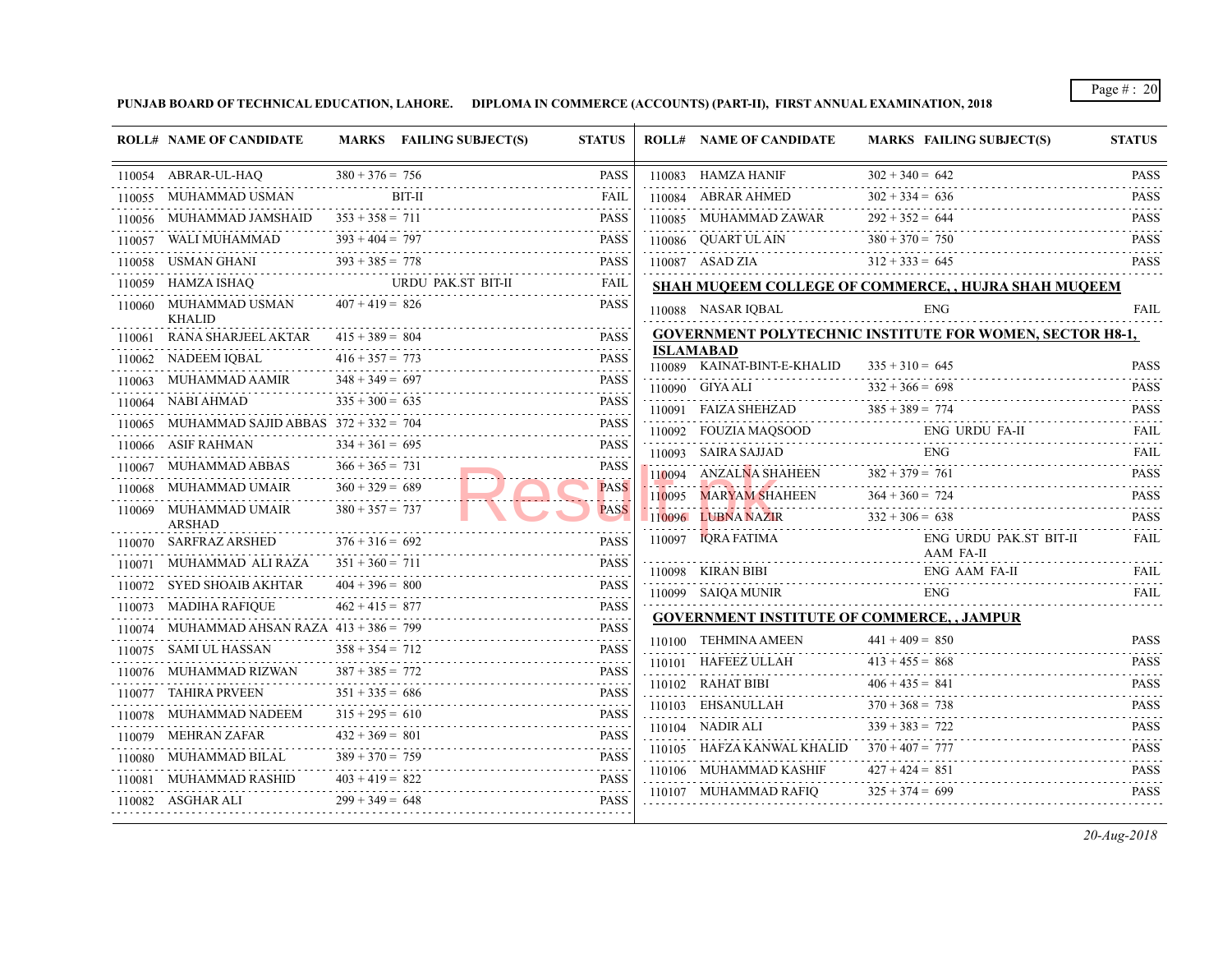| <b>ROLL# NAME OF CANDIDATE</b>                           |                   | <b>MARKS</b> FAILING SUBJECT(S)                                     | <b>STATUS</b>    | <b>ROLL# NAME OF CANDIDATE</b>                        | <b>MARKS FAIL</b>                      |
|----------------------------------------------------------|-------------------|---------------------------------------------------------------------|------------------|-------------------------------------------------------|----------------------------------------|
| 110054 ABRAR-UL-HAQ                                      | $380 + 376 = 756$ |                                                                     | <b>PASS</b>      | 110083 HAMZA HANIF                                    | $302 + 340 = 642$<br>.                 |
| 110055 MUHAMMAD USMAN                                    |                   | $BIT-II$                                                            | FAIL             | 110084 ABRAR AHMED                                    | $302 + 334 = 636$                      |
| 110056 MUHAMMAD JAMSHAID $353 + 358 = 711$               |                   |                                                                     | <b>PASS</b>      | 110085 MUHAMMAD ZAWAR                                 | $292 + 352 = 644$                      |
| 110057 WALI MUHAMMAD                                     | $393 + 404 = 797$ |                                                                     | <b>PASS</b>      | 110086 OUART UL AIN                                   | $380 + 370 = 750$                      |
| 110058 USMAN GHANI                                       | $393 + 385 = 778$ |                                                                     | <b>PASS</b>      | 110087 ASAD ZIA                                       | $312 + 333 = 645$                      |
| 110059 HAMZA ISHAQ                                       |                   | VRDU PAK.ST BIT-II<br>PAK.ST BIT-II<br>---------------------------- | FAIL             | <b>SHAH MUQEEM COLLEGE OF COMMERCE,</b>               |                                        |
| 110060 MUHAMMAD USMAN $407 + 419 = 826$<br><b>KHALID</b> |                   |                                                                     | <b>PASS</b>      | 110088 NASAR IQBAL                                    | ENG                                    |
| 110061 RANA SHARJEEL AKTAR $415 + 389 = 804$             |                   |                                                                     | <b>PASS</b>      | <b>GOVERNMENT POLYTECHNIC INSTITUTE F</b>             |                                        |
| 110062 NADEEM IQBAL                                      | $416 + 357 = 773$ |                                                                     | <b>PASS</b>      | <b>ISLAMABAD</b><br>110089 KAINAT-BINT-E-KHALID       | $335 + 310 = 645$                      |
| 110063 MUHAMMAD AAMIR $348 + 349 = 697$                  |                   |                                                                     | <b>PASS</b>      | 110090 GIYA ALI                                       | $332 + 366 = 698$                      |
| 110064 NABI AHMAD                                        | $335 + 300 = 635$ | PASS                                                                | <b>PASS</b>      | 110091 FAIZA SHEHZAD                                  | $385 + 389 = 774$                      |
| 110065 MUHAMMAD SAJID ABBAS $372 + 332 = 704$            |                   |                                                                     | <b>PASS</b>      | 110092 FOUZIA MAQSOOD                                 | ENG                                    |
| 110066 ASIF RAHMAN                                       | $334 + 361 = 695$ | 110066 ASIF RAHMAN $334 + 361 = 695$ PASS                           | <b>PASS</b>      | 110093 SAIRA SAJJAD                                   | <b>ENG</b>                             |
| 110067 MUHAMMAD ABBAS                                    | $366 + 365 = 731$ |                                                                     | <b>PASS</b>      | 110094 ANZALNA SHAHEEN $382 + 379 = 761$              |                                        |
| 110068 MUHAMMAD UMAIR                                    | $360 + 329 = 689$ |                                                                     | <b>PASS</b><br>. | 110095 MARYAM SHAHEEN                                 | $364 + 360 = 724$                      |
| 110069 MUHAMMAD UMAIR<br>ARSHAD                          | $380 + 357 = 737$ |                                                                     | <b>PASS</b>      | 110096 LUBNA NAZIR                                    | $332 + 306 = 638$                      |
| 110070 SARFRAZ ARSHED                                    | $376 + 316 = 692$ |                                                                     | <b>PASS</b>      | 110097 IORA FATIMA                                    | ENG<br>AAM                             |
| 110071 MUHAMMAD ALI RAZA                                 | $351 + 360 = 711$ |                                                                     | <b>PASS</b>      | 110098 KIRAN BIBI                                     | <b>ENG</b>                             |
| 110072 SYED SHOAIB AKHTAR                                | $404 + 396 = 800$ |                                                                     |                  | 110099 SAIQA MUNIR                                    | <b>ENG</b>                             |
| 110073 MADIHA RAFIQUE                                    | $462 + 415 = 877$ |                                                                     | <b>PASS</b>      | <b>GOVERNMENT INSTITUTE OF COMMERCE,</b>              |                                        |
| 110074 MUHAMMAD AHSAN RAZA $413 + 386 = 799$             |                   | 110074 MUHAMMAD AHSAN RAZA $413 + 386 = 799$ PASS                   | <b>PASS</b>      | 110100 TEHMINA AMEEN                                  | $441 + 409 = 850$                      |
| 110075 SAMI UL HASSAN                                    | $358 + 354 = 712$ |                                                                     | <b>PASS</b>      | 110101 HAFEEZ ULLAH                                   | $413 + 455 = 868$                      |
| 110076 MUHAMMAD RIZWAN                                   | $387 + 385 = 772$ | 110076 MUHAMMAD RIZWAN $387 + 385 = 772$ PASS                       | <b>PASS</b>      |                                                       |                                        |
| 110077 TAHIRA PRVEEN                                     | $351 + 335 = 686$ |                                                                     | PASS             | 110102 RAHAT BIBI                                     | $406 + 435 = 841$                      |
| 110078 MUHAMMAD NADEEM                                   | $315 + 295 = 610$ |                                                                     | <b>PASS</b>      | 110103 EHSANULLAH $370 + 368 = 7$<br>110104 NADIR ALI | $370 + 368 = 738$<br>$339 + 383 = 722$ |
| 110079 MEHRAN ZAFAR                                      | $432 + 369 = 801$ |                                                                     | <b>PASS</b>      | 110105 HAFZA KANWAL KHALID $370 + 407 = 777$          |                                        |
| 110080 MUHAMMAD BILAL                                    | $389 + 370 = 759$ |                                                                     |                  |                                                       | $427 + 424 = 851$                      |
| 110081 MUHAMMAD RASHID                                   |                   | 10081 MUHAMMAD RASHID $403 + 419 = 822$ PASS                        | <b>PASS</b>      | 110106 MUHAMMAD KASHIF<br>110107 MUHAMMAD RAFIQ       | $325 + 374 = 699$                      |
| 110082 ASGHAR ALI                                        | $299 + 349 = 648$ |                                                                     | <b>PASS</b>      |                                                       |                                        |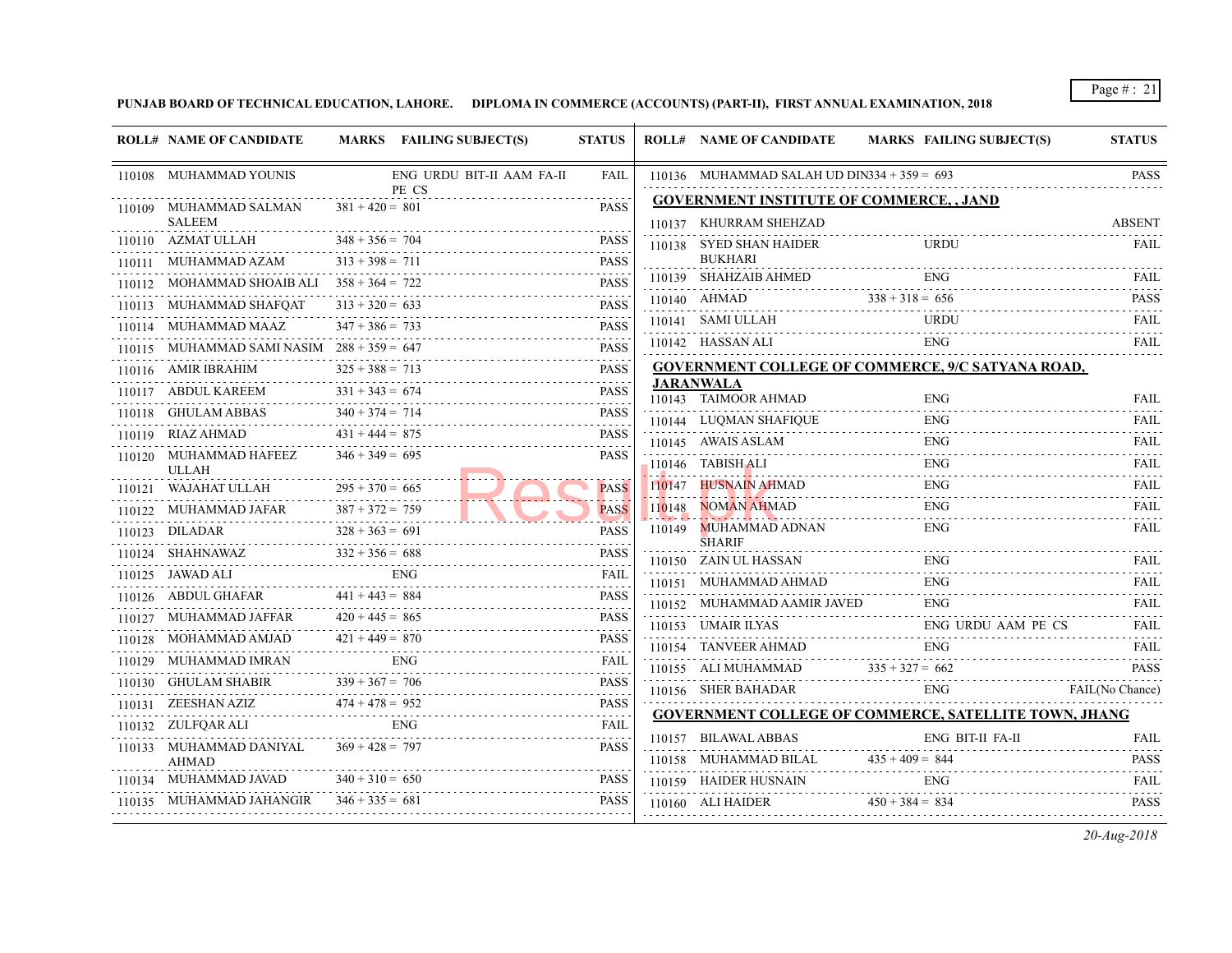| <b>ROLL# NAME OF CANDIDATE</b>               |                   | MARKS FAILING SUBJECT(S)           | <b>STATUS</b>    |                                 | <b>ROLL# NAME OF CANDIDATE</b>                                     | <b>MARKS FAIL</b> |
|----------------------------------------------|-------------------|------------------------------------|------------------|---------------------------------|--------------------------------------------------------------------|-------------------|
| 110108 MUHAMMAD YOUNIS                       |                   | ENG URDU BIT-II AAM FA-II<br>PE CS | <b>FAIL</b>      |                                 | 110136 MUHAMMAD SALAH UD DIN334 + 359 = $693$                      |                   |
| 110109 MUHAMMAD SALMAN<br><b>SALEEM</b>      | $381 + 420 = 801$ |                                    | <b>PASS</b>      |                                 | <b>GOVERNMENT INSTITUTE OF COMMERCE,</b><br>110137 KHURRAM SHEHZAD |                   |
| 110110 AZMAT ULLAH                           | $348 + 356 = 704$ |                                    | <b>PASS</b>      |                                 | 110138 SYED SHAN HAIDER                                            | <b>URD</b>        |
| 110111 MUHAMMAD AZAM                         | $313 + 398 = 711$ |                                    | PASS             |                                 | <b>BUKHARI</b>                                                     |                   |
| 110112 MOHAMMAD SHOAIB ALI                   | $358 + 364 = 722$ |                                    | PASS             |                                 | 110139 SHAHZAIB AHMED                                              | <b>ENG</b>        |
| 110113 MUHAMMAD SHAFQAT                      | $313 + 320 = 633$ |                                    | PASS             |                                 | 110140 AHMAD                                                       | $338 + 318 = 656$ |
| 110114 MUHAMMAD MAAZ                         | $347 + 386 = 733$ |                                    | .<br><b>PASS</b> |                                 | 110141 SAMI ULLAH                                                  | <b>URD</b>        |
| 110115 MUHAMMAD SAMI NASIM $288 + 359 = 647$ |                   |                                    | PASS             |                                 | 110142 HASSAN ALI                                                  | <b>ENG</b>        |
| 110116 AMIR IBRAHIM                          | $325 + 388 = 713$ |                                    | <b>PASS</b>      |                                 | <b>GOVERNMENT COLLEGE OF COMMERCE, 9</b>                           |                   |
| 110117 ABDUL KAREEM                          | $331 + 343 = 674$ |                                    | .<br><b>PASS</b> |                                 | <b>JARANWALA</b><br>110143 TAIMOOR AHMAD                           | <b>ENG</b>        |
| 110118 GHULAM ABBAS                          | $340 + 374 = 714$ |                                    | <b>PASS</b>      |                                 | 110144 LUOMAN SHAFIQUE                                             | <b>ENG</b>        |
| 110119 RIAZ AHMAD                            | $431 + 444 = 875$ |                                    | <b>PASS</b>      |                                 | 110145 AWAIS ASLAM                                                 | ENG.              |
| 110120 MUHAMMAD HAFEEZ<br>ULLAH              | $346 + 349 = 695$ |                                    | <b>PASS</b>      |                                 | 110146 TABISH ALI                                                  | <b>ENG</b>        |
| 110121 WAJAHAT ULLAH                         | $295 + 370 = 665$ |                                    | <b>PASS</b>      |                                 | 110147 HUSNAIN AHMAD                                               | <b>ENG</b>        |
| 110122 MUHAMMAD JAFAR                        | $387 + 372 = 759$ |                                    | <b>PASS</b>      | <b><i><u>ALLER LESS</u></i></b> | 110148 NOMAN AHMAD                                                 | <b>ENG</b>        |
| 110123 DILADAR                               | $328 + 363 = 691$ |                                    | <b>PASS</b>      |                                 | 110149 MUHAMMAD ADNAN<br><b>SHARIF</b>                             | ENG.              |
| 110124 SHAHNAWAZ                             | $332 + 356 = 688$ |                                    | <b>PASS</b>      |                                 | 110150 ZAIN UL HASSAN                                              | <b>ENG</b>        |
| 110125 JAWAD ALI                             |                   | ENG                                | <b>FAIL</b>      |                                 | 110151 MUHAMMAD AHMAD                                              | ENG.              |
| 110126 ABDUL GHAFAR                          | $441 + 443 = 884$ |                                    | PASS             |                                 | 110152 MUHAMMAD AAMIR JAVED                                        | ENG               |
| 110127 MUHAMMAD JAFFAR                       | $420 + 445 = 865$ |                                    | <b>PASS</b>      |                                 | 110153 UMAIR ILYAS                                                 | <b>ENG</b>        |
| 110128 MOHAMMAD AMJAD<br>.                   | $421 + 449 = 870$ |                                    | PASS<br>a sa san |                                 | 110154 TANVEER AHMAD                                               | ENG               |
| 110129 MUHAMMAD IMRAN                        |                   | ENG                                | FAIL             |                                 | 110155 ALI MUHAMMAD                                                | $335 + 327 = 662$ |
| 110130 GHULAM SHABIR                         | $339 + 367 = 706$ |                                    | <b>PASS</b><br>. |                                 | 110156 SHER BAHADAR                                                | <b>ENG</b>        |
| 110131 ZEESHAN AZIZ                          | $474 + 478 = 952$ |                                    | <b>PASS</b>      |                                 |                                                                    |                   |
| 110132 ZULFQAR ALI                           |                   | ENG                                | .<br>FAIL        |                                 | <b>GOVERNMENT COLLEGE OF COMMERCE, S</b>                           |                   |
| 110133 MUHAMMAD DANIYAL<br>AHMAD             | $369 + 428 = 797$ |                                    | <b>PASS</b>      |                                 | 110157 BILAWAL ABBAS<br>110158 MUHAMMAD BILAL $435 + 409 = 844$    | ENG               |
| 110134 MUHAMMAD JAVAD                        | $340 + 310 = 650$ |                                    | <b>PASS</b>      |                                 | 110159 HAIDER HUSNAIN                                              | ENG.              |
| 110135 MUHAMMAD JAHANGIR                     | $346 + 335 = 681$ |                                    | <b>PASS</b>      |                                 | 110160 ALI HAIDER                                                  | $450 + 384 = 834$ |
|                                              |                   |                                    |                  |                                 |                                                                    |                   |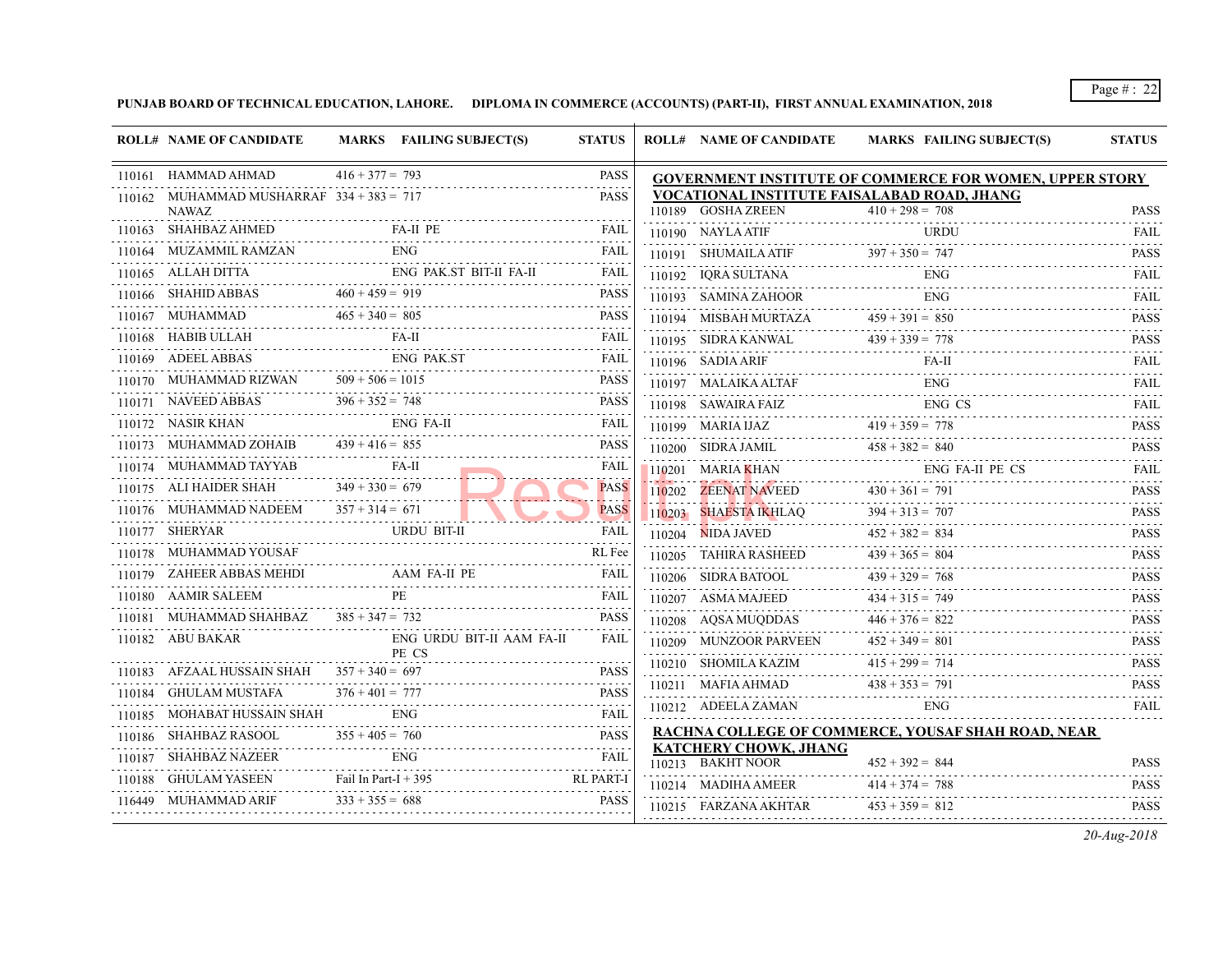| <b>ROLL# NAME OF CANDIDATE</b>                              | MARKS FAILING SUBJECT(S)                                                                                                                                                                                                      | <b>STATUS</b> | <b>ROLL# NAME OF CANDIDATE</b>                                                                    | <b>MARKS FAIL</b> |
|-------------------------------------------------------------|-------------------------------------------------------------------------------------------------------------------------------------------------------------------------------------------------------------------------------|---------------|---------------------------------------------------------------------------------------------------|-------------------|
| 110161 HAMMAD AHMAD $416 + 377 = 793$                       |                                                                                                                                                                                                                               | <b>PASS</b>   | <b>GOVERNMENT INSTITUTE OF COMMERCE</b>                                                           |                   |
| 110162 MUHAMMAD MUSHARRAF $334 + 383 = 717$<br><b>NAWAZ</b> |                                                                                                                                                                                                                               | <b>PASS</b>   | VOCATIONAL INSTITUTE FAISALABAD ROA<br>110189 GOSHA ZREEN                                         | $410 + 298 = 708$ |
|                                                             | 110163 SHAHBAZ AHMED FA-II PE                                                                                                                                                                                                 | FAIL          | 110190 NAYLA ATIF URI                                                                             | <b>URD</b>        |
|                                                             | 110164 MUZAMMIL RAMZAN ENG FAIL                                                                                                                                                                                               |               | 110191 SHUMAILA ATIF $397 + 350 = 747$                                                            |                   |
| 110165 ALLAH DITTA                                          | $\begin{tabular}{lllllllll} \bf 110165 & \bf ALLAH\,DITTA & \bf ENG\, \, PAK, ST\, BIT-II\, FA-II & \bf FALL \\ \bf \end{tabular}$                                                                                            | FAIL          | 110192 IQRA SULTANA                                                                               | <b>ENG</b>        |
|                                                             | 110166 SHAHID ABBAS $460 + 459 = 919$                                                                                                                                                                                         | <b>PASS</b>   | 110193 SAMINA ZAHOOR                                                                              | <b>ENG</b>        |
|                                                             | 110167 MUHAMMAD $465 + 340 = 805$ PASS                                                                                                                                                                                        | <b>PASS</b>   | 110194 MISBAH MURTAZA $459 + 391 = 850$                                                           |                   |
|                                                             | $110168 \quad {\rm HABIB~ULLAH} \qquad \qquad {\rm FA-II} \qquad \qquad {\rm FAL} \qquad \qquad {\rm FAL}$                                                                                                                    |               | 110195 SIDRA KANWAL $439 + 339 = 778$                                                             |                   |
|                                                             |                                                                                                                                                                                                                               |               | 110196 SADIA ARIF                                                                                 | FA-II             |
|                                                             | 110169 ADEELABBAS ENG PAK.ST FAIL<br>110170 MUHAMMAD RIZWAN 509 + 506 = 1015 PASS                                                                                                                                             |               | 110197 MALAIKA ALTAF EN                                                                           | <b>ENG</b>        |
|                                                             | 110171 NAVEED ABBAS $396 + 352 = 748$ PASS                                                                                                                                                                                    | PASS          | 110198 SAWAIRA FAIZ                                                                               | ENG               |
|                                                             |                                                                                                                                                                                                                               |               | 110199 MARIA IJAZ $419 + 359 = 778$                                                               |                   |
|                                                             |                                                                                                                                                                                                                               | <b>PASS</b>   | 110200 SIDRA JAMIL $458 + 382 = 840$                                                              |                   |
|                                                             | THE PRESENTED THE PERSON NATIONAL PROPERTY AND RELEASED FOR THE PRESENT OF THE PRESENT OF THE PRESENT OF THE PRESENT OF THE PRESENT OF THE PRESENT OF THE PRESENT OF THE PRESENT OF THE PRESENT OF THE PRESENT OF THE PRESENT | FAIL          |                                                                                                   |                   |
| 110175 ALI HAIDER SHAH $349 + 330 = 679$                    |                                                                                                                                                                                                                               | <b>PASS</b>   | 110201 MARIA KHAN ENG<br>110202 ZEENAT NAVEED 430+361 = 791<br>110202 ZEENAT NAVEED 430+361 = 791 |                   |
|                                                             | 110176 MUHAMMAD NADEEM $357 + 314 = 671$                                                                                                                                                                                      | <b>PASS</b>   | 110203 SHAESTA IKHLAQ 394 + 313 = 707                                                             |                   |
| 110177 SHERYAR                                              | 110177 SHERYAR URDU BIT-II                                                                                                                                                                                                    | FAIL          | 110204 NIDA JAVED $452 + 382 = 834$                                                               |                   |
| 110178 MUHAMMAD YOUSAF                                      |                                                                                                                                                                                                                               | RL Fee        | 110205 TAHIRA RASHEED $439 + 365 = 804$                                                           |                   |
|                                                             | 110179 ZAHEER ABBAS MEHDI AAM FA-II PE FAIL                                                                                                                                                                                   |               | 110206 SIDRA BATOOL 439 + 329 = 768                                                               |                   |
| 110180 AAMIR SALEEM                                         | 110180 AAMIR SALEEM PE FAIL                                                                                                                                                                                                   | FAIL          | 110207 ASMA MAJEED $434 + 315 = 749$                                                              |                   |
| 110181 MUHAMMAD SHAHBAZ $385 + 347 = 732$                   |                                                                                                                                                                                                                               | <b>PASS</b>   | 110208 AQSA MUQDDAS $446 + 376 = 822$                                                             |                   |
| 110182 ABU BAKAR                                            | ENG URDU BIT-II AAM FA-II                                                                                                                                                                                                     | FAIL          | 110209 MUNZOOR PARVEEN $452 + 349 = 801$                                                          |                   |
| 110183 AFZAAL HUSSAIN SHAH $357 + 340 = 697$                | PE CS                                                                                                                                                                                                                         | <b>PASS</b>   | 110210 SHOMILA KAZIM $415 + 299 = 714$                                                            |                   |
|                                                             |                                                                                                                                                                                                                               |               | 110211 MAFIA AHMAD $438 + 353 = 791$                                                              |                   |
| 110185 MOHABAT HUSSAIN SHAH ENG                             | 110184 GHULAM MUSTAFA 376 + 401 = 777 PASS                                                                                                                                                                                    | FAIL          | 110212 ADEELA ZAMAN                                                                               | <b>ENG</b>        |
| 110186 SHAHBAZ RASOOL 355 + 405 = 760                       |                                                                                                                                                                                                                               | <b>PASS</b>   | RACHNA COLLEGE OF COMMERCE, YOUSA                                                                 |                   |
|                                                             | BAZ RASOOL 355 + 405 = 760 PASS                                                                                                                                                                                               |               | KATCHERY CHOWK, JHANG                                                                             |                   |
| 110188 GHULAM YASEEN Fail In Part-I + 395                   | $\begin{tabular}{ll} 110187 & SHAHBAZ NAZEER & ENG & FAIL \\ \hline \end{tabular}$                                                                                                                                            |               | 110213 BAKHT NOOR                                                                                 | $452 + 392 = 844$ |
| 116449 MUHAMMAD ARIF $333 + 355 = 688$                      | LAM YASEEN Fail In Part-I + 395 RL PART-I                                                                                                                                                                                     | <b>PASS</b>   | 110214 MADIHA AMEER $414 + 374 = 788$                                                             |                   |
|                                                             | MUHAMMAD ARIF $333 + 355 = 688$ PASS                                                                                                                                                                                          |               | 110215 FARZANA AKHTAR $453 + 359 = 812$                                                           |                   |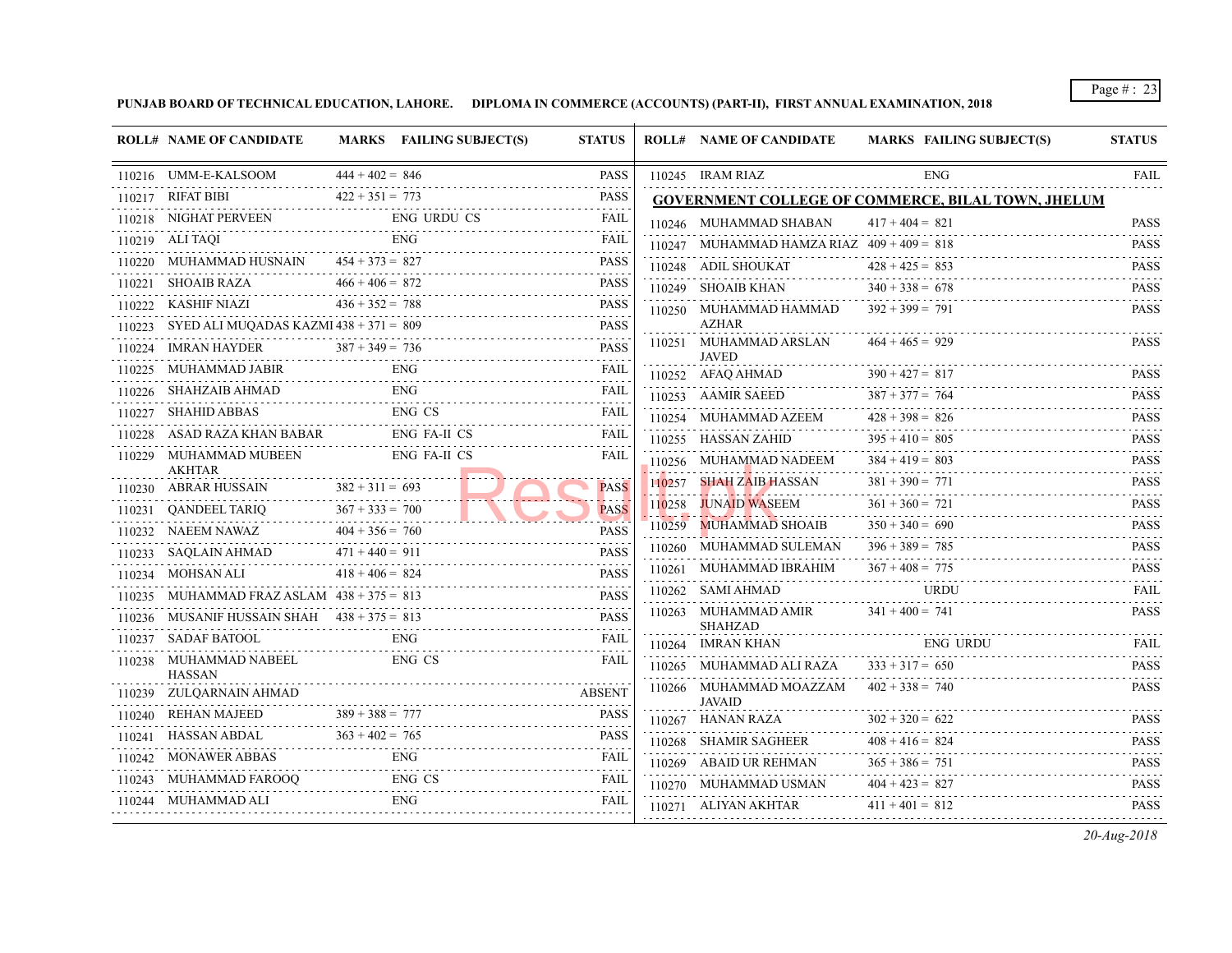| <b>ROLL# NAME OF CANDIDATE</b>                                                                                                                                                                                                                                                                                                                                                                                            |                   | MARKS FAILING SUBJECT(S) | <b>STATUS</b>           |                    | <b>ROLL# NAME OF CANDIDATE</b>               | <b>MARKS FAIL</b>      |
|---------------------------------------------------------------------------------------------------------------------------------------------------------------------------------------------------------------------------------------------------------------------------------------------------------------------------------------------------------------------------------------------------------------------------|-------------------|--------------------------|-------------------------|--------------------|----------------------------------------------|------------------------|
| 110216 UMM-E-KALSOOM                                                                                                                                                                                                                                                                                                                                                                                                      | $444 + 402 = 846$ |                          | <b>PASS</b>             |                    | 110245 IRAM RIAZ                             | <b>ENG</b>             |
| 110217 RIFAT BIBI $422 + 351 = 773$ PASS                                                                                                                                                                                                                                                                                                                                                                                  |                   |                          | PASS                    |                    | <b>GOVERNMENT COLLEGE OF COMMERCE, I</b>     |                        |
| 110218 NIGHAT PERVEEN ENG URDU CS                                                                                                                                                                                                                                                                                                                                                                                         |                   |                          | FAIL<br>د د د د         |                    | 110246 MUHAMMAD SHABAN                       | $417 + 404 = 821$      |
| $110219$ ALI TAQI                                                                                                                                                                                                                                                                                                                                                                                                         |                   | ENG                      |                         |                    | 110247 MUHAMMAD HAMZA RIAZ $409 + 409 = 818$ |                        |
| 110220 MUHAMMAD HUSNAIN $454 + 373 = 827$<br>110220 MUHAMMAD HUSNAIN $454 + 373 = 827$ PASS                                                                                                                                                                                                                                                                                                                               |                   |                          |                         |                    | 110248 ADIL SHOUKAT                          | $428 + 425 = 853$      |
| 110221 SHOAIB RAZA<br>10221 SHOAIB RAZA $466 + 406 = 872$ PASS                                                                                                                                                                                                                                                                                                                                                            | $466 + 406 = 872$ |                          | <b>PASS</b>             |                    | 110249 SHOAIB KHAN                           | $340 + 338 = 678$      |
| 110222 KASHIF NIAZI<br>10222 KASHIF NIAZI $436 + 352 = 788$ PASS                                                                                                                                                                                                                                                                                                                                                          | $436 + 352 = 788$ |                          | <b>PASS</b>             |                    | 110250 MUHAMMAD HAMMAD                       | $392 + 399 = 791$      |
| 110223 SYED ALI MUQADAS KAZMI $438 + 371 = 809$                                                                                                                                                                                                                                                                                                                                                                           |                   |                          | <b>PASS</b>             |                    | AZHAR                                        |                        |
| 110224 IMRAN HAYDER<br>110224 IMRAN HAYDER $387 + 349 = 736$ PASS                                                                                                                                                                                                                                                                                                                                                         | $387 + 349 = 736$ |                          | <b>PASS</b>             |                    | 110251 MUHAMMAD ARSLAN<br><b>JAVED</b>       | $464 + 465 = 929$      |
| 110225 MUHAMMAD JABIR ENG FAIL                                                                                                                                                                                                                                                                                                                                                                                            |                   |                          |                         |                    | 110252 AFAQ AHMAD                            | $390 + 427 = 817$      |
| $\textbf{110226} \quad \textbf{SHAHZAIB AHMAD} \quad \textbf{ENG} \\ \textbf{110226} \quad \textbf{SHAHZAIB AHMAD} \quad \textbf{ENG} \\ \textbf{11027} \quad \textbf{11028} \quad \textbf{G11} \quad \textbf{11029} \quad \textbf{1200} \quad \textbf{1301} \quad \textbf{1312} \quad \textbf{1410} \quad \textbf{1511} \quad \textbf{1612} \quad \textbf{1613} \quad \textbf{1723} \quad \textbf{1814} \quad \textbf{1$ |                   | <b>ENG</b>               | FAIL                    |                    | 110253 AAMIR SAEED                           | $387 + 377 = 764$      |
| 110227 SHAHID ABBAS<br>10227 SHAHID ABBAS ENG CS FAIL                                                                                                                                                                                                                                                                                                                                                                     |                   |                          | $- - - - - -$           |                    | 110254 MUHAMMAD AZEEM                        | $428 + 398 = 826$      |
| 110228 ASAD RAZA KHAN BABAR                                                                                                                                                                                                                                                                                                                                                                                               |                   | ENG FA-II CS             | <b>FAIL</b>             |                    | 110255 HASSAN ZAHID                          | $395 + 410 = 805$      |
| 110229 MUHAMMAD MUBEEN ENG FA-II CS<br>AKHTAR                                                                                                                                                                                                                                                                                                                                                                             |                   |                          | <b>FAIL</b>             |                    | 110256 MUHAMMAD NADEEM                       | $384 + 419 = 803$      |
| 110230 ABRAR HUSSAIN $382 + 311 = 693$                                                                                                                                                                                                                                                                                                                                                                                    |                   |                          | <b>PASS</b>             |                    | 110257 SHAH ZAIB HASSAN                      | $381 + 390 = 771$      |
| 110231 QANDEEL TARIQ                                                                                                                                                                                                                                                                                                                                                                                                      | $367 + 333 = 700$ |                          | .<br><b>PASS</b>        | والمتناول والمتأول | 110258 JUNAID WASEEM                         | $361 + 360 = 721$      |
| 110232 NAEEM NAWAZ $404 + 356 = 760$                                                                                                                                                                                                                                                                                                                                                                                      |                   |                          | a san Al<br><b>PASS</b> |                    | 110259 MUHAMMAD SHOAIB                       | $350 + 340 = 690$      |
| 110233 SAQLAIN AHMAD $471 + 440 = 911$ PASS                                                                                                                                                                                                                                                                                                                                                                               |                   |                          | <b>PASS</b>             |                    | 110260 MUHAMMAD SULEMAN                      | $396 + 389 = 785$<br>. |
| 110234 MOHSAN ALI                                                                                                                                                                                                                                                                                                                                                                                                         | $418 + 406 = 824$ |                          | <b>PASS</b>             |                    | 110261 MUHAMMAD IBRAHIM                      | $367 + 408 = 775$      |
| 110235 MUHAMMAD FRAZ ASLAM $438 + 375 = 813$                                                                                                                                                                                                                                                                                                                                                                              |                   | PASS                     | <b>PASS</b>             |                    | 110262 SAMI AHMAD                            | URD                    |
| 110236 MUSANIF HUSSAIN SHAH $438 + 375 = 813$                                                                                                                                                                                                                                                                                                                                                                             |                   |                          | <b>PASS</b>             |                    | 110263 MUHAMMAD AMIR<br><b>SHAHZAD</b>       | $341 + 400 = 741$      |
| 110237 SADAF BATOOL                                                                                                                                                                                                                                                                                                                                                                                                       |                   | ENG                      | FAIL                    |                    | 110264 IMRAN KHAN                            | ENG                    |
| 110238 MUHAMMAD NABEEL<br><b>HASSAN</b>                                                                                                                                                                                                                                                                                                                                                                                   |                   | ENG CS                   | FAIL                    |                    | 110265 MUHAMMAD ALI RAZA                     | $333 + 317 = 650$      |
| 110239 ZULQARNAIN AHMAD                                                                                                                                                                                                                                                                                                                                                                                                   |                   |                          | <b>ABSENT</b>           |                    | 110266 MUHAMMAD MOAZZAM                      | $402 + 338 = 740$      |
| 110240 REHAN MAJEED $389 + 388 = 777$ PASS                                                                                                                                                                                                                                                                                                                                                                                | $389 + 388 = 777$ |                          |                         |                    | <b>JAVAID</b><br>110267 HANAN RAZA           | $302 + 320 = 622$      |
| 110241 HASSAN ABDAL $363 + 402 = 765$ PASS                                                                                                                                                                                                                                                                                                                                                                                | $363 + 402 = 765$ |                          | PASS                    |                    | 110268 SHAMIR SAGHEER                        | $408 + 416 = 824$      |
| 110242 MONAWER ABBAS                                                                                                                                                                                                                                                                                                                                                                                                      |                   | ER ABBAS $ENG$           | FAIL                    |                    | 110269 ABAID UR REHMAN                       | $365 + 386 = 751$      |
| 110243 MUHAMMAD FAROOQ ENG CS FAIL                                                                                                                                                                                                                                                                                                                                                                                        |                   |                          |                         |                    | 110270 MUHAMMAD USMAN                        | $404 + 423 = 827$      |
| 110244 MUHAMMAD ALI                                                                                                                                                                                                                                                                                                                                                                                                       |                   | <b>ENG</b>               |                         |                    | 110271 ALIYAN AKHTAR                         | $411 + 401 = 812$      |
|                                                                                                                                                                                                                                                                                                                                                                                                                           |                   |                          |                         |                    |                                              |                        |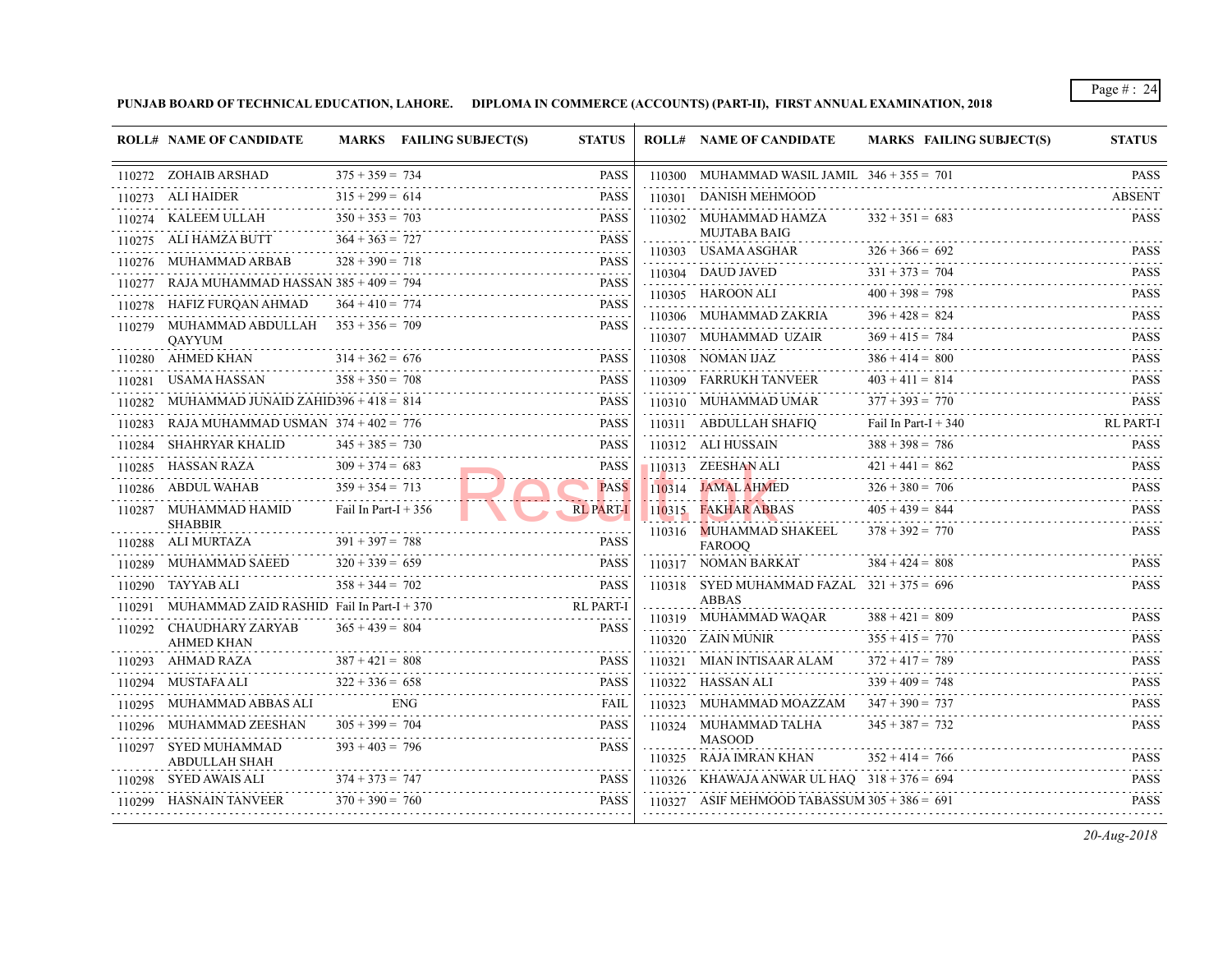|        | <b>ROLL# NAME OF CANDIDATE</b>                       |                       | MARKS FAILING SUBJECT(S) | <b>STATUS</b>    | <b>ROLL# NAME OF CANDIDATE</b>                  | <b>MARKS FAIL</b>                      |
|--------|------------------------------------------------------|-----------------------|--------------------------|------------------|-------------------------------------------------|----------------------------------------|
|        | 110272 ZOHAIB ARSHAD                                 | $375 + 359 = 734$     |                          | <b>PASS</b>      | 110300 MUHAMMAD WASIL JAMIL $346 + 355 = 701$   |                                        |
|        | 110273 ALI HAIDER                                    | $315 + 299 = 614$     |                          | PASS             | 110301 DANISH MEHMOOD                           |                                        |
|        | 110274 KALEEM ULLAH                                  | $350 + 353 = 703$     |                          | PASS             | 110302 MUHAMMAD HAMZA                           | $332 + 351 = 683$                      |
|        | 110275 ALI HAMZA BUTT                                | $364 + 363 = 727$     |                          | <b>PASS</b>      | <b>MUJTABA BAIG</b>                             | $326 + 366 = 692$                      |
|        | 110276 MUHAMMAD ARBAB                                | $328 + 390 = 718$     |                          | PASS             | 110303 USAMA ASGHAR                             | $331 + 373 = 704$                      |
| 110277 | RAJA MUHAMMAD HASSAN $385 + 409 = 794$               |                       |                          | PASS             | 110304 DAUD JAVED                               |                                        |
|        | 110278 HAFIZ FURQAN AHMAD                            | $364 + 410 = 774$     |                          | <b>PASS</b>      | 110305 HAROON ALI                               | $400 + 398 = 798$<br>.                 |
|        | 110279 MUHAMMAD ABDULLAH $353 + 356 = 709$<br>QAYYUM |                       |                          | <b>PASS</b>      | 110306 MUHAMMAD ZAKRIA<br>110307 MUHAMMAD UZAIR | $396 + 428 = 824$<br>$369 + 415 = 784$ |
|        | 110280 AHMED KHAN                                    | $314 + 362 = 676$     |                          | PASS             | 110308 NOMAN IJAZ                               | $386 + 414 = 800$                      |
|        | 110281 USAMA HASSAN                                  | $358 + 350 = 708$     |                          | PASS             | 110309 FARRUKH TANVEER                          | $403 + 411 = 814$                      |
| 110282 | MUHAMMAD JUNAID ZAHID396 + $418 = 814$               |                       |                          | <b>PASS</b>      | 110310 MUHAMMAD UMAR                            | $377 + 393 = 770$                      |
| 110283 | RAJA MUHAMMAD USMAN $374 + 402 = 776$                |                       |                          | <b>PASS</b>      | 110311 ABDULLAH SHAFIQ                          | Fail In Part-I + $3$                   |
| 110284 | SHAHRYAR KHALID                                      | $345 + 385 = 730$     |                          | <b>PASS</b>      | 110312 ALI HUSSAIN                              | $388 + 398 = 786$                      |
| 110285 | HASSAN RAZA                                          | $309 + 374 = 683$     |                          | <b>PASS</b>      | 110313 ZEESHAN ALI                              | $421 + 441 = 862$                      |
|        | 110286 ABDUL WAHAB                                   | $359 + 354 = 713$     |                          | <b>PASS</b>      | 110314 JAMAL AHMED                              | $326 + 380 = 706$                      |
|        | 110287 MUHAMMAD HAMID<br><b>SHABBIR</b>              | Fail In Part-I $+356$ |                          | <b>RL PART-I</b> | 110315 FAKHAR ABBAS<br>110316 MUHAMMAD SHAKEEL  | $405 + 439 = 844$<br>$378 + 392 = 770$ |
|        | 110288 ALI MURTAZA                                   | $391 + 397 = 788$     |                          | <b>PASS</b>      | <b>FAROOQ</b>                                   |                                        |
|        | 110289 MUHAMMAD SAEED $320 + 339 = 659$              |                       |                          | <b>PASS</b>      | 110317 NOMAN BARKAT                             | $384 + 424 = 808$                      |
|        | 110290 TAYYAB ALI                                    | $358 + 344 = 702$     |                          | <b>PASS</b>      | 110318 SYED MUHAMMAD FAZAL $321 + 375 = 696$    |                                        |
|        | 110291 MUHAMMAD ZAID RASHID Fail In Part-I + 370     |                       |                          | RL PART-I        | <b>ABBAS</b><br>110319 MUHAMMAD WAQAR           | $388 + 421 = 809$                      |
|        | 110292 CHAUDHARY ZARYAB<br><b>AHMED KHAN</b>         | $365 + 439 = 804$     |                          | <b>PASS</b>      | 110320 ZAIN MUNIR                               | $355 + 415 = 770$                      |
|        | 110293 AHMAD RAZA                                    | $387 + 421 = 808$     |                          | <b>PASS</b>      | 110321 MIAN INTISAAR ALAM                       | $372 + 417 = 789$                      |
|        | 110294 MUSTAFA ALI                                   | $322 + 336 = 658$     |                          | PASS             | 110322 HASSAN ALI                               | $339 + 409 = 748$                      |
|        | 110295 MUHAMMAD ABBAS ALI                            |                       | <b>ENG</b>               | FAIL             | 110323 MUHAMMAD MOAZZAM $347 + 390 = 737$       |                                        |
|        | 110296 MUHAMMAD ZEESHAN                              | $305 + 399 = 704$     |                          | <b>PASS</b>      | 110324 MUHAMMAD TALHA                           | $345 + 387 = 732$                      |
|        | 110297 SYED MUHAMMAD<br>ABDULLAH SHAH                | $393 + 403 = 796$     |                          | <b>PASS</b>      | <b>MASOOD</b><br>110325 RAJA IMRAN KHAN         | $352 + 414 = 766$                      |
|        | 110298 SYED AWAIS ALI                                | $374 + 373 = 747$     |                          | PASS             | 110326 KHAWAJA ANWAR UL HAQ $318 + 376 = 694$   |                                        |
|        | 110299 HASNAIN TANVEER                               | $370 + 390 = 760$     |                          | <b>PASS</b>      | 110327 ASIF MEHMOOD TABASSUM $305 + 386 = 691$  |                                        |
|        |                                                      |                       |                          |                  |                                                 |                                        |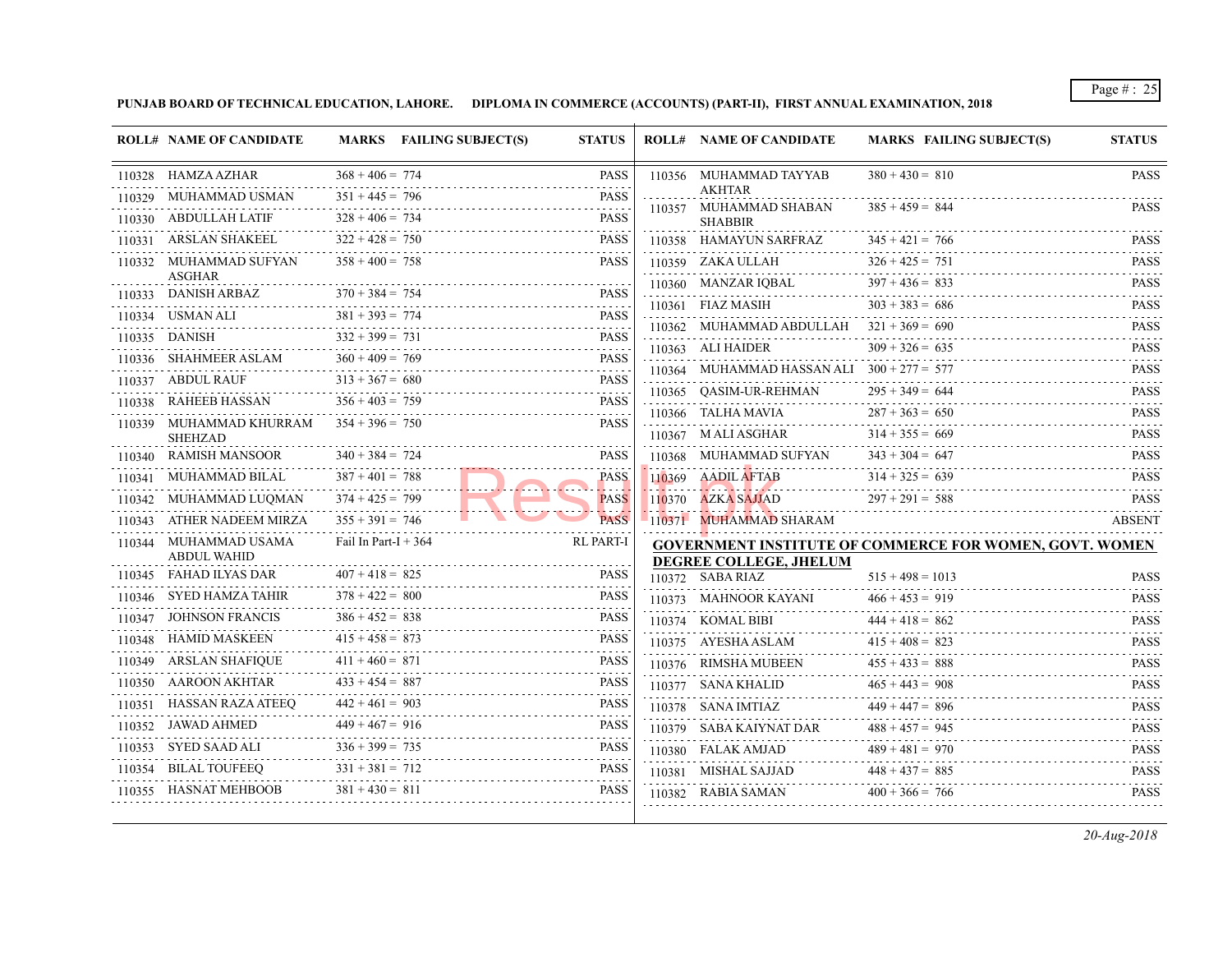|        | <b>ROLL# NAME OF CANDIDATE</b>              |                        | MARKS FAILING SUBJECT(S) | <b>STATUS</b> | <b>ROLL# NAME OF CANDIDATE</b>                                           | <b>MARKS FAIL</b>      |
|--------|---------------------------------------------|------------------------|--------------------------|---------------|--------------------------------------------------------------------------|------------------------|
|        | 110328 HAMZA AZHAR                          | $368 + 406 = 774$      |                          | <b>PASS</b>   | 110356 MUHAMMAD TAYYAB                                                   | $380 + 430 = 810$      |
|        | 110329 MUHAMMAD USMAN                       | $351 + 445 = 796$      |                          | <b>PASS</b>   | AKHTAR                                                                   |                        |
|        | 110330 ABDULLAH LATIF                       | $328 + 406 = 734$<br>. |                          | <b>PASS</b>   | 110357 MUHAMMAD SHABAN<br><b>SHABBIR</b>                                 | $385 + 459 = 844$      |
|        | 110331 ARSLAN SHAKEEL                       | $322 + 428 = 750$      |                          | PASS          | 110358 HAMAYUN SARFRAZ                                                   | $345 + 421 = 766$      |
|        | 110332 MUHAMMAD SUFYAN<br><b>ASGHAR</b>     | $358 + 400 = 758$      |                          | PASS          | 110359 ZAKA ULLAH                                                        | .<br>$326 + 425 = 751$ |
|        | 110333 DANISH ARBAZ                         | $370 + 384 = 754$      |                          | <b>PASS</b>   | 110360 MANZAR IOBAL                                                      | $397 + 436 = 833$      |
|        | 110334 USMAN ALI                            | .<br>$381 + 393 = 774$ |                          | <b>PASS</b>   | 110361 FIAZ MASIH                                                        | $303 + 383 = 686$      |
|        | 110335 DANISH                               | $332 + 399 = 731$      |                          | PASS          | 110362 MUHAMMAD ABDULLAH                                                 | $321 + 369 = 690$      |
|        | 110336 SHAHMEER ASLAM                       | .<br>$360 + 409 = 769$ |                          | <b>PASS</b>   | 110363 ALI HAIDER                                                        | $309 + 326 = 635$      |
|        | 110337 ABDUL RAUF                           | $313 + 367 = 680$      |                          | <b>PASS</b>   | 110364 MUHAMMAD HASSAN ALI $300 + 277 = 577$                             |                        |
|        |                                             | $356 + 403 = 759$      |                          |               | 110365 QASIM-UR-REHMAN                                                   | $295 + 349 = 644$      |
|        | 110338 RAHEEB HASSAN                        |                        |                          | PASS          | 110366 TALHA MAVIA                                                       | .<br>$287 + 363 = 650$ |
|        | 110339 MUHAMMAD KHURRAM<br><b>SHEHZAD</b>   | $354 + 396 = 750$      |                          | <b>PASS</b>   | 110367 M ALI ASGHAR                                                      | $314 + 355 = 669$      |
|        | 110340 RAMISH MANSOOR                       | $340 + 384 = 724$      |                          | <b>PASS</b>   | 110368 MUHAMMAD SUFYAN                                                   | $343 + 304 = 647$      |
|        | 110341 MUHAMMAD BILAL                       | $387 + 401 = 788$      |                          | <b>PASS</b>   | 110369 AADIL AFTAB                                                       | $314 + 325 = 639$      |
| 110342 | MUHAMMAD LUOMAN                             | $374 + 425 = 799$<br>. |                          | <b>PASS</b>   | 110370 AZKA SAJJAD                                                       | $297 + 291 = 588$      |
|        | 110343 ATHER NADEEM MIRZA                   | $355 + 391 = 746$      |                          | <b>PASS</b>   | 110371 MUHAMMAD SHARAM                                                   |                        |
|        | 110344 MUHAMMAD USAMA<br><b>ABDUL WAHID</b> | Fail In Part-I $+364$  |                          | RL PART-I     | <b>GOVERNMENT INSTITUTE OF COMMERCE</b><br><b>DEGREE COLLEGE, JHELUM</b> |                        |
|        | 110345 FAHAD ILYAS DAR                      | $407 + 418 = 825$<br>. |                          | PASS          | 110372 SABA RIAZ                                                         | $515 + 498 = 1011$     |
|        | 110346 SYED HAMZA TAHIR                     | $378 + 422 = 800$      |                          | <b>PASS</b>   | 110373 MAHNOOR KAYANI                                                    | $466 + 453 = 919$      |
|        | 110347 JOHNSON FRANCIS                      | $386 + 452 = 838$      |                          | PASS          | 110374 KOMAL BIBI                                                        | $444 + 418 = 862$      |
|        | 110348 HAMID MASKEEN                        | $415 + 458 = 873$      |                          | PASS          | 110375 AYESHA ASLAM                                                      | $415 + 408 = 823$      |
|        | 110349 ARSLAN SHAFIQUE                      | $411 + 460 = 871$<br>. |                          | <b>PASS</b>   | 110376 RIMSHA MUBEEN                                                     | $455 + 433 = 888$      |
|        | 110350 AAROON AKHTAR                        | $433 + 454 = 887$      |                          | <b>PASS</b>   | 110377 SANA KHALID                                                       | $465 + 443 = 908$      |
|        | 110351 HASSAN RAZA ATEEQ                    | $442 + 461 = 903$<br>. |                          | PASS          | 110378 SANA IMTIAZ                                                       | $449 + 447 = 896$      |
|        | 110352 JAWAD AHMED                          | $449 + 467 = 916$<br>. |                          | <b>PASS</b>   | 110379 SABA KAIYNAT DAR                                                  | $488 + 457 = 945$      |
|        | 110353 SYED SAAD ALI                        | $336 + 399 = 735$      |                          | <b>PASS</b>   | 110380 FALAK AMJAD                                                       | $489 + 481 = 970$      |
|        | 110354 BILAL TOUFEEQ                        | $331 + 381 = 712$      |                          | PASS          | 110381 MISHAL SAJJAD                                                     | $448 + 437 = 885$      |
|        | 110355 HASNAT MEHBOOB                       | $381 + 430 = 811$      |                          | PASS          | 110382 RABIA SAMAN                                                       | $400 + 366 = 766$      |
|        |                                             |                        |                          |               |                                                                          |                        |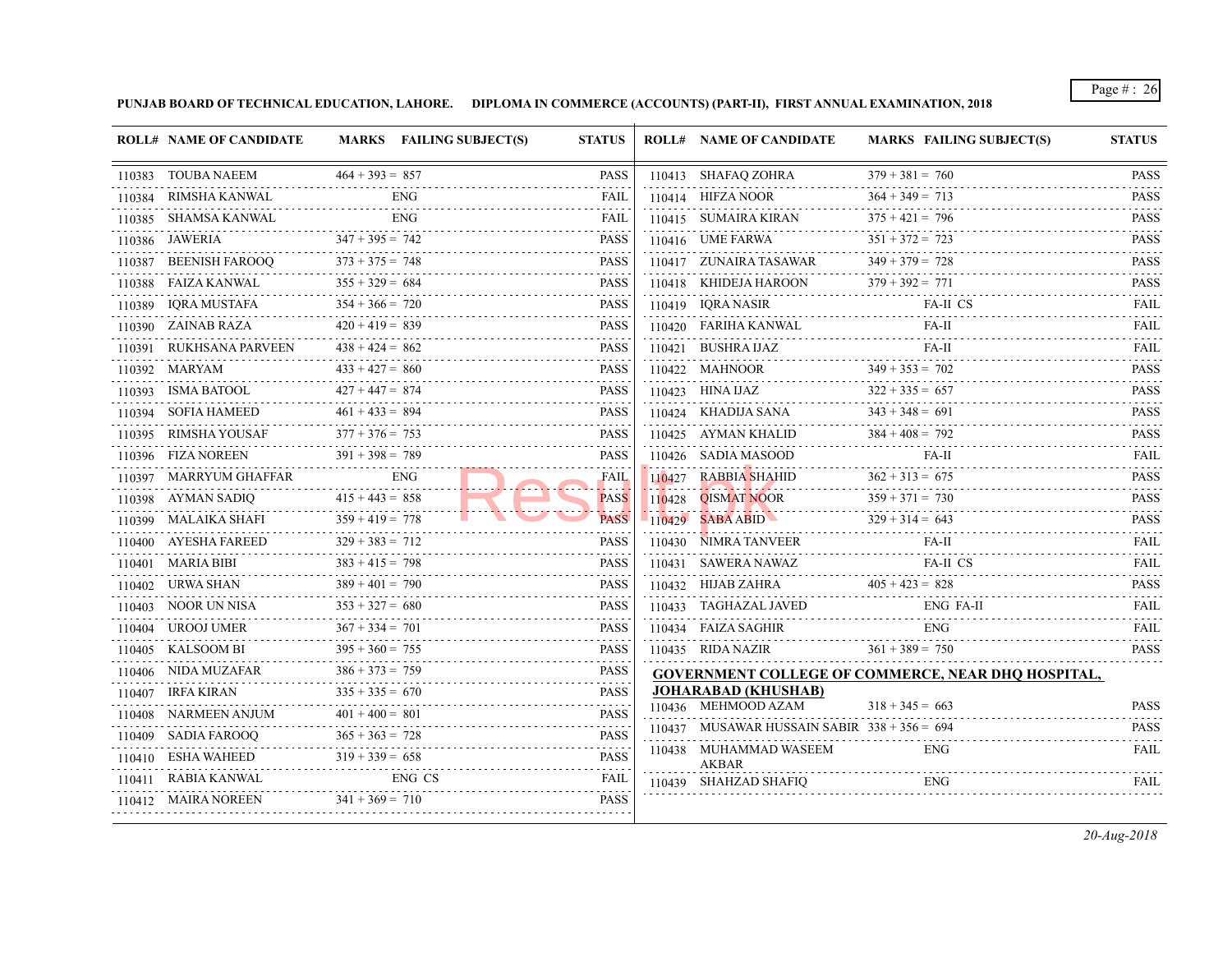|        | <b>ROLL# NAME OF CANDIDATE</b>                        |                        | MARKS FAILING SUBJECT(S) | <b>STATUS</b>    |        | <b>ROLL# NAME OF CANDIDATE</b>                 | <b>MARKS FAIL</b>      |
|--------|-------------------------------------------------------|------------------------|--------------------------|------------------|--------|------------------------------------------------|------------------------|
|        | 110383 TOUBA NAEEM                                    | $464 + 393 = 857$      |                          | <b>PASS</b>      |        | 110413 SHAFAQ ZOHRA                            | $379 + 381 = 760$      |
|        | 110384 RIMSHA KANWAL                                  |                        | <b>ENG</b>               | FAIL             |        | 110414 HIFZA NOOR                              | $364 + 349 = 713$      |
|        | 110385 SHAMSA KANWAL                                  |                        |                          | FAIL             |        | 110415 SUMAIRA KIRAN                           | $375 + 421 = 796$      |
|        | 110386 JAWERIA                                        | $347 + 395 = 742$      |                          | PASS             |        | 110416 UME FARWA                               | $351 + 372 = 723$      |
|        | 110387 BEENISH FAROOQ 373 + 375 = 748                 |                        |                          | <b>PASS</b>      |        | 110417 ZUNAIRA TASAWAR                         | .<br>$349 + 379 = 728$ |
|        | 110388 FAIZA KANWAL                                   | $355 + 329 = 684$      |                          | PASS             |        | 110418 KHIDEJA HAROON $379 + 392 = 771$        |                        |
|        | 110389 IQRA MUSTAFA $354 + 366 = 720$ PASS            |                        |                          |                  |        | 110419 IQRA NASIR                              | FA-II                  |
|        | 110390 ZAINAB RAZA                                    | $420 + 419 = 839$<br>. |                          | <b>PASS</b>      |        | 110420 FARIHA KANWAL                           | FA-II                  |
|        | 110391 RUKHSANA PARVEEN $438 + 424 = 862$             |                        |                          | <b>PASS</b>      |        | 110421 BUSHRA IJAZ                             | FA-II                  |
|        | 110392 MARYAM                                         | $433 + 427 = 860$      |                          | <b>PASS</b>      |        | 110422 MAHNOOR 349 + 353 = 702                 |                        |
|        | 110393 ISMA BATOOL $427 + 447 = 874$                  |                        |                          | <b>PASS</b>      |        | 110423 HINA IJAZ                               | $322 + 335 = 657$      |
|        | 110394 SOFIA HAMEED                                   | $461 + 433 = 894$      |                          | PASS             |        | 110424 KHADIJA SANA                            | $343 + 348 = 691$      |
|        | 110395 RIMSHA YOUSAF 377 + 376 = 753                  |                        |                          | <b>PASS</b>      |        | 110425 AYMAN KHALID                            | $384 + 408 = 792$      |
|        | 110396 FIZA NOREEN                                    | $391 + 398 = 789$      |                          | PASS             |        | 110426 SADIA MASOOD                            | $FA-II$                |
| 110397 | MARRYUM GHAFFAR                                       |                        | ENG.                     | <b>FAIL</b>      | 110427 | RABBIA SHAHID                                  | $362 + 313 = 675$      |
|        | $Y$ MAN SADIQ $415 + 443 = 858$<br>110398 AYMAN SADIQ |                        |                          | <b>PASS</b>      |        | 110428 QISMAT NOOR<br>QISMAT NOOR 359 + 371 =  | $359 + 371 = 730$      |
|        | 110399 MALAIKA SHAFI $359 + 419 = 778$                | .                      |                          | <b>PASS</b>      |        | $110429$ SABA ABID 329 + 314 = 643             |                        |
|        | 110400 AYESHA FAREED $329 + 383 = 712$                |                        |                          | <b>PASS</b>      |        | 110430 NIMRA TANVEER                           | FA-II                  |
|        | 10401 MARIA BIBI 383 + 415 = 798<br>110401 MARIA BIBI |                        |                          | PASS             |        | 110431 SAWERA NAWAZ                            | FA-II                  |
|        | 110402 URWA SHAN<br>URWA SHAN $389 + 401 = 790$ PASS  |                        |                          | <b>PASS</b>      |        | 110432 HIJAB ZAHRA $405 + 423 = 828$           |                        |
|        | 110403 NOOR UN NISA                                   | $353 + 327 = 680$      |                          | <b>PASS</b>      |        | 110433 TAGHAZAL JAVED                          | <b>ENG</b>             |
|        | 110404 UROOJ UMER                                     | $367 + 334 = 701$      |                          | <b>PASS</b>      |        | 110434 FAIZA SAGHIR                            | <b>ENG</b>             |
|        | 110405 KALSOOM BI                                     | $395 + 360 = 755$      |                          | <b>PASS</b>      |        | 110435 RIDA NAZIR                              | $361 + 389 = 750$      |
|        | 110406 NIDA MUZAFAR $386 + 373 = 759$                 | .                      |                          | PASS             |        | <b>GOVERNMENT COLLEGE OF COMMERCE, N</b>       |                        |
|        | 110407 IRFA KIRAN                                     | $335 + 335 = 670$      |                          | PASS<br>.        |        | <b>JOHARABAD (KHUSHAB)</b>                     |                        |
|        | 110408 NARMEEN ANJUM                                  |                        | JUM $401 + 400 = 801$    | <b>PASS</b><br>. |        | 110436 MEHMOOD AZAM                            | $318 + 345 = 663$      |
|        | 110409 SADIA FAROOQ                                   | $365 + 363 = 728$      |                          | PASS             |        | 110437 MUSAWAR HUSSAIN SABIR $338 + 356 = 694$ | .                      |
|        | 110410 ESHA WAHEED                                    | $319 + 339 = 658$      |                          | <b>PASS</b>      |        | 110438 MUHAMMAD WASEEM<br>AKBAR                | ENG                    |
| 110411 | RABIA KANWAL                                          |                        | ENG CS                   | FAIL             |        | 110439 SHAHZAD SHAFIQ                          | <b>ENG</b>             |
|        | 110412 MAIRA NOREEN                                   | $341 + 369 = 710$      |                          | <b>PASS</b>      |        |                                                |                        |
|        |                                                       |                        |                          |                  |        |                                                |                        |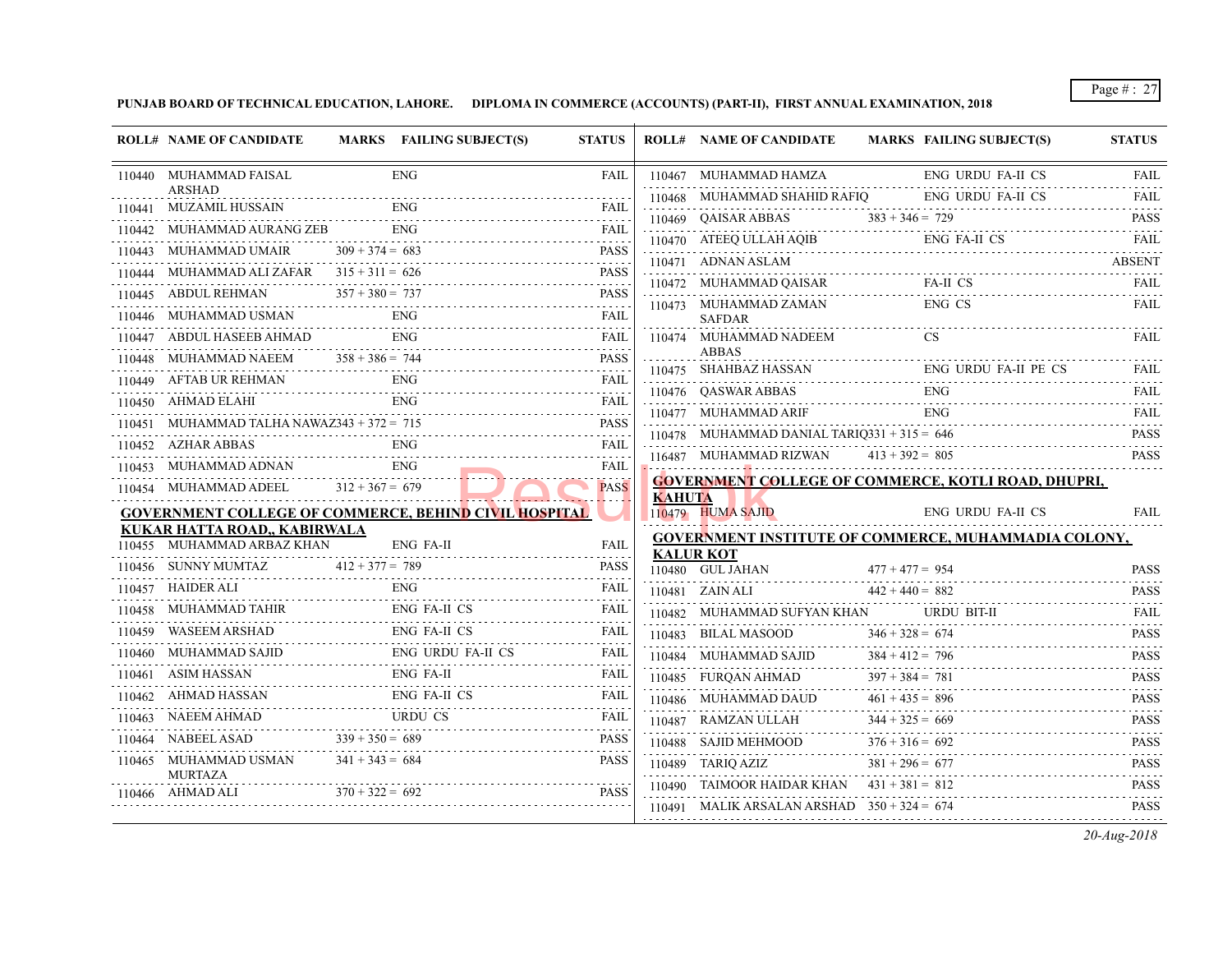| <b>ROLL# NAME OF CANDIDATE</b>                                                                                         |                                                                                                                                                                                                                                 | MARKS FAILING SUBJECT(S)      | <b>STATUS</b> |        | <b>ROLL# NAME OF CANDIDATE</b>                | <b>MARKS FAIL</b> |
|------------------------------------------------------------------------------------------------------------------------|---------------------------------------------------------------------------------------------------------------------------------------------------------------------------------------------------------------------------------|-------------------------------|---------------|--------|-----------------------------------------------|-------------------|
| 110440 MUHAMMAD FAISAL                                                                                                 |                                                                                                                                                                                                                                 | <b>ENG</b>                    | FAIL          |        | 110467 MUHAMMAD HAMZA                         | <b>ENG</b>        |
| ARSHAD<br>110441 MUZAMIL HUSSAIN                                                                                       |                                                                                                                                                                                                                                 | ENG-                          | FAIL          |        | 110468 MUHAMMAD SHAHID RAFIQ                  | <b>ENG</b>        |
| 110442 MUHAMMAD AURANG ZEB                                                                                             |                                                                                                                                                                                                                                 | ENG                           |               |        | 110469 QAISAR ABBAS $383 + 346 = 729$         |                   |
|                                                                                                                        | $309 + 374 = 683$                                                                                                                                                                                                               |                               |               |        | 110470 ATEEQ ULLAH AQIB                       | <b>ENG</b>        |
| 110443 MUHAMMAD UMAIR $309 + 374 = 683$ PASS                                                                           |                                                                                                                                                                                                                                 |                               |               |        | 110471 ADNAN ASLAM                            |                   |
| 110444 MUHAMMAD ALI ZAFAR $315 + 311 = 626$                                                                            |                                                                                                                                                                                                                                 | PASS                          | <b>PASS</b>   |        | 110472 MUHAMMAD QAISAR                        | - FA-II           |
| 110445 ABDUL REHMAN $357 + 380 = 737$                                                                                  |                                                                                                                                                                                                                                 |                               | <b>PASS</b>   |        | 110473 MUHAMMAD ZAMAN                         | <b>ENG</b>        |
| 110446 MUHAMMAD USMAN                                                                                                  |                                                                                                                                                                                                                                 | <b>ENG</b>                    | FAIL          |        | <b>SAFDAR</b>                                 |                   |
| 110447 ABDUL HASEEB AHMAD                                                                                              |                                                                                                                                                                                                                                 | ENG                           | <b>FAIL</b>   |        | 110474 MUHAMMAD NADEEM<br><b>ABBAS</b>        | <b>CS</b>         |
| 110448 MUHAMMAD NAEEM $358 + 386 = 744$                                                                                |                                                                                                                                                                                                                                 |                               | <b>PASS</b>   |        | 110475 SHAHBAZ HASSAN                         | ENG I             |
| 110449 AFTAB UR REHMAN ENG FAIL                                                                                        |                                                                                                                                                                                                                                 |                               | FAIL          |        | 110476 QASWAR ABBAS                           | ENG               |
| 110450 AHMAD ELAHI                                                                                                     | e de la componentación de la componentación de la componentación de la componentación de la componentación de<br>En la componentación de la componentación de la componentación de la componentación de la componentación de la | ENG                           | FAIL          |        | 110477 MUHAMMAD ARIF                          | ENG.              |
| 110451 MUHAMMAD TALHA NAWAZ343 + 372 = 715                                                                             |                                                                                                                                                                                                                                 |                               | PASS          |        | 110478 MUHAMMAD DANIAL TARIQ331 + 315 = 646   |                   |
| 110452 AZHAR ABBAS                                                                                                     |                                                                                                                                                                                                                                 | ENG                           | FAIL          |        | 116487 MUHAMMAD RIZWAN                        | $413 + 392 = 805$ |
| 110453 MUHAMMAD ADNAN                                                                                                  |                                                                                                                                                                                                                                 | <b>ENG</b>                    | FAIL          |        |                                               |                   |
| 110454 MUHAMMAD ADEEL $312 + 367 = 679$                                                                                |                                                                                                                                                                                                                                 |                               | <b>PASS</b>   | KAHUTA | <b>GOVERNMENT COLLEGE OF COMMERCE, I</b>      |                   |
| <b>GOVERNMENT COLLEGE OF COMMERCE, BEHIND CIVIL HOSPITAL</b>                                                           |                                                                                                                                                                                                                                 |                               |               |        | 110479 HUMA SAJID                             | ENG.              |
| KUKAR HATTA ROAD,, KABIRWALA<br>110455 MUHAMMAD ARBAZ KHAN                                                             |                                                                                                                                                                                                                                 |                               | <b>FAIL</b>   |        | <b>GOVERNMENT INSTITUTE OF COMMERCE,</b>      |                   |
|                                                                                                                        |                                                                                                                                                                                                                                 | ENG FA-II                     |               |        | <b>KALUR KOT</b>                              |                   |
| 110456 SUNNY MUMTAZ $412 + 377 = 789$                                                                                  |                                                                                                                                                                                                                                 |                               | <b>PASS</b>   |        | 110480 GUL JAHAN                              | $477 + 477 = 954$ |
| 110457 HAIDER ALI                                                                                                      |                                                                                                                                                                                                                                 | ENG                      FAIL | FAIL          |        | $442 + 440 = 882$<br>110481 ZAIN ALI          |                   |
| $\begin{tabular}{lllllllllll} \bf 110458 & \text{MUHAMMAD TAHIR} & \text{ENG FA-II CS} \\ \hline \end{tabular}$        |                                                                                                                                                                                                                                 |                               | FAIL          |        | 110482 MUHAMMAD SUFYAN KHAN                   | <b>URD</b>        |
| 110459 WASEEM ARSHAD ENG FA-II CS                                                                                      |                                                                                                                                                                                                                                 |                               | FAIL          |        | 110483 BILAL MASOOD                           | $346 + 328 = 674$ |
| 110460 MUHAMMAD SAJID                                                                                                  |                                                                                                                                                                                                                                 | SAJID ENG URDU FA-II CS FAIL  |               |        | 110484 MUHAMMAD SAJID                         | $384 + 412 = 796$ |
| 110461 ASIM HASSAN                                                                                                     |                                                                                                                                                                                                                                 | V ENG FA-II                   | FAIL          |        | 110485 FURQAN AHMAD $397 + 384 = 781$         |                   |
| $\begin{tabular}{lllllllll} \bf 110462 & AHMAD HASSAN & \textbf{ENG FA-II CS} & \textbf{FAIL} \\ \hline \end{tabular}$ |                                                                                                                                                                                                                                 |                               |               |        | 110486 MUHAMMAD DAUD $461 + 435 = 896$        |                   |
| 110463 NAEEM AHMAD                                                                                                     |                                                                                                                                                                                                                                 | URDU CS                       | FAIL          |        | 110487 RAMZAN ULLAH $344 + 325 = 669$         |                   |
| $339 + 350 = 689$<br>110464 NABEEL ASAD                                                                                |                                                                                                                                                                                                                                 |                               | PASS          |        | 110488 SAJID MEHMOOD $376 + 316 = 692$        |                   |
| 110465 MUHAMMAD USMAN<br><b>MURTAZA</b>                                                                                | $341 + 343 = 684$                                                                                                                                                                                                               |                               | PASS          |        | 110489 TARIQ AZIZ                             | $381 + 296 = 677$ |
| $370 + 322 = 692$<br>110466 AHMAD ALI                                                                                  |                                                                                                                                                                                                                                 |                               | <b>PASS</b>   |        | 110490 TAIMOOR HAIDAR KHAN $431 + 381 = 812$  |                   |
|                                                                                                                        |                                                                                                                                                                                                                                 |                               |               |        | 110491 MALIK ARSALAN ARSHAD $350 + 324 = 674$ |                   |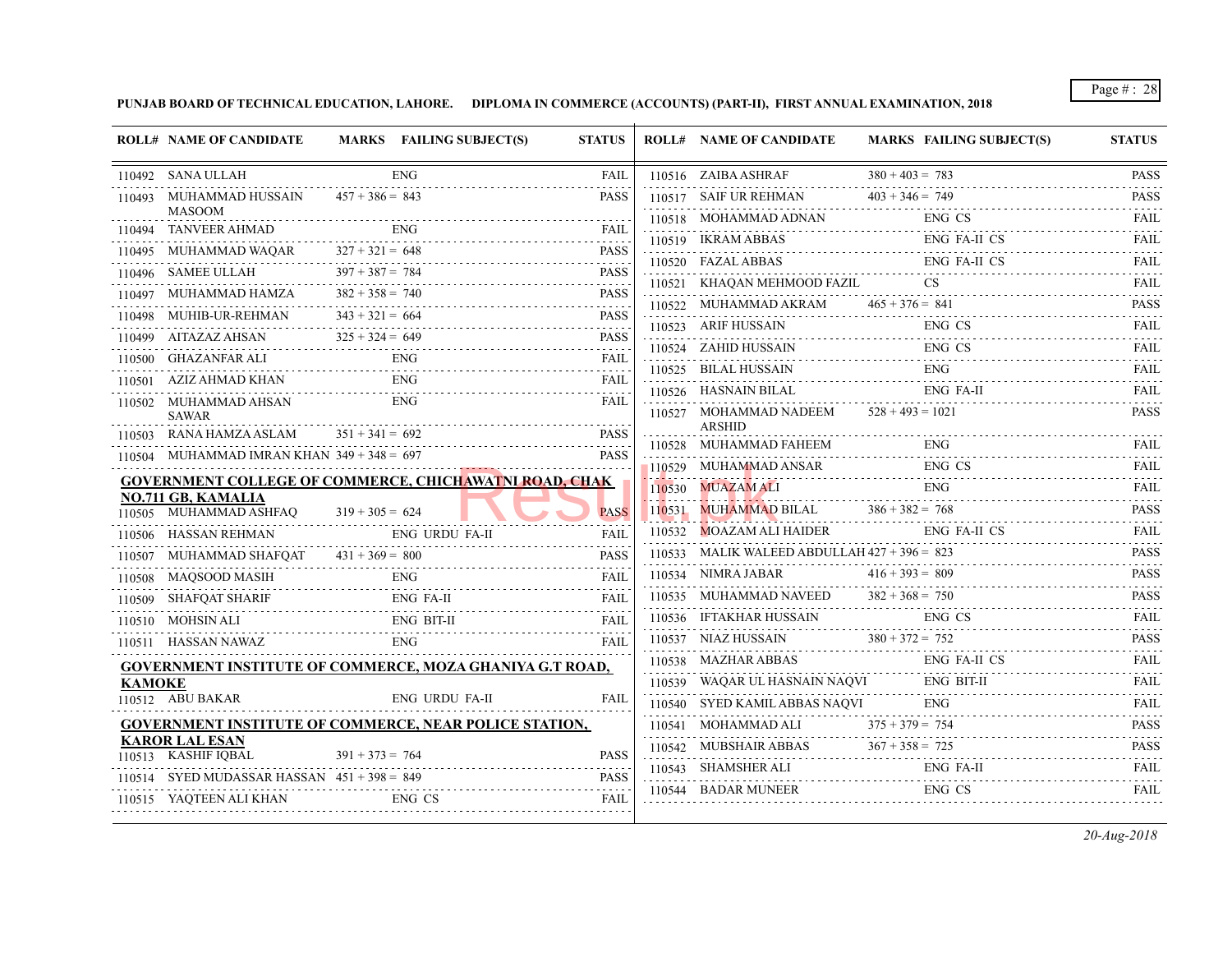|               | <b>ROLL# NAME OF CANDIDATE</b>                                  |                   | MARKS FAILING SUBJECT(S)           | <b>STATUS</b> | <b>ROLL# NAME OF CANDIDATE</b>                     | <b>MARKS FAIL</b> |
|---------------|-----------------------------------------------------------------|-------------------|------------------------------------|---------------|----------------------------------------------------|-------------------|
|               | 110492 SANA ULLAH                                               |                   | <b>ENG</b>                         | <b>FAIL</b>   | 110516 ZAIBA ASHRAF                                | $380 + 403 = 783$ |
|               | 110493 MUHAMMAD HUSSAIN                                         | $457 + 386 = 843$ |                                    | <b>PASS</b>   | 110517 SAIF UR REHMAN $403 + 346 = 749$            |                   |
|               | <b>MASOOM</b>                                                   |                   |                                    |               | $110518$ MOHAMMAD ADNAN EN                         | <b>ENG</b>        |
|               | 110494 TANVEER AHMAD                                            |                   | ENG-                               | FAIL<br>.     | 110519 IKRAM ABBAS<br>110519 IKRAM ABBAS ENG       | <b>ENG</b>        |
|               | 110495 MUHAMMAD WAQAR $327 + 321 = 648$                         |                   | $WAQAR$ $327 + 321 = 648$ PASS     | <b>PASS</b>   | 110520 FAZAL ABBAS                                 | <b>ENG</b>        |
|               | 110496 SAMEE ULLAH $397 + 387 = 784$ PASS                       | $397 + 387 = 784$ |                                    |               | 110521 KHAQAN MEHMOOD FAZIL                        | CS.               |
|               | 110497 MUHAMMAD HAMZA $382 + 358 = 740$                         |                   |                                    | <b>PASS</b>   | 110522 MUHAMMAD AKRAM $465 + 376 = 841$            |                   |
|               | 110498 MUHIB-UR-REHMAN $343 + 321 = 664$                        |                   | IIB-UR-REHMAN 343 + 321 = 664 PASS |               | 110523 ARIF HUSSAIN                                | <b>ENG</b>        |
|               | 110499 AITAZAZ AHSAN $325 + 324 = 649$ PASS                     |                   |                                    | <b>PASS</b>   | 110523 ARIF HUSSAIN EN                             | <b>ENG</b>        |
|               | 110500 GHAZANFAR ALI ENG FAIL FAIL                              |                   |                                    |               | $110524$ ZAHID HUSSAIN ENC                         |                   |
|               |                                                                 |                   |                                    |               | $110525$ BILAL HUSSAIN                             | <b>ENG</b>        |
| 110502        | MUHAMMAD AHSAN                                                  |                   | <b>ENG</b>                         | <b>FAIL</b>   | 110526 HASNAIN BILAL                               | <b>ENG</b>        |
|               | <b>SAWAR</b>                                                    |                   |                                    |               | 110527 MOHAMMAD NADEEM $528 + 493 = 102$<br>ARSHID |                   |
|               | 110503 RANA HAMZA ASLAM                                         |                   | $M = 351 + 341 = 692$ PASS         | <b>PASS</b>   | 110528 MUHAMMAD FAHEEM                             | ENG I             |
|               | 110504 MUHAMMAD IMRAN KHAN $349 + 348 = 697$                    |                   |                                    | <b>PASS</b>   |                                                    | <b>ENG</b>        |
|               | GOVERNMENT COLLEGE OF COMMERCE, CHICHAWATNI ROAD, CHAK          |                   |                                    |               | $110529$ MUHAMMAD ANSAR EN<br>110530 MUAZAM ALI    | <b>ENG</b>        |
|               | <b>NO.711 GB, KAMALIA</b>                                       |                   |                                    |               | 110531 MUHAMMAD BILAL $386 + 382 = 768$            |                   |
|               | 110505 MUHAMMAD ASHFAQ                                          | $319 + 305 = 624$ |                                    | <b>PASS</b>   | 110532 MOAZAM ALI HAIDER                           | <b>ENG</b>        |
|               | 110506 HASSAN REHMAN                                            |                   | ENG URDU FA-II                     | <b>FAIL</b>   |                                                    |                   |
|               | 110507 MUHAMMAD SHAFQAT $431 + 369 = 800$                       |                   |                                    | <b>PASS</b>   | 110533 MALIK WALEED ABDULLAH $427 + 396 = 823$     |                   |
|               | 110508 MAQSOOD MASIH<br>{ <br>                                  |                   | ENG-                               | FAIL          | 110534 NIMRA JABAR $416 + 393 = 809$               |                   |
|               | 110509 SHAFOAT SHARIF                                           |                   | ENG FA-II                          |               | 110535 MUHAMMAD NAVEED $382 + 368 = 750$           |                   |
|               | 110510 MOHSIN ALI                                               | ENG BIT-II        |                                    | <b>FAIL</b>   | 110536 IFTAKHAR HUSSAIN                            | <b>ENG</b>        |
|               | 110511 HASSAN NAWAZ                                             |                   | ENG                                | <b>FAIL</b>   | 110537 NIAZ HUSSAIN $380 + 372 = 752$              |                   |
|               | <b>GOVERNMENT INSTITUTE OF COMMERCE, MOZA GHANIYA G.T ROAD,</b> |                   |                                    |               | 110538 MAZHAR ABBAS                                | <b>ENG</b>        |
| <b>KAMOKE</b> |                                                                 |                   |                                    |               | 110539 WAQAR UL HASNAIN NAQVI                      | ENG               |
|               | 110512 ABU BAKAR                                                |                   | ENG URDU FA-II                     | FAIL          | 110540 SYED KAMIL ABBAS NAOVI                      | <b>ENG</b>        |
|               | <b>GOVERNMENT INSTITUTE OF COMMERCE, NEAR POLICE STATION,</b>   |                   |                                    |               | 110541 MOHAMMAD ALI $375 + 379 = 754$              |                   |
|               | <b>KAROR LAL ESAN</b>                                           |                   |                                    |               | .<br>110542 MUBSHAIR ABBAS $367 + 358 = 725$       |                   |
|               | 110513 KASHIF IQBAL                                             | $391 + 373 = 764$ |                                    | <b>PASS</b>   | 110543 SHAMSHER ALI<br>SHAMSHER ALI EN             | <b>ENG</b>        |
|               | $110514$ SYED MUDASSAR HASSAN $451 + 398 = 849$                 |                   |                                    | <b>PASS</b>   | 110544 BADAR MUNEER                                | <b>ENG</b>        |
|               | 110515 YAQTEEN ALI KHAN                                         |                   | YAQTEEN ALI KHAN ENG CS FAIL       |               |                                                    |                   |
|               |                                                                 |                   |                                    |               |                                                    |                   |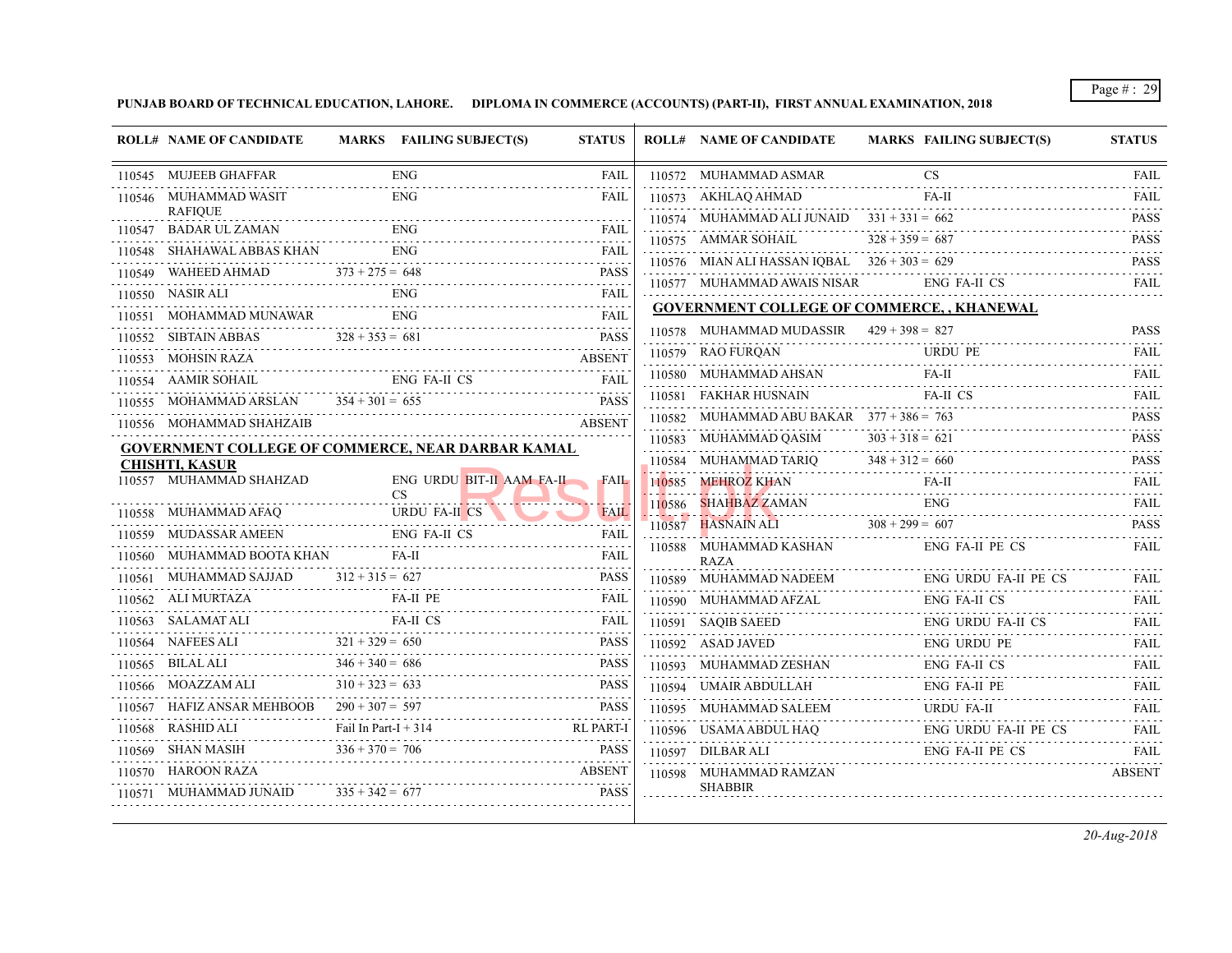|        | <b>ROLL# NAME OF CANDIDATE</b>                                                    |                       | MARKS FAILING SUBJECT(S)          | <b>STATUS</b>                                                                                                                                                                                                                                                                                                                                                                                                                                                                                         |              | <b>ROLL# NAME OF CANDIDATE</b>                                                                                                                 | <b>MARKS FAIL</b> |
|--------|-----------------------------------------------------------------------------------|-----------------------|-----------------------------------|-------------------------------------------------------------------------------------------------------------------------------------------------------------------------------------------------------------------------------------------------------------------------------------------------------------------------------------------------------------------------------------------------------------------------------------------------------------------------------------------------------|--------------|------------------------------------------------------------------------------------------------------------------------------------------------|-------------------|
|        | 110545 MUJEEB GHAFFAR                                                             |                       | ENG-                              | FAIL                                                                                                                                                                                                                                                                                                                                                                                                                                                                                                  |              | 110572 MUHAMMAD ASMAR                                                                                                                          | <b>CS</b>         |
|        | 110546 MUHAMMAD WASIT                                                             |                       | ENG.                              | FAIL                                                                                                                                                                                                                                                                                                                                                                                                                                                                                                  |              | 110573 AKHLAQ AHMAD                                                                                                                            | FA-II             |
|        | <b>RAFIOUE</b><br>BADAR UL ZAMAN                                                  |                       | ENG.                              |                                                                                                                                                                                                                                                                                                                                                                                                                                                                                                       |              | 110574 MUHAMMAD ALI JUNAID $331 + 331 = 662$                                                                                                   |                   |
| 110547 | 110548 SHAHAWAL ABBAS KHAN                                                        |                       | <b>ENG</b>                        | FAIL<br>$- - - - - - -$<br><b>FAIL</b>                                                                                                                                                                                                                                                                                                                                                                                                                                                                |              | 110575 AMMAR SOHAIL                                                                                                                            | $328 + 359 = 687$ |
|        |                                                                                   | $373 + 275 = 648$     |                                   | 2.2.2.2.2                                                                                                                                                                                                                                                                                                                                                                                                                                                                                             |              | 110576 MIAN ALI HASSAN IQBAL $326 + 303 = 629$                                                                                                 |                   |
| 110549 | WAHEED AHMAD                                                                      |                       |                                   | <b>PASS</b>                                                                                                                                                                                                                                                                                                                                                                                                                                                                                           |              | 110577 MUHAMMAD AWAIS NISAR                                                                                                                    | ENG I             |
|        | 110550 NASIR ALI                                                                  |                       | ENG.                              | FAIL                                                                                                                                                                                                                                                                                                                                                                                                                                                                                                  |              | <b>GOVERNMENT COLLEGE OF COMMERCE,,</b>                                                                                                        |                   |
|        | 110551 MOHAMMAD MUNAWAR                                                           |                       | ENG-                              | <b>FAIL</b><br><b>PASS</b>                                                                                                                                                                                                                                                                                                                                                                                                                                                                            |              | 110578 MUHAMMAD MUDASSIR $429 + 398 = 827$                                                                                                     |                   |
|        | 110552 SIBTAIN ABBAS $328 + 353 = 681$ PAS                                        | $328 + 353 = 681$     |                                   | <b>ABSENT</b>                                                                                                                                                                                                                                                                                                                                                                                                                                                                                         |              | 110579 RAO FURQAN                                                                                                                              | <b>URD</b>        |
|        | 110553 MOHSIN RAZA                                                                |                       | ENG FA-II CS                      | <b>FAIL</b>                                                                                                                                                                                                                                                                                                                                                                                                                                                                                           |              | 110580 MUHAMMAD AHSAN                                                                                                                          | FA-II             |
|        | 110554 AAMIR SOHAIL<br>MOHAMMAD ARSLAN                                            | $354 + 301 = 655$     |                                   | PASS                                                                                                                                                                                                                                                                                                                                                                                                                                                                                                  |              | 110581 FAKHAR HUSNAIN                                                                                                                          | FA-II             |
| 110555 |                                                                                   |                       |                                   | <b>ABSENT</b>                                                                                                                                                                                                                                                                                                                                                                                                                                                                                         |              | 110582 MUHAMMAD ABU BAKAR $377 + 386 = 763$                                                                                                    |                   |
|        | 110556 MOHAMMAD SHAHZAIB                                                          |                       |                                   |                                                                                                                                                                                                                                                                                                                                                                                                                                                                                                       |              | 110583 MUHAMMAD OASIM                                                                                                                          | $303 + 318 = 621$ |
|        | <b>GOVERNMENT COLLEGE OF COMMERCE, NEAR DARBAR KAMAL</b><br><b>CHISHTI, KASUR</b> |                       |                                   |                                                                                                                                                                                                                                                                                                                                                                                                                                                                                                       |              | .110584    MUHAMMAD TARIQ                                                                                                                      | $348 + 312 = 660$ |
|        | 110557 MUHAMMAD SHAHZAD                                                           |                       | ENG URDU BIT-II AAM FA-II         | <b>FAIL</b>                                                                                                                                                                                                                                                                                                                                                                                                                                                                                           |              | 110585 MEHROZ KHAN                                                                                                                             | FA-II             |
|        |                                                                                   |                       | CS                                |                                                                                                                                                                                                                                                                                                                                                                                                                                                                                                       |              | 110586 SHAHBAZ ZAMAN                                                                                                                           | <b>ENG</b>        |
| 110558 | MUHAMMAD AFAO                                                                     |                       | URDU FA-II CS                     | <b>FAIL</b>                                                                                                                                                                                                                                                                                                                                                                                                                                                                                           | . . <b>.</b> | <u> 1999. – 1999. – 1999. – 1999. – 1999. – 1999. – 1999. – 1999. – 1999. – 1999. – 1999. – 1999. – 1999. – 1999. </u><br>$110587$ HASNAIN ALI | $308 + 299 = 607$ |
| 110559 | MUDASSAR AMEEN                                                                    |                       | ENG FA-II CS                      | FAIL                                                                                                                                                                                                                                                                                                                                                                                                                                                                                                  |              | 110588 MUHAMMAD KASHAN                                                                                                                         | <b>ENG</b>        |
|        | 110560 MUHAMMAD BOOTA KHAN                                                        |                       | $FA-II$                           | FAIL<br>and a state                                                                                                                                                                                                                                                                                                                                                                                                                                                                                   |              | <b>RAZA</b>                                                                                                                                    |                   |
| 110561 | MUHAMMAD SAJJAD                                                                   | $312 + 315 = 627$     | $D SAJJAD$ $312 + 315 = 627$ PASS | <b>PASS</b>                                                                                                                                                                                                                                                                                                                                                                                                                                                                                           |              | 110589 MUHAMMAD NADEEM                                                                                                                         | <b>ENG</b>        |
|        | 110562 ALI MURTAZA                                                                |                       |                                   | FAIL                                                                                                                                                                                                                                                                                                                                                                                                                                                                                                  |              | 110590 MUHAMMAD AFZAL                                                                                                                          | ENG.              |
|        |                                                                                   |                       | FA-II CS                          | FAIL                                                                                                                                                                                                                                                                                                                                                                                                                                                                                                  |              | 110591 SAQIB SAEED                                                                                                                             | <b>ENG</b>        |
|        | $321 + 329 = 650$<br>110564 NAFEES ALI<br>.                                       |                       |                                   | <b>PASS</b>                                                                                                                                                                                                                                                                                                                                                                                                                                                                                           |              | 110592 ASAD JAVED                                                                                                                              | <b>ENG</b>        |
|        | $346 + 340 = 686$<br>110565 BILAL ALI                                             |                       |                                   | <b>PASS</b>                                                                                                                                                                                                                                                                                                                                                                                                                                                                                           |              | 110593 MUHAMMAD ZESHAN                                                                                                                         | <b>ENG</b>        |
|        | 110566 MOAZZAM ALI<br>10566 MOAZZAM ALI $310 + 323 = 633$ PASS                    | $310 + 323 = 633$     |                                   |                                                                                                                                                                                                                                                                                                                                                                                                                                                                                                       |              | 110594 UMAIR ABDULLAH                                                                                                                          | <b>ENG</b>        |
|        | 110567 HAFIZ ANSAR MEHBOOB $290 + 307 = 597$                                      |                       |                                   | PASS                                                                                                                                                                                                                                                                                                                                                                                                                                                                                                  |              | 110595 MUHAMMAD SALEEM                                                                                                                         | <b>URD</b>        |
|        | 110568 RASHID ALI                                                                 | Fail In Part-I $+314$ |                                   | RL PART-I                                                                                                                                                                                                                                                                                                                                                                                                                                                                                             |              | 110596 USAMA ABDUL HAO                                                                                                                         | <b>ENG</b>        |
|        | 110569 SHAN MASIH                                                                 | $336 + 370 = 706$     |                                   | <b>PASS</b><br>$\begin{array}{cccccccccccccc} \multicolumn{2}{c}{} & \multicolumn{2}{c}{} & \multicolumn{2}{c}{} & \multicolumn{2}{c}{} & \multicolumn{2}{c}{} & \multicolumn{2}{c}{} & \multicolumn{2}{c}{} & \multicolumn{2}{c}{} & \multicolumn{2}{c}{} & \multicolumn{2}{c}{} & \multicolumn{2}{c}{} & \multicolumn{2}{c}{} & \multicolumn{2}{c}{} & \multicolumn{2}{c}{} & \multicolumn{2}{c}{} & \multicolumn{2}{c}{} & \multicolumn{2}{c}{} & \multicolumn{2}{c}{} & \multicolumn{2}{c}{} & \$ |              | 110597 DILBAR ALI                                                                                                                              | <b>ENG</b>        |
|        | 110570 HAROON RAZA                                                                |                       |                                   | <b>ABSENT</b>                                                                                                                                                                                                                                                                                                                                                                                                                                                                                         |              | 110598 MUHAMMAD RAMZAN                                                                                                                         |                   |
|        | 110571 MUHAMMAD JUNAID                                                            | $335 + 342 = 677$     |                                   | <b>PASS</b>                                                                                                                                                                                                                                                                                                                                                                                                                                                                                           |              | <b>SHABBIR</b>                                                                                                                                 |                   |
|        |                                                                                   |                       |                                   |                                                                                                                                                                                                                                                                                                                                                                                                                                                                                                       |              |                                                                                                                                                |                   |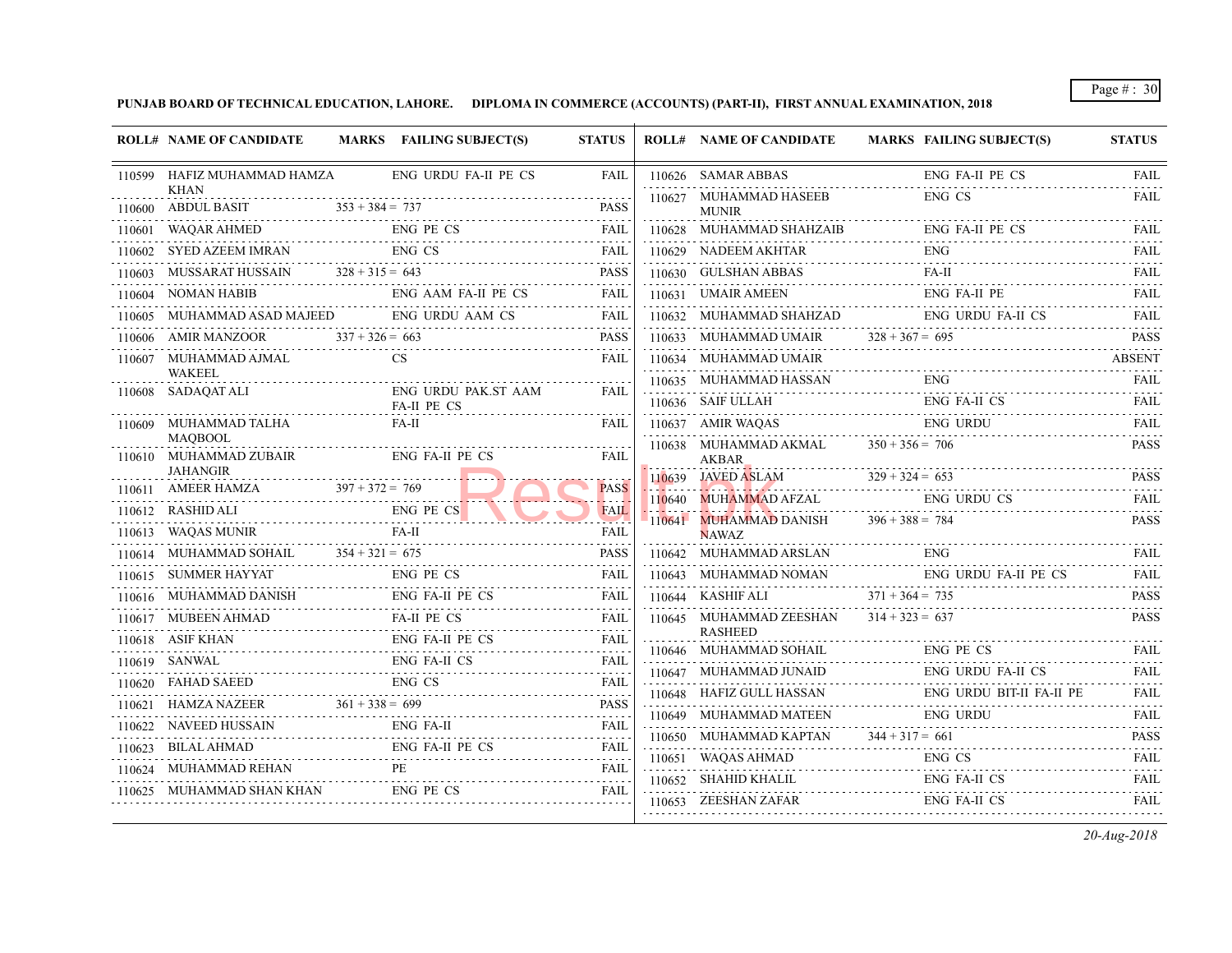|        | <b>ROLL# NAME OF CANDIDATE</b>                                                                                                                                                                                                                            | MARKS FAILING SUBJECT(S) | <b>STATUS</b>     | <b>ROLL# NAME OF CANDIDATE</b>                              | <b>MARKS FAIL</b>     |
|--------|-----------------------------------------------------------------------------------------------------------------------------------------------------------------------------------------------------------------------------------------------------------|--------------------------|-------------------|-------------------------------------------------------------|-----------------------|
|        | 110599 HAFIZ MUHAMMAD HAMZA                                                                                                                                                                                                                               | ENG URDU FA-II PE CS     | FAIL              | 110626 SAMAR ABBAS                                          | ENG.                  |
|        | <b>KHAN</b><br>$353 + 384 = 737$<br>110600 ABDUL BASIT                                                                                                                                                                                                    |                          | <b>PASS</b>       | 110627 MUHAMMAD HASEEB<br><b>MUNIR</b>                      | ENG.                  |
|        | 110601 WAQAR AHMED ENG PE CS FAIL                                                                                                                                                                                                                         |                          |                   | 110628 MUHAMMAD SHAHZAIB                                    | ENG I<br>SHAHZAIB ENC |
|        | 110602 SYED AZEEM IMRAN                                                                                                                                                                                                                                   | ENG CS<br>ENG CS FAIL    | FAIL              | 110629 NADEEM AKHTAR                                        | <b>ENG</b>            |
|        | 110603 MUSSARAT HUSSAIN $328 + 315 = 643$                                                                                                                                                                                                                 |                          | <b>PASS</b>       | 110630 GULSHAN ABBAS<br>.                                   | FA-II                 |
|        | 110604 NOMAN HABIB                                                                                                                                                                                                                                        | ENG AAM FA-II PE CS FAIL |                   | 110631 UMAIR AMEEN                                          | <b>ENG</b>            |
|        | 110605 MUHAMMAD ASAD MAJEED                                                                                                                                                                                                                               | ENG URDU AAM CS          | FAIL              | 110632 MUHAMMAD SHAHZAD                                     | <b>ENG</b>            |
|        | 110606 AMIR MANZOOR $337 + 326 = 663$                                                                                                                                                                                                                     |                          | PASS              | 110633 MUHAMMAD UMAIR                                       | $328 + 367 = 695$     |
|        | 110607 MUHAMMAD AJMAL                                                                                                                                                                                                                                     | CS.                      | <b>FAIL</b>       | 110634 MUHAMMAD UMAIR                                       |                       |
|        | <b>WAKEEL</b><br>110608 SADAQAT ALI                                                                                                                                                                                                                       | ENG URDU PAK.ST AAM      | FAIL              | $110635$ MUHAMMAD HASSAN                                    | ENG.                  |
|        |                                                                                                                                                                                                                                                           | FA-II PE CS              |                   | 110636 SAIF ULLAH                                           | ENG I                 |
|        | 110609 MUHAMMAD TALHA<br><b>MAOBOOL</b>                                                                                                                                                                                                                   | FA-II                    | <b>FAIL</b>       | 110637 AMIR WAQAS                                           | ENG I                 |
|        | 110610 MUHAMMAD ZUBAIR                                                                                                                                                                                                                                    | ENG FA-II PE CS          | FAIL              | 110638 MUHAMMAD AKMAL<br>AKBAR                              | $350 + 356 = 706$     |
|        | JAHANGIR                                                                                                                                                                                                                                                  |                          |                   | 110639 JAVED ASLAM                                          | $329 + 324 = 653$     |
|        | 110611 AMEER HAMZA 397 + 372 = 769                                                                                                                                                                                                                        |                          | <b>PASS</b><br>.  | 110640 MUHAMMAD AFZAL                                       | <b>ENG</b>            |
|        | 110612 RASHID ALI<br>DALI ENG P                                                                                                                                                                                                                           | ENG PE CS                | <b>FAIL</b>       | 110641 MUHAMMAD DANISH                                      | $396 + 388 = 784$     |
|        | 110613 WAQAS MUNIR                                                                                                                                                                                                                                        | FA-II                    | FAIL              | <b>NAWAZ</b>                                                |                       |
|        | 110614 MUHAMMAD SOHAIL $354 + 321 = 675$                                                                                                                                                                                                                  |                          | <b>PASS</b>       | 110642 MUHAMMAD ARSLAN                                      | <b>ENG</b>            |
|        | 110615 SUMMER HAYYAT ENG PE CS                                                                                                                                                                                                                            |                          | FAIL<br>2.2.2.2.2 | 110643 MUHAMMAD NOMAN                                       | <b>ENG</b>            |
|        | 110616 MUHAMMAD DANISH ENG FA-II PE CS FAIL PRODUCED FAIL                                                                                                                                                                                                 |                          | FAIL              | 110644 KASHIF ALI                                           | $371 + 364 = 735$     |
|        | 110617 MUBEEN AHMAD FA-II PE CS FAIL FAIL<br>110617 MUBEEN AHMAD                                                                                                                                                                                          |                          |                   | 110645 MUHAMMAD ZEESHAN $314 + 323 = 637$<br><b>RASHEED</b> |                       |
|        | 110618 ASIF KHAN ENG FA-II PE CS FAIL<br>110618 ASIF KHAN                                                                                                                                                                                                 |                          |                   | 110646 MUHAMMAD SOHAIL                                      | ENG.                  |
|        | 110619 SANWAL                                                                                                                                                                                                                                             | ENG FA-II CS             | FAIL              | 110647 MUHAMMAD JUNAID                                      | ENG.                  |
|        | 110620 FAHAD SAEED                                                                                                                                                                                                                                        | ENG CS FAIL              |                   | 110648 HAFIZ GULL HASSAN                                    | <b>ENG</b>            |
|        | 110621 HAMZA NAZEER $361 + 338 = 699$ PASS                                                                                                                                                                                                                |                          | <b>PASS</b>       | 110649 MUHAMMAD MATEEN                                      | <b>ENG</b>            |
|        | $\begin{minipage}{0.9\linewidth} \begin{tabular}{l} \hline \textbf{NAVEED HUSSAIN} \end{tabular} \begin{tabular}{l} \hline \textbf{ENG FA-II} \end{tabular} \begin{tabular}{l} \hline \textbf{EML} \end{tabular} \end{minipage}$<br>110622 NAVEED HUSSAIN |                          |                   | 110650 MUHAMMAD KAPTAN $344 + 317 = 661$                    |                       |
|        | 110623 BILAL AHMAD                                                                                                                                                                                                                                        | D ENG FA-II PE CS FAIL   |                   | 110651 WAQAS AHMAD                                          | ENG.                  |
|        | $\underbrace{\text{110624}}_{\text{110624}} \text{ MUHAMMAD REHAN} \underline{\text{PE}}_{\text{1110624}} \underline{\text{FAL}}_{\text{1211}}$                                                                                                           |                          | <b>FAIL</b>       | 110652 SHAHID KHALIL                                        | <b>ENG</b>            |
| 110625 | MUHAMMAD SHAN KHAN                                                                                                                                                                                                                                        | ENG PE CS                | FAIL              | 110653 ZEESHAN ZAFAR                                        | <b>ENG</b>            |
|        |                                                                                                                                                                                                                                                           |                          |                   |                                                             |                       |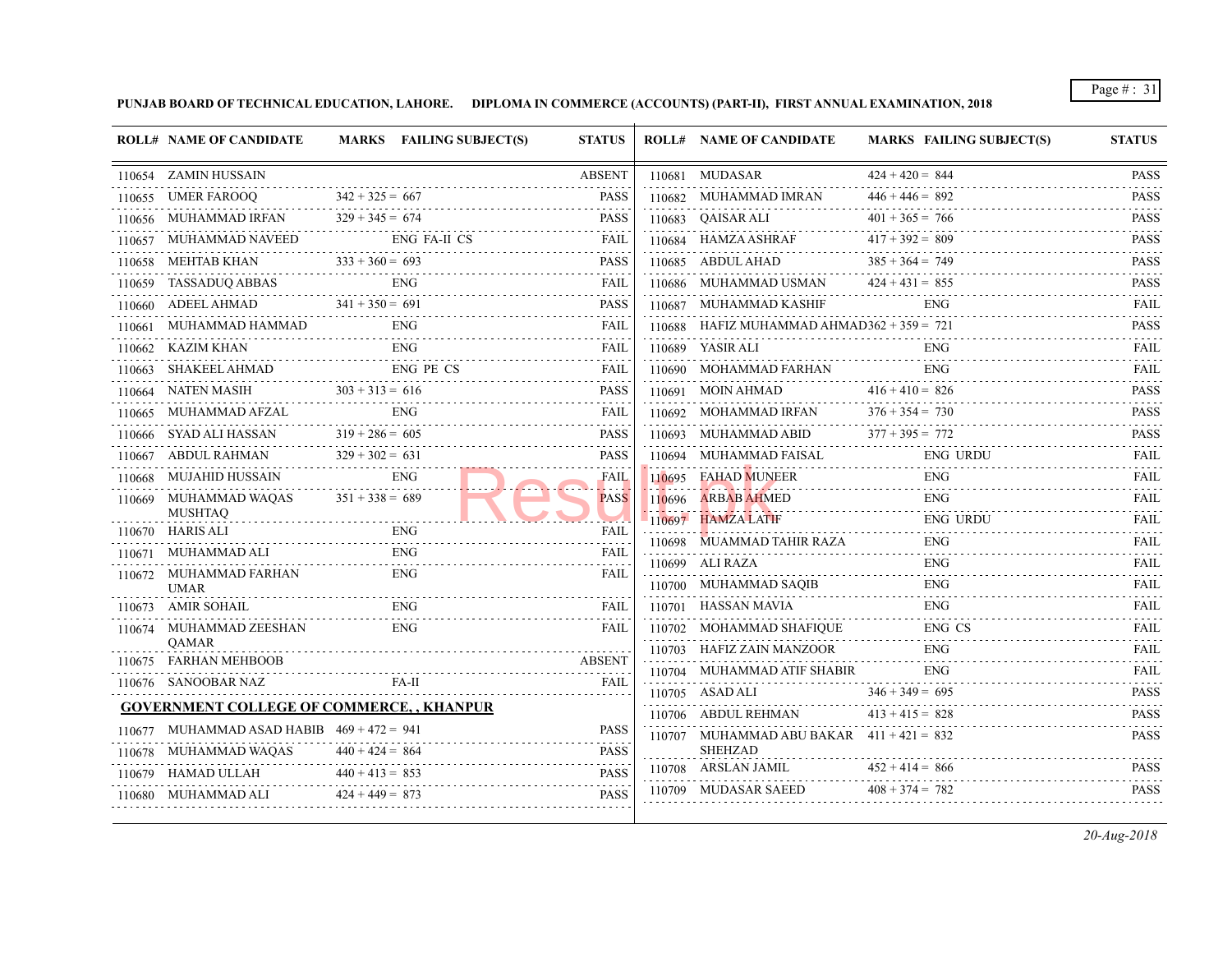| 110654 ZAMIN HUSSAIN<br>110655 UMER FAROOO<br>110656 MUHAMMAD IRFAN $329 + 345 = 674$<br>110657 MUHAMMAD NAVEED ENG FA-II CS<br>110658 MEHTAB KHAN<br>110660 ADEEL AHMAD $341 + 350 = 691$ PASS<br>110661 MUHAMMAD HAMMAD ENG FAIL<br>110662 KAZIM KHAN                                                                                                                                                                                                                                           | $342 + 325 = 667$ | ENG FA-II CS<br>N $333 + 360 = 693$ PASS | <b>ABSENT</b><br><b>PASS</b><br><b>PASS</b><br><b>FAIL</b><br>.<br><b>FAIL</b> | 110681 MUDASAR<br>110682 MUHAMMAD IMRAN<br>110683 QAISAR ALI<br>110684 HAMZA ASHRAF<br>110685 ABDUL AHAD $385 + 364 = 749$<br>-------------------------<br>110686 MUHAMMAD USMAN $424 + 431 = 855$ | $424 + 420 = 844$<br>$446 + 446 = 892$<br>$401 + 365 = 766$<br>$417 + 392 = 809$ |
|---------------------------------------------------------------------------------------------------------------------------------------------------------------------------------------------------------------------------------------------------------------------------------------------------------------------------------------------------------------------------------------------------------------------------------------------------------------------------------------------------|-------------------|------------------------------------------|--------------------------------------------------------------------------------|----------------------------------------------------------------------------------------------------------------------------------------------------------------------------------------------------|----------------------------------------------------------------------------------|
|                                                                                                                                                                                                                                                                                                                                                                                                                                                                                                   |                   |                                          |                                                                                |                                                                                                                                                                                                    |                                                                                  |
|                                                                                                                                                                                                                                                                                                                                                                                                                                                                                                   |                   |                                          |                                                                                |                                                                                                                                                                                                    |                                                                                  |
|                                                                                                                                                                                                                                                                                                                                                                                                                                                                                                   |                   |                                          |                                                                                |                                                                                                                                                                                                    |                                                                                  |
|                                                                                                                                                                                                                                                                                                                                                                                                                                                                                                   |                   |                                          |                                                                                |                                                                                                                                                                                                    |                                                                                  |
|                                                                                                                                                                                                                                                                                                                                                                                                                                                                                                   |                   |                                          |                                                                                |                                                                                                                                                                                                    |                                                                                  |
|                                                                                                                                                                                                                                                                                                                                                                                                                                                                                                   |                   |                                          |                                                                                |                                                                                                                                                                                                    |                                                                                  |
|                                                                                                                                                                                                                                                                                                                                                                                                                                                                                                   |                   |                                          |                                                                                | 110687 MUHAMMAD KASHIF                                                                                                                                                                             | ENG I                                                                            |
|                                                                                                                                                                                                                                                                                                                                                                                                                                                                                                   |                   |                                          |                                                                                | 110688 HAFIZ MUHAMMAD AHMAD362 + 359 = 721                                                                                                                                                         |                                                                                  |
|                                                                                                                                                                                                                                                                                                                                                                                                                                                                                                   |                   |                                          | <b>FAIL</b><br>والمرابط المرابط                                                | 110689 YASIR ALI                                                                                                                                                                                   | <b>ENG</b>                                                                       |
| 110663 SHAKEEL AHMAD ENG PE CS                                                                                                                                                                                                                                                                                                                                                                                                                                                                    |                   |                                          | FAIL<br>.                                                                      | 110690 MOHAMMAD FARHAN                                                                                                                                                                             | <b>ENG</b>                                                                       |
| 110664 NATEN MASIH $303 + 313 = 616$ PASS                                                                                                                                                                                                                                                                                                                                                                                                                                                         |                   |                                          |                                                                                | 110691 MOIN AHMAD $416 + 410 = 826$                                                                                                                                                                |                                                                                  |
| $\begin{tabular}{ll} 110665 & MUHAMMAD AFZAL & \textbf{\textit{ENG}} \\ \hline \end{tabular}$                                                                                                                                                                                                                                                                                                                                                                                                     |                   |                                          | FAIL                                                                           | 110692 MOHAMMAD IRFAN $376 + 354 = 730$                                                                                                                                                            |                                                                                  |
| 110666 SYAD ALI HASSAN $319 + 286 = 605$                                                                                                                                                                                                                                                                                                                                                                                                                                                          |                   | $319 + 286 = 605$                        | <b>PASS</b>                                                                    | 110693 MUHAMMAD ABID $377 + 395 = 772$                                                                                                                                                             |                                                                                  |
| 110667 ABDUL RAHMAN $329 + 302 = 631$                                                                                                                                                                                                                                                                                                                                                                                                                                                             |                   |                                          | <b>PASS</b>                                                                    | 110694 MUHAMMAD FAISAL EN                                                                                                                                                                          | <b>ENG</b>                                                                       |
| 110668 MUJAHID HUSSAIN                                                                                                                                                                                                                                                                                                                                                                                                                                                                            | <b>ENG</b>        |                                          | <b>FAIL</b>                                                                    | 110695 FAHAD MUNEER                                                                                                                                                                                | <b>ENG</b>                                                                       |
| 110669 MUHAMMAD WAQAS                                                                                                                                                                                                                                                                                                                                                                                                                                                                             | $351 + 338 = 689$ |                                          | <b>PASS</b>                                                                    | 110696 ARBAB AHMED                                                                                                                                                                                 | <b>ENG</b>                                                                       |
| <b>MUSHTAQ</b><br>$\mathcal{L}(\mathcal{L}(\mathcal{L}(\mathcal{L}(\mathcal{L}(\mathcal{L}(\mathcal{L}(\mathcal{L}(\mathcal{L}(\mathcal{L}(\mathcal{L}(\mathcal{L}(\mathcal{L}(\mathcal{L}(\mathcal{L}(\mathcal{L}(\mathcal{L}(\mathcal{L}(\mathcal{L}(\mathcal{L}(\mathcal{L}(\mathcal{L}(\mathcal{L}(\mathcal{L}(\mathcal{L}(\mathcal{L}(\mathcal{L}(\mathcal{L}(\mathcal{L}(\mathcal{L}(\mathcal{L}(\mathcal{L}(\mathcal{L}(\mathcal{L}(\mathcal{L}(\mathcal{L}(\mathcal{$<br>110670 HARIS ALI | ENG               |                                          | FAIL                                                                           | 110697 HAMZA LATIF                                                                                                                                                                                 | <b>ENG</b>                                                                       |
| 110671 MUHAMMAD ALI                                                                                                                                                                                                                                                                                                                                                                                                                                                                               | <b>ENG</b>        |                                          | FAIL                                                                           | 110698 MUAMMAD TAHIR RAZA                                                                                                                                                                          | <b>ENG</b>                                                                       |
| 110672 MUHAMMAD FARHAN                                                                                                                                                                                                                                                                                                                                                                                                                                                                            | <b>ENG</b>        |                                          | FAIL                                                                           | 110699 ALI RAZA                                                                                                                                                                                    | <b>ENG</b>                                                                       |
| <b>UMAR</b>                                                                                                                                                                                                                                                                                                                                                                                                                                                                                       |                   |                                          |                                                                                | 110700 MUHAMMAD SAQIB                                                                                                                                                                              | <b>ENG</b>                                                                       |
| 110673 AMIR SOHAIL                                                                                                                                                                                                                                                                                                                                                                                                                                                                                | ENG-              |                                          | FAIL                                                                           | 110701 HASSAN MAVIA                                                                                                                                                                                | <b>ENG</b>                                                                       |
| 110674 MUHAMMAD ZEESHAN                                                                                                                                                                                                                                                                                                                                                                                                                                                                           | <b>ENG</b>        |                                          | <b>FAIL</b>                                                                    | 110702 MOHAMMAD SHAFIQUE EN                                                                                                                                                                        | <b>ENG</b>                                                                       |
| <b>OAMAR</b><br>110675 FARHAN MEHBOOB                                                                                                                                                                                                                                                                                                                                                                                                                                                             |                   |                                          | <b>ABSENT</b>                                                                  | 110703 HAFIZ ZAIN MANZOOR                                                                                                                                                                          | <b>ENG</b>                                                                       |
| 110676 SANOOBAR NAZ                                                                                                                                                                                                                                                                                                                                                                                                                                                                               | FA-II             |                                          | <b>FAIL</b>                                                                    | 110704 MUHAMMAD ATIF SHABIR                                                                                                                                                                        | <b>ENG</b>                                                                       |
|                                                                                                                                                                                                                                                                                                                                                                                                                                                                                                   |                   |                                          |                                                                                | 110705 ASAD ALI                                                                                                                                                                                    | $346 + 349 = 695$                                                                |
| <b>GOVERNMENT COLLEGE OF COMMERCE,, KHANPUR</b>                                                                                                                                                                                                                                                                                                                                                                                                                                                   |                   |                                          |                                                                                | 110706 ABDUL REHMAN                                                                                                                                                                                | $413 + 415 = 828$                                                                |
| 110677 MUHAMMAD ASAD HABIB $469 + 472 = 941$                                                                                                                                                                                                                                                                                                                                                                                                                                                      |                   |                                          | <b>PASS</b>                                                                    | 110707 MUHAMMAD ABU BAKAR $411 + 421 = 832$                                                                                                                                                        |                                                                                  |
| 110678 MUHAMMAD WAQAS                                                                                                                                                                                                                                                                                                                                                                                                                                                                             | $440 + 424 = 864$ |                                          | <b>PASS</b>                                                                    | <b>SHEHZAD</b><br>110708 ARSLAN JAMIL                                                                                                                                                              | $452 + 414 = 866$                                                                |
| 110679 HAMAD ULLAH $440 + 413 = 853$                                                                                                                                                                                                                                                                                                                                                                                                                                                              |                   |                                          | <b>PASS</b>                                                                    | 110709 MUDASAR SAEED                                                                                                                                                                               | $408 + 374 = 782$                                                                |
| 110680 MUHAMMAD ALI $424 + 449 = 873$                                                                                                                                                                                                                                                                                                                                                                                                                                                             |                   |                                          | <b>PASS</b>                                                                    |                                                                                                                                                                                                    |                                                                                  |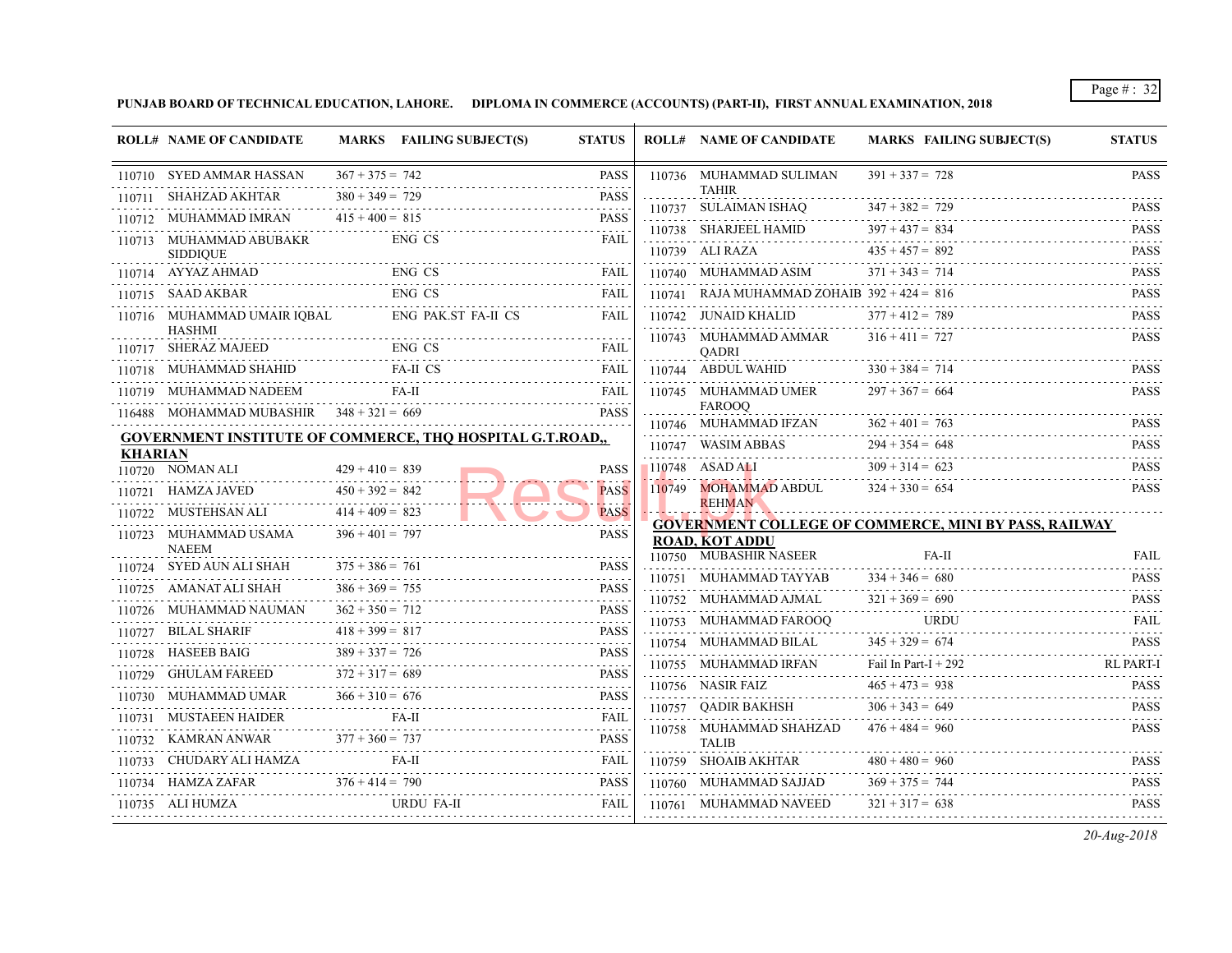|                | <b>ROLL# NAME OF CANDIDATE</b>                            |                   | MARKS FAILING SUBJECT(S)                            | <b>STATUS</b> | <b>ROLL# NAME OF CANDIDATE</b>                  | <b>MARKS FAIL</b>                           |
|----------------|-----------------------------------------------------------|-------------------|-----------------------------------------------------|---------------|-------------------------------------------------|---------------------------------------------|
|                | 110710 SYED AMMAR HASSAN                                  | $367 + 375 = 742$ |                                                     | PASS          | 110736 MUHAMMAD SULIMAN                         | $391 + 337 = 728$                           |
|                | 110711 SHAHZAD AKHTAR                                     | $380 + 349 = 729$ |                                                     | <b>PASS</b>   | <b>TAHIR</b>                                    | .                                           |
|                | 110712 MUHAMMAD IMRAN                                     | $415 + 400 = 815$ |                                                     | PASS          | 110737 SULAIMAN ISHAQ                           | $347 + 382 = 729$                           |
|                | 110713 MUHAMMAD ABUBAKR                                   |                   | ENG CS                                              | FAIL          | 110738 SHARJEEL HAMID                           | $397 + 437 = 834$                           |
|                | <b>SIDDIOUE</b>                                           |                   |                                                     |               | 110739 ALI RAZA                                 | $435 + 457 = 892$                           |
|                | 110714 AYYAZ AHMAD<br>110714 AYYAZ AHMAD ENG CS FAIL      |                   | ENG CS                                              | FAIL          | 110740 MUHAMMAD ASIM                            | $371 + 343 = 714$                           |
|                | 110715 SAAD AKBAR                                         |                   | ENG CS                                              | FAIL          | 110741 RAJA MUHAMMAD ZOHAIB $392 + 424 = 816$   |                                             |
|                | 110716 MUHAMMAD UMAIR IQBAL<br>HASHMI                     |                   | ENG PAK.ST FA-II CS                                 | FAIL          | 110742 JUNAID KHALID<br>110743 MUHAMMAD AMMAR   | $377 + 412 = 789$<br>.<br>$316 + 411 = 727$ |
|                | 110717 SHERAZ MAJEED                                      |                   | ENG CS                                              | FAIL          | <b>OADRI</b>                                    |                                             |
|                | 110718 MUHAMMAD SHAHID                                    |                   | FA-II CS                                            | FAIL          | 110744 ABDUL WAHID                              | $330 + 384 = 714$                           |
|                | 110719 MUHAMMAD NADEEM                                    |                   | FA-II                                               | FAIL          | 110745 MUHAMMAD UMER                            | $297 + 367 = 664$                           |
|                | 116488 MOHAMMAD MUBASHIR $348 + 321 = 669$                |                   |                                                     | <b>PASS</b>   | <b>FAROOO</b>                                   |                                             |
|                | GOVERNMENT INSTITUTE OF COMMERCE, THO HOSPITAL G.T.ROAD,, |                   |                                                     |               | 110746 MUHAMMAD IFZAN<br>.                      | $362 + 401 = 763$                           |
| <b>KHARIAN</b> |                                                           |                   |                                                     |               | 110747 WASIM ABBAS                              | $294 + 354 = 648$                           |
|                | 110720 NOMAN ALI                                          | $429 + 410 = 839$ |                                                     | <b>PASS</b>   | $110748$ ASAD ALI                               | $309 + 314 = 623$                           |
|                | 110721 HAMZA JAVED                                        | $450 + 392 = 842$ |                                                     | <b>PASS</b>   | 110749 MOHAMMAD ABDUL<br><b>REHMAN</b>          | $324 + 330 = 654$                           |
|                | 110722 MUSTEHSAN ALI                                      | $414 + 409 = 823$ |                                                     | <b>PASS</b>   | <b>GOVERNMENT COLLEGE OF COMMERCE, N</b>        |                                             |
|                | 110723 MUHAMMAD USAMA<br><b>NAEEM</b>                     | $396 + 401 = 797$ |                                                     | <b>PASS</b>   | <b>ROAD, KOT ADDU</b><br>110750 MUBASHIR NASEER | FA-II                                       |
|                | 110724 SYED AUN ALI SHAH                                  | $375 + 386 = 761$ |                                                     | <b>PASS</b>   | 110751 MUHAMMAD TAYYAB                          | $334 + 346 = 680$                           |
|                | 110725 AMANAT ALI SHAH                                    | $386 + 369 = 755$ |                                                     | <b>PASS</b>   | 110752 MUHAMMAD AJMAL                           | $321 + 369 = 690$                           |
| 110726         | MUHAMMAD NAUMAN                                           | $362 + 350 = 712$ |                                                     | PASS          |                                                 |                                             |
|                | 110727 BILAL SHARIF                                       |                   | $2SHARIF$ $418 + 399 = 817$ radio $218 + 399 = 817$ | PASS          | 110753 MUHAMMAD FAROOQ                          | URDI                                        |
|                | 110728 HASEEB BAIG $389 + 337 = 726$                      |                   | $389 + 337 = 726$ PASS                              |               | 110754 MUHAMMAD BILAL                           | $345 + 329 = 674$                           |
|                | 110729 GHULAM FAREED                                      | $372 + 317 = 689$ |                                                     | <b>PASS</b>   | 110755 MUHAMMAD IRFAN                           | Fail In Part-I + $2$                        |
|                | 110730 MUHAMMAD UMAR $366 + 310 = 676$                    |                   |                                                     | <b>PASS</b>   | 110756 NASIR FAIZ                               | $465 + 473 = 938$                           |
|                | 110731 MUSTAEEN HAIDER                                    |                   | FA-II                                               | FAIL          | 110757 QADIR BAKHSH                             | $306 + 343 = 649$                           |
|                | 110732 KAMRAN ANWAR                                       | $377 + 360 = 737$ |                                                     | <b>PASS</b>   | 110758 MUHAMMAD SHAHZAD<br><b>TALIB</b>         | $476 + 484 = 960$                           |
|                | 110733 CHUDARY ALI HAMZA                                  |                   | FA-II                                               | FAIL          | 110759 SHOAIB AKHTAR                            | $480 + 480 = 960$                           |
|                | 110734 HAMZA ZAFAR                                        |                   |                                                     | <b>PASS</b>   | 110760 MUHAMMAD SAJJAD                          | $369 + 375 = 744$                           |
|                | 110735 ALI HUMZA                                          |                   | <b>URDU FA-II</b>                                   | FAIL          | 110761 MUHAMMAD NAVEED                          | $321 + 317 = 638$                           |
|                |                                                           |                   |                                                     |               |                                                 |                                             |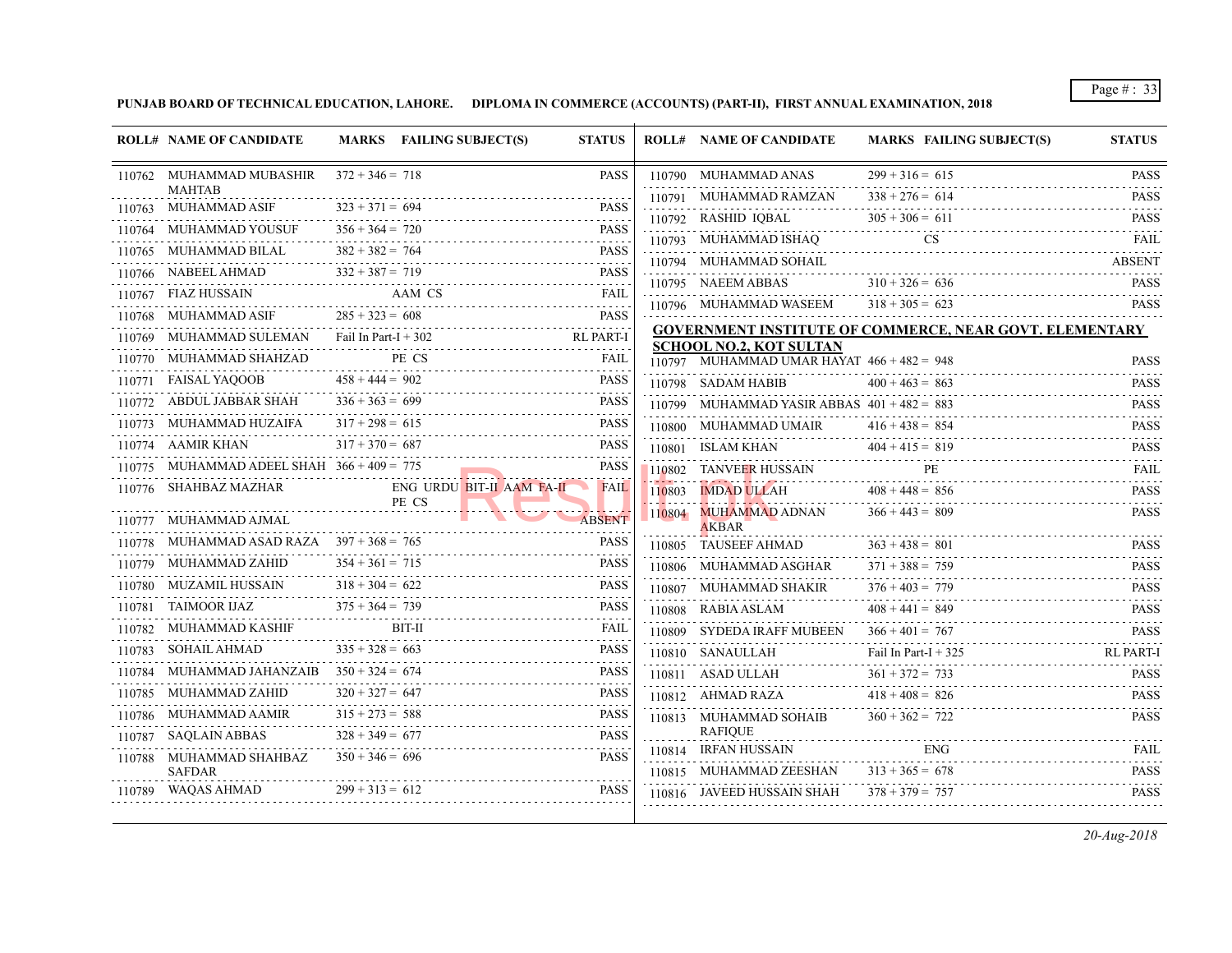|        | <b>ROLL# NAME OF CANDIDATE</b>                                                        |                   | MARKS FAILING SUBJECT(S)           | <b>STATUS</b>                                              | <b>ROLL# NAME OF CANDIDATE</b>                                                                                                                                 | <b>MARKS FAIL</b>    |
|--------|---------------------------------------------------------------------------------------|-------------------|------------------------------------|------------------------------------------------------------|----------------------------------------------------------------------------------------------------------------------------------------------------------------|----------------------|
|        | 110762 MUHAMMAD MUBASHIR                                                              | $372 + 346 = 718$ |                                    | <b>PASS</b>                                                | 110790 MUHAMMAD ANAS                                                                                                                                           | $299 + 316 = 615$    |
|        | <b>MAHTAB</b><br>110763 MUHAMMAD ASIF                                                 | $323 + 371 = 694$ |                                    | <b>PASS</b>                                                | 110791 MUHAMMAD RAMZAN                                                                                                                                         | $338 + 276 = 614$    |
|        | 110764 MUHAMMAD YOUSUF                                                                | $356 + 364 = 720$ |                                    |                                                            | 110792 RASHID IQBAL                                                                                                                                            | $305 + 306 = 611$    |
|        | 110765 MUHAMMAD BILAL $382 + 382 = 764$                                               |                   |                                    | $IAD \text{ YOUSUF}$ $356 + 364 = 720$ PASS<br><b>PASS</b> | 110793 MUHAMMAD ISHAQ                                                                                                                                          | CS                   |
|        |                                                                                       |                   |                                    | ILAL  382 + 382 = 764  PASS<br><b>PASS</b>                 | 110794 MUHAMMAD SOHAIL                                                                                                                                         |                      |
|        | 110766 NABEEL AHMAD $332 + 387 = 719$ PASS                                            |                   |                                    |                                                            | 110795 NAEEM ABBAS $310 + 326 = 636$                                                                                                                           |                      |
|        | 110767 FIAZ HUSSAIN AAM CS FAIL                                                       |                   |                                    |                                                            | 110796 MUHAMMAD WASEEM $318 + 305 = 623$                                                                                                                       |                      |
|        | 110768 MUHAMMAD ASIF $285 + 323 = 608$<br>110768 MUHAMMAD ASIF $285 + 323 = 608$ PASS |                   |                                    |                                                            | <b>GOVERNMENT INSTITUTE OF COMMERCE,</b>                                                                                                                       |                      |
| 110769 | MUHAMMAD SULEMAN Fail In Part-I + 302                                                 |                   |                                    | AN Fail In Part-I + 302 RL PART-I                          | <b>SCHOOL NO.2, KOT SULTAN</b>                                                                                                                                 |                      |
|        | 110770 MUHAMMAD SHAHZAD                                                               |                   | PE CS                              | FAIL                                                       | 110797 MUHAMMAD UMAR HAYAT $466 + 482 = 948$                                                                                                                   |                      |
|        | 110771 FAISAL YAQOOB                                                                  | $458 + 444 = 902$ |                                    | PASS<br>$3 \t 458 + 444 = 902$ PAS:                        | 110798 SADAM HABIB                                                                                                                                             | $400 + 463 = 863$    |
| 110772 | ABDUL JABBAR SHAH $336 + 363 = 699$                                                   |                   |                                    | PASS                                                       | 110799 MUHAMMAD YASIR ABBAS $401 + 482 = 883$                                                                                                                  |                      |
|        | 110773 MUHAMMAD HUZAIFA $317 + 298 = 615$                                             |                   |                                    | <b>PASS</b>                                                | 110800 MUHAMMAD UMAIR                                                                                                                                          | $416 + 438 = 854$    |
| 110774 | AAMIR KHAN                                                                            | $317 + 370 = 687$ |                                    | <b>PASS</b>                                                | 110801 ISLAM KHAN $404 + 415 = 819$                                                                                                                            |                      |
| 110775 | MUHAMMAD ADEEL SHAH $366 + 409 = 775$                                                 |                   |                                    | <b>PASS</b>                                                | 110802 TANVEER HUSSAIN                                                                                                                                         | PE                   |
|        | 110776 SHAHBAZ MAZHAR                                                                 |                   | ENG URDU BIT-II AAM FA-II<br>PE CS | <b>FAIL</b>                                                | 110803 IMDAD ULLAH                                                                                                                                             | $408 + 448 = 856$    |
|        | 110777 MUHAMMAD AJMAL                                                                 |                   |                                    | <b>ABSENT</b>                                              | 110804 MUHAMMAD ADNAN<br><b>AKBAR</b>                                                                                                                          | $366 + 443 = 809$    |
|        | 110778 MUHAMMAD ASAD RAZA $397 + 368 = 765$                                           |                   |                                    | <b>PASS</b>                                                | 110805 TAUSEEF AHMAD                                                                                                                                           | $363 + 438 = 801$    |
|        | 110779 MUHAMMAD ZAHID $354 + 361 = 715$                                               |                   |                                    | <b>PASS</b>                                                | 110806 MUHAMMAD ASGHAR                                                                                                                                         | $371 + 388 = 759$    |
|        | 110780 MUZAMIL HUSSAIN $318 + 304 = 622$                                              |                   |                                    | <b>PASS</b>                                                | 110807 MUHAMMAD SHAKIR                                                                                                                                         | $376 + 403 = 779$    |
|        | 110781 TAIMOOR IJAZ 375 + 364 = 739 PASS                                              |                   |                                    | <b>PASS</b>                                                | 110808 RABIA ASLAM                                                                                                                                             | $408 + 441 = 849$    |
| 110782 | MUHAMMAD KASHIF                                                                       |                   | BIT-II                             | FAIL                                                       | 110809 SYDEDA IRAFF MUBEEN $366 + 401 = 767$                                                                                                                   |                      |
| 110783 | SOHAIL AHMAD                                                                          | $335 + 328 = 663$ |                                    | PASS                                                       | $110810$ SANAULLAH                                                                                                                                             | Fail In Part-I + $3$ |
| 110784 | MUHAMMAD JAHANZAIB $350 + 324 = 674$                                                  |                   |                                    | <b>PASS</b>                                                | 110811 ASAD ULLAH                                                                                                                                              | $361 + 372 = 733$    |
| 110785 | MUHAMMAD ZAHID                                                                        | $320 + 327 = 647$ |                                    | PASS                                                       | 110812 AHMAD RAZA $418 + 408 = 826$                                                                                                                            |                      |
| 110786 | MUHAMMAD AAMIR                                                                        | $315 + 273 = 588$ |                                    | PASS                                                       | 110813 MUHAMMAD SOHAIB                                                                                                                                         | $360 + 362 = 722$    |
|        | 110787 SAQLAIN ABBAS                                                                  | $328 + 349 = 677$ |                                    | <b>PASS</b>                                                | <b>RAFIOUE</b>                                                                                                                                                 |                      |
| 110788 | MUHAMMAD SHAHBAZ                                                                      | $350 + 346 = 696$ |                                    | <b>PASS</b>                                                | in de la componentación de la componentación de la componentación de la componentación de la componentación de<br>En la componentación<br>110814 IRFAN HUSSAIN | ENG I                |
|        | <b>SAFDAR</b><br>110789 WAQAS AHMAD                                                   | $299 + 313 = 612$ |                                    | <b>PASS</b>                                                | 110815 MUHAMMAD ZEESHAN $313 + 365 = 678$                                                                                                                      |                      |
|        |                                                                                       |                   |                                    |                                                            | 110816 JAVEED HUSSAIN SHAH                                                                                                                                     | $378 + 379 = 757$    |
|        |                                                                                       |                   |                                    |                                                            |                                                                                                                                                                |                      |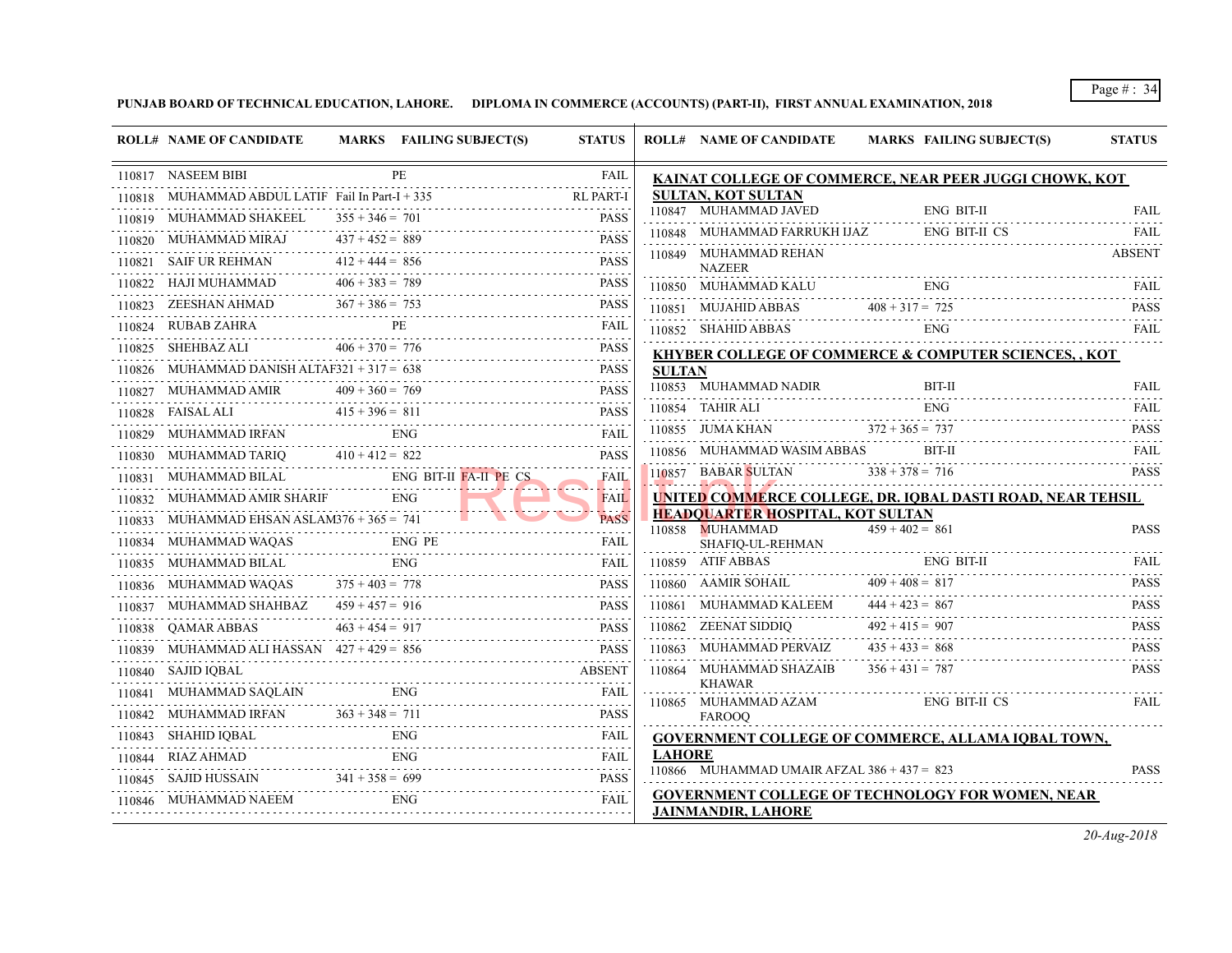| <b>ROLL# NAME OF CANDIDATE</b>                                                                                                                                                                                                                                                                                                                                                                                        |                   | MARKS FAILING SUBJECT(S)               | <b>STATUS</b> |               | <b>ROLL# NAME OF CANDIDATE</b>                             | <b>MARKS FAIL</b> |
|-----------------------------------------------------------------------------------------------------------------------------------------------------------------------------------------------------------------------------------------------------------------------------------------------------------------------------------------------------------------------------------------------------------------------|-------------------|----------------------------------------|---------------|---------------|------------------------------------------------------------|-------------------|
| 110817 NASEEM BIBI                                                                                                                                                                                                                                                                                                                                                                                                    |                   | PE                                     | <b>FAIL</b>   |               | <b>KAINAT COLLEGE OF COMMERCE, NEAR P</b>                  |                   |
| 110818 MUHAMMAD ABDUL LATIF Fail In Part-I + 335                                                                                                                                                                                                                                                                                                                                                                      |                   | UL LATIF Fail In Part-I + 335 RL PART- | RL PART-I     |               | <b>SULTAN, KOT SULTAN</b>                                  |                   |
| 110819 MUHAMMAD SHAKEEL                                                                                                                                                                                                                                                                                                                                                                                               | $355 + 346 = 701$ |                                        | <b>PASS</b>   |               | 110847 MUHAMMAD JAVED                                      | <b>ENG</b>        |
| 110820 MUHAMMAD MIRAJ $437 + 452 = 889$                                                                                                                                                                                                                                                                                                                                                                               |                   | MIRAJ $437 + 452 = 889$ PASS           |               |               | 110848 MUHAMMAD FARRUKH IJAZ                               | <b>ENG</b>        |
| 110821 SAIF UR REHMAN $412 + 444 = 856$ PASS                                                                                                                                                                                                                                                                                                                                                                          |                   |                                        | <b>PASS</b>   |               | 110849 MUHAMMAD REHAN<br><b>NAZEER</b>                     |                   |
| 110822 HAJI MUHAMMAD $406 + 383 = 789$                                                                                                                                                                                                                                                                                                                                                                                |                   |                                        | <b>PASS</b>   |               | 110850 MUHAMMAD KALU                                       | ENG I             |
| 110823 ZEESHAN AHMAD $367 + 386 = 753$                                                                                                                                                                                                                                                                                                                                                                                |                   |                                        | <b>PASS</b>   |               | 110851 MUJAHID ABBAS $408 + 317 = 725$                     |                   |
|                                                                                                                                                                                                                                                                                                                                                                                                                       |                   | PE                                     |               |               | 110852 SHAHID ABBAS                                        | ENG.              |
|                                                                                                                                                                                                                                                                                                                                                                                                                       |                   |                                        |               |               | <b>KHYBER COLLEGE OF COMMERCE &amp; COM</b>                |                   |
| 110826 MUHAMMAD DANISH ALTAF321 + 317 = $638$                                                                                                                                                                                                                                                                                                                                                                         |                   |                                        | <b>PASS</b>   | <b>SULTAN</b> |                                                            |                   |
| 110827 MUHAMMAD AMIR $409 + 360 = 769$ PASS                                                                                                                                                                                                                                                                                                                                                                           |                   |                                        |               |               | 110853 MUHAMMAD NADIR                                      | BIT-I             |
| 110828 FAISAL ALI $415 + 396 = 811$ PASS                                                                                                                                                                                                                                                                                                                                                                              |                   |                                        | <b>PASS</b>   |               | 110854 TAHIR ALI                                           | <b>ENG</b>        |
|                                                                                                                                                                                                                                                                                                                                                                                                                       |                   |                                        | FAIL          |               | 110855 JUMA KHAN $372 + 365 = 737$                         |                   |
| 110830 MUHAMMAD TARIQ $410 + 412 = 822$                                                                                                                                                                                                                                                                                                                                                                               |                   |                                        | <b>PASS</b>   |               | 110856 MUHAMMAD WASIM ABBAS                                | BIT-I             |
| 110831 MUHAMMAD BILAL ENG BIT-II FA-II PE CS                                                                                                                                                                                                                                                                                                                                                                          |                   |                                        | FAIL          |               | 110857 BABAR SULTAN                                        | $338 + 378 = 716$ |
| $\begin{tabular}{lllllllll} \bf 110832 & \text{MUHAMMAD AMIR SHARIF} & \text{ENG} \end{tabular}$                                                                                                                                                                                                                                                                                                                      |                   |                                        | <b>FAIL</b>   |               | <b>UNITED COMMERCE COLLEGE, DR. IQBAL</b>                  |                   |
| 110833 MUHAMMAD EHSAN ASLAM376 + 365 = 741                                                                                                                                                                                                                                                                                                                                                                            |                   |                                        | <b>PASS</b>   |               | <b>HEADQUARTER HOSPITAL, KOT SULTAN</b><br>110858 MUHAMMAD | $459 + 402 = 861$ |
| 110834 MUHAMMAD WAQAS                                                                                                                                                                                                                                                                                                                                                                                                 |                   | VAQAS ENG PE                           | FAIL          |               | SHAFIQ-UL-REHMAN                                           |                   |
| $\begin{tabular}{ll} 110835 & MUHAMMAD BILAL & ENG \\ \hline \end{tabular}$                                                                                                                                                                                                                                                                                                                                           |                   |                                        | FAIL          |               | 110859 ATIF ABBAS                                          | ENG               |
| 110836 MUHAMMAD WAQAS $375 + 403 = 778$ PASS                                                                                                                                                                                                                                                                                                                                                                          |                   |                                        |               |               | 110860 AAMIR SOHAIL $409 + 408 = 817$                      |                   |
| 110837 MUHAMMAD SHAHBAZ $459 + 457 = 916$                                                                                                                                                                                                                                                                                                                                                                             |                   |                                        | <b>PASS</b>   |               | 110861 MUHAMMAD KALEEM $444 + 423 = 867$                   |                   |
| 110838 QAMAR ABBAS $463 + 454 = 917$                                                                                                                                                                                                                                                                                                                                                                                  |                   | $3 \t 463 + 454 = 917$ PASS            | <b>PASS</b>   |               | 110862 ZEENAT SIDDIQ                                       | $492 + 415 = 907$ |
| 110839 MUHAMMAD ALI HASSAN $427 + 429 = 856$ PASS                                                                                                                                                                                                                                                                                                                                                                     |                   |                                        |               |               | 110863 MUHAMMAD PERVAIZ $435 + 433 = 868$                  |                   |
| 110840 SAJID IQBAL                                                                                                                                                                                                                                                                                                                                                                                                    |                   | ABSENT                                 |               |               | 110864 MUHAMMAD SHAZAIB                                    | $356 + 431 = 787$ |
| 110841 MUHAMMAD SAQLAIN ENG FAIL                                                                                                                                                                                                                                                                                                                                                                                      |                   |                                        |               |               | <b>KHAWAR</b><br>110865 MUHAMMAD AZAM                      | ENG               |
| 110842 MUHAMMAD IRFAN $363 + 348 = 711$ PASS                                                                                                                                                                                                                                                                                                                                                                          |                   |                                        |               |               | <b>FAROOQ</b>                                              |                   |
| $\textbf{110843} \quad \textbf{SHAHID IQBAL} \quad \textbf{ENG} \quad \textbf{110845} \quad \textbf{11085} \quad \textbf{1289} \quad \textbf{1399} \quad \textbf{1499} \quad \textbf{1599} \quad \textbf{1699} \quad \textbf{1799} \quad \textbf{1899} \quad \textbf{1899} \quad \textbf{1999} \quad \textbf{1999} \quad \textbf{1999} \quad \textbf{1999} \quad \textbf{1999} \quad \textbf{1999} \quad \textbf{199$ |                   |                                        | FAIL          |               | <b>GOVERNMENT COLLEGE OF COMMERCE, A</b>                   |                   |
| 110844 RIAZ AHMAD ENG                                                                                                                                                                                                                                                                                                                                                                                                 |                   |                                        | FAIL          | <b>LAHORE</b> |                                                            |                   |
| 110845 SAJID HUSSAIN $341 + 358 = 699$ PASS                                                                                                                                                                                                                                                                                                                                                                           |                   |                                        | <b>PASS</b>   |               | 110866 MUHAMMAD UMAIR AFZAL $386 + 437 = 823$              |                   |
| 110846 MUHAMMAD NAEEM                                                                                                                                                                                                                                                                                                                                                                                                 |                   | ENG                                    | <b>FAIL</b>   |               | <b>GOVERNMENT COLLEGE OF TECHNOLOGY</b>                    |                   |
|                                                                                                                                                                                                                                                                                                                                                                                                                       |                   |                                        |               |               | <b>JAINMANDIR, LAHORE</b>                                  |                   |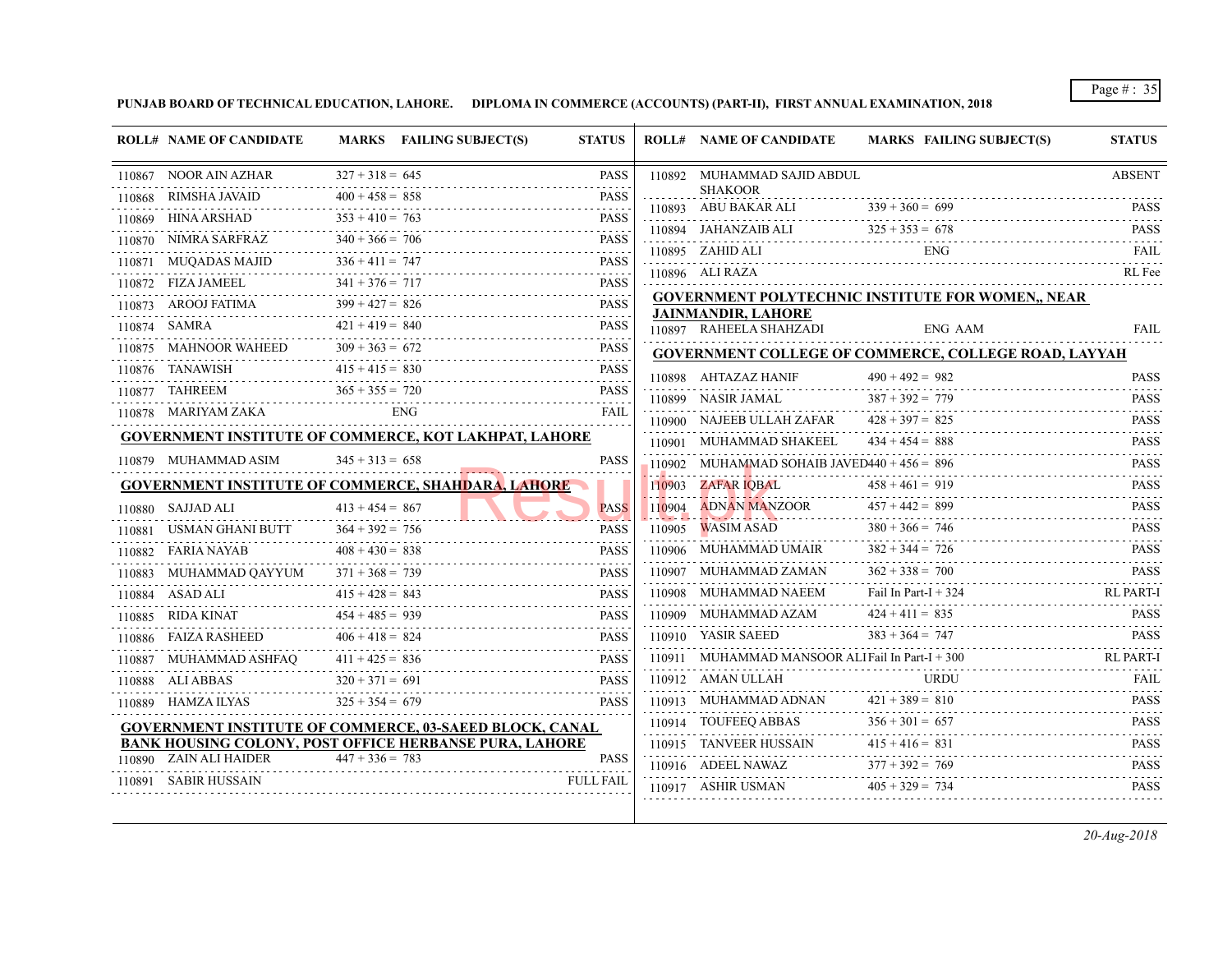| $327 + 318 = 645$<br><b>PASS</b><br>110867 NOOR AIN AZHAR<br>110892 MUHAMMAD SAJID ABDUL<br><b>SHAKOOR</b><br>$400 + 458 = 858$<br>RIMSHA JAVAID<br><b>PASS</b><br>110868<br>110893 ABU BAKAR ALI<br>.<br>$353 + 410 = 763$<br>110869 HINA ARSHAD<br><b>PASS</b><br>110894 JAHANZAIB ALI<br>.<br><b>PASS</b><br>110870 NIMRA SARFRAZ<br>$340 + 366 = 706$<br>110895 ZAHID ALI<br>.<br>$336 + 411 = 747$<br>110871 MUQADAS MAJID<br><b>PASS</b><br>.<br>110896 ALI RAZA<br>.<br>$341 + 376 = 717$<br>110872 FIZA JAMEEL<br><b>PASS</b><br>$399 + 427 = 826$<br><b>PASS</b><br>110873 AROOJ FATIMA<br>JAINMANDIR. LAHORE<br>.<br>$421 + 419 = 840$<br><b>PASS</b><br>110874 SAMRA<br>110897 RAHEELA SHAHZADI<br>110875 MAHNOOR WAHEED<br>$309 + 363 = 672$<br><b>PASS</b><br>$415 + 415 = 830$<br><b>PASS</b><br>110876 TANAWISH<br>110898 AHTAZAZ HANIF<br>.<br><b>PASS</b><br>110877 TAHREEM<br>$365 + 355 = 720$<br>110899 NASIR JAMAL<br><b>ENG</b><br>110878 MARIYAM ZAKA<br>FAIL<br>110900 NAJEEB ULLAH ZAFAR<br>$428 + 397 = 825$<br><b>GOVERNMENT INSTITUTE OF COMMERCE, KOT LAKHPAT, LAHORE</b><br>110901 MUHAMMAD SHAKEEL<br>$345 + 313 = 658$<br><b>PASS</b><br>110879 MUHAMMAD ASIM<br>$110902$ MUHAMMAD SOHAIB JAVED440 + 456 = 896<br><b>GOVERNMENT INSTITUTE OF COMMERCE, SHAHDARA, LAHORE</b><br>110903 ZAFAR IOBAL<br>110904 ADNAN MANZOOR<br>$413 + 454 = 867$<br><b>PASS</b><br>110880 SAJJAD ALI<br>. . <b>19.</b><br>$110905$ WASIM ASAD<br>$364 + 392 = 756$<br><b>PASS</b><br>110881 USMAN GHANI BUTT<br>.<br>110906 MUHAMMAD UMAIR<br>$408 + 430 = 838$<br><b>PASS</b><br>110882 FARIA NAYAB<br>.<br>$362 + 338 = 700$<br>110907 MUHAMMAD ZAMAN<br>$371 + 368 = 739$<br><b>PASS</b><br>110883 MUHAMMAD OAYYUM<br>110908 MUHAMMAD NAEEM<br>Fail In Part-I + $3$<br>$415 + 428 = 843$<br><b>PASS</b><br>110884 ASAD ALI<br>.<br>110909 MUHAMMAD AZAM<br>$454 + 485 = 939$<br><b>PASS</b><br>110885 RIDA KINAT<br>110910 YASIR SAEED<br>$406 + 418 = 824$<br>110886 FAIZA RASHEED<br><b>PASS</b><br>.<br>MUHAMMAD ASHFAQ<br>$411 + 425 = 836$<br>PASS<br>110887<br>110912 AMAN ULLAH<br><b>PASS</b><br>$320 + 371 = 691$<br>110888 ALIABBAS<br>110913 MUHAMMAD ADNAN<br><b>PASS</b><br>110889 HAMZA ILYAS<br>$325 + 354 = 679$<br>110914 TOUFEEQ ABBAS<br>$356 + 301 = 657$<br><b>GOVERNMENT INSTITUTE OF COMMERCE, 03-SAEED BLOCK, CANAL</b><br><b>BANK HOUSING COLONY, POST OFFICE HERBANSE PURA, LAHORE</b><br>110915 TANVEER HUSSAIN<br>$415 + 416 = 831$<br>$447 + 336 = 783$<br>110890 ZAIN ALI HAIDER<br><b>PASS</b><br>110916 ADEEL NAWAZ<br>110891 SABIR HUSSAIN<br><b>FULL FAIL</b><br>$405 + 329 = 734$<br>110917 ASHIR USMAN | <b>ROLL# NAME OF CANDIDATE</b> | MARKS FAILING SUBJECT(S) | <b>STATUS</b> | <b>ROLL# NAME OF CANDIDATE</b> | <b>MARKS FAIL</b> |
|-------------------------------------------------------------------------------------------------------------------------------------------------------------------------------------------------------------------------------------------------------------------------------------------------------------------------------------------------------------------------------------------------------------------------------------------------------------------------------------------------------------------------------------------------------------------------------------------------------------------------------------------------------------------------------------------------------------------------------------------------------------------------------------------------------------------------------------------------------------------------------------------------------------------------------------------------------------------------------------------------------------------------------------------------------------------------------------------------------------------------------------------------------------------------------------------------------------------------------------------------------------------------------------------------------------------------------------------------------------------------------------------------------------------------------------------------------------------------------------------------------------------------------------------------------------------------------------------------------------------------------------------------------------------------------------------------------------------------------------------------------------------------------------------------------------------------------------------------------------------------------------------------------------------------------------------------------------------------------------------------------------------------------------------------------------------------------------------------------------------------------------------------------------------------------------------------------------------------------------------------------------------------------------------------------------------------------------------------------------------------------------------------------------------------------------------------------------------------------------------------------------------------------------------------------------------------------------------------------------------------------------------------------------|--------------------------------|--------------------------|---------------|--------------------------------|-------------------|
| $339 + 360 = 699$                                                                                                                                                                                                                                                                                                                                                                                                                                                                                                                                                                                                                                                                                                                                                                                                                                                                                                                                                                                                                                                                                                                                                                                                                                                                                                                                                                                                                                                                                                                                                                                                                                                                                                                                                                                                                                                                                                                                                                                                                                                                                                                                                                                                                                                                                                                                                                                                                                                                                                                                                                                                                                           |                                |                          |               |                                |                   |
| $325 + 353 = 678$<br><b>ENG</b><br><b>GOVERNMENT COLLEGE OF COMMERCE, 0</b><br>$490 + 492 = 982$<br>$387 + 392 = 779$<br>$434 + 454 = 888$<br>$458 + 461 = 919$<br>$457 + 442 = 899$<br>$380 + 366 = 746$<br>$382 + 344 = 726$<br>$424 + 411 = 835$<br>$383 + 364 = 747$<br>110911 MUHAMMAD MANSOOR ALIFail In Part-I $+3$<br><b>URD</b><br>$421 + 389 = 810$<br>$377 + 392 = 769$                                                                                                                                                                                                                                                                                                                                                                                                                                                                                                                                                                                                                                                                                                                                                                                                                                                                                                                                                                                                                                                                                                                                                                                                                                                                                                                                                                                                                                                                                                                                                                                                                                                                                                                                                                                                                                                                                                                                                                                                                                                                                                                                                                                                                                                                          |                                |                          |               |                                |                   |
| <b>GOVERNMENT POLYTECHNIC INSTITUTE F</b><br><b>ENG</b>                                                                                                                                                                                                                                                                                                                                                                                                                                                                                                                                                                                                                                                                                                                                                                                                                                                                                                                                                                                                                                                                                                                                                                                                                                                                                                                                                                                                                                                                                                                                                                                                                                                                                                                                                                                                                                                                                                                                                                                                                                                                                                                                                                                                                                                                                                                                                                                                                                                                                                                                                                                                     |                                |                          |               |                                |                   |
|                                                                                                                                                                                                                                                                                                                                                                                                                                                                                                                                                                                                                                                                                                                                                                                                                                                                                                                                                                                                                                                                                                                                                                                                                                                                                                                                                                                                                                                                                                                                                                                                                                                                                                                                                                                                                                                                                                                                                                                                                                                                                                                                                                                                                                                                                                                                                                                                                                                                                                                                                                                                                                                             |                                |                          |               |                                |                   |
|                                                                                                                                                                                                                                                                                                                                                                                                                                                                                                                                                                                                                                                                                                                                                                                                                                                                                                                                                                                                                                                                                                                                                                                                                                                                                                                                                                                                                                                                                                                                                                                                                                                                                                                                                                                                                                                                                                                                                                                                                                                                                                                                                                                                                                                                                                                                                                                                                                                                                                                                                                                                                                                             |                                |                          |               |                                |                   |
|                                                                                                                                                                                                                                                                                                                                                                                                                                                                                                                                                                                                                                                                                                                                                                                                                                                                                                                                                                                                                                                                                                                                                                                                                                                                                                                                                                                                                                                                                                                                                                                                                                                                                                                                                                                                                                                                                                                                                                                                                                                                                                                                                                                                                                                                                                                                                                                                                                                                                                                                                                                                                                                             |                                |                          |               |                                |                   |
|                                                                                                                                                                                                                                                                                                                                                                                                                                                                                                                                                                                                                                                                                                                                                                                                                                                                                                                                                                                                                                                                                                                                                                                                                                                                                                                                                                                                                                                                                                                                                                                                                                                                                                                                                                                                                                                                                                                                                                                                                                                                                                                                                                                                                                                                                                                                                                                                                                                                                                                                                                                                                                                             |                                |                          |               |                                |                   |
|                                                                                                                                                                                                                                                                                                                                                                                                                                                                                                                                                                                                                                                                                                                                                                                                                                                                                                                                                                                                                                                                                                                                                                                                                                                                                                                                                                                                                                                                                                                                                                                                                                                                                                                                                                                                                                                                                                                                                                                                                                                                                                                                                                                                                                                                                                                                                                                                                                                                                                                                                                                                                                                             |                                |                          |               |                                |                   |
|                                                                                                                                                                                                                                                                                                                                                                                                                                                                                                                                                                                                                                                                                                                                                                                                                                                                                                                                                                                                                                                                                                                                                                                                                                                                                                                                                                                                                                                                                                                                                                                                                                                                                                                                                                                                                                                                                                                                                                                                                                                                                                                                                                                                                                                                                                                                                                                                                                                                                                                                                                                                                                                             |                                |                          |               |                                |                   |
|                                                                                                                                                                                                                                                                                                                                                                                                                                                                                                                                                                                                                                                                                                                                                                                                                                                                                                                                                                                                                                                                                                                                                                                                                                                                                                                                                                                                                                                                                                                                                                                                                                                                                                                                                                                                                                                                                                                                                                                                                                                                                                                                                                                                                                                                                                                                                                                                                                                                                                                                                                                                                                                             |                                |                          |               |                                |                   |
|                                                                                                                                                                                                                                                                                                                                                                                                                                                                                                                                                                                                                                                                                                                                                                                                                                                                                                                                                                                                                                                                                                                                                                                                                                                                                                                                                                                                                                                                                                                                                                                                                                                                                                                                                                                                                                                                                                                                                                                                                                                                                                                                                                                                                                                                                                                                                                                                                                                                                                                                                                                                                                                             |                                |                          |               |                                |                   |
|                                                                                                                                                                                                                                                                                                                                                                                                                                                                                                                                                                                                                                                                                                                                                                                                                                                                                                                                                                                                                                                                                                                                                                                                                                                                                                                                                                                                                                                                                                                                                                                                                                                                                                                                                                                                                                                                                                                                                                                                                                                                                                                                                                                                                                                                                                                                                                                                                                                                                                                                                                                                                                                             |                                |                          |               |                                |                   |
|                                                                                                                                                                                                                                                                                                                                                                                                                                                                                                                                                                                                                                                                                                                                                                                                                                                                                                                                                                                                                                                                                                                                                                                                                                                                                                                                                                                                                                                                                                                                                                                                                                                                                                                                                                                                                                                                                                                                                                                                                                                                                                                                                                                                                                                                                                                                                                                                                                                                                                                                                                                                                                                             |                                |                          |               |                                |                   |
|                                                                                                                                                                                                                                                                                                                                                                                                                                                                                                                                                                                                                                                                                                                                                                                                                                                                                                                                                                                                                                                                                                                                                                                                                                                                                                                                                                                                                                                                                                                                                                                                                                                                                                                                                                                                                                                                                                                                                                                                                                                                                                                                                                                                                                                                                                                                                                                                                                                                                                                                                                                                                                                             |                                |                          |               |                                |                   |
|                                                                                                                                                                                                                                                                                                                                                                                                                                                                                                                                                                                                                                                                                                                                                                                                                                                                                                                                                                                                                                                                                                                                                                                                                                                                                                                                                                                                                                                                                                                                                                                                                                                                                                                                                                                                                                                                                                                                                                                                                                                                                                                                                                                                                                                                                                                                                                                                                                                                                                                                                                                                                                                             |                                |                          |               |                                |                   |
|                                                                                                                                                                                                                                                                                                                                                                                                                                                                                                                                                                                                                                                                                                                                                                                                                                                                                                                                                                                                                                                                                                                                                                                                                                                                                                                                                                                                                                                                                                                                                                                                                                                                                                                                                                                                                                                                                                                                                                                                                                                                                                                                                                                                                                                                                                                                                                                                                                                                                                                                                                                                                                                             |                                |                          |               |                                |                   |
|                                                                                                                                                                                                                                                                                                                                                                                                                                                                                                                                                                                                                                                                                                                                                                                                                                                                                                                                                                                                                                                                                                                                                                                                                                                                                                                                                                                                                                                                                                                                                                                                                                                                                                                                                                                                                                                                                                                                                                                                                                                                                                                                                                                                                                                                                                                                                                                                                                                                                                                                                                                                                                                             |                                |                          |               |                                |                   |
|                                                                                                                                                                                                                                                                                                                                                                                                                                                                                                                                                                                                                                                                                                                                                                                                                                                                                                                                                                                                                                                                                                                                                                                                                                                                                                                                                                                                                                                                                                                                                                                                                                                                                                                                                                                                                                                                                                                                                                                                                                                                                                                                                                                                                                                                                                                                                                                                                                                                                                                                                                                                                                                             |                                |                          |               |                                |                   |
|                                                                                                                                                                                                                                                                                                                                                                                                                                                                                                                                                                                                                                                                                                                                                                                                                                                                                                                                                                                                                                                                                                                                                                                                                                                                                                                                                                                                                                                                                                                                                                                                                                                                                                                                                                                                                                                                                                                                                                                                                                                                                                                                                                                                                                                                                                                                                                                                                                                                                                                                                                                                                                                             |                                |                          |               |                                |                   |
|                                                                                                                                                                                                                                                                                                                                                                                                                                                                                                                                                                                                                                                                                                                                                                                                                                                                                                                                                                                                                                                                                                                                                                                                                                                                                                                                                                                                                                                                                                                                                                                                                                                                                                                                                                                                                                                                                                                                                                                                                                                                                                                                                                                                                                                                                                                                                                                                                                                                                                                                                                                                                                                             |                                |                          |               |                                |                   |
|                                                                                                                                                                                                                                                                                                                                                                                                                                                                                                                                                                                                                                                                                                                                                                                                                                                                                                                                                                                                                                                                                                                                                                                                                                                                                                                                                                                                                                                                                                                                                                                                                                                                                                                                                                                                                                                                                                                                                                                                                                                                                                                                                                                                                                                                                                                                                                                                                                                                                                                                                                                                                                                             |                                |                          |               |                                |                   |
|                                                                                                                                                                                                                                                                                                                                                                                                                                                                                                                                                                                                                                                                                                                                                                                                                                                                                                                                                                                                                                                                                                                                                                                                                                                                                                                                                                                                                                                                                                                                                                                                                                                                                                                                                                                                                                                                                                                                                                                                                                                                                                                                                                                                                                                                                                                                                                                                                                                                                                                                                                                                                                                             |                                |                          |               |                                |                   |
|                                                                                                                                                                                                                                                                                                                                                                                                                                                                                                                                                                                                                                                                                                                                                                                                                                                                                                                                                                                                                                                                                                                                                                                                                                                                                                                                                                                                                                                                                                                                                                                                                                                                                                                                                                                                                                                                                                                                                                                                                                                                                                                                                                                                                                                                                                                                                                                                                                                                                                                                                                                                                                                             |                                |                          |               |                                |                   |
|                                                                                                                                                                                                                                                                                                                                                                                                                                                                                                                                                                                                                                                                                                                                                                                                                                                                                                                                                                                                                                                                                                                                                                                                                                                                                                                                                                                                                                                                                                                                                                                                                                                                                                                                                                                                                                                                                                                                                                                                                                                                                                                                                                                                                                                                                                                                                                                                                                                                                                                                                                                                                                                             |                                |                          |               |                                |                   |
|                                                                                                                                                                                                                                                                                                                                                                                                                                                                                                                                                                                                                                                                                                                                                                                                                                                                                                                                                                                                                                                                                                                                                                                                                                                                                                                                                                                                                                                                                                                                                                                                                                                                                                                                                                                                                                                                                                                                                                                                                                                                                                                                                                                                                                                                                                                                                                                                                                                                                                                                                                                                                                                             |                                |                          |               |                                |                   |
|                                                                                                                                                                                                                                                                                                                                                                                                                                                                                                                                                                                                                                                                                                                                                                                                                                                                                                                                                                                                                                                                                                                                                                                                                                                                                                                                                                                                                                                                                                                                                                                                                                                                                                                                                                                                                                                                                                                                                                                                                                                                                                                                                                                                                                                                                                                                                                                                                                                                                                                                                                                                                                                             |                                |                          |               |                                |                   |
|                                                                                                                                                                                                                                                                                                                                                                                                                                                                                                                                                                                                                                                                                                                                                                                                                                                                                                                                                                                                                                                                                                                                                                                                                                                                                                                                                                                                                                                                                                                                                                                                                                                                                                                                                                                                                                                                                                                                                                                                                                                                                                                                                                                                                                                                                                                                                                                                                                                                                                                                                                                                                                                             |                                |                          |               |                                |                   |
|                                                                                                                                                                                                                                                                                                                                                                                                                                                                                                                                                                                                                                                                                                                                                                                                                                                                                                                                                                                                                                                                                                                                                                                                                                                                                                                                                                                                                                                                                                                                                                                                                                                                                                                                                                                                                                                                                                                                                                                                                                                                                                                                                                                                                                                                                                                                                                                                                                                                                                                                                                                                                                                             |                                |                          |               |                                |                   |
|                                                                                                                                                                                                                                                                                                                                                                                                                                                                                                                                                                                                                                                                                                                                                                                                                                                                                                                                                                                                                                                                                                                                                                                                                                                                                                                                                                                                                                                                                                                                                                                                                                                                                                                                                                                                                                                                                                                                                                                                                                                                                                                                                                                                                                                                                                                                                                                                                                                                                                                                                                                                                                                             |                                |                          |               |                                |                   |
|                                                                                                                                                                                                                                                                                                                                                                                                                                                                                                                                                                                                                                                                                                                                                                                                                                                                                                                                                                                                                                                                                                                                                                                                                                                                                                                                                                                                                                                                                                                                                                                                                                                                                                                                                                                                                                                                                                                                                                                                                                                                                                                                                                                                                                                                                                                                                                                                                                                                                                                                                                                                                                                             |                                |                          |               |                                |                   |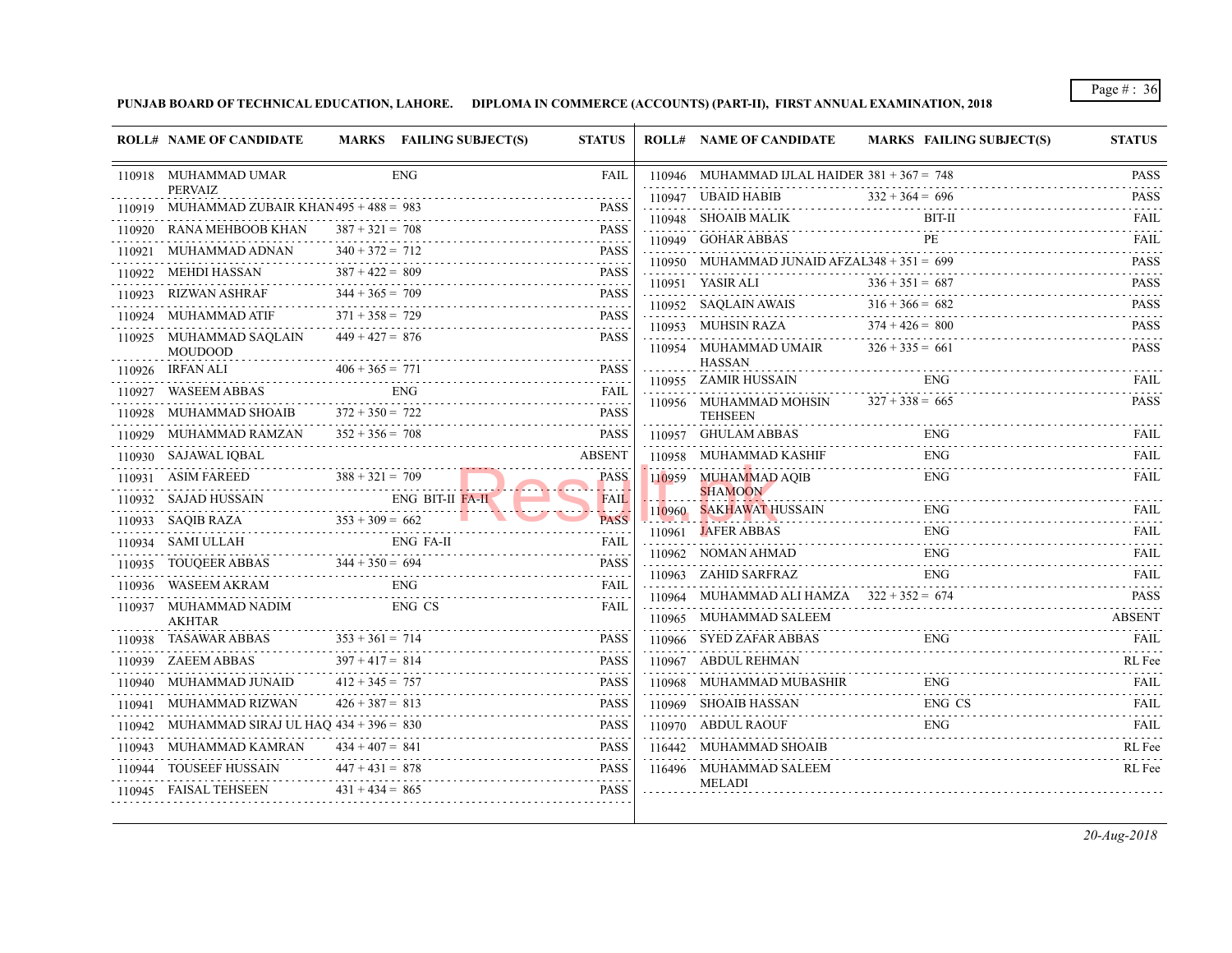|        | <b>ROLL# NAME OF CANDIDATE</b>                               |                   | MARKS FAILING SUBJECT(S) | <b>STATUS</b>                                                                                                                                       |        | <b>ROLL# NAME OF CANDIDATE</b>                                        | <b>MARKS FAIL</b> |
|--------|--------------------------------------------------------------|-------------------|--------------------------|-----------------------------------------------------------------------------------------------------------------------------------------------------|--------|-----------------------------------------------------------------------|-------------------|
|        | 110918 MUHAMMAD UMAR                                         |                   | <b>ENG</b>               | <b>FAIL</b>                                                                                                                                         |        | 110946 MUHAMMAD IJLAL HAIDER $381 + 367 = 748$                        |                   |
|        | <b>PERVAIZ</b><br>110919 MUHAMMAD ZUBAIR KHAN495 + 488 = 983 |                   |                          | <b>PASS</b>                                                                                                                                         |        | 110947 UBAID HABIB                                                    | $332 + 364 = 696$ |
|        | 110920 RANA MEHBOOB KHAN                                     | $387 + 321 = 708$ |                          | <b>PASS</b>                                                                                                                                         |        | 110948 SHOAIB MALIK                                                   | BIT-I             |
|        |                                                              | $340 + 372 = 712$ |                          | $-1 - 1 - 1$                                                                                                                                        |        | 110949 GOHAR ABBAS                                                    | PЕ                |
|        | 110921 MUHAMMAD ADNAN                                        |                   |                          | <b>PASS</b>                                                                                                                                         |        | 110950 MUHAMMAD JUNAID AFZAL348 + 351 = 699                           |                   |
|        | 110922 MEHDI HASSAN                                          | $387 + 422 = 809$ |                          | <b>PASS</b>                                                                                                                                         |        | 110951 YASIR ALI                                                      | $336 + 351 = 687$ |
|        | 110923 RIZWAN ASHRAF                                         | $344 + 365 = 709$ |                          | <b>PASS</b>                                                                                                                                         |        | 110952 SAQLAIN AWAIS                                                  | $316 + 366 = 682$ |
|        | 110924 MUHAMMAD ATIF                                         | $371 + 358 = 729$ |                          | <b>PASS</b>                                                                                                                                         |        | 110953 MUHSIN RAZA                                                    | $374 + 426 = 800$ |
|        | 110925 MUHAMMAD SAQLAIN<br><b>MOUDOOD</b>                    | $449 + 427 = 876$ |                          | <b>PASS</b>                                                                                                                                         |        | 110954 MUHAMMAD UMAIR                                                 | $326 + 335 = 661$ |
|        | 110926 IRFAN ALI                                             | $406 + 365 = 771$ |                          | <b>PASS</b>                                                                                                                                         |        | <b>HASSAN</b><br>110955 ZAMIR HUSSAIN                                 | <b>ENG</b>        |
|        | 110927 WASEEM ABBAS                                          |                   | <b>ENG</b>               | FAIL                                                                                                                                                |        |                                                                       | $327 + 338 = 665$ |
|        | 110928 MUHAMMAD SHOAIB                                       | $372 + 350 = 722$ |                          | <b>PASS</b>                                                                                                                                         |        | 110956 MUHAMMAD MOHSIN<br><b>TEHSEEN</b>                              |                   |
|        | 110929 MUHAMMAD RAMZAN                                       | $352 + 356 = 708$ |                          | <b>PASS</b>                                                                                                                                         |        | 110957 GHULAM ABBAS                                                   | <b>ENG</b>        |
|        | 110930 SAJAWAL IQBAL                                         |                   |                          | <b>ABSENT</b>                                                                                                                                       |        | 110958 MUHAMMAD KASHIF                                                | <b>ENG</b>        |
|        | EED $388 + 321 = 709$<br>110931 ASIM FAREED                  |                   |                          | <b>PASS</b>                                                                                                                                         | 110959 | MUHAMMAD AQIB                                                         | <b>ENG</b>        |
|        | 110932 SAJAD HUSSAIN                                         |                   | ENG BIT-II FA-II         | <b>FAIL</b>                                                                                                                                         |        | <b>SHAMOON</b><br>.                                                   |                   |
|        | 110933 SAQIB RAZA<br>110933 SAQIB RAZA $353 + 309 = 662$     |                   |                          | $\sim$ $\sim$ $\sim$ $\sim$<br><b>PASS</b>                                                                                                          |        | 110960 SAKHAWAT HUSSAIN                                               | <b>ENG</b>        |
|        | 110934 SAMI ULLAH                                            |                   | ENG FA-II                | .<br>FAIL                                                                                                                                           |        | 110961 JAFER ABBAS                                                    | <b>ENG</b>        |
|        | 110935 TOUQEER ABBAS $344 + 350 = 694$                       |                   |                          | <b>PASS</b>                                                                                                                                         |        | 110962 NOMAN AHMAD                                                    | ENG.              |
|        | 110936 WASEEM AKRAM                                          |                   | <b>ENG</b>               | FAIL                                                                                                                                                |        | 110963 ZAHID SARFRAZ                                                  | <b>ENG</b>        |
|        | 110937 MUHAMMAD NADIM                                        |                   | ENG CS                   | <b>FAIL</b>                                                                                                                                         |        | 110964 MUHAMMAD ALI HAMZA $322 + 352 = 674$<br>110965 MUHAMMAD SALEEM |                   |
|        | <b>AKHTAR</b><br>110938 TASAWAR ABBAS                        | $353 + 361 = 714$ |                          | <b>PASS</b>                                                                                                                                         |        | 110966 SYED ZAFAR ABBAS                                               | <b>ENG</b>        |
|        | 110939 ZAEEM ABBAS                                           | $397 + 417 = 814$ |                          |                                                                                                                                                     |        | 110967 ABDUL REHMAN                                                   |                   |
|        |                                                              |                   |                          | PASS                                                                                                                                                |        |                                                                       |                   |
|        | 110940 MUHAMMAD JUNAID                                       | $412 + 345 = 757$ |                          | PASS                                                                                                                                                |        | 110968 MUHAMMAD MUBASHIR                                              | <b>ENG</b>        |
|        | 110941 MUHAMMAD RIZWAN                                       | $426 + 387 = 813$ |                          | <b>PASS</b>                                                                                                                                         |        | 110969 SHOAIB HASSAN                                                  | <b>ENG</b>        |
| 110942 | MUHAMMAD SIRAJ UL HAQ $434 + 396 = 830$                      |                   |                          | <b>PASS</b>                                                                                                                                         |        | 110970 ABDUL RAOUF                                                    | <b>ENG</b>        |
|        | 110943 MUHAMMAD KAMRAN                                       | $434 + 407 = 841$ |                          | <b>PASS</b>                                                                                                                                         |        | 116442 MUHAMMAD SHOAIB                                                |                   |
|        | 110944 TOUSEEF HUSSAIN                                       | $447 + 431 = 878$ |                          | <b>PASS</b><br>$\mathcal{L}^{\mathcal{A}}\left( \mathcal{A}^{\mathcal{A}}\right) =\mathcal{L}^{\mathcal{A}}\left( \mathcal{A}^{\mathcal{A}}\right)$ |        | 116496 MUHAMMAD SALEEM<br><b>MELADI</b>                               |                   |
|        | 110945 FAISAL TEHSEEN                                        | $431 + 434 = 865$ |                          | <b>PASS</b>                                                                                                                                         |        |                                                                       |                   |
|        |                                                              |                   |                          |                                                                                                                                                     |        |                                                                       |                   |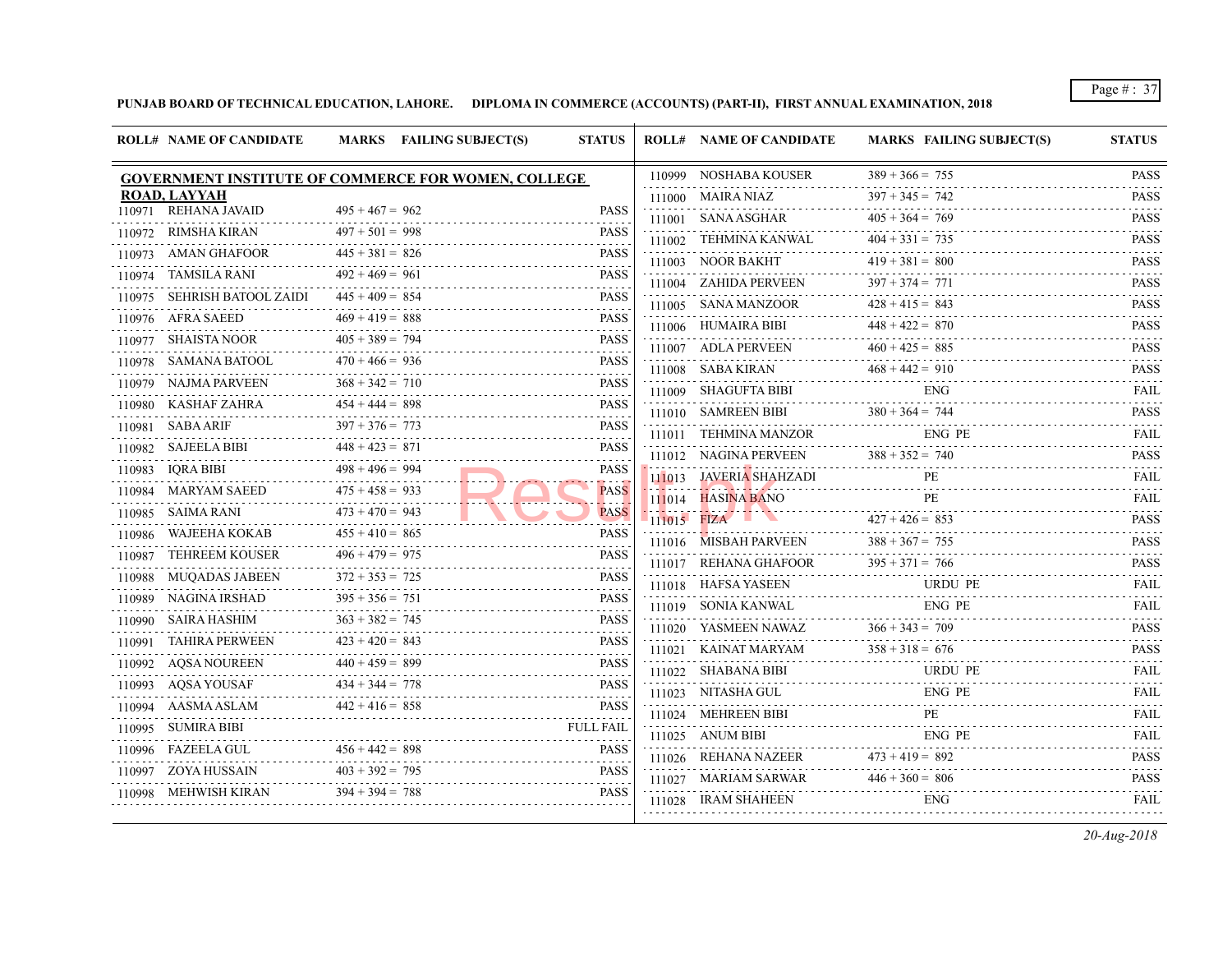| PUNJAB BOARD OF TECHNICAL EDUCATION, LAHORE. | DIPLOMA IN COMMERCE (ACCOUNTS) (PART-II),  FIRST ANNUAL EXAMINATIO |  |
|----------------------------------------------|--------------------------------------------------------------------|--|
|                                              |                                                                    |  |

| <b>ROLL# NAME OF CANDIDATE</b>                                                     |                   | MARKS FAILING SUBJECT(S)          | <b>STATUS</b>    |             | <b>ROLL# NAME OF CANDIDATE</b>                                 | <b>MARKS FAIL</b> |
|------------------------------------------------------------------------------------|-------------------|-----------------------------------|------------------|-------------|----------------------------------------------------------------|-------------------|
| <b>GOVERNMENT INSTITUTE OF COMMERCE FOR WOMEN, COLLEGE</b>                         |                   |                                   |                  |             | 110999 NOSHABA KOUSER                                          | $389 + 366 = 755$ |
| ROAD, LAYYAH                                                                       |                   |                                   |                  |             | 111000 MAIRA NIAZ                                              | $397 + 345 = 742$ |
| 110971 REHANA JAVAID                                                               | $495 + 467 = 962$ |                                   | <b>PASS</b>      |             | 111001 SANA ASGHAR                                             | $405 + 364 = 769$ |
| 110972 RIMSHA KIRAN                                                                | $497 + 501 = 998$ |                                   | <b>PASS</b>      |             | 111002 TEHMINA KANWAL                                          | $404 + 331 = 735$ |
| 110973 AMAN GHAFOOR $445 + 381 = 826$                                              |                   |                                   | <b>PASS</b>      |             | 111003 NOOR BAKHT                                              | $419 + 381 = 800$ |
| 110974 TAMSILA RANI                                                                | $492 + 469 = 961$ |                                   | PASS             |             | 111004 ZAHIDA PERVEEN                                          | $397 + 374 = 771$ |
| 110975 SEHRISH BATOOL ZAIDI<br>10975 SEHRISH BATOOL ZAIDI 445 + 409 = 854 PASS     | $445 + 409 = 854$ |                                   | <b>PASS</b>      |             | 111005 SANA MANZOOR 428 + 415 =                                | $428 + 415 = 843$ |
| 110976 AFRA SAEED                                                                  | $469 + 419 = 888$ | $169 + 419 = 888$ PASS            | <b>PASS</b>      |             | 111006 HUMAIRA BIBI $448 + 422 = 87$                           | $448 + 422 = 870$ |
| 110977 SHAISTA NOOR $405 + 389 = 794$ PASS                                         |                   |                                   | <b>PASS</b>      |             | 111007 ADLA PERVEEN $460 + 425 = 885$                          |                   |
| 110978 SAMANA BATOOL $470 + 466 = 936$<br>10978 SAMANA BATOOL 470 + 466 = 936 PASS |                   |                                   |                  |             | 111008 SABA KIRAN                                              | $468 + 442 = 910$ |
| 110979 NAJMA PARVEEN $368 + 342 = 710$                                             |                   | PASS                              |                  |             | 111009 SHAGUFTA BIBI                                           | ENG               |
| 110980 KASHAF ZAHRA $454 + 444 = 898$                                              |                   |                                   | <b>PASS</b><br>. |             |                                                                |                   |
| 110981 SABA ARIF<br>SABA ARIF $397 + 376 = 773$ PASS                               | $397 + 376 = 773$ |                                   | <b>PASS</b>      |             | 111010 SAMREEN BIBI $380 + 364 = 744$<br>111011 TEHMINA MANZOR | ENG I             |
| 110982 SAJEELA BIBI                                                                | $448 + 423 = 871$ | SAJEELA BIBI 448 + 423 = 871 PASS | PASS             |             | 111012 NAGINA PERVEEN                                          | $388 + 352 = 740$ |
| $18I$ $498 + 496 = 994$<br>110983 IQRA BIBI                                        |                   |                                   | <b>PASS</b>      |             | 111013 JAVERIA SHAHZADI                                        | PE                |
| 110984 MARYAM SAEED $475 + 458 = 933$                                              |                   |                                   | <b>PASS</b>      |             | $111014$ HASINA BANO                                           | РE                |
| 110985 SAIMA RANI                                                                  | $473 + 470 = 943$ |                                   | <b>PASS</b>      | 111015 FIZA | $427 + 426 = 853$                                              |                   |
| 110986 – WAJEEHA KOKAB                                                             | $455 + 410 = 865$ |                                   | <b>PASS</b>      |             | 111016 MISBAH PARVEEN                                          | $388 + 367 = 755$ |
| 110987 TEHREEM KOUSER                                                              | $496 + 479 = 975$ |                                   | <b>PASS</b>      |             | 111017 REHANA GHAFOOR                                          | $395 + 371 = 766$ |
| 110988 MUQADAS JABEEN                                                              |                   | JABEEN $372 + 353 = 725$ PASS     | <b>PASS</b>      |             | 111018 HAFSA YASEEN                                            | <b>URD</b>        |
| 110989 NAGINA IRSHAD $395 + 356 = 751$                                             |                   |                                   | <b>PASS</b>      |             | 111019 SONIA KANWAL                                            | <b>ENG</b>        |
| 110990 SAIRA HASHIM                                                                | $363 + 382 = 745$ |                                   | PASS             |             | 111020 YASMEEN NAWAZ                                           | $366 + 343 = 709$ |
| 110991 TAHIRA PERWEEN $423 + 420 = 843$ PASS                                       |                   |                                   |                  |             | 111021 KAINAT MARYAM $358 + 318 = 6$                           | $358 + 318 = 676$ |
| 110992 AQSA NOUREEN $440 + 459 = 899$                                              |                   |                                   | <b>PASS</b>      |             | 111022 SHABANA BIBI                                            | <b>URD</b>        |
| 110993 AQSA YOUSAF                                                                 | $434 + 344 = 778$ | SA YOUSAF 434 + 344 = 778 PASS    | PASS             |             | 111023 NITASHA GUL<br>111023 NITASHA GUL ENG                   | <b>ENG</b>        |
| 110994 AASMA ASLAM                                                                 |                   | $SMAASLAM$ $442 + 416 = 858$ PASS |                  |             | 111024 MEHREEN BIBI                                            | PE                |
| 110995 SUMIRA BIBI                                                                 |                   |                                   | <b>FULL FAIL</b> |             | 111025 ANUM BIBI                                               | <b>ENG</b>        |
| 110996 FAZEELA GUL<br>110996 FAZEELA GUL 456 + 442 = 898 PASS                      | $456 + 442 = 898$ |                                   |                  |             | 111026 REHANA NAZEER                                           | $473 + 419 = 892$ |
| 110997 ZOYA HUSSAIN                                                                | $403 + 392 = 795$ |                                   | <b>PASS</b>      |             | 111027 MARIAM SARWAR                                           | $446 + 360 = 806$ |
| 110998 MEHWISH KIRAN 394 + 394 = 788 PASS<br>110998 MEHWISH KIRAN                  |                   |                                   |                  |             | 111028 IRAM SHAHEEN                                            | <b>ENG</b>        |
|                                                                                    |                   |                                   |                  |             |                                                                |                   |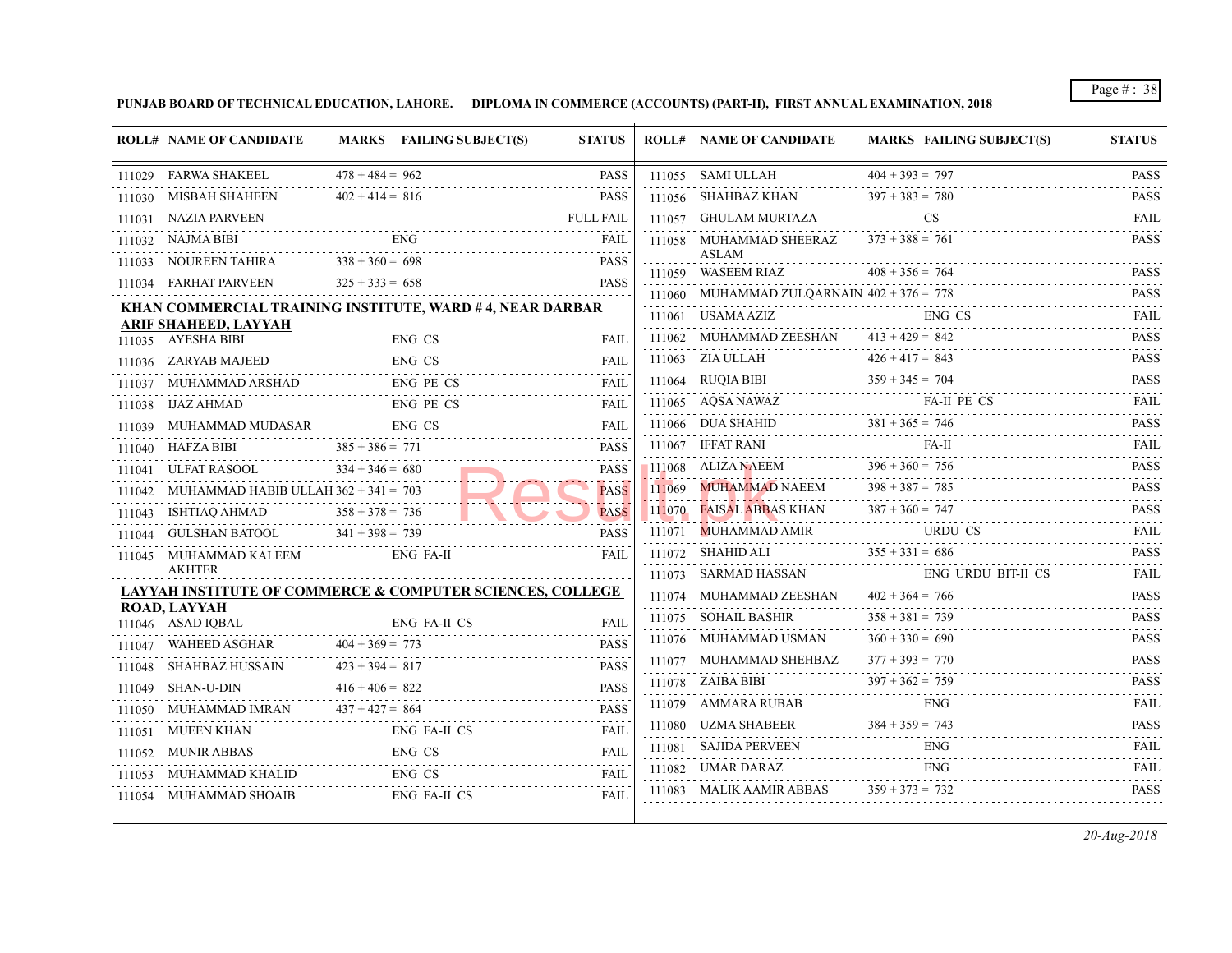|        | <b>ROLL# NAME OF CANDIDATE</b>                                                              | MARKS FAILING SUBJECT(S) | <b>STATUS</b>       |        | <b>ROLL# NAME OF CANDIDATE</b>                                              | <b>MARKS FAIL</b> |
|--------|---------------------------------------------------------------------------------------------|--------------------------|---------------------|--------|-----------------------------------------------------------------------------|-------------------|
| 111029 | FARWA SHAKEEL                                                                               | $478 + 484 = 962$        | <b>PASS</b>         |        | 111055 SAMI ULLAH                                                           | $404 + 393 = 797$ |
| 111030 | 111030 MISBAH SHAHEEN $402 + 414 = 816$ PASS                                                | $402 + 414 = 816$        | <b>PASS</b>         |        | 111056 SHAHBAZ KHAN                                                         | $397 + 383 = 780$ |
|        | 111031 NAZIA PARVEEN                                                                        |                          | FULL FAIL           |        | 111057 GHULAM MURTAZA                                                       | <b>CS</b>         |
|        | 111032 NAJMA BIBI                                                                           | ENG-                     | FAIL                |        | 111058 MUHAMMAD SHEERAZ                                                     | $373 + 388 = 761$ |
|        | 111033 NOUREEN TAHIRA $338 + 360 = 698$<br>111033 NOUREEN TAHIRA $338 + 360 = 698$ PASS     |                          | <b>PASS</b>         |        | <b>ASLAM</b><br>111059 WASEEM RIAZ                                          | $408 + 356 = 764$ |
|        | 111034 FARHAT PARVEEN $325 + 333 = 658$                                                     |                          | <b>PASS</b>         |        | 111060 MUHAMMAD ZULOARNAIN $402 + 376 = 778$                                |                   |
|        | KHAN COMMERCIAL TRAINING INSTITUTE, WARD #4, NEAR DARBAR                                    |                          |                     |        | 111061 USAMA AZIZ                                                           | ENG I             |
|        | ARIF SHAHEED, LAYYAH                                                                        | ENG CS                   |                     |        | 111062 MUHAMMAD ZEESHAN $413 + 429 = 842$                                   |                   |
|        | 111035 AYESHA BIBI<br>111036 ZARYAB MAJEED                                                  |                          | FAIL                |        | 111063 ZIA ULLAH                                                            | $426 + 417 = 843$ |
| 111037 |                                                                                             |                          | FAIL                |        |                                                                             |                   |
|        | 111037 MUHAMMAD ARSHAD ENG PE CS FAIL<br>111038 IJAZ AHMAD                                  |                          | FAIL                |        | 111064 RUQIA BIBI $359 + 345 = 704$<br>111065 AQSA NAWAZ                    | FA-II             |
|        | 111039 MUHAMMAD MUDASAR                                                                     | ENG PE CS<br>ENG CS      | <b>FAIL</b>         |        | $111065$ $AQSA NAWAZ$ $FA-$<br>$HID$ $381 + 365 = 746$<br>111066 DUA SHAHID |                   |
|        |                                                                                             |                          | <b>PASS</b>         |        | 111067 IFFAT RANI                                                           | $FA-II$           |
|        | 111040 HAFZA BIBI $385 + 386 = 771$<br>111041 ULFAT RASOOL $334 + 346 = 680$                |                          | <b>PASS</b>         |        | 111068 ALIZA NAEEM                                                          | $396 + 360 = 756$ |
|        | 111042 MUHAMMAD HABIB ULLAH $362 + 341 = 703$                                               |                          | <b>PASS</b>         | 111069 | $MUHAMMAD NAEEM$ 398 + 387 = 785                                            |                   |
| 111043 | ISHTIAQ AHMAD                                                                               | $358 + 378 = 736$        | <b>PASS</b>         |        | 111070 FAISAL ABBAS KHAN                                                    | $387 + 360 = 747$ |
|        | 111044 GULSHAN BATOOL                                                                       | $341 + 398 = 739$        | <b>PASS</b>         | 111071 | MUHAMMAD AMIR                                                               | <b>URD</b>        |
|        | 111045 MUHAMMAD KALEEM                                                                      | ENG FA-II                | FAIL                |        | 111072 SHAHID ALI $355 + 331 = 686$                                         |                   |
|        | <b>AKHTER</b>                                                                               |                          |                     |        | 111073 SARMAD HASSAN                                                        | <b>ENG</b>        |
|        | <b>LAYYAH INSTITUTE OF COMMERCE &amp; COMPUTER SCIENCES, COLLEGE</b><br><b>ROAD, LAYYAH</b> |                          |                     |        | 111074 MUHAMMAD ZEESHAN $402 + 364 = 766$                                   |                   |
|        | 111046 ASAD IQBAL                                                                           | ENG FA-II CS             | <b>FAIL</b>         |        | 111075 SOHAIL BASHIR                                                        | $358 + 381 = 739$ |
|        | 111047 WAHEED ASGHAR $404 + 369 = 773$                                                      |                          | <b>PASS</b>         |        | 111076 MUHAMMAD USMAN                                                       | $360 + 330 = 690$ |
|        | 111048 SHAHBAZ HUSSAIN $423 + 394 = 817$<br>SHAHBAZ HUSSAIN $423 + 394 = 817$ PASS          |                          | <b>PASS</b>         |        | 111077 MUHAMMAD SHEHBAZ                                                     | $377 + 393 = 770$ |
|        | 111049 SHAN-U-DIN                                                                           | $416 + 406 = 822$        | PASS                |        | 111078 ZAIBA BIBI                                                           | $397 + 362 = 759$ |
|        | 111050 MUHAMMAD IMRAN $437 + 427 = 864$                                                     |                          | <b>PASS</b>         |        | 111079 AMMARA RUBAB                                                         | <b>ENG</b>        |
|        | 111051 MUEEN KHAN<br>11051 MUEEN KHAN ENG FA-II CS FAIL COMPUTER                            |                          | $- - - - - -$       |        | 111080 UZMA SHABEER $384 + 359 = 743$                                       |                   |
|        | 111052 MUNIR ABBAS                                                                          | ENG CS                   | FAIL                |        | 111081 SAJIDA PERVEEN                                                       | <b>ENG</b>        |
|        | 111053 MUHAMMAD KHALID                                                                      |                          | .<br>ID ENG CS FAIL |        | 111082 UMAR DARAZ                                                           | <b>ENG</b>        |
|        | 111054 MUHAMMAD SHOAIB                                                                      | ENG FA-II CS             | FAIL                |        | 111083 MALIK AAMIR ABBAS                                                    | $359 + 373 = 732$ |
|        |                                                                                             |                          |                     |        |                                                                             |                   |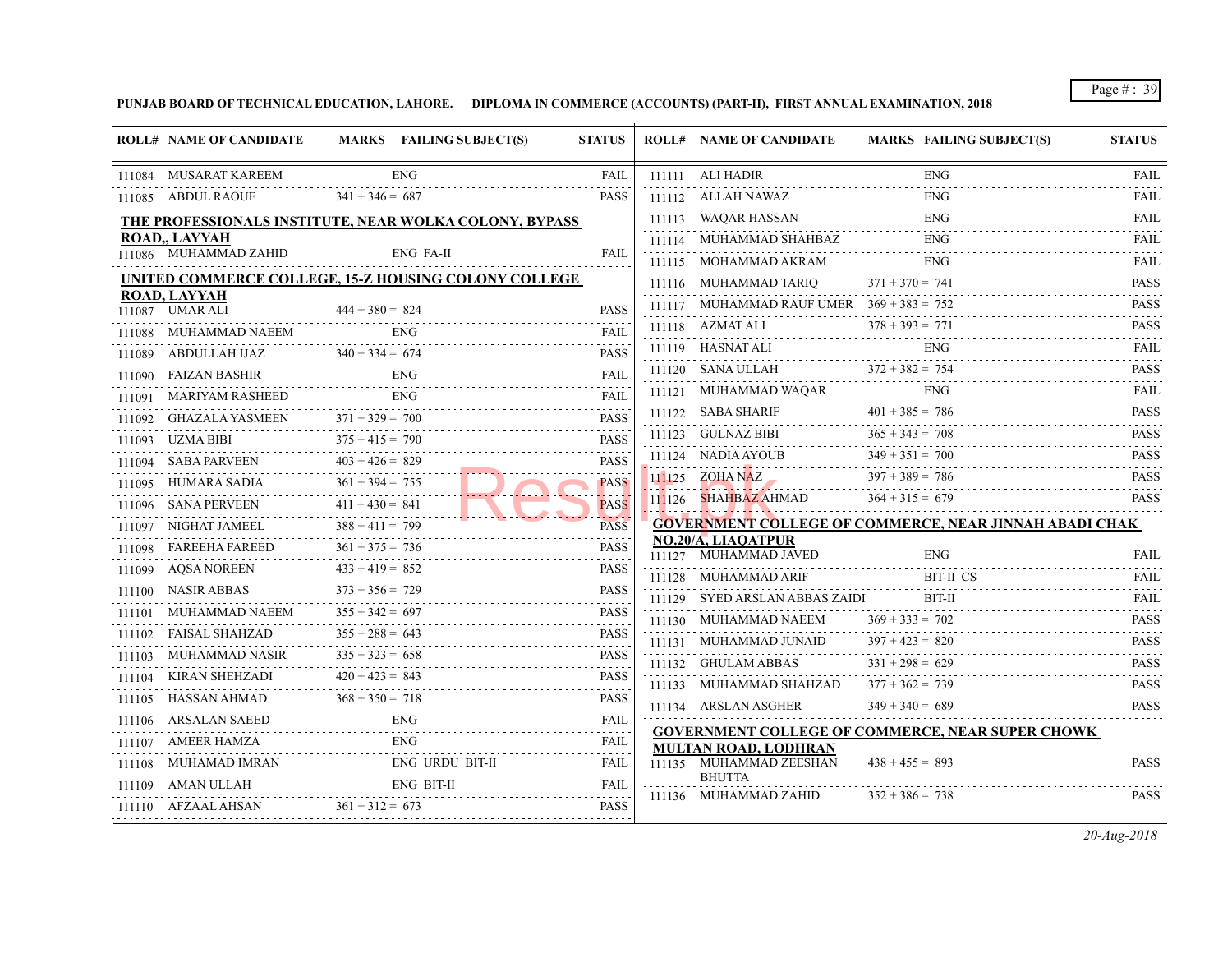| <b>ENG</b><br>111084 MUSARAT KAREEM<br>111111 ALI HADIR<br><b>ENG</b><br>FAIL<br>111085 ABDUL RAOUF<br>$341 + 346 = 687$<br>111112 ALLAH NAWAZ<br><b>PASS</b><br>ENG.<br>111113 WAQAR HASSAN<br><b>ENG</b><br>THE PROFESSIONALS INSTITUTE, NEAR WOLKA COLONY, BYPASS<br><b>ROAD, LAYYAH</b><br>111114 MUHAMMAD SHAHBAZ<br><b>ENG</b><br>111086 MUHAMMAD ZAHID<br>ENG FA-II<br>FAIL<br>111115 MOHAMMAD AKRAM<br>ENG.<br>UNITED COMMERCE COLLEGE, 15-Z HOUSING COLONY COLLEGE<br>111116 MUHAMMAD TARIQ $371 + 370 = 741$<br>ROAD, LAYYAH<br>111117 MUHAMMAD RAUF UMER $369 + 383 = 752$<br>111087 UMAR ALI<br><b>PASS</b><br>$444 + 380 = 824$<br>111118 AZMAT ALI<br>$378 + 393 = 771$<br>111118 AZMAT ALI $378 + 393 = 7$<br>ENG<br>111088 MUHAMMAD NAEEM<br>FAIL<br>$\mathcal{L}^{\mathcal{A}}\left( \mathcal{A}^{\mathcal{A}}\right) \mathcal{L}^{\mathcal{A}}\left( \mathcal{A}^{\mathcal{A}}\right) \mathcal{L}^{\mathcal{A}}\left( \mathcal{A}^{\mathcal{A}}\right)$<br>111119 HASNAT ALI ENG<br><b>ENG</b><br>$340 + 334 = 674$<br>111089 ABDULLAH IJAZ<br><b>PASS</b><br>111120 SANA ULLAH $372 + 382 = 754$<br>111090 FAIZAN BASHIR ENG FAIL<br>111121 MUHAMMAD WAQAR EN<br>ENG.<br>111091 MARIYAM RASHEED ENG FAIL<br>111122 SABA SHARIF $401 + 385 = 786$<br>111092 GHAZALA YASMEEN $371 + 329 = 700$<br><b>PASS</b><br>PASS<br>111123 GULNAZ BIBI $365 + 343 = 708$<br>$375 + 415 = 790$<br>111093 UZMA BIBI<br><b>PASS</b><br>111124 NADIA AYOUB $349 + 351 = 700$<br>111094 SABA PARVEEN $403 + 426 = 829$<br><b>PASS</b><br>111125 $ZOHA NAZ$ 397 + 389 = 786<br>111095 HUMARA SADIA $361 + 394 = 755$<br><b>PASS</b><br>.<br>$111126$ SHAHBAZ AHMAD $364 + 315 = 679$<br>111096 SANA PERVEEN $411 + 430 = 841$<br><b>PASS</b><br><b>GOVERNMENT COLLEGE OF COMMERCE, N</b><br>111097 NIGHAT JAMEEL $388 + 411 = 799$<br>PASS<br><b>NO.20/A, LIAOATPUR</b><br>111098 FAREEHA FAREED $361 + 375 = 736$<br>PASS<br>111127 MUHAMMAD JAVED<br><b>ENG</b><br>111099 AQSA NOREEN $433 + 419 = 852$<br>PASS<br>111128 MUHAMMAD ARIF<br>BIT-I<br>111100 NASIR ABBAS $373 + 356 = 729$<br><b>PASS</b><br>111129 SYED ARSLAN ABBAS ZAIDI<br>BIT-I<br>MUHAMMAD NAEEM $355 + 342 = 697$<br>EEM 355+342 = 697 PASS<br>111101<br>111130 MUHAMMAD NAEEM $369 + 333 = 702$<br>111102 FAISAL SHAHZAD $355 + 288 = 643$<br>$AD$ $355 + 288 = 643$ PASS<br>PASS<br>$397 + 423 = 820$<br>111131 MUHAMMAD JUNAID<br>MUHAMMAD NASIR $335 + 323 = 658$<br>PASS<br>AMAD NASIR 335 + 323 = 658 PASS<br>111103<br>111132 GHULAM ABBAS $331 + 298 = 629$<br><b>KIRAN SHEHZADI</b> $420 + 423 = 843$<br>NN SHEHZADI 420 + 423 = 843 PASS<br>111104<br>111133 MUHAMMAD SHAHZAD $377 + 362 = 739$<br>111105 HASSAN AHMAD $368 + 350 = 718$ PASS<br>$349 + 340 = 689$<br>111134 ARSLAN ASGHER<br>111106 ARSALAN SAEED<br>NLAN SAEED ENG FAIL<br><b>GOVERNMENT COLLEGE OF COMMERCE, I</b><br>EER HAMZA ENG FAIL<br>111107 AMEER HAMZA<br><b>MULTAN ROAD, LODHRAN</b><br>111135 MUHAMMAD ZEESHAN<br>FAIL<br>$438 + 455 = 893$<br><b>BHUTTA</b><br>THI09 AMAN ULLAH ENG BIT-II FAIL FAIL<br>$352 + 386 = 738$<br>111136 MUHAMMAD ZAHID<br>111110 AFZAAL AHSAN $361 + 312 = 673$<br><b>PASS</b> | <b>ROLL# NAME OF CANDIDATE</b> | MARKS FAILING SUBJECT(S) | <b>STATUS</b> | <b>ROLL# NAME OF CANDIDATE</b> | <b>MARKS FAIL</b> |
|---------------------------------------------------------------------------------------------------------------------------------------------------------------------------------------------------------------------------------------------------------------------------------------------------------------------------------------------------------------------------------------------------------------------------------------------------------------------------------------------------------------------------------------------------------------------------------------------------------------------------------------------------------------------------------------------------------------------------------------------------------------------------------------------------------------------------------------------------------------------------------------------------------------------------------------------------------------------------------------------------------------------------------------------------------------------------------------------------------------------------------------------------------------------------------------------------------------------------------------------------------------------------------------------------------------------------------------------------------------------------------------------------------------------------------------------------------------------------------------------------------------------------------------------------------------------------------------------------------------------------------------------------------------------------------------------------------------------------------------------------------------------------------------------------------------------------------------------------------------------------------------------------------------------------------------------------------------------------------------------------------------------------------------------------------------------------------------------------------------------------------------------------------------------------------------------------------------------------------------------------------------------------------------------------------------------------------------------------------------------------------------------------------------------------------------------------------------------------------------------------------------------------------------------------------------------------------------------------------------------------------------------------------------------------------------------------------------------------------------------------------------------------------------------------------------------------------------------------------------------------------------------------------------------------------------------------------------------------------------------------------------------------------------------------------------------------------------------------------------------------------------------------------------------------|--------------------------------|--------------------------|---------------|--------------------------------|-------------------|
|                                                                                                                                                                                                                                                                                                                                                                                                                                                                                                                                                                                                                                                                                                                                                                                                                                                                                                                                                                                                                                                                                                                                                                                                                                                                                                                                                                                                                                                                                                                                                                                                                                                                                                                                                                                                                                                                                                                                                                                                                                                                                                                                                                                                                                                                                                                                                                                                                                                                                                                                                                                                                                                                                                                                                                                                                                                                                                                                                                                                                                                                                                                                                                           |                                |                          |               |                                |                   |
|                                                                                                                                                                                                                                                                                                                                                                                                                                                                                                                                                                                                                                                                                                                                                                                                                                                                                                                                                                                                                                                                                                                                                                                                                                                                                                                                                                                                                                                                                                                                                                                                                                                                                                                                                                                                                                                                                                                                                                                                                                                                                                                                                                                                                                                                                                                                                                                                                                                                                                                                                                                                                                                                                                                                                                                                                                                                                                                                                                                                                                                                                                                                                                           |                                |                          |               |                                |                   |
|                                                                                                                                                                                                                                                                                                                                                                                                                                                                                                                                                                                                                                                                                                                                                                                                                                                                                                                                                                                                                                                                                                                                                                                                                                                                                                                                                                                                                                                                                                                                                                                                                                                                                                                                                                                                                                                                                                                                                                                                                                                                                                                                                                                                                                                                                                                                                                                                                                                                                                                                                                                                                                                                                                                                                                                                                                                                                                                                                                                                                                                                                                                                                                           |                                |                          |               |                                |                   |
|                                                                                                                                                                                                                                                                                                                                                                                                                                                                                                                                                                                                                                                                                                                                                                                                                                                                                                                                                                                                                                                                                                                                                                                                                                                                                                                                                                                                                                                                                                                                                                                                                                                                                                                                                                                                                                                                                                                                                                                                                                                                                                                                                                                                                                                                                                                                                                                                                                                                                                                                                                                                                                                                                                                                                                                                                                                                                                                                                                                                                                                                                                                                                                           |                                |                          |               |                                |                   |
|                                                                                                                                                                                                                                                                                                                                                                                                                                                                                                                                                                                                                                                                                                                                                                                                                                                                                                                                                                                                                                                                                                                                                                                                                                                                                                                                                                                                                                                                                                                                                                                                                                                                                                                                                                                                                                                                                                                                                                                                                                                                                                                                                                                                                                                                                                                                                                                                                                                                                                                                                                                                                                                                                                                                                                                                                                                                                                                                                                                                                                                                                                                                                                           |                                |                          |               |                                |                   |
|                                                                                                                                                                                                                                                                                                                                                                                                                                                                                                                                                                                                                                                                                                                                                                                                                                                                                                                                                                                                                                                                                                                                                                                                                                                                                                                                                                                                                                                                                                                                                                                                                                                                                                                                                                                                                                                                                                                                                                                                                                                                                                                                                                                                                                                                                                                                                                                                                                                                                                                                                                                                                                                                                                                                                                                                                                                                                                                                                                                                                                                                                                                                                                           |                                |                          |               |                                |                   |
|                                                                                                                                                                                                                                                                                                                                                                                                                                                                                                                                                                                                                                                                                                                                                                                                                                                                                                                                                                                                                                                                                                                                                                                                                                                                                                                                                                                                                                                                                                                                                                                                                                                                                                                                                                                                                                                                                                                                                                                                                                                                                                                                                                                                                                                                                                                                                                                                                                                                                                                                                                                                                                                                                                                                                                                                                                                                                                                                                                                                                                                                                                                                                                           |                                |                          |               |                                |                   |
|                                                                                                                                                                                                                                                                                                                                                                                                                                                                                                                                                                                                                                                                                                                                                                                                                                                                                                                                                                                                                                                                                                                                                                                                                                                                                                                                                                                                                                                                                                                                                                                                                                                                                                                                                                                                                                                                                                                                                                                                                                                                                                                                                                                                                                                                                                                                                                                                                                                                                                                                                                                                                                                                                                                                                                                                                                                                                                                                                                                                                                                                                                                                                                           |                                |                          |               |                                |                   |
|                                                                                                                                                                                                                                                                                                                                                                                                                                                                                                                                                                                                                                                                                                                                                                                                                                                                                                                                                                                                                                                                                                                                                                                                                                                                                                                                                                                                                                                                                                                                                                                                                                                                                                                                                                                                                                                                                                                                                                                                                                                                                                                                                                                                                                                                                                                                                                                                                                                                                                                                                                                                                                                                                                                                                                                                                                                                                                                                                                                                                                                                                                                                                                           |                                |                          |               |                                |                   |
|                                                                                                                                                                                                                                                                                                                                                                                                                                                                                                                                                                                                                                                                                                                                                                                                                                                                                                                                                                                                                                                                                                                                                                                                                                                                                                                                                                                                                                                                                                                                                                                                                                                                                                                                                                                                                                                                                                                                                                                                                                                                                                                                                                                                                                                                                                                                                                                                                                                                                                                                                                                                                                                                                                                                                                                                                                                                                                                                                                                                                                                                                                                                                                           |                                |                          |               |                                |                   |
|                                                                                                                                                                                                                                                                                                                                                                                                                                                                                                                                                                                                                                                                                                                                                                                                                                                                                                                                                                                                                                                                                                                                                                                                                                                                                                                                                                                                                                                                                                                                                                                                                                                                                                                                                                                                                                                                                                                                                                                                                                                                                                                                                                                                                                                                                                                                                                                                                                                                                                                                                                                                                                                                                                                                                                                                                                                                                                                                                                                                                                                                                                                                                                           |                                |                          |               |                                |                   |
|                                                                                                                                                                                                                                                                                                                                                                                                                                                                                                                                                                                                                                                                                                                                                                                                                                                                                                                                                                                                                                                                                                                                                                                                                                                                                                                                                                                                                                                                                                                                                                                                                                                                                                                                                                                                                                                                                                                                                                                                                                                                                                                                                                                                                                                                                                                                                                                                                                                                                                                                                                                                                                                                                                                                                                                                                                                                                                                                                                                                                                                                                                                                                                           |                                |                          |               |                                |                   |
|                                                                                                                                                                                                                                                                                                                                                                                                                                                                                                                                                                                                                                                                                                                                                                                                                                                                                                                                                                                                                                                                                                                                                                                                                                                                                                                                                                                                                                                                                                                                                                                                                                                                                                                                                                                                                                                                                                                                                                                                                                                                                                                                                                                                                                                                                                                                                                                                                                                                                                                                                                                                                                                                                                                                                                                                                                                                                                                                                                                                                                                                                                                                                                           |                                |                          |               |                                |                   |
|                                                                                                                                                                                                                                                                                                                                                                                                                                                                                                                                                                                                                                                                                                                                                                                                                                                                                                                                                                                                                                                                                                                                                                                                                                                                                                                                                                                                                                                                                                                                                                                                                                                                                                                                                                                                                                                                                                                                                                                                                                                                                                                                                                                                                                                                                                                                                                                                                                                                                                                                                                                                                                                                                                                                                                                                                                                                                                                                                                                                                                                                                                                                                                           |                                |                          |               |                                |                   |
|                                                                                                                                                                                                                                                                                                                                                                                                                                                                                                                                                                                                                                                                                                                                                                                                                                                                                                                                                                                                                                                                                                                                                                                                                                                                                                                                                                                                                                                                                                                                                                                                                                                                                                                                                                                                                                                                                                                                                                                                                                                                                                                                                                                                                                                                                                                                                                                                                                                                                                                                                                                                                                                                                                                                                                                                                                                                                                                                                                                                                                                                                                                                                                           |                                |                          |               |                                |                   |
|                                                                                                                                                                                                                                                                                                                                                                                                                                                                                                                                                                                                                                                                                                                                                                                                                                                                                                                                                                                                                                                                                                                                                                                                                                                                                                                                                                                                                                                                                                                                                                                                                                                                                                                                                                                                                                                                                                                                                                                                                                                                                                                                                                                                                                                                                                                                                                                                                                                                                                                                                                                                                                                                                                                                                                                                                                                                                                                                                                                                                                                                                                                                                                           |                                |                          |               |                                |                   |
|                                                                                                                                                                                                                                                                                                                                                                                                                                                                                                                                                                                                                                                                                                                                                                                                                                                                                                                                                                                                                                                                                                                                                                                                                                                                                                                                                                                                                                                                                                                                                                                                                                                                                                                                                                                                                                                                                                                                                                                                                                                                                                                                                                                                                                                                                                                                                                                                                                                                                                                                                                                                                                                                                                                                                                                                                                                                                                                                                                                                                                                                                                                                                                           |                                |                          |               |                                |                   |
|                                                                                                                                                                                                                                                                                                                                                                                                                                                                                                                                                                                                                                                                                                                                                                                                                                                                                                                                                                                                                                                                                                                                                                                                                                                                                                                                                                                                                                                                                                                                                                                                                                                                                                                                                                                                                                                                                                                                                                                                                                                                                                                                                                                                                                                                                                                                                                                                                                                                                                                                                                                                                                                                                                                                                                                                                                                                                                                                                                                                                                                                                                                                                                           |                                |                          |               |                                |                   |
|                                                                                                                                                                                                                                                                                                                                                                                                                                                                                                                                                                                                                                                                                                                                                                                                                                                                                                                                                                                                                                                                                                                                                                                                                                                                                                                                                                                                                                                                                                                                                                                                                                                                                                                                                                                                                                                                                                                                                                                                                                                                                                                                                                                                                                                                                                                                                                                                                                                                                                                                                                                                                                                                                                                                                                                                                                                                                                                                                                                                                                                                                                                                                                           |                                |                          |               |                                |                   |
|                                                                                                                                                                                                                                                                                                                                                                                                                                                                                                                                                                                                                                                                                                                                                                                                                                                                                                                                                                                                                                                                                                                                                                                                                                                                                                                                                                                                                                                                                                                                                                                                                                                                                                                                                                                                                                                                                                                                                                                                                                                                                                                                                                                                                                                                                                                                                                                                                                                                                                                                                                                                                                                                                                                                                                                                                                                                                                                                                                                                                                                                                                                                                                           |                                |                          |               |                                |                   |
|                                                                                                                                                                                                                                                                                                                                                                                                                                                                                                                                                                                                                                                                                                                                                                                                                                                                                                                                                                                                                                                                                                                                                                                                                                                                                                                                                                                                                                                                                                                                                                                                                                                                                                                                                                                                                                                                                                                                                                                                                                                                                                                                                                                                                                                                                                                                                                                                                                                                                                                                                                                                                                                                                                                                                                                                                                                                                                                                                                                                                                                                                                                                                                           |                                |                          |               |                                |                   |
|                                                                                                                                                                                                                                                                                                                                                                                                                                                                                                                                                                                                                                                                                                                                                                                                                                                                                                                                                                                                                                                                                                                                                                                                                                                                                                                                                                                                                                                                                                                                                                                                                                                                                                                                                                                                                                                                                                                                                                                                                                                                                                                                                                                                                                                                                                                                                                                                                                                                                                                                                                                                                                                                                                                                                                                                                                                                                                                                                                                                                                                                                                                                                                           |                                |                          |               |                                |                   |
|                                                                                                                                                                                                                                                                                                                                                                                                                                                                                                                                                                                                                                                                                                                                                                                                                                                                                                                                                                                                                                                                                                                                                                                                                                                                                                                                                                                                                                                                                                                                                                                                                                                                                                                                                                                                                                                                                                                                                                                                                                                                                                                                                                                                                                                                                                                                                                                                                                                                                                                                                                                                                                                                                                                                                                                                                                                                                                                                                                                                                                                                                                                                                                           |                                |                          |               |                                |                   |
|                                                                                                                                                                                                                                                                                                                                                                                                                                                                                                                                                                                                                                                                                                                                                                                                                                                                                                                                                                                                                                                                                                                                                                                                                                                                                                                                                                                                                                                                                                                                                                                                                                                                                                                                                                                                                                                                                                                                                                                                                                                                                                                                                                                                                                                                                                                                                                                                                                                                                                                                                                                                                                                                                                                                                                                                                                                                                                                                                                                                                                                                                                                                                                           |                                |                          |               |                                |                   |
|                                                                                                                                                                                                                                                                                                                                                                                                                                                                                                                                                                                                                                                                                                                                                                                                                                                                                                                                                                                                                                                                                                                                                                                                                                                                                                                                                                                                                                                                                                                                                                                                                                                                                                                                                                                                                                                                                                                                                                                                                                                                                                                                                                                                                                                                                                                                                                                                                                                                                                                                                                                                                                                                                                                                                                                                                                                                                                                                                                                                                                                                                                                                                                           |                                |                          |               |                                |                   |
|                                                                                                                                                                                                                                                                                                                                                                                                                                                                                                                                                                                                                                                                                                                                                                                                                                                                                                                                                                                                                                                                                                                                                                                                                                                                                                                                                                                                                                                                                                                                                                                                                                                                                                                                                                                                                                                                                                                                                                                                                                                                                                                                                                                                                                                                                                                                                                                                                                                                                                                                                                                                                                                                                                                                                                                                                                                                                                                                                                                                                                                                                                                                                                           |                                |                          |               |                                |                   |
|                                                                                                                                                                                                                                                                                                                                                                                                                                                                                                                                                                                                                                                                                                                                                                                                                                                                                                                                                                                                                                                                                                                                                                                                                                                                                                                                                                                                                                                                                                                                                                                                                                                                                                                                                                                                                                                                                                                                                                                                                                                                                                                                                                                                                                                                                                                                                                                                                                                                                                                                                                                                                                                                                                                                                                                                                                                                                                                                                                                                                                                                                                                                                                           |                                |                          |               |                                |                   |
|                                                                                                                                                                                                                                                                                                                                                                                                                                                                                                                                                                                                                                                                                                                                                                                                                                                                                                                                                                                                                                                                                                                                                                                                                                                                                                                                                                                                                                                                                                                                                                                                                                                                                                                                                                                                                                                                                                                                                                                                                                                                                                                                                                                                                                                                                                                                                                                                                                                                                                                                                                                                                                                                                                                                                                                                                                                                                                                                                                                                                                                                                                                                                                           |                                |                          |               |                                |                   |
|                                                                                                                                                                                                                                                                                                                                                                                                                                                                                                                                                                                                                                                                                                                                                                                                                                                                                                                                                                                                                                                                                                                                                                                                                                                                                                                                                                                                                                                                                                                                                                                                                                                                                                                                                                                                                                                                                                                                                                                                                                                                                                                                                                                                                                                                                                                                                                                                                                                                                                                                                                                                                                                                                                                                                                                                                                                                                                                                                                                                                                                                                                                                                                           |                                |                          |               |                                |                   |
|                                                                                                                                                                                                                                                                                                                                                                                                                                                                                                                                                                                                                                                                                                                                                                                                                                                                                                                                                                                                                                                                                                                                                                                                                                                                                                                                                                                                                                                                                                                                                                                                                                                                                                                                                                                                                                                                                                                                                                                                                                                                                                                                                                                                                                                                                                                                                                                                                                                                                                                                                                                                                                                                                                                                                                                                                                                                                                                                                                                                                                                                                                                                                                           |                                |                          |               |                                |                   |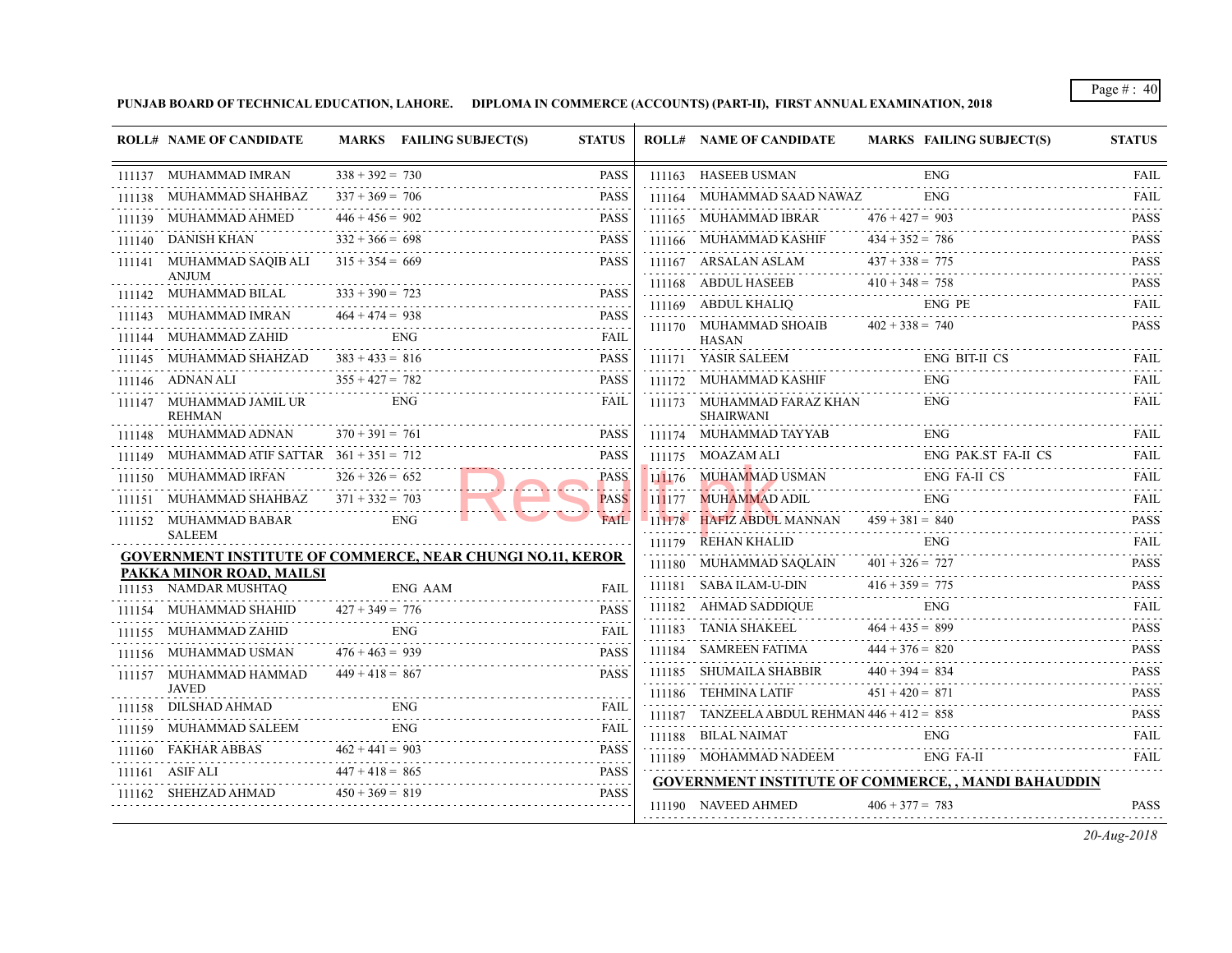|        | <b>ROLL# NAME OF CANDIDATE</b>                                                                                                                                                                           |                   | MARKS FAILING SUBJECT(S)                        | <b>STATUS</b> | <b>ROLL# NAME OF CANDIDATE</b>                 | <b>MARKS FAIL</b> |
|--------|----------------------------------------------------------------------------------------------------------------------------------------------------------------------------------------------------------|-------------------|-------------------------------------------------|---------------|------------------------------------------------|-------------------|
|        | 111137 MUHAMMAD IMRAN                                                                                                                                                                                    | $338 + 392 = 730$ |                                                 | PASS          | 111163 HASEEB USMAN                            | <b>ENG</b>        |
|        | 111138 MUHAMMAD SHAHBAZ                                                                                                                                                                                  | $337 + 369 = 706$ |                                                 | <b>PASS</b>   | 111164 MUHAMMAD SAAD NAWAZ                     | ENG.              |
|        | 111139 MUHAMMAD AHMED                                                                                                                                                                                    | $446 + 456 = 902$ |                                                 | <b>PASS</b>   | 111165 MUHAMMAD IBRAR                          | $476 + 427 = 903$ |
|        | 111140 DANISH KHAN                                                                                                                                                                                       | $332 + 366 = 698$ | $332 + 366 = 698$ PASS                          |               | 111166 MUHAMMAD KASHIF                         | $434 + 352 = 786$ |
|        | 111141 MUHAMMAD SAQIB ALI $315 + 354 = 669$                                                                                                                                                              |                   |                                                 | <b>PASS</b>   | 111167 ARSALAN ASLAM $437 + 338 = 775$         |                   |
|        | <b>ANJUM</b><br>111142 MUHAMMAD BILAL $333 + 390 = 723$                                                                                                                                                  |                   |                                                 | <b>PASS</b>   | 111168 ABDUL HASEEB $410 + 348 = 758$          |                   |
|        | 111143 MUHAMMAD IMRAN $464 + 474 = 938$                                                                                                                                                                  |                   |                                                 |               | 111169 ABDUL KHALIQ                            | <b>ENG</b>        |
|        | 111144 MUHAMMAD ZAHID                                                                                                                                                                                    |                   | AD IMRAN 464 + 474 = 938 PASS                   |               | 111170 MUHAMMAD SHOAIB $402 + 338 = 740$       |                   |
|        | $\begin{tabular}{lllllllll} \bf 111144 & \tt MUHAMMAD ZAHID & \tt ENG & \tt FAIL \\ \bf 1211144 & \tt MUHAMMAD ZAHID & \tt ENG & \tt FAIL \\ \end{tabular}$<br>111145 MUHAMMAD SHAHZAD $383 + 433 = 816$ |                   |                                                 | PASS          | <b>HASAN</b><br>111171 YASIR SALEEM            | <b>ENG</b>        |
|        | 111146 ADNAN ALI $355 + 427 = 782$                                                                                                                                                                       |                   | AD SHAHZAD $383 + 433 = 816$                    | <b>PASS</b>   | 111172 MUHAMMAD KASHIF                         | <b>ENG</b>        |
|        | 111147 MUHAMMAD JAMIL UR                                                                                                                                                                                 |                   | <b>ENG</b>                                      | FAIL          | 111173 MUHAMMAD FARAZ KHAN                     | ENG I             |
|        | <b>REHMAN</b>                                                                                                                                                                                            |                   |                                                 |               | <b>SHAIRWANI</b>                               |                   |
|        | 111148 MUHAMMAD ADNAN                                                                                                                                                                                    | $370 + 391 = 761$ |                                                 | <b>PASS</b>   | 111174 MUHAMMAD TAYYAB                         | <b>ENG</b>        |
|        | 111149 MUHAMMAD ATIF SATTAR $361 + 351 = 712$                                                                                                                                                            |                   |                                                 | <b>PASS</b>   | 111175 MOAZAM ALI                              | <b>ENG</b>        |
|        | 111150 MUHAMMAD IRFAN $326 + 326 = 652$                                                                                                                                                                  |                   |                                                 | <b>PASS</b>   | 111176 MUHAMMAD USMAN                          | ENG               |
| 111151 | MUHAMMAD SHAHBAZ $371 + 332 = 703$                                                                                                                                                                       |                   |                                                 | <b>PASS</b>   | 111177 MUHAMMAD ADIL                           | ENG.              |
|        | 111152 MUHAMMAD BABAR                                                                                                                                                                                    |                   | ENG.                                            | <b>FAIL</b>   | 111178 HAFIZ ABDUL MANNAN $459 + 381 = 840$    |                   |
|        | <b>SALEEM</b>                                                                                                                                                                                            |                   |                                                 |               | 111179 REHAN KHALID                            | ENG I             |
|        | <b>GOVERNMENT INSTITUTE OF COMMERCE, NEAR CHUNGI NO.11, KEROR</b><br>PAKKA MINOR ROAD, MAILSI                                                                                                            |                   |                                                 |               | 111180 MUHAMMAD SAQLAIN $401 + 326 = 727$      |                   |
|        | 111153 NAMDAR MUSHTAQ                                                                                                                                                                                    |                   | P ENG AAM FALL ENG AAM FALL ENG AAM FALL ENGERE | FAIL          | 111181 SABA ILAM-U-DIN $416 + 359 = 775$       |                   |
|        | 111154 MUHAMMAD SHAHID                                                                                                                                                                                   | $427 + 349 = 776$ |                                                 | <b>PASS</b>   | 111182 AHMAD SADDIQUE                          | ENG               |
|        | 111155 MUHAMMAD ZAHID                                                                                                                                                                                    |                   | ENG                                             | FAIL          | 111183 TANIA SHAKEEL $464 + 435 = 899$         |                   |
|        | 111156 MUHAMMAD USMAN $476 + 463 = 939$                                                                                                                                                                  |                   |                                                 | PASS          | 111184 SAMREEN FATIMA $444 + 376 = 820$        |                   |
|        | 111157 MUHAMMAD HAMMAD $449 + 418 = 867$                                                                                                                                                                 |                   |                                                 | <b>PASS</b>   | 111185 SHUMAILA SHABBIR $440 + 394 = 834$      |                   |
|        | <b>JAVED</b>                                                                                                                                                                                             |                   |                                                 |               | 111186 TEHMINA LATIF                           | $451 + 420 = 871$ |
|        | 111158 DILSHAD AHMAD<br>111158 DILSHAD AHMAD ENG FAIL                                                                                                                                                    |                   |                                                 |               | 111187 TANZEELA ABDUL REHMAN $446 + 412 = 858$ |                   |
|        | $\begin{tabular}{ll} 111159 & {\small \bf MUHAMMAD SALEEM} & {\small \bf ENG & \color{red}{FAIL} \\ \hline \end{tabular}$                                                                                |                   |                                                 |               | 111188 BILAL NAIMAT                            | <b>ENG</b>        |
|        | 111160 FAKHAR ABBAS $462 + 441 = 903$ PASS                                                                                                                                                               |                   |                                                 |               | 111189 MOHAMMAD NADEEM                         | <b>ENG</b>        |
|        | 111161 ASIF ALI $447 + 418 = 865$                                                                                                                                                                        |                   | PASS                                            | PASS          | <b>GOVERNMENT INSTITUTE OF COMMERCE,</b>       |                   |
|        | 111162 SHEHZAD AHMAD $450 + 369 = 819$                                                                                                                                                                   |                   |                                                 | <b>PASS</b>   | 111190 NAVEED AHMED                            | $406 + 377 = 783$ |
|        |                                                                                                                                                                                                          |                   |                                                 |               |                                                |                   |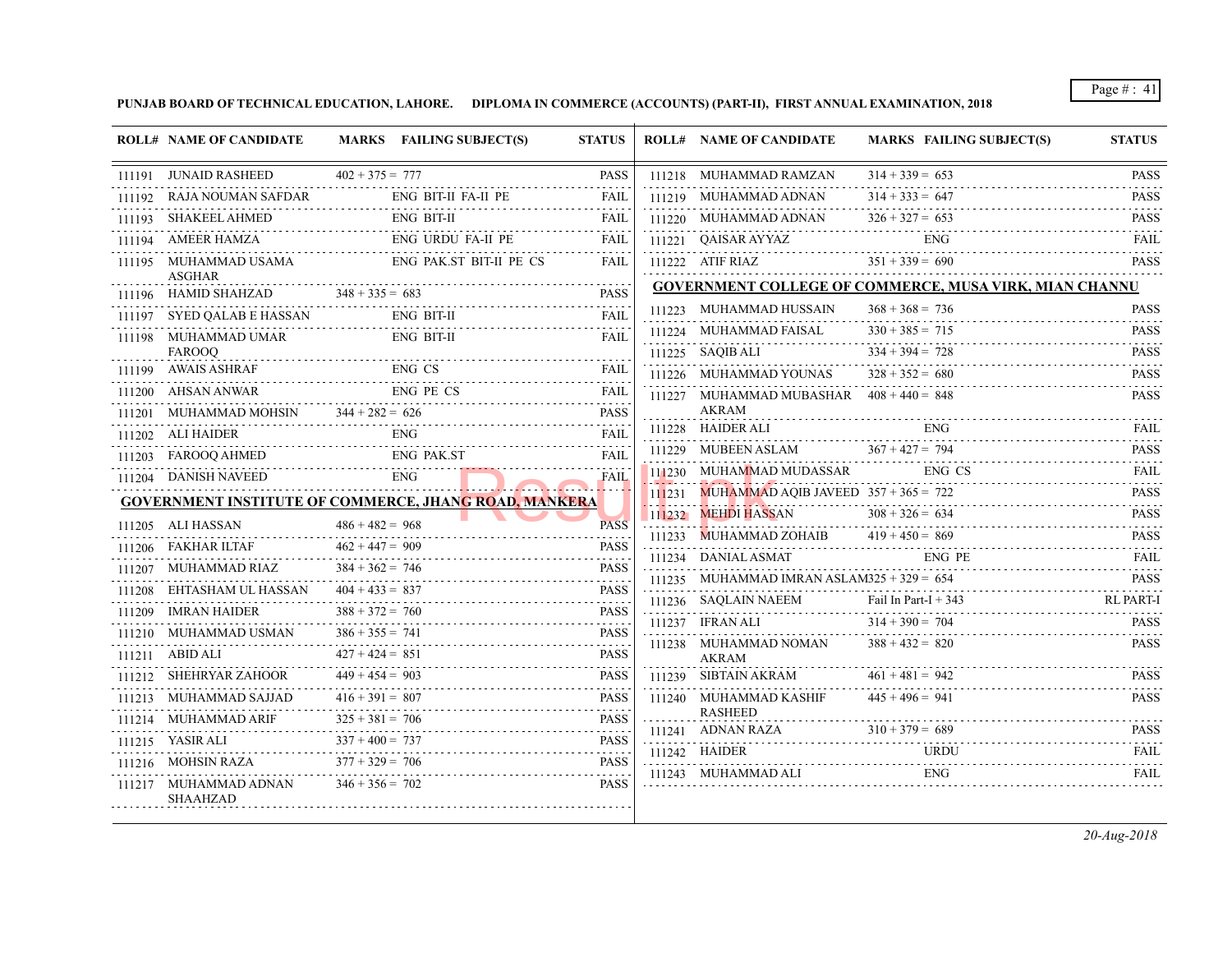| $402 + 375 = 777$<br>$314 + 339 = 653$<br><b>PASS</b><br>111191 JUNAID RASHEED<br>111218 MUHAMMAD RAMZAN<br>$314 + 333 = 647$<br>111192 RAJA NOUMAN SAFDAR<br>ENG BIT-II FA-II PE<br><b>FAIL</b><br>111219 MUHAMMAD ADNAN<br>$326 + 327 = 653$<br>111193 SHAKEEL AHMED<br>FAIL<br>111220 MUHAMMAD ADNAN<br>SHAKEEL AHMED ENG BIT-II<br>ENG URDU FA-II PE<br>111194 AMEER HAMZA<br><b>FAIL</b><br>111221 OAISAR AYYAZ<br><b>ENG</b><br>ENG PAK.ST BIT-II PE CS<br>111222 ATIF RIAZ<br>$351 + 339 = 690$<br>111195 MUHAMMAD USAMA<br><b>FAIL</b><br><b>ASGHAR</b><br><b>GOVERNMENT COLLEGE OF COMMERCE, I</b><br>$348 + 335 = 683$<br><b>PASS</b><br>111196 HAMID SHAHZAD<br>111223 MUHAMMAD HUSSAIN<br>$368 + 368 = 736$<br>ENG BIT-II<br><b>FAIL</b><br>111197 SYED QALAB E HASSAN<br>.<br>$330 + 385 = 715$<br>111224 MUHAMMAD FAISAL<br>111198 MUHAMMAD UMAR<br><b>ENG BIT-II</b><br><b>FAIL</b><br>$334 + 394 = 728$<br><b>FAROOO</b><br>111225 SAQIB ALI<br>and a state.<br>111199 AWAIS ASHRAF<br>111226 MUHAMMAD YOUNAS<br>$328 + 352 = 680$<br>ENG PE CS<br>111200 AHSAN ANWAR<br>R ENG PE CS FAIL<br>111227 MUHAMMAD MUBASHAR $408 + 440 = 848$<br><b>AKRAM</b><br>111201 MUHAMMAD MOHSIN $344 + 282 = 626$<br><b>PASS</b><br>111228 HAIDER ALI<br><b>ENG</b><br><b>ENG</b><br>111202 ALI HAIDER<br>FAIL<br>R ENG ENG<br>$367 + 427 = 794$<br>111229 MUBEEN ASLAM<br>111203 FAROOQ AHMED<br>ED ENG PAK.ST<br><b>FAIL</b><br>111230 MUHAMMAD MUDASSAR<br><b>ENG</b><br><b>FAIL</b><br>111204 DANISH NAVEED<br><b>ENG</b><br>$111231$ MUHAMMAD AQIB JAVEED $357 + 365 = 722$<br><b>GOVERNMENT INSTITUTE OF COMMERCE, JHANG ROAD, MANKERA</b><br>.<br>$308 + 326 = 634$<br>111232 MEHDI HASSAN<br>111205 ALI HASSAN<br>$486 + 482 = 968$<br><b>PASS</b><br>111233 MUHAMMAD ZOHAIB<br>$419 + 450 = 869$<br>$462 + 447 = 909$<br>111206 FAKHAR ILTAF<br><b>PASS</b><br>111234 DANIAL ASMAT<br><b>ENG</b><br>$384 + 362 = 746$<br>111207 MUHAMMAD RIAZ<br><b>PASS</b><br>111235 MUHAMMAD IMRAN ASLAM325 + 329 = $654$<br>.<br>$404 + 433 = 837$<br><b>PASS</b><br>111208 EHTASHAM UL HASSAN<br>111236 SAQLAIN NAEEM Fail In Part-I + 3<br>1.1.1.1.1<br>$388 + 372 = 760$<br>111209 IMRAN HAIDER<br><b>PASS</b><br>111209 IMRAN HAIDER $388 + 372 = 760$ PASS<br>111237 IFRAN ALI<br>$314 + 390 = 704$<br>$386 + 355 = 741$<br><b>PASS</b><br>111210 MUHAMMAD USMAN<br>$380 + 355 = 741$<br>$388 + 432 = 820$<br>111238 MUHAMMAD NOMAN<br>$\mathcal{L}^{\mathcal{A}}\left( \mathcal{L}^{\mathcal{A}}\left( \mathcal{L}^{\mathcal{A}}\right) \right) =\mathcal{L}^{\mathcal{A}}\left( \mathcal{L}^{\mathcal{A}}\right)$<br>$427 + 424 = 851$<br><b>PASS</b><br>111211 ABID ALI<br>AKRAM<br>$449 + 454 = 903$<br>111212 SHEHRYAR ZAHOOR<br><b>PASS</b><br>111239 SIBTAIN AKRAM<br>$461 + 481 = 942$<br>$416 + 391 = 807$<br>$445 + 496 = 941$<br><b>PASS</b><br>111240 MUHAMMAD KASHIF<br>111213 MUHAMMAD SAJJAD<br><b>RASHEED</b><br>$325 + 381 = 706$<br>111214 MUHAMMAD ARIF<br>706 PASS<br>111241 ADNAN RAZA $310 + 379 = 689$<br>$337 + 400 = 737$<br>111215 YASIR ALI<br>PASS<br>I $337 + 400 = 737$ PASS<br>111242 HAIDER<br><b>URD</b><br>$377 + 329 = 706$<br><b>PASS</b><br>111216 MOHSIN RAZA<br><b>ENG</b><br>111243 MUHAMMAD ALI<br>$346 + 356 = 702$<br><b>PASS</b><br>111217 MUHAMMAD ADNAN<br>SHAAHZAD | <b>ROLL# NAME OF CANDIDATE</b> | MARKS FAILING SUBJECT(S) | <b>STATUS</b> | <b>ROLL# NAME OF CANDIDATE</b> | <b>MARKS FAIL</b> |
|-----------------------------------------------------------------------------------------------------------------------------------------------------------------------------------------------------------------------------------------------------------------------------------------------------------------------------------------------------------------------------------------------------------------------------------------------------------------------------------------------------------------------------------------------------------------------------------------------------------------------------------------------------------------------------------------------------------------------------------------------------------------------------------------------------------------------------------------------------------------------------------------------------------------------------------------------------------------------------------------------------------------------------------------------------------------------------------------------------------------------------------------------------------------------------------------------------------------------------------------------------------------------------------------------------------------------------------------------------------------------------------------------------------------------------------------------------------------------------------------------------------------------------------------------------------------------------------------------------------------------------------------------------------------------------------------------------------------------------------------------------------------------------------------------------------------------------------------------------------------------------------------------------------------------------------------------------------------------------------------------------------------------------------------------------------------------------------------------------------------------------------------------------------------------------------------------------------------------------------------------------------------------------------------------------------------------------------------------------------------------------------------------------------------------------------------------------------------------------------------------------------------------------------------------------------------------------------------------------------------------------------------------------------------------------------------------------------------------------------------------------------------------------------------------------------------------------------------------------------------------------------------------------------------------------------------------------------------------------------------------------------------------------------------------------------------------------------------------------------------------------------------------------------------------------------------------------------------------------------------------------------------------------------------------------------------------|--------------------------------|--------------------------|---------------|--------------------------------|-------------------|
|                                                                                                                                                                                                                                                                                                                                                                                                                                                                                                                                                                                                                                                                                                                                                                                                                                                                                                                                                                                                                                                                                                                                                                                                                                                                                                                                                                                                                                                                                                                                                                                                                                                                                                                                                                                                                                                                                                                                                                                                                                                                                                                                                                                                                                                                                                                                                                                                                                                                                                                                                                                                                                                                                                                                                                                                                                                                                                                                                                                                                                                                                                                                                                                                                                                                                                                       |                                |                          |               |                                |                   |
|                                                                                                                                                                                                                                                                                                                                                                                                                                                                                                                                                                                                                                                                                                                                                                                                                                                                                                                                                                                                                                                                                                                                                                                                                                                                                                                                                                                                                                                                                                                                                                                                                                                                                                                                                                                                                                                                                                                                                                                                                                                                                                                                                                                                                                                                                                                                                                                                                                                                                                                                                                                                                                                                                                                                                                                                                                                                                                                                                                                                                                                                                                                                                                                                                                                                                                                       |                                |                          |               |                                |                   |
|                                                                                                                                                                                                                                                                                                                                                                                                                                                                                                                                                                                                                                                                                                                                                                                                                                                                                                                                                                                                                                                                                                                                                                                                                                                                                                                                                                                                                                                                                                                                                                                                                                                                                                                                                                                                                                                                                                                                                                                                                                                                                                                                                                                                                                                                                                                                                                                                                                                                                                                                                                                                                                                                                                                                                                                                                                                                                                                                                                                                                                                                                                                                                                                                                                                                                                                       |                                |                          |               |                                |                   |
|                                                                                                                                                                                                                                                                                                                                                                                                                                                                                                                                                                                                                                                                                                                                                                                                                                                                                                                                                                                                                                                                                                                                                                                                                                                                                                                                                                                                                                                                                                                                                                                                                                                                                                                                                                                                                                                                                                                                                                                                                                                                                                                                                                                                                                                                                                                                                                                                                                                                                                                                                                                                                                                                                                                                                                                                                                                                                                                                                                                                                                                                                                                                                                                                                                                                                                                       |                                |                          |               |                                |                   |
|                                                                                                                                                                                                                                                                                                                                                                                                                                                                                                                                                                                                                                                                                                                                                                                                                                                                                                                                                                                                                                                                                                                                                                                                                                                                                                                                                                                                                                                                                                                                                                                                                                                                                                                                                                                                                                                                                                                                                                                                                                                                                                                                                                                                                                                                                                                                                                                                                                                                                                                                                                                                                                                                                                                                                                                                                                                                                                                                                                                                                                                                                                                                                                                                                                                                                                                       |                                |                          |               |                                |                   |
|                                                                                                                                                                                                                                                                                                                                                                                                                                                                                                                                                                                                                                                                                                                                                                                                                                                                                                                                                                                                                                                                                                                                                                                                                                                                                                                                                                                                                                                                                                                                                                                                                                                                                                                                                                                                                                                                                                                                                                                                                                                                                                                                                                                                                                                                                                                                                                                                                                                                                                                                                                                                                                                                                                                                                                                                                                                                                                                                                                                                                                                                                                                                                                                                                                                                                                                       |                                |                          |               |                                |                   |
|                                                                                                                                                                                                                                                                                                                                                                                                                                                                                                                                                                                                                                                                                                                                                                                                                                                                                                                                                                                                                                                                                                                                                                                                                                                                                                                                                                                                                                                                                                                                                                                                                                                                                                                                                                                                                                                                                                                                                                                                                                                                                                                                                                                                                                                                                                                                                                                                                                                                                                                                                                                                                                                                                                                                                                                                                                                                                                                                                                                                                                                                                                                                                                                                                                                                                                                       |                                |                          |               |                                |                   |
|                                                                                                                                                                                                                                                                                                                                                                                                                                                                                                                                                                                                                                                                                                                                                                                                                                                                                                                                                                                                                                                                                                                                                                                                                                                                                                                                                                                                                                                                                                                                                                                                                                                                                                                                                                                                                                                                                                                                                                                                                                                                                                                                                                                                                                                                                                                                                                                                                                                                                                                                                                                                                                                                                                                                                                                                                                                                                                                                                                                                                                                                                                                                                                                                                                                                                                                       |                                |                          |               |                                |                   |
|                                                                                                                                                                                                                                                                                                                                                                                                                                                                                                                                                                                                                                                                                                                                                                                                                                                                                                                                                                                                                                                                                                                                                                                                                                                                                                                                                                                                                                                                                                                                                                                                                                                                                                                                                                                                                                                                                                                                                                                                                                                                                                                                                                                                                                                                                                                                                                                                                                                                                                                                                                                                                                                                                                                                                                                                                                                                                                                                                                                                                                                                                                                                                                                                                                                                                                                       |                                |                          |               |                                |                   |
|                                                                                                                                                                                                                                                                                                                                                                                                                                                                                                                                                                                                                                                                                                                                                                                                                                                                                                                                                                                                                                                                                                                                                                                                                                                                                                                                                                                                                                                                                                                                                                                                                                                                                                                                                                                                                                                                                                                                                                                                                                                                                                                                                                                                                                                                                                                                                                                                                                                                                                                                                                                                                                                                                                                                                                                                                                                                                                                                                                                                                                                                                                                                                                                                                                                                                                                       |                                |                          |               |                                |                   |
|                                                                                                                                                                                                                                                                                                                                                                                                                                                                                                                                                                                                                                                                                                                                                                                                                                                                                                                                                                                                                                                                                                                                                                                                                                                                                                                                                                                                                                                                                                                                                                                                                                                                                                                                                                                                                                                                                                                                                                                                                                                                                                                                                                                                                                                                                                                                                                                                                                                                                                                                                                                                                                                                                                                                                                                                                                                                                                                                                                                                                                                                                                                                                                                                                                                                                                                       |                                |                          |               |                                |                   |
|                                                                                                                                                                                                                                                                                                                                                                                                                                                                                                                                                                                                                                                                                                                                                                                                                                                                                                                                                                                                                                                                                                                                                                                                                                                                                                                                                                                                                                                                                                                                                                                                                                                                                                                                                                                                                                                                                                                                                                                                                                                                                                                                                                                                                                                                                                                                                                                                                                                                                                                                                                                                                                                                                                                                                                                                                                                                                                                                                                                                                                                                                                                                                                                                                                                                                                                       |                                |                          |               |                                |                   |
|                                                                                                                                                                                                                                                                                                                                                                                                                                                                                                                                                                                                                                                                                                                                                                                                                                                                                                                                                                                                                                                                                                                                                                                                                                                                                                                                                                                                                                                                                                                                                                                                                                                                                                                                                                                                                                                                                                                                                                                                                                                                                                                                                                                                                                                                                                                                                                                                                                                                                                                                                                                                                                                                                                                                                                                                                                                                                                                                                                                                                                                                                                                                                                                                                                                                                                                       |                                |                          |               |                                |                   |
|                                                                                                                                                                                                                                                                                                                                                                                                                                                                                                                                                                                                                                                                                                                                                                                                                                                                                                                                                                                                                                                                                                                                                                                                                                                                                                                                                                                                                                                                                                                                                                                                                                                                                                                                                                                                                                                                                                                                                                                                                                                                                                                                                                                                                                                                                                                                                                                                                                                                                                                                                                                                                                                                                                                                                                                                                                                                                                                                                                                                                                                                                                                                                                                                                                                                                                                       |                                |                          |               |                                |                   |
|                                                                                                                                                                                                                                                                                                                                                                                                                                                                                                                                                                                                                                                                                                                                                                                                                                                                                                                                                                                                                                                                                                                                                                                                                                                                                                                                                                                                                                                                                                                                                                                                                                                                                                                                                                                                                                                                                                                                                                                                                                                                                                                                                                                                                                                                                                                                                                                                                                                                                                                                                                                                                                                                                                                                                                                                                                                                                                                                                                                                                                                                                                                                                                                                                                                                                                                       |                                |                          |               |                                |                   |
|                                                                                                                                                                                                                                                                                                                                                                                                                                                                                                                                                                                                                                                                                                                                                                                                                                                                                                                                                                                                                                                                                                                                                                                                                                                                                                                                                                                                                                                                                                                                                                                                                                                                                                                                                                                                                                                                                                                                                                                                                                                                                                                                                                                                                                                                                                                                                                                                                                                                                                                                                                                                                                                                                                                                                                                                                                                                                                                                                                                                                                                                                                                                                                                                                                                                                                                       |                                |                          |               |                                |                   |
|                                                                                                                                                                                                                                                                                                                                                                                                                                                                                                                                                                                                                                                                                                                                                                                                                                                                                                                                                                                                                                                                                                                                                                                                                                                                                                                                                                                                                                                                                                                                                                                                                                                                                                                                                                                                                                                                                                                                                                                                                                                                                                                                                                                                                                                                                                                                                                                                                                                                                                                                                                                                                                                                                                                                                                                                                                                                                                                                                                                                                                                                                                                                                                                                                                                                                                                       |                                |                          |               |                                |                   |
|                                                                                                                                                                                                                                                                                                                                                                                                                                                                                                                                                                                                                                                                                                                                                                                                                                                                                                                                                                                                                                                                                                                                                                                                                                                                                                                                                                                                                                                                                                                                                                                                                                                                                                                                                                                                                                                                                                                                                                                                                                                                                                                                                                                                                                                                                                                                                                                                                                                                                                                                                                                                                                                                                                                                                                                                                                                                                                                                                                                                                                                                                                                                                                                                                                                                                                                       |                                |                          |               |                                |                   |
|                                                                                                                                                                                                                                                                                                                                                                                                                                                                                                                                                                                                                                                                                                                                                                                                                                                                                                                                                                                                                                                                                                                                                                                                                                                                                                                                                                                                                                                                                                                                                                                                                                                                                                                                                                                                                                                                                                                                                                                                                                                                                                                                                                                                                                                                                                                                                                                                                                                                                                                                                                                                                                                                                                                                                                                                                                                                                                                                                                                                                                                                                                                                                                                                                                                                                                                       |                                |                          |               |                                |                   |
|                                                                                                                                                                                                                                                                                                                                                                                                                                                                                                                                                                                                                                                                                                                                                                                                                                                                                                                                                                                                                                                                                                                                                                                                                                                                                                                                                                                                                                                                                                                                                                                                                                                                                                                                                                                                                                                                                                                                                                                                                                                                                                                                                                                                                                                                                                                                                                                                                                                                                                                                                                                                                                                                                                                                                                                                                                                                                                                                                                                                                                                                                                                                                                                                                                                                                                                       |                                |                          |               |                                |                   |
|                                                                                                                                                                                                                                                                                                                                                                                                                                                                                                                                                                                                                                                                                                                                                                                                                                                                                                                                                                                                                                                                                                                                                                                                                                                                                                                                                                                                                                                                                                                                                                                                                                                                                                                                                                                                                                                                                                                                                                                                                                                                                                                                                                                                                                                                                                                                                                                                                                                                                                                                                                                                                                                                                                                                                                                                                                                                                                                                                                                                                                                                                                                                                                                                                                                                                                                       |                                |                          |               |                                |                   |
|                                                                                                                                                                                                                                                                                                                                                                                                                                                                                                                                                                                                                                                                                                                                                                                                                                                                                                                                                                                                                                                                                                                                                                                                                                                                                                                                                                                                                                                                                                                                                                                                                                                                                                                                                                                                                                                                                                                                                                                                                                                                                                                                                                                                                                                                                                                                                                                                                                                                                                                                                                                                                                                                                                                                                                                                                                                                                                                                                                                                                                                                                                                                                                                                                                                                                                                       |                                |                          |               |                                |                   |
|                                                                                                                                                                                                                                                                                                                                                                                                                                                                                                                                                                                                                                                                                                                                                                                                                                                                                                                                                                                                                                                                                                                                                                                                                                                                                                                                                                                                                                                                                                                                                                                                                                                                                                                                                                                                                                                                                                                                                                                                                                                                                                                                                                                                                                                                                                                                                                                                                                                                                                                                                                                                                                                                                                                                                                                                                                                                                                                                                                                                                                                                                                                                                                                                                                                                                                                       |                                |                          |               |                                |                   |
|                                                                                                                                                                                                                                                                                                                                                                                                                                                                                                                                                                                                                                                                                                                                                                                                                                                                                                                                                                                                                                                                                                                                                                                                                                                                                                                                                                                                                                                                                                                                                                                                                                                                                                                                                                                                                                                                                                                                                                                                                                                                                                                                                                                                                                                                                                                                                                                                                                                                                                                                                                                                                                                                                                                                                                                                                                                                                                                                                                                                                                                                                                                                                                                                                                                                                                                       |                                |                          |               |                                |                   |
|                                                                                                                                                                                                                                                                                                                                                                                                                                                                                                                                                                                                                                                                                                                                                                                                                                                                                                                                                                                                                                                                                                                                                                                                                                                                                                                                                                                                                                                                                                                                                                                                                                                                                                                                                                                                                                                                                                                                                                                                                                                                                                                                                                                                                                                                                                                                                                                                                                                                                                                                                                                                                                                                                                                                                                                                                                                                                                                                                                                                                                                                                                                                                                                                                                                                                                                       |                                |                          |               |                                |                   |
|                                                                                                                                                                                                                                                                                                                                                                                                                                                                                                                                                                                                                                                                                                                                                                                                                                                                                                                                                                                                                                                                                                                                                                                                                                                                                                                                                                                                                                                                                                                                                                                                                                                                                                                                                                                                                                                                                                                                                                                                                                                                                                                                                                                                                                                                                                                                                                                                                                                                                                                                                                                                                                                                                                                                                                                                                                                                                                                                                                                                                                                                                                                                                                                                                                                                                                                       |                                |                          |               |                                |                   |
|                                                                                                                                                                                                                                                                                                                                                                                                                                                                                                                                                                                                                                                                                                                                                                                                                                                                                                                                                                                                                                                                                                                                                                                                                                                                                                                                                                                                                                                                                                                                                                                                                                                                                                                                                                                                                                                                                                                                                                                                                                                                                                                                                                                                                                                                                                                                                                                                                                                                                                                                                                                                                                                                                                                                                                                                                                                                                                                                                                                                                                                                                                                                                                                                                                                                                                                       |                                |                          |               |                                |                   |
|                                                                                                                                                                                                                                                                                                                                                                                                                                                                                                                                                                                                                                                                                                                                                                                                                                                                                                                                                                                                                                                                                                                                                                                                                                                                                                                                                                                                                                                                                                                                                                                                                                                                                                                                                                                                                                                                                                                                                                                                                                                                                                                                                                                                                                                                                                                                                                                                                                                                                                                                                                                                                                                                                                                                                                                                                                                                                                                                                                                                                                                                                                                                                                                                                                                                                                                       |                                |                          |               |                                |                   |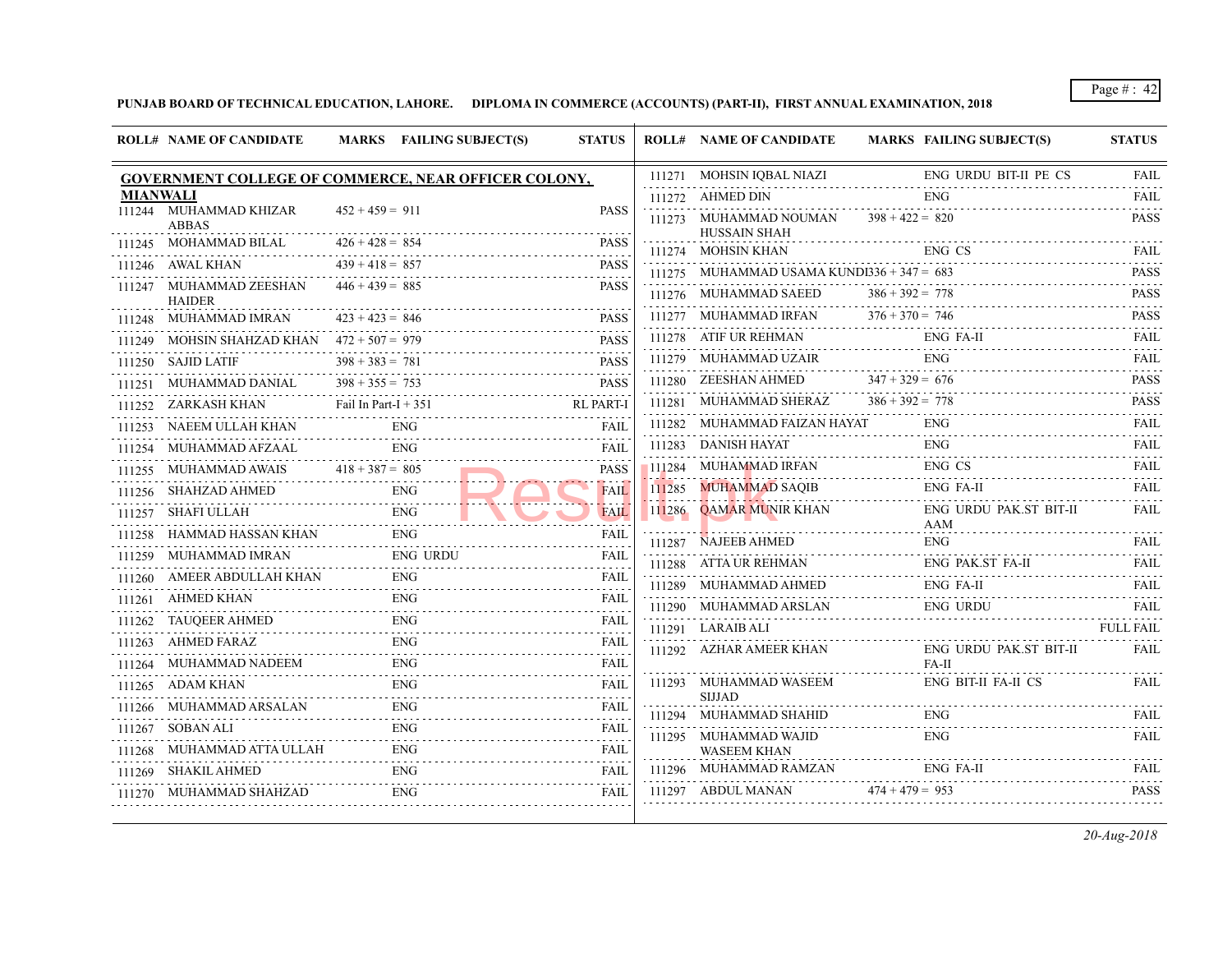|                 | <b>ROLL# NAME OF CANDIDATE</b>                                                                                                                                                                                                           | MARKS FAILING SUBJECT(S)                                    | <b>STATUS</b>      | <b>ROLL# NAME OF CANDIDATE</b>             | <b>MARKS FAIL</b> |
|-----------------|------------------------------------------------------------------------------------------------------------------------------------------------------------------------------------------------------------------------------------------|-------------------------------------------------------------|--------------------|--------------------------------------------|-------------------|
|                 |                                                                                                                                                                                                                                          | <b>GOVERNMENT COLLEGE OF COMMERCE, NEAR OFFICER COLONY,</b> |                    | 111271 MOHSIN IQBAL NIAZI                  | ENG.              |
| <b>MIANWALI</b> |                                                                                                                                                                                                                                          |                                                             |                    | 111272 AHMED DIN                           | ENG.              |
|                 | 111244 MUHAMMAD KHIZAR<br><b>ABBAS</b>                                                                                                                                                                                                   | $452 + 459 = 911$                                           | <b>PASS</b>        | 111273 MUHAMMAD NOUMAN $398 + 422 = 820$   |                   |
|                 | 111245 MOHAMMAD BILAL $426 + 428 = 854$                                                                                                                                                                                                  |                                                             | <b>PASS</b>        | HUSSAIN SHAH<br>111274 MOHSIN KHAN         | <b>ENG</b>        |
|                 | 111246 AWAL KHAN                                                                                                                                                                                                                         | $439 + 418 = 857$                                           | .<br><b>PASS</b>   | 111275 MUHAMMAD USAMA KUNDI336 + 347 = 683 |                   |
|                 | 111247 MUHAMMAD ZEESHAN $446 + 439 = 885$<br><b>HAIDER</b>                                                                                                                                                                               |                                                             | .<br><b>PASS</b>   | 111276 MUHAMMAD SAEED                      | $386 + 392 = 778$ |
|                 | 111248 MUHAMMAD IMRAN                                                                                                                                                                                                                    | $423 + 423 = 846$                                           | <b>PASS</b>        | 111277 MUHAMMAD IRFAN                      | $376 + 370 = 746$ |
|                 | 111249 MOHSIN SHAHZAD KHAN $472 + 507 = 979$                                                                                                                                                                                             |                                                             | <b>PASS</b>        | 111278 ATIF UR REHMAN                      | ENG.              |
|                 | 111250 SAJID LATIF                                                                                                                                                                                                                       | $398 + 383 = 781$<br>$398 + 383 = 781$ PASS                 | <b>PASS</b>        | 111279 MUHAMMAD UZAIR                      | <b>ENG</b>        |
|                 | 111251 MUHAMMAD DANIAL $398 + 355 = 753$                                                                                                                                                                                                 |                                                             | <b>PASS</b>        | 111280 ZEESHAN AHMED $347 + 329 = 676$     |                   |
|                 | 111252 ZARKASH KHAN Fail In Part-I + 351                                                                                                                                                                                                 | N Fail In Part-I + 351 RL PART-I                            | <b>RL PART-I</b>   | 111281 MUHAMMAD SHERAZ                     | $386 + 392 = 778$ |
|                 | 111253 NAEEM ULLAH KHAN                                                                                                                                                                                                                  | ENG<br>{AN FAIL FWG FAIL                                    | FAIL               | 111282 MUHAMMAD FAIZAN HAYAT               | ENG.              |
|                 | 111254 MUHAMMAD AFZAAL                                                                                                                                                                                                                   | <b>ENG</b>                                                  | <b>FAIL</b>        | 111283 DANISH HAYAT                        | ENG.              |
|                 | 111255 MUHAMMAD AWAIS $418 + 387 = 805$                                                                                                                                                                                                  |                                                             | <b>PASS</b>        | 111284 MUHAMMAD IRFAN                      | ENG.              |
|                 | $\begin{minipage}{0.9\linewidth} \begin{tabular}{l} \hline 111256 & SHAHZAD AHMED \\ \hline \end{tabular} \end{minipage} \begin{minipage}{0.9\linewidth} \begin{tabular}{l} \hline \multicolumn{3}{l}{EMG} \end{tabular} \end{minipage}$ |                                                             | <b>FAIL</b>        | 111285 MUHAMMAD SAQIB                      | <b>ENG</b>        |
| .               | 111257 SHAFI ULLAH                                                                                                                                                                                                                       | $\begin{bmatrix} \text{ENG} \end{bmatrix}$                  | <b>FAIL</b>        | 111286 QAMAR MUNIR KHAN                    | ENG.<br>AAM       |
|                 | 111258 HAMMAD HASSAN KHAN                                                                                                                                                                                                                | <b>ENG</b>                                                  | FAIL               | 111287 NAJEEB AHMED                        | <b>ENG</b>        |
|                 | 111259 MUHAMMAD IMRAN                                                                                                                                                                                                                    | <b>ENG URDU</b>                                             | FAIL               | 111288 ATTA UR REHMAN                      | ENG.              |
| .               | 111260 AMEER ABDULLAH KHAN                                                                                                                                                                                                               | <b>ENG</b>                                                  |                    | 111289 MUHAMMAD AHMED                      | <b>ENG</b>        |
|                 | 111261 AHMED KHAN                                                                                                                                                                                                                        |                                                             | FAIL<br>.          | 111290 MUHAMMAD ARSLAN                     | ENG.              |
|                 |                                                                                                                                                                                                                                          | 111262 TAUQEER AHMED ENG FAIL                               |                    | 111291 LARAIB ALI                          |                   |
|                 | 111263 AHMED FARAZ<br>.                                                                                                                                                                                                                  | an sa bailtean an t-<br>ENG                                 |                    | 111292 AZHAR AMEER KHAN                    | ENG I             |
|                 | 111264 MUHAMMAD NADEEM                                                                                                                                                                                                                   | <b>ENG</b>                                                  | <b>FAIL</b>        |                                            | FA-II             |
|                 | 111265 ADAM KHAN                                                                                                                                                                                                                         | <b>ENG</b>                                                  | FAIL<br>2.2.2.2.2. | 111293 MUHAMMAD WASEEM<br><b>SIJJAD</b>    | <b>ENG</b>        |
|                 |                                                                                                                                                                                                                                          | <b>ENG</b><br>111266 MUHAMMAD ARSALAN ENG FAIL              |                    | 111294 MUHAMMAD SHAHID                     | ENG.              |
|                 | 111267 SOBAN ALI                                                                                                                                                                                                                         | ENG <b>ENG</b>                                              | FAIL               | 111295 MUHAMMAD WAJID                      | ENG.              |
|                 |                                                                                                                                                                                                                                          |                                                             |                    | <b>WASEEM KHAN</b>                         |                   |
|                 | 111269 SHAKIL AHMED                                                                                                                                                                                                                      | <b>ENG</b>                                                  | FAIL<br>.          | 111296 MUHAMMAD RAMZAN                     | <b>ENG</b>        |
|                 | 111270 MUHAMMAD SHAHZAD                                                                                                                                                                                                                  | <b>ENG</b>                                                  | FAIL               | 111297 ABDUL MANAN                         | $474 + 479 = 953$ |
|                 |                                                                                                                                                                                                                                          |                                                             |                    |                                            |                   |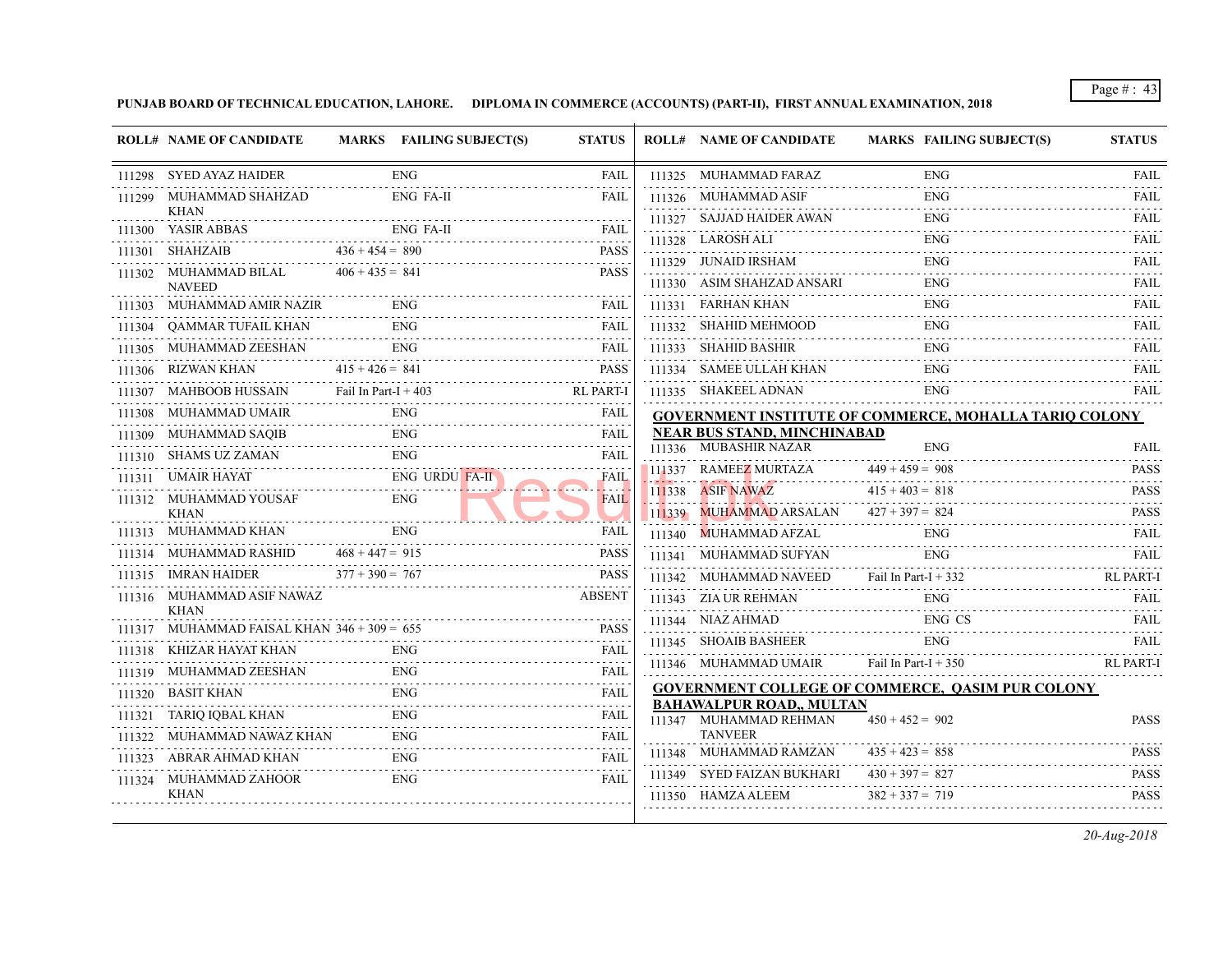|        | <b>ROLL# NAME OF CANDIDATE</b>                          |                   | MARKS FAILING SUBJECT(S)                           | <b>STATUS</b>                                                                                                                                                | <b>ROLL# NAME OF CANDIDATE</b>                            | <b>MARKS FAIL</b>    |            |
|--------|---------------------------------------------------------|-------------------|----------------------------------------------------|--------------------------------------------------------------------------------------------------------------------------------------------------------------|-----------------------------------------------------------|----------------------|------------|
|        | 111298 SYED AYAZ HAIDER                                 |                   | <b>ENG</b>                                         | FAIL                                                                                                                                                         | 111325 MUHAMMAD FARAZ                                     |                      | ENG.       |
|        | 111299 MUHAMMAD SHAHZAD                                 |                   | <b>ENG FA-II</b>                                   | <b>FAIL</b>                                                                                                                                                  | 111326 MUHAMMAD ASIF                                      |                      | ENG.       |
|        | KHAN<br>YASIR ABBAS                                     |                   |                                                    | .                                                                                                                                                            | 111327 SAJJAD HAIDER AWAN                                 |                      | ENG.       |
| 111300 | RABBAS ENG FA-II FAIL<br>$436 + 454 = 890$              |                   |                                                    |                                                                                                                                                              | 111328 LAROSH ALI                                         |                      | <b>ENG</b> |
|        | 111301 SHAHZAIB                                         |                   | $436 + 454 = 890$ PASS                             |                                                                                                                                                              | 111329 JUNAID IRSHAM                                      |                      | ENG.       |
| 111302 | MUHAMMAD BILAL $406 + 435 = 841$<br><b>NAVEED</b>       |                   |                                                    | <b>PASS</b>                                                                                                                                                  | 111330 ASIM SHAHZAD ANSARI                                |                      | ENG.       |
|        | 111303 MUHAMMAD AMIR NAZIR                              |                   | <b>ENG</b>                                         | FAIL                                                                                                                                                         | 111331 FARHAN KHAN                                        |                      | <b>ENG</b> |
|        | 111304 QAMMAR TUFAIL KHAN                               |                   | ENG<br>N ENG FAIL                                  |                                                                                                                                                              | 111332 SHAHID MEHMOOD                                     |                      | <b>ENG</b> |
| 111305 | MUHAMMAD ZEESHAN                                        |                   | ENG                                                | FAIL                                                                                                                                                         | 111333 SHAHID BASHIR                                      |                      | <b>ENG</b> |
| 111306 | RIZWAN KHAN                                             | $415 + 426 = 841$ |                                                    | <b>PASS</b>                                                                                                                                                  | 111334 SAMEE ULLAH KHAN                                   |                      | <b>ENG</b> |
| 111307 | MAHBOOB HUSSAIN Fail In Part-I + 403                    |                   | AIN Fail In Part-I + 403 RL                        | RL PART-I                                                                                                                                                    | 111335 SHAKEEL ADNAN                                      |                      | <b>ENG</b> |
|        | 111308 MUHAMMAD UMAIR                                   |                   |                                                    | FAIL<br>2.2.2.2.2.                                                                                                                                           | <b>GOVERNMENT INSTITUTE OF COMMERCE,</b>                  |                      |            |
|        | 111309 MUHAMMAD SAQIB ENG FAIL<br>111309 MUHAMMAD SAQIB |                   |                                                    |                                                                                                                                                              | <b>NEAR BUS STAND, MINCHINABAD</b>                        |                      |            |
|        | 111310 SHAMS UZ ZAMAN                                   |                   | <b>ENG</b>                                         | FAIL                                                                                                                                                         | 111336 MUBASHIR NAZAR                                     |                      | ENG.       |
|        | 111311 UMAIR HAYAT                                      |                   | ENG URDU FA-II                                     | FAIL                                                                                                                                                         | 111337 RAMEEZ MURTAZA                                     | $449 + 459 = 908$    |            |
|        | 111312 MUHAMMAD YOUSAF                                  |                   | ENG-                                               | .<br><b>FAIL</b>                                                                                                                                             | 111338 ASIF NAWAZ                                         | $415 + 403 = 818$    |            |
|        | KHAN<br>111313 MUHAMMAD KHAN                            |                   | ENG.                                               |                                                                                                                                                              | 111339 MUHAMMAD ARSALAN                                   | $427 + 397 = 824$    |            |
|        | MUHAMMAD RASHID                                         | $468 + 447 = 915$ |                                                    | FAIL                                                                                                                                                         | 111340 MUHAMMAD AFZAL                                     |                      | ENG I      |
| 111314 |                                                         |                   |                                                    | <b>PASS</b>                                                                                                                                                  | 111341 MUHAMMAD SUFYAN                                    |                      | <b>ENG</b> |
|        | 111315 IMRAN HAIDER                                     | $377 + 390 = 767$ |                                                    | PASS                                                                                                                                                         | 111342 MUHAMMAD NAVEED Fail In Part-I + 3                 |                      |            |
|        | 111316 MUHAMMAD ASIF NAWAZ<br>KHAN                      |                   |                                                    | <b>ABSENT</b>                                                                                                                                                | 111343 ZIA UR REHMAN                                      |                      | ENG I      |
|        | 111317 MUHAMMAD FAISAL KHAN $346 + 309 = 655$           |                   |                                                    | <b>PASS</b>                                                                                                                                                  | 111344 NIAZ AHMAD                                         |                      | <b>ENG</b> |
|        | 111318     KHIZAR HAYAT KHAN                            |                   | ENG-                                               |                                                                                                                                                              | 111345 SHOAIB BASHEER                                     |                      | <b>ENG</b> |
|        | 111319 MUHAMMAD ZEESHAN                                 |                   |                                                    | FAIL                                                                                                                                                         | 111346 MUHAMMAD UMAIR                                     | Fail In Part-I + $3$ |            |
|        | 111320 BASIT KHAN                                       |                   | <b>ENG</b>                                         | FAIL                                                                                                                                                         | <b>GOVERNMENT COLLEGE OF COMMERCE,</b>                    |                      |            |
| 111321 | TARIQ IQBAL KHAN                                        |                   | <b>ENG</b>                                         | $\frac{1}{2} \left( \frac{1}{2} \right) \left( \frac{1}{2} \right) \left( \frac{1}{2} \right) \left( \frac{1}{2} \right) \left( \frac{1}{2} \right)$<br>FAIL | <b>BAHAWALPUR ROAD,, MULTAN</b><br>111347 MUHAMMAD REHMAN | $450 + 452 = 902$    |            |
| 111322 | MUHAMMAD NAWAZ KHAN                                     |                   | ENG-<br>ENG<br>----------------------------------- | . <b>.</b><br><b>FAIL</b>                                                                                                                                    | <b>TANVEER</b>                                            |                      |            |
|        | 111323 ABRAR AHMAD KHAN                                 | .                 | ENG.                                               | FAIL                                                                                                                                                         | 111348 MUHAMMAD RAMZAN                                    | $435 + 423 = 858$    |            |
|        | 111324 MUHAMMAD ZAHOOR                                  |                   | <b>ENG</b>                                         | FAIL                                                                                                                                                         | 111349 SYED FAIZAN BUKHARI                                | $430 + 397 = 827$    |            |
|        | KHAN                                                    |                   |                                                    |                                                                                                                                                              | 111350 HAMZA ALEEM                                        | $382 + 337 = 719$    |            |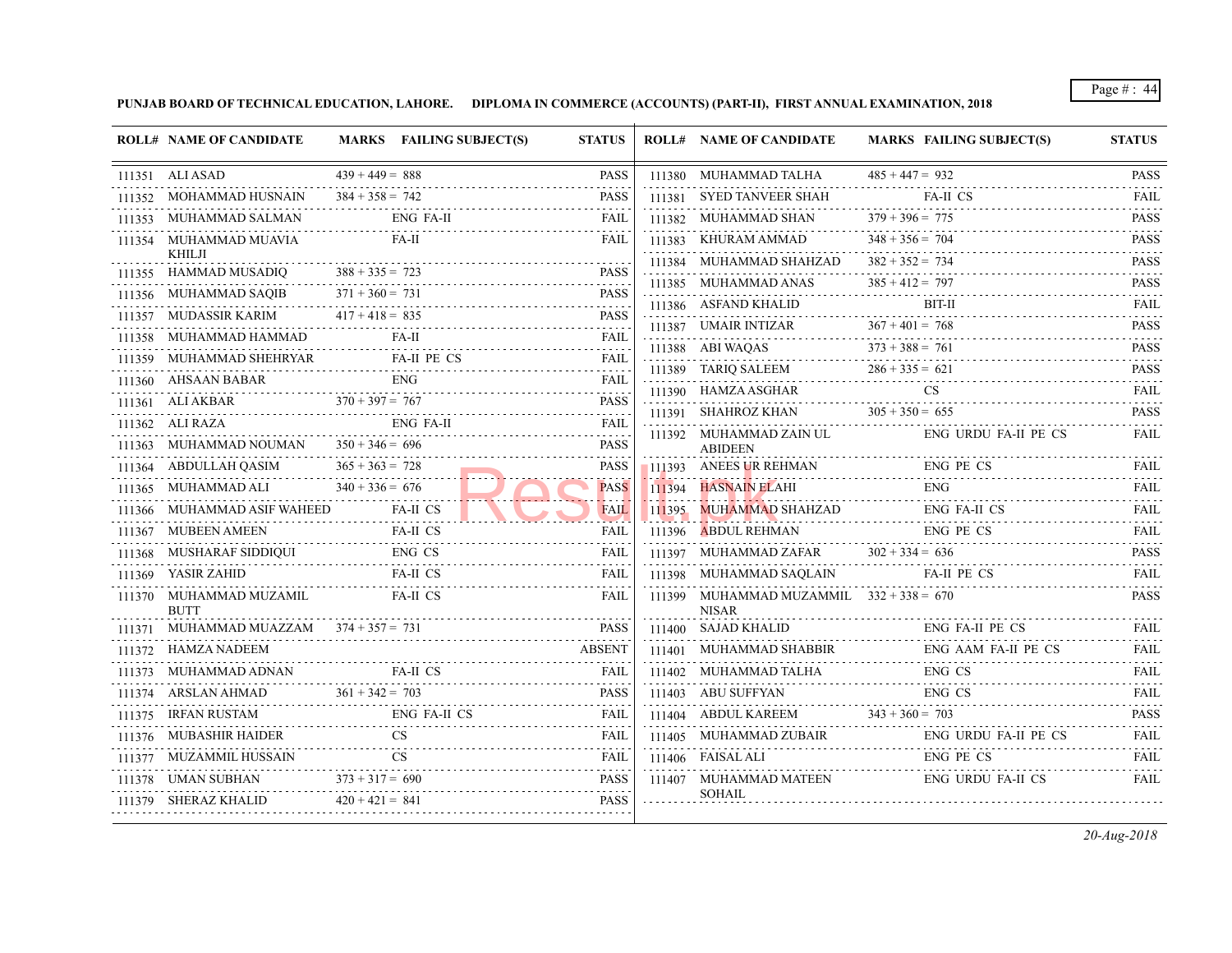| <b>ROLL# NAME OF CANDIDATE</b>                                                                                                                    |                   | MARKS FAILING SUBJECT(S)           | <b>STATUS</b>                                | <b>ROLL# NAME OF CANDIDATE</b>                             | <b>MARKS FAIL</b> |
|---------------------------------------------------------------------------------------------------------------------------------------------------|-------------------|------------------------------------|----------------------------------------------|------------------------------------------------------------|-------------------|
| 111351 ALI ASAD                                                                                                                                   | $439 + 449 = 888$ |                                    | <b>PASS</b>                                  | 111380 MUHAMMAD TALHA                                      | $485 + 447 = 932$ |
| 111352 MOHAMMAD HUSNAIN                                                                                                                           | $384 + 358 = 742$ |                                    | <b>PASS</b>                                  | 111381 SYED TANVEER SHAH                                   | FA-II             |
| 111353 MUHAMMAD SALMAN                                                                                                                            |                   | ENG FA-II                          | FAIL                                         | 111382 MUHAMMAD SHAN                                       | $379 + 396 = 775$ |
| 111354 MUHAMMAD MUAVIA                                                                                                                            |                   | $FA-II$                            | FAIL                                         | 111383 KHURAM AMMAD                                        | $348 + 356 = 704$ |
| KHILJI<br>111355 HAMMAD MUSADIQ $388 + 335 = 723$                                                                                                 |                   |                                    |                                              | 111384 MUHAMMAD SHAHZAD $382 + 352 = 734$                  |                   |
| 111356 MUHAMMAD SAQIB $371 + 360 = 731$                                                                                                           |                   |                                    |                                              | 111385 MUHAMMAD ANAS                                       | $385 + 412 = 797$ |
| 111357 MUDASSIR KARIM $417 + 418 = 835$                                                                                                           |                   |                                    | AD SAQIB 371 + 360 = 731 PASS<br><b>PASS</b> | 111386 ASFAND KHALID                                       | BIT-I             |
|                                                                                                                                                   |                   |                                    | KARIM $417 + 418 = 835$ PASS                 | 111387 UMAIR INTIZAR $367 + 401 = 768$                     |                   |
| 111358 MUHAMMAD HAMMAD FA-II FAIL FAIL                                                                                                            |                   |                                    | FAIL                                         | 111388 ABI WAQAS $373 + 388 = 761$                         |                   |
| 111359 MUHAMMAD SHEHRYAR FA-II PE CS FAIL FAIL                                                                                                    |                   |                                    | FAIL                                         | 111389 TARIQ SALEEM $286 + 335 = 621$                      |                   |
| $\begin{tabular}{lllllllllll} \bf 111360 & AHSAAN BABAR & \textbf{\textcolor{red}{EMG}} & \textbf{\textcolor{red}{FALL}} \\ \hline \end{tabular}$ |                   |                                    |                                              | 111390 HAMZA ASGHAR CS                                     |                   |
| 111361 ALIAKBAR $370 + 397 = 767$ PASS                                                                                                            |                   |                                    |                                              | 111391 SHAHROZ KHAN $305 + 350 = 655$                      |                   |
| $ENG$ FA-II FAIL<br>111363 MUHAMMAD NOUMAN 350 + 346 = 696                                                                                        |                   |                                    |                                              | 111392 MUHAMMAD ZAIN UL                                    | <b>ENG</b>        |
| 111364 ABDULLAH QASIM $365 + 363 = 728$                                                                                                           |                   | NOUMAN $350 + 346 = 696$           | <b>PASS</b>                                  | <b>ABIDEEN</b>                                             | ENG.              |
| 111365 MUHAMMAD ALI $340 + 336 = 676$                                                                                                             |                   |                                    | <b>PASS</b>                                  | 111393 ANEES UR REHMAN E<br>111394 HASNAIN ELAHI           | <b>ENG</b>        |
| 111366 MUHAMMAD ASIF WAHEED                                                                                                                       |                   | <b>FA-II CS</b>                    | <b>FAIL</b>                                  | 111395 MUHAMMAD SHAHZAD                                    | ENG               |
| 111367 MUBEEN AMEEN                                                                                                                               |                   | FA-II CS                           | FAIL                                         | 111396 ABDUL REHMAN                                        | ENG.              |
| 111368 MUSHARAF SIDDIQUI<br>111368 MUSHARAF SIDDIQUI ENG CS                                                                                       |                   |                                    | FAIL                                         | 111397 MUHAMMAD ZAFAR $302 + 334 = 636$                    |                   |
| 111369 YASIR ZAHID                                                                                                                                |                   | FA-II CS<br>HD FA-II CS            | FAIL                                         | 111398 MUHAMMAD SAQLAIN                                    | FA-II             |
| 111370 MUHAMMAD MUZAMIL<br><b>BUTT</b>                                                                                                            |                   | FA-II CS                           | FAIL                                         | 111399 MUHAMMAD MUZAMMIL $332 + 338 = 670$<br><b>NISAR</b> |                   |
| 111371 MUHAMMAD MUAZZAM $374 + 357 = 731$<br>111371 MUHAMMAD MUAZZAM $374 + 357 = 731$ PASS                                                       |                   |                                    | PASS                                         | 111400 SAJAD KHALID                                        | <b>ENG</b>        |
| 111372 HAMZA NADEEM<br>A NADEEM ABSENT                                                                                                            |                   |                                    | ABSENT                                       |                                                            | ENG               |
| 111373 MUHAMMAD ADNAN FA-II CS FAIL CO                                                                                                            |                   |                                    | FAIL                                         | 111402 MUHAMMAD TALHA ENC                                  | <b>ENG</b>        |
| 111374 ARSLAN AHMAD $361 + 342 = 703$ PASS                                                                                                        |                   |                                    |                                              | 111403 ABU SUFFYAN                                         | <b>ENG</b>        |
| 111375 IRFAN RUSTAM                                                                                                                               |                   | ENG FA-II CS<br>USTAM ENG FA-II CS | FAIL                                         | 111404 ABDUL KAREEM 343 + 360 = 703                        |                   |
| 111376 MUBASHIR HAIDER CS FAIL                                                                                                                    |                   |                                    | FAIL                                         | 111405 MUHAMMAD ZUBAIR                                     | <b>ENG</b>        |
| 111377 MUZAMMIL HUSSAIN<br>111377 MUZAMMIL HUSSAIN CS FAIL                                                                                        | CS <sub>c</sub>   |                                    | FAIL                                         | 111406 FAISAL ALI                                          | <b>ENG</b>        |
| 111378 UMAN SUBHAN                                                                                                                                |                   | HAN $373 + 317 = 690$              | PASS                                         | 111407 MUHAMMAD MATEEN                                     | <b>ENG</b>        |
| 111379 SHERAZ KHALID $420 + 421 = 841$                                                                                                            |                   |                                    | <b>PASS</b>                                  | <b>SOHAIL</b>                                              |                   |
|                                                                                                                                                   |                   |                                    |                                              |                                                            |                   |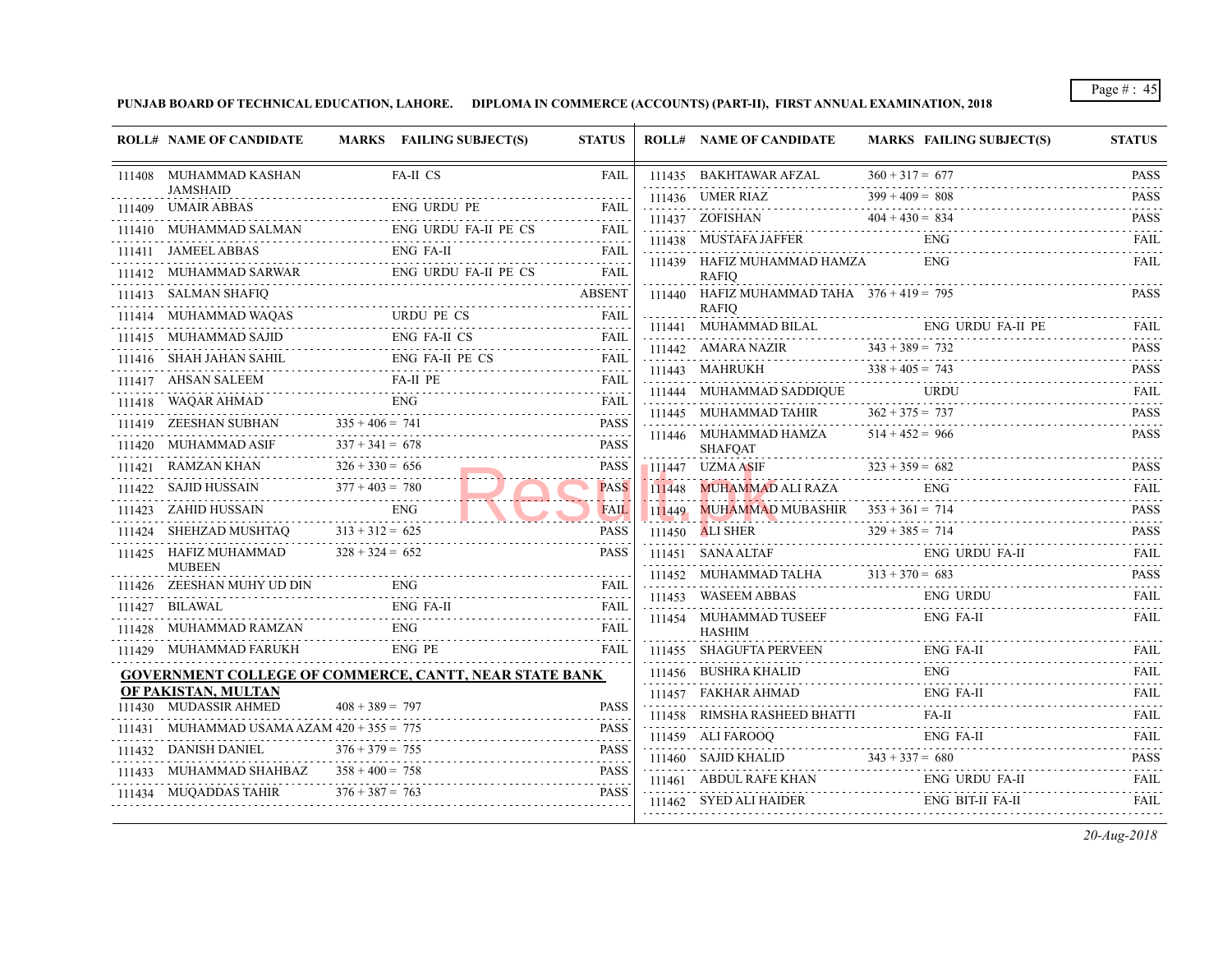|        | <b>ROLL# NAME OF CANDIDATE</b>               | MARKS FAILING SUBJECT(S)                                                                                                        | <b>STATUS</b> | <b>ROLL# NAME OF CANDIDATE</b>                                                  | <b>MARKS FAIL</b> |
|--------|----------------------------------------------|---------------------------------------------------------------------------------------------------------------------------------|---------------|---------------------------------------------------------------------------------|-------------------|
|        | 111408 MUHAMMAD KASHAN                       | FA-II CS                                                                                                                        | <b>FAIL</b>   | 111435 BAKHTAWAR AFZAL                                                          | $360 + 317 = 677$ |
|        | <b>JAMSHAID</b><br>111409 UMAIR ABBAS        |                                                                                                                                 |               | 111436 UMER RIAZ                                                                | $399 + 409 = 808$ |
|        |                                              | S ENG URDU PE EAIL                                                                                                              |               | 111437 ZOFISHAN $404 + 430 = 834$                                               |                   |
|        | 111411 JAMEEL ABBAS                          | 111410 MUHAMMAD SALMAN ENG URDU FA-II PE CS FAIL                                                                                |               | 111438 MUSTAFA JAFFER                                                           | <b>ENG</b>        |
|        |                                              | BAS ENG FA-II FAIL FAIL                                                                                                         |               | 111439     HAFIZ MUHAMMAD HAMZA                                                 | ENG               |
|        |                                              | 111412 MUHAMMAD SARWAR ENG URDU FA-II PE CS FAIL                                                                                |               | <b>RAFIO</b>                                                                    |                   |
|        | 111413 SALMAN SHAFIQ                         |                                                                                                                                 |               | 111440 HAFIZ MUHAMMAD TAHA $376 + 419 = 795$<br>RAFIO                           |                   |
|        |                                              |                                                                                                                                 |               | 111441 MUHAMMAD BILAL                                                           | ENG.              |
|        | 111415 MUHAMMAD SAJID                        | AJID ENG FA-II CS FAIL                                                                                                          | FAIL          | 111442 AMARA NAZIR $343 + 389 = 732$                                            |                   |
|        |                                              | $\begin{tabular}{lllllllllllll} \bf{111416} & \bf{SHAH JAHAN SAHIL} & \bf{ENG FA-II PE CS} & \bf{FAIL} \\ \hline \end{tabular}$ |               | 111443 MAHRUKH $338 + 405 = 743$                                                |                   |
|        |                                              | $111417 \quad {\rm AHSAN\; SALEEM} \qquad \qquad {\rm FA-II\; PE} \qquad \qquad {\rm FAIL}$                                     |               | 111444 MUHAMMAD SADDIOUE                                                        | <b>URD</b>        |
|        | 111418 WAQAR AHMAD                           | <b>ENG</b>                                                                                                                      | FAIL          | 111445 MUHAMMAD TAHIR $362 + 375 = 737$                                         |                   |
|        | 111419 ZEESHAN SUBHAN $335 + 406 = 741$      | 111419 ZEESHAN SUBHAN $335 + 406 = 741$ PASS                                                                                    |               | 111446 MUHAMMAD HAMZA $514 + 452 = 966$                                         |                   |
|        |                                              | 111420 MUHAMMAD ASIF $337 + 341 = 678$ PASS                                                                                     | <b>PASS</b>   | <b>SHAFQAT</b>                                                                  |                   |
|        | 111421 RAMZAN KHAN $326 + 330 = 656$         |                                                                                                                                 | <b>PASS</b>   | $111447$ UZMA ASIF                                                              | $323 + 359 = 682$ |
|        | 111422 SAJID HUSSAIN $377 + 403 = 780$       |                                                                                                                                 | <b>PASS</b>   | 111448 MUHAMMAD ALI RAZA                                                        | <b>ENG</b>        |
| 111423 | ZAHID HUSSAIN                                | ENG-                                                                                                                            | FAIL          | 111449 MUHAMMAD MUBASHIR $353 + 361 = 714$                                      |                   |
|        | 111424 SHEHZAD MUSHTAQ $313 + 312 = 625$     |                                                                                                                                 | <b>PASS</b>   | <u> 1994 - Jan Alemania, martin aleman</u><br>111450 ALI SHER $329 + 385 = 714$ |                   |
|        | 111425 HAFIZ MUHAMMAD<br><b>MUBEEN</b>       | $328 + 324 = 652$                                                                                                               | <b>PASS</b>   | 111451 SANA ALTAF                                                               | <b>ENG</b>        |
|        |                                              |                                                                                                                                 | FAIL          | 111452 MUHAMMAD TALHA $313 + 370 = 683$                                         |                   |
|        | 111427 BILAWAL                               | 111427 BILAWAL ENG FA-II FAIL FAIL                                                                                              |               | 111453 WASEEM ABBAS                                                             | ENG.              |
|        |                                              | 111428 MUHAMMAD RAMZAN ENG FAIL                                                                                                 |               | 111454 MUHAMMAD TUSEEF<br><b>HASHIM</b>                                         | <b>ENG</b>        |
|        | 111429 MUHAMMAD FARUKH ENG PE                |                                                                                                                                 | FAIL          | 111455 SHAGUFTA PERVEEN                                                         | <b>ENG</b>        |
|        |                                              | <b>GOVERNMENT COLLEGE OF COMMERCE, CANTT, NEAR STATE BANK</b>                                                                   |               | 111456 BUSHRA KHALID EN                                                         | <b>ENG</b>        |
|        | <b>OF PAKISTAN, MULTAN</b>                   |                                                                                                                                 |               | 111457 FAKHAR AHMAD                                                             | <b>ENG</b>        |
|        | 111430 MUDASSIR AHMED                        | $408 + 389 = 797$                                                                                                               | <b>PASS</b>   | 111458 RIMSHA RASHEED BHATTI                                                    | FA-II             |
|        | 111431 MUHAMMAD USAMA AZAM $420 + 355 = 775$ |                                                                                                                                 | <b>PASS</b>   | 111459 ALI FAROOQ                                                               | <b>ENG</b>        |
|        | 111432 DANISH DANIEL $376 + 379 = 755$       |                                                                                                                                 | <b>PASS</b>   | 111460 SAJID KHALID $343 + 337 = 680$                                           |                   |
|        | 111433 MUHAMMAD SHAHBAZ $358 + 400 = 758$    | MUHAMMAD SHAHBAZ $358 + 400 = 758$ PASS                                                                                         |               | 111461 ABDUL RAFE KHAN                                                          | ENG I             |
|        | 111434 MUQADDAS TAHIR $376 + 387 = 763$      | 11434 MUQADDAS TAHIR 376 + 387 = 763 PASS                                                                                       |               | 111462 SYED ALI HAIDER                                                          | <b>ENG</b>        |
|        |                                              |                                                                                                                                 |               |                                                                                 |                   |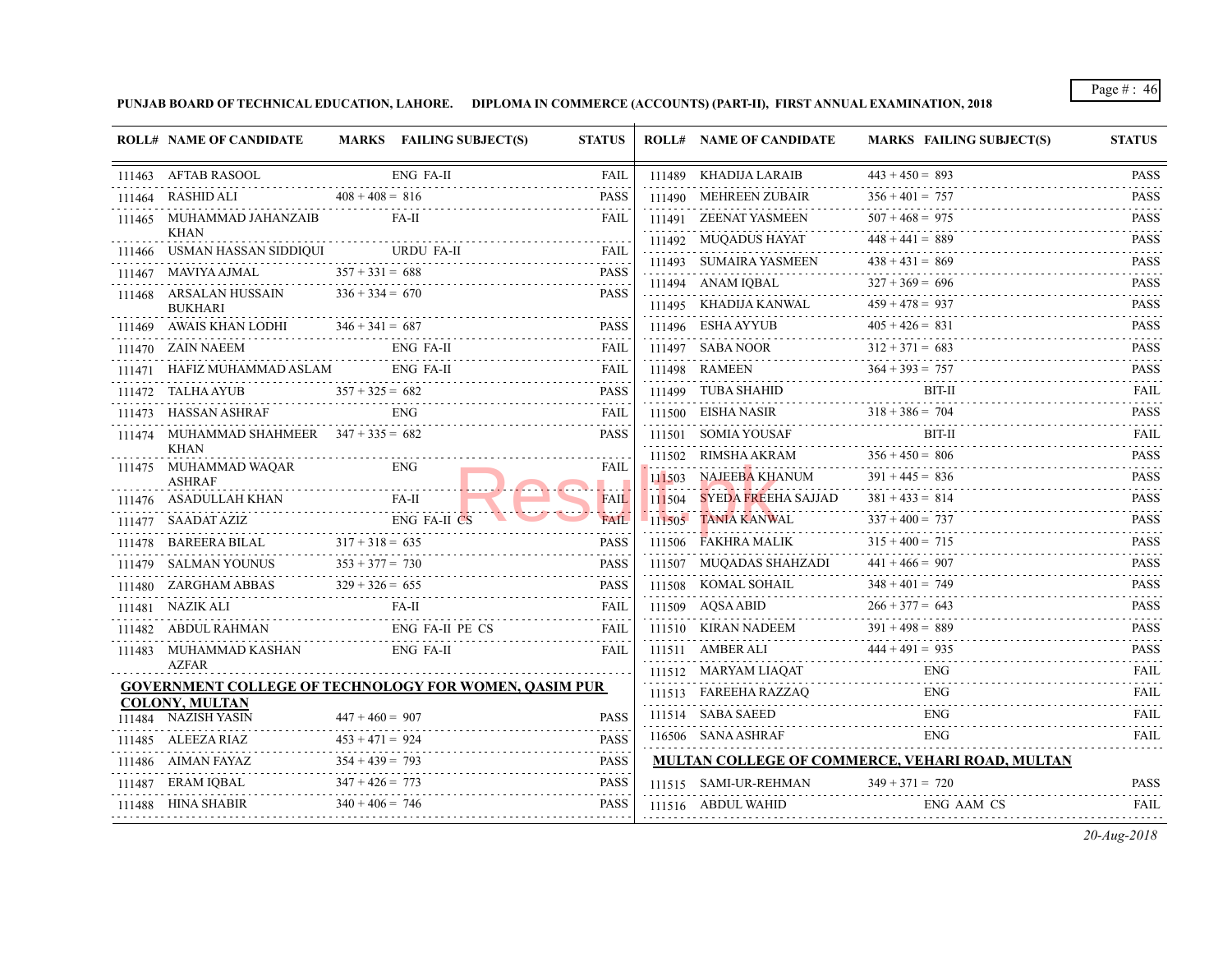|        | <b>ROLL# NAME OF CANDIDATE</b>                                                        |                   | MARKS FAILING SUBJECT(S)    | <b>STATUS</b> | <b>ROLL# NAME OF CANDIDATE</b>               | <b>MARKS FAIL</b> |
|--------|---------------------------------------------------------------------------------------|-------------------|-----------------------------|---------------|----------------------------------------------|-------------------|
|        | 111463 AFTAB RASOOL                                                                   |                   | ENG FA-II                   | FAIL          | 111489 KHADIJA LARAIB                        | $443 + 450 = 893$ |
|        | $408 + 408 = 816$<br>111464 RASHID ALI                                                |                   |                             | <b>PASS</b>   | 111490 MEHREEN ZUBAIR                        | $356 + 401 = 757$ |
|        | 111465 MUHAMMAD JAHANZAIB                                                             |                   | FA-II                       | FAIL          | 111491 ZEENAT YASMEEN                        | $507 + 468 = 975$ |
|        | KHAN                                                                                  |                   |                             |               | 111492 MUQADUS HAYAT $448 + 441 = 889$       |                   |
|        | 111466 USMAN HASSAN SIDDIQUI                                                          |                   | URDU FA-II                  |               | 111493 SUMAIRA YASMEEN $438 + 431 = 869$     |                   |
|        | 111467 MAVIYA AJMAL                                                                   | $357 + 331 = 688$ | $AL$ $357 + 331 = 688$ PASS |               | 111494 ANAM IQBAL                            | $327 + 369 = 696$ |
|        | 111468 ARSALAN HUSSAIN<br><b>BUKHARI</b>                                              | $336 + 334 = 670$ |                             | <b>PASS</b>   | 111495 KHADIJA KANWAL $459 + 478 = 937$      |                   |
|        | 111469 AWAIS KHAN LODHI $346 + 341 = 687$ PASS                                        |                   |                             | <b>PASS</b>   | 111496 ESHA AYYUB $405 + 426 = 831$          |                   |
|        | 111470 ZAIN NAEEM<br>111470 ZAIN NAEEM ENG FA-II FAIL FAIL                            |                   | <b>ENG FA-II</b>            | FAIL          | 111497 SABA NOOR $312 + 371 = 683$           |                   |
|        | 111471 HAFIZ MUHAMMAD ASLAM ENG FA-II                                                 |                   |                             | FAIL          | 111498 RAMEEN $364 + 393 = 757$              |                   |
|        | $357 + 325 = 682$<br>111472 TALHA AYUB                                                |                   |                             | <b>PASS</b>   | 111499 TUBA SHAHID BIT-                      | BIT-I             |
|        | 111473 HASSAN ASHRAF                                                                  |                   | <b>ENG</b>                  | FAIL          | 111500 EISHA NASIR $318 + 386 = 704$         |                   |
|        | 111474 MUHAMMAD SHAHMEER $347 + 335 = 682$                                            |                   |                             | <b>PASS</b>   | 111501 SOMIA YOUSAF                          | BIT-I             |
|        | KHAN                                                                                  |                   |                             |               | 111502 RIMSHA AKRAM $356 + 450 = 806$        |                   |
|        | 111475 MUHAMMAD WAQAR<br><b>ASHRAF</b>                                                |                   | ENG                         | FAIL          | 111503 NAJEEBA KHANUM                        | $391 + 445 = 836$ |
|        | 111476 ASADULLAH KHAN                                                                 |                   |                             | <b>FAIL</b>   | 111504 SYEDA FREEHA SAJJAD $381 + 433 = 814$ |                   |
|        | AADAT AZIZ ENG FA-II CS<br>111477 SAADAT AZIZ                                         |                   |                             | <b>FAIL</b>   | 111505 TANIA KANWAL                          | $337 + 400 = 737$ |
|        | 111478 BAREERA BILAL $317 + 318 = 635$                                                |                   |                             | <b>PASS</b>   | 111506 FAKHRA MALIK $315 + 400 = 715$        |                   |
|        | 111479 SALMAN YOUNUS                                                                  | $353 + 377 = 730$ |                             | PASS          | $111507$ MUQADAS SHAHZADI $441 + 466 = 907$  |                   |
| 111480 | $ZARGHAM ABBAS$ $329 + 326 = 655$                                                     |                   |                             | <b>PASS</b>   | 111508 KOMAL SOHAIL $348 + 401 = 749$        |                   |
|        | 111481 NAZIK ALI                                                                      |                   | FA-II                       |               | 111509 AQSA ABID $266 + 377 = 6$             | $266 + 377 = 643$ |
|        | 111482 ABDUL RAHMAN                                                                   |                   | ENG FA-II PE CS             | FAIL          | 111510 KIRAN NADEEM $391 + 498 = 889$        |                   |
|        | 111483 MUHAMMAD KASHAN                                                                |                   | ENG FA-II                   | FAIL          | 111511 AMBER ALI $444 + 491 = 935$           |                   |
|        | <b>AZFAR</b>                                                                          |                   |                             |               |                                              | ENG.              |
|        | <b>GOVERNMENT COLLEGE OF TECHNOLOGY FOR WOMEN, OASIM PUR</b><br><b>COLONY, MULTAN</b> |                   |                             |               |                                              | <b>ENG</b>        |
|        | 111484 NAZISH YASIN                                                                   | $447 + 460 = 907$ |                             | <b>PASS</b>   | 111514 SABA SAEED                            | ENG               |
|        | 111485 ALEEZA RIAZ                                                                    | $453 + 471 = 924$ |                             | <b>PASS</b>   | 116506 SANA ASHRAF                           | <b>ENG</b>        |
|        | $354 + 439 = 793$<br>111486 AIMAN FAYAZ                                               |                   |                             | PASS          | <b>MULTAN COLLEGE OF COMMERCE, VEHAR</b>     |                   |
|        | 111487 ERAM IQBAL                                                                     |                   | L $347 + 426 = 773$         | <b>PASS</b>   | 111515 SAMI-UR-REHMAN                        | $349 + 371 = 720$ |
|        | 111488 HINA SHABIR                                                                    | $340 + 406 = 746$ |                             | <b>PASS</b>   | 111516 ABDUL WAHID                           | <b>ENG</b>        |
|        |                                                                                       |                   |                             |               |                                              |                   |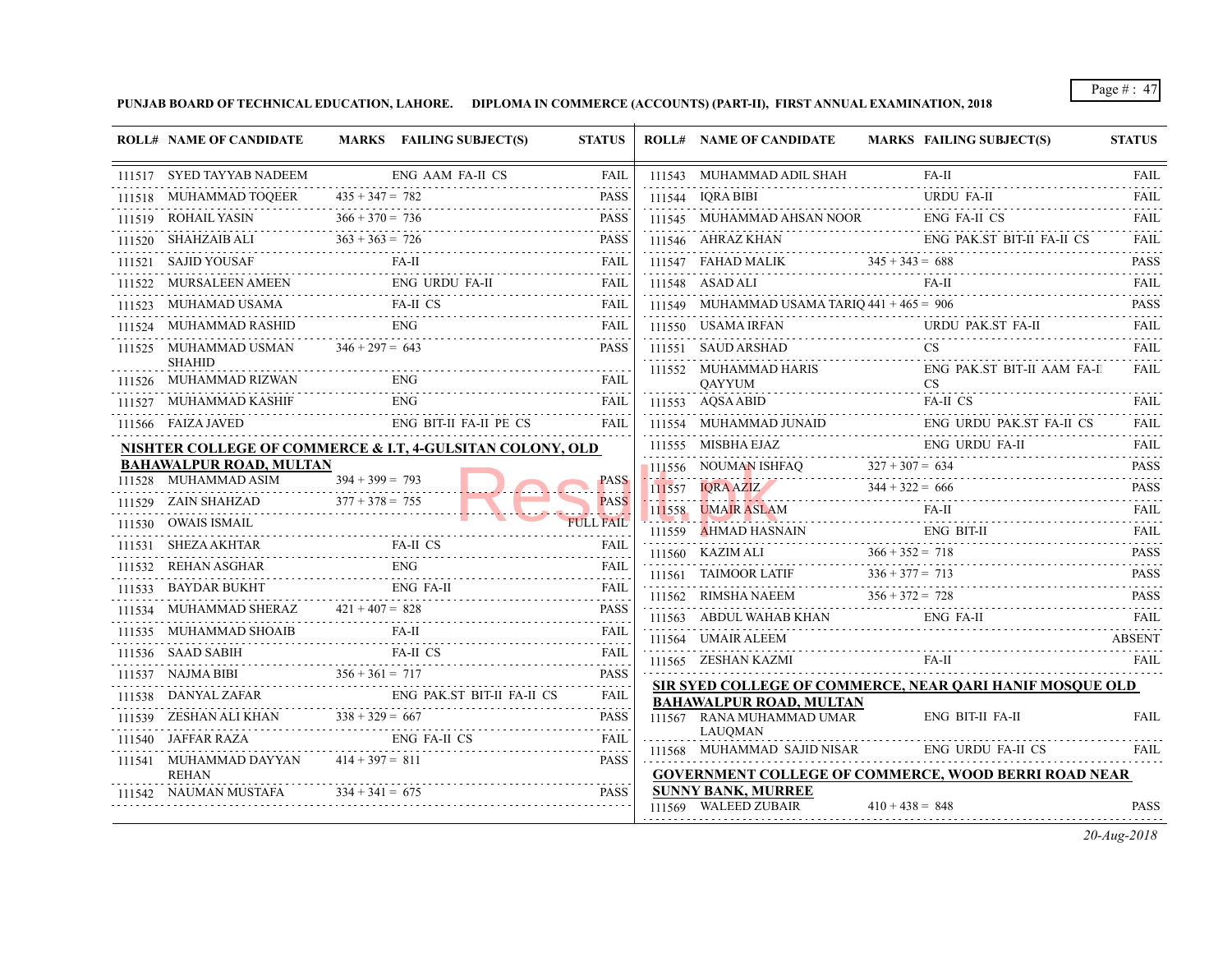|                                          | MARKS FAILING SUBJECT(S)                                                                                                                                                  | <b>STATUS</b>        | <b>ROLL# NAME OF CANDIDATE</b>                                               | <b>MARKS FAIL</b> |
|------------------------------------------|---------------------------------------------------------------------------------------------------------------------------------------------------------------------------|----------------------|------------------------------------------------------------------------------|-------------------|
| 111517 SYED TAYYAB NADEEM                | ENG AAM FA-II CS<br>ENG AAM FA-II CS FAIL                                                                                                                                 | <b>FAIL</b>          | 111543 MUHAMMAD ADIL SHAH                                                    | $FA-II$           |
| 111518 MUHAMMAD TOQEER $435 + 347 = 782$ |                                                                                                                                                                           | <b>PASS</b>          | 111544 IQRA BIBI                                                             | <b>URD</b>        |
| 111519 ROHAIL YASIN                      | $366 + 370 = 736$                                                                                                                                                         | <b>PASS</b>          | 111545 MUHAMMAD AHSAN NOOR                                                   | <b>ENG</b>        |
|                                          | 111520 SHAHZAIB ALI $363 + 363 = 726$ PASS                                                                                                                                |                      |                                                                              | <b>ENG</b>        |
|                                          | 111521 SAJID YOUSAF FA-II FAIL FAIL                                                                                                                                       |                      | 111547 FAHAD MALIK $345 + 343 = 688$                                         |                   |
|                                          | 111522 MURSALEEN AMEEN ENG URDU FA-II                                                                                                                                     | FAIL                 | 111548 ASAD ALI<br>111548 ASAD ALI                                           | FA-II             |
|                                          | 111523 MUHAMAD USAMA FA-II CS FAIL COMPARENT PRIL                                                                                                                         |                      | 111549 MUHAMMAD USAMA TARIQ $441 + 465 = 906$                                |                   |
| 111524 MUHAMMAD RASHID ENG               |                                                                                                                                                                           | FAIL                 | 111550 USAMA IRFAN                                                           | <b>URD</b>        |
| 111525 MUHAMMAD USMAN $346 + 297 = 643$  |                                                                                                                                                                           | PASS                 | 111551 SAUD ARSHAD                                                           |                   |
| <b>SHAHID</b>                            | ENG                                                                                                                                                                       | FAIL                 | 111552 MUHAMMAD HARIS                                                        | ENG.              |
| 111526 MUHAMMAD RIZWAN                   |                                                                                                                                                                           | FAIL                 | <b>OAYYUM</b><br>111553 AQSA ABID                                            | CS<br>FA-II       |
|                                          | ENG BIT-II FA-II PE CS                                                                                                                                                    | FAIL                 | 111554 MUHAMMAD JUNAID                                                       | ENG.              |
| 111566 FAIZA JAVED                       |                                                                                                                                                                           |                      | 111555 MISBHA EJAZ                                                           | <b>ENG</b>        |
| <b>BAHAWALPUR ROAD, MULTAN</b>           | <b>NISHTER COLLEGE OF COMMERCE &amp; I.T, 4-GULSITAN COLONY, OLD</b>                                                                                                      |                      |                                                                              |                   |
| 111528 MUHAMMAD ASIM                     | $394 + 399 = 793$                                                                                                                                                         | <b>PASS</b>          | 111556 NOUMAN ISHFAQ $327 + 307 = 634$<br>111557 IQRA AZIZ $344 + 322 = 666$ |                   |
| 111529 ZAIN SHAHZAD $377 + 378 = 755$    |                                                                                                                                                                           | 11.11<br><b>PASS</b> |                                                                              | FA-II             |
| 111530 OWAIS ISMAIL                      | TULL FAIL                                                                                                                                                                 |                      | 111558 UMAIR ASLAM FA-                                                       | ENG               |
|                                          | 111531 SHEZA AKHTAR FA-II CS FAIL CO                                                                                                                                      |                      | 111559 AHMAD HASNAIN ENC                                                     |                   |
| 111532 REHAN ASGHAR                      | 111532 REHAN ASGHAR ENG FAIL                                                                                                                                              |                      | 111560 KAZIM ALI $366 + 352 = 718$                                           |                   |
|                                          |                                                                                                                                                                           |                      | 111561 TAIMOOR LATIF $336 + 377 = 713$                                       |                   |
|                                          | $\begin{tabular}{c c c c c} \hline 111533 & BAYDAR BUKHT & ENG FA-II & FAIL \\ \hline 111534 & MUHAMMAD SHERAZ & 421 + 407 = 828 & \textbf{PASS} \\ \hline \end{tabular}$ |                      | 111562 RIMSHA NAEEM $356 + 372 = 728$                                        | ENG I             |
| 111535 MUHAMMAD SHOAIB                   |                                                                                                                                                                           |                      | 111563 ABDUL WAHAB KHAN<br>111564 UMAIR ALEEM                                |                   |
|                                          |                                                                                                                                                                           |                      | 111565 ZESHAN KAZMI                                                          | FA-II             |
|                                          | 111536 SAAD SABIH FA-II CS FAIL SAAD SABIH FA-II CS FAIL SAAD SABIH FA-II CS FAIL SAAD SABIH TA-II CS FAIL SASS                                                           |                      |                                                                              |                   |
|                                          | 111538 DANYAL ZAFAR ENG PAK.ST BIT-II FA-II CS                                                                                                                            | FAIL                 | SIR SYED COLLEGE OF COMMERCE, NEAR<br><b>BAHAWALPUR ROAD, MULTAN</b>         |                   |
|                                          | 111539 ZESHAN ALI KHAN $338 + 329 = 667$ PASS                                                                                                                             |                      | 111567 RANA MUHAMMAD UMAR                                                    | <b>ENG</b>        |
| 111540 JAFFAR RAZA ENG FA-II CS          | $ENG$ FA-II CS                                                                                                                                                            | <b>FAIL</b>          | LAUQMAN                                                                      |                   |
| 111541 MUHAMMAD DAYYAN $414 + 397 = 811$ |                                                                                                                                                                           | <b>PASS</b>          | 111568 MUHAMMAD SAJID NISAR                                                  | ENG.              |
| <b>REHAN</b>                             |                                                                                                                                                                           |                      | <b>GOVERNMENT COLLEGE OF COMMERCE, V</b>                                     |                   |
| 111542 NAUMAN MUSTAFA $334 + 341 = 675$  |                                                                                                                                                                           | <b>PASS</b>          | <b>SUNNY BANK, MURREE</b><br>111569 WALEED ZUBAIR                            | $410 + 438 = 848$ |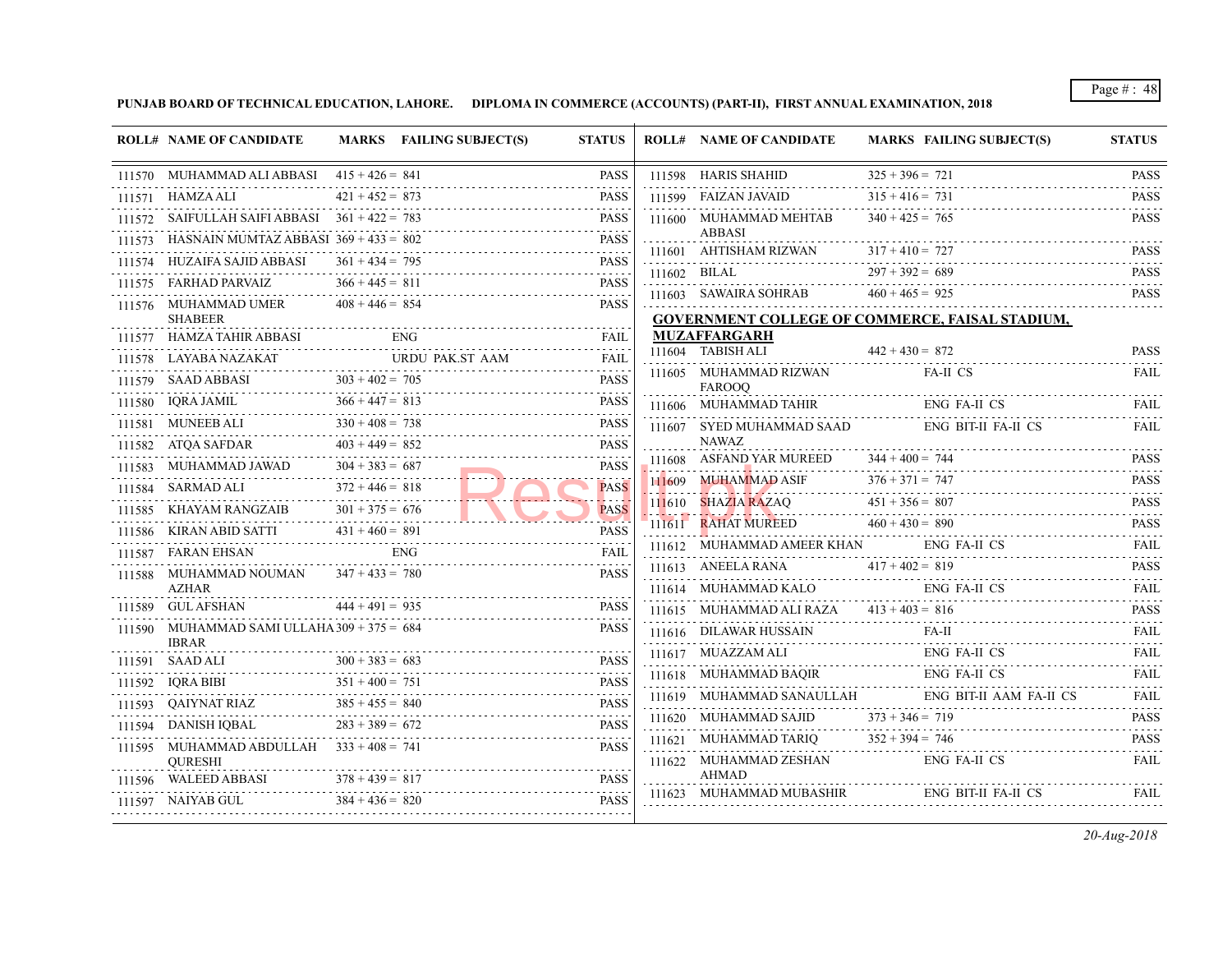|        | <b>ROLL# NAME OF CANDIDATE</b>                                |                   | MARKS FAILING SUBJECT(S)                 | <b>STATUS</b>                                                                                                                                | <b>ROLL# NAME OF CANDIDATE</b>                                    | <b>MARKS FAIL</b> |
|--------|---------------------------------------------------------------|-------------------|------------------------------------------|----------------------------------------------------------------------------------------------------------------------------------------------|-------------------------------------------------------------------|-------------------|
|        | 111570 MUHAMMAD ALI ABBASI $415 + 426 = 841$                  |                   |                                          | <b>PASS</b>                                                                                                                                  | 111598 HARIS SHAHID                                               | $325 + 396 = 721$ |
|        | 111571 HAMZA ALI                                              | $421 + 452 = 873$ |                                          | <b>PASS</b>                                                                                                                                  | 111599 FAIZAN JAVAID                                              | $315 + 416 = 731$ |
|        | 111572 SAIFULLAH SAIFI ABBASI $361 + 422 = 783$               |                   |                                          | <b>PASS</b>                                                                                                                                  | 111600 MUHAMMAD MEHTAB                                            | $340 + 425 = 765$ |
|        | 111573 HASNAIN MUMTAZ ABBASI $369 + 433 = 802$                |                   | 802 PASS                                 | <b>PASS</b>                                                                                                                                  | <b>ABBASI</b><br>111601 AHTISHAM RIZWAN                           | $317 + 410 = 727$ |
| 111574 | HUZAIFA SAJID ABBASI                                          | $361 + 434 = 795$ |                                          | <b>PASS</b>                                                                                                                                  |                                                                   |                   |
|        | 111575 FARHAD PARVAIZ $366 + 445 = 811$                       |                   |                                          | <b>PASS</b>                                                                                                                                  | $297 + 392 = 689$<br>111602 BILAL<br>111603 SAWAIRA SOHRAB        | $460 + 465 = 925$ |
|        | 111576 MUHAMMAD UMER<br><b>SHABEER</b>                        | $408 + 446 = 854$ |                                          | .<br><b>PASS</b>                                                                                                                             | <b>GOVERNMENT COLLEGE OF COMMERCE, I</b>                          |                   |
|        | 111577 HAMZA TAHIR ABBASI                                     |                   | <b>ENG</b>                               | FAIL                                                                                                                                         | <b>MUZAFFARGARH</b>                                               |                   |
|        |                                                               |                   |                                          |                                                                                                                                              | 111604 TABISH ALI                                                 | $442 + 430 = 872$ |
|        | 111579 SAAD ABBASI $303 + 402 = 705$                          |                   | PASS                                     |                                                                                                                                              | 111605 MUHAMMAD RIZWAN<br><b>FAROOO</b>                           | FA-II             |
|        | 111580 IQRA JAMIL $366 + 447 = 813$                           |                   |                                          | PASS                                                                                                                                         | 111606 MUHAMMAD TAHIR                                             | <b>ENG</b>        |
|        |                                                               |                   | 111581 MUNEEB ALI $330 + 408 = 738$ PASS |                                                                                                                                              | 111607 SYED MUHAMMAD SAAD                                         | <b>ENG</b>        |
|        | 111582 ATQA SAFDAR                                            |                   | SAFDAR $403 + 449 = 852$ PASS            | <b>PASS</b>                                                                                                                                  | NAWAZ                                                             |                   |
|        | 111583 MUHAMMAD JAWAD $304 + 383 = 687$                       |                   |                                          | <b>PASS</b>                                                                                                                                  | 111608 ASFAND YAR MUREED                                          | $344 + 400 = 744$ |
|        | $372 + 446 = 818$<br>111584 SARMAD ALI                        |                   |                                          | <b>PASS</b>                                                                                                                                  | 111609 MUHAMMAD ASIF                                              | $376 + 371 = 747$ |
|        | 111585 KHAYAM RANGZAIB $301 + 375 = 676$                      |                   |                                          | <b>PASS</b>                                                                                                                                  | 111610 SHAZIA RAZAQ 451 + 356 = 807                               |                   |
|        | 111586 KIRAN ABID SATTI $431 + 460 = 891$                     |                   |                                          | <b>PASS</b>                                                                                                                                  | 111611 <b>RAHAT MUREED</b> $460 + 430 = 890$                      |                   |
|        | 111587 FARAN EHSAN                                            |                   | ENG                                      | FAIL                                                                                                                                         | 111612 MUHAMMAD AMEER KHAN                                        | ENG.              |
|        | 111588 MUHAMMAD NOUMAN $347 + 433 = 780$                      |                   |                                          | <b>PASS</b>                                                                                                                                  | 111613 ANEELA RANA $417 + 402 = 819$                              |                   |
|        | <b>AZHAR</b>                                                  |                   |                                          |                                                                                                                                              | 111614 MUHAMMAD KALO                                              | <b>ENG</b>        |
|        | $444 + 491 = 935$<br>111589 GUL AFSHAN                        |                   |                                          | <b>PASS</b>                                                                                                                                  | 111615 MUHAMMAD ALI RAZA $413 + 403 = 816$                        |                   |
|        | 111590 MUHAMMAD SAMI ULLAHA $309 + 375 = 684$<br><b>IBRAR</b> |                   |                                          | PASS                                                                                                                                         | 111616 DILAWAR HUSSAIN                                            | FA-II             |
|        |                                                               |                   | 111591 SAAD ALI $300 + 383 = 683$ PASS   | <b>PASS</b>                                                                                                                                  | 111617 MUAZZAM ALI                                                | <b>ENG</b>        |
|        | 111592 IQRA BIBI                                              |                   | $351 + 400 = 751$ PASS                   |                                                                                                                                              | 111618 MUHAMMAD BAQIR                                             | ENG.              |
|        |                                                               |                   | 111593 QAIYNAT RIAZ $385 + 455 = 840$    | <b>PASS</b>                                                                                                                                  | 111619 MUHAMMAD SANAULLAH                                         | <b>ENG</b>        |
|        | 111594 DANISH IQBAL $283 + 389 = 672$                         |                   |                                          | <b>PASS</b>                                                                                                                                  | 111620 MUHAMMAD SAJID                                             | $373 + 346 = 719$ |
|        | 111595 MUHAMMAD ABDULLAH $333 + 408 = 741$<br><b>OURESHI</b>  |                   |                                          | PASS                                                                                                                                         | 111621 MUHAMMAD TARIQ $352 + 394 = 746$<br>111622 MUHAMMAD ZESHAN | <b>ENG</b>        |
|        | 111596 WALEED ABBASI $378 + 439 = 817$                        |                   |                                          | $- - - - - -$<br><b>PASS</b>                                                                                                                 | AHMAD                                                             |                   |
|        | 111597 NAIYAB GUL                                             | $384 + 436 = 820$ |                                          | $\mathcal{L}^{\mathcal{A}}\left( \mathcal{A}^{\mathcal{A}}\right) =\mathcal{L}^{\mathcal{A}}\left( \mathcal{A}^{\mathcal{A}}\right)$<br>PASS | 111623 MUHAMMAD MUBASHIR                                          | ENG.              |
|        |                                                               |                   |                                          |                                                                                                                                              |                                                                   |                   |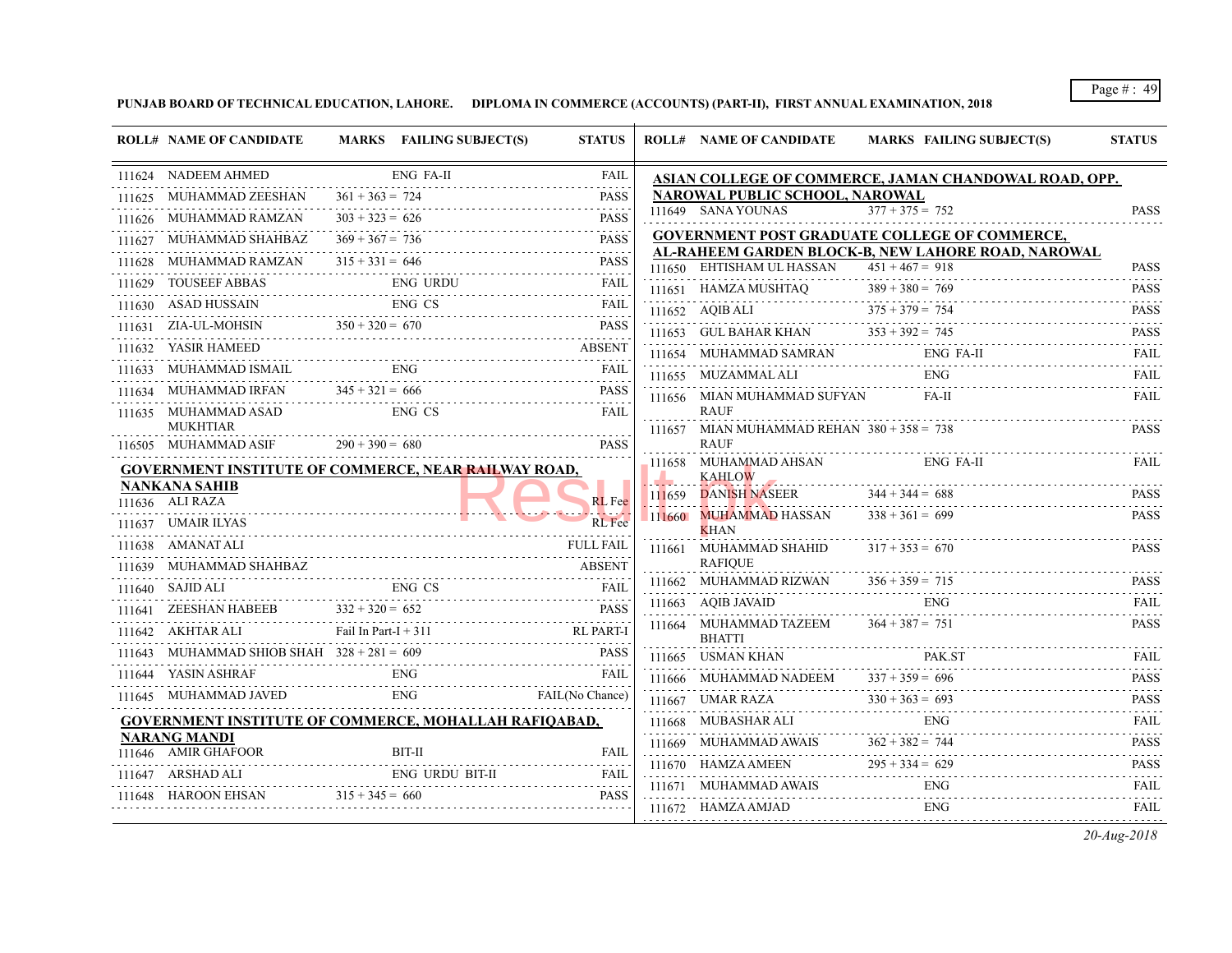| <b>ROLL# NAME OF CANDIDATE</b>                                                                                                                                                                                                                 |                   | MARKS FAILING SUBJECT(S) | <b>STATUS</b>    |                | <b>ROLL# NAME OF CANDIDATE</b>                                                  | <b>MARKS FAIL</b> |
|------------------------------------------------------------------------------------------------------------------------------------------------------------------------------------------------------------------------------------------------|-------------------|--------------------------|------------------|----------------|---------------------------------------------------------------------------------|-------------------|
| $\begin{tabular}{lllllllll} \bf 111624 & \textbf{NADEEM AHMED} & \textbf{ENG FA-II} & \textbf{FAIL} \\ \hline \end{tabular}$                                                                                                                   |                   |                          | FAIL             |                | ASIAN COLLEGE OF COMMERCE, JAMAN C                                              |                   |
| 111625 MUHAMMAD ZEESHAN $361 + 363 = 724$                                                                                                                                                                                                      |                   | $361 + 363 = 724$ PASS   | <b>PASS</b>      |                | NAROWAL PUBLIC SCHOOL, NAROWAL                                                  |                   |
| 111626 MUHAMMAD RAMZAN                                                                                                                                                                                                                         | $303 + 323 = 626$ | $303 + 323 = 626$ PASS   | PASS             |                | 111649 SANA YOUNAS                                                              | $377 + 375 = 752$ |
| 111627 MUHAMMAD SHAHBAZ                                                                                                                                                                                                                        |                   | $369 + 367 = 736$ PASS   |                  |                | <b>GOVERNMENT POST GRADUATE COLLEGE</b>                                         |                   |
| 111628 MUHAMMAD RAMZAN $315 + 331 = 646$ PASS                                                                                                                                                                                                  |                   |                          |                  |                | AL-RAHEEM GARDEN BLOCK-B, NEW LAHO<br>111650 EHTISHAM UL HASSAN                 | $451 + 467 = 918$ |
| 111629 TOUSEEF ABBAS                                                                                                                                                                                                                           |                   |                          | FAIL             |                | 111651 HAMZA MUSHTAQ $389 + 380 = 769$                                          |                   |
| $\begin{tabular}{lllllllll} \bf 111630 & A SAD HUSSAIN & \textbf{ENG CS} & \textbf{FAIL} \\ \hline \end{tabular}$                                                                                                                              |                   |                          |                  |                | 111652 AQIB ALI $375 + 379 = 754$                                               |                   |
| 111631 ZIA-UL-MOHSIN $350 + 320 = 670$ PASS                                                                                                                                                                                                    |                   |                          |                  |                | 111653 GUL BAHAR KHAN $353 + 392 = 745$                                         |                   |
| 111632 YASIR HAMEED                                                                                                                                                                                                                            |                   |                          |                  |                | 111654 MUHAMMAD SAMRAN ENC                                                      | <b>ENG</b>        |
| $\begin{tabular}{lllllllll} \bf 111633 & \bf MUHAMMAD ISMAIL & \bf ENG & \bf FAIL & \bf FAIL \\ \bf \end{tabular}$                                                                                                                             |                   |                          |                  |                | 111655 MUZAMMAL ALI                                                             | <b>ENG</b>        |
| 111634 MUHAMMAD IRFAN $345 + 321 = 666$ PASS                                                                                                                                                                                                   |                   |                          | PASS             |                | 111656 MIAN MUHAMMAD SUFYAN                                                     | $FA-II$           |
| 111635 MUHAMMAD ASAD                                                                                                                                                                                                                           |                   | ENG CS                   | FAIL             |                | <b>RAUF</b>                                                                     |                   |
| <b>MUKHTIAR</b><br>116505 MUHAMMAD ASIF $290 + 390 = 680$                                                                                                                                                                                      |                   |                          |                  |                | 111657 MIAN MUHAMMAD REHAN $380 + 358 = 738$<br><b>RAUF</b>                     |                   |
| $IAMMAD ASIF$ 290 + 390 = 680 PASS                                                                                                                                                                                                             |                   |                          |                  |                | 111658 MUHAMMAD AHSAN                                                           | <b>ENG</b>        |
| <b>GOVERNMENT INSTITUTE OF COMMERCE, NEAR RAILWAY ROAD,</b><br><b>NANKANA SAHIB</b>                                                                                                                                                            |                   |                          |                  | . <del>.</del> | <b>KAHLOW</b>                                                                   |                   |
| 111636 ALI RAZA                                                                                                                                                                                                                                |                   |                          | <b>RL</b> Fee    |                | 111659 DANISH NASEER $344 + 344 = 688$                                          |                   |
| 111636 ALI RAZA<br>111637 UMAIR ILYAS RAL Fee<br>111637 UMAIR ILYAS<br>111637 UMAIR ILYAS                                                                                                                                                      |                   |                          |                  |                | $111660$ MUHAMMAD HASSAN $338 + 361 = 699$<br><b>KHAN</b>                       |                   |
| 111638 AMANAT ALI                                                                                                                                                                                                                              |                   |                          | <b>FULL FAIL</b> |                | 111661 MUHAMMAD SHAHID $317 + 353 = 670$                                        |                   |
| 111639 MUHAMMAD SHAHBAZ<br>111639 MUHAMMAD SHAHBAZ ABSENT                                                                                                                                                                                      |                   |                          |                  |                | <b>RAFIOUE</b>                                                                  |                   |
| 111640 SAJID ALI ENG CS FAIL                                                                                                                                                                                                                   |                   |                          |                  |                | 111662 MUHAMMAD RIZWAN $356 + 359 = 715$                                        |                   |
|                                                                                                                                                                                                                                                |                   |                          |                  |                | 111663 AQIB JAVAID                                                              | <b>ENG</b>        |
| $\begin{tabular}{c c c c} \hline 111641 & ZEESHAN HABEEB & 332 + 320 = 652 & \text{PASS} \\ \hline \end{tabular} \begin{tabular}{c c c c} \hline 111642 & AKHTAR ALI & \text{Fall In Part-I + 311} & \text{RL PART-I} \\ \hline \end{tabular}$ |                   |                          |                  |                | 111664 MUHAMMAD TAZEEM $364 + 387 = 751$<br><b>BHATTI</b>                       |                   |
| 111643 MUHAMMAD SHIOB SHAH $328 + 281 = 609$                                                                                                                                                                                                   |                   |                          |                  |                | 111665 USMAN KHAN<br>111665 USMAN KHAN PAK                                      | PAK.              |
| 111644 YASIN ASHRAF ENG FAIL                                                                                                                                                                                                                   |                   |                          |                  |                | 111666 MUHAMMAD NADEEM $337 + 359 = 696$                                        |                   |
| 111645 MUHAMMAD JAVED ENG FAIL (No Chance)                                                                                                                                                                                                     |                   |                          |                  |                | 111667 UMAR RAZA $330 + 363 = 693$                                              |                   |
| GOVERNMENT INSTITUTE OF COMMERCE, MOHALLAH RAFIQABAD,                                                                                                                                                                                          |                   |                          |                  |                | 111668 MUBASHAR ALI EN                                                          | <b>ENG</b>        |
| <b>NARANG MANDI</b><br>111646 AMIR GHAFOOR                                                                                                                                                                                                     |                   |                          |                  |                |                                                                                 |                   |
|                                                                                                                                                                                                                                                |                   |                          |                  |                | 111669 MUHAMMAD AWAIS $362 + 382 = 744$<br>111670 HAMZA AMEEN $295 + 334 = 629$ |                   |
|                                                                                                                                                                                                                                                |                   |                          |                  |                | 111671 MUHAMMAD AWAIS                                                           | ENG I             |
| 111648 HAROON EHSAN $315 + 345 = 660$ PASS                                                                                                                                                                                                     |                   |                          |                  |                | 111672 HAMZA AMJAD                                                              | <b>ENG</b>        |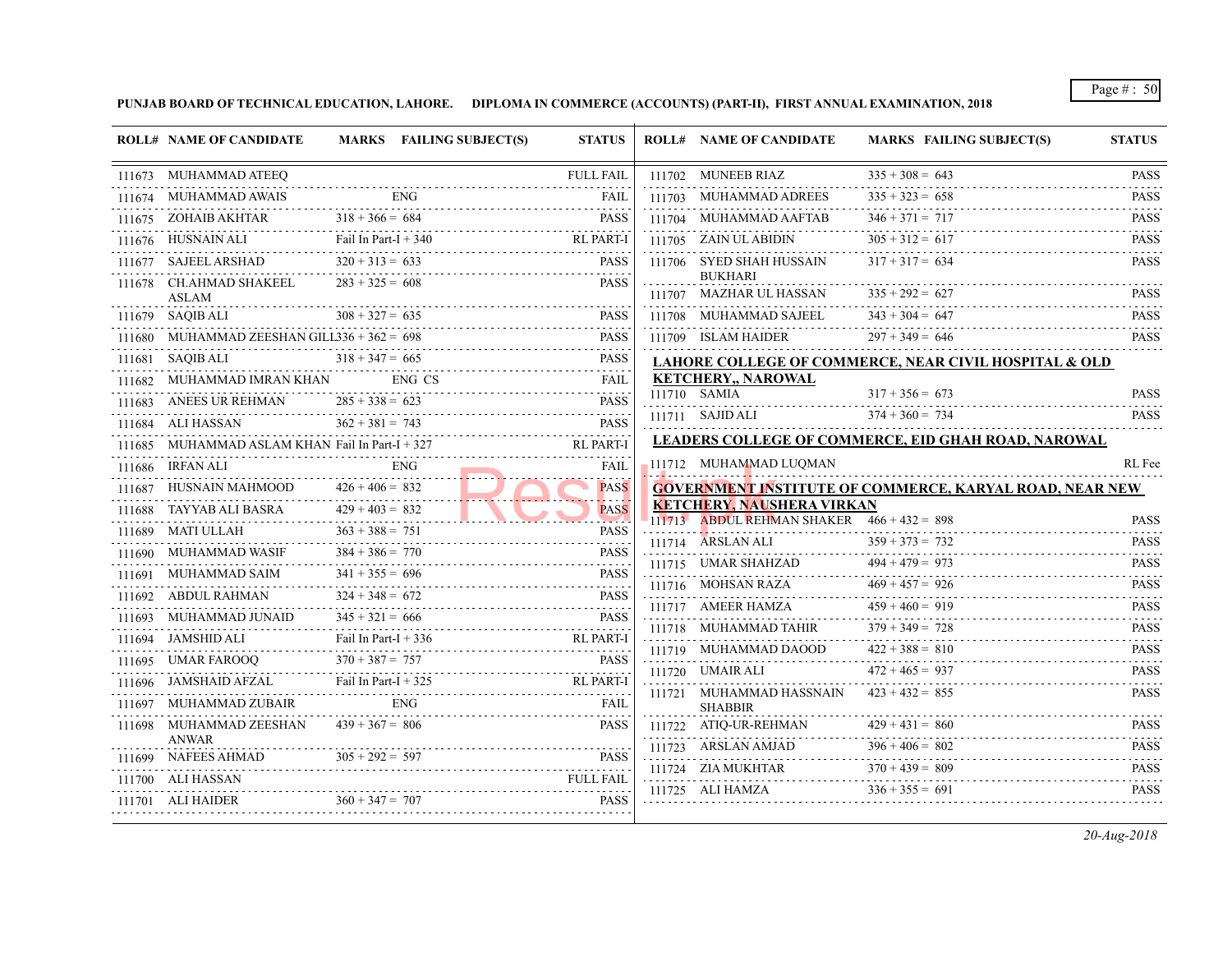| <b>ROLL# NAME OF CANDIDATE</b>                     |                   | <b>MARKS</b> FAILING SUBJECT(S)                | <b>STATUS</b>    | <b>ROLL# NAME OF CANDIDATE</b>                                                   | <b>MARKS FAIL</b> |
|----------------------------------------------------|-------------------|------------------------------------------------|------------------|----------------------------------------------------------------------------------|-------------------|
| 111673 MUHAMMAD ATEEQ                              |                   |                                                | <b>FULL FAIL</b> | 111702 MUNEEB RIAZ                                                               | $335 + 308 = 643$ |
| 111674 MUHAMMAD AWAIS                              |                   | ENG                                            | FAIL             | 111703 MUHAMMAD ADREES                                                           | $335 + 323 = 658$ |
| 111675 ZOHAIB AKHTAR                               | $318 + 366 = 684$ |                                                | PASS             | 111704 MUHAMMAD AAFTAB                                                           | $346 + 371 = 717$ |
| 111676 HUSNAIN ALI Fail In Part-I + 340            |                   | )<br>RL PART-I                                 |                  | 111705 ZAIN UL ABIDIN                                                            | $305 + 312 = 617$ |
| 111677 SAJEEL ARSHAD $320 + 313 = 633$             |                   |                                                | PASS             | 111706 SYED SHAH HUSSAIN                                                         | $317 + 317 = 634$ |
| 111678 CH.AHMAD SHAKEEL $283 + 325 = 608$<br>ASLAM |                   |                                                | <b>PASS</b>      | <b>BUKHARI</b><br>111707 MAZHAR UL HASSAN                                        | $335 + 292 = 627$ |
| $111679$ SAQIB ALI                                 | $308 + 327 = 635$ | 635 PASS                                       | <b>PASS</b>      | 111708 MUHAMMAD SAJEEL                                                           | $343 + 304 = 647$ |
| 111680 MUHAMMAD ZEESHAN GILL336 + $362 = 698$      |                   |                                                | PASS             | 111709 ISLAM HAIDER                                                              | $297 + 349 = 646$ |
| 111681 SAQIB ALI                                   | $318 + 347 = 665$ |                                                | <b>PASS</b>      | <b>LAHORE COLLEGE OF COMMERCE, NEAR 0</b>                                        |                   |
| 111682 MUHAMMAD IMRAN KHAN                         |                   | ENG CS                                         |                  | <b>KETCHERY,, NAROWAL</b>                                                        |                   |
| 111683 ANEES UR REHMAN                             | $285 + 338 = 623$ |                                                | <b>PASS</b>      | 111710 SAMIA<br>11/10 SAMIA $317 + 356 = 6$                                      | $317 + 356 = 673$ |
| 111684 ALI HASSAN<br>$362 + 381 = 743$             |                   |                                                | <b>PASS</b>      | 111711 SAJID ALI $374 + 360 = 734$                                               |                   |
| 111685 MUHAMMAD ASLAM KHAN Fail In Part-I + 327    |                   | IMAD ASLAM KHAN Fail In Part-I + 327 RL PART-I |                  | <b>LEADERS COLLEGE OF COMMERCE, EID GI</b>                                       |                   |
| 111686 IRFAN ALI                                   |                   | ENG                                            | FAIL             | 111712 MUHAMMAD LUQMAN                                                           |                   |
| 111687 HUSNAIN MAHMOOD $426 + 406 = 832$           |                   |                                                | <b>PASS</b>      | <b>GOVERNMENT INSTITUTE OF COMMERCE,</b>                                         |                   |
| 111688 TAYYAB ALI BASRA<br>$429 + 403 = 832$       |                   |                                                | <b>PASS</b>      | <b>KETCHERY, NAUSHERA VIRKAN</b><br>111713 ABDUL REHMAN SHAKER $466 + 432 = 898$ |                   |
| $363 + 388 = 751$<br>111689 MATI ULLAH             |                   |                                                | <b>PASS</b>      |                                                                                  | $359 + 373 = 732$ |
| 111690 MUHAMMAD WASIF $384 + 386 = 770$            |                   |                                                | <b>PASS</b>      | 111714 $\overline{ARSLAN ALI}$ 359 + 373 = 7                                     | $494 + 479 = 973$ |
| 111691 MUHAMMAD SAIM                               | $341 + 355 = 696$ | M $341 + 355 = 696$ PASS                       | PASS             | 111715 UMAR SHAHZAD $494 + 479 = 9$<br>111716 MOHSAN RAZA                        | $469 + 457 = 926$ |
| 111692 ABDUL RAHMAN $324 + 348 = 672$              |                   | N $324 + 348 = 672$ PASS                       |                  |                                                                                  | $459 + 460 = 919$ |
| 111693 MUHAMMAD JUNAID $345 + 321 = 666$           |                   | $HAMMAD JUNAID$ $345 + 321 = 666$ PASS         | <b>PASS</b>      | 111717 AMEER HAMZA<br>111718 MUHAMMAD TAHIR                                      | $379 + 349 = 728$ |
| 111694 JAMSHID ALI                                 |                   | Fail In Part-I + 336 RL PART-I                 |                  | 111719 MUHAMMAD DAOOD                                                            | $422 + 388 = 810$ |
| 111695 UMAR FAROOQ $370 + 387 = 757$ PASS          |                   |                                                |                  | 111720 UMAIR ALI                                                                 | $472 + 465 = 937$ |
| 111696 JAMSHAID AFZAL                              |                   | L Fail In Part-I + 325 RL PART-I               |                  | 111721 MUHAMMAD HASSNAIN                                                         | $423 + 432 = 855$ |
| 111697 MUHAMMAD ZUBAIR                             |                   | <b>ENG</b>                                     | FAIL             | <b>SHABBIR</b>                                                                   |                   |
| 111698 MUHAMMAD ZEESHAN<br>ANWAR                   | $439 + 367 = 806$ |                                                | PASS             | 111722 ATIQ-UR-REHMAN                                                            | $429 + 431 = 860$ |
| 111699 NAFEES AHMAD $305 + 292 = 597$ PASS         |                   |                                                | <b>PASS</b>      | 111723 ARSLAN AMJAD $396 + 406 = 80$                                             | $396 + 406 = 802$ |
| 111700 ALI HASSAN                                  |                   |                                                | FULL FAIL        | 111724 ZIA MUKHTAR $370 + 439 = 8$                                               | $370 + 439 = 809$ |
| $360 + 347 = 707$<br>111701 ALI HAIDER             |                   |                                                | <b>PASS</b>      | $111725$ ALI HAMZA                                                               | $336 + 355 = 691$ |
|                                                    |                   |                                                |                  |                                                                                  |                   |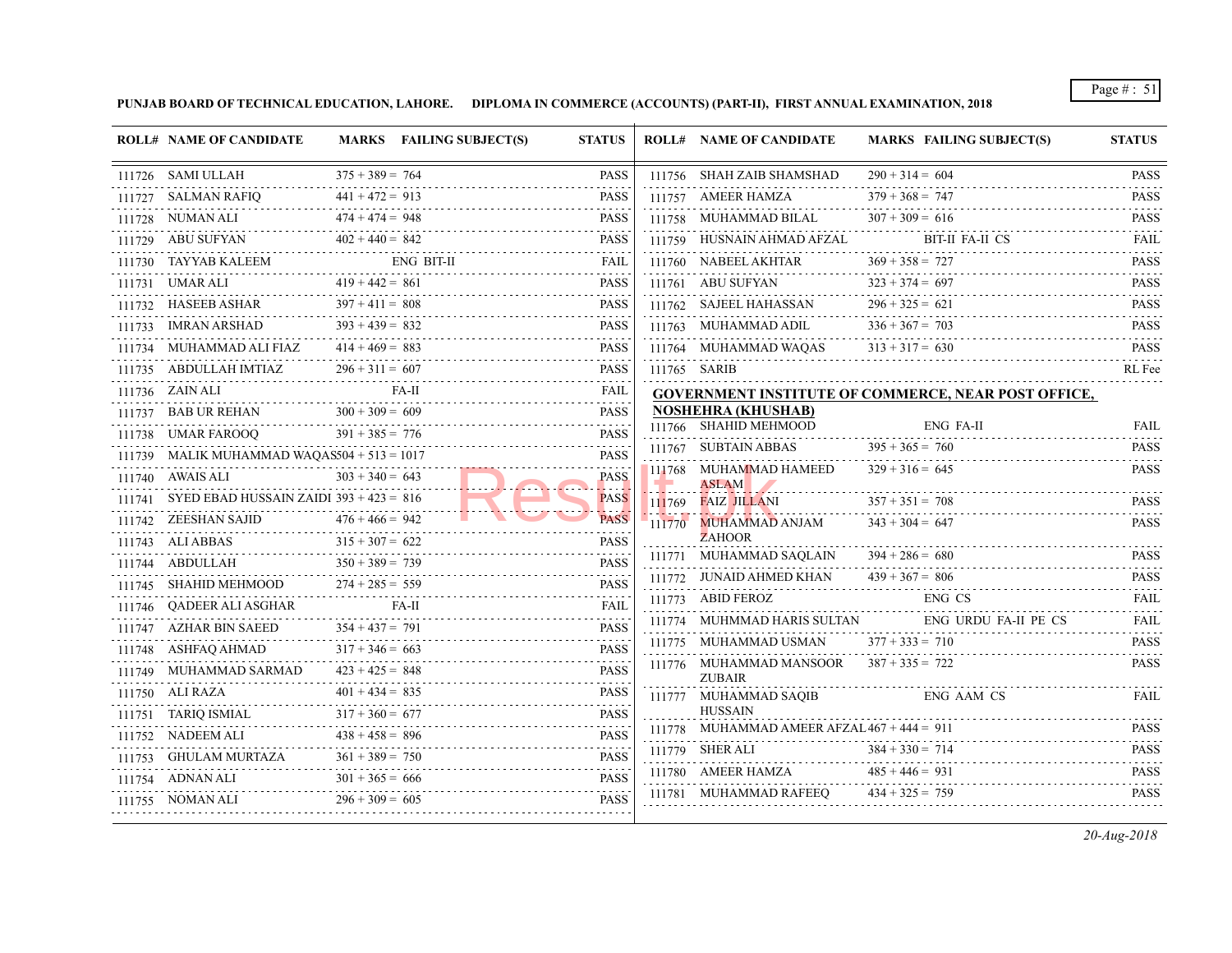| <b>ROLL# NAME OF CANDIDATE</b>                                          |                   | MARKS FAILING SUBJECT(S)   | <b>STATUS</b>                                        |              | <b>ROLL# NAME OF CANDIDATE</b>                             | <b>MARKS FAIL</b> |
|-------------------------------------------------------------------------|-------------------|----------------------------|------------------------------------------------------|--------------|------------------------------------------------------------|-------------------|
| 111726 SAMI ULLAH                                                       | $375 + 389 = 764$ |                            | <b>PASS</b>                                          |              | 111756 SHAH ZAIB SHAMSHAD                                  | $290 + 314 = 604$ |
| 111727 SALMAN RAFIQ $441 + 472 = 913$                                   |                   |                            | <b>PASS</b>                                          |              | 111757 AMEER HAMZA                                         | $379 + 368 = 747$ |
| LI $474 + 474 = 948$<br>111728 NUMAN ALI                                |                   |                            | PASS                                                 |              | 111758 MUHAMMAD BILAL $307 + 309 = 616$                    |                   |
| 111729 ABU SUFYAN $402 + 440 = 842$ PASS                                |                   |                            | <b>PASS</b>                                          |              | 111759 HUSNAIN AHMAD AFZAL                                 | BIT-I             |
|                                                                         |                   |                            | FAIL                                                 |              | 111760 NABEEL AKHTAR                                       | $369 + 358 = 727$ |
| 111731 UMAR ALI                                                         |                   | ALI $419 + 442 = 861$ PASS | <b>PASS</b>                                          |              | 111761 ABU SUFYAN $323 + 374 = 697$                        |                   |
| 111732 HASEEB ASHAR $397 + 411 = 808$                                   |                   |                            | <b>PASS</b>                                          |              | 111762 SAJEEL HAHASSAN $296 + 325 = 621$                   |                   |
| 111733 IMRAN ARSHAD                                                     | $393 + 439 = 832$ |                            | PASS                                                 |              | 111763 MUHAMMAD ADIL $336 + 367 = 703$                     |                   |
| 111734 MUHAMMAD ALI FIAZ $414 + 469 = 883$                              |                   |                            | <b>PASS</b>                                          |              | 111764 MUHAMMAD WAQAS $313 + 317 = 630$                    |                   |
| 111735 ABDULLAH IMTIAZ $296 + 311 = 607$                                |                   |                            | <b>PASS</b>                                          | 111765 SARIB |                                                            |                   |
| 111736 ZAIN ALI                                                         |                   |                            |                                                      |              | <b>GOVERNMENT INSTITUTE OF COMMERCE,</b>                   |                   |
| 111737 BAB UR REHAN $300 + 309 = 609$ PASS                              |                   |                            |                                                      |              | <b>NOSHEHRA (KHUSHAB)</b>                                  |                   |
| 111738 UMAR FAROOQ 391 + 385 = 776                                      |                   |                            | <b>PASS</b>                                          |              | 111766 SHAHID MEHMOOD                                      | <b>ENG</b>        |
| 111739 MALIK MUHAMMAD WAQAS504 + 513 = 1017                             |                   |                            | <b>PASS</b>                                          |              | 111767 SUBTAIN ABBAS                                       | $395 + 365 = 760$ |
| 111740 AWAIS ALI                                                        | $303 + 340 = 643$ |                            | <b>PASS</b><br><b><i><u>A</u></i> A <i>A A A</i></b> |              | 111768 MUHAMMAD HAMEED<br><b>ASLAM</b>                     | $329 + 316 = 645$ |
| 111741 SYED EBAD HUSSAIN ZAIDI $393 + 423 = 816$                        |                   |                            | <b>PASS</b>                                          |              | 111769 FAIZ JILLANI                                        | $357 + 351 = 708$ |
| 111742 ZEESHAN SAJID $476 + 466 = 942$                                  |                   |                            | <b>PASS</b>                                          |              | 111770 MUHAMMAD ANJAM                                      | $343 + 304 = 647$ |
| 111743 ALIABBAS $315 + 307 = 622$                                       |                   |                            | <b>PASS</b>                                          |              | <b>ZAHOOR</b>                                              |                   |
| $350 + 389 = 739$<br>111744 ABDULLAH<br>.                               |                   |                            | <b>PASS</b>                                          |              | 111771 MUHAMMAD SAQLAIN                                    | $394 + 286 = 680$ |
| 111745 SHAHID MEHMOOD $274 + 285 = 559$                                 |                   |                            | <b>PASS</b>                                          |              | 111772 JUNAID AHMED KHAN                                   | $439 + 367 = 806$ |
| 111746 OADEER ALI ASGHAR                                                |                   | FA-II                      | FAIL                                                 |              | 111773 ABID FEROZ                                          | <b>ENG</b>        |
| 111747 AZHAR BIN SAEED<br>111747 AZHAR BIN SAEED $354 + 437 = 791$ PASS | $354 + 437 = 791$ |                            | <b>PASS</b>                                          |              | 111774 MUHMMAD HARIS SULTAN                                | ENG               |
| 111748 ASHFAQ AHMAD $317 + 346 = 663$                                   |                   |                            | PASS                                                 |              | 111775 MUHAMMAD USMAN                                      | $377 + 333 = 710$ |
| 111749 MUHAMMAD SARMAD $423 + 425 = 848$                                |                   |                            | <b>PASS</b>                                          |              | 111776 MUHAMMAD MANSOOR $387 + 335 = 722$<br><b>ZUBAIR</b> |                   |
| 111750 ALI RAZA $401 + 434 = 835$ PASS                                  | $401 + 434 = 835$ |                            | <b>PASS</b>                                          |              | 111777 MUHAMMAD SAQIB                                      | ENG               |
| 111751 TARIQ ISMIAL $317 + 360 = 677$ PASS                              |                   |                            |                                                      |              | <b>HUSSAIN</b>                                             |                   |
| 111752 NADEEM ALI $438 + 458 = 896$                                     |                   |                            |                                                      |              | 111778 MUHAMMAD AMEER AFZAL467 + 444 = 911                 |                   |
| 111753 GHULAM MURTAZA                                                   | $361 + 389 = 750$ |                            | PASS                                                 |              | 111779 SHER ALI $384 + 330 = 714$                          |                   |
| 111754 ADNAN ALI                                                        | $301 + 365 = 666$ |                            | <b>PASS</b>                                          |              | 111780 AMEER HAMZA $485 + 446 = 931$                       |                   |
| 111755 NOMAN ALI                                                        | $296 + 309 = 605$ |                            | <b>PASS</b>                                          |              | 111781 MUHAMMAD RAFEEQ                                     | $434 + 325 = 759$ |
|                                                                         |                   |                            |                                                      |              |                                                            |                   |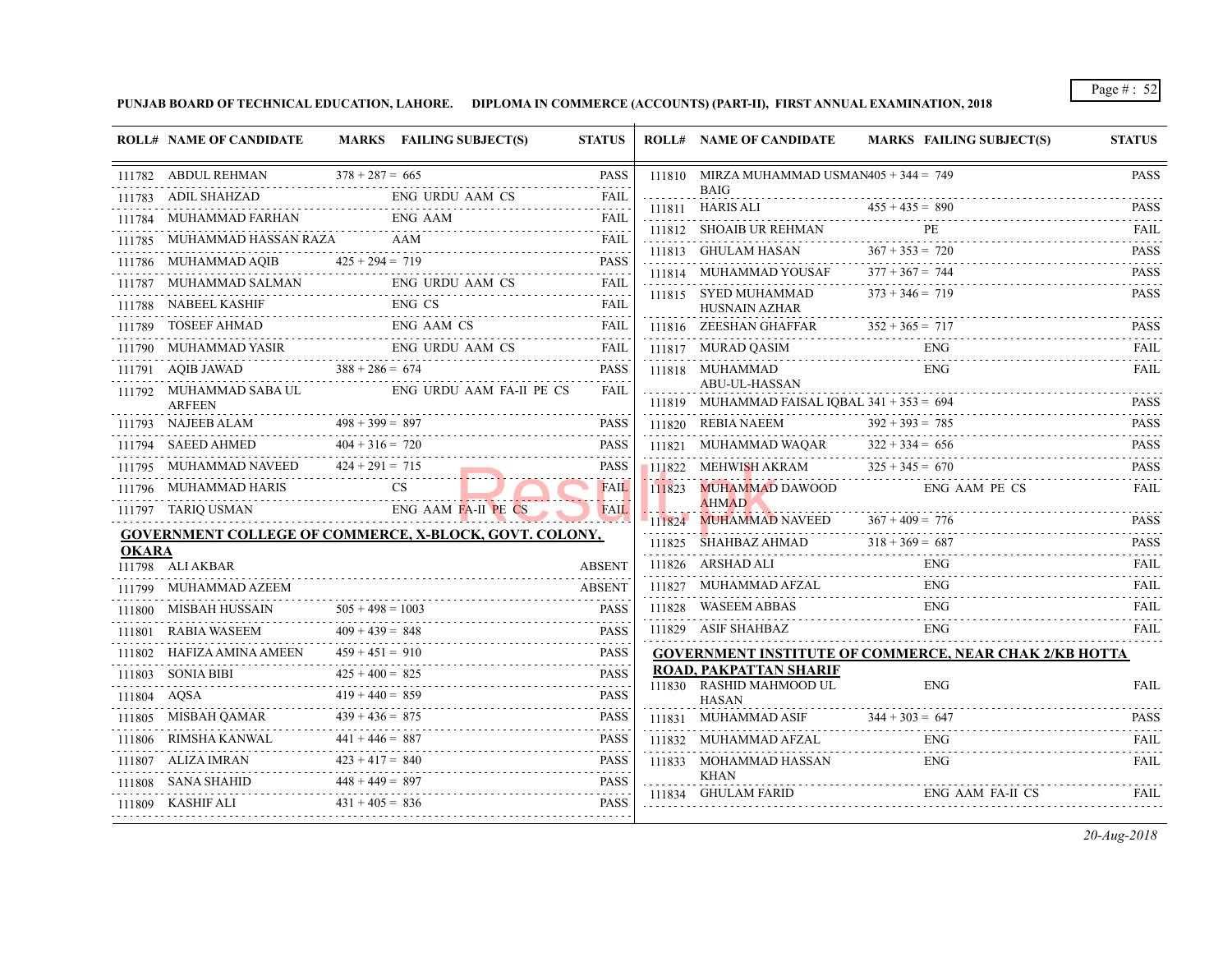|              | <b>ROLL# NAME OF CANDIDATE</b>                                                    | MARKS FAILING SUBJECT(S)                     |                          | <b>STATUS</b>    | <b>ROLL# NAME OF CANDIDATE</b>                                  | <b>MARKS FAIL</b>      |
|--------------|-----------------------------------------------------------------------------------|----------------------------------------------|--------------------------|------------------|-----------------------------------------------------------------|------------------------|
|              | 111782 ABDUL REHMAN $378 + 287 = 665$                                             |                                              |                          | <b>PASS</b>      | 111810 MIRZA MUHAMMAD USMAN405 + 344 = 749                      |                        |
|              | 111783 ADIL SHAHZAD<br>ENG UKDU AAM CS FAIL FAIL FAIL ENGLANDER TERM ENGLAND FAIL | ENG URDU AAM CS                              |                          | FAIL             | <b>BAIG</b><br>111811 HARIS ALI<br>$455 + 435 = 890$            |                        |
|              | 111784 MUHAMMAD FARHAN                                                            | ENG AAM                                      |                          | FAIL             | 111812 SHOAIB UR REHMAN                                         |                        |
|              | 111785 MUHAMMAD HASSAN RAZA                                                       | AAM                                          |                          |                  |                                                                 |                        |
|              | 111786 MUHAMMAD AQIB $425 + 294 = 719$ PASS                                       | $425 + 294 = 719$                            |                          |                  | 111813 GHULAM HASAN $367 + 353 = 720$<br>111814 MUHAMMAD YOUSAF | $377 + 367 = 744$      |
| 111787       | MUHAMMAD SALMAN                                                                   |                                              | ENG URDU AAM CS FAIL     |                  |                                                                 | $373 + 346 = 719$      |
|              | 111788 NABEEL KASHIF                                                              | ENG CS                                       |                          |                  | 111815 SYED MUHAMMAD<br>HUSNAIN AZHAR                           |                        |
|              |                                                                                   |                                              |                          | FAIL             | 111816 ZEESHAN GHAFFAR                                          | .<br>$352 + 365 = 717$ |
|              | 111790 MUHAMMAD YASIR                                                             |                                              | ENG URDU AAM CS          | <b>FAIL</b>      | 111817 MURAD QASIM                                              | ENG.                   |
|              | 111791 AQIB JAWAD                                                                 | $388 + 286 = 674$                            |                          | <b>PASS</b>      | 111818 MUHAMMAD                                                 | <b>ENG</b>             |
|              | 111792 MUHAMMAD SABA UL<br><b>ARFEEN</b>                                          |                                              | ENG URDU AAM FA-II PE CS | <b>FAIL</b>      | ABU-UL-HASSAN<br>111819 MUHAMMAD FAISAL IQBAL $341 + 353 = 694$ |                        |
| 111793       | NAJEEB ALAM $498 + 399 = 897$                                                     |                                              |                          | PASS             | 111820 REBIA NAEEM                                              | $392 + 393 = 785$      |
|              | 111794 SAEED AHMED $404 + 316 = 720$                                              | $904 + 316 = 720$ PASS                       |                          | <b>PASS</b>      | 111821 MUHAMMAD WAQAR                                           | $322 + 334 = 656$      |
|              | 111795 MUHAMMAD NAVEED $424 + 291 = 715$                                          |                                              |                          | <b>PASS</b>      | 111822 MEHWISH AKRAM $325 + 345 = 670$                          |                        |
|              | 111796 MUHAMMAD HARIS CS CS                                                       |                                              |                          | <b>FAIL</b><br>. | 111823 MUHAMMAD DAWOOD                                          | <b>ENG</b>             |
|              | 111797 TARIQ USMAN                                                                |                                              | ENG AAM FA-II PE CS      | <b>FAIL</b>      | <b>AHMAD</b><br>111824 MUHAMMAD NAVEED                          | $367 + 409 = 776$      |
|              | GOVERNMENT COLLEGE OF COMMERCE, X-BLOCK, GOVT. COLONY,                            |                                              |                          |                  | 111825 SHAHBAZ AHMAD                                            | $318 + 369 = 687$      |
| <b>OKARA</b> | 111798 ALI AKBAR                                                                  |                                              |                          | <b>ABSENT</b>    | 111826 ARSHAD ALI                                               | <b>ENG</b>             |
|              | 111799 MUHAMMAD AZEEM                                                             |                                              |                          | <b>ABSENT</b>    | 111827 MUHAMMAD AFZAL                                           | <b>ENG</b>             |
|              | 111800 MISBAH HUSSAIN                                                             | $505 + 498 = 1003$                           |                          | <b>PASS</b>      | 111828 WASEEM ABBAS                                             | <b>ENG</b>             |
| 111801       | RABIA WASEEM                                                                      | $505 + 498 = 1003$ PASS<br>$409 + 439 = 848$ |                          | PASS             | 111829 ASIF SHAHBAZ                                             | <b>ENG</b>             |
|              | 111802 HAFIZA AMINA AMEEN $459 + 451 = 910$                                       | EEM 409 + 439 = 848 PAS:                     |                          | <b>PASS</b>      | <b>GOVERNMENT INSTITUTE OF COMMERCE,</b>                        |                        |
|              | 111803 SONIA BIBI                                                                 |                                              |                          | <b>PASS</b>      | <b>ROAD, PAKPATTAN SHARIF</b>                                   |                        |
| 111804 AQSA  |                                                                                   | $419 + 440 = 859$                            |                          | PASS             | 111830 RASHID MAHMOOD UL                                        | <b>ENG</b>             |
|              |                                                                                   |                                              |                          |                  | <b>HASAN</b><br>111831 MUHAMMAD ASIF $344 + 303 = 647$          |                        |
|              | 111805 MISBAH QAMAR $439 + 436 = 875$ PASS PASS                                   |                                              |                          | <b>PASS</b>      | 111832 MUHAMMAD AFZAL                                           | ENG.                   |
|              | 111806 RIMSHA KANWAL $441 + 446 = 887$<br>111807 ALIZA IMRAN                      |                                              |                          |                  | 111833 MOHAMMAD HASSAN                                          | <b>ENG</b>             |
|              | 111807 ALIZA IMRAN $423 + 417 = 840$ PASS                                         |                                              |                          |                  | KHAN                                                            |                        |
|              | 111808 SANA SHAHID $448 + 449 = 897$ PASS<br>111809 KASHIF ALI                    | $431 + 405 = 836$                            |                          | PASS             | 111834 GHULAM FARID                                             | <b>ENG</b>             |
|              |                                                                                   |                                              |                          |                  |                                                                 |                        |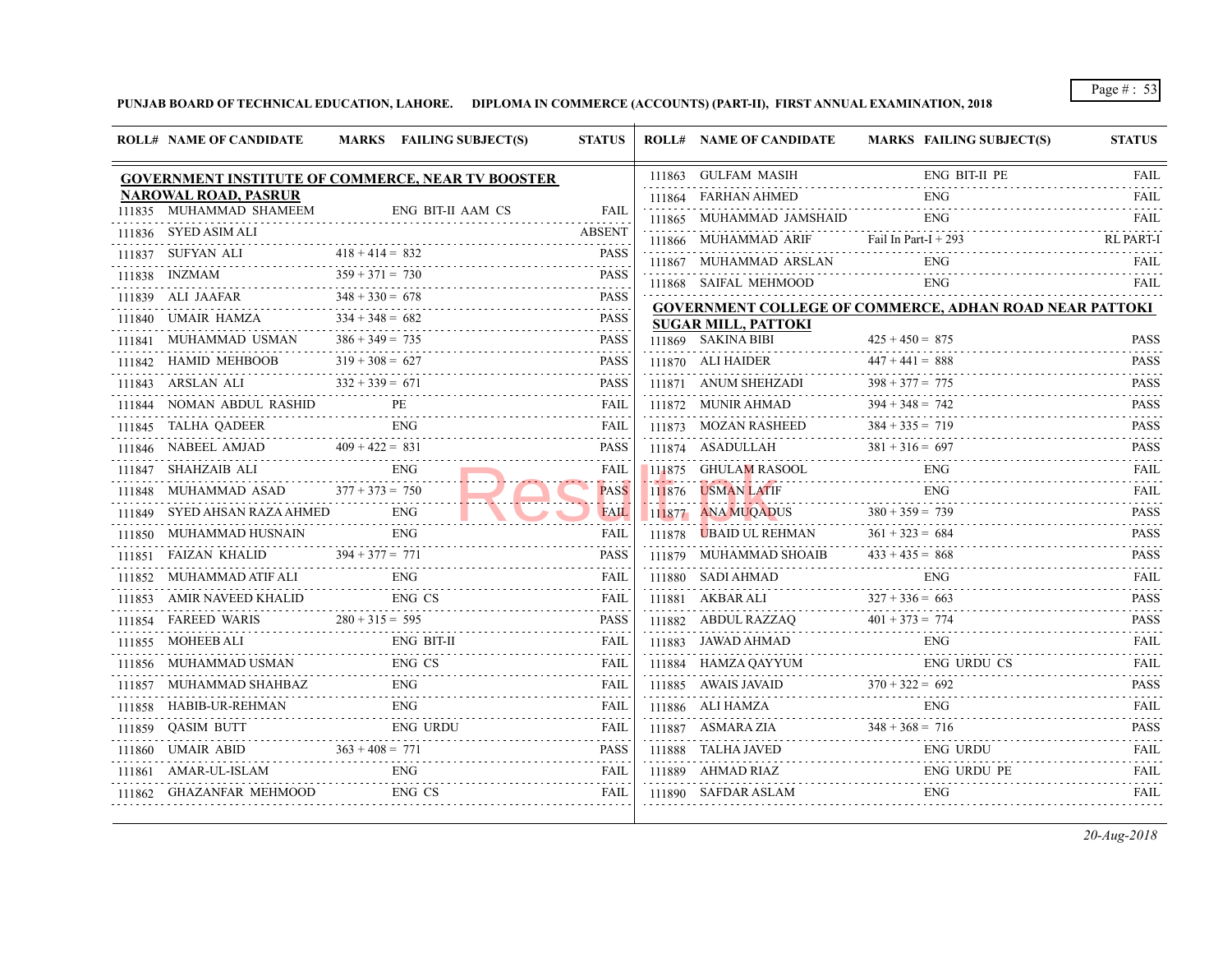|        | <b>ROLL# NAME OF CANDIDATE</b>                            |                   | MARKS FAILING SUBJECT(S) | <b>STATUS</b>                           |        | <b>ROLL# NAME OF CANDIDATE</b>                                      | <b>MARKS FAIL</b>    |
|--------|-----------------------------------------------------------|-------------------|--------------------------|-----------------------------------------|--------|---------------------------------------------------------------------|----------------------|
|        | <b>GOVERNMENT INSTITUTE OF COMMERCE, NEAR TV BOOSTER</b>  |                   |                          |                                         |        | 111863 GULFAM MASIH                                                 | ENG.                 |
|        | <b>NAROWAL ROAD, PASRUR</b>                               |                   |                          |                                         |        | 111864 FARHAN AHMED                                                 | <b>ENG</b>           |
|        | 111835 MUHAMMAD SHAMEEM                                   |                   | ENG BIT-II AAM CS        | FAIL                                    |        | 111865 MUHAMMAD JAMSHAID                                            | <b>ENG</b>           |
|        | 111836 SYED ASIM ALI                                      |                   |                          | <b>ABSENT</b>                           |        | 111866 MUHAMMAD ARIF                                                | Fail In Part-I + $2$ |
|        | ALI $418 + 414 = 832$<br>111837 SUFYAN ALI                |                   |                          | <b>PASS</b>                             |        | 111867 MUHAMMAD ARSLAN                                              | <b>ENG</b>           |
|        | $359 + 371 = 730$<br>111838 INZMAM                        |                   |                          | $359 + 371 = 730$ PASS<br><b>PASS</b>   |        | 111868 SAIFAL MEHMOOD                                               | ENG.                 |
|        | 111839 ALI JAAFAR 3                                       | $348 + 330 = 678$ |                          | $348 + 330 = 678$ PASS                  |        | <b>GOVERNMENT COLLEGE OF COMMERCE, A</b>                            |                      |
|        | 111840 UMAIR HAMZA                                        | $334 + 348 = 682$ |                          | <b>PASS</b><br>A $334 + 348 = 682$ PASS |        | SUGAR MILL, PATTOKI                                                 |                      |
| 111841 | MUHAMMAD USMAN                                            | $386 + 349 = 735$ |                          | <b>PASS</b>                             |        | 111869 SAKINA BIBI                                                  | $425 + 450 = 875$    |
|        | 111842 HAMID MEHBOOB $319 + 308 = 627$                    |                   |                          | <b>PASS</b>                             |        | 111870 ALI HAIDER                                                   | $447 + 441 = 888$    |
|        | $332 + 339 = 671$<br>111843 ARSLAN ALI                    |                   |                          | <b>PASS</b>                             |        | 111871 ANUM SHEHZADI $398 + 377 = 775$                              |                      |
|        | 111844 NOMAN ABDUL RASHID PE                              |                   |                          | FAIL                                    |        | 111872 MUNIR AHMAD $394 + 348 = 742$                                |                      |
|        | 111845 TALHA QADEER                                       |                   | <b>ENG</b><br>R ENG ENG  | FAIL                                    |        | 111873 MOZAN RASHEED                                                | $384 + 335 = 719$    |
|        | 111846 NABEEL AMJAD $409 + 422 = 831$                     |                   |                          | .<br><b>PASS</b>                        |        | 111874 ASADULLAH $381 + 316$                                        | $381 + 316 = 697$    |
|        | 111847 SHAHZAIB ALI ENG                                   |                   |                          | FAIL                                    |        | 111875 GHULAM RASOOL<br><u> 1999 - Personal American American A</u> | ENG I                |
|        | 111848 MUHAMMAD ASAD $377 + 373 = 750$                    |                   |                          | <b>PASS</b>                             |        | 111876 USMAN LATIF                                                  | ENG.                 |
|        | 111849 SYED AHSAN RAZA AHMED                              |                   | ENG                      | <b>FAIL</b>                             |        | $111877$ ANA MUQADUS $380 + 359 = 739$                              |                      |
|        | 111850 MUHAMMAD HUSNAIN                                   |                   | <b>ENG</b>               | <b>FAIL</b>                             | 111878 | <b>UBAID UL REHMAN</b>                                              | $361 + 323 = 684$    |
|        | 111851 FAIZAN KHALID $394 + 377 = 771$                    |                   |                          | <b>PASS</b>                             |        | 111879 MUHAMMAD SHOAIB                                              | $433 + 435 = 868$    |
|        |                                                           |                   |                          | FAIL                                    |        | 111880 SADI AHMAD ENC<br>111880 SADI AHMAD                          | <b>ENG</b>           |
|        | 111853 AMIR NAVEED KHALID                                 |                   | ENG CS                   |                                         |        | 111881 AKBAR ALI $327 + 336 = 663$                                  |                      |
|        | 111854 FAREED WARIS $280 + 315 = 595$                     |                   |                          | <b>PASS</b>                             |        | 111882 ABDUL RAZZAQ $401 + 373 = 774$                               |                      |
|        | 111855 MOHEEB ALI                                         |                   |                          | ENG BIT-II FAIL                         |        | 111883 JAWAD AHMAD                                                  | ENG I                |
| 111856 | MUHAMMAD USMAN                                            |                   | ENG CS                   | FAIL                                    |        | 111884 HAMZA QAYYUM                                                 | <b>ENG</b>           |
| 111857 | MUHAMMAD SHAHBAZ                                          |                   |                          | FAIL                                    |        | 111885 AWAIS JAVAID $370 + 322 = 692$                               |                      |
|        | 111858 HABIB-UR-REHMAN                                    |                   | ENG                      | <b>FAIL</b>                             |        | 111886 ALI HAMZA                                                    | <b>ENG</b>           |
|        | 3UTT ENG URDU<br>111859 QASIM BUTT                        |                   |                          | FAIL                                    |        | 111887 ASMARA ZIA $348 + 368 = 716$                                 |                      |
|        | 111860 UMAIR ABID $363 + 408 = 771$                       |                   |                          | and a state<br><b>PASS</b>              |        | 111888 TALHA JAVED                                                  | <b>ENG</b>           |
|        | 111861 AMAR-UL-ISLAM<br>111861 AMAR-UL-ISLAM ENG ENG FAIL |                   | <b>ENG</b>               | <b>FAIL</b>                             |        | 111889 AHMAD RIAZ ENG                                               | ENG I                |
|        | 111862 GHAZANFAR MEHMOOD                                  |                   | ENG CS                   | <b>FAIL</b>                             |        | 111890 SAFDAR ASLAM                                                 | ENG I                |
|        |                                                           |                   |                          |                                         |        |                                                                     |                      |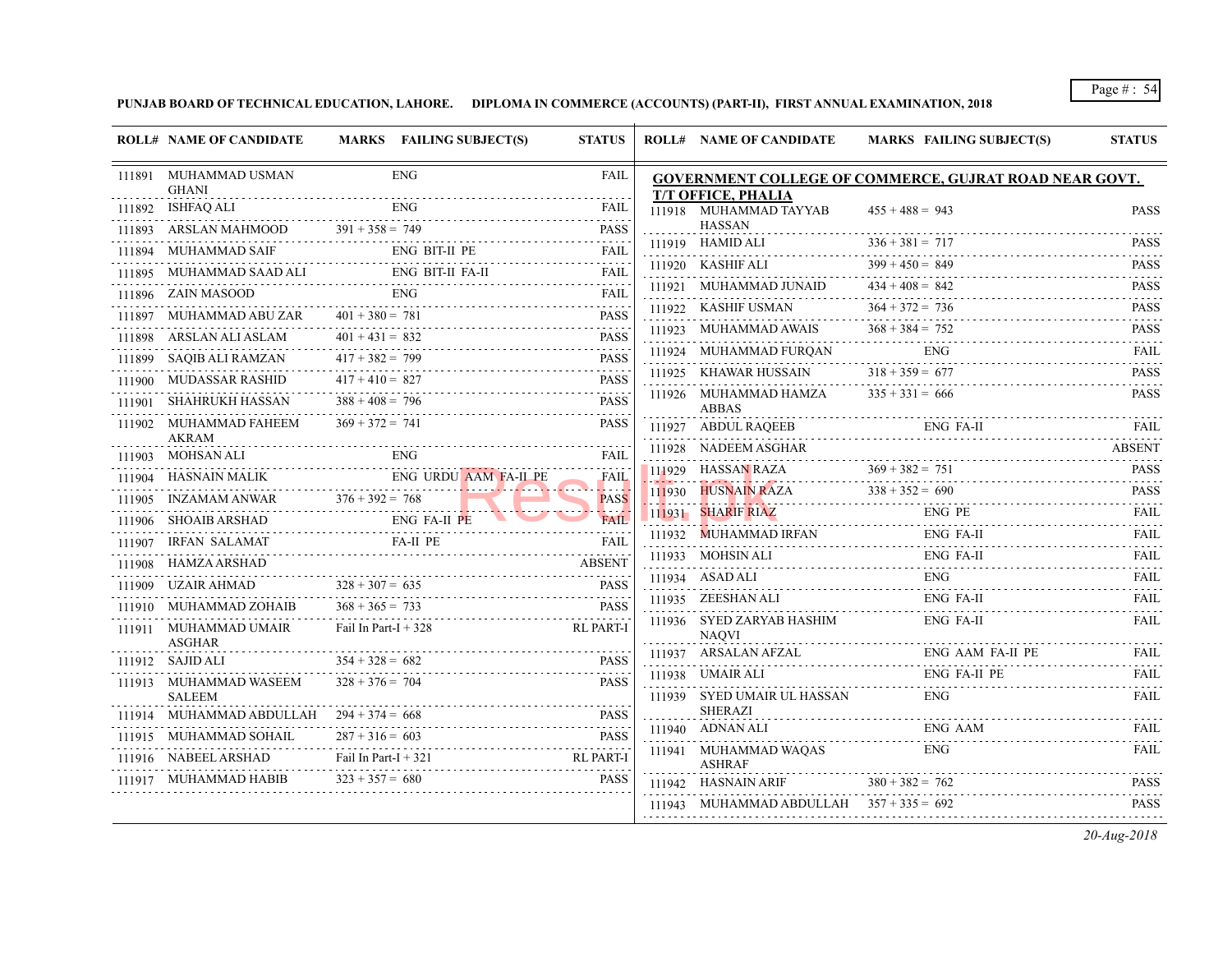| <b>ENG</b><br>111891 MUHAMMAD USMAN<br>FAIL<br><b>GOVERNMENT COLLEGE OF COMMERCE, 0</b><br><b>GHANI</b><br>T/T OFFICE, PHALIA<br>111892 ISHFAQ ALI<br>ENG.<br>FAIL<br>111918 MUHAMMAD TAYYAB<br>$455 + 488 = 943$<br><b>HASSAN</b><br>111893 ARSLAN MAHMOOD $391 + 358 = 749$ PASS<br><b>PASS</b><br>$336 + 381 = 717$<br>111919 HAMID ALI<br>111894 MUHAMMAD SAIF ENG BIT-II PE<br>FAIL<br>$399 + 450 = 849$<br>111920 KASHIF ALI<br>111895 MUHAMMAD SAAD ALI ENG BIT-II FA-II PA-11<br>FAIL<br>111921 MUHAMMAD JUNAID<br>$434 + 408 = 842$<br>$\mathcal{L}^{\mathcal{A}}\left( \mathcal{A}^{\mathcal{A}}\right) =\mathcal{L}^{\mathcal{A}}\left( \mathcal{A}^{\mathcal{A}}\right)$<br>ENG<br>111896 ZAIN MASOOD<br>ENG ENG<br>FAIL<br>$364 + 372 = 736$<br>$- - - - - -$<br>111922 KASHIF USMAN<br>$401 + 380 = 781$<br>111897 MUHAMMAD ABU ZAR<br><b>PASS</b><br>$368 + 384 = 752$<br>111923 MUHAMMAD AWAIS<br>$401 + 431 = 832$<br><b>PASS</b><br>111898 ARSLAN ALI ASLAM<br>111924 MUHAMMAD FURQAN<br>ENG.<br>111899 SAQIB ALI RAMZAN $417 + 382 = 799$<br><b>PASS</b><br>111925 KHAWAR HUSSAIN<br>$318 + 359 = 677$<br>$417 + 410 = 827$<br>111900 MUDASSAR RASHID<br><b>PASS</b><br>$335 + 331 = 666$<br>111926 MUHAMMAD HAMZA<br>$388 + 408 = 796$<br><b>PASS</b><br>SHAHRUKH HASSAN<br>111901<br><b>ABBAS</b><br>$369 + 372 = 741$<br>111902 MUHAMMAD FAHEEM<br><b>PASS</b><br>111927 ABDUL RAQEEB<br>ENG.<br><b>AKRAM</b><br>111928 NADEEM ASGHAR<br>111903 MOHSAN ALI<br>ENG.<br><b>FAIL</b><br>111929 HASSAN RAZA $369 + 382 = 751$<br>2.2.2.2.2<br><b>HASNAIN MALIK</b><br>ENG URDU AAM FA-II PE<br>FAIL<br>111904<br>.<br>$338 + 352 = 690$<br>111930 HUSNAIN RAZA<br>WAR $376 + 392 = 768$<br>111905 INZAMAM ANWAR<br><b>PASS</b><br>111931 SHARIF RIAZ<br>ENG I<br>ENG FA-II PE<br>DAIB ARSHAD ENG FA-II PE<br>111906 SHOAIB ARSHAD<br><b>FAIL</b><br>.<br>111932 MUHAMMAD IRFAN<br><b>ENG</b><br>111907 IRFAN SALAMAT<br>111933 MOHSIN ALI<br><b>ENG</b><br><b>ABSENT</b><br>111908 HAMZA ARSHAD<br>111934 ASAD ALI<br>ENG.<br><b>PASS</b><br>111909 UZAIR AHMAD<br>$20 \t 328 + 307 = 635$ PASS<br>111935 ZEESHAN ALI<br><b>ENG</b><br>$368 + 365 = 733$<br>111910 MUHAMMAD ZOHAIB<br>111936 SYED ZARYAB HASHIM<br><b>ENG</b><br>111911 MUHAMMAD UMAIR<br>Fail In Part-I $+328$<br><b>RL PART-I</b><br><b>NAOVI</b><br><b>ASGHAR</b><br>111937 ARSALAN AFZAL ENG<br>ENG.<br>$354 + 328 = 682$<br><b>PASS</b><br>$111912$ SAJID ALI<br>111938 UMAIR ALI<br><b>ENG</b><br>$328 + 376 = 704$<br>111913 MUHAMMAD WASEEM<br><b>PASS</b><br>111939 SYED UMAIR UL HASSAN<br>ENG.<br><b>SALEEM</b><br><b>SHERAZI</b><br>111914 MUHAMMAD ABDULLAH $294 + 374 = 668$<br><b>PASS</b><br>$294 + 374 = 668$ PASS<br>111940 ADNAN ALI<br><b>ENG</b><br>SOHAIL $287 + 316 = 603$ PASS<br>111915 MUHAMMAD SOHAIL<br>111941 MUHAMMAD WAQAS<br>ENG.<br>SHAD Fail In Part-I + 321 RL PART-I<br>111916 NABEEL ARSHAD<br><b>ASHRAF</b><br>$323 + 357 = 680$<br><b>PASS</b><br>111917 MUHAMMAD HABIB<br>$380 + 382 = 762$<br>111942 HASNAIN ARIF<br>111943 MUHAMMAD ABDULLAH $357 + 335 = 692$ | <b>ROLL# NAME OF CANDIDATE</b> | MARKS FAILING SUBJECT(S) | <b>STATUS</b> | <b>ROLL# NAME OF CANDIDATE</b> | <b>MARKS FAIL</b> |
|--------------------------------------------------------------------------------------------------------------------------------------------------------------------------------------------------------------------------------------------------------------------------------------------------------------------------------------------------------------------------------------------------------------------------------------------------------------------------------------------------------------------------------------------------------------------------------------------------------------------------------------------------------------------------------------------------------------------------------------------------------------------------------------------------------------------------------------------------------------------------------------------------------------------------------------------------------------------------------------------------------------------------------------------------------------------------------------------------------------------------------------------------------------------------------------------------------------------------------------------------------------------------------------------------------------------------------------------------------------------------------------------------------------------------------------------------------------------------------------------------------------------------------------------------------------------------------------------------------------------------------------------------------------------------------------------------------------------------------------------------------------------------------------------------------------------------------------------------------------------------------------------------------------------------------------------------------------------------------------------------------------------------------------------------------------------------------------------------------------------------------------------------------------------------------------------------------------------------------------------------------------------------------------------------------------------------------------------------------------------------------------------------------------------------------------------------------------------------------------------------------------------------------------------------------------------------------------------------------------------------------------------------------------------------------------------------------------------------------------------------------------------------------------------------------------------------------------------------------------------------------------------------------------------------------------------------------------------------------------------------------------------------------------------------------------------------------------------|--------------------------------|--------------------------|---------------|--------------------------------|-------------------|
|                                                                                                                                                                                                                                                                                                                                                                                                                                                                                                                                                                                                                                                                                                                                                                                                                                                                                                                                                                                                                                                                                                                                                                                                                                                                                                                                                                                                                                                                                                                                                                                                                                                                                                                                                                                                                                                                                                                                                                                                                                                                                                                                                                                                                                                                                                                                                                                                                                                                                                                                                                                                                                                                                                                                                                                                                                                                                                                                                                                                                                                                                            |                                |                          |               |                                |                   |
|                                                                                                                                                                                                                                                                                                                                                                                                                                                                                                                                                                                                                                                                                                                                                                                                                                                                                                                                                                                                                                                                                                                                                                                                                                                                                                                                                                                                                                                                                                                                                                                                                                                                                                                                                                                                                                                                                                                                                                                                                                                                                                                                                                                                                                                                                                                                                                                                                                                                                                                                                                                                                                                                                                                                                                                                                                                                                                                                                                                                                                                                                            |                                |                          |               |                                |                   |
|                                                                                                                                                                                                                                                                                                                                                                                                                                                                                                                                                                                                                                                                                                                                                                                                                                                                                                                                                                                                                                                                                                                                                                                                                                                                                                                                                                                                                                                                                                                                                                                                                                                                                                                                                                                                                                                                                                                                                                                                                                                                                                                                                                                                                                                                                                                                                                                                                                                                                                                                                                                                                                                                                                                                                                                                                                                                                                                                                                                                                                                                                            |                                |                          |               |                                |                   |
|                                                                                                                                                                                                                                                                                                                                                                                                                                                                                                                                                                                                                                                                                                                                                                                                                                                                                                                                                                                                                                                                                                                                                                                                                                                                                                                                                                                                                                                                                                                                                                                                                                                                                                                                                                                                                                                                                                                                                                                                                                                                                                                                                                                                                                                                                                                                                                                                                                                                                                                                                                                                                                                                                                                                                                                                                                                                                                                                                                                                                                                                                            |                                |                          |               |                                |                   |
|                                                                                                                                                                                                                                                                                                                                                                                                                                                                                                                                                                                                                                                                                                                                                                                                                                                                                                                                                                                                                                                                                                                                                                                                                                                                                                                                                                                                                                                                                                                                                                                                                                                                                                                                                                                                                                                                                                                                                                                                                                                                                                                                                                                                                                                                                                                                                                                                                                                                                                                                                                                                                                                                                                                                                                                                                                                                                                                                                                                                                                                                                            |                                |                          |               |                                |                   |
|                                                                                                                                                                                                                                                                                                                                                                                                                                                                                                                                                                                                                                                                                                                                                                                                                                                                                                                                                                                                                                                                                                                                                                                                                                                                                                                                                                                                                                                                                                                                                                                                                                                                                                                                                                                                                                                                                                                                                                                                                                                                                                                                                                                                                                                                                                                                                                                                                                                                                                                                                                                                                                                                                                                                                                                                                                                                                                                                                                                                                                                                                            |                                |                          |               |                                |                   |
|                                                                                                                                                                                                                                                                                                                                                                                                                                                                                                                                                                                                                                                                                                                                                                                                                                                                                                                                                                                                                                                                                                                                                                                                                                                                                                                                                                                                                                                                                                                                                                                                                                                                                                                                                                                                                                                                                                                                                                                                                                                                                                                                                                                                                                                                                                                                                                                                                                                                                                                                                                                                                                                                                                                                                                                                                                                                                                                                                                                                                                                                                            |                                |                          |               |                                |                   |
|                                                                                                                                                                                                                                                                                                                                                                                                                                                                                                                                                                                                                                                                                                                                                                                                                                                                                                                                                                                                                                                                                                                                                                                                                                                                                                                                                                                                                                                                                                                                                                                                                                                                                                                                                                                                                                                                                                                                                                                                                                                                                                                                                                                                                                                                                                                                                                                                                                                                                                                                                                                                                                                                                                                                                                                                                                                                                                                                                                                                                                                                                            |                                |                          |               |                                |                   |
|                                                                                                                                                                                                                                                                                                                                                                                                                                                                                                                                                                                                                                                                                                                                                                                                                                                                                                                                                                                                                                                                                                                                                                                                                                                                                                                                                                                                                                                                                                                                                                                                                                                                                                                                                                                                                                                                                                                                                                                                                                                                                                                                                                                                                                                                                                                                                                                                                                                                                                                                                                                                                                                                                                                                                                                                                                                                                                                                                                                                                                                                                            |                                |                          |               |                                |                   |
|                                                                                                                                                                                                                                                                                                                                                                                                                                                                                                                                                                                                                                                                                                                                                                                                                                                                                                                                                                                                                                                                                                                                                                                                                                                                                                                                                                                                                                                                                                                                                                                                                                                                                                                                                                                                                                                                                                                                                                                                                                                                                                                                                                                                                                                                                                                                                                                                                                                                                                                                                                                                                                                                                                                                                                                                                                                                                                                                                                                                                                                                                            |                                |                          |               |                                |                   |
|                                                                                                                                                                                                                                                                                                                                                                                                                                                                                                                                                                                                                                                                                                                                                                                                                                                                                                                                                                                                                                                                                                                                                                                                                                                                                                                                                                                                                                                                                                                                                                                                                                                                                                                                                                                                                                                                                                                                                                                                                                                                                                                                                                                                                                                                                                                                                                                                                                                                                                                                                                                                                                                                                                                                                                                                                                                                                                                                                                                                                                                                                            |                                |                          |               |                                |                   |
|                                                                                                                                                                                                                                                                                                                                                                                                                                                                                                                                                                                                                                                                                                                                                                                                                                                                                                                                                                                                                                                                                                                                                                                                                                                                                                                                                                                                                                                                                                                                                                                                                                                                                                                                                                                                                                                                                                                                                                                                                                                                                                                                                                                                                                                                                                                                                                                                                                                                                                                                                                                                                                                                                                                                                                                                                                                                                                                                                                                                                                                                                            |                                |                          |               |                                |                   |
|                                                                                                                                                                                                                                                                                                                                                                                                                                                                                                                                                                                                                                                                                                                                                                                                                                                                                                                                                                                                                                                                                                                                                                                                                                                                                                                                                                                                                                                                                                                                                                                                                                                                                                                                                                                                                                                                                                                                                                                                                                                                                                                                                                                                                                                                                                                                                                                                                                                                                                                                                                                                                                                                                                                                                                                                                                                                                                                                                                                                                                                                                            |                                |                          |               |                                |                   |
|                                                                                                                                                                                                                                                                                                                                                                                                                                                                                                                                                                                                                                                                                                                                                                                                                                                                                                                                                                                                                                                                                                                                                                                                                                                                                                                                                                                                                                                                                                                                                                                                                                                                                                                                                                                                                                                                                                                                                                                                                                                                                                                                                                                                                                                                                                                                                                                                                                                                                                                                                                                                                                                                                                                                                                                                                                                                                                                                                                                                                                                                                            |                                |                          |               |                                |                   |
|                                                                                                                                                                                                                                                                                                                                                                                                                                                                                                                                                                                                                                                                                                                                                                                                                                                                                                                                                                                                                                                                                                                                                                                                                                                                                                                                                                                                                                                                                                                                                                                                                                                                                                                                                                                                                                                                                                                                                                                                                                                                                                                                                                                                                                                                                                                                                                                                                                                                                                                                                                                                                                                                                                                                                                                                                                                                                                                                                                                                                                                                                            |                                |                          |               |                                |                   |
|                                                                                                                                                                                                                                                                                                                                                                                                                                                                                                                                                                                                                                                                                                                                                                                                                                                                                                                                                                                                                                                                                                                                                                                                                                                                                                                                                                                                                                                                                                                                                                                                                                                                                                                                                                                                                                                                                                                                                                                                                                                                                                                                                                                                                                                                                                                                                                                                                                                                                                                                                                                                                                                                                                                                                                                                                                                                                                                                                                                                                                                                                            |                                |                          |               |                                |                   |
|                                                                                                                                                                                                                                                                                                                                                                                                                                                                                                                                                                                                                                                                                                                                                                                                                                                                                                                                                                                                                                                                                                                                                                                                                                                                                                                                                                                                                                                                                                                                                                                                                                                                                                                                                                                                                                                                                                                                                                                                                                                                                                                                                                                                                                                                                                                                                                                                                                                                                                                                                                                                                                                                                                                                                                                                                                                                                                                                                                                                                                                                                            |                                |                          |               |                                |                   |
|                                                                                                                                                                                                                                                                                                                                                                                                                                                                                                                                                                                                                                                                                                                                                                                                                                                                                                                                                                                                                                                                                                                                                                                                                                                                                                                                                                                                                                                                                                                                                                                                                                                                                                                                                                                                                                                                                                                                                                                                                                                                                                                                                                                                                                                                                                                                                                                                                                                                                                                                                                                                                                                                                                                                                                                                                                                                                                                                                                                                                                                                                            |                                |                          |               |                                |                   |
|                                                                                                                                                                                                                                                                                                                                                                                                                                                                                                                                                                                                                                                                                                                                                                                                                                                                                                                                                                                                                                                                                                                                                                                                                                                                                                                                                                                                                                                                                                                                                                                                                                                                                                                                                                                                                                                                                                                                                                                                                                                                                                                                                                                                                                                                                                                                                                                                                                                                                                                                                                                                                                                                                                                                                                                                                                                                                                                                                                                                                                                                                            |                                |                          |               |                                |                   |
|                                                                                                                                                                                                                                                                                                                                                                                                                                                                                                                                                                                                                                                                                                                                                                                                                                                                                                                                                                                                                                                                                                                                                                                                                                                                                                                                                                                                                                                                                                                                                                                                                                                                                                                                                                                                                                                                                                                                                                                                                                                                                                                                                                                                                                                                                                                                                                                                                                                                                                                                                                                                                                                                                                                                                                                                                                                                                                                                                                                                                                                                                            |                                |                          |               |                                |                   |
|                                                                                                                                                                                                                                                                                                                                                                                                                                                                                                                                                                                                                                                                                                                                                                                                                                                                                                                                                                                                                                                                                                                                                                                                                                                                                                                                                                                                                                                                                                                                                                                                                                                                                                                                                                                                                                                                                                                                                                                                                                                                                                                                                                                                                                                                                                                                                                                                                                                                                                                                                                                                                                                                                                                                                                                                                                                                                                                                                                                                                                                                                            |                                |                          |               |                                |                   |
|                                                                                                                                                                                                                                                                                                                                                                                                                                                                                                                                                                                                                                                                                                                                                                                                                                                                                                                                                                                                                                                                                                                                                                                                                                                                                                                                                                                                                                                                                                                                                                                                                                                                                                                                                                                                                                                                                                                                                                                                                                                                                                                                                                                                                                                                                                                                                                                                                                                                                                                                                                                                                                                                                                                                                                                                                                                                                                                                                                                                                                                                                            |                                |                          |               |                                |                   |
|                                                                                                                                                                                                                                                                                                                                                                                                                                                                                                                                                                                                                                                                                                                                                                                                                                                                                                                                                                                                                                                                                                                                                                                                                                                                                                                                                                                                                                                                                                                                                                                                                                                                                                                                                                                                                                                                                                                                                                                                                                                                                                                                                                                                                                                                                                                                                                                                                                                                                                                                                                                                                                                                                                                                                                                                                                                                                                                                                                                                                                                                                            |                                |                          |               |                                |                   |
|                                                                                                                                                                                                                                                                                                                                                                                                                                                                                                                                                                                                                                                                                                                                                                                                                                                                                                                                                                                                                                                                                                                                                                                                                                                                                                                                                                                                                                                                                                                                                                                                                                                                                                                                                                                                                                                                                                                                                                                                                                                                                                                                                                                                                                                                                                                                                                                                                                                                                                                                                                                                                                                                                                                                                                                                                                                                                                                                                                                                                                                                                            |                                |                          |               |                                |                   |
|                                                                                                                                                                                                                                                                                                                                                                                                                                                                                                                                                                                                                                                                                                                                                                                                                                                                                                                                                                                                                                                                                                                                                                                                                                                                                                                                                                                                                                                                                                                                                                                                                                                                                                                                                                                                                                                                                                                                                                                                                                                                                                                                                                                                                                                                                                                                                                                                                                                                                                                                                                                                                                                                                                                                                                                                                                                                                                                                                                                                                                                                                            |                                |                          |               |                                |                   |
|                                                                                                                                                                                                                                                                                                                                                                                                                                                                                                                                                                                                                                                                                                                                                                                                                                                                                                                                                                                                                                                                                                                                                                                                                                                                                                                                                                                                                                                                                                                                                                                                                                                                                                                                                                                                                                                                                                                                                                                                                                                                                                                                                                                                                                                                                                                                                                                                                                                                                                                                                                                                                                                                                                                                                                                                                                                                                                                                                                                                                                                                                            |                                |                          |               |                                |                   |
|                                                                                                                                                                                                                                                                                                                                                                                                                                                                                                                                                                                                                                                                                                                                                                                                                                                                                                                                                                                                                                                                                                                                                                                                                                                                                                                                                                                                                                                                                                                                                                                                                                                                                                                                                                                                                                                                                                                                                                                                                                                                                                                                                                                                                                                                                                                                                                                                                                                                                                                                                                                                                                                                                                                                                                                                                                                                                                                                                                                                                                                                                            |                                |                          |               |                                |                   |
|                                                                                                                                                                                                                                                                                                                                                                                                                                                                                                                                                                                                                                                                                                                                                                                                                                                                                                                                                                                                                                                                                                                                                                                                                                                                                                                                                                                                                                                                                                                                                                                                                                                                                                                                                                                                                                                                                                                                                                                                                                                                                                                                                                                                                                                                                                                                                                                                                                                                                                                                                                                                                                                                                                                                                                                                                                                                                                                                                                                                                                                                                            |                                |                          |               |                                |                   |
|                                                                                                                                                                                                                                                                                                                                                                                                                                                                                                                                                                                                                                                                                                                                                                                                                                                                                                                                                                                                                                                                                                                                                                                                                                                                                                                                                                                                                                                                                                                                                                                                                                                                                                                                                                                                                                                                                                                                                                                                                                                                                                                                                                                                                                                                                                                                                                                                                                                                                                                                                                                                                                                                                                                                                                                                                                                                                                                                                                                                                                                                                            |                                |                          |               |                                |                   |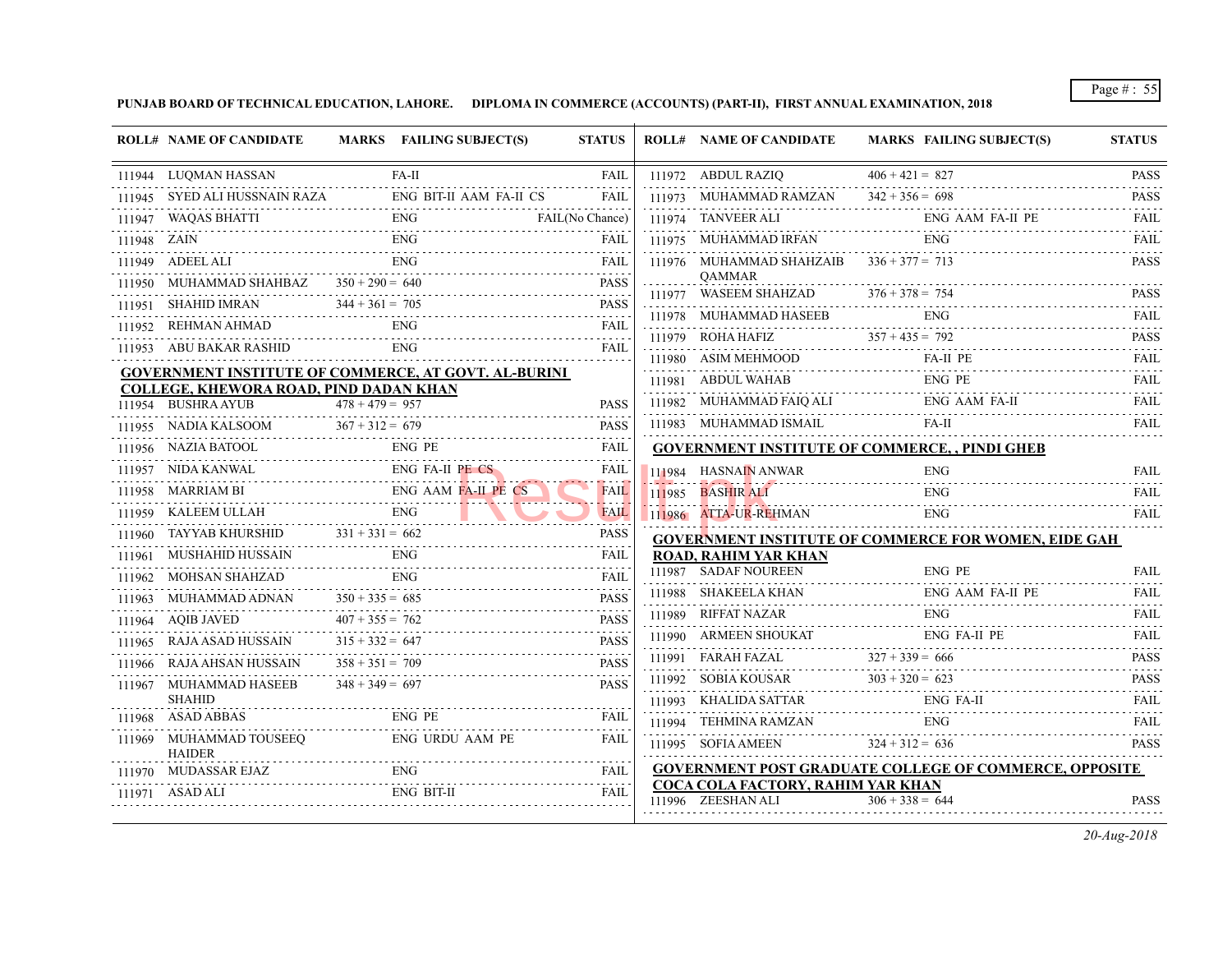| <b>ROLL# NAME OF CANDIDATE</b>                                                        |                   | MARKS FAILING SUBJECT(S)            | <b>STATUS</b>                   | <b>ROLL# NAME OF CANDIDATE</b>                                               | <b>MARKS FAIL</b>   |
|---------------------------------------------------------------------------------------|-------------------|-------------------------------------|---------------------------------|------------------------------------------------------------------------------|---------------------|
| 111944 LUQMAN HASSAN                                                                  |                   | N FA-II FAIL                        | FAIL                            | 111972 ABDUL RAZIQ                                                           | $406 + 421 = 827$   |
| 111945 SYED ALI HUSSNAIN RAZA                                                         |                   | ENG BIT-II AAM FA-II CS             | FAIL                            | 111973 MUHAMMAD RAMZAN $342 + 356 = 698$                                     |                     |
| QAS BHATTI ENG FAIL(No Chance)<br>111947 WAQAS BHATTI                                 |                   |                                     |                                 | 111974 TANVEER ALI                                                           | <b>ENG</b>          |
| 111948 ZAIN ENG FAIL                                                                  |                   |                                     |                                 | 111975 MUHAMMAD IRFAN                                                        | <b>ENG</b>          |
| 11949 ADEEL ALI ENG FAIL<br>111949 ADEEL ALI                                          |                   |                                     | FAIL                            | 111976 MUHAMMAD SHAHZAIB $336 + 377 = 713$                                   |                     |
| 111950 MUHAMMAD SHAHBAZ $350 + 290 = 640$                                             |                   | PASS PASS 750 + 290 = 640 PASS 2011 |                                 | <b>OAMMAR</b><br>111977 WASEEM SHAHZAD $376 + 378 = 754$                     |                     |
| 111951 SHAHID IMRAN $344 + 361 = 705$ PASS PASS                                       |                   |                                     |                                 | 111978 MUHAMMAD HASEEB                                                       | <b>ENG</b>          |
| 111952 REHMAN AHMAD ENG FAIL                                                          |                   |                                     | FAIL                            |                                                                              |                     |
| 111953 ABU BAKAR RASHID                                                               |                   | ENG                                 | FAIL                            | 111979 ROHA HAFIZ $357 + 435 = 792$                                          |                     |
| <b>GOVERNMENT INSTITUTE OF COMMERCE, AT GOVT. AL-BURINI</b>                           |                   |                                     |                                 | $111980$ ASIM MEHMOOD                                                        | FA-II<br><b>ENG</b> |
| <b>COLLEGE, KHEWORA ROAD, PIND DADAN KHAN</b>                                         |                   |                                     |                                 | 111981 ABDUL WAHAB EN                                                        | <b>ENG</b>          |
| 111954 BUSHRA AYUB                                                                    |                   | $478 + 479 = 957$                   | <b>PASS</b>                     | 111982 MUHAMMAD FAIQ ALI ENG                                                 |                     |
| 111955 NADIA KALSOOM $367 + 312 = 679$ PASS                                           |                   |                                     | <b>PASS</b>                     | 111983 MUHAMMAD ISMAIL                                                       | FA-II               |
| 111956 NAZIA BATOOL ENG PE                                                            |                   |                                     | FAIL                            | <b>GOVERNMENT INSTITUTE OF COMMERCE,</b>                                     |                     |
| 111957 NIDA KANWAL ENG FA-II PE CS                                                    |                   |                                     | FAIL                            | 111984 HASNAIN ANWAR<br>NAIN ANWAR ENGEL                                     | <b>ENG</b>          |
| 111958 MARRIAM BI ENG AAM FA-II PE CS                                                 |                   | ENG AAM FA-II PE CS                 | <b>FAIL</b>                     | 111985 BASHIR ALI<br>ASHIR ALI EN                                            | <b>ENG</b>          |
|                                                                                       |                   |                                     | FAIL                            | 111986 ATTA-UR-REHMAN                                                        | <b>ENG</b>          |
| 111959 KALEEM ULLAH ENG $331 + 331 = 662$<br>111960 TAYYAB KHURSHID $331 + 331 = 662$ |                   |                                     | <b>PASS</b><br>and the state of | <b>GOVERNMENT INSTITUTE OF COMMERCE</b>                                      |                     |
| 111961 MUSHAHID HUSSAIN ENG FAIL                                                      |                   |                                     |                                 | <b>ROAD, RAHIM YAR KHAN</b>                                                  |                     |
| 111962 MOHSAN SHAHZAD ENG                                                             |                   |                                     | <b>FAIL</b>                     | 111987 SADAF NOUREEN                                                         | <b>ENG</b>          |
| 111963 MUHAMMAD ADNAN $350 + 335 = 685$ PASS                                          |                   |                                     | <b>PASS</b>                     | 111988 SHAKEELA KHAN EN                                                      | <b>ENG</b>          |
| $407 + 355 = 762$<br>111964 AQIB JAVED                                                |                   | $407 + 355 = 762$ PASS              |                                 | 111989 RIFFAT NAZAR ENG                                                      | <b>ENG</b>          |
| 111965 RAJA ASAD HUSSAIN $315 + 332 = 647$                                            |                   |                                     | <b>PASS</b>                     | 111990 ARMEEN SHOUKAT EN                                                     | <b>ENG</b>          |
| 111966 RAJA AHSAN HUSSAIN                                                             | $358 + 351 = 709$ |                                     | <b>PASS</b>                     | 111991 FARAH FAZAL $327 + 339 = 666$                                         |                     |
| 111967 MUHAMMAD HASEEB<br><b>SHAHID</b>                                               | $348 + 349 = 697$ |                                     | <b>PASS</b>                     | 111992 SOBIA KOUSAR $303 + 320 = 623$<br>111993 KHALIDA SATTAR               | <b>ENG</b>          |
| 111968 ASAD ABBAS                                                                     |                   | <b>ENG PE</b>                       | FAIL                            | 111994 TEHMINA RAMZAN                                                        | <b>ENG</b>          |
| 111969 MUHAMMAD TOUSEEQ                                                               |                   | ENG URDU AAM PE                     | FAIL                            | 111995 SOFIA AMEEN $324 + 312 = 636$                                         |                     |
| <b>HAIDER</b>                                                                         |                   |                                     |                                 |                                                                              |                     |
| 111970 MUDASSAR EJAZ                                                                  |                   |                                     | FAIL                            | <b>GOVERNMENT POST GRADUATE COLLEGE</b><br>COCA COLA FACTORY, RAHIM YAR KHAN |                     |
| 111971 ASAD ALI                                                                       |                   | ENG BIT-II                          | FAIL                            | 111996 ZEESHAN ALI                                                           | $306 + 338 = 644$   |
|                                                                                       |                   |                                     |                                 |                                                                              |                     |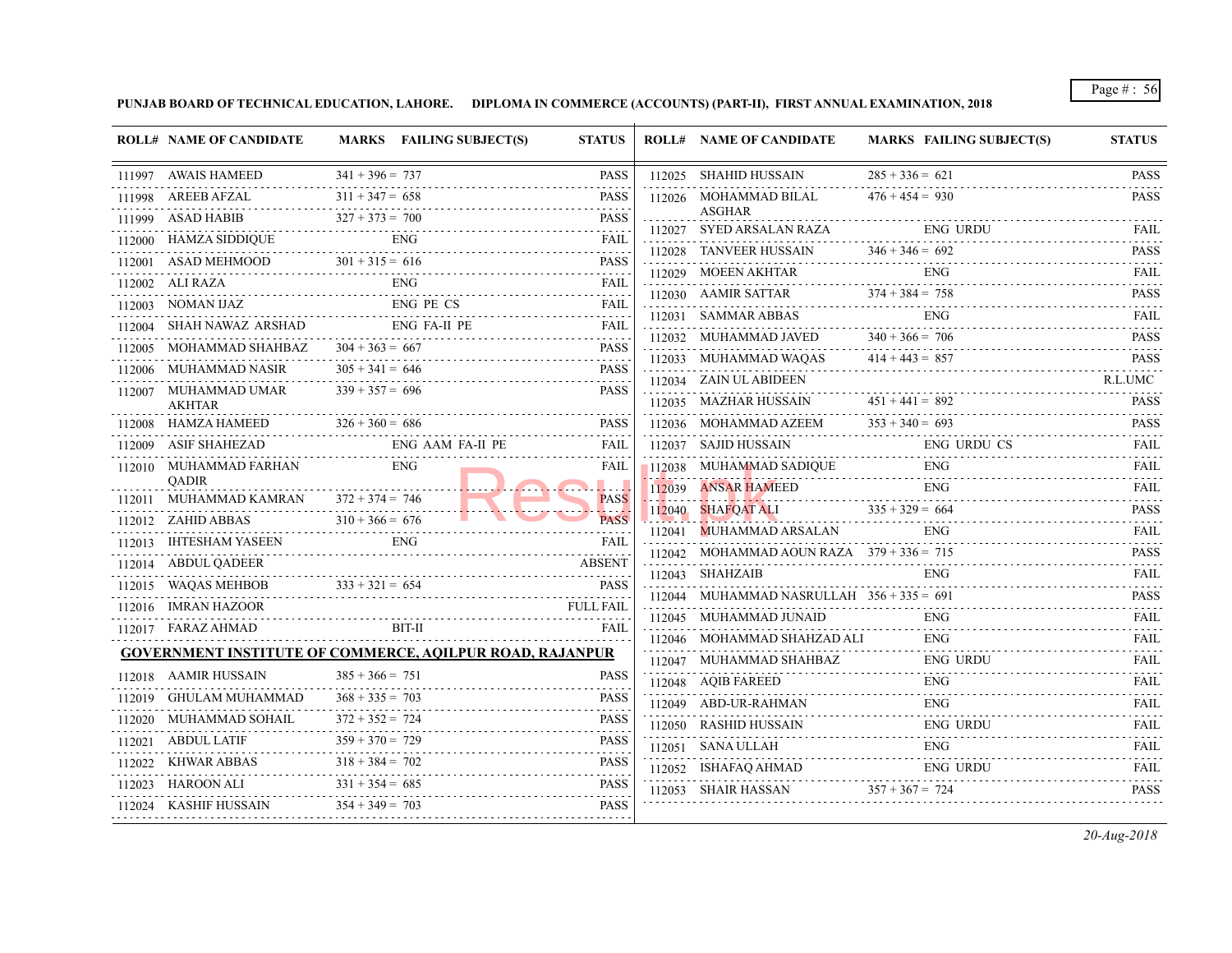|        | <b>ROLL# NAME OF CANDIDATE</b>                                                                                                                                 |                        | <b>MARKS FAILING SUBJECT(S)</b> | <b>STATUS</b>    |        | <b>ROLL# NAME OF CANDIDATE</b>                                 | <b>MARKS FAIL</b> |
|--------|----------------------------------------------------------------------------------------------------------------------------------------------------------------|------------------------|---------------------------------|------------------|--------|----------------------------------------------------------------|-------------------|
|        | 111997 AWAIS HAMEED                                                                                                                                            | $341 + 396 = 737$      |                                 | <b>PASS</b>      |        | 112025 SHAHID HUSSAIN                                          | $285 + 336 = 621$ |
|        | 111998 AREEB AFZAL                                                                                                                                             | $311 + 347 = 658$      |                                 | <b>PASS</b>      |        | 112026 MOHAMMAD BILAL                                          | $476 + 454 = 930$ |
|        | 111999 ASAD HABIB                                                                                                                                              | $327 + 373 = 700$      |                                 | <b>PASS</b>      |        | <b>ASGHAR</b><br>112027 SYED ARSALAN RAZA                      | <b>ENG</b>        |
|        | $\textbf{112000} \quad \textbf{HAMZA SIDDIQUE} \qquad \qquad \textbf{ENG} \\ \textbf{112000} \quad \textbf{HAMZA SIDDIQUE} \qquad \qquad \textbf{ENG} \\$      |                        |                                 | <b>FAIL</b><br>. |        | 112028 TANVEER HUSSAIN $346 + 346 = 692$                       |                   |
|        | 112001 ASAD MEHMOOD $301 + 315 = 616$                                                                                                                          |                        |                                 | <b>PASS</b>      |        |                                                                | <b>ENG</b>        |
|        | 112002 ALI RAZA                                                                                                                                                |                        |                                 | FAIL             |        | 112029 MOEEN AKHTAR ENC                                        |                   |
|        | 112003 NOMAN IJAZ ENG PE CS FAIL                                                                                                                               |                        |                                 |                  |        | 112030 AAMIR SATTAR 374 + 384 = 758                            |                   |
|        | 112004 SHAH NAWAZ ARSHAD ENG FA-II PE<br>112004 SHAH NAWAZ ARSHAD ENG FA-II PE FAIL PRIME                                                                      |                        |                                 |                  |        | 112031 SAMMAR ABBAS<br>112032 MUHAMMAD JAVED $340 + 366 = 706$ | <b>ENG</b>        |
|        | 112005 MOHAMMAD SHAHBAZ $304 + 363 = 667$                                                                                                                      |                        |                                 | <b>PASS</b>      |        |                                                                |                   |
|        | 112006 MUHAMMAD NASIR $305 + 341 = 646$                                                                                                                        |                        |                                 | <b>PASS</b>      |        | 112033 MUHAMMAD WAQAS                                          | $414 + 443 = 857$ |
|        | 112007 MUHAMMAD UMAR                                                                                                                                           | $339 + 357 = 696$      |                                 | <b>PASS</b>      |        | 112034 ZAIN UL ABIDEEN                                         | $451 + 441 = 892$ |
|        | <b>AKHTAR</b>                                                                                                                                                  |                        |                                 |                  |        | 112035 MAZHAR HUSSAIN                                          |                   |
|        | 112008 HAMZA HAMEED $326 + 360 = 686$                                                                                                                          |                        |                                 | <b>PASS</b>      |        | 112036 MOHAMMAD AZEEM $353 + 340 = 693$                        |                   |
|        | 112009 ASIF SHAHEZAD                                                                                                                                           |                        | IAHEZAD ENG AAM FA-II PE        | FAIL             |        | 112037 SAJID HUSSAIN                                           | <b>ENG</b>        |
|        | 112010 MUHAMMAD FARHAN<br><b>OADIR</b>                                                                                                                         |                        | ENG                             | FAIL             |        | 112038 MUHAMMAD SADIQUE EN                                     | ENG               |
| 112011 | MUHAMMAD KAMRAN $372 + 374 = 746$                                                                                                                              |                        |                                 | <b>PASS</b>      | 112039 | ANSAR HAMEED EN                                                | <b>ENG</b>        |
|        | 112012 ZAHID ABBAS $310 + 366 = 676$                                                                                                                           |                        |                                 | .<br><b>PASS</b> |        | 112040 SHAFQAT ALI $335 + 329 = 664$                           |                   |
|        | 112013 IHTESHAM YASEEN ENG FAIL                                                                                                                                |                        |                                 |                  |        | 112041 MUHAMMAD ARSALAN                                        | <b>ENG</b>        |
|        |                                                                                                                                                                |                        |                                 |                  |        | 112042 MOHAMMAD AOUN RAZA $379 + 336 = 715$                    |                   |
|        | $112014 \quad \text{ABDUL QADEER} \qquad \text{ABSENT}$ $112015 \quad \text{WAQAS MEHBOB} \qquad \text{333 + 321 = 654} \qquad \text{PASS} \qquad \text{PASS}$ |                        |                                 |                  |        | 112043 SHAHZAIB                                                | <b>ENG</b>        |
|        | 112016 IMRAN HAZOOR                                                                                                                                            |                        |                                 | <b>FULL FAIL</b> |        | 112044 MUHAMMAD NASRULLAH $356 + 335 = 691$                    |                   |
|        | 112017 FARAZ AHMAD                                                                                                                                             |                        | BIT-II                          | <b>FAIL</b>      |        | 112045 MUHAMMAD JUNAID                                         | <b>ENG</b>        |
|        | <b>GOVERNMENT INSTITUTE OF COMMERCE, AQILPUR ROAD, RAJANPUR</b>                                                                                                |                        |                                 |                  |        | 112046 MOHAMMAD SHAHZAD ALI                                    | <b>ENG</b>        |
|        | 112018 AAMIR HUSSAIN                                                                                                                                           | $385 + 366 = 751$      |                                 | PASS             |        | 112047 MUHAMMAD SHAHBAZ                                        | <b>ENG</b>        |
|        | 112019 GHULAM MUHAMMAD                                                                                                                                         | .<br>$368 + 335 = 703$ |                                 | <b>PASS</b>      |        | 112048 AQIB FAREED                                             | <b>ENG</b>        |
|        | 112020 MUHAMMAD SOHAIL                                                                                                                                         | $372 + 352 = 724$      |                                 | <b>PASS</b>      |        | 112049 ABD-UR-RAHMAN                                           | <b>ENG</b>        |
|        |                                                                                                                                                                |                        |                                 |                  |        | $112050$ RASHID HUSSAIN                                        | <b>ENG</b>        |
|        | 112021 ABDUL LATIF $359 + 370 = 729$ PASS                                                                                                                      |                        |                                 | PASS             |        | and the company of the company<br>112051 SANA ULLAH            | <b>ENG</b>        |
|        | 112022 KHWAR ABBAS $318 + 384 = 702$                                                                                                                           |                        |                                 | <b>PASS</b>      |        | 112052 ISHAFAQ AHMAD ENC                                       | <b>ENG</b>        |
|        | 112023 HAROON ALI                                                                                                                                              | $331 + 354 = 685$      |                                 | <b>PASS</b>      |        | 112053 SHAIR HASSAN $357 + 367 = 724$                          |                   |
|        | 112024 KASHIF HUSSAIN $354 + 349 = 703$                                                                                                                        |                        |                                 | PASS             |        |                                                                |                   |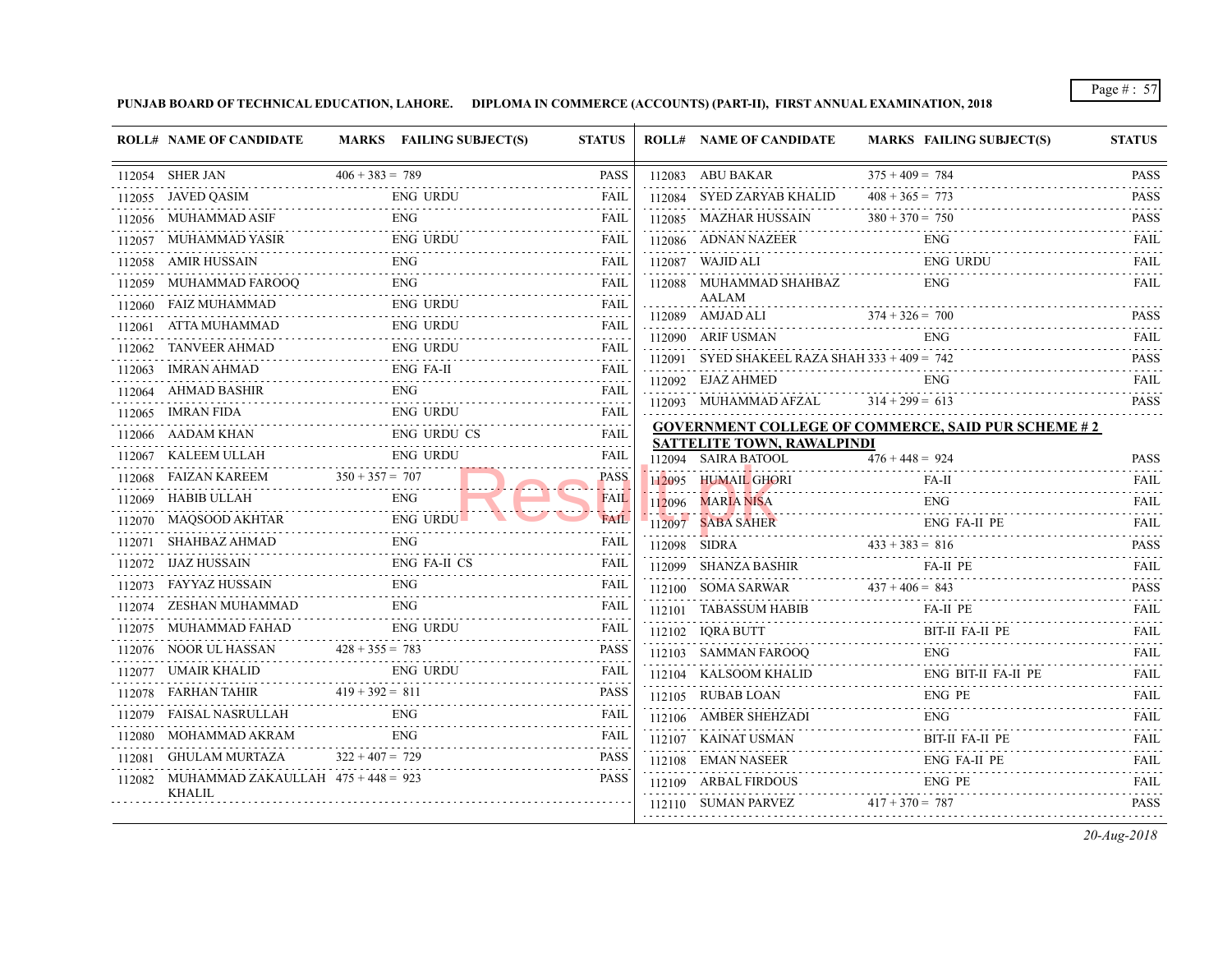| <b>ROLL# NAME OF CANDIDATE</b>                            |                        | MARKS FAILING SUBJECT(S)         | <b>STATUS</b> | <b>ROLL# NAME OF CANDIDATE</b>                                                                                                                                                                                                                                              | <b>MARKS FAIL</b>         |
|-----------------------------------------------------------|------------------------|----------------------------------|---------------|-----------------------------------------------------------------------------------------------------------------------------------------------------------------------------------------------------------------------------------------------------------------------------|---------------------------|
| 112054 SHER JAN                                           | $406 + 383 = 789$      |                                  | PASS          | 112083 ABU BAKAR                                                                                                                                                                                                                                                            | $375 + 409 = 784$         |
| 112055 JAVED QASIM<br>.                                   |                        | <b>ENG URDU</b>                  | FAIL          | 112084 SYED ZARYAB KHALID                                                                                                                                                                                                                                                   | $408 + 365 = 773$         |
| 112056 MUHAMMAD ASIF                                      |                        | ENG.                             | FAIL          | 112085 MAZHAR HUSSAIN                                                                                                                                                                                                                                                       | $380 + 370 = 750$         |
| 112057 MUHAMMAD YASIR                                     |                        |                                  | FAIL          | 112086 ADNAN NAZEER                                                                                                                                                                                                                                                         | ENG.                      |
| 112058 AMIR HUSSAIN                                       | .                      | <b>ENG</b>                       | FAIL          | 112087 WAJID ALI                                                                                                                                                                                                                                                            | <b>ENG</b>                |
| 112059 MUHAMMAD FAROOQ                                    |                        | 00 ENG ENG                       | FAIL          | 112088 MUHAMMAD SHAHBAZ                                                                                                                                                                                                                                                     | <b>ENG</b>                |
| 112060 FAIZ MUHAMMAD                                      |                        | ENG URDU FAIL                    |               | AALAM                                                                                                                                                                                                                                                                       |                           |
| 112061 ATTA MUHAMMAD                                      | .                      | <b>ENG URDU</b><br>ENG URDU FAIL |               | 112089 AMJAD ALI $374 + 326 = 700$                                                                                                                                                                                                                                          |                           |
| 112062 TANVEER AHMAD ENG URDU FAIL                        |                        |                                  | FAIL          | 112090 ARIF USMAN<br>112091 SYED SHAKEEL RAZA SHAH $333 + 409 = 742$                                                                                                                                                                                                        | <b>ENG</b>                |
| 112063 IMRAN AHMAD                                        |                        | ENG FA-II                        | FAIL          |                                                                                                                                                                                                                                                                             |                           |
| 112064 AHMAD BASHIR                                       |                        | <b>ENG</b><br>.                  | FAIL<br>.     | 112092 EJAZ AHMED<br>112093 MUHAMMAD AFZAL                                                                                                                                                                                                                                  | ENG.<br>$314 + 299 = 613$ |
| 112065 IMRAN FIDA<br>.                                    |                        | DA ENG URDU FAIL                 |               |                                                                                                                                                                                                                                                                             |                           |
| 112066 AADAM KHAN                                         |                        | ENG URDU CS                      | <b>FAIL</b>   | <b>GOVERNMENT COLLEGE OF COMMERCE, S</b><br>SATTELITE TOWN, RAWALPINDI                                                                                                                                                                                                      |                           |
| 112067 KALEEM ULLAH                                       |                        | <b>ENG URDU</b>                  | FAIL          | 112094 SAIRA BATOOL                                                                                                                                                                                                                                                         | $476 + 448 = 924$         |
| 112068 FAIZAN KAREEM                                      | $350 + 357 = 707$<br>. |                                  | <b>PASS</b>   | 112095 HUMAIL GHORI                                                                                                                                                                                                                                                         | FA-II                     |
| 112069 HABIB ULLAH                                        |                        | ENG                              | <b>FAIL</b>   | 112096 MARIA NISA                                                                                                                                                                                                                                                           | <b>ENG</b>                |
| \KHTAR<br><br>112070 MAQSOOD AKHTAR                       |                        | ENG URDU                         | FAIL          | <u>. In the contract of the contract of the contract of the contract of the contract of the contract of the contract of the contract of the contract of the contract of the contract of the contract of the contract of the cont</u><br>112097 SABA SAHER<br>SABA SAHER ENC | <b>ENG</b>                |
| 112071 SHAHBAZ AHMAD                                      |                        | <b>ENG</b>                       | FAIL          | $433 + 383 = 816$<br>112098 SIDRA                                                                                                                                                                                                                                           |                           |
| 112072 IJAZ HUSSAIN                                       |                        | ENG FA-II CS                     | FAIL          | 112099 SHANZA BASHIR                                                                                                                                                                                                                                                        | FA-II                     |
| 112073 FAYYAZ HUSSAIN                                     |                        | <b>ENG</b>                       | FAIL          | 112100 SOMA SARWAR $437 + 406 = 843$                                                                                                                                                                                                                                        |                           |
| 112074 ZESHAN MUHAMMAD<br>AUHAMMAD ENG                    |                        |                                  | <b>FAIL</b>   | 112101 TABASSUM HABIB                                                                                                                                                                                                                                                       | FA-II                     |
| 112075 MUHAMMAD FAHAD<br>$1120/5$ MUHAMMAD FAHAD ENG URDU |                        | ENG URDU                         | FAIL          | 112102 IQRA BUTT                                                                                                                                                                                                                                                            | BIT-I                     |
| 112076 NOOR UL HASSAN $428 + 355 = 783$                   |                        |                                  | PASS          | 112103 SAMMAN FAROOQ                                                                                                                                                                                                                                                        | <b>ENG</b>                |
| 112077 UMAIR KHALID ENG URDU                              |                        |                                  | FAIL          | 112104 KALSOOM KHALID                                                                                                                                                                                                                                                       | <b>ENG</b>                |
| 112078 FARHAN TAHIR                                       | $419 + 392 = 811$      |                                  | <b>PASS</b>   | 112105 RUBAB LOAN                                                                                                                                                                                                                                                           | <b>ENG</b>                |
| 112079 FAISAL NASRULLAH                                   |                        |                                  | <b>FAIL</b>   | 112106 AMBER SHEHZADI                                                                                                                                                                                                                                                       | <b>ENG</b>                |
| 112080 MOHAMMAD AKRAM                                     | .                      | ENG-                             | FAIL          | 112107 KAINAT USMAN                                                                                                                                                                                                                                                         | BIT-I                     |
| 112081 GHULAM MURTAZA                                     | $322 + 407 = 729$      |                                  | <b>PASS</b>   | 112108 EMAN NASEER                                                                                                                                                                                                                                                          | <b>ENG</b>                |
| 112082 MUHAMMAD ZAKAULLAH $475 + 448 = 923$<br>KHALIL     |                        |                                  | <b>PASS</b>   | 112109 ARBAL FIRDOUS                                                                                                                                                                                                                                                        | <b>ENG</b>                |
|                                                           |                        |                                  |               | 112110 SUMAN PARVEZ $417 + 370 = 787$                                                                                                                                                                                                                                       |                           |
|                                                           |                        |                                  |               |                                                                                                                                                                                                                                                                             |                           |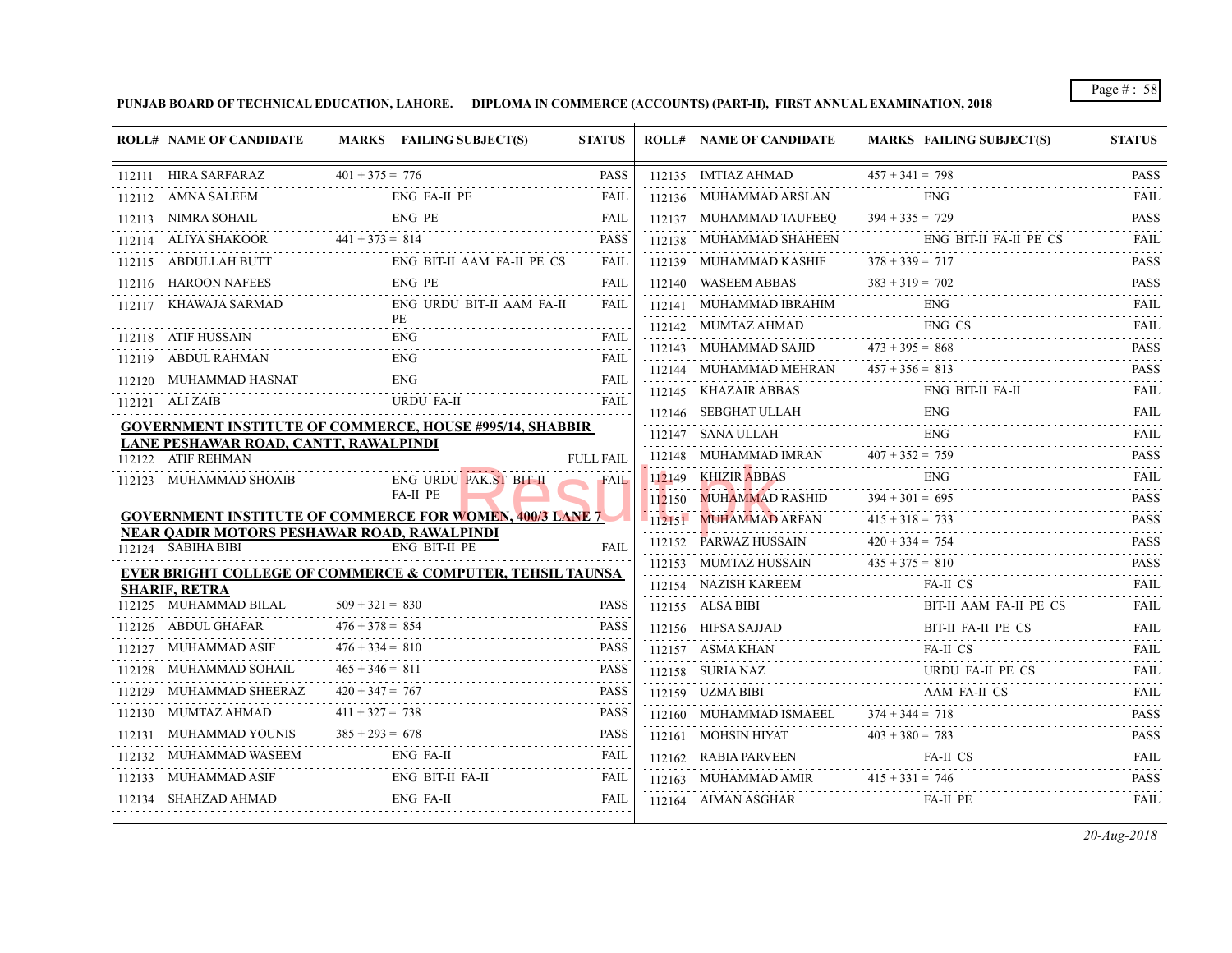| <b>ROLL# NAME OF CANDIDATE</b>                                  |                   | MARKS FAILING SUBJECT(S)                                                                                                                                                                                                                                                                                   | <b>STATUS</b>    | <b>ROLL# NAME OF CANDIDATE</b>                                                                                                                             | <b>MARKS FAIL</b> |
|-----------------------------------------------------------------|-------------------|------------------------------------------------------------------------------------------------------------------------------------------------------------------------------------------------------------------------------------------------------------------------------------------------------------|------------------|------------------------------------------------------------------------------------------------------------------------------------------------------------|-------------------|
|                                                                 |                   | 112111 HIRA SARFARAZ $401 + 375 = 776$ PASS                                                                                                                                                                                                                                                                | <b>PASS</b>      | 112135 IMTIAZ AHMAD                                                                                                                                        | $457 + 341 = 798$ |
|                                                                 |                   | $\begin{tabular}{lllllllll} \bf 112112 & \bf AMNA SALEEM & \bf ENG FA-II PE & \bf FAIL \\ \bf \end{tabular}$                                                                                                                                                                                               | FAIL             | 112136 MUHAMMAD ARSLAN                                                                                                                                     | ENG.              |
|                                                                 |                   | 112113 NIMRA SOHAIL ENG PE FAIL FAIL                                                                                                                                                                                                                                                                       | FAIL             | 112137 MUHAMMAD TAUFEEQ $394 + 335 = 729$                                                                                                                  |                   |
| 112114 ALIYA SHAKOOR $441 + 373 = 814$                          |                   |                                                                                                                                                                                                                                                                                                            | <b>PASS</b>      | 112138 MUHAMMAD SHAHEEN                                                                                                                                    | ENG               |
|                                                                 |                   | 112115 ABDULLAH BUTT ENG BIT-II AAM FA-II PE CS FAIL                                                                                                                                                                                                                                                       | FAIL             | 112139 MUHAMMAD KASHIF $378 + 339 = 717$                                                                                                                   |                   |
| 112116 HAROON NAFEES                                            |                   | ENG PE                                                                                                                                                                                                                                                                                                     | FAIL             | 112140 WASEEM ABBAS $383 + 319 = 702$                                                                                                                      |                   |
| 112117 KHAWAJA SARMAD                                           |                   | ENG URDU BIT-II AAM FA-II<br>PE                                                                                                                                                                                                                                                                            | FAIL             | $112141$ MUHAMMAD IBRAHIM ENG                                                                                                                              | ENG.              |
|                                                                 |                   | $\begin{tabular}{lllllllllll} \bf 112118 & \tt ATF HUSSAN & \tt ENG & \tt FAIL \\ \hline \end{tabular}$                                                                                                                                                                                                    | FAIL             | 112142 MUMTAZ AHMAD                                                                                                                                        | <b>ENG</b>        |
|                                                                 |                   | $\begin{tabular}{ll} 112119 & \textbf{ABDUL RAHMAN} & \textbf{ENG} & \textbf{FAIL} \\ \hline \end{tabular}$                                                                                                                                                                                                |                  | 112143 MUHAMMAD SAJID $473 + 395 = 868$                                                                                                                    |                   |
|                                                                 |                   | $\begin{tabular}{llllll} \bf 112120 & \bf MUHAMMAD HASNAT & \bf ENG & \bf FAIL \\ \bf \end{tabular}$                                                                                                                                                                                                       |                  | 112144 MUHAMMAD MEHRAN $457 + 356 = 813$                                                                                                                   |                   |
| 112121 ALI ZAIB                                                 |                   | URDU FA-II FAIL                                                                                                                                                                                                                                                                                            |                  | 112145 KHAZAIR ABBAS EN                                                                                                                                    | <b>ENG</b>        |
|                                                                 |                   | <b>GOVERNMENT INSTITUTE OF COMMERCE, HOUSE #995/14, SHABBIR</b>                                                                                                                                                                                                                                            |                  | 112146 SEBGHAT ULLAH ENG                                                                                                                                   | <b>ENG</b>        |
| <b>LANE PESHAWAR ROAD, CANTT, RAWALPINDI</b>                    |                   |                                                                                                                                                                                                                                                                                                            |                  | 112147 SANA ULLAH                                                                                                                                          | <b>ENG</b>        |
| 112122 ATIF REHMAN                                              |                   |                                                                                                                                                                                                                                                                                                            | <b>FULL FAIL</b> | 112148 MUHAMMAD IMRAN $407 + 352 = 759$                                                                                                                    |                   |
| 112123 MUHAMMAD SHOAIB                                          |                   | ENG URDU PAK.ST BIT-II<br>FA-II PE                                                                                                                                                                                                                                                                         | <b>FAIL</b>      | 112149 KHIZIR ABBAS<br>$112150$ MUHAMMAD RASHID $394 + 301 = 695$                                                                                          | <b>ENG</b>        |
|                                                                 |                   | <b>GOVERNMENT INSTITUTE OF COMMERCE FOR WOMEN, 400/3 LANE 7.</b>                                                                                                                                                                                                                                           |                  |                                                                                                                                                            |                   |
| NEAR OADIR MOTORS PESHAWAR ROAD, RAWALPINDI                     |                   |                                                                                                                                                                                                                                                                                                            |                  | $112151$ MUHAMMAD ARFAN $415 + 318 = 733$                                                                                                                  |                   |
| 112124 SABIHA BIBI                                              |                   | ENG BIT-II PE                                                                                                                                                                                                                                                                                              | <b>FAIL</b>      | 112152 PARWAZ HUSSAIN $420 + 334 = 754$                                                                                                                    |                   |
|                                                                 |                   | EVER BRIGHT COLLEGE OF COMMERCE & COMPUTER, TEHSIL TAUNSA                                                                                                                                                                                                                                                  |                  | 112153 MUMTAZ HUSSAIN $435 + 375 = 810$                                                                                                                    |                   |
| <b>SHARIF, RETRA</b><br>112125 MUHAMMAD BILAL $509 + 321 = 830$ |                   |                                                                                                                                                                                                                                                                                                            | <b>PASS</b>      | 112154 NAZISH KAREEM FA-I<br>112155 ALSA BIBI                                                                                                              | FA-II<br>BIT-I    |
| 112126 ABDUL GHAFAR $476 + 378 = 854$                           |                   |                                                                                                                                                                                                                                                                                                            |                  | BIBI BIT-                                                                                                                                                  | BIT-I             |
| 112127 MUHAMMAD ASIF $476 + 334 = 810$                          |                   | AR $476 + 378 = 854$ PASS<br>$476 + 334 = 810$ PASS                                                                                                                                                                                                                                                        | PASS             | $\begin{minipage}{0.9\linewidth} \begin{tabular}{l} \bf 112156 & \bf HIFSA SAJJAD & \bf BIT-I \\ \bf \end{tabular} \end{minipage}$<br>112157 ASMA KHAN FA- | FA-II             |
| 112128 MUHAMMAD SOHAIL $465 + 346 = 811$                        |                   | AIL $465 + 346 = 811$ PASS                                                                                                                                                                                                                                                                                 | PASS             |                                                                                                                                                            | -URDI             |
| 112129 MUHAMMAD SHEERAZ                                         | $420 + 347 = 767$ |                                                                                                                                                                                                                                                                                                            |                  | 112158 SURIA NAZ URD<br>112159 UZMA BIBI                                                                                                                   | AAM               |
| 112130 MUMTAZ AHMAD $411 + 327 = 738$                           |                   | $411 + 327 = 738$ PASS                                                                                                                                                                                                                                                                                     | PASS             | 112160 MUHAMMAD ISMAEEL $374 + 344 = 718$                                                                                                                  |                   |
| 112131 MUHAMMAD YOUNIS $385 + 293 = 678$                        |                   | TOUNIS $385 + 293 = 678$ PASS                                                                                                                                                                                                                                                                              |                  | 112161 MOHSIN HIYAT $403 + 380 = 783$                                                                                                                      |                   |
|                                                                 |                   | $\begin{tabular}{llllll} \bf 112132 & \bf 112132 & \bf 112132 & \bf 112132 & \bf 112132 & \bf 112132 & \bf 112132 & \bf 112132 & \bf 112132 & \bf 112132 & \bf 112132 & \bf 112132 & \bf 112132 & \bf 112132 & \bf 112132 & \bf 112132 & \bf 112132 & \bf 112132 & \bf 112132 & \bf 112132 & \bf 112132 &$ | FAIL             | 112162 RABIA PARVEEN                                                                                                                                       | FA-II             |
|                                                                 |                   | $\begin{tabular}{lllllllll} \bf 112133 & \bf MUHAMMAD ASIF & \bf ENG BIT-II FA-II & \bf FAIL \\ \bf \end{tabular}$                                                                                                                                                                                         | FAIL             | 112163 MUHAMMAD AMIR $415 + 331 = 746$                                                                                                                     |                   |
|                                                                 |                   |                                                                                                                                                                                                                                                                                                            |                  | 112164 AIMAN ASGHAR                                                                                                                                        | FA-II             |
|                                                                 |                   |                                                                                                                                                                                                                                                                                                            |                  |                                                                                                                                                            |                   |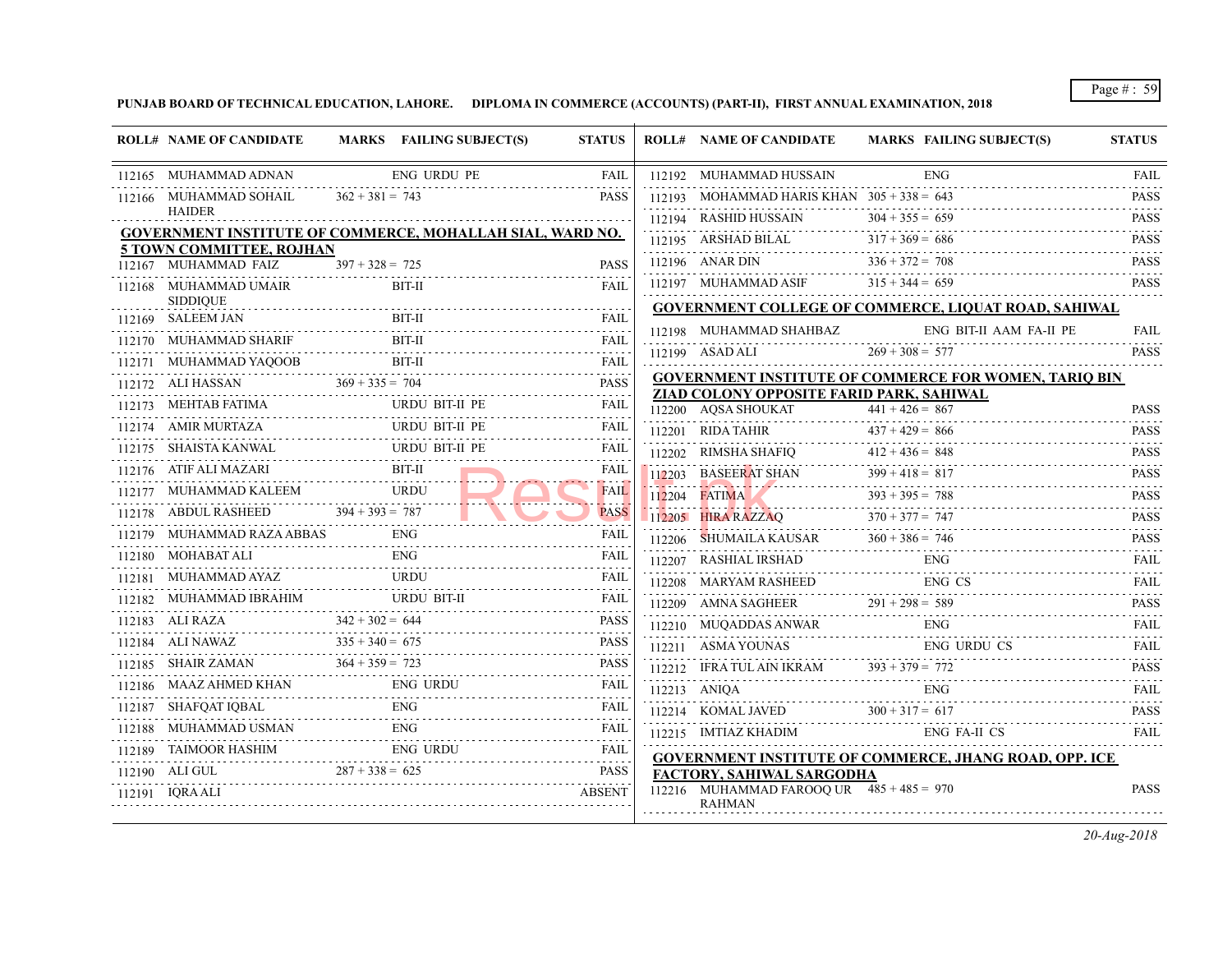| <b>ROLL# NAME OF CANDIDATE</b>                                                                         |                   | MARKS FAILING SUBJECT(S)   | <b>STATUS</b> | <b>ROLL# NAME OF CANDIDATE</b>                                                | <b>MARKS FAIL</b> |
|--------------------------------------------------------------------------------------------------------|-------------------|----------------------------|---------------|-------------------------------------------------------------------------------|-------------------|
| 112165 MUHAMMAD ADNAN                                                                                  |                   | ENG URDU PE<br>ENG URDU PE | FAIL          | 112192 MUHAMMAD HUSSAIN                                                       | <b>ENG</b>        |
| 112166 MUHAMMAD SOHAIL                                                                                 | $362 + 381 = 743$ |                            | <b>PASS</b>   | 112193 MOHAMMAD HARIS KHAN $305 + 338 = 643$                                  |                   |
| <b>HAIDER</b>                                                                                          |                   |                            |               | 112194 RASHID HUSSAIN $304 + 355 = 659$                                       |                   |
| <b>GOVERNMENT INSTITUTE OF COMMERCE, MOHALLAH SIAL, WARD NO.</b><br>5 TOWN COMMITTEE, ROJHAN           |                   |                            |               | 112195 ARSHAD BILAL $317 + 369 = 686$                                         |                   |
| 112167 MUHAMMAD FAIZ                                                                                   | $397 + 328 = 725$ |                            | <b>PASS</b>   | 112196 ANAR DIN $336 + 372 = 708$                                             |                   |
| 112168 MUHAMMAD UMAIR<br><b>SIDDIOUE</b>                                                               |                   | BIT-II                     | FAIL          | 112197 MUHAMMAD ASIF $315 + 344 = 659$                                        |                   |
| $\begin{tabular}{lllllllllll} \bf 112169 & SALEEM JAN & \bf BIT-II & \bf FAIL \\ \hline \end{tabular}$ |                   | $\overline{\mathbf{r}}$    |               | <b>GOVERNMENT COLLEGE OF COMMERCE, I</b>                                      |                   |
| 112170 MUHAMMAD SHARIF BIT-II BIT-II                                                                   |                   |                            | <b>FAIL</b>   | 112198 MUHAMMAD SHAHBAZ                                                       | ENG I             |
|                                                                                                        |                   |                            |               | 112199 ASAD ALI $269 + 308 = 577$                                             |                   |
|                                                                                                        |                   |                            |               | <b>GOVERNMENT INSTITUTE OF COMMERCE</b>                                       |                   |
| 112173 MEHTAB FATIMA URDU BIT-II PE                                                                    |                   |                            | FAIL          | ZIAD COLONY OPPOSITE FARID PARK, SAH                                          | $441 + 426 = 867$ |
| 112174 AMIR MURTAZA URDU BIT-II PE FAIL                                                                |                   |                            |               | 112200 AQSA SHOUKAT                                                           |                   |
| 112175 SHAISTA KANWAL URDU BIT-II PE FAIL                                                              |                   |                            |               | 112201 RIDA TAHIR $437 + 429 = 866$<br>112202 RIMSHA SHAFIQ $412 + 436 = 848$ |                   |
| 112176 ATIF ALI MAZARI BIT-II                                                                          |                   |                            | FAIL          | 112203 BASEERAT SHAN $399 + 418 = 817$                                        |                   |
| 112177 MUHAMMAD KALEEM URDU                                                                            |                   |                            | <b>FAIL</b>   | 112204 FATIMA $393 + 395 = 788$                                               |                   |
| 112178 ABDUL RASHEED $394 + 393 = 787$                                                                 |                   | <b>INVI</b>                | <b>PASS</b>   | 112205 HIRA RAZZAQ 370 + 377 = 747                                            |                   |
|                                                                                                        |                   |                            | FAIL          | 112206 SHUMAILA KAUSAR $360 + 386 = 746$                                      |                   |
| $\underbrace{112180}\quad \text{MOHABAT ALL}\qquad \qquad \text{ENG} \qquad \qquad \text{FAIL}$        |                   |                            |               | 112207 RASHIAL IRSHAD ENC                                                     | ENG I             |
| 112181 MUHAMMAD AYAZ URDU FAIL                                                                         |                   |                            |               | 112208 MARYAM RASHEED ENG                                                     | <b>ENG</b>        |
| $\begin{tabular}{ll} 112182 & \text{MUHAMMAD IBRAHIM} & \text{URDU BIT-II} \\ \hline \end{tabular}$    |                   |                            | FAIL          | 112209 AMNA SAGHEER $291 + 298 = 589$                                         |                   |
| 112183 ALI RAZA $342 + 302 = 644$ PASS                                                                 |                   |                            |               | 112210 MUQADDAS ANWAR ENG                                                     | ENG I             |
| 112184 ALI NAWAZ $335 + 340 = 675$ PASS                                                                |                   |                            |               | 112211 ASMA YOUNAS                                                            | ENG I             |
| 112185 SHAIR ZAMAN $364 + 359 = 723$                                                                   |                   |                            | <b>PASS</b>   | 112212 IFRA TUL AIN IKRAM $393 + 379 = 772$                                   |                   |
| 112186 MAAZ AHMED KHAN ENG URDU FAIL                                                                   |                   |                            |               | 112213 ANIQA ENC                                                              | ENG               |
| 112187 SHAFQAT IQBAL ENG FAIL                                                                          |                   | ENG                        |               | 112214 KOMAL JAVED $300 + 317 = 617$                                          |                   |
|                                                                                                        |                   |                            | FAIL          | 112215 IMTIAZ KHADIM                                                          | ENG               |
| 112189 TAIMOOR HASHIM ENG URDU FAIL                                                                    |                   |                            |               | <b>GOVERNMENT INSTITUTE OF COMMERCE,</b>                                      |                   |
| 112190 ALI GUL $287 + 338 = 625$ PASS<br>112190 ALI GUL                                                |                   |                            |               | FACTORY, SAHIWAL SARGODHA                                                     |                   |
| 112191 IQRA ALI                                                                                        |                   |                            | ABSENT        | 112216 MUHAMMAD FAROOQ UR $485 + 485 = 970$<br><b>RAHMAN</b>                  |                   |
|                                                                                                        |                   |                            |               |                                                                               |                   |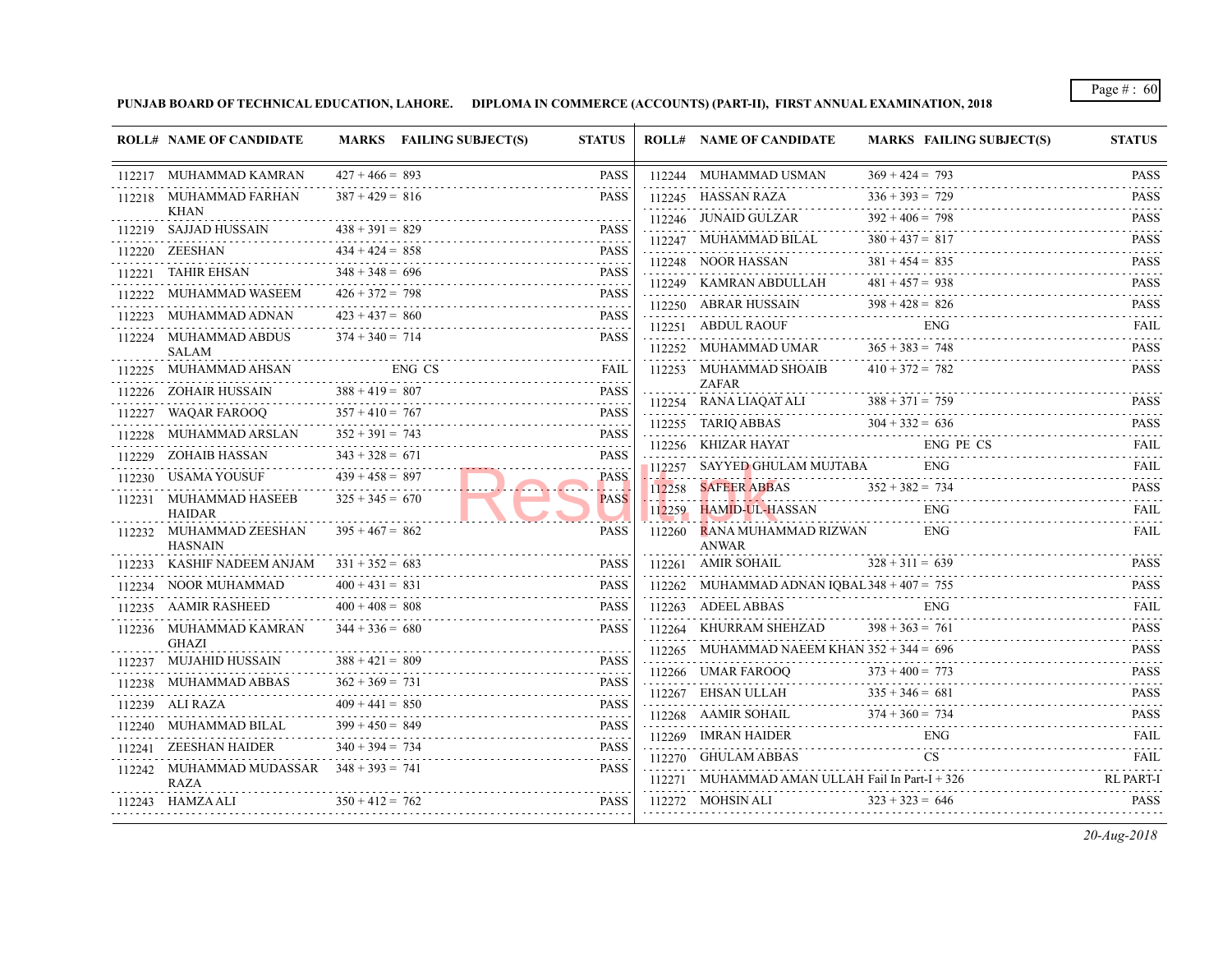|        | <b>ROLL# NAME OF CANDIDATE</b>               |                   | MARKS FAILING SUBJECT(S)                  | <b>STATUS</b> |        | <b>ROLL# NAME OF CANDIDATE</b>                                  | <b>MARKS FAIL</b> |
|--------|----------------------------------------------|-------------------|-------------------------------------------|---------------|--------|-----------------------------------------------------------------|-------------------|
|        | 112217 MUHAMMAD KAMRAN                       | $427 + 466 = 893$ |                                           | <b>PASS</b>   |        | 112244 MUHAMMAD USMAN                                           | $369 + 424 = 793$ |
|        | 112218 MUHAMMAD FARHAN                       | $387 + 429 = 816$ |                                           | <b>PASS</b>   |        | 112245 HASSAN RAZA                                              | $336 + 393 = 729$ |
|        | <b>KHAN</b><br>112219 SAJJAD HUSSAIN         | $438 + 391 = 829$ |                                           | <b>PASS</b>   |        | 112246 JUNAID GULZAR                                            | $392 + 406 = 798$ |
|        | 112220 ZEESHAN                               |                   |                                           | <b>PASS</b>   |        | 112247 MUHAMMAD BILAL                                           | $380 + 437 = 817$ |
|        | $434 + 424 = 858$                            |                   | 112220 ZEESHAN $434 + 424 = 858$ PASS     |               |        | 112248 NOOR HASSAN                                              | $381 + 454 = 835$ |
|        | $348 + 348 = 696$<br>112221 TAHIR EHSAN      |                   | $N$ and $348 + 348 = 696$ PASS            | <b>PASS</b>   |        | 112249 KAMRAN ABDULLAH                                          | $481 + 457 = 938$ |
| 112222 | MUHAMMAD WASEEM                              | $426 + 372 = 798$ |                                           | <b>PASS</b>   |        | 112250 ABRAR HUSSAIN                                            | $398 + 428 = 826$ |
|        | 112223 MUHAMMAD ADNAN                        | $423 + 437 = 860$ |                                           | <b>PASS</b>   |        | 112251 ABDUL RAOUF                                              | ENG.              |
|        | 112224 MUHAMMAD ABDUS<br><b>SALAM</b>        | $374 + 340 = 714$ |                                           | <b>PASS</b>   |        | 112252 MUHAMMAD UMAR $365 + 383 = 748$                          |                   |
|        | 112225 MUHAMMAD AHSAN                        |                   | ENG CS                                    | FAIL          |        | 112253 MUHAMMAD SHOAIB                                          | $410 + 372 = 782$ |
|        | 112226 ZOHAIR HUSSAIN $388 + 419 = 807$      |                   | AIN $388 + 419 = 807$ PASS                | <b>PASS</b>   |        | ZAFAR                                                           | $388 + 371 = 759$ |
| 112227 | WAQAR FAROOQ                                 | $357 + 410 = 767$ | $PQ$ $357 + 410 = 767$ PASS               |               |        | 112254 RANA LIAQAT ALI 388 + 3                                  |                   |
|        | 112228 MUHAMMAD ARSLAN $352 + 391 = 743$     |                   |                                           | <b>PASS</b>   |        | 112255 TARIQ ABBAS $304 + 332 = 636$<br>112256 KHIZAR HAYAT     |                   |
|        | 112229 ZOHAIB HASSAN $343 + 328 = 671$       |                   |                                           | <b>PASS</b>   |        |                                                                 | ENG.              |
|        | 112230 USAMA YOUSUF                          | $439 + 458 = 897$ |                                           | <b>PASS</b>   | 112257 | SAYYED GHULAM MUJTABA                                           | ENG.              |
|        | 112231 MUHAMMAD HASEEB<br><b>HAIDAR</b>      | $325 + 345 = 670$ |                                           | <b>PASS</b>   | 112258 | <b>SAFEER ABBAS</b> $352 + 382 = 734$<br>112259 HAMID-UL-HASSAN | ENG I             |
|        | 112232 MUHAMMAD ZEESHAN<br><b>HASNAIN</b>    | $395 + 467 = 862$ |                                           | <b>PASS</b>   |        | 112260 RANA MUHAMMAD RIZWAN<br>ANWAR                            | ENG.              |
|        | 112233 KASHIF NADEEM ANJAM $331 + 352 = 683$ |                   |                                           | <b>PASS</b>   |        | 112261 AMIR SOHAIL                                              | $328 + 311 = 639$ |
|        | 112234 NOOR MUHAMMAD                         | $400 + 431 = 831$ |                                           | <b>PASS</b>   |        | 112262 MUHAMMAD ADNAN IOBAL 348 + 407 = 755                     |                   |
|        | 112235 AAMIR RASHEED                         | $400 + 408 = 808$ |                                           | <b>PASS</b>   |        | 112263 ADEEL ABBAS                                              | ENG I             |
|        | 112236 MUHAMMAD KAMRAN                       | $344 + 336 = 680$ |                                           | <b>PASS</b>   |        | 112264 KHURRAM SHEHZAD                                          | $398 + 363 = 761$ |
|        | <b>GHAZI</b><br>112237 MUJAHID HUSSAIN       | $388 + 421 = 809$ |                                           | .<br>PASS     |        | 112265 MUHAMMAD NAEEM KHAN $352 + 344 = 696$                    |                   |
|        | 112238 MUHAMMAD ABBAS                        | $362 + 369 = 731$ |                                           | <b>PASS</b>   |        | 112266 UMAR FAROOQ                                              | $373 + 400 = 773$ |
|        | .<br>$409 + 441 = 850$<br>112239 ALI RAZA    |                   | $362 + 369 = 731$ PASS                    |               |        | 112267 EHSAN ULLAH                                              | $335 + 346 = 681$ |
|        | 112240 MUHAMMAD BILAL $399 + 450 = 849$      |                   | $112239$ ALI RAZA $409 + 441 = 850$ PASS  | <b>PASS</b>   |        | 112268 AAMIR SOHAIL $374 + 360 = 734$                           |                   |
|        | 112241 ZEESHAN HAIDER                        | $340 + 394 = 734$ | 12240 MUHAMMAD BILAL 399 + 450 = 849 PASS | <b>PASS</b>   |        | 112269 IMRAN HAIDER                                             | ENG I<br>.        |
|        | 112242 MUHAMMAD MUDASSAR $348 + 393 = 741$   |                   |                                           | <b>PASS</b>   |        | 112270 GHULAM ABBAS                                             | <b>CS</b>         |
|        | <b>RAZA</b>                                  |                   |                                           |               |        | 112271 MUHAMMAD AMAN ULLAH Fail In Part-I $+3$                  |                   |
|        | 112243 HAMZA ALI                             | $350 + 412 = 762$ |                                           | <b>PASS</b>   |        | 112272 MOHSIN ALI                                               | $323 + 323 = 646$ |
|        |                                              |                   |                                           |               |        |                                                                 |                   |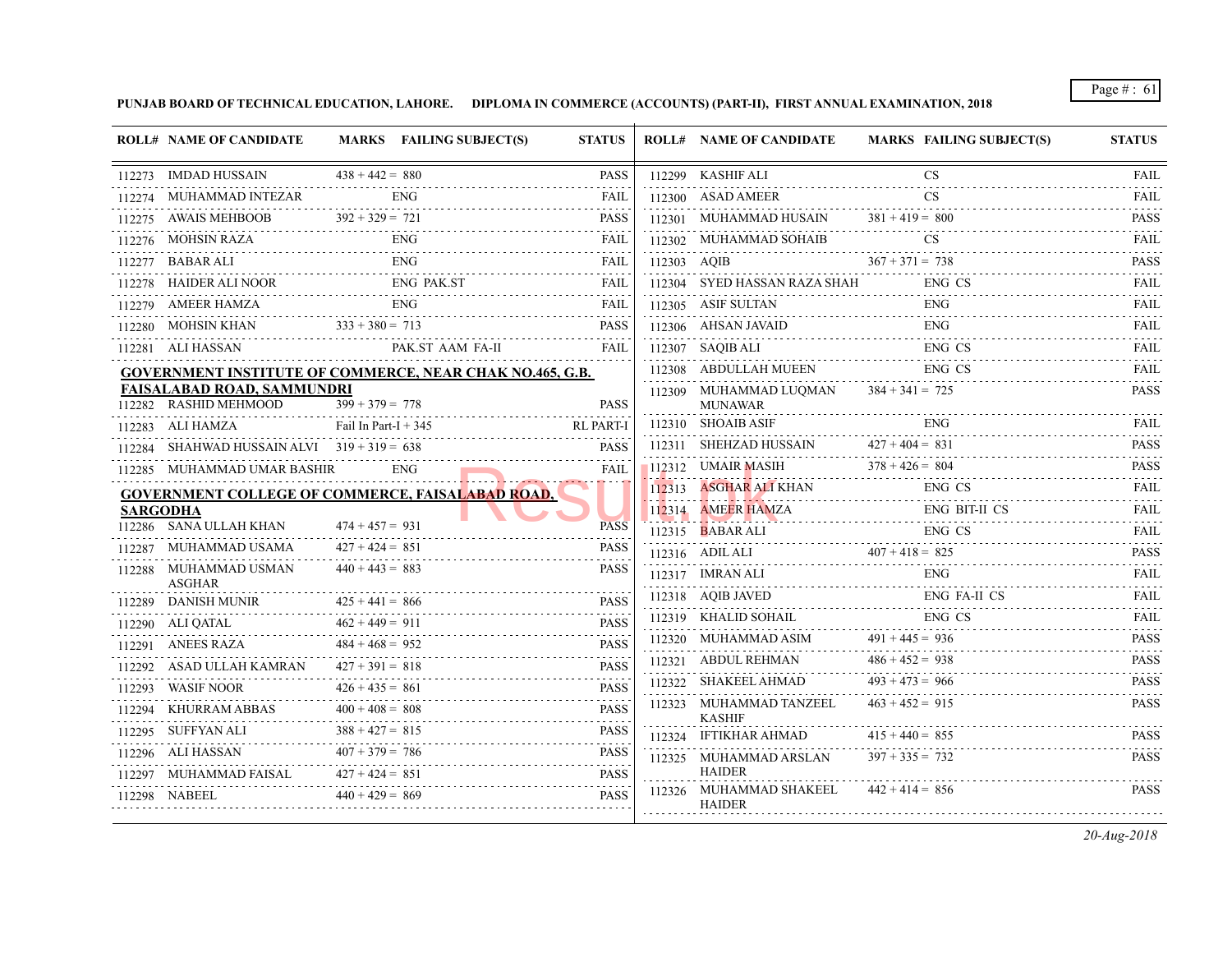| <b>ROLL# NAME OF CANDIDATE</b>                                                                                                          |                   | MARKS FAILING SUBJECT(S)                   | <b>STATUS</b> | <b>ROLL# NAME OF CANDIDATE</b>                      | <b>MARKS FAIL</b> |
|-----------------------------------------------------------------------------------------------------------------------------------------|-------------------|--------------------------------------------|---------------|-----------------------------------------------------|-------------------|
| 112273 IMDAD HUSSAIN $438 + 442 = 880$                                                                                                  |                   | N $438 + 442 = 880$ PAS                    | <b>PASS</b>   | 112299 KASHIF ALI                                   | <b>CS</b>         |
| 112274 MUHAMMAD INTEZAR                                                                                                                 |                   | <b>ENG</b>                                 | FAIL          | 112300 ASAD AMEER                                   | <b>CS</b>         |
| 112275 AWAIS MEHBOOB $392 + 329 = 721$                                                                                                  |                   |                                            | <b>PASS</b>   | 112301 MUHAMMAD HUSAIN $381 + 419 = 800$            |                   |
| $\begin{tabular}{lllllllll} \bf 112276 & MOHSIN~RAZA & \textmd{ENG} & \textmd{FAIL} \end{tabular}$                                      |                   |                                            |               | $112302$ MUHAMMAD SOHAIB CS                         | CS.               |
| $\begin{tabular}{ll} 112277 & BABAR ALI & \hspace{0.2cm} \textbf{ENG} & \hspace{0.2cm} \textbf{FAIL} \end{tabular}$<br>112277 BABAR ALI |                   | <b>ENG</b>                                 |               | 112303 AQIB $367 + 371 = 738$                       |                   |
| 112278 HAIDER ALI NOOR ENG PAK.ST                                                                                                       |                   |                                            | FAIL          | 112304 SYED HASSAN RAZA SHAH                        | <b>ENG</b>        |
| $\begin{tabular}{ll} 112279 & AMEER HAMZA & ENG & FAIL \\ \hline \end{tabular}$                                                         |                   |                                            |               | 112305 ASIF SULTAN                                  | <b>ENG</b>        |
| 112280 MOHSIN KHAN $333 + 380 = 713$ PASS                                                                                               |                   |                                            |               | 112306 AHSAN JAVAID<br>112306 AHSAN JAVAID ENC      | <b>ENG</b>        |
| 112281 ALI HASSAN                                                                                                                       |                   | PAK.ST AAM FA-II                           | FAIL          | 112307 SAQIB ALI                                    | <b>ENG</b>        |
| <b>GOVERNMENT INSTITUTE OF COMMERCE, NEAR CHAK NO.465, G.B.</b>                                                                         |                   |                                            |               | 112308 ABDULLAH MUEEN                               | <b>ENG</b>        |
| <b>FAISALABAD ROAD, SAMMUNDRI</b><br>112282 RASHID MEHMOOD 399 + 379                                                                    | $399 + 379 = 778$ |                                            | <b>PASS</b>   | 112309 MUHAMMAD LUQMAN $384 + 341 = 725$<br>MUNAWAR |                   |
| Fail In Part-I + $345$<br>112283 ALI HAMZA                                                                                              |                   | A Fail In Part-I + 345 RL PART-I           |               | 112310 SHOAIB ASIF                                  | <b>ENG</b>        |
| 112284 SHAHWAD HUSSAIN ALVI $319 + 319 = 638$                                                                                           |                   |                                            | <b>PASS</b>   | 112311 SHEHZAD HUSSAIN $427 + 404 = 831$            |                   |
| 112285 MUHAMMAD UMAR BASHIR                                                                                                             |                   | ENG                                        | FAIL          | 112312 UMAIR MASIH $378 + 426 = 804$                |                   |
| <b>GOVERNMENT COLLEGE OF COMMERCE, FAISALABAD ROAD,</b>                                                                                 |                   |                                            |               | 112313 ASGHAR ALI KHAN ENG                          | <b>ENG</b>        |
| <b>SARGODHA</b>                                                                                                                         |                   |                                            |               | 112314 AMEER HAMZA<br>112314 AMEER HAMZA ENG        | ENG.              |
| $112286$ SANA ULLAH KHAN $474 + 457 = 931$                                                                                              |                   |                                            | <b>PASS</b>   | 112315 BABAR ALI                                    | ENG I             |
| 112287 MUHAMMAD USAMA                                                                                                                   | $427 + 424 = 851$ |                                            | <b>PASS</b>   | 112316 ADILALI $407 + 418 = 825$                    |                   |
| 112288 MUHAMMAD USMAN<br><b>ASGHAR</b>                                                                                                  | $440 + 443 = 883$ |                                            | <b>PASS</b>   | $112317$ IMRAN ALI ENC                              | ENG I             |
| 112289 DANISH MUNIR $425 + 441 = 866$                                                                                                   |                   | PASS<br>---------------------------------- | <b>PASS</b>   | $112318$ AQIB JAVED ENG                             | ENG I             |
| 112290 ALI QATAL $462 + 449 = 911$ PASS                                                                                                 |                   |                                            |               | 112319 KHALID SOHAIL EN                             | <b>ENG</b>        |
| 112291 ANEES RAZA $484 + 468 = 952$<br>112291 ANEES RAZA $484 + 468 = 952$ PASS                                                         |                   |                                            | <b>PASS</b>   | 112320 MUHAMMAD ASIM $491 + 445 = 936$              |                   |
| 112292 ASAD ULLAH KAMRAN $427 + 391 = 818$<br>112292 ASAD ULLAH KAMRAN $427 + 391 = 818$ PASS                                           |                   |                                            | PASS          | 112321 ABDUL REHMAN $486 + 452 = 938$               |                   |
| 112293 WASIF NOOR                                                                                                                       |                   | SIF NOOR $426 + 435 = 861$ PASS            |               | 112322 SHAKEEL AHMAD $493 + 473 = 966$              |                   |
| 112294 KHURRAM ABBAS $400 + 408 = 808$ PASS                                                                                             |                   |                                            | <b>PASS</b>   | 112323 MUHAMMAD TANZEEL<br><b>KASHIF</b>            | $463 + 452 = 915$ |
| 112295 SUFFYAN ALI $388 + 427 = 815$ PASS                                                                                               |                   |                                            |               | 112324 IFTIKHAR AHMAD                               | $415 + 440 = 855$ |
| 112296 ALI HASSAN $407 + 379 = 786$ PASS                                                                                                |                   |                                            |               | 112325 MUHAMMAD ARSLAN                              | $397 + 335 = 732$ |
| 112297 MUHAMMAD FAISAL $427 + 424 = 851$ PAS:                                                                                           |                   |                                            | PASS          | <b>HAIDER</b>                                       |                   |
| 112298 NABEEL $440 + 429 = 869$ PASS<br>112298 NABEEL                                                                                   |                   |                                            |               | 112326 MUHAMMAD SHAKEEL<br><b>HAIDER</b>            | $442 + 414 = 856$ |
|                                                                                                                                         |                   |                                            |               |                                                     |                   |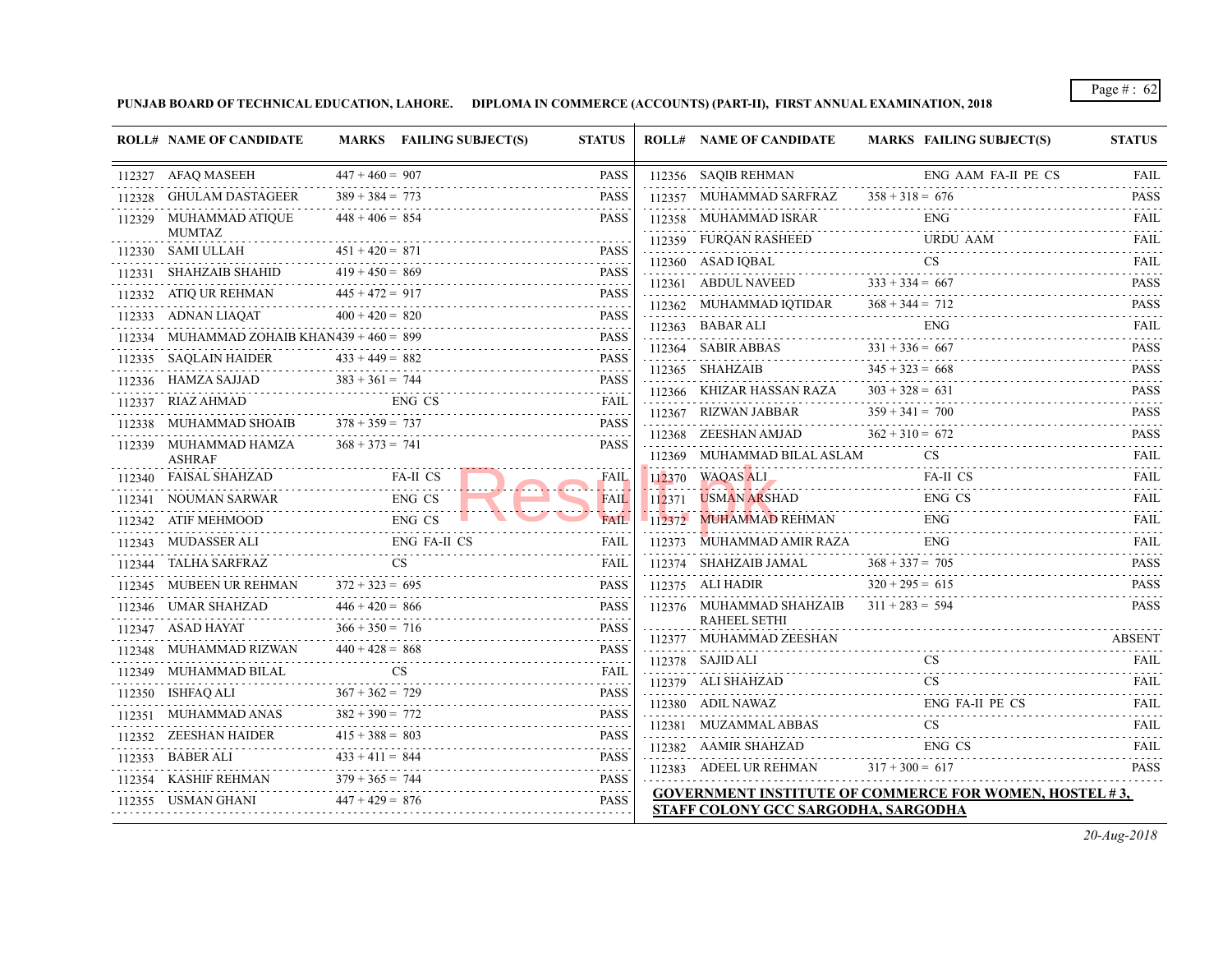|        | <b>ROLL# NAME OF CANDIDATE</b>                           |                   | MARKS FAILING SUBJECT(S)                     | <b>STATUS</b>                                                                                                         |        | <b>ROLL# NAME OF CANDIDATE</b>                                                       | <b>MARKS FAIL</b> |
|--------|----------------------------------------------------------|-------------------|----------------------------------------------|-----------------------------------------------------------------------------------------------------------------------|--------|--------------------------------------------------------------------------------------|-------------------|
|        | 112327 AFAQ MASEEH                                       | $447 + 460 = 907$ |                                              | <b>PASS</b>                                                                                                           |        | 112356 SAQIB REHMAN                                                                  | ENG.              |
| 112328 | GHULAM DASTAGEER                                         | $389 + 384 = 773$ |                                              | <b>PASS</b>                                                                                                           |        | 112357 MUHAMMAD SARFRAZ                                                              | $358 + 318 = 676$ |
| 112329 | MUHAMMAD ATIQUE                                          | $448 + 406 = 854$ |                                              | PASS                                                                                                                  |        | 112358 MUHAMMAD ISRAR                                                                | ENG.              |
|        | <b>MUMTAZ</b><br>112330 SAMI ULLAH<br>$451 + 420 = 871$  |                   |                                              | $\mathcal{L}^{\mathcal{A}}(\mathcal{A})=\mathcal{L}^{\mathcal{A}}(\mathcal{A})\mathcal{A}^{\mathcal{A}}(\mathcal{A})$ |        | 112359 FURQAN RASHEED                                                                | <b>URD</b>        |
|        |                                                          |                   | PASS                                         | <b>PASS</b>                                                                                                           |        | 112360 ASAD IQBAL                                                                    | CS.               |
|        | 112331 SHAHZAIB SHAHID $419 + 450 = 869$ PASS            |                   |                                              |                                                                                                                       |        | 112361 ABDUL NAVEED $333 + 334 = 667$                                                |                   |
|        | 112332 ATIQ UR REHMAN $445 + 472 = 917$                  | $400 + 420 = 820$ | AN $445 + 472 = 917$ PASS                    |                                                                                                                       |        | 112362 MUHAMMAD IQTIDAR $368 + 344 = 712$                                            |                   |
|        | 112333 ADNAN LIAQAT                                      |                   | T $400 + 420 = 820$ PASS                     |                                                                                                                       |        | 112363 BABAR ALI                                                                     | ENG.              |
|        | 112334 MUHAMMAD ZOHAIB KHAN439 + $460 = 899$             |                   |                                              | <b>PASS</b>                                                                                                           |        | 112364 SABIR ABBAS $331 + 336 = 667$                                                 |                   |
|        | 112335 SAQLAIN HAIDER $433 + 449 = 882$ PASS             |                   |                                              |                                                                                                                       |        | 112365 SHAHZAIB $345 + 323 = 668$                                                    |                   |
|        | 112336 HAMZA SAJJAD $383 + 361 = 744$                    |                   | $JAD$ $383 + 361 = 744$ PASS                 |                                                                                                                       |        | 112366 KHIZAR HASSAN RAZA $303 + 328 = 631$                                          |                   |
|        | 112337 RIAZ AHMAD                                        |                   | ENG CS                                       | FAIL                                                                                                                  |        | 112367 RIZWAN JABBAR                                                                 | $359 + 341 = 700$ |
|        | 112338 MUHAMMAD SHOAIB $378 + 359 = 737$                 |                   |                                              | <b>PASS</b>                                                                                                           |        | 112368 ZEESHAN AMJAD                                                                 | $362 + 310 = 672$ |
|        | 112339 MUHAMMAD HAMZA<br><b>ASHRAF</b>                   | $368 + 373 = 741$ |                                              | <b>PASS</b>                                                                                                           |        | 112369 MUHAMMAD BILAL ASLAM                                                          | CS.               |
|        | IZAD FA-II CS<br>112340 FAISAL SHAHZAD                   |                   |                                              | <b>FAIL</b>                                                                                                           |        | 112370 WAQAS ALI                                                                     | FA-II             |
|        | IMAN SARWAR ENG CS TARI DENGLISH<br>112341 NOUMAN SARWAR |                   | ENG CS<br>and the second state of the second | .<br><b>FAIL</b>                                                                                                      | 112371 | USMAN ARSHAD                                                                         | <b>ENG</b>        |
|        | 112342 ATIF MEHMOOD ENG CS<br>112342 ATIF MEHMOOD        |                   |                                              | <b>FAIL</b>                                                                                                           |        | 112372 MUHAMMAD REHMAN                                                               | ENG I             |
|        | 112343 MUDASSER ALI ENG FA-II CS                         |                   |                                              | FAIL                                                                                                                  | 112373 | MUHAMMAD AMIR RAZA                                                                   | ENG               |
|        | 112344 TALHA SARFRAZ                                     | .                 |                                              | FAIL                                                                                                                  |        | 112374 SHAHZAIB JAMAL $368 + 337 = 705$                                              |                   |
|        | 112345 MUBEEN UR REHMAN $372 + 323 = 695$                |                   |                                              | <b>PASS</b>                                                                                                           |        | 112375 ALI HADIR $320 + 295 = 615$                                                   |                   |
|        | 112346 UMAR SHAHZAD $446 + 420 = 866$                    |                   | R SHAHZAD 446 + 420 = 866 PASS               |                                                                                                                       |        | 112376 MUHAMMAD SHAHZAIB $311 + 283 = 594$                                           |                   |
|        | $366 + 350 = 716$<br>112347 ASAD HAYAT                   |                   |                                              | <b>PASS</b>                                                                                                           |        | RAHEEL SETHI<br>112377 MUHAMMAD ZEESHAN                                              |                   |
|        | 112348 MUHAMMAD RIZWAN $440 + 428 = 868$                 |                   | $ZWAN$ $440 + 428 = 868$ PASS                |                                                                                                                       |        | 112378 SAJID ALI                                                                     | CS                |
|        | 112349 MUHAMMAD BILAL                                    |                   | <b>CS</b>                                    | FAIL                                                                                                                  |        | 112379 ALI SHAHZAD                                                                   | <b>CS</b>         |
|        | $367 + 362 = 729$<br>112350 ISHFAQ ALI                   |                   |                                              | <b>PASS</b>                                                                                                           |        | 112380 ADIL NAWAZ                                                                    | <b>ENG</b>        |
|        | 112351 MUHAMMAD ANAS $382 + 390 = 772$                   |                   | D ANAS 382 + 390 = 772 PASS                  |                                                                                                                       |        |                                                                                      | CS                |
|        | 112352 ZEESHAN HAIDER $415 + 388 = 803$ PASS             |                   |                                              |                                                                                                                       |        | 112381 MUZAMMAL ABBAS<br>112382 AAMIR SHAHZAD                                        | <b>ENG</b>        |
|        | $433 + 411 = 844$<br>112353 BABER ALI                    |                   | PASS                                         | <b>PASS</b>                                                                                                           |        | 112383 ADEEL UR REHMAN                                                               | $317 + 300 = 617$ |
|        | 112354 KASHIF REHMAN $379 + 365 = 744$ PASS              |                   |                                              |                                                                                                                       |        |                                                                                      |                   |
|        | 112355 USMAN GHANI $447 + 429 = 876$                     |                   |                                              | <b>PASS</b>                                                                                                           |        | <b>GOVERNMENT INSTITUTE OF COMMERCE</b><br><b>STAFF COLONY GCC SARGODHA, SARGODI</b> |                   |
|        |                                                          |                   |                                              |                                                                                                                       |        |                                                                                      |                   |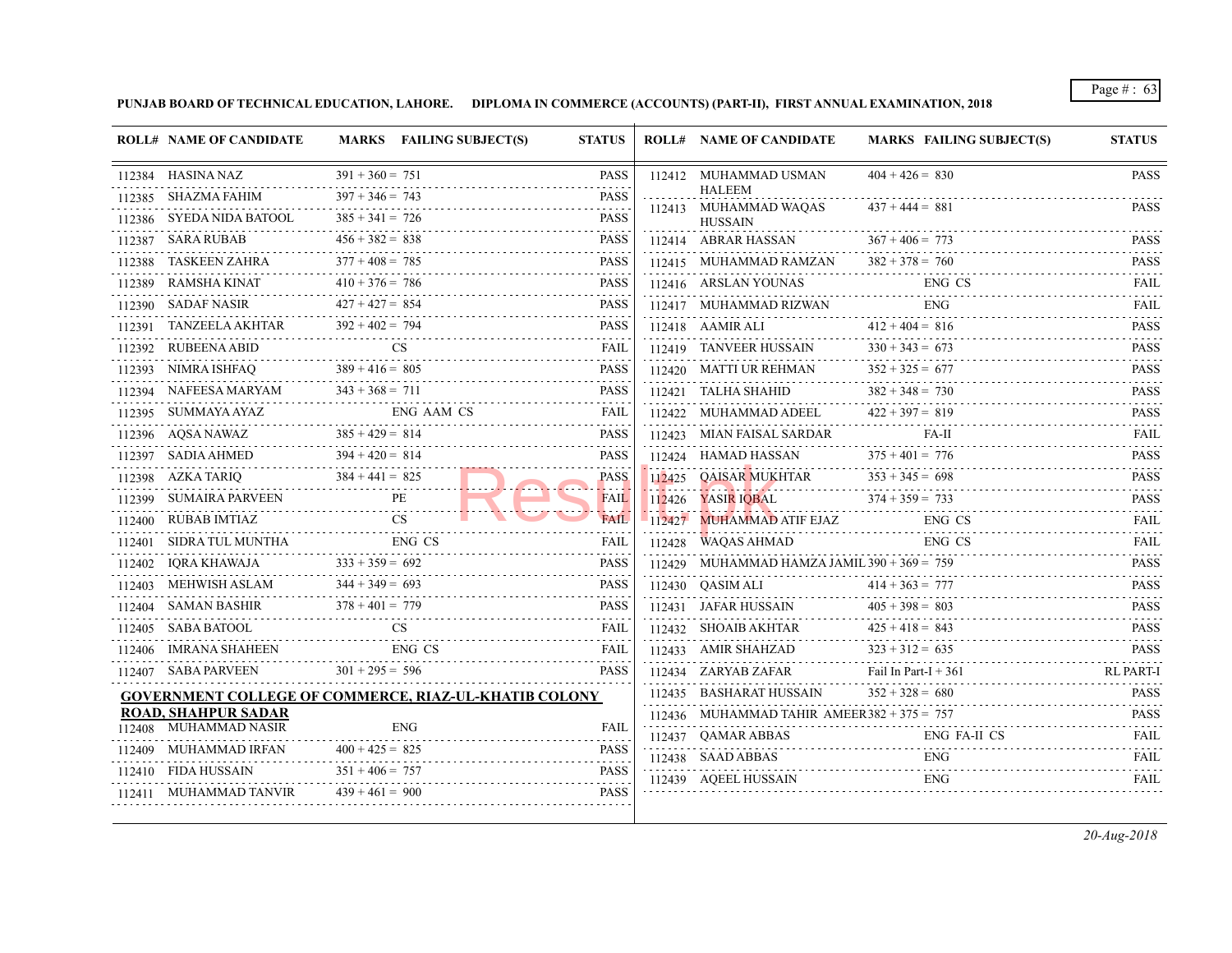|        | <b>ROLL# NAME OF CANDIDATE</b>                               |                        | MARKS FAILING SUBJECT(S)                                                                                                                                                                                                            | <b>STATUS</b> |        | <b>ROLL# NAME OF CANDIDATE</b>              | <b>MARKS FAIL</b>    |
|--------|--------------------------------------------------------------|------------------------|-------------------------------------------------------------------------------------------------------------------------------------------------------------------------------------------------------------------------------------|---------------|--------|---------------------------------------------|----------------------|
|        | 112384 HASINA NAZ                                            | $391 + 360 = 751$      |                                                                                                                                                                                                                                     | <b>PASS</b>   |        | 112412 MUHAMMAD USMAN                       | $404 + 426 = 830$    |
|        | 112385 SHAZMA FAHIM                                          | $397 + 346 = 743$      |                                                                                                                                                                                                                                     | <b>PASS</b>   |        | <b>HALEEM</b>                               |                      |
|        | 112386 SYEDA NIDA BATOOL                                     | $385 + 341 = 726$      |                                                                                                                                                                                                                                     | <b>PASS</b>   |        | 112413 MUHAMMAD WAQAS<br>HUSSAIN            | $437 + 444 = 881$    |
|        | 112387 SARA RUBAB                                            | $456 + 382 = 838$<br>. |                                                                                                                                                                                                                                     | <b>PASS</b>   |        | 112414 ABRAR HASSAN                         | $367 + 406 = 773$    |
|        | 112388 TASKEEN ZAHRA $377 + 408 = 785$                       |                        |                                                                                                                                                                                                                                     | <b>PASS</b>   |        | 112415 MUHAMMAD RAMZAN                      | $382 + 378 = 760$    |
|        | 112389 RAMSHA KINAT $410 + 376 = 786$                        |                        |                                                                                                                                                                                                                                     | <b>PASS</b>   |        | 112416 ARSLAN YOUNAS                        | ENG.                 |
|        | 112390 SADAF NASIR $427 + 427 = 854$                         |                        |                                                                                                                                                                                                                                     | <b>PASS</b>   |        | 112417 MUHAMMAD RIZWAN                      | <b>ENG</b>           |
|        | 112391 TANZEELA AKHTAR $392 + 402 = 794$                     |                        |                                                                                                                                                                                                                                     | <b>PASS</b>   |        | 112418 AAMIR ALI                            | $412 + 404 = 816$    |
|        | 112392 RUBEENA ABID CS                                       |                        |                                                                                                                                                                                                                                     | FAIL          |        | 112419 TANVEER HUSSAIN                      | $330 + 343 = 673$    |
|        | 112393 NIMRA ISHFAQ $389 + 416 = 805$                        |                        |                                                                                                                                                                                                                                     | PASS          |        | 112420 MATTI UR REHMAN                      | $352 + 325 = 677$    |
|        | 112394 NAFEESA MARYAM $343 + 368 = 711$                      |                        |                                                                                                                                                                                                                                     | <b>PASS</b>   |        | 112421 TALHA SHAHID                         | $382 + 348 = 730$    |
|        | 112395 SUMMAYA AYAZ                                          |                        | ENG AAM CS<br>ENG AAM CS                                                                                                                                                                                                            | FAIL          |        | 112422 MUHAMMAD ADEEL $422 + 397 = 819$     |                      |
|        | 112396 AQSA NAWAZ $385 + 429 = 814$                          |                        |                                                                                                                                                                                                                                     | <b>PASS</b>   |        | 112423 MIAN FAISAL SARDAR                   | FA-II                |
|        | 112397 SADIA AHMED                                           | $394 + 420 = 814$      |                                                                                                                                                                                                                                     | <b>PASS</b>   |        | 112424 HAMAD HASSAN                         | $375 + 401 = 776$    |
|        | 112398 AZKA TARIQ                                            | $384 + 441 = 825$      |                                                                                                                                                                                                                                     | <b>PASS</b>   |        | 112425 QAISAR MUKHTAR                       | $353 + 345 = 698$    |
|        | 112399 SUMAIRA PARVEEN PE                                    |                        |                                                                                                                                                                                                                                     | <b>FAIL</b>   | 112426 | YASIR IOBAL                                 | $374 + 359 = 733$    |
|        | IMTIAZ CS<br>112400 RUBAB IMTIAZ                             |                        |                                                                                                                                                                                                                                     | <b>FAIL</b>   |        | 112427 MUHAMMAD ATIF EJAZ                   | ENG                  |
|        | 112401 SIDRA TUL MUNTHA ENG CS                               |                        |                                                                                                                                                                                                                                     | FAIL          |        | 112428 WAQAS AHMAD                          | ENG                  |
|        | 112402 IQRA KHAWAJA $333 + 359 = 692$                        |                        |                                                                                                                                                                                                                                     | <b>PASS</b>   |        | 112429 MUHAMMAD HAMZA JAMIL 390 + 369 = 759 |                      |
|        | HWISH ASLAM $344 + 349 = 693$<br>112403 MEHWISH ASLAM        |                        |                                                                                                                                                                                                                                     | <b>PASS</b>   |        | 112430 QASIM ALI $414 + 363 = 777$          |                      |
| 112404 | SAMAN BASHIR $378 + 401 = 779$                               |                        |                                                                                                                                                                                                                                     | <b>PASS</b>   |        | 112431 JAFAR HUSSAIN                        | $405 + 398 = 803$    |
|        | 112405 SABA BATOOL                                           |                        | <u>U</u> CS extensive extensive extensive extensive extensive extensive extensive extensive extensive extensive extensive extensive extensive extensive extensive extensive extensive extensive extensive extensive extensive exten | FAIL          |        | 112432 SHOAIB AKHTAR                        | $425 + 418 = 843$    |
|        | 112406 IMRANA SHAHEEN                                        |                        | ENG CS                                                                                                                                                                                                                              | FAIL          |        | 112433 AMIR SHAHZAD                         | $323 + 312 = 635$    |
|        | 112407 SABA PARVEEN                                          | $301 + 295 = 596$      |                                                                                                                                                                                                                                     | <b>PASS</b>   |        | 112434 ZARYAB ZAFAR                         | Fail In Part-I + $3$ |
|        | <b>GOVERNMENT COLLEGE OF COMMERCE, RIAZ-UL-KHATIB COLONY</b> |                        |                                                                                                                                                                                                                                     |               |        | 112435 BASHARAT HUSSAIN $352 + 328 = 680$   |                      |
|        | <b>ROAD, SHAHPUR SADAR</b>                                   |                        |                                                                                                                                                                                                                                     |               |        | 112436 MUHAMMAD TAHIR AMEER382 + 375 = 757  |                      |
|        | 112408 MUHAMMAD NASIR                                        |                        | ENG                                                                                                                                                                                                                                 | FAIL          |        | 112437 QAMAR ABBAS                          | <b>ENG</b>           |
|        | 112409 MUHAMMAD IRFAN                                        | $400 + 425 = 825$      |                                                                                                                                                                                                                                     | <b>PASS</b>   |        | 112438 SAAD ABBAS                           | <b>ENG</b>           |
|        | 112410 FIDA HUSSAIN                                          | $351 + 406 = 757$      |                                                                                                                                                                                                                                     | <b>PASS</b>   |        | 112439 AQEEL HUSSAIN                        | <b>ENG</b>           |
|        | 112411 MUHAMMAD TANVIR                                       | $439 + 461 = 900$      |                                                                                                                                                                                                                                     | <b>PASS</b>   |        |                                             |                      |
|        |                                                              |                        |                                                                                                                                                                                                                                     |               |        |                                             |                      |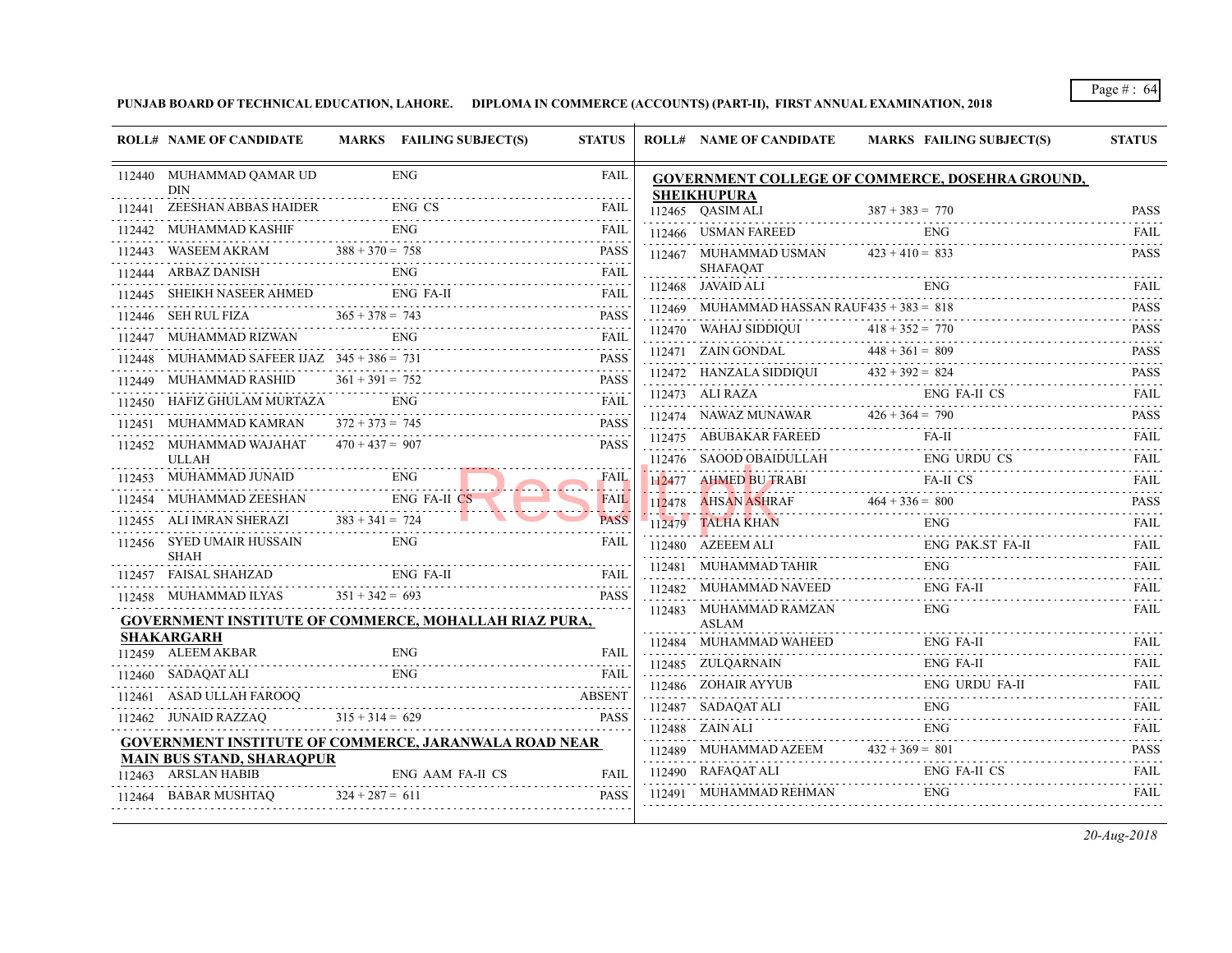|        | <b>ROLL# NAME OF CANDIDATE</b>                                                                   |                   | MARKS FAILING SUBJECT(S)                   | <b>STATUS</b>                | <b>ROLL# NAME OF CANDIDATE</b>                                 | <b>MARKS FAIL</b> |
|--------|--------------------------------------------------------------------------------------------------|-------------------|--------------------------------------------|------------------------------|----------------------------------------------------------------|-------------------|
|        | 112440 MUHAMMAD QAMAR UD<br><b>DIN</b>                                                           |                   | <b>ENG</b>                                 | FAIL                         | <b>GOVERNMENT COLLEGE OF COMMERCE, I</b><br><b>SHEIKHUPURA</b> |                   |
| 112441 | ZEESHAN ABBAS HAIDER                                                                             |                   | ENG CS                                     | FAIL                         | 112465 QASIM ALI                                               | $387 + 383 = 770$ |
|        | 112442 MUHAMMAD KASHIF ENG FAIL                                                                  |                   |                                            |                              | 112466 USMAN FAREED                                            | <b>ENG</b>        |
|        | 112443 WASEEM AKRAM $388 + 370 = 758$ PASS                                                       |                   |                                            | <b>PASS</b>                  | 112467 MUHAMMAD USMAN $423 + 410 = 833$                        |                   |
|        | ARBAZ DANISH ENG FAIL<br>112444 ARBAZ DANISH                                                     |                   |                                            |                              | <b>SHAFAQAT</b>                                                |                   |
|        | 112445 SHEIKH NASEER AHMED ENG FA-II                                                             |                   | ENG FA-II FAIL                             |                              | 112468 JAVAID ALI EN                                           | <b>ENG</b>        |
|        | 112446 SEH RUL FIZA $365 + 378 = 743$ PASS                                                       |                   |                                            | <b>PASS</b>                  | 112469 MUHAMMAD HASSAN RAUF435 + 383 = 818                     |                   |
|        | 112447 MUHAMMAD RIZWAN                                                                           |                   |                                            | FAIL                         | 112470 WAHAJ SIDDIQUI $418 + 352 = 770$                        |                   |
|        | MUHAMMAD SAFEER IJAZ $345 + 386 = 731$                                                           |                   | $345 + 386 = 731$ PASS                     | <b>PASS</b>                  | 112471 ZAIN GONDAL $448 + 361 = 809$                           |                   |
|        | 112449 MUHAMMAD RASHID                                                                           | $361 + 391 = 752$ | $\text{ASHID} \qquad 361 + 391 = 752$ PASS |                              | 112472 HANZALA SIDDIQUI $432 + 392 = 824$                      |                   |
| 112450 | HAFIZ GHULAM MURTAZA                                                                             |                   | ENG.                                       | FAIL                         | $112473$ ALI RAZA ENC                                          | <b>ENG</b>        |
| 112451 | MUHAMMAD KAMRAN $372 + 373 = 745$                                                                |                   |                                            | <b>PASS</b>                  | 112474 NAWAZ MUNAWAR $426 + 364 = 790$                         |                   |
|        | 112452 MUHAMMAD WAJAHAT                                                                          | $470 + 437 = 907$ |                                            | <b>PASS</b>                  | 112475 ABUBAKAR FAREED FA                                      | FA-II             |
|        | ULLAH                                                                                            |                   |                                            |                              | 112476 SAOOD OBAIDULLAH                                        | <b>ENG</b>        |
|        | 112453 MUHAMMAD JUNAID                                                                           |                   | ENG                                        | <b>FAIL</b><br>and the state | 112477 AHMED BU TRABI FA-1                                     | FA-II             |
|        | 112454 MUHAMMAD ZEESHAN ENG FA-II CS                                                             |                   |                                            | <b>FAIL</b><br>.             | 112478 AHSAN ASHRAF $464 + 336 = 800$                          |                   |
|        | 112455 ALI IMRAN SHERAZI $383 + 341 = 724$                                                       |                   |                                            | <b>PASS</b>                  | 112479 TALHA KHAN ENC                                          | <b>ENG</b>        |
|        | 112456 SYED UMAIR HUSSAIN<br><b>SHAH</b>                                                         |                   | ENG-                                       | FAIL                         | 112480 AZEEEM ALI ENG                                          | <b>ENG</b>        |
|        | 112457 FAISAL SHAHZAD                                                                            |                   |                                            |                              | 112481 MUHAMMAD TAHIR EN                                       | <b>ENG</b>        |
|        | 112458 MUHAMMAD ILYAS $351 + 342 = 693$                                                          |                   |                                            | <b>PASS</b>                  | 112482 MUHAMMAD NAVEED                                         | <b>ENG</b>        |
|        | <b>GOVERNMENT INSTITUTE OF COMMERCE, MOHALLAH RIAZ PURA,</b>                                     |                   |                                            |                              | 112483 MUHAMMAD RAMZAN<br><b>ASLAM</b>                         | <b>ENG</b><br>.   |
|        | <b>SHAKARGARH</b><br>112459 ALEEM AKBAR                                                          |                   |                                            | FAIL                         | 112484 MUHAMMAD WAHEED ENG                                     | <b>ENG</b>        |
|        | 112460 SADAQAT ALI                                                                               |                   | R ENG FAIL                                 |                              | $112485$ ZULQARNAIN ENG                                        | <b>ENG</b>        |
|        | 112461 ASAD ULLAH FAROOQ                                                                         |                   | $I$ ENG FAIL                               |                              | 112486 ZOHAIR AYYUB ENC                                        | <b>ENG</b>        |
|        | 112461 ASAD ULLAH FAROOQ ABSENT<br>112462 JUNAID RAZZAQ $315 + 314 = 629$ PASS                   |                   |                                            |                              | 112487 SADAQATALI ENG                                          | <b>ENG</b>        |
|        |                                                                                                  |                   |                                            |                              | 112488 ZAIN ALI ENG                                            | <b>ENG</b>        |
|        | <b>GOVERNMENT INSTITUTE OF COMMERCE, JARANWALA ROAD NEAR</b><br><b>MAIN BUS STAND, SHARAQPUR</b> |                   |                                            |                              | 112489 MUHAMMAD AZEEM $432 + 369 = 801$                        |                   |
|        | 112463 ARSLAN HABIB                                                                              |                   | ENG AAM FA-II CS                           | FAIL                         | 112490 RAFAQAT ALI                                             | <b>ENG</b>        |
|        | 112464 BABAR MUSHTAQ $324 + 287 = 611$                                                           |                   |                                            | <b>PASS</b>                  | 112491 MUHAMMAD REHMAN                                         | <b>ENG</b>        |
|        |                                                                                                  |                   |                                            |                              |                                                                |                   |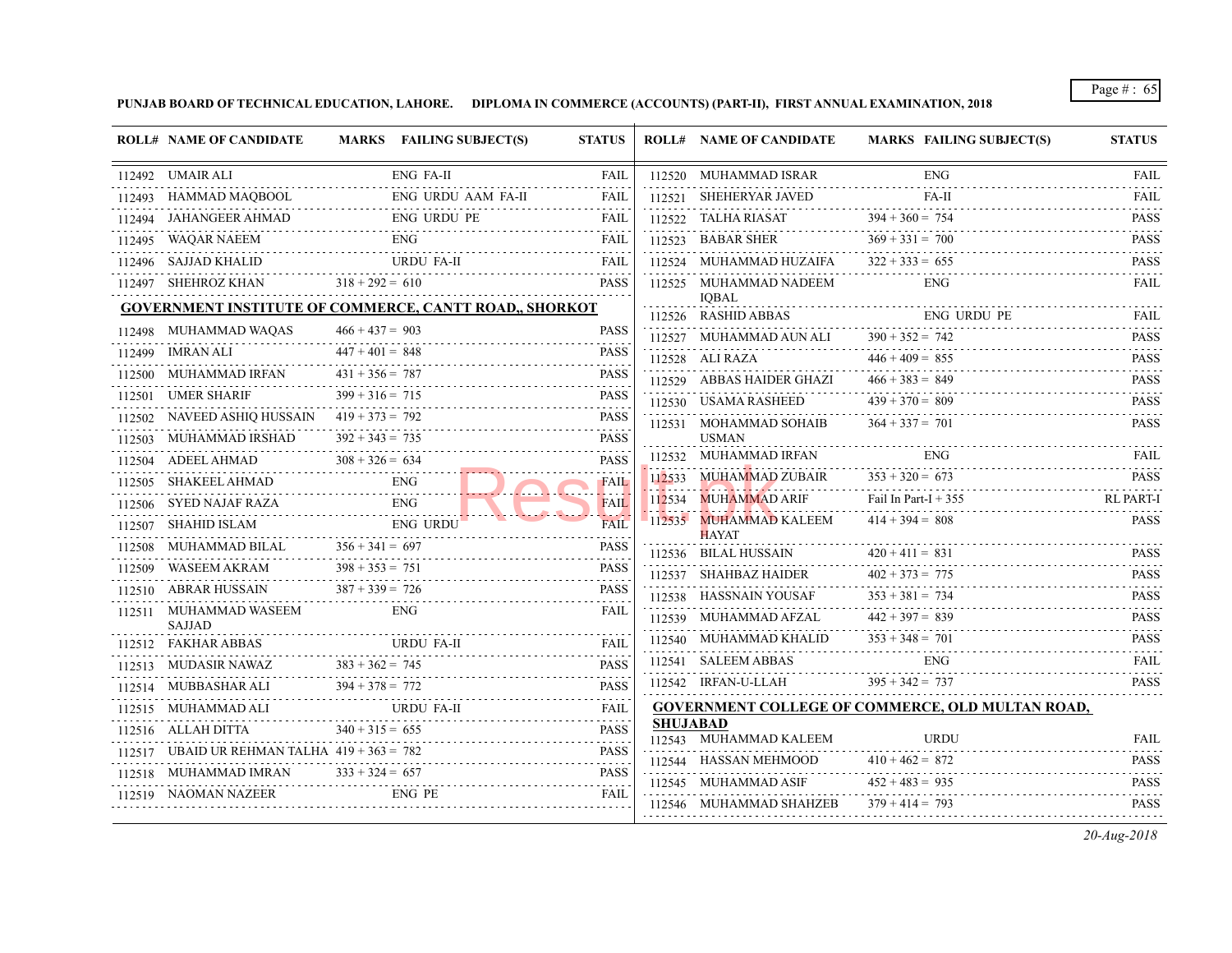| <b>ROLL# NAME OF CANDIDATE</b>                                                                                                                                                                                                                                                                                                                                                                                                           |                   | MARKS FAILING SUBJECT(S)    | <b>STATUS</b> |          | <b>ROLL# NAME OF CANDIDATE</b>            | <b>MARKS FAIL</b>   |
|------------------------------------------------------------------------------------------------------------------------------------------------------------------------------------------------------------------------------------------------------------------------------------------------------------------------------------------------------------------------------------------------------------------------------------------|-------------------|-----------------------------|---------------|----------|-------------------------------------------|---------------------|
| 112492 UMAIR ALI                                                                                                                                                                                                                                                                                                                                                                                                                         |                   | ENG FA-II                   | FAIL          |          | 112520 MUHAMMAD ISRAR                     | ENG.                |
|                                                                                                                                                                                                                                                                                                                                                                                                                                          |                   |                             | FAIL          |          | 112521 SHEHERYAR JAVED                    | FA-II               |
| 112494 JAHANGEER AHMAD                                                                                                                                                                                                                                                                                                                                                                                                                   |                   | AHMAD ENG URDU PE FAIL      |               |          | 112522 TALHA RIASAT $394 + 360 = 754$     |                     |
| 112495 WAQAR NAEEM                                                                                                                                                                                                                                                                                                                                                                                                                       |                   | QAR NAEEM ENG FAIL          |               |          | 112523 BABAR SHER $369 + 331 = 700$       |                     |
| 112496 SAJJAD KHALID URDU FA-II                                                                                                                                                                                                                                                                                                                                                                                                          |                   | URDU FA-II                  | FAIL          |          | 112524 MUHAMMAD HUZAIFA $322 + 333 = 655$ |                     |
| 112497 SHEHROZ KHAN $318 + 292 = 610$                                                                                                                                                                                                                                                                                                                                                                                                    |                   |                             | PASS          |          | 112525 MUHAMMAD NADEEM                    | ENG I               |
| <b>GOVERNMENT INSTITUTE OF COMMERCE, CANTT ROAD,, SHORKOT</b>                                                                                                                                                                                                                                                                                                                                                                            |                   |                             |               |          | <b>IOBAL</b><br>112526 RASHID ABBAS       | ENG I               |
| 112498 MUHAMMAD WAQAS                                                                                                                                                                                                                                                                                                                                                                                                                    | $466 + 437 = 903$ |                             | <b>PASS</b>   |          | 112527 MUHAMMAD AUN ALI $390 + 352 = 742$ |                     |
| 112499 IMRAN ALI                                                                                                                                                                                                                                                                                                                                                                                                                         | $447 + 401 = 848$ |                             | <b>PASS</b>   |          | 112528 ALI RAZA                           | $446 + 409 = 855$   |
| 112500 MUHAMMAD IRFAN $431 + 356 = 787$<br>112500 MUHAMMAD IRFAN $431 + 356 = 787$ PASS                                                                                                                                                                                                                                                                                                                                                  |                   |                             | <b>PASS</b>   |          | 112529 ABBAS HAIDER GHAZI                 | $466 + 383 = 849$   |
| $399 + 316 = 715$<br>112501 UMER SHARIF                                                                                                                                                                                                                                                                                                                                                                                                  |                   | F $399 + 316 = 715$         | <b>PASS</b>   |          | 112530 USAMA RASHEED                      | $439 + 370 = 809$   |
| 112502 NAVEED ASHIQ HUSSAIN $419 + 373 = 792$                                                                                                                                                                                                                                                                                                                                                                                            |                   | IN $419 + 373 = 792$ PASS   |               |          | 112531 MOHAMMAD SOHAIB                    | $364 + 337 = 701$   |
| 112503 MUHAMMAD IRSHAD $392 + 343 = 735$                                                                                                                                                                                                                                                                                                                                                                                                 |                   |                             | <b>PASS</b>   |          | <b>USMAN</b>                              |                     |
| 112504 ADEEL AHMAD                                                                                                                                                                                                                                                                                                                                                                                                                       |                   | EEL AHMAD $308 + 326 = 634$ | <b>PASS</b>   |          | 112532 MUHAMMAD IRFAN                     | <b>ENG</b>          |
| $\begin{minipage}{0.9\linewidth} \textbf{112505} \quad \textbf{SHAKEEL AHMAD} \quad \textbf{ENG} \quad \textbf{112505} \quad \textbf{2130} \quad \textbf{220} \quad \textbf{230} \quad \textbf{240} \quad \textbf{250} \quad \textbf{260} \quad \textbf{270} \quad \textbf{280} \quad \textbf{290} \quad \textbf{201} \quad \textbf{211} \quad \textbf{221} \quad \textbf{230} \quad \textbf{260} \quad \textbf{270} \quad \textbf{280}$ |                   |                             | <b>FAIL</b>   |          | 112533 MUHAMMAD ZUBAIR                    | $353 + 320 = 673$   |
|                                                                                                                                                                                                                                                                                                                                                                                                                                          |                   |                             | <b>FAIL</b>   | 112534   | MUHAMMAD ARIF                             | Fail In Part-I $+3$ |
| 112507 SHAHID ISLAM                                                                                                                                                                                                                                                                                                                                                                                                                      |                   | ENG URDU                    | <b>FAIL</b>   |          | 112535 MUHAMMAD KALEEM<br><b>HAYAT</b>    | $414 + 394 = 808$   |
| 112508 MUHAMMAD BILAL $356 + 341 = 697$ PASS                                                                                                                                                                                                                                                                                                                                                                                             |                   |                             | PASS          |          | 112536 BILAL HUSSAIN                      | $420 + 411 = 831$   |
| 112509 WASEEM AKRAM $398 + 353 = 751$                                                                                                                                                                                                                                                                                                                                                                                                    |                   |                             | <b>PASS</b>   |          | 112537 SHAHBAZ HAIDER                     | $402 + 373 = 775$   |
| 112510 ABRAR HUSSAIN $387 + 339 = 726$                                                                                                                                                                                                                                                                                                                                                                                                   |                   |                             | PASS          |          | 112538 HASSNAIN YOUSAF                    | $353 + 381 = 734$   |
| 112511 MUHAMMAD WASEEM<br><b>SAJJAD</b>                                                                                                                                                                                                                                                                                                                                                                                                  |                   | <b>ENG</b>                  | FAIL          |          | 112539 MUHAMMAD AFZAL                     | $442 + 397 = 839$   |
| 112512 FAKHAR ABBAS<br>112512 FAKHAR ABBAS URDU FA-II FAIL FAIL                                                                                                                                                                                                                                                                                                                                                                          |                   | <b>URDU FA-II</b>           | <b>FAIL</b>   |          | 112540 MUHAMMAD KHALID $353 + 348 = 701$  |                     |
| 112513 MUDASIR NAWAZ $383 + 362 = 745$                                                                                                                                                                                                                                                                                                                                                                                                   |                   |                             | <b>PASS</b>   |          | 112541 SALEEM ABBAS                       | ENG.                |
| 112514 MUBBASHAR ALI $394 + 378 = 772$ PASS                                                                                                                                                                                                                                                                                                                                                                                              |                   |                             |               |          | 112542 IRFAN-U-LLAH $395 + 342 = 737$     |                     |
|                                                                                                                                                                                                                                                                                                                                                                                                                                          |                   |                             |               |          | <b>GOVERNMENT COLLEGE OF COMMERCE, 0</b>  |                     |
| 112516 ALLAH DITTA $340 + 315 = 655$ PASS                                                                                                                                                                                                                                                                                                                                                                                                |                   |                             | <b>PASS</b>   | SHUJABAD | 112543 MUHAMMAD KALEEM                    | URDI                |
| 112517 UBAID UR REHMAN TALHA $419 + 363 = 782$                                                                                                                                                                                                                                                                                                                                                                                           |                   |                             |               |          | 112544 HASSAN MEHMOOD                     | $410 + 462 = 872$   |
| 112518 MUHAMMAD IMRAN $333 + 324 = 657$ PASS                                                                                                                                                                                                                                                                                                                                                                                             |                   |                             |               |          | 112545 MUHAMMAD ASIF                      | $452 + 483 = 935$   |
| 12519 NAOMAN NAZEER ENG PE<br>112519 NAOMAN NAZEER                                                                                                                                                                                                                                                                                                                                                                                       |                   |                             | FAIL          |          | 112546 MUHAMMAD SHAHZEB $379 + 414 = 793$ |                     |
|                                                                                                                                                                                                                                                                                                                                                                                                                                          |                   |                             |               |          |                                           |                     |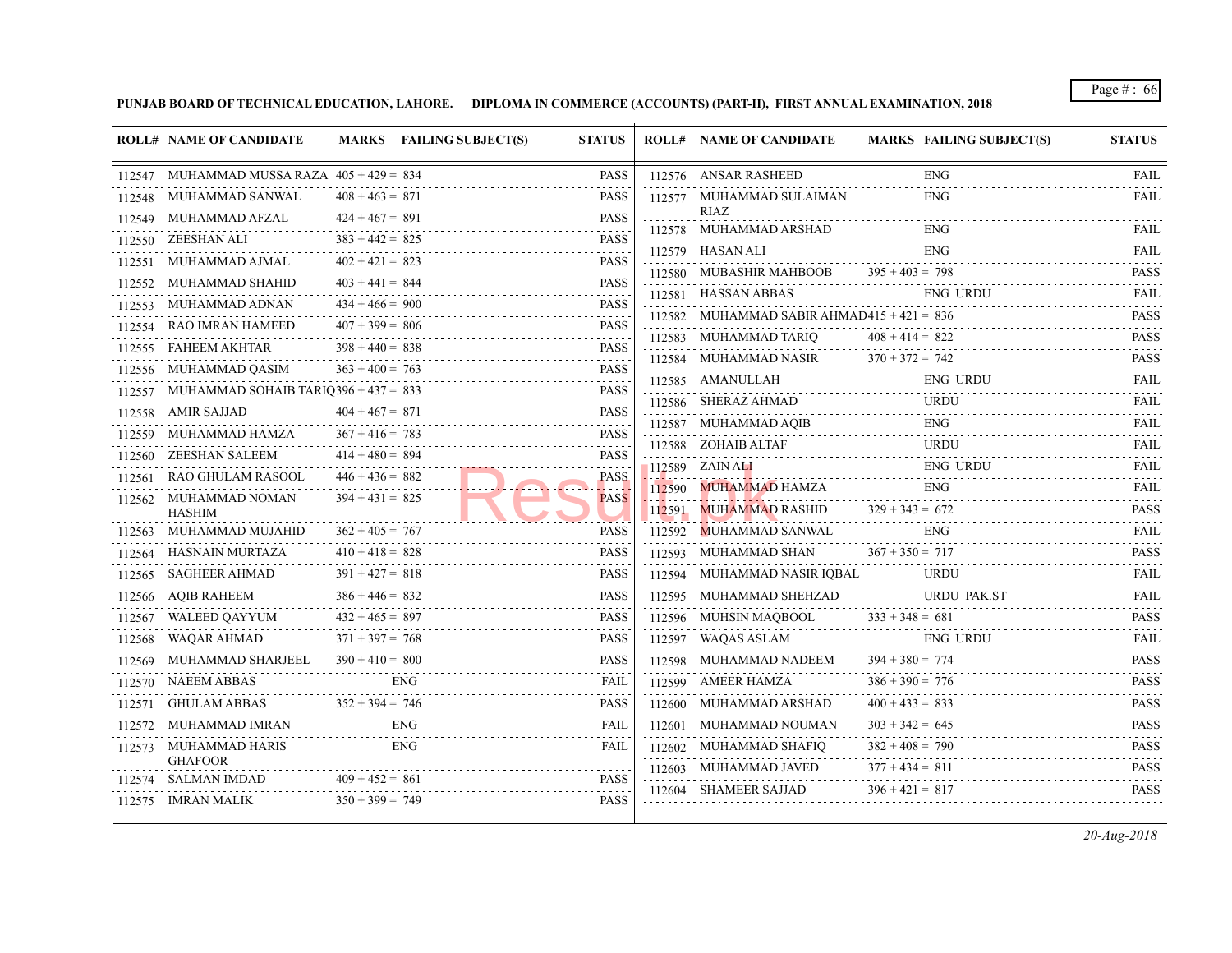|        | <b>ROLL# NAME OF CANDIDATE</b>                                  |                   | MARKS FAILING SUBJECT(S)       | <b>STATUS</b>                                                                                                                                       | <b>ROLL# NAME OF CANDIDATE</b>                                    | <b>MARKS FAIL</b> |
|--------|-----------------------------------------------------------------|-------------------|--------------------------------|-----------------------------------------------------------------------------------------------------------------------------------------------------|-------------------------------------------------------------------|-------------------|
|        | 112547 MUHAMMAD MUSSA RAZA $405 + 429 = 834$                    |                   |                                | <b>PASS</b>                                                                                                                                         | 112576 ANSAR RASHEED                                              | <b>ENG</b>        |
|        | 112548 MUHAMMAD SANWAL                                          | $408 + 463 = 871$ |                                | <b>PASS</b>                                                                                                                                         | 112577 MUHAMMAD SULAIMAN                                          | <b>ENG</b>        |
|        | 112549 MUHAMMAD AFZAL                                           | $424 + 467 = 891$ |                                | <b>PASS</b><br>$\mathcal{L}^{\mathcal{A}}\left( \mathcal{A}^{\mathcal{A}}\right) =\mathcal{L}^{\mathcal{A}}\left( \mathcal{A}^{\mathcal{A}}\right)$ | RIAZ<br>112578 MUHAMMAD ARSHAD                                    | <b>ENG</b>        |
|        | 112550 ZEESHAN ALI                                              | $383 + 442 = 825$ | $383 + 442 = 825$ PASS         | <b>PASS</b>                                                                                                                                         |                                                                   | <b>ENG</b>        |
|        | 112551 MUHAMMAD AJMAL $402 + 421 = 823$                         |                   |                                | <b>PASS</b>                                                                                                                                         | 112579 HASAN ALI<br>112580 MUBASHIR MAHBOOB $395 + 403 = 798$     |                   |
|        | 112552 MUHAMMAD SHAHID                                          | $403 + 441 = 844$ | ID $403 + 441 = 844$ PASS      | <b>PASS</b>                                                                                                                                         |                                                                   | ENG.              |
|        | 112553 MUHAMMAD ADNAN                                           |                   | $1430N$ $434 + 466 = 900$ PASS |                                                                                                                                                     | 112581 HASSAN ABBAS<br>112582 MUHAMMAD SABIR AHMAD415 + 421 = 836 |                   |
|        | 112554 RAO IMRAN HAMEED                                         | $407 + 399 = 806$ |                                | <b>PASS</b>                                                                                                                                         |                                                                   | $408 + 414 = 822$ |
|        | 112555 FAHEEM AKHTAR                                            | $398 + 440 = 838$ |                                | PASS                                                                                                                                                | 112583 MUHAMMAD TARIQ                                             |                   |
|        | 112556 MUHAMMAD QASIM                                           | $363 + 400 = 763$ | 763 PASS                       |                                                                                                                                                     | 112584 MUHAMMAD NASIR                                             | $370 + 372 = 742$ |
|        | 112557 MUHAMMAD SOHAIB TARIQ396 + 437 = $833$                   |                   |                                | <b>PASS</b>                                                                                                                                         | 112585 AMANULLAH                                                  | <b>ENG</b>        |
|        | 112558 AMIR SAJJAD                                              | $404 + 467 = 871$ | D $404 + 467 = 871$ PASS       | PASS                                                                                                                                                | 112586 SHERAZ AHMAD                                               | <b>URD</b>        |
| 112559 | MUHAMMAD HAMZA $367 + 416 = 783$                                |                   | AMZA $367 + 416 = 783$ PASS    |                                                                                                                                                     | AD AQIB<br>---------------------------<br>112587 MUHAMMAD AQIB    | ENG               |
|        | 112560 ZEESHAN SALEEM $414 + 480 = 894$                         |                   |                                | <b>PASS</b>                                                                                                                                         | 112588 ZOHAIB ALTAF                                               | <b>URD</b>        |
| 112561 | RAO GHULAM RASOOL                                               | $446 + 436 = 882$ |                                | <b>PASS</b>                                                                                                                                         | $112589$ ZAIN ALI                                                 | <b>ENG</b>        |
|        | 112562 MUHAMMAD NOMAN                                           | $394 + 431 = 825$ | .                              | <b>PASS</b>                                                                                                                                         | 112590 MUHAMMAD HAMZA                                             | <b>ENG</b>        |
|        | <b>HASHIM</b>                                                   |                   |                                |                                                                                                                                                     | 112591 MUHAMMAD RASHID $329 + 343 = 672$                          |                   |
|        | 112563 MUHAMMAD MUJAHID                                         | $362 + 405 = 767$ |                                | <b>PASS</b>                                                                                                                                         | 112592 MUHAMMAD SANWAL                                            | <b>ENG</b>        |
|        | 112564 HASNAIN MURTAZA                                          | $410 + 418 = 828$ |                                | <b>PASS</b>                                                                                                                                         | 112593 MUHAMMAD SHAN                                              | $367 + 350 = 717$ |
|        | 112565 SAGHEER AHMAD                                            | $391 + 427 = 818$ |                                | <b>PASS</b>                                                                                                                                         | 112594 MUHAMMAD NASIR IQBAL                                       | <b>URD</b>        |
|        | 112566 AQIB RAHEEM $386 + 446 = 832$                            |                   |                                | <b>PASS</b>                                                                                                                                         | 112595 MUHAMMAD SHEHZAD                                           | <b>URD</b>        |
|        | 112567 WALEED QAYYUM $432 + 465 = 897$                          |                   |                                | <b>PASS</b>                                                                                                                                         | 112596 MUHSIN MAQBOOL                                             | $333 + 348 = 681$ |
|        | 112568 WAQAR AHMAD                                              | $371 + 397 = 768$ | D $371 + 397 = 768$ PASS       | PASS                                                                                                                                                | 112597 WAQAS ASLAM                                                | <b>ENG</b>        |
|        | 112569 MUHAMMAD SHARJEEL $390 + 410 = 800$                      |                   |                                | PASS                                                                                                                                                | 112598 MUHAMMAD NADEEM                                            | $394 + 380 = 774$ |
|        | 112570 NAEEM ABBAS                                              |                   | <b>ENG</b>                     | FAIL                                                                                                                                                | 112599 AMEER HAMZA                                                | $386 + 390 = 776$ |
| 112571 | GHULAM ABBAS                                                    | $352 + 394 = 746$ | S $352 + 394 = 746$ PASS       |                                                                                                                                                     | 112600 MUHAMMAD ARSHAD                                            | $400 + 433 = 833$ |
|        | 112572 MUHAMMAD IMRAN                                           |                   | ENG                            | FAIL                                                                                                                                                | 112601 MUHAMMAD NOUMAN                                            | $303 + 342 = 645$ |
|        | 112573 MUHAMMAD HARIS<br><b>GHAFOOR</b>                         |                   | ENG.                           | FAIL                                                                                                                                                | 112602 MUHAMMAD SHAFIQ                                            | $382 + 408 = 790$ |
|        | 112574 SALMAN IMDAD $409 + 452 = 861$                           |                   | 861 PASS                       | <b>PASS</b>                                                                                                                                         | 112603 MUHAMMAD JAVED                                             | $377 + 434 = 811$ |
|        | 112575 IMRAN MALIK $350 + 399 = 749$ PASS<br>112575 IMRAN MALIK |                   |                                |                                                                                                                                                     | 112604 SHAMEER SAJJAD                                             | $396 + 421 = 817$ |
|        |                                                                 |                   |                                |                                                                                                                                                     |                                                                   |                   |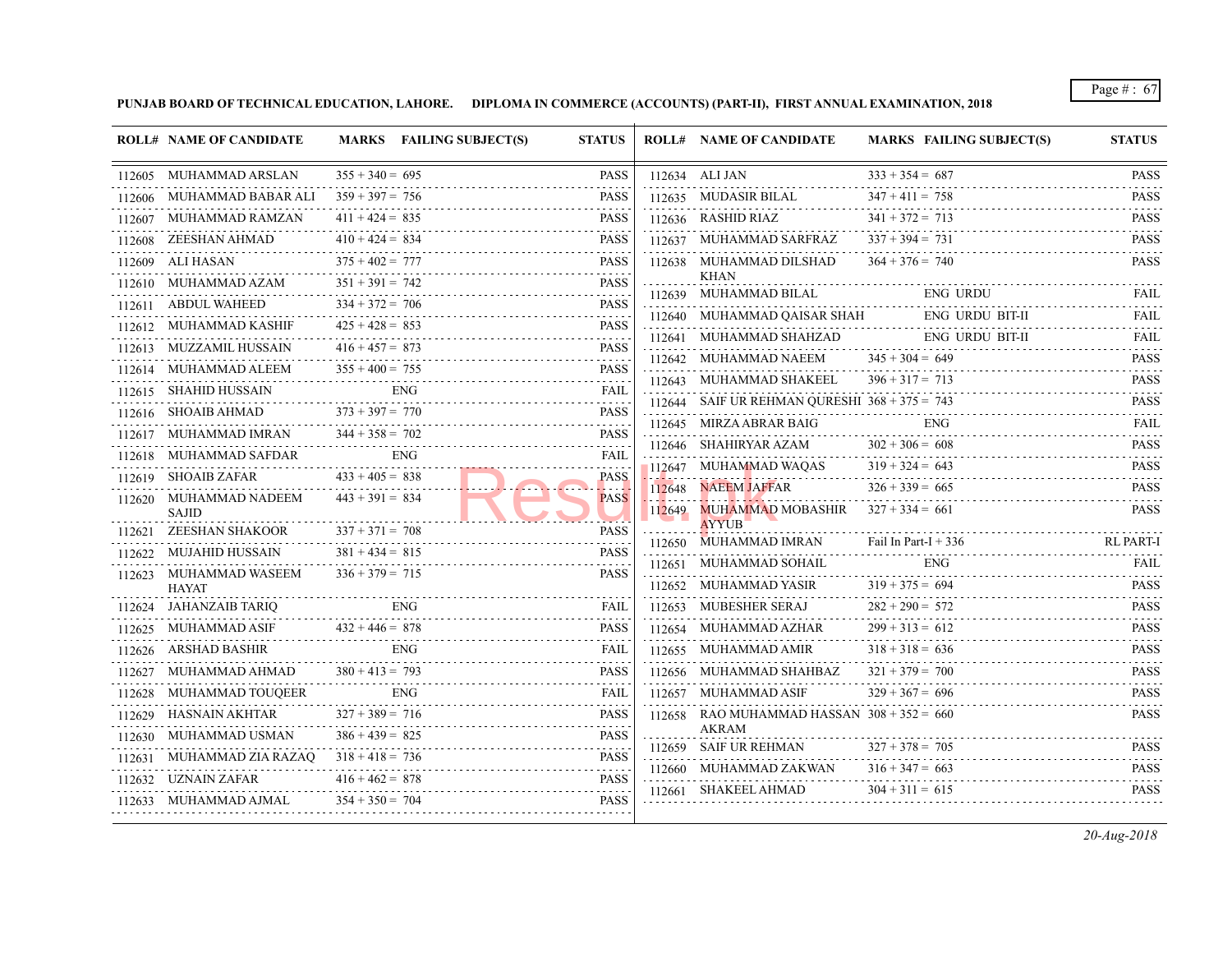|        | <b>ROLL# NAME OF CANDIDATE</b>         |                        | MARKS FAILING SUBJECT(S) | <b>STATUS</b>    | <b>ROLL# NAME OF CANDIDATE</b>                         | <b>MARKS FAIL</b>          |
|--------|----------------------------------------|------------------------|--------------------------|------------------|--------------------------------------------------------|----------------------------|
|        | 112605 MUHAMMAD ARSLAN                 | $355 + 340 = 695$      |                          | <b>PASS</b>      | 112634 ALI JAN                                         | $333 + 354 = 687$          |
|        | 112606 MUHAMMAD BABAR ALI              | $359 + 397 = 756$      |                          | <b>PASS</b>      | 112635 MUDASIR BILAL                                   | $347 + 411 = 758$          |
| 112607 | MUHAMMAD RAMZAN                        | $411 + 424 = 835$      |                          | PASS             | 112636 RASHID RIAZ                                     | $341 + 372 = 713$          |
|        | 112608 ZEESHAN AHMAD                   | .<br>$410 + 424 = 834$ |                          | PASS             | 112637 MUHAMMAD SARFRAZ                                | $337 + 394 = 731$          |
|        | 112609 ALI HASAN                       | $375 + 402 = 777$      |                          | <b>PASS</b>      | 112638 MUHAMMAD DILSHAD                                | $364 + 376 = 740$          |
|        | 112610 MUHAMMAD AZAM $351 + 391 = 742$ |                        |                          | <b>PASS</b>      | <b>KHAN</b>                                            | ENG.                       |
|        | 112611 ABDUL WAHEED                    | $334 + 372 = 706$      |                          | <b>PASS</b>      | 112639 MUHAMMAD BILAL                                  |                            |
|        | 112612 MUHAMMAD KASHIF                 | $425 + 428 = 853$<br>. |                          | <b>PASS</b>      | 112640 MUHAMMAD QAISAR SHAH<br>112641 MUHAMMAD SHAHZAD | ENG I                      |
|        | 112613 MUZZAMIL HUSSAIN                | $416 + 457 = 873$      |                          | PASS             |                                                        | ENG I<br>$345 + 304 = 649$ |
|        | 112614 MUHAMMAD ALEEM                  | $355 + 400 = 755$      |                          | <b>PASS</b>      | 112642 MUHAMMAD NAEEM                                  |                            |
|        | 112615 SHAHID HUSSAIN                  |                        | <b>ENG</b>               | FAIL             | 112643 MUHAMMAD SHAKEEL                                | $396 + 317 = 713$          |
|        | 112616 SHOAIB AHMAD                    | $373 + 397 = 770$      |                          | PASS             | 112644 SAIF UR REHMAN QURESHI $368 + 375 = 743$        |                            |
|        | 112617 MUHAMMAD IMRAN                  | $344 + 358 = 702$      |                          | <b>PASS</b>      | 112645 MIRZA ABRAR BAIG                                | ENG I                      |
| 112618 | MUHAMMAD SAFDAR                        |                        | <b>ENG</b>               | <b>FAIL</b>      | 112646 SHAHIRYAR AZAM                                  | $302 + 306 = 608$          |
| 112619 | SHOAIB ZAFAR                           | $433 + 405 = 838$      |                          | <b>PASS</b>      | 112647 MUHAMMAD WAQAS                                  | $319 + 324 = 643$          |
|        | 112620 MUHAMMAD NADEEM                 | $443 + 391 = 834$      |                          | <b>PASS</b>      | 112648 NAEEM JAFFAR                                    | $326 + 339 = 665$          |
|        | <b>SAJID</b>                           |                        |                          |                  | 112649 MUHAMMAD MOBASHIR<br><b>AYYUB</b>               | $327 + 334 = 661$          |
| 112621 | ZEESHAN SHAKOOR                        | $337 + 371 = 708$      |                          | <b>PASS</b>      | 112650 MUHAMMAD IMRAN                                  | Fail In Part-I $+3$        |
| 112622 | MUJAHID HUSSAIN                        | $381 + 434 = 815$      |                          | <b>PASS</b><br>. | 112651 MUHAMMAD SOHAIL                                 | ENG I                      |
| 112623 | MUHAMMAD WASEEM<br><b>HAYAT</b>        | $336 + 379 = 715$      |                          | <b>PASS</b>      | 112652 MUHAMMAD YASIR                                  | $319 + 375 = 694$          |
| 112624 | JAHANZAIB TARIO                        |                        | <b>ENG</b>               | FAIL             | 112653 MUBESHER SERAJ                                  | $282 + 290 = 572$          |
| 112625 | MUHAMMAD ASIF                          | $432 + 446 = 878$      |                          | PASS             | 112654 MUHAMMAD AZHAR                                  | $299 + 313 = 612$          |
|        | 112626 ARSHAD BASHIR                   |                        | <b>ENG</b>               | FAIL             | 112655 MUHAMMAD AMIR                                   | $318 + 318 = 636$          |
| 112627 | MUHAMMAD AHMAD                         | $380 + 413 = 793$      |                          | PASS             | 112656 MUHAMMAD SHAHBAZ                                | $321 + 379 = 700$          |
| 112628 | MUHAMMAD TOUQEER                       |                        | ENG                      | FAIL             | 112657 MUHAMMAD ASIF                                   | $329 + 367 = 696$          |
| 112629 | HASNAIN AKHTAR                         | $327 + 389 = 716$      |                          | <b>PASS</b>      | 112658 RAO MUHAMMAD HASSAN $308 + 352 = 660$           |                            |
| 112630 | MUHAMMAD USMAN                         | $386 + 439 = 825$      |                          | <b>PASS</b>      | AKRAM                                                  |                            |
| 112631 | MUHAMMAD ZIA RAZAQ                     | $318 + 418 = 736$      |                          | PASS             | 112659 SAIF UR REHMAN                                  | $327 + 378 = 705$          |
|        | 112632 UZNAIN ZAFAR                    | $416 + 462 = 878$      | 878 PASS                 | <b>PASS</b>      | 112660 MUHAMMAD ZAKWAN                                 | $316 + 347 = 663$          |
|        | 112633 MUHAMMAD AJMAL                  | $354 + 350 = 704$      |                          | PASS             | 112661 SHAKEEL AHMAD                                   | $304 + 311 = 615$          |
|        |                                        |                        |                          |                  |                                                        |                            |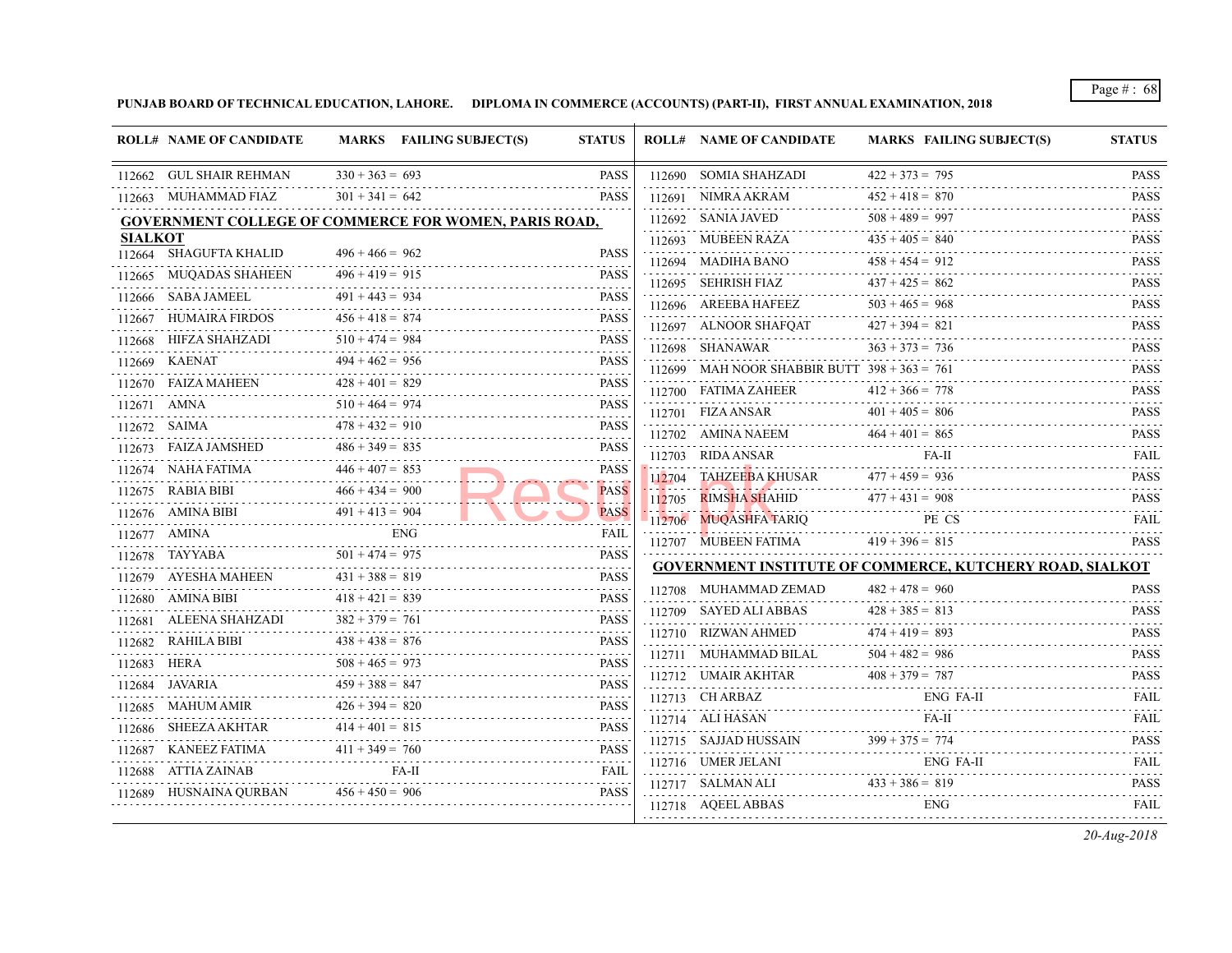| PUNJAB BOARD OF TECHNICAL EDUCATION, LAHORE. DIPLOMA IN COMMERCE (ACCOUNTS) (PART-II), FIRST ANNUAL EXAMINATIO |                          |  |                                   |            |
|----------------------------------------------------------------------------------------------------------------|--------------------------|--|-----------------------------------|------------|
| <b>ROLL# NAME OF CANDIDATE</b>                                                                                 | MARKS FAILING SUBJECT(S) |  | $STATIIS$ ROLL# NAME OF CANDIDATE | MARKS FAIL |

|                | RULL# NAME OF CANDIDATE                                      |                        | MARKS FAILING SUDJECT(S)                                     | 5 IAI US                                            |              | <b>RULL# NAME OF CANDIDATE</b>                 | MARAS FAIL        |
|----------------|--------------------------------------------------------------|------------------------|--------------------------------------------------------------|-----------------------------------------------------|--------------|------------------------------------------------|-------------------|
|                | 112662 GUL SHAIR REHMAN                                      | $330 + 363 = 693$      |                                                              | <b>PASS</b>                                         |              | 112690 SOMIA SHAHZADI                          | $422 + 373 = 795$ |
|                | 112663 MUHAMMAD FIAZ                                         | $301 + 341 = 642$      |                                                              | <b>PASS</b>                                         |              | 112691 NIMRA AKRAM                             | $452 + 418 = 870$ |
|                |                                                              |                        | <b>GOVERNMENT COLLEGE OF COMMERCE FOR WOMEN, PARIS ROAD,</b> |                                                     |              | 112692 SANIA JAVED                             | $508 + 489 = 997$ |
| <b>SIALKOT</b> |                                                              |                        |                                                              |                                                     |              | 112693 MUBEEN RAZA                             | $435 + 405 = 840$ |
|                | 112664 SHAGUFTA KHALID                                       | $496 + 466 = 962$      |                                                              | <b>PASS</b>                                         |              | 112694 MADIHA BANO 458 + 454 =                 | $458 + 454 = 912$ |
|                | 112665 MUQADAS SHAHEEN                                       | $496 + 419 = 915$      |                                                              | <b>PASS</b><br>and a state                          |              | 112695 SEHRISH FIAZ                            | $437 + 425 = 862$ |
|                | 112666 SABA JAMEEL                                           | $491 + 443 = 934$<br>. |                                                              | <b>PASS</b>                                         |              | 112696 AREEBA HAFEEZ                           | $503 + 465 = 968$ |
|                | 112667 HUMAIRA FIRDOS                                        | $456 + 418 = 874$      |                                                              | <b>PASS</b>                                         |              | 112697 ALNOOR SHAFOAT                          | $427 + 394 = 821$ |
|                | 112668 HIFZA SHAHZADI                                        | $510 + 474 = 984$      |                                                              | <b>PASS</b>                                         |              | 112698 SHANAWAR                                | $363 + 373 = 736$ |
|                | 112669 KAENAT                                                | $494 + 462 = 956$<br>. |                                                              | <b>PASS</b>                                         |              | 112699 MAH NOOR SHABBIR BUTT $398 + 363 = 761$ |                   |
|                | 112670 FAIZA MAHEEN<br>112670 FAIZA MAHEEN $428 + 401 = 829$ | $428 + 401 = 829$      |                                                              | <b>PASS</b><br>$\omega$ is a second set of $\omega$ |              | 112700 FATIMA ZAHEER                           | $412 + 366 = 778$ |
|                | 112671 AMNA<br>112671 AMNA $510 + 464 = 974$                 | $510 + 464 = 974$      |                                                              | <b>PASS</b>                                         |              | 112701 FIZA ANSAR                              | $401 + 405 = 806$ |
|                | 112672 SAIMA                                                 | $478 + 432 = 910$<br>. |                                                              | <b>PASS</b><br>2.2.2.2.2.2.3                        |              | 112702 AMINA NAEEM                             | $464 + 401 = 865$ |
|                | 112673 FAIZA JAMSHED                                         | $486 + 349 = 835$      |                                                              | <b>PASS</b>                                         |              | 112703 RIDA ANSAR                              | $FA-II$           |
|                | 112674 NAHA FATIMA                                           | $446 + 407 = 853$      |                                                              | .<br><b>PASS</b>                                    | 112704       | TAHZEEBA KHUSAR                                | $477 + 459 = 936$ |
|                | 112675 RABIA BIBI                                            | $466 + 434 = 900$      |                                                              | <b>PASS</b>                                         | 112705       | RIMSHA SHAHID                                  | $477 + 431 = 908$ |
|                | 112676 AMINA BIBI<br>112676 AMINA BIBI $491 + 413 = 904$     |                        |                                                              | <b>PASS</b>                                         | . . <b>.</b> | 112706 MUQASHFA TARIQ                          | PE C              |
|                | 112677 AMINA                                                 |                        | <b>ENG</b>                                                   | FAIL                                                |              | 112707 MUBEEN FATIMA                           | $419 + 396 = 815$ |
|                | 112678 TAYYABA<br>112678 TAYYABA $501 + 474 = 975$           | $501 + 474 = 975$      |                                                              | <b>PASS</b>                                         |              |                                                |                   |
|                | $112679$ AYESHA MAHEEN                                       | $431 + 388 = 819$      |                                                              | <b>PASS</b>                                         |              | <b>GOVERNMENT INSTITUTE OF COMMERCE.</b>       |                   |
|                | 112680 AMINA BIBI                                            | $418 + 421 = 839$      |                                                              | .<br><b>PASS</b>                                    |              | 112708 MUHAMMAD ZEMAD                          | $482 + 478 = 960$ |
|                | 112681 ALEENA SHAHZADI                                       | $382 + 379 = 761$      |                                                              | -------<br><b>PASS</b>                              |              | 112709 SAYED ALI ABBAS                         | $428 + 385 = 813$ |
|                | 112682 RAHILA BIBI<br>112682 RAHILA BIBI $438 + 438 = 876$   | .<br>$438 + 438 = 876$ |                                                              | .<br><b>PASS</b>                                    |              | 112710 RIZWAN AHMED                            | $474 + 419 = 893$ |
|                | 112683 HERA                                                  | $508 + 465 = 973$      |                                                              | .<br><b>PASS</b>                                    |              | 112711 MUHAMMAD BILAL                          | $504 + 482 = 986$ |
|                | 112684 JAVARIA                                               | $459 + 388 = 847$      |                                                              | <b>PASS</b>                                         |              | 112712 UMAIR AKHTAR                            | $408 + 379 = 787$ |
|                | 112685 MAHUM AMIR                                            | $426 + 394 = 820$      |                                                              | .<br><b>PASS</b>                                    |              | $112713$ CH ARBAZ                              | <b>ENG</b>        |
|                | 112686 SHEEZA AKHTAR                                         | $414 + 401 = 815$      |                                                              | <b>PASS</b>                                         |              | 112714 ALI HASAN                               | FA-II             |
|                | 112687 KANEEZ FATIMA                                         | $411 + 349 = 760$      |                                                              | <b>PASS</b>                                         |              | 112715 SAJJAD HUSSAIN                          | $399 + 375 = 774$ |
|                | 112688 ATTIA ZAINAB                                          |                        | FA-II                                                        | FAIL                                                |              | 112716 UMER JELANI                             | <b>ENG</b>        |
|                |                                                              | $456 + 450 = 906$      |                                                              | <b>PASS</b>                                         |              | 112717 SALMAN ALI $433 + 386 = 819$            |                   |
|                | 112689 HUSNAINA QURBAN                                       |                        |                                                              |                                                     |              | 112718 AQEEL ABBAS                             | <b>ENG</b>        |
|                |                                                              |                        |                                                              |                                                     |              |                                                |                   |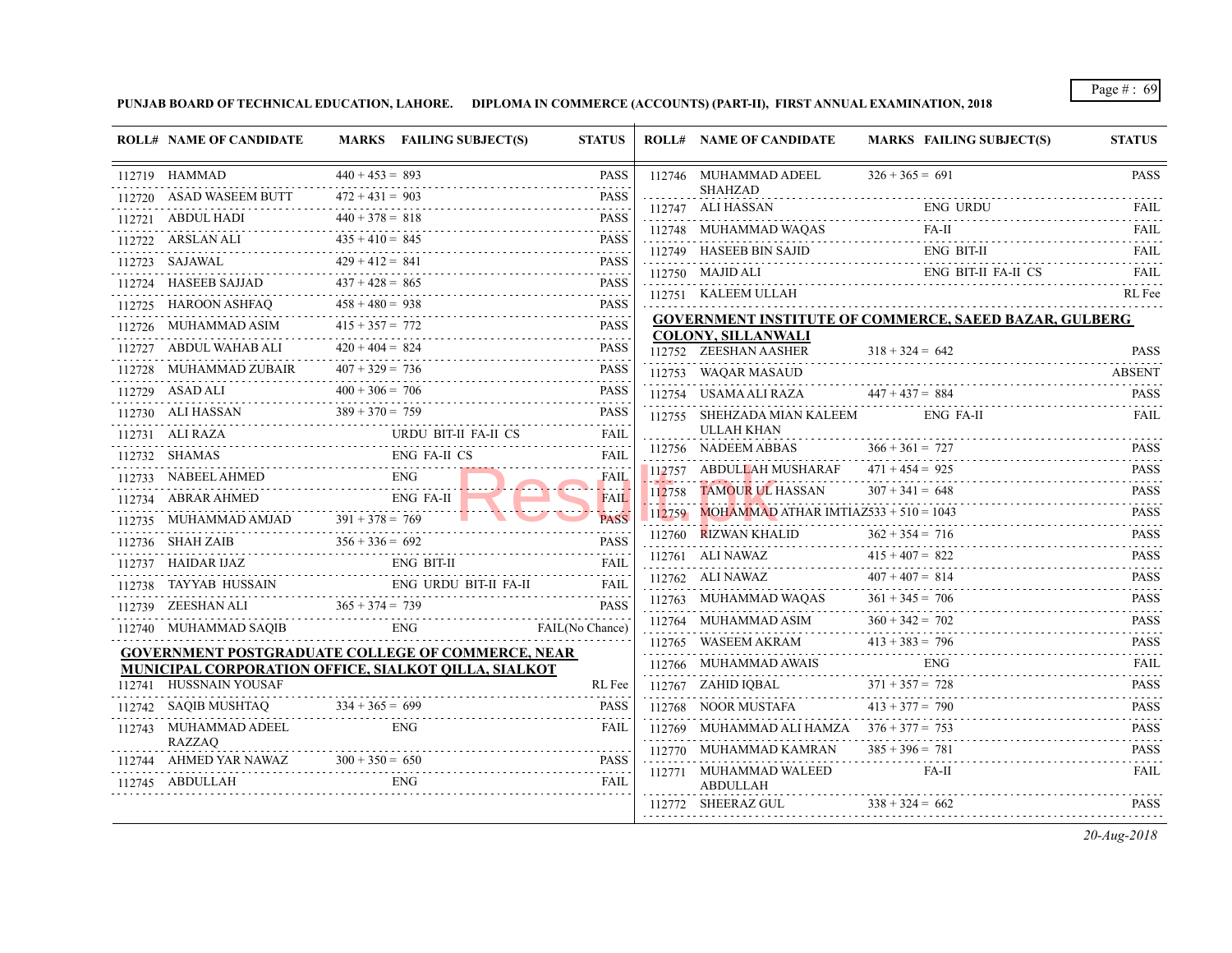| <b>ROLL# NAME OF CANDIDATE</b>                                                            |                   | MARKS FAILING SUBJECT(S)      | <b>STATUS</b>               |        | <b>ROLL# NAME OF CANDIDATE</b>                                        | <b>MARKS FAIL</b>                         |
|-------------------------------------------------------------------------------------------|-------------------|-------------------------------|-----------------------------|--------|-----------------------------------------------------------------------|-------------------------------------------|
| 112719 HAMMAD                                                                             | $440 + 453 = 893$ |                               | <b>PASS</b>                 |        | 112746 MUHAMMAD ADEEL                                                 | $326 + 365 = 691$                         |
| 112720 ASAD WASEEM BUTT                                                                   | $472 + 431 = 903$ |                               | <b>PASS</b>                 |        | <b>SHAHZAD</b><br>112747 ALI HASSAN                                   | <b>ENG</b>                                |
| 112721 ABDUL HADI                                                                         | $440 + 378 = 818$ | $440 + 378 = 818$ PASS        | <b>PASS</b>                 |        |                                                                       | FA-II                                     |
| 112722 ARSLAN ALI $435 + 410 = 845$ PASS                                                  |                   |                               | <b>PASS</b>                 |        | 112748 MUHAMMAD WAQAS FA-I                                            | ENG                                       |
| 112723 SAJAWAL $429 + 412 = 841$ PASS                                                     |                   |                               |                             |        | 112749 HASEEB BIN SAJID ENG<br>112750 MAJID ALI                       | <b>ENG</b>                                |
| 112724 HASEEB SAJJAD $437 + 428 = 865$ PASS                                               |                   |                               |                             |        | 112751 KALEEM ULLAH                                                   |                                           |
| 112725 HAROON ASHFAQ $458 + 480 = 938$<br>112725 HAROON ASHFAQ 458 + 480 = 938 PASS       |                   |                               | <b>PASS</b>                 |        |                                                                       |                                           |
| 112726 MUHAMMAD ASIM                                                                      | $415 + 357 = 772$ | $M$ $415 + 357 = 772$ PASS    | <b>PASS</b>                 |        | <b>GOVERNMENT INSTITUTE OF COMMERCE,</b><br><b>COLONY, SILLANWALI</b> |                                           |
| 112727 ABDUL WAHAB ALI $420 + 404 = 824$                                                  |                   |                               | <b>PASS</b>                 |        | 112752 ZEESHAN AASHER                                                 | $318 + 324 = 642$<br>IER $318 + 324 = 64$ |
| 112728 MUHAMMAD ZUBAIR $407 + 329 = 736$<br>112728 MUHAMMAD ZUBAIR $407 + 329 = 736$ PASS |                   |                               |                             |        | 112753 WAQAR MASAUD                                                   |                                           |
| 112729 ASAD ALI $400 + 306 = 706$                                                         |                   |                               | <b>PASS</b>                 |        | 112754 USAMA ALI RAZA $447 + 437 = 884$                               |                                           |
| 112730 ALI HASSAN $389 + 370 = 759$ PASS                                                  |                   |                               |                             |        | 112755 SHEHZADA MIAN KALEEM                                           | ENG.                                      |
| 112731 ALI RAZA URDU BIT-II FA-II CS FAIL                                                 |                   |                               |                             |        | <b>ULLAH KHAN</b>                                                     |                                           |
| 112732 SHAMAS                                                                             |                   | ENG FA-II CS                  | <b>FAIL</b>                 |        | 112756 NADEEM ABBAS                                                   | $366 + 361 = 727$                         |
| 112733 NABEEL AHMED                                                                       |                   | ENG                           | <b>FAIL</b>                 |        | 112757 ABDULLAH MUSHARAF $471 + 454 = 925$                            |                                           |
| 112734 ABRAR AHMED                                                                        |                   | ENG FA-II                     | <b>FAIL</b>                 | 112758 | TAMOUR UL HASSAN                                                      | $307 + 341 = 648$                         |
| 112735 MUHAMMAD AMJAD 391 + 378 = 769                                                     |                   | .                             | $-2 - 2 - 2$<br><b>PASS</b> |        | $112759$ MOHAMMAD ATHAR IMTIAZ533 + 510 = 104                         |                                           |
| 112736 SHAH ZAIB                                                                          | $356 + 336 = 692$ |                               | <b>PASS</b>                 |        | 112760 RIZWAN KHALID $362 + 354 = 716$                                |                                           |
| 112737 HAIDAR IJAZ<br>\Z ENG BIT-II                                                       |                   |                               | <b>FAIL</b>                 |        | 112761 ALI NAWAZ $415 + 407 = 822$                                    |                                           |
|                                                                                           |                   |                               |                             |        | 112762 ALI NAWAZ $407 + 407 = 814$                                    |                                           |
| 112739 ZEESHAN ALI<br>112739 ZEESHAN ALI $365 + 374 = 739$ PASS                           | $365 + 374 = 739$ |                               |                             |        | 112763 MUHAMMAD WAQAS                                                 | $361 + 345 = 706$                         |
| 112740 MUHAMMAD SAQIB                                                                     |                   | ENG FAIL(No Chance)           |                             |        | 112764 MUHAMMAD ASIM                                                  | $360 + 342 = 702$                         |
| <b>GOVERNMENT POSTGRADUATE COLLEGE OF COMMERCE, NEAR</b>                                  |                   |                               |                             |        | 112765 WASEEM AKRAM $413 + 383 = 796$                                 |                                           |
| MUNICIPAL CORPORATION OFFICE, SIALKOT QILLA, SIALKOT                                      |                   |                               |                             |        | 112766 MUHAMMAD AWAIS                                                 | <b>ENG</b>                                |
| 112741 HUSSNAIN YOUSAF                                                                    |                   |                               | RL Fee                      |        | 112767 ZAHID IQBAL $371 + 357 = 728$                                  |                                           |
| 112742 SAQIB MUSHTAQ                                                                      |                   | $HIAQ$ $334 + 365 = 699$ PASS | <b>PASS</b>                 |        | 112768 NOOR MUSTAFA $413 + 377 = 790$                                 |                                           |
| 112743 MUHAMMAD ADEEL                                                                     |                   | ENG.                          | FAIL                        |        | 112769 MUHAMMAD ALI HAMZA $376 + 377 = 753$                           |                                           |
| <b>RAZZAO</b><br>112744 AHMED YAR NAWAZ $300 + 350 = 650$                                 |                   |                               | <b>PASS</b>                 |        | 112770 MUHAMMAD KAMRAN                                                | $385 + 396 = 781$                         |
| 112745 ABDULLAH                                                                           |                   | <b>ENG</b>                    | <b>FAIL</b>                 |        | 112771 MUHAMMAD WALEED<br>ABDULLAH                                    | FA-II                                     |
|                                                                                           |                   |                               |                             |        | 112772 SHEERAZ GUL $338 + 324 = 662$                                  |                                           |
|                                                                                           |                   |                               |                             |        |                                                                       |                                           |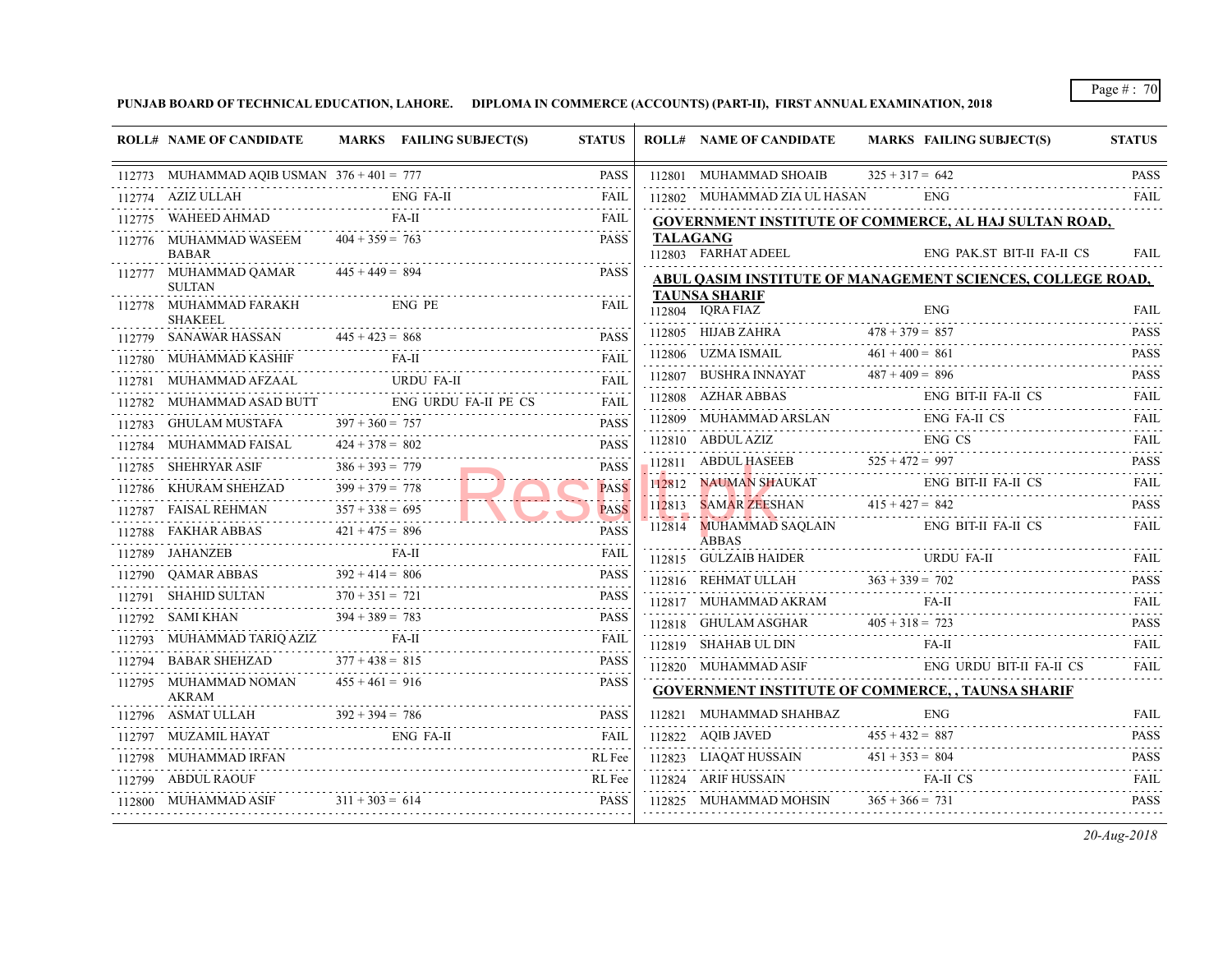| <b>ROLL# NAME OF CANDIDATE</b>                                                                                                     | MARKS FAILING SUBJECT(S) | <b>STATUS</b>                     |                 | <b>ROLL# NAME OF CANDIDATE</b>                                                                                                                           | <b>MARKS FAIL</b> |
|------------------------------------------------------------------------------------------------------------------------------------|--------------------------|-----------------------------------|-----------------|----------------------------------------------------------------------------------------------------------------------------------------------------------|-------------------|
| 112773 MUHAMMAD AQIB USMAN $376 + 401 = 777$                                                                                       |                          | <b>PASS</b>                       |                 | 112801 MUHAMMAD SHOAIB                                                                                                                                   | $325 + 317 = 642$ |
| 112774 AZIZ ULLAH                                                                                                                  | ENG FA-II                | <b>FAIL</b>                       |                 | 112802 MUHAMMAD ZIA UL HASAN                                                                                                                             | ENG I             |
| 112775 WAHEED AHMAD                                                                                                                | FA-II                    | FAIL                              |                 | <b>GOVERNMENT INSTITUTE OF COMMERCE,</b>                                                                                                                 |                   |
| 112776 MUHAMMAD WASEEM $404 + 359 = 763$<br><b>BABAR</b>                                                                           |                          | PASS                              | <b>TALAGANG</b> | 112803 FARHAT ADEEL<br>.                                                                                                                                 | ENG I             |
| 112777 MUHAMMAD QAMAR $445 + 449 = 894$<br><b>SULTAN</b>                                                                           |                          | PASS                              |                 | <b>ABUL QASIM INSTITUTE OF MANAGEMENT</b><br>TAUNSA SHARIF                                                                                               |                   |
| 112778 MUHAMMAD FARAKH<br><b>SHAKEEL</b>                                                                                           | ENG PE                   | FAIL                              |                 | 112804 IQRA FIAZ<br>$\begin{tabular}{llllll} \bf 112804 & IQRA FIAZ & \tt ENG \\ \hline 112805 & \tt HIJAB ZAHRA & \tt 478 + 379 = 857 \\ \end{tabular}$ | ENG.              |
| 112779 SANAWAR HASSAN $445 + 423 = 868$                                                                                            |                          | PASS<br>AN $445 + 423 = 868$ PASS |                 |                                                                                                                                                          |                   |
| 112780 MUHAMMAD KASHIF FA-II FAIL FAIL FAIL                                                                                        |                          |                                   |                 | 112806 UZMA ISMAIL $461 + 400 = 861$                                                                                                                     |                   |
| 112781 MUHAMMAD AFZAAL URDU FA-II FAIL FAIL                                                                                        |                          |                                   |                 | 112807 BUSHRA INNAYAT $487 + 409 = 896$                                                                                                                  |                   |
| 112782 MUHAMMAD ASAD BUTT ENG URDU FA-II PE CS FAIL                                                                                |                          |                                   |                 | $112808$ AZHAR ABBAS                                                                                                                                     | ENG I             |
| 112783 GHULAM MUSTAFA $397 + 360 = 757$                                                                                            |                          | <b>PASS</b>                       |                 | 112809 MUHAMMAD ARSLAN                                                                                                                                   | ENG I             |
| 112784 MUHAMMAD FAISAL $424 + 378 = 802$                                                                                           |                          | <b>PASS</b>                       |                 | 112810 ABDUL AZIZ                                                                                                                                        | ENG.              |
| 112785 SHEHRYAR ASIF $386 + 393 = 779$                                                                                             |                          | <b>PASS</b>                       |                 | 112811 ABDUL HASEEB $525 + 472 = 997$                                                                                                                    |                   |
| 112786 KHURAM SHEHZAD $399 + 379 = 778$                                                                                            |                          | <b>PASS</b>                       |                 | 112812 NAUMAN SHAUKAT<br><u> 1990au - 1990au - 1990au - 1990au - 1990au - 1990au - 1990au - 1990au - 1990au - 1990au - 1990au - 1990au - 19</u>          | ENG.              |
| 112787 FAISAL REHMAN $357 + 338 = 695$                                                                                             |                          | <b>PASS</b>                       |                 | 112813 SAMAR ZEESHAN $415 + 427 = 842$                                                                                                                   |                   |
| 112788 FAKHAR ABBAS $421 + 475 = 896$                                                                                              |                          | <b>PASS</b>                       |                 | $112814$ MUHAMMAD SAQLAIN<br><b>ABBAS</b>                                                                                                                | <b>ENG</b>        |
| 112789 JAHANZEB FA-II FAIL FAIL                                                                                                    |                          |                                   |                 | 112815 GULZAIB HAIDER UI                                                                                                                                 | <b>URDI</b>       |
| 112790 QAMAR ABBAS $392 + 414 = 806$ PASS                                                                                          |                          |                                   |                 | 112816 REHMAT ULLAH $363 + 339 = 702$                                                                                                                    |                   |
| 112791 SHAHID SULTAN $370 + 351 = 721$ PASS                                                                                        |                          | <b>PASS</b>                       |                 | 112817 MUHAMMAD AKRAM                                                                                                                                    | FA-II             |
| 112792 SAMI KHAN $394 + 389 = 783$                                                                                                 |                          | $394 + 389 = 783$ PASS            |                 | 112818 GHULAM ASGHAR $405 + 318 = 723$                                                                                                                   |                   |
| 112793 MUHAMMAD TARIQ AZIZ FA-II                                                                                                   |                          |                                   |                 | 112819 SHAHAB UL DIN                                                                                                                                     | FA-II             |
| 112794 BABAR SHEHZAD $377 + 438 = 815$                                                                                             |                          | <b>PASS</b>                       |                 | 112820 MUHAMMAD ASIF                                                                                                                                     | ENG               |
| 112795 MUHAMMAD NOMAN $455 + 461 = 916$<br><b>AKRAM</b>                                                                            |                          | PASS                              |                 | <b>GOVERNMENT INSTITUTE OF COMMERCE,</b>                                                                                                                 |                   |
| 112796 ASMAT ULLAH $392 + 394 = 786$                                                                                               |                          | <b>PASS</b>                       |                 | 112821 MUHAMMAD SHAHBAZ                                                                                                                                  | <b>ENG</b>        |
| $\begin{tabular}{lllllllll} \bf 112797 & MUZAMIL HAYAT & \textbf{ENG FA-II} & \textbf{FAIL} \\ \bf \textcolor{red}{\end{tabular}}$ |                          |                                   |                 | 112822 AQIB JAVED $455 + 432 = 887$                                                                                                                      |                   |
| 112798 MUHAMMAD IRFAN                                                                                                              |                          |                                   |                 | 112823 LIAQAT HUSSAIN $451 + 353 = 804$                                                                                                                  |                   |
| 112799 ABDUL RAOUF                                                                                                                 |                          | RL Fee                            |                 | 112824 ARIF HUSSAIN                                                                                                                                      | FA-II             |
| 112800 MUHAMMAD ASIF $311 + 303 = 614$                                                                                             |                          | PASS                              |                 | 112825 MUHAMMAD MOHSIN $365 + 366 = 731$                                                                                                                 |                   |
|                                                                                                                                    |                          |                                   |                 |                                                                                                                                                          |                   |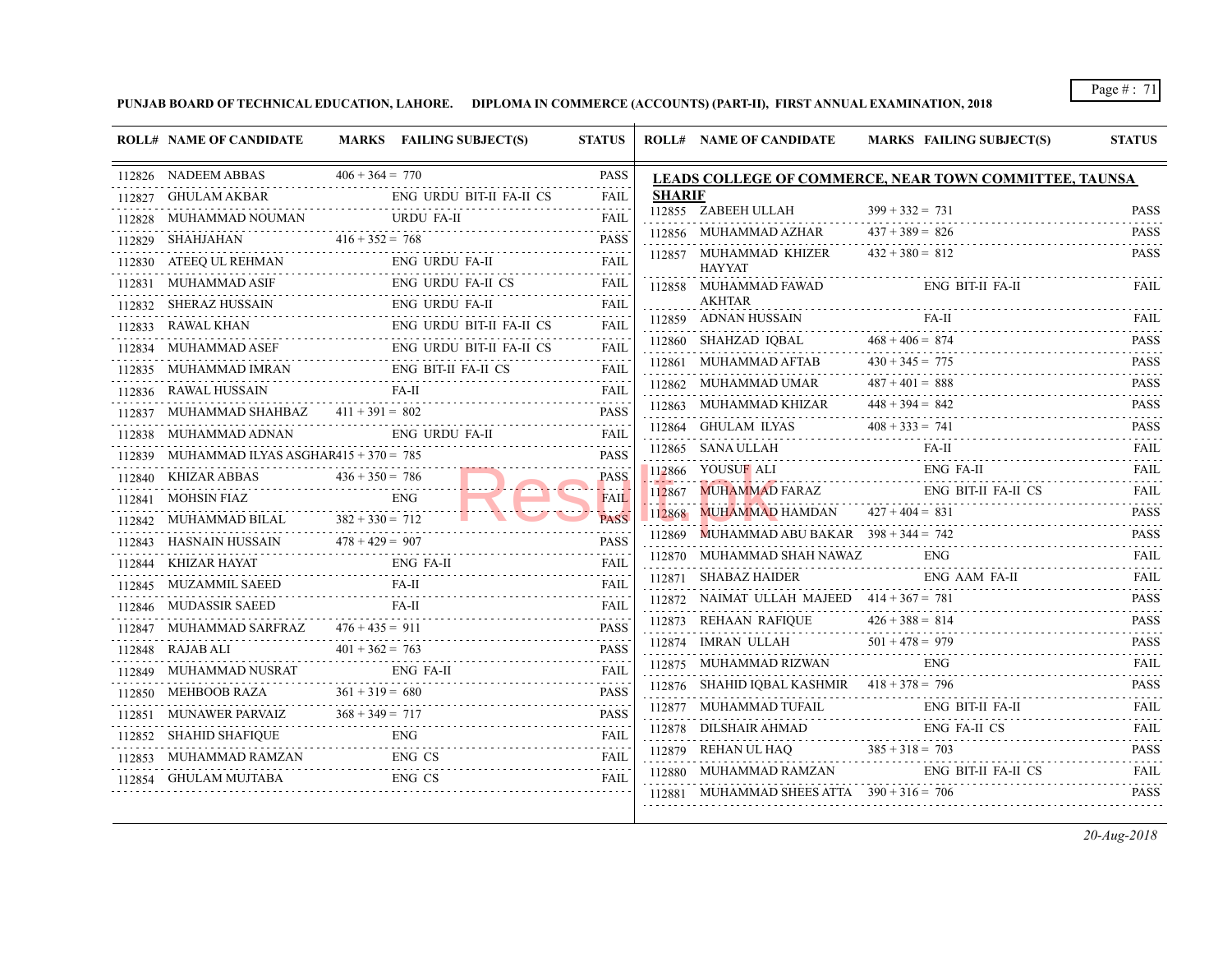| <b>ROLL# NAME OF CANDIDATE</b>              |       | MARKS FAILING SUBJECT(S)                                                                                                                                                                                                                                                                                                                                                                                                                                                             | <b>STATUS</b>                  |        | <b>ROLL# NAME OF CANDIDATE</b>                | <b>MARKS FAIL</b> |
|---------------------------------------------|-------|--------------------------------------------------------------------------------------------------------------------------------------------------------------------------------------------------------------------------------------------------------------------------------------------------------------------------------------------------------------------------------------------------------------------------------------------------------------------------------------|--------------------------------|--------|-----------------------------------------------|-------------------|
|                                             |       | $112826$ NADEEM ABBAS $406 + 364 = 770$ PASS                                                                                                                                                                                                                                                                                                                                                                                                                                         | <b>PASS</b>                    |        | <b>LEADS COLLEGE OF COMMERCE, NEAR TO</b>     |                   |
| 112827 GHULAM AKBAR                         |       | ENG URDU BIT-II FA-II CS                                                                                                                                                                                                                                                                                                                                                                                                                                                             | FAIL                           | SHARIF |                                               |                   |
|                                             |       | 112828 MUHAMMAD NOUMAN URDU FA-II FAIL FAIL                                                                                                                                                                                                                                                                                                                                                                                                                                          | FAIL                           |        | 112855 ZABEEH ULLAH                           | $399 + 332 = 731$ |
|                                             |       | 112829 SHAHJAHAN $416 + 352 = 768$ PASS                                                                                                                                                                                                                                                                                                                                                                                                                                              |                                |        | 112856 MUHAMMAD AZHAR                         | $437 + 389 = 826$ |
| 112830 ATEEQ UL REHMAN ENG URDU F           |       | ENG URDU FA-II                                                                                                                                                                                                                                                                                                                                                                                                                                                                       | FAIL                           |        | 112857 MUHAMMAD KHIZER<br><b>HAYYAT</b>       | $432 + 380 = 812$ |
| 112831 MUHAMMAD ASIF                        |       |                                                                                                                                                                                                                                                                                                                                                                                                                                                                                      |                                |        | 112858 MUHAMMAD FAWAD                         | <b>ENG</b>        |
|                                             |       | 112832 SHERAZ HUSSAIN ENG URDU FA-II FAIL FAIL                                                                                                                                                                                                                                                                                                                                                                                                                                       |                                |        | AKHTAR                                        |                   |
| V ENG URDU<br>112833 RAWAL KHAN             |       | ENG URDU BIT-II FA-II CS                                                                                                                                                                                                                                                                                                                                                                                                                                                             | FAIL                           |        | 112859 ADNAN HUSSAIN                          | - FA-III          |
|                                             |       | $\begin{tabular}{lllllllllll} \bf 112834 & \bf MUHAMMAD ASEF & \bf ENG & \bf URDU & \bf BIT-II & \bf FA-II & \bf CS \\ \bf \ldots & \bf \ldots & \bf \ldots & \bf \ldots & \bf \ldots & \bf \ldots & \bf \ldots & \bf \ldots & \bf \ldots & \bf \ldots & \bf \ldots & \bf \ldots & \bf \ldots & \bf \ldots & \bf \ldots & \bf \ldots & \bf \ldots & \bf \ldots & \bf \ldots & \bf \ldots & \bf \ldots & \bf \ldots & \bf \ldots & \bf \ldots & \bf \ldots & \bf \ldots & \bf \ldots$ | FAIL                           |        | 112860 SHAHZAD IQBAL $468 + 406 = 874$        |                   |
|                                             |       | $\begin{tabular}{lllllllll} \bf 112835 & \text{MUHAMMAD IMRAN} & \text{ENG BIT-II FA-II CS} & \text{FAIL} \\ \hline \end{tabular}$                                                                                                                                                                                                                                                                                                                                                   | $- - - - - -$                  |        | 112861 MUHAMMAD AFTAB $430 + 345 = 775$       |                   |
| 112836 RAWAL HUSSAIN                        | FA-II | 112836 RAWAL HUSSAIN FA-II FAIL FAIL                                                                                                                                                                                                                                                                                                                                                                                                                                                 |                                |        | 112862 MUHAMMAD UMAR $487 + 401 = 888$        |                   |
| 112837 MUHAMMAD SHAHBAZ $411 + 391 = 802$   |       |                                                                                                                                                                                                                                                                                                                                                                                                                                                                                      | <b>PASS</b>                    |        | 112863 MUHAMMAD KHIZAR $448 + 394 = 842$      |                   |
| 112838 MUHAMMAD ADNAN                       |       | N ENGURDU FA-II FAIL                                                                                                                                                                                                                                                                                                                                                                                                                                                                 |                                |        | 112864 GHULAM ILYAS $408 + 333 = 741$         |                   |
| 112839 MUHAMMAD ILYAS ASGHAR415 + 370 = 785 |       |                                                                                                                                                                                                                                                                                                                                                                                                                                                                                      | <b>PASS</b>                    |        | 112865 SANA ULLAH FA                          | FA-II             |
| 112840 KHIZAR ABBAS $436 + 350 = 786$       |       |                                                                                                                                                                                                                                                                                                                                                                                                                                                                                      | <b>PASS</b>                    |        | 112866 YOUSUF ALI                             | ENG.              |
| 112841 MOHSIN FIAZ                          |       | ENG<br><b>Contract Contract Contract Contract</b>                                                                                                                                                                                                                                                                                                                                                                                                                                    | .<br><b>FAIL</b>               |        | 112867 MUHAMMAD FARAZ                         | <b>ENG</b>        |
| 112842 MUHAMMAD BILAL $382 + 330 = 712$     |       |                                                                                                                                                                                                                                                                                                                                                                                                                                                                                      | <b>A. A. A.</b><br><b>PASS</b> |        | 112868 MUHAMMAD HAMDAN $427 + 404 = 831$      |                   |
|                                             |       | 112843 HASNAIN HUSSAIN $478 + 429 = 907$                                                                                                                                                                                                                                                                                                                                                                                                                                             | <b>PASS</b>                    |        | 112869 MUHAMMAD ABU BAKAR $398 + 344 = 742$   |                   |
|                                             |       |                                                                                                                                                                                                                                                                                                                                                                                                                                                                                      |                                |        | 112870 MUHAMMAD SHAH NAWAZ                    | ENG.              |
|                                             |       | 112845 MUZAMMIL SAEED FA-II FAIL FAIL                                                                                                                                                                                                                                                                                                                                                                                                                                                |                                |        | 112871 SHABAZ HAIDER                          | <b>ENG</b>        |
| 112846 MUDASSIR SAEED FA-II                 |       |                                                                                                                                                                                                                                                                                                                                                                                                                                                                                      | FAIL                           |        | 112872 NAIMAT ULLAH MAJEED $414 + 367 = 781$  |                   |
|                                             |       | 112847 MUHAMMAD SARFRAZ $476 + 435 = 911$ PASS                                                                                                                                                                                                                                                                                                                                                                                                                                       |                                |        | 112873 REHAAN RAFIQUE $426 + 388 = 814$       |                   |
|                                             |       | 112848 RAJAB ALI $401 + 362 = 763$ PASS                                                                                                                                                                                                                                                                                                                                                                                                                                              | <b>PASS</b>                    |        | 112874 IMRAN ULLAH $501 + 478 = 979$          |                   |
|                                             |       | 112849 MUHAMMAD NUSRAT ENG FA-II FAIL FAIL                                                                                                                                                                                                                                                                                                                                                                                                                                           | FAIL                           |        | 112875 MUHAMMAD RIZWAN                        | ENG I             |
|                                             |       | 112850 MEHBOOB RAZA $361 + 319 = 680$ PASS                                                                                                                                                                                                                                                                                                                                                                                                                                           | <b>PASS</b>                    |        | 112876 SHAHID IOBAL KASHMIR $418 + 378 = 796$ |                   |
| 112851 MUNAWER PARVAIZ $368 + 349 = 717$    |       | PARVAIZ $368 + 349 = 717$ PASS                                                                                                                                                                                                                                                                                                                                                                                                                                                       | <b>PASS</b>                    |        | 112877 MUHAMMAD TUFAIL EN                     | ENG I             |
| 112852 SHAHID SHAFIQUE                      |       | ENG FAIL                                                                                                                                                                                                                                                                                                                                                                                                                                                                             |                                |        | $112878$ DILSHAIR AHMAD ENC                   | <b>ENG</b>        |
|                                             |       | 112853 MUHAMMAD RAMZAN ENG CS FAIL                                                                                                                                                                                                                                                                                                                                                                                                                                                   | FAIL                           |        | 112879 REHAN UL HAQ $385 + 318 = 703$         |                   |
| 112854 GHULAM MUJTABA                       |       | ENG CS                                                                                                                                                                                                                                                                                                                                                                                                                                                                               | FAIL                           |        | 112880 MUHAMMAD RAMZAN                        | ENG I             |
|                                             |       |                                                                                                                                                                                                                                                                                                                                                                                                                                                                                      |                                |        | 112881 MUHAMMAD SHEES ATTA $390 + 316 = 706$  |                   |
|                                             |       |                                                                                                                                                                                                                                                                                                                                                                                                                                                                                      |                                |        |                                               |                   |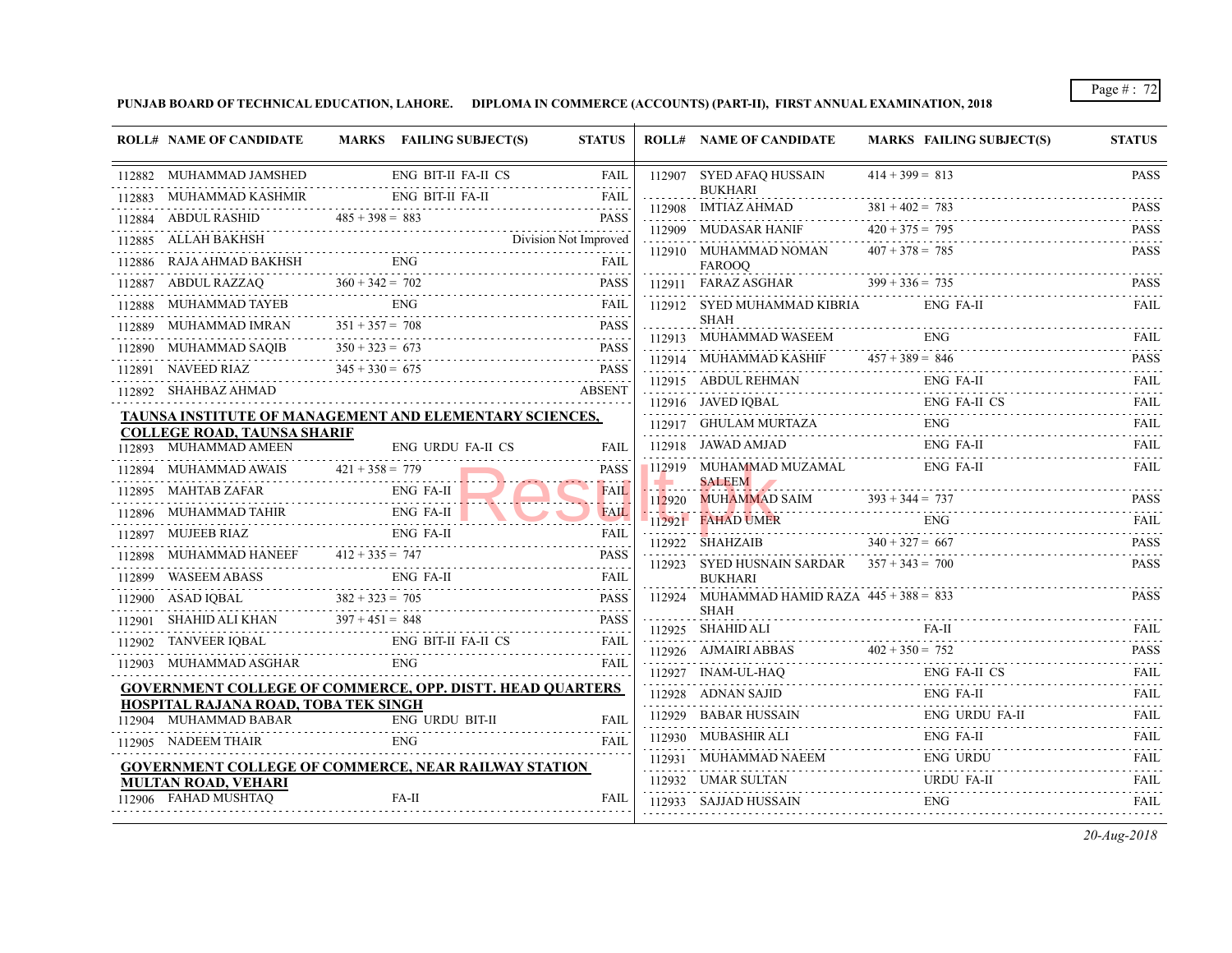| <b>ROLL# NAME OF CANDIDATE</b>                                                                              | MARKS FAILING SUBJECT(S)                                                                                                                                                                        | <b>STATUS</b>                    | <b>ROLL# NAME OF CANDIDATE</b>                              | <b>MARKS FAIL</b>        |
|-------------------------------------------------------------------------------------------------------------|-------------------------------------------------------------------------------------------------------------------------------------------------------------------------------------------------|----------------------------------|-------------------------------------------------------------|--------------------------|
| 112882 MUHAMMAD JAMSHED                                                                                     |                                                                                                                                                                                                 | ENG BIT-II FA-II CS FAIL<br>FAIL | 112907 SYED AFAQ HUSSAIN                                    | $414 + 399 = 813$        |
|                                                                                                             | $\begin{tabular}{lllllllll} \bf 112883 & MUHAMMAD KASHMIR & \multicolumn{3}{l} {\bf ENG BIT-II FA-II} & \multicolumn{3}{l} {\bf FAIL} & \multicolumn{3}{l} {\bf FAIL} \\ \hline \end{tabular}$  |                                  | <b>BUKHARI</b>                                              |                          |
|                                                                                                             | 112884 ABDUL RASHID $485 + 398 = 883$ PASS                                                                                                                                                      |                                  | 112908 IMTIAZ AHMAD                                         | $381 + 402 = 783$        |
| 112885 ALLAH BAKHSH                                                                                         | I<br>Division Not Improved                                                                                                                                                                      |                                  | 112909 MUDASAR HANIF $420 + 375 = 795$                      |                          |
|                                                                                                             | $\underbrace{\text{FAI}}_{112886} \quad \text{RAJA AHMAD BAKHSH} \qquad \qquad \text{ENG} \qquad \qquad \text{FAIL}$                                                                            |                                  | 112910 MUHAMMAD NOMAN $407 + 378 = 785$<br><b>FAROOO</b>    |                          |
|                                                                                                             | 112887 ABDUL RAZZAQ $360 + 342 = 702$ PASS                                                                                                                                                      |                                  | 112911 FARAZ ASGHAR $399 + 336 = 735$                       |                          |
|                                                                                                             | $\begin{tabular}{lllllllll} \bf 112888 & \text{MUHAMMAD TAYEB} & \text{ENG} & \text{FAIL} \\ \hline \end{tabular}$                                                                              |                                  | 112912 SYED MUHAMMAD KIBRIA                                 | <b>ENG</b>               |
|                                                                                                             | 112889 MUHAMMAD IMRAN $351 + 357 = 708$ PASS                                                                                                                                                    |                                  | <b>SHAH</b><br>112913 MUHAMMAD WASEEM                       | <b>ENG</b>               |
|                                                                                                             | 112890 MUHAMMAD SAQIB $350 + 323 = 673$ PASS                                                                                                                                                    |                                  |                                                             |                          |
|                                                                                                             | 112891 NAVEED RIAZ $345 + 330 = 675$ PASS PASS                                                                                                                                                  |                                  | 112914 MUHAMMAD KASHIF $457 + 389 = 846$                    | <b>ENG</b>               |
|                                                                                                             | $\underbrace{\text{ABSENT}}_{\text{---}} \underbrace{\text{ABHABAZ AHMAD}}_{\text{---}} \underbrace{\text{ABSENT}}_{\text{---}}$                                                                |                                  | 112915 ABDUL REHMAN ENG<br>112916 JAVED IOBAL               | <b>ENG</b>               |
|                                                                                                             | TAUNSA INSTITUTE OF MANAGEMENT AND ELEMENTARY SCIENCES,                                                                                                                                         |                                  |                                                             |                          |
| <b>COLLEGE ROAD, TAUNSA SHARIF</b>                                                                          |                                                                                                                                                                                                 |                                  | 112917 GHULAM MURTAZA ENG                                   | <b>ENG</b><br><b>ENG</b> |
| 112893 MUHAMMAD AMEEN                                                                                       | ENG URDU FA-II CS                                                                                                                                                                               | <b>FAIL</b>                      | $112918$ JAWAD AMJAD $ENG$<br>112919 MUHAMMAD MUZAMAL       | <b>ENG</b>               |
|                                                                                                             | 112894 MUHAMMAD AWAIS $421 + 358 = 779$                                                                                                                                                         | PASS                             | <b>SALEEM</b>                                               |                          |
| 112895 MAHTAB ZAFAR ENG FA-II                                                                               | ENG FA-II                                                                                                                                                                                       | <b>FAIL</b><br>.                 | 112920 MUHAMMAD SAIM 393 + 344 = 737                        |                          |
| $\begin{tabular}{ll} 112896 & MUHAMMAD TAHIR & \textbf{\textcolor{red}{EMG FA-II}} \\ \hline \end{tabular}$ |                                                                                                                                                                                                 | <b>FAIL</b>                      | $E$ 112921 FAHAD UMER                                       | <b>ENG</b>               |
| 112897 MUJEEB RIAZ                                                                                          | ENG FA-II FAIL<br>AZ ENG FA-II FAIL                                                                                                                                                             | FAIL                             | 112922 SHAHZAIB $340 + 327 = 667$                           |                          |
|                                                                                                             | 112898 MUHAMMAD HANEEF $412 + 335 = 747$ PASS                                                                                                                                                   |                                  | 112923 SYED HUSNAIN SARDAR $357 + 343 = 700$                |                          |
|                                                                                                             | $\underbrace{112899\quad \text{WASEEM ABASS}}_{112900\quad \text{ASAD IQBAL}} \underbrace{\text{ENG FA-II}}_{382+323=705} \underbrace{\text{PAS}}_{705} \underbrace{\text{PASS}}_{\text{PASS}}$ |                                  | <b>BUKHARI</b>                                              |                          |
|                                                                                                             |                                                                                                                                                                                                 |                                  | 112924 MUHAMMAD HAMID RAZA $445 + 388 = 833$<br><b>SHAH</b> |                          |
|                                                                                                             | 112901 SHAHID ALI KHAN $397 + 451 = 848$ PASS                                                                                                                                                   |                                  | $112925$ SHAHID ALI                                         | FA-II                    |
|                                                                                                             | 112902 TANVEER IQBAL ENG BIT-II FA-II CS FAIL                                                                                                                                                   |                                  | 112926 AJMAIRI ABBAS $402 + 350 = 752$                      |                          |
| 112903 MUHAMMAD ASGHAR                                                                                      | ENG                                                                                                                                                                                             | FAIL                             | $112927$ INAM-UL-HAQ ENC                                    | <b>ENG</b>               |
|                                                                                                             | <b>GOVERNMENT COLLEGE OF COMMERCE, OPP. DISTT. HEAD QUARTERS</b>                                                                                                                                | $112928$ ADNAN SAJID             | <b>ENG</b>                                                  |                          |
| HOSPITAL RAJANA ROAD, TOBA TEK SINGH<br>112904 MUHAMMAD BABAR                                               | <b>ENG URDU BIT-II</b>                                                                                                                                                                          | <b>FAIL</b>                      | 112929 BABAR HUSSAIN ENG                                    | <b>ENG</b>               |
| 112905 NADEEM THAIR                                                                                         | ENG                                                                                                                                                                                             | <b>FAIL</b>                      | 112930 MUBASHIR ALI ENG<br>112930 MUBASHIR ALI              | <b>ENG</b>               |
|                                                                                                             | <b>GOVERNMENT COLLEGE OF COMMERCE, NEAR RAILWAY STATION</b>                                                                                                                                     | $112931$ MUHAMMAD NAEEM          | <b>ENG</b>                                                  |                          |
| <b>MULTAN ROAD, VEHARI</b>                                                                                  |                                                                                                                                                                                                 |                                  | 112932 UMAR SULTAN UR                                       | <b>URD</b>               |
| 112906 FAHAD MUSHTAQ                                                                                        | FA-II                                                                                                                                                                                           | FAIL                             | $112933$ SAJJAD HUSSAIN ENG                                 | <b>ENG</b>               |
|                                                                                                             |                                                                                                                                                                                                 |                                  |                                                             |                          |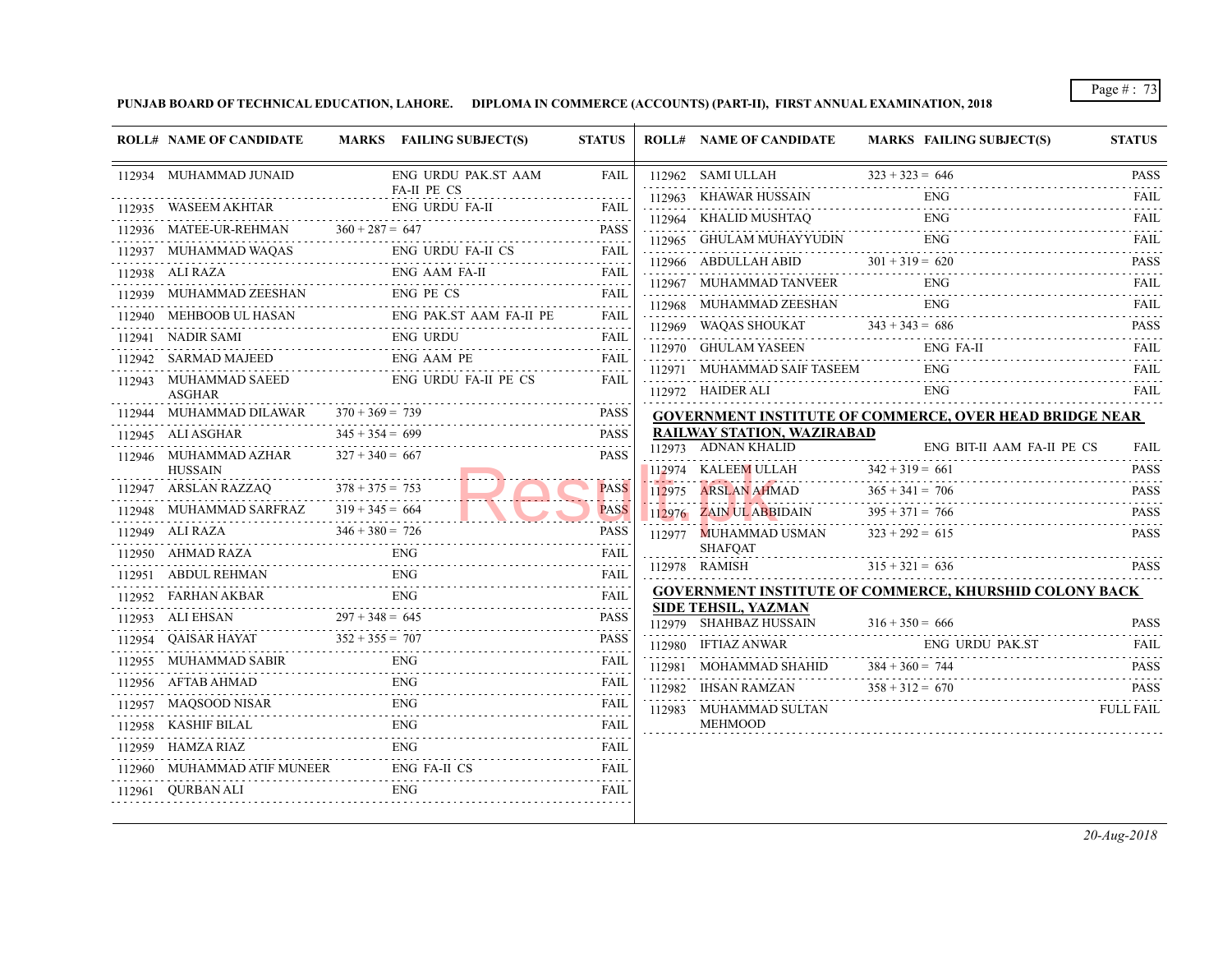| <b>ROLL# NAME OF CANDIDATE</b>                                                                                                                                                                                                                                                                                                                                                                                                                                                           | MARKS FAILING SUBJECT(S)              | <b>STATUS</b>   | <b>ROLL# NAME OF CANDIDATE</b>                                                             | <b>MARKS FAIL</b> |
|------------------------------------------------------------------------------------------------------------------------------------------------------------------------------------------------------------------------------------------------------------------------------------------------------------------------------------------------------------------------------------------------------------------------------------------------------------------------------------------|---------------------------------------|-----------------|--------------------------------------------------------------------------------------------|-------------------|
| 112934 MUHAMMAD JUNAID                                                                                                                                                                                                                                                                                                                                                                                                                                                                   | ENG URDU PAK.ST AAM                   | FAIL            | 112962 SAMI ULLAH                                                                          | $323 + 323 = 646$ |
| 112935 WASEEM AKHTAR                                                                                                                                                                                                                                                                                                                                                                                                                                                                     | FA-II PE CS<br><b>ENG URDU FA-II</b>  | <u>.</u>        | 112963 KHAWAR HUSSAIN                                                                      | ENG.              |
| 112936 MATEE-UR-REHMAN $360 + 287 = 647$                                                                                                                                                                                                                                                                                                                                                                                                                                                 |                                       | <b>PASS</b>     | 112964 KHALID MUSHTAQ                                                                      | <b>ENG</b>        |
|                                                                                                                                                                                                                                                                                                                                                                                                                                                                                          |                                       |                 | 112965 GHULAM MUHAYYUDIN                                                                   | ENG.              |
|                                                                                                                                                                                                                                                                                                                                                                                                                                                                                          |                                       | FAIL            | 112966 ABDULLAH ABID $301 + 319 = 620$                                                     |                   |
| 112938 ALI RAZA ENG AAM FA-II FAIL FAIL                                                                                                                                                                                                                                                                                                                                                                                                                                                  |                                       |                 | 112967 MUHAMMAD TANVEER                                                                    | <b>ENG</b>        |
| 112939 MUHAMMAD ZEESHAN E                                                                                                                                                                                                                                                                                                                                                                                                                                                                | ENG PE CS<br>ENG PAK.ST AAM FA-II PE  | FAIL<br>.       | 112968 MUHAMMAD ZEESHAN                                                                    | <b>ENG</b>        |
|                                                                                                                                                                                                                                                                                                                                                                                                                                                                                          |                                       | <b>FAIL</b>     | 112969 WAQAS SHOUKAT $343 + 343 = 686$                                                     |                   |
| 112941 NADIR SAMI                                                                                                                                                                                                                                                                                                                                                                                                                                                                        |                                       | FAIL            | 112970 GHULAM YASEEN ENG                                                                   | <b>ENG</b>        |
| $\begin{tabular}{lllllllll} \bf 112942 & \texttt{SARMAD MAJEED} & \texttt{ENG AAM PE} & \texttt{FAIL} \end{tabular}$                                                                                                                                                                                                                                                                                                                                                                     |                                       |                 | 112971 MUHAMMAD SAIF TASEEM                                                                | <b>ENG</b>        |
| 112943 MUHAMMAD SAEED<br>ASGHAR                                                                                                                                                                                                                                                                                                                                                                                                                                                          | ENG URDU FA-II PE CS                  | FAIL            | 112972 HAIDER ALI<br>112972 HAIDER ALI ENC                                                 | <b>ENG</b>        |
| 112944 MUHAMMAD DILAWAR $370 + 369 = 739$                                                                                                                                                                                                                                                                                                                                                                                                                                                |                                       | PASS            | <b>GOVERNMENT INSTITUTE OF COMMERCE,</b>                                                   |                   |
| 112945 ALI ASGHAR                                                                                                                                                                                                                                                                                                                                                                                                                                                                        | $345 + 354 = 699$                     | <b>PASS</b>     | <b>RAILWAY STATION, WAZIRABAD</b>                                                          |                   |
| 112946 MUHAMMAD AZHAR $327 + 340 = 667$<br>HUSSAIN                                                                                                                                                                                                                                                                                                                                                                                                                                       |                                       | <b>PASS</b>     | 112973 ADNAN KHALID<br>112974 KALEEM ULLAH $342 + 319 = 661$                               | <b>ENG</b>        |
| 112947 ARSLAN RAZZAQ $378 + 375 = 753$                                                                                                                                                                                                                                                                                                                                                                                                                                                   |                                       | <b>PASS</b>     | 112975 ARSLAN AHMAD                                                                        | $365 + 341 = 706$ |
| 112948 MUHAMMAD SARFRAZ $319 + 345 = 664$                                                                                                                                                                                                                                                                                                                                                                                                                                                |                                       | <b>PASS</b>     | 112976 ZAIN UL ABBIDAIN                                                                    | $395 + 371 = 766$ |
| 12949 ALI RAZA $346 + 380 = 726$<br>112949 ALI RAZA                                                                                                                                                                                                                                                                                                                                                                                                                                      |                                       | <b>PASS</b>     | 112977 MUHAMMAD USMAN                                                                      | $323 + 292 = 615$ |
| 112950 AHMAD RAZA $ENG$                                                                                                                                                                                                                                                                                                                                                                                                                                                                  |                                       | <b>FAIL</b>     | <b>SHAFQAT</b>                                                                             |                   |
| 112951 ABDUL REHMAN<br>112951 ABDUL REHMAN ENG FAIL                                                                                                                                                                                                                                                                                                                                                                                                                                      |                                       | $- - - - - - -$ | 112978 RAMISH                                                                              | $315 + 321 = 636$ |
|                                                                                                                                                                                                                                                                                                                                                                                                                                                                                          |                                       |                 | <b>GOVERNMENT INSTITUTE OF COMMERCE,</b>                                                   |                   |
| $112952 \quad \text{FARHAN AKBAR} \qquad \qquad \text{ENG} \qquad \qquad \text{FAIL} \qquad \qquad \text{FAIL} \qquad \qquad \text{PASS} \qquad \text{RHS} \qquad \qquad \text{PASS} \qquad \text{RHS} \qquad \qquad \text{PASS} \qquad \text{PASS} \qquad \qquad \text{PASS} \qquad \qquad \text{PASS} \qquad \qquad \text{PASS} \qquad \qquad \text{PASS} \qquad \qquad \text{PASS} \qquad \qquad \text{PASS} \qquad \qquad \text{PASS} \qquad \qquad \text{PASS} \qquad \qquad \text$ |                                       |                 | <b>SIDE TEHSIL, YAZMAN</b><br>112979 SHAHBAZ HUSSAIN<br>$2 \text{ HUSSAN}$ $316 + 350 = 6$ | $316 + 350 = 666$ |
| 112954 QAISAR HAYAT $352 + 355 = 707$ PASS                                                                                                                                                                                                                                                                                                                                                                                                                                               |                                       |                 | 112980 IFTIAZ ANWAR                                                                        | ENG.              |
|                                                                                                                                                                                                                                                                                                                                                                                                                                                                                          |                                       | FAIL            | 112981 MOHAMMAD SHAHID                                                                     | $384 + 360 = 744$ |
| 112956 AFTAB AHMAD                                                                                                                                                                                                                                                                                                                                                                                                                                                                       | D ENG FAIL                            |                 | 112982 IHSAN RAMZAN $358 + 312 = 670$                                                      |                   |
| 112957 MAQSOOD NISAR                                                                                                                                                                                                                                                                                                                                                                                                                                                                     | SOOD NISAR ENG FAIL                   |                 | 112983 MUHAMMAD SULTAN                                                                     |                   |
|                                                                                                                                                                                                                                                                                                                                                                                                                                                                                          |                                       | FAIL            | <b>MEHMOOD</b>                                                                             |                   |
| 112959 HAMZA RIAZ<br>HAMZA RIAZ ENG FAIL                                                                                                                                                                                                                                                                                                                                                                                                                                                 |                                       |                 |                                                                                            |                   |
| 112960 MUHAMMAD ATIF MUNEER                                                                                                                                                                                                                                                                                                                                                                                                                                                              | <b>ENG FA-II CS</b><br>$ENG$ FA-II CS | FAIL            |                                                                                            |                   |
| 112961 QURBAN ALI                                                                                                                                                                                                                                                                                                                                                                                                                                                                        | ENG                                   | FAIL            |                                                                                            |                   |
|                                                                                                                                                                                                                                                                                                                                                                                                                                                                                          |                                       |                 |                                                                                            |                   |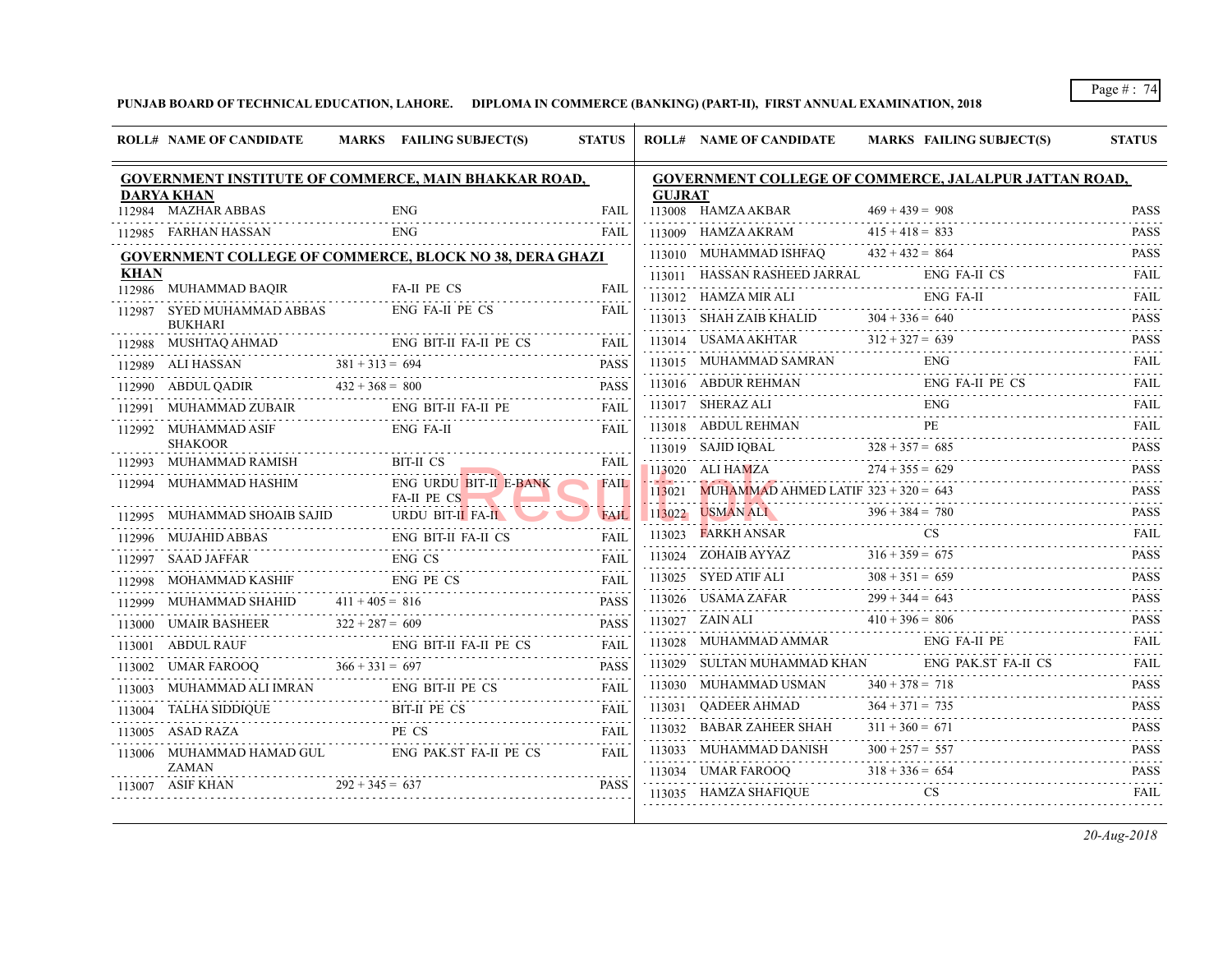|             | <b>ROLL# NAME OF CANDIDATE</b>               | MARKS FAILING SUBJECT(S)                                       | <b>STATUS</b> |               | <b>ROLL# NAME OF CANDIDATE</b>                | <b>MARKS FAIL</b> |
|-------------|----------------------------------------------|----------------------------------------------------------------|---------------|---------------|-----------------------------------------------|-------------------|
|             |                                              | <b>GOVERNMENT INSTITUTE OF COMMERCE, MAIN BHAKKAR ROAD,</b>    |               |               | <b>GOVERNMENT COLLEGE OF COMMERCE, J</b>      |                   |
|             | <b>DARYA KHAN</b>                            |                                                                |               | <b>GUJRAT</b> |                                               |                   |
|             | 112984 MAZHAR ABBAS                          | <b>ENG</b>                                                     | <b>FAIL</b>   |               | 113008 HAMZA AKBAR                            | $469 + 439 = 908$ |
|             | 112985 FARHAN HASSAN                         | <b>ENG</b>                                                     | <b>FAIL</b>   |               | 113009 HAMZA AKRAM                            | $415 + 418 = 833$ |
|             |                                              | <b>GOVERNMENT COLLEGE OF COMMERCE, BLOCK NO 38, DERA GHAZI</b> |               |               | 113010 MUHAMMAD ISHFAQ                        | $432 + 432 = 864$ |
| <b>KHAN</b> |                                              |                                                                |               |               | 113011 HASSAN RASHEED JARRAL                  | <b>ENG</b>        |
|             | 112986 MUHAMMAD BAQIR                        | <b>FA-II PE CS</b>                                             | <b>FAIL</b>   |               | 113012 HAMZA MIR ALI                          | <b>ENG</b>        |
|             | 112987 SYED MUHAMMAD ABBAS<br><b>BUKHARI</b> | ENG FA-II PE CS                                                | FAIL          |               | 113013 SHAH ZAIB KHALID $304 + 336 = 640$     |                   |
|             | 112988 MUSHTAQ AHMAD EN                      | ENG BIT-II FA-II PE CS FAIL                                    |               |               | 113014 USAMA AKHTAR                           | $312 + 327 = 639$ |
|             | 112989 ALI HASSAN                            | $381 + 313 = 694$<br>ALI HASSAN $381 + 313 = 694$ PASS         | <b>PASS</b>   |               | $113015$ MUHAMMAD SAMRAN EN                   | ENG I             |
|             | 112990 ABDUL QADIR                           | $432 + 368 = 800$                                              | <b>PASS</b>   |               | 113016 ABDUR REHMAN                           | ENG I             |
|             |                                              | ENG BIT-II FA-II PE<br>ENG BIT-II FA-II PE                     | <b>FAIL</b>   |               | 113017 SHERAZ ALI                             | ENG.              |
|             | 112992 MUHAMMAD ASIF                         | ENG FA-II                                                      | FAIL          |               | $113018$ ABDUL REHMAN                         | PE                |
|             | <b>SHAKOOR</b><br>MUHAMMAD RAMISH            | BIT-II CS                                                      | <b>FAIL</b>   |               | 113019 SAJID IQBAL $328 + 357 = 685$          |                   |
| 112993      |                                              | H<br>-----------------                                         |               |               | 113020 ALI HAMZA                              | $274 + 355 = 629$ |
|             | 112994 MUHAMMAD HASHIM                       | ENG URDU BIT-II E-BANK<br>FA-II PE CS                          | <b>FAIL</b>   |               | 113021 MUHAMMAD AHMED LATIF $323 + 320 = 643$ |                   |
|             | 112995 MUHAMMAD SHOAIB SAJID                 | URDU BIT-II FA-II                                              | <b>FAIL</b>   | 113022        | $\frac{1}{396 + 384} = 7$                     | $396 + 384 = 780$ |
|             | 112996 MUJAHID ABBAS                         | 112996 MUJAHID ABBAS ENG BIT-II FA-II CS                       | <b>FAIL</b>   | 113023        | FARKH ANSAR                                   | CS                |
|             | 112997 SAAD JAFFAR                           | ENG CS FAIL                                                    |               |               | 113024 ZOHAIB AYYAZ $316 + 359 = 675$         |                   |
|             |                                              | 112998 MOHAMMAD KASHIF ENG PE CS FAIL                          | FAIL          |               | 113025 SYED ATIF ALI $308 + 351 = 6$          | $308 + 351 = 659$ |
|             | 112999 MUHAMMAD SHAHID $411 + 405 = 816$     | $IAHID$ $411 + 405 = 816$ PASS                                 | <b>PASS</b>   |               | 113026 USAMA ZAFAR 299 + 344 = 643            |                   |
|             |                                              | 113000 UMAIR BASHEER $322 + 287 = 609$ PASS                    | <b>PASS</b>   |               | $410 + 396 = 806$<br>113027 ZAIN ALI          |                   |
|             | 113001 ABDUL RAUF                            | UF ENG BIT-II FA-II PE CS FAIL                                 |               |               | 113028 MUHAMMAD AMMAR                         | <b>ENG</b>        |
| 113002      |                                              | UMAR FAROOQ $366 + 331 = 697$ PASS                             | <b>PASS</b>   |               | 113029 SULTAN MUHAMMAD KHAN                   | <b>ENG</b>        |
|             |                                              | 113003 MUHAMMAD ALI IMRAN ENG BIT-II PE CS FAIL                |               |               | 113030 MUHAMMAD USMAN                         | $340 + 378 = 718$ |
| 113004      |                                              | TALHA SIDDIQUE BIT-II PE CS FAIL                               |               | 113031        | QADEER AHMAD                                  | $364 + 371 = 735$ |
| 113005      | ASAD RAZA                                    | PE CS                                                          | <b>FAIL</b>   |               | 113032 BABAR ZAHEER SHAH                      | $311 + 360 = 671$ |
|             | 113006 MUHAMMAD HAMAD GUL                    | ENG PAK.ST FA-II PE CS                                         | <b>FAIL</b>   |               | 113033 MUHAMMAD DANISH                        | $300 + 257 = 557$ |
|             | <b>ZAMAN</b><br>113007 ASIF KHAN             | $292 + 345 = 637$                                              | <b>PASS</b>   |               | 113034 UMAR FAROOQ                            | $318 + 336 = 654$ |
|             |                                              |                                                                |               |               | 113035 HAMZA SHAFIQUE                         | CS.               |
|             |                                              |                                                                |               |               |                                               |                   |

 $\mathbf{I}$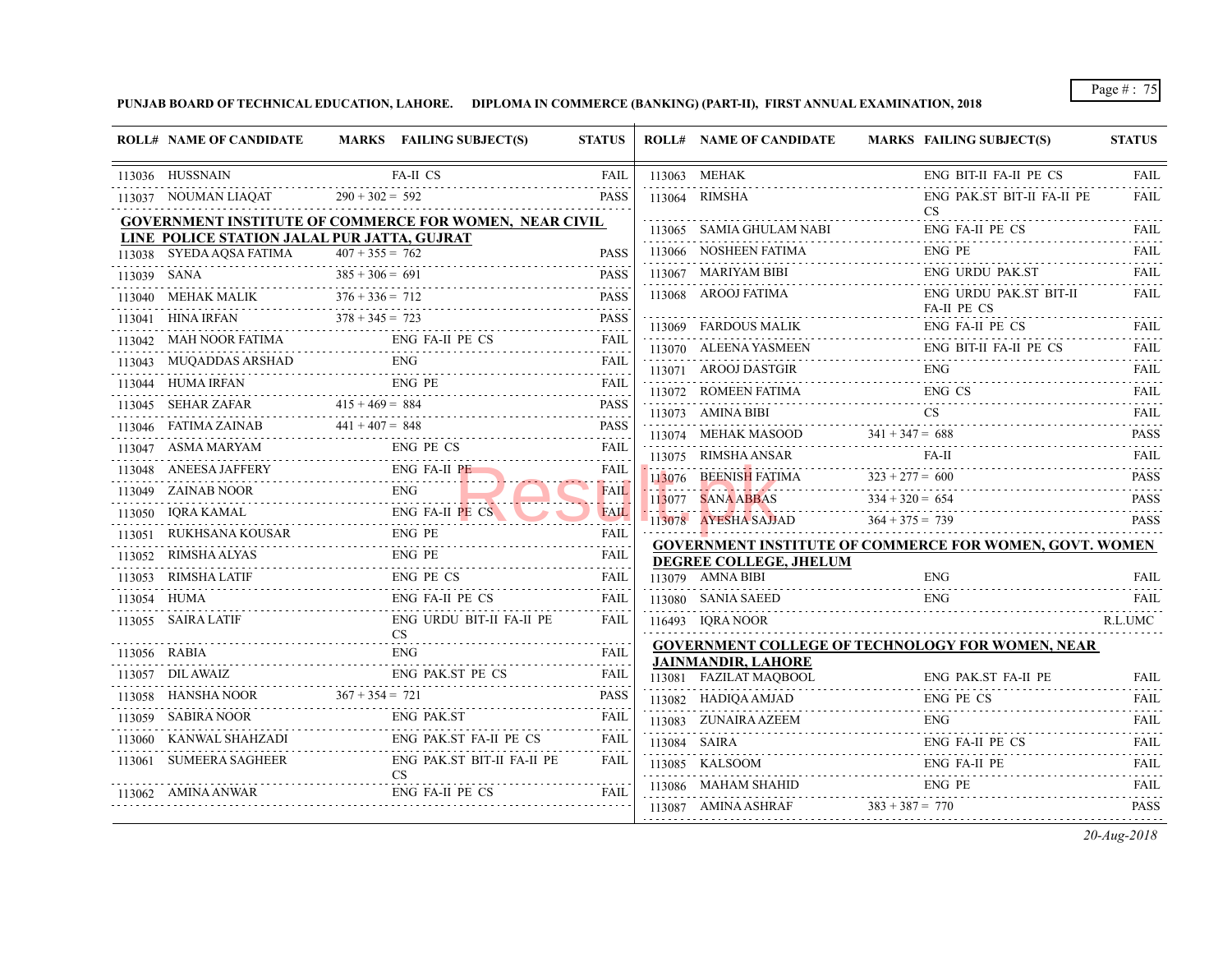|             | <b>ROLL# NAME OF CANDIDATE</b>                                        | MARKS FAILING SUBJECT(S)                                      | <b>STATUS</b>                | <b>ROLL# NAME OF CANDIDATE</b>                                                                                                                                    | <b>MARKS FAIL</b> |
|-------------|-----------------------------------------------------------------------|---------------------------------------------------------------|------------------------------|-------------------------------------------------------------------------------------------------------------------------------------------------------------------|-------------------|
|             | 113036 HUSSNAIN                                                       | <b>FA-II CS</b>                                               | FAIL                         | 113063 MEHAK                                                                                                                                                      | ENG.              |
|             | 113037 NOUMAN LIAQAT                                                  | $290 + 302 = 592$                                             | <b>PASS</b>                  | 113064 RIMSHA                                                                                                                                                     | ENG               |
|             |                                                                       | <b>GOVERNMENT INSTITUTE OF COMMERCE FOR WOMEN, NEAR CIVIL</b> |                              | 113065 SAMIA GHULAM NABI                                                                                                                                          | CS.<br>ENG.       |
|             | LINE POLICE STATION JALAL PUR JATTA, GUJRAT                           |                                                               | <b>PASS</b>                  | .M NABI<br>-------------------<br>113066 NOSHEEN FATIMA<br>NOSHEEN FATIMA<br>-----------------------------------                                                  | <b>ENG</b>        |
| 113039 SANA | 113038 SYEDA AQSA FATIMA $407 + 355 = 762$                            | $385 + 306 = 691$                                             | <b>PASS</b>                  | 113067 MARIYAM BIBI                                                                                                                                               | <b>ENG</b>        |
|             | 113040 MEHAK MALIK $376 + 336 = 712$                                  |                                                               | $- - - - -$<br><b>PASS</b>   | 113068 AROOJ FATIMA                                                                                                                                               | ENG.              |
|             | 113041 HINA IRFAN                                                     | $378 + 345 = 723$                                             |                              |                                                                                                                                                                   | FA-II             |
|             |                                                                       |                                                               |                              | 113069 FARDOUS MALIK                                                                                                                                              | <b>ENG</b>        |
|             |                                                                       | 113042 MAH NOOR FATIMA ENG FA-II PE CS FAIL                   |                              | 113070 ALEENA YASMEEN                                                                                                                                             | ENG.              |
|             | 113044 HUMA IRFAN                                                     | 113043 MUQADDAS ARSHAD ENG FAIL<br>ENG PE                     |                              | 113071 AROOJ DASTGIR                                                                                                                                              | <b>ENG</b>        |
|             |                                                                       | N ENG PE ENG COMPLEMENT PRIL                                  | <b>PASS</b>                  | 113072 ROMEEN FATIMA                                                                                                                                              | <b>ENG</b>        |
|             | 113046 FATIMA ZAINAB $441 + 407 = 848$                                | 113045 SEHAR ZAFAR $415 + 469 = 884$ PASS                     | <b>PASS</b>                  | 113073 AMINA BIBI                                                                                                                                                 | CS.               |
|             | 113047 ASMA MARYAM                                                    | ENG PE CS                                                     |                              | 113074 MEHAK MASOOD $341 + 347 = 688$                                                                                                                             |                   |
|             | 113048 ANEESA JAFFERY<br>SA JAFFERY<br>------------------------------ | [ ENG PE CS FAIL<br>ENG FA-II PE                              | FAIL                         | 113075 RIMSHA ANSAR                                                                                                                                               | FA-II             |
|             | 113049 ZAINAB NOOR                                                    |                                                               | <b>FAIL</b>                  | 113076 BEENISH FATIMA $323 + 277 = 600$<br><u> 1998 - Jan Jan Albert III, martin film et al. 1998 - 1999 - 1999 - 1999 - 1999 - 1999 - 1999 - 1999 - 1999 - 1</u> |                   |
|             | 113050 IQRA KAMAL                                                     | ENG FA-II PE CS<br>ENG FA-II PE CS                            | .<br><b>FAIL</b>             | $113077$ SANA ABBAS $334 + 320 = 654$                                                                                                                             |                   |
|             |                                                                       | 113051 RUKHSANA KOUSAR ENG PE                                 | FAIL                         | 113078 AYESHA SAJJAD                                                                                                                                              | $364 + 375 = 739$ |
|             | 113052 RIMSHA ALYAS                                                   | RIMSHA ALYAS ENG PE                                           | $- - - - -$<br><b>FAIL</b>   | <b>GOVERNMENT INSTITUTE OF COMMERCE</b>                                                                                                                           |                   |
|             | 113053 RIMSHA LATIF                                                   | <b>ENG PE CS</b>                                              | $- - - - - -$<br><b>FAIL</b> | DEGREE COLLEGE, JHELUM<br>113079 AMNA BIBI                                                                                                                        | <b>ENG</b>        |
| 113054 HUMA |                                                                       | ENG FA-II PE CS                                               | .<br><b>FAIL</b>             | 113080 SANIA SAEED                                                                                                                                                | <b>ENG</b>        |
|             | 113055 SAIRA LATIF                                                    | ENG URDU BIT-II FA-II PE                                      | <b>FAIL</b>                  | 116493 IORA NOOR                                                                                                                                                  |                   |
|             |                                                                       | $\text{CS}$                                                   |                              | <b>GOVERNMENT COLLEGE OF TECHNOLOGY</b>                                                                                                                           |                   |
|             | 113056 RABIA                                                          | 13056 RABIA FAIL ENG FAIL                                     | <b>FAIL</b>                  | <b>JAINMANDIR, LAHORE</b>                                                                                                                                         |                   |
|             | 113057 DIL AWAIZ                                                      | ENG PAK.ST PE CS<br>ENG PAK.ST PE CS                          | FAIL                         | 113081 FAZILAT MAQBOOL                                                                                                                                            | <b>ENG</b>        |
|             |                                                                       | 113058 HANSHA NOOR $367 + 354 = 721$ PASS                     | <b>PASS</b>                  | 113082 HADIQA AMJAD                                                                                                                                               | ENG.              |
|             | 113059 SABIRA NOOR                                                    | 113059 SABIRA NOOR ENG PAK.ST                                 | FAIL                         | 113083 ZUNAIRA AZEEM                                                                                                                                              | ENG.              |
|             | 113060 KANWAL SHAHZADI                                                | ENG PAK.ST FA-II PE CS                                        | FAIL                         | 113084 SAIRA                                                                                                                                                      | <b>ENG</b>        |
|             | 113061 SUMEERA SAGHEER                                                | ENG PAK ST BIT-II FA-II PE<br>CS                              | <b>FAIL</b>                  | 113085 KALSOOM<br>113085 KALSOOM ENG                                                                                                                              | <b>ENG</b>        |
|             | 113062 AMINA ANWAR                                                    | ENG FA-II PE CS                                               | FAIL                         | 113086 MAHAM SHAHID                                                                                                                                               | <b>ENG</b>        |
|             |                                                                       |                                                               |                              | 113087 AMINA ASHRAF                                                                                                                                               | $383 + 387 = 770$ |
|             |                                                                       |                                                               |                              |                                                                                                                                                                   |                   |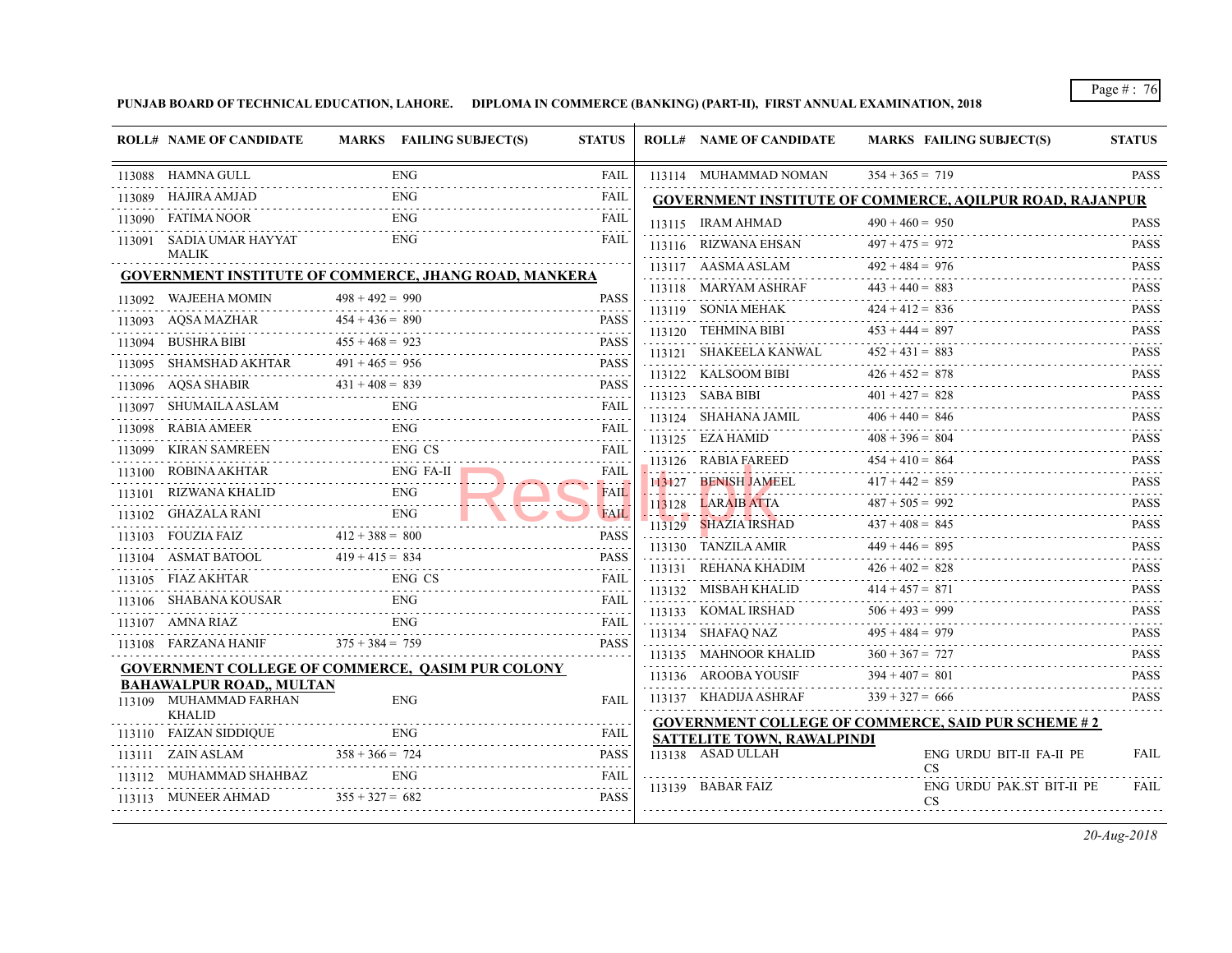| <b>ROLL# NAME OF CANDIDATE</b>                                                                                  |                   | MARKS FAILING SUBJECT(S)    | <b>STATUS</b>                                                                                                                                                                |        | <b>ROLL# NAME OF CANDIDATE</b>           | <b>MARKS FAIL</b>      |
|-----------------------------------------------------------------------------------------------------------------|-------------------|-----------------------------|------------------------------------------------------------------------------------------------------------------------------------------------------------------------------|--------|------------------------------------------|------------------------|
| 113088 HAMNA GULL                                                                                               |                   | <b>ENG</b>                  | <b>FAIL</b>                                                                                                                                                                  |        | 113114 MUHAMMAD NOMAN                    | $354 + 365 = 719$      |
| 113089 HAJIRA AMJAD                                                                                             |                   | <b>ENG</b>                  | FAIL                                                                                                                                                                         |        | <b>GOVERNMENT INSTITUTE OF COMMERCE,</b> |                        |
| 113090 FATIMA NOOR                                                                                              |                   | <b>ENG</b><br>.             | FAIL                                                                                                                                                                         |        | 113115 IRAM AHMAD                        | $490 + 460 = 950$      |
| 113091 SADIA UMAR HAYYAT<br><b>MALIK</b>                                                                        |                   | ENG                         | <b>FAIL</b>                                                                                                                                                                  |        | 113116 RIZWANA EHSAN                     | $497 + 475 = 972$      |
| <b>GOVERNMENT INSTITUTE OF COMMERCE, JHANG ROAD, MANKERA</b>                                                    |                   |                             |                                                                                                                                                                              |        | 113117 AASMA ASLAM                       | $492 + 484 = 976$      |
| 113092 WAJEEHA MOMIN                                                                                            | $498 + 492 = 990$ |                             | <b>PASS</b>                                                                                                                                                                  |        | 113118 MARYAM ASHRAF $443 + 440 = 88$    | $443 + 440 = 883$      |
| 113093 AQSA MAZHAR                                                                                              | $454 + 436 = 890$ |                             | $\mathcal{L}^{\mathcal{A}}\left( \mathcal{L}^{\mathcal{A}}\right) \mathcal{L}^{\mathcal{A}}\left( \mathcal{L}^{\mathcal{A}}\right) \mathcal{L}^{\mathcal{A}}$<br><b>PASS</b> |        | 113119 SONIA MEHAK                       | $424 + 412 = 836$      |
| 113094 BUSHRA BIBI                                                                                              | $455 + 468 = 923$ |                             |                                                                                                                                                                              |        | 113120 TEHMINA BIBI                      | $453 + 444 = 897$      |
|                                                                                                                 |                   | $8I$ $455 + 468 = 923$ PASS |                                                                                                                                                                              |        | 113121 SHAKEELA KANWAL                   | $452 + 431 = 883$      |
| 113095 SHAMSHAD AKHTAR $491 + 465 = 956$ PASS                                                                   | $431 + 408 = 839$ |                             |                                                                                                                                                                              |        | 113122 KALSOOM BIBI                      | $426 + 452 = 878$      |
| 113096 AQSA SHABIR                                                                                              |                   | $31 + 408 = 839$ PASS       |                                                                                                                                                                              |        |                                          | $401 + 427 = 828$      |
| $\begin{tabular}{lllllllll} \bf 113097 & SHUMAILA ASLAM & \textbf{ENG} & \textbf{FAIL} \\ \hline \end{tabular}$ |                   | ENG                         |                                                                                                                                                                              |        | 113124 SHAHANA JAMIL                     | $406 + 440 = 846$      |
| 113098 RABIA AMEER                                                                                              |                   |                             | <b>FAIL</b><br>.                                                                                                                                                             |        | 113125 EZA HAMID                         | .<br>$408 + 396 = 804$ |
| 113099 KIRAN SAMREEN                                                                                            |                   |                             | <b>FAIL</b><br>.                                                                                                                                                             |        | 113126 RABIA FAREED                      | $454 + 410 = 864$      |
| 113100 ROBINA AKHTAR                                                                                            |                   | AR ENG FA-II                | <b>FAIL</b><br><b>The Second Contract of the Contract</b>                                                                                                                    | 113127 | <b>BENISH JAMEEL</b>                     | $417 + 442 = 859$      |
| 113101 RIZWANA KHALID ENG                                                                                       |                   |                             | <b>FAIL</b><br>.                                                                                                                                                             |        | 113128 LARAIB ATTA $487 + 505 = 99$      | $487 + 505 = 992$      |
| 113102 GHAZALA RANI                                                                                             | ENG <b>ENG</b>    |                             | <b>FAIL</b><br>. <del>. .</del>                                                                                                                                              |        | 113129 SHAZIA IRSHAD $437 + 408 =$       | $437 + 408 = 845$      |
| 113103 FOUZIA FAIZ $412 + 388 = 800$ PASS                                                                       |                   |                             |                                                                                                                                                                              |        | 113130 TANZILA AMIR $449 + 446 = 89$     | $449 + 446 = 895$      |
| 113104 ASMAT BATOOL $419 + 415 = 834$ PASS                                                                      |                   |                             |                                                                                                                                                                              |        | 113131 REHANA KHADIM $426 + 402 = 828$   |                        |
| 113105 FIAZ AKHTAR<br>113105 FIAZ AKHTAR ENG CS FAIL                                                            |                   |                             |                                                                                                                                                                              |        | 113132 MISBAH KHALID                     | $414 + 457 = 871$      |
|                                                                                                                 |                   |                             | FAIL<br>.                                                                                                                                                                    |        | 113133 KOMAL IRSHAD $506 + 493 = 99$     | $506 + 493 = 999$      |
| $\begin{tabular}{ll} 113107 & AMNA RIAZ & \text{ENG} & \text{FAIL} \end{tabular}$                               |                   |                             |                                                                                                                                                                              |        | 113134 SHAFAQ NAZ $495 + 484 = 979$      |                        |
| 113108 FARZANA HANIF $375 + 384 = 759$                                                                          |                   |                             | <b>PASS</b>                                                                                                                                                                  |        | 113135 MAHNOOR KHALID                    | $360 + 367 = 727$      |
| <b>GOVERNMENT COLLEGE OF COMMERCE, QASIM PUR COLONY</b>                                                         |                   |                             |                                                                                                                                                                              |        | 113136 AROOBA YOUSIF                     | $394 + 407 = 801$      |
| <b>BAHAWALPUR ROAD,, MULTAN</b><br>113109 MUHAMMAD FARHAN                                                       |                   | <b>ENG</b>                  | <b>FAIL</b>                                                                                                                                                                  |        | 113137 KHADIJA ASHRAF $339 + 327 = 666$  |                        |
| <b>KHALID</b>                                                                                                   |                   |                             |                                                                                                                                                                              |        | <b>GOVERNMENT COLLEGE OF COMMERCE, S</b> |                        |
| 113110 FAIZAN SIDDIQUE                                                                                          | QUE ENG           |                             | <b>FAIL</b>                                                                                                                                                                  |        | <b>SATTELITE TOWN, RAWALPINDI</b>        |                        |
| 113111 ZAIN ASLAM                                                                                               | $358 + 366 = 724$ |                             | $-1 - 1 - 1 - 1$<br><b>PASS</b>                                                                                                                                              |        | 113138 ASAD ULLAH                        | <b>ENG</b>             |
| 113112 MUHAMMAD SHAHBAZ                                                                                         |                   | <b>ENG</b>                  | FAIL                                                                                                                                                                         |        |                                          | CS                     |
| 113113 MUNEER AHMAD                                                                                             | $355 + 327 = 682$ |                             | $\omega$ is a second order<br><b>PASS</b>                                                                                                                                    |        | 113139 BABAR FAIZ                        | <b>ENG</b><br>CS       |
|                                                                                                                 |                   |                             |                                                                                                                                                                              |        |                                          |                        |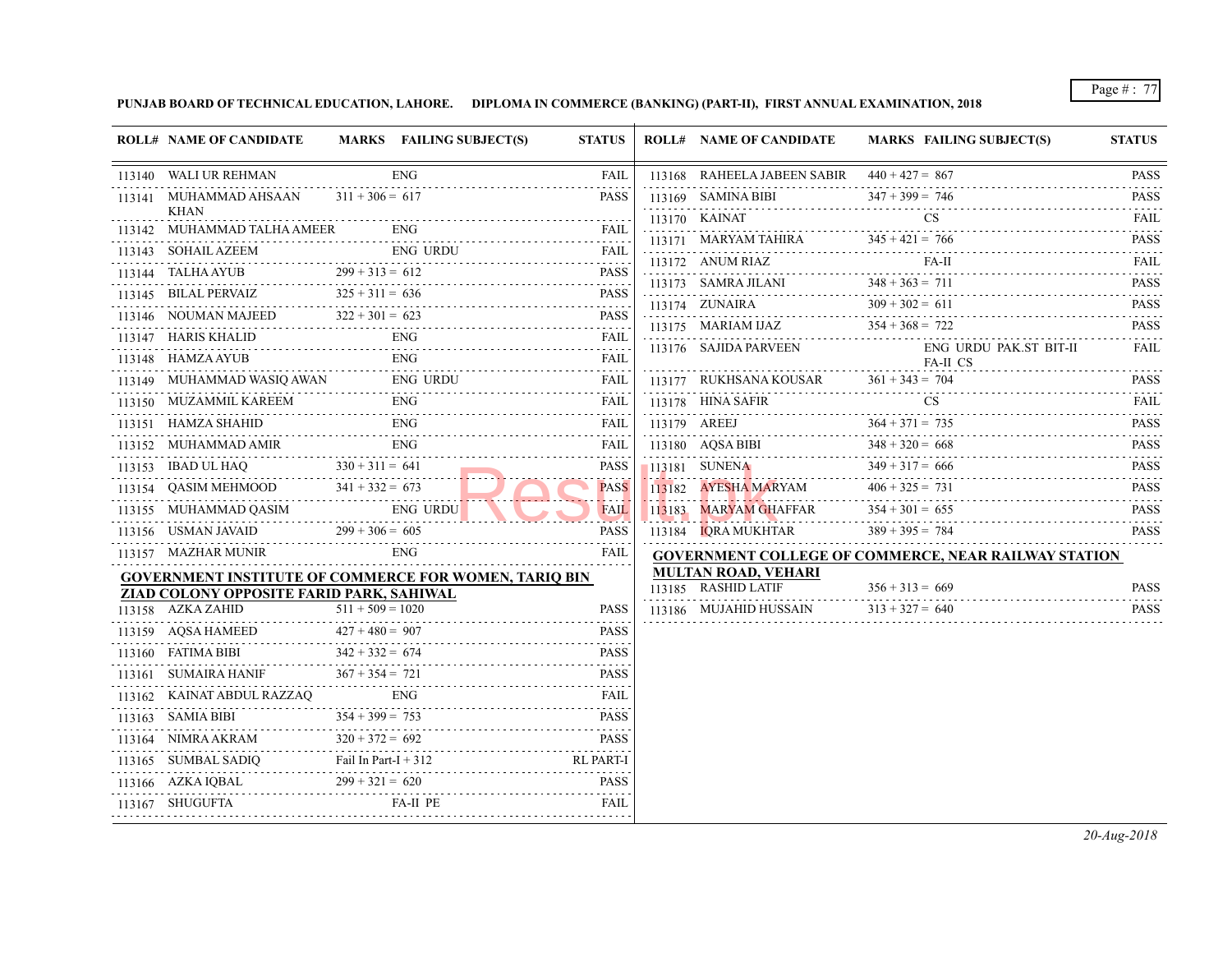| <b>ROLL# NAME OF CANDIDATE</b>                                                  |                    | MARKS FAILING SUBJECT(S) | <b>STATUS</b> | <b>ROLL# NAME OF CANDIDATE</b>                                                                                                                                  | <b>MARKS FAIL</b> |
|---------------------------------------------------------------------------------|--------------------|--------------------------|---------------|-----------------------------------------------------------------------------------------------------------------------------------------------------------------|-------------------|
|                                                                                 |                    |                          |               |                                                                                                                                                                 |                   |
| 113140 WALI UR REHMAN                                                           |                    | <b>ENG</b>               | FAIL          | 113168 RAHEELA JABEEN SABIR                                                                                                                                     | $440 + 427 = 867$ |
| 113141 MUHAMMAD AHSAAN                                                          | $311 + 306 = 617$  |                          | <b>PASS</b>   | 113169 SAMINA BIBI                                                                                                                                              | $347 + 399 = 746$ |
| <b>KHAN</b>                                                                     |                    |                          | <b>FAIL</b>   | 113170 KAINAT                                                                                                                                                   | CS.               |
| 113142 MUHAMMAD TALHA AMEER ENG                                                 |                    |                          |               | 113171 MARYAM TAHIRA $345 + 421 = 766$                                                                                                                          |                   |
| 113143 SOHAIL AZEEM ENG URDU FAIL FAIL                                          |                    |                          |               | 113172 ANUM RIAZ FA-I                                                                                                                                           | FA-II             |
| 113144 TALHA AYUB $299 + 313 = 612$<br>113144 TALHA AYUB $299 + 313 = 612$ PASS |                    |                          |               | 113173 SAMRA JILANI $348 + 363 = 711$                                                                                                                           |                   |
| 113145 BILAL PERVAIZ $325 + 311 = 636$ PASS                                     |                    |                          |               | 113174 ZUNAIRA $309 + 302 = 611$                                                                                                                                |                   |
| 113146 NOUMAN MAJEED $322 + 301 = 623$ PASS PASS                                |                    |                          |               | 113175 MARIAM IJAZ $354 + 368 = 722$                                                                                                                            |                   |
| 113147 HARIS KHALID ENG FAIL                                                    |                    |                          | FAIL          | 113176 SAJIDA PARVEEN                                                                                                                                           | <b>ENG</b>        |
| 113148 $HAMZA$ AYUB ENG                                                         |                    |                          | FAIL          |                                                                                                                                                                 | FA-II             |
| 113149 MUHAMMAD WASIQ AWAN ENG URDU                                             |                    |                          | FAIL          | 113177 RUKHSANA KOUSAR $361 + 343 = 704$                                                                                                                        |                   |
| 113150 MUZAMMIL KAREEM ENG FAIL FAIL                                            |                    |                          |               | 113178 HINA SAFIR CS                                                                                                                                            | <b>CS</b>         |
| 113151 HAMZA SHAHID ENG FAIL<br>113151 HAMZA SHAHID                             |                    |                          | FAIL          | 113179 AREEJ $364 + 371 = 735$                                                                                                                                  |                   |
| 113152 MUHAMMAD AMIR ENG FAIL                                                   |                    |                          | <b>FAIL</b>   | 113180 AQSA BIBI $348 + 320 = 668$                                                                                                                              |                   |
| 113153 IBAD UL HAQ $330 + 311 = 641$                                            |                    |                          | <b>PASS</b>   | $113181$ SUNENA $349 + 317 = 666$                                                                                                                               |                   |
| 113154 QASIM MEHMOOD $341 + 332 = 673$                                          |                    |                          | <b>PASS</b>   | 113182 AYESHA MARYAM $406 + 325 = 731$                                                                                                                          |                   |
| 113155 MUHAMMAD QASIM<br>ENG URDU                                               |                    |                          | FAIL          | 113183 MARYAM GHAFFAR $354 + 301 = 655$<br><u>  NGC 771   171   KASA 1990   1990   1990   1990   1990   1990   1990   1991   1991   1991   1991   1991   19</u> |                   |
| 113156 USMAN JAVAID $299 + 306 = 605$                                           |                    |                          | <b>PASS</b>   | 113184 <b>IQRA MUKHTAR</b>                                                                                                                                      | $389 + 395 = 784$ |
| 113157 MAZHAR MUNIR                                                             |                    | ENG                      | FAIL          | <b>GOVERNMENT COLLEGE OF COMMERCE, I</b>                                                                                                                        |                   |
| <b>GOVERNMENT INSTITUTE OF COMMERCE FOR WOMEN, TARIO BIN</b>                    |                    |                          |               | <b>MULTAN ROAD, VEHARI</b>                                                                                                                                      |                   |
| ZIAD COLONY OPPOSITE FARID PARK, SAHIWAL                                        |                    |                          |               | 113185 RASHID LATIF                                                                                                                                             | $356 + 313 = 669$ |
| 113158 AZKA ZAHID                                                               | $511 + 509 = 1020$ |                          | <b>PASS</b>   | 113186 MUJAHID HUSSAIN                                                                                                                                          | $313 + 327 = 640$ |
| 113159 AQSA HAMEED $427 + 480 = 907$                                            |                    |                          | <b>PASS</b>   |                                                                                                                                                                 |                   |
| 113160 FATIMA BIBI $342 + 332 = 674$ PASS                                       |                    |                          | <b>PASS</b>   |                                                                                                                                                                 |                   |
| 113161 SUMAIRA HANIF $367 + 354 = 721$                                          |                    |                          |               |                                                                                                                                                                 |                   |
| 113162 KAINAT ABDUL RAZZAQ ENG FAIL                                             |                    |                          | FAIL.         |                                                                                                                                                                 |                   |
| $354 + 399 = 753$<br>113163 SAMIA BIBI                                          |                    |                          | PASS          |                                                                                                                                                                 |                   |
| 113164 NIMRA AKRAM $320 + 372 = 692$                                            |                    |                          | <b>PASS</b>   |                                                                                                                                                                 |                   |
| 113165 SUMBAL SADIQ Fail In Part-I + 312 RL PART-I                              |                    |                          |               |                                                                                                                                                                 |                   |
| 113166 AZKA IQBAL $299 + 321 = 620$ PASS                                        |                    |                          | <b>PASS</b>   |                                                                                                                                                                 |                   |
| 113167 SHUGUFTA FA-II PE FAIL PE FAIL                                           |                    |                          |               |                                                                                                                                                                 |                   |
|                                                                                 |                    |                          |               |                                                                                                                                                                 |                   |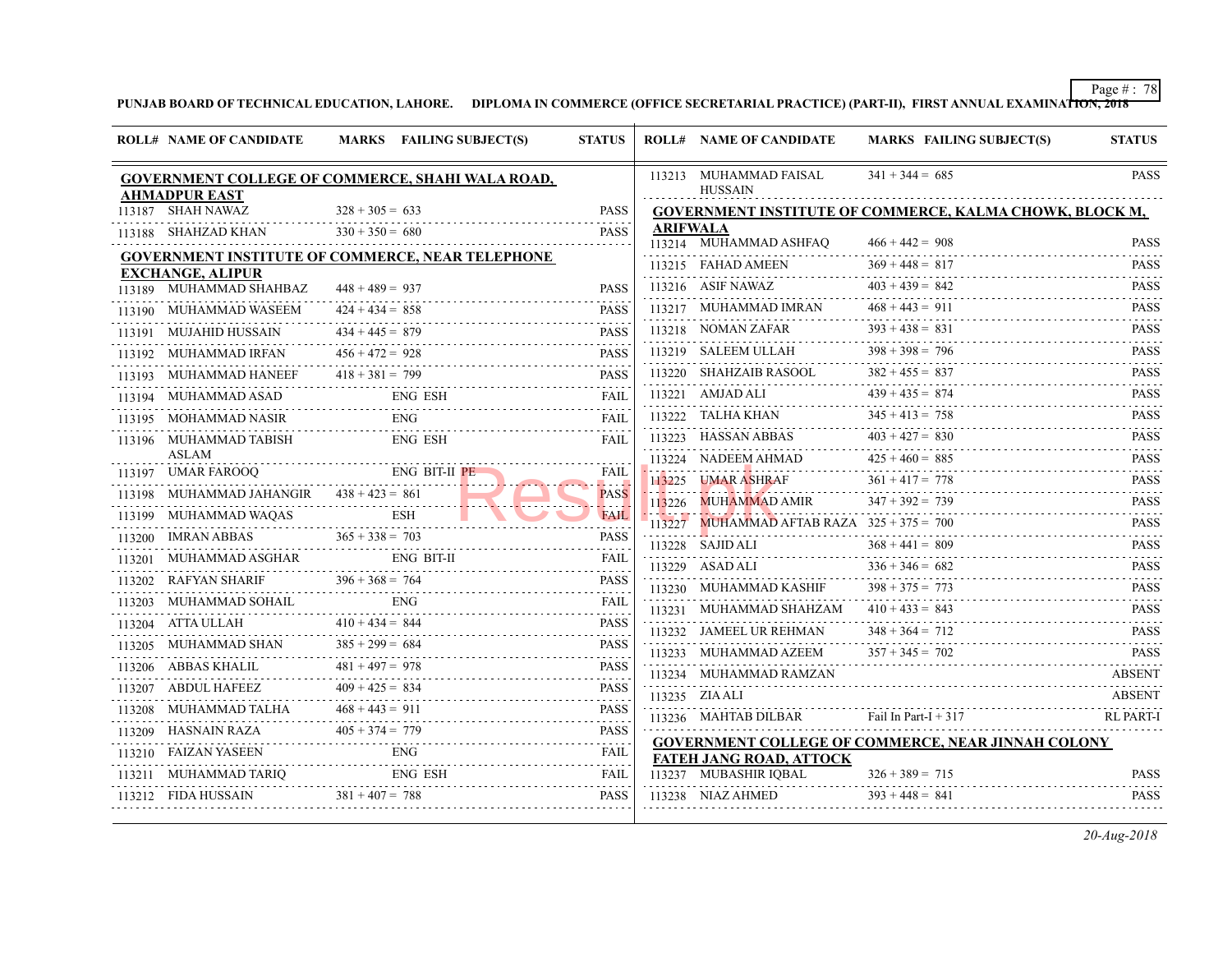|        | <b>ROLL# NAME OF CANDIDATE</b>                                    | MARKS FAILING SUBJECT(S)                                                                                                                                                                                                                                                                      | <b>STATUS</b>             |                 | <b>ROLL# NAME OF CANDIDATE</b>                                  | <b>MARKS FAIL</b> |
|--------|-------------------------------------------------------------------|-----------------------------------------------------------------------------------------------------------------------------------------------------------------------------------------------------------------------------------------------------------------------------------------------|---------------------------|-----------------|-----------------------------------------------------------------|-------------------|
|        | <b>AHMADPUR EAST</b>                                              | <b>GOVERNMENT COLLEGE OF COMMERCE, SHAHI WALA ROAD,</b>                                                                                                                                                                                                                                       |                           |                 | 113213 MUHAMMAD FAISAL<br><b>HUSSAIN</b>                        | $341 + 344 = 685$ |
|        | 113187 SHAH NAWAZ                                                 | $328 + 305 = 633$                                                                                                                                                                                                                                                                             | <b>PASS</b>               |                 | <b>GOVERNMENT INSTITUTE OF COMMERCE.</b>                        |                   |
|        | 113188 SHAHZAD KHAN                                               | $330 + 350 = 680$                                                                                                                                                                                                                                                                             | <b>PASS</b>               | <b>ARIFWALA</b> | 113214 MUHAMMAD ASHFAQ                                          | $466 + 442 = 908$ |
|        |                                                                   | <b>GOVERNMENT INSTITUTE OF COMMERCE, NEAR TELEPHONE</b>                                                                                                                                                                                                                                       |                           |                 | 113215 FAHAD AMEEN                                              | $369 + 448 = 817$ |
|        | <b>EXCHANGE, ALIPUR</b>                                           |                                                                                                                                                                                                                                                                                               |                           |                 | 113216 ASIF NAWAZ                                               | $403 + 439 = 842$ |
|        | 113189 MUHAMMAD SHAHBAZ                                           | $448 + 489 = 937$                                                                                                                                                                                                                                                                             | <b>PASS</b>               |                 | 113217 MUHAMMAD IMRAN                                           | $468 + 443 = 911$ |
|        | 113190 MUHAMMAD WASEEM                                            | $424 + 434 = 858$                                                                                                                                                                                                                                                                             | <b>PASS</b>               |                 | 113218 NOMAN ZAFAR                                              | $393 + 438 = 831$ |
|        | 113191 MUJAHID HUSSAIN<br>113192 MUHAMMAD IRFAN $456 + 472 = 928$ | $434 + 445 = 879$                                                                                                                                                                                                                                                                             | <b>PASS</b>               |                 |                                                                 |                   |
|        |                                                                   | AAD IRFAN 456 + 472 = 928 PASS<br>$418 + 381 = 799$                                                                                                                                                                                                                                           | <b>PASS</b>               |                 | 113219 SALEEM ULLAH $398 + 398 = 796$<br>113220 SHAHZAIB RASOOL | $382 + 455 = 837$ |
|        | 113193 MUHAMMAD HANEEF                                            |                                                                                                                                                                                                                                                                                               |                           |                 | 113221 AMJAD ALI                                                | $439 + 435 = 874$ |
|        | 113194 MUHAMMAD ASAD                                              | AD ENG ESH FAIL<br>ENG                                                                                                                                                                                                                                                                        |                           |                 |                                                                 | $345 + 413 = 758$ |
|        | 113196 MUHAMMAD TABISH                                            | 113195 MOHAMMAD NASIR ENG FAIL<br><b>ENG ESH</b>                                                                                                                                                                                                                                              | <b>FAIL</b>               |                 | 113222 TALHA KHAN $345 + 413 =$<br>113223 HASSAN ABBAS          | $403 + 427 = 830$ |
|        | ASLAM                                                             |                                                                                                                                                                                                                                                                                               |                           |                 | 113224 NADEEM AHMAD $425 + 460 = 885$                           |                   |
|        |                                                                   | 113197 UMAR FAROOQ ENG BIT-II PE                                                                                                                                                                                                                                                              | <b>FAII</b><br>20 July 20 |                 |                                                                 | $361 + 417 = 778$ |
|        |                                                                   | MAD JAHANGIR $438 + 423 = 861$                                                                                                                                                                                                                                                                | <b>PASS</b><br>.          |                 | 113225 UMAR ASHRAF $361 + 417 = 77$<br>113226 MUHAMMAD AMIR     | $347 + 392 = 739$ |
|        | 113199 MUHAMMAD WAQAS                                             | ESH                                                                                                                                                                                                                                                                                           | <b>FAIL</b>               |                 | 113227 MUHAMMAD AFTAB RAZA $325 + 375 = 700$                    |                   |
|        | 113200 IMRAN ABBAS $365 + 338 = 703$                              |                                                                                                                                                                                                                                                                                               | <b>PASS</b><br>.          |                 |                                                                 | $368 + 441 = 809$ |
|        |                                                                   | 113201 MUHAMMAD ASGHAR ENG BIT-II FAIL FAIL                                                                                                                                                                                                                                                   |                           |                 | 113228 SAJID ALI $368 + 441 =$<br>113229 ASAD ALI               | $336 + 346 = 682$ |
| 113202 | RAFYAN SHARIF $396 + 368 = 764$                                   | YAN SHARIF 396 + 368 = 764 PASS                                                                                                                                                                                                                                                               | PASS                      |                 | 113230 MUHAMMAD KASHIF                                          | $398 + 375 = 773$ |
|        |                                                                   | 113203 MUHAMMAD SOHAIL ENG FAIL FAIL                                                                                                                                                                                                                                                          |                           |                 | 113231 MUHAMMAD SHAHZAM $410 + 433 = 843$                       |                   |
|        |                                                                   | 113204 ATTA ULLAH $410 + 434 = 844$ PASS                                                                                                                                                                                                                                                      |                           |                 | 113232 JAMEEL UR REHMAN                                         | $348 + 364 = 712$ |
|        |                                                                   | 113205 MUHAMMAD SHAN $385 + 299 = 684$ PASS                                                                                                                                                                                                                                                   |                           |                 | 113233 MUHAMMAD AZEEM                                           | $357 + 345 = 702$ |
|        |                                                                   | $\begin{tabular}{c} 113206 & ABBAS KHALL & 481 + 497 = 978 \end{tabular} \begin{tabular}{l} \hline \text{PASS} \\ 113207 & ABDUL HAFEEZ \end{tabular} \end{tabular} \begin{tabular}{c} \hline \text{PASS} \\ 234 \end{tabular} \begin{tabular}{c} \hline \text{PASS} \\ \hline \end{tabular}$ |                           |                 | 113234 MUHAMMAD RAMZAN                                          |                   |
|        |                                                                   |                                                                                                                                                                                                                                                                                               |                           |                 | 113235 ZIA ALI                                                  |                   |
|        | 113208 MUHAMMAD TALHA $468 + 443 = 911$                           | 113208 MUHAMMAD TALHA $468 + 443 = 911$ PASS                                                                                                                                                                                                                                                  | <b>PASS</b>               |                 | .<br>113236 MAHTAB DILBAR Fail In Part-I + 3                    |                   |
|        |                                                                   | 113209 HASNAIN RAZA $405 + 374 = 779$ PASS                                                                                                                                                                                                                                                    |                           |                 | <b>GOVERNMENT COLLEGE OF COMMERCE, I</b>                        |                   |
|        |                                                                   | ENG<br>113210 FAIZAN YASEEN ENG FAIL FAIL                                                                                                                                                                                                                                                     |                           |                 | <b>FATEH JANG ROAD, ATTOCK</b>                                  |                   |
|        |                                                                   | 113211 MUHAMMAD TARIQ ENG ESH FAIL                                                                                                                                                                                                                                                            |                           |                 | 113237 MUBASHIR IQBAL                                           | $326 + 389 = 715$ |
|        | 113212 FIDA HUSSAIN $381 + 407 = 788$                             |                                                                                                                                                                                                                                                                                               | <b>PASS</b>               |                 | 113238 NIAZ AHMED                                               | $393 + 448 = 841$ |
|        |                                                                   |                                                                                                                                                                                                                                                                                               |                           |                 |                                                                 |                   |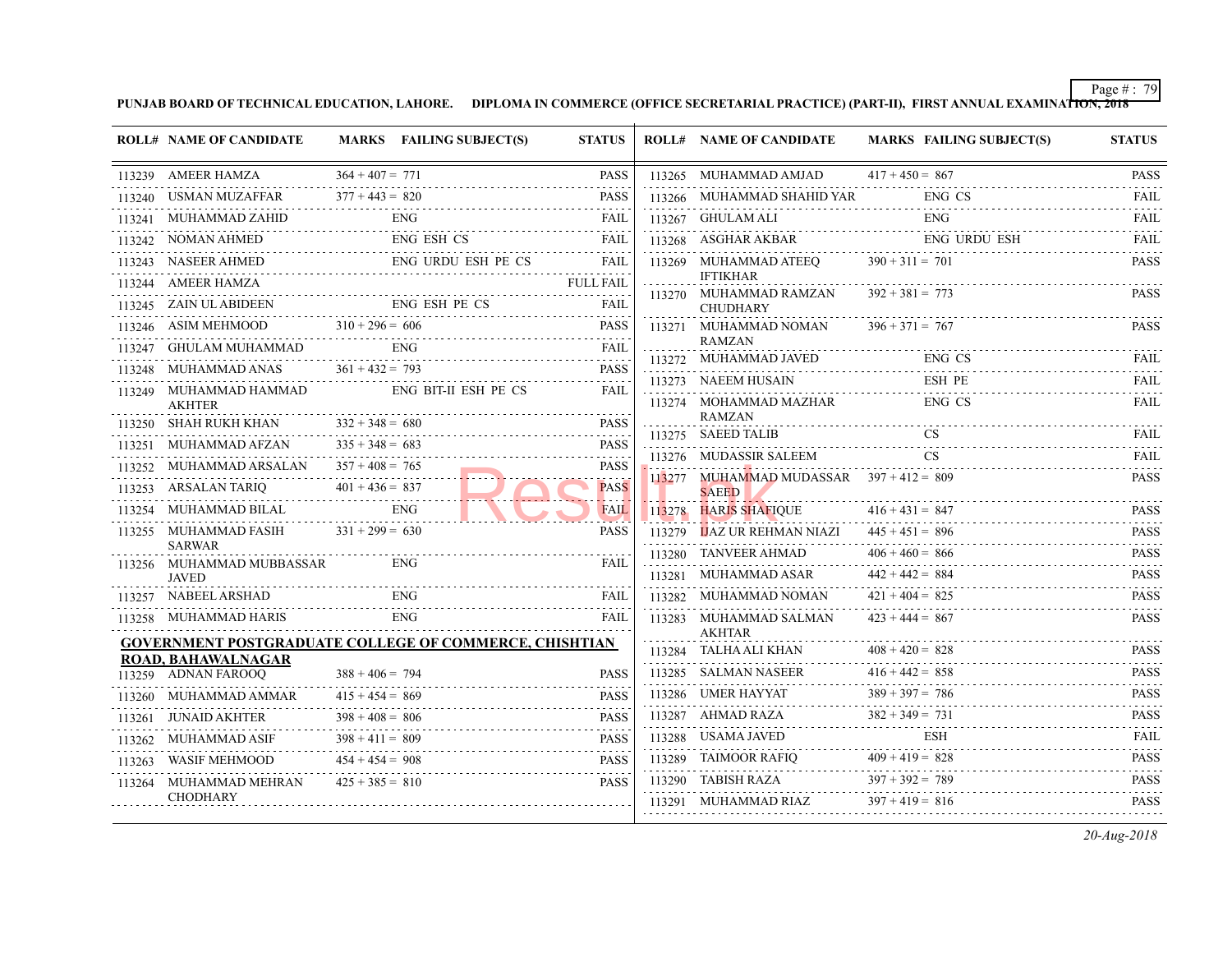|        | <b>ROLL# NAME OF CANDIDATE</b>                                |                   | MARKS FAILING SUBJECT(S)       | <b>STATUS</b> |        | <b>ROLL# NAME OF CANDIDATE</b>                             | <b>MARKS FAIL</b>        |
|--------|---------------------------------------------------------------|-------------------|--------------------------------|---------------|--------|------------------------------------------------------------|--------------------------|
|        | 113239 AMEER HAMZA                                            | $364 + 407 = 771$ |                                | <b>PASS</b>   |        | 113265 MUHAMMAD AMJAD                                      | $417 + 450 = 867$        |
|        | 113240 USMAN MUZAFFAR                                         | $377 + 443 = 820$ |                                | <b>PASS</b>   |        | 113266 MUHAMMAD SHAHID YAR                                 | ENG.                     |
|        | 113241 MUHAMMAD ZAHID                                         |                   |                                | FAIL          |        | 113267 GHULAM ALI                                          | <b>ENG</b>               |
|        | 113242 NOMAN AHMED<br>DMAN AHMED ENG ESH CS                   |                   |                                | FAIL<br>.     |        | 113268 ASGHAR AKBAR                                        | <b>ENG</b>               |
|        | 113243 NASEER AHMED ENG URDU ESH PE CS FAIL                   |                   | ENG URDU ESH PE CS             | FAIL          |        | 113269 MUHAMMAD ATEEQ                                      | $390 + 311 = 701$        |
|        | 113244 AMEER HAMZA                                            |                   |                                | FULL FAIL     |        | <b>IFTIKHAR</b><br>113270 MUHAMMAD RAMZAN                  | $392 + 381 = 773$        |
|        | 113245 ZAIN ULABIDEEN ENG ESH PE CS FAIL                      |                   |                                |               |        | <b>CHUDHARY</b>                                            |                          |
|        | 113246 ASIM MEHMOOD $310 + 296 = 606$                         |                   | MEHMOOD $310 + 296 = 606$ PASS | <b>PASS</b>   |        | 113271 MUHAMMAD NOMAN                                      | $396 + 371 = 767$        |
|        | 113247 GHULAM MUHAMMAD                                        |                   | MMAD ENG FAIL                  | <b>FAIL</b>   |        | <b>RAMZAN</b><br>113272 MUHAMMAD JAVED                     | <b>ENG</b>               |
|        | 113248 MUHAMMAD ANAS $361 + 432 = 793$                        |                   |                                | <b>PASS</b>   |        | 113273 NAEEM HUSAIN                                        | ESH                      |
|        | 113249 MUHAMMAD HAMMAD                                        |                   | ENG BIT-II ESH PE CS           | FAIL          |        | 113274 MOHAMMAD MAZHAR                                     | ENG                      |
|        | <b>AKHTER</b><br>113250 SHAH RUKH KHAN                        | $332 + 348 = 680$ |                                | <b>PASS</b>   |        | <b>RAMZAN</b>                                              |                          |
|        | 113251 MUHAMMAD AFZAN                                         | $335 + 348 = 683$ |                                | <b>PASS</b>   |        | 113275 SAEED TALIB                                         | <b>CS</b>                |
| 113252 | MUHAMMAD ARSALAN                                              | $357 + 408 = 765$ |                                | <b>PASS</b>   |        | 113276 MUDASSIR SALEEM                                     | <b>CS</b>                |
|        | 113253 ARSALAN TARIQ                                          | $401 + 436 = 837$ |                                | <b>PASS</b>   |        | 113277 MUHAMMAD MUDASSAR $397 + 412 = 809$<br><b>SAEED</b> |                          |
|        | 113254 MUHAMMAD BILAL                                         |                   | <b>ENG</b>                     | <b>FAIL</b>   |        | 113278 HARIS SHAFIQUE                                      | $416 + 431 = 847$        |
|        | 113255 MUHAMMAD FASIH                                         | $331 + 299 = 630$ |                                | <b>PASS</b>   | 113279 | IJAZ UR REHMAN NIAZI                                       | $445 + 451 = 896$        |
|        | <b>SARWAR</b>                                                 |                   | ENG-                           |               |        | 113280 TANVEER AHMAD                                       | $406 + 460 = 866$        |
|        | 113256 MUHAMMAD MUBBASSAR<br><b>JAVED</b>                     |                   |                                | FAIL          |        | 113281 MUHAMMAD ASAR                                       | $442 + 442 = 884$        |
|        | 113257 NABEEL ARSHAD                                          |                   | $\sum_{i=1}^{n}$ FAG FA        | FAIL          |        | 113282 MUHAMMAD NOMAN                                      | $421 + 404 = 825$        |
|        | 113258 MUHAMMAD HARIS                                         |                   | ENG                            | FAIL          |        | 113283 MUHAMMAD SALMAN                                     | $423 + 444 = 867$        |
|        | <b>GOVERNMENT POSTGRADUATE COLLEGE OF COMMERCE, CHISHTIAN</b> |                   |                                |               |        | <b>AKHTAR</b><br>113284 TALHA ALI KHAN                     | $408 + 420 = 828$        |
|        | <b>ROAD, BAHAWALNAGAR</b>                                     |                   |                                |               |        | 113285     SALMAN NASEER                                   | $416 + 442 = 858$        |
|        | 113259 ADNAN FAROOQ                                           | $388 + 406 = 794$ | $388 + 406 = 794$ PAS          | <b>PASS</b>   |        | 113286 UMER HAYYAT                                         | $389 + 397 = 786$        |
|        | 113260 MUHAMMAD AMMAR                                         | $415 + 454 = 869$ |                                | <b>PASS</b>   |        | 113287 AHMAD RAZA                                          | $382 + 349 = 731$        |
|        | 113261 JUNAID AKHTER                                          | $398 + 408 = 806$ |                                | <b>PASS</b>   |        | 113288 USAMA JAVED                                         |                          |
|        | 113262 MUHAMMAD ASIF                                          | $398 + 411 = 809$ |                                | <b>PASS</b>   |        | 113289 TAIMOOR RAFIQ                                       | ESH<br>$409 + 419 = 828$ |
|        | 113263 WASIF MEHMOOD                                          | $454 + 454 = 908$ |                                | <b>PASS</b>   |        |                                                            | $397 + 392 = 789$        |
|        | 113264 MUHAMMAD MEHRAN<br><b>CHODHARY</b>                     | $425 + 385 = 810$ |                                | <b>PASS</b>   |        | 113290 TABISH RAZA                                         |                          |
|        |                                                               |                   |                                |               |        | 113291 MUHAMMAD RIAZ $397 + 419 = 816$                     |                          |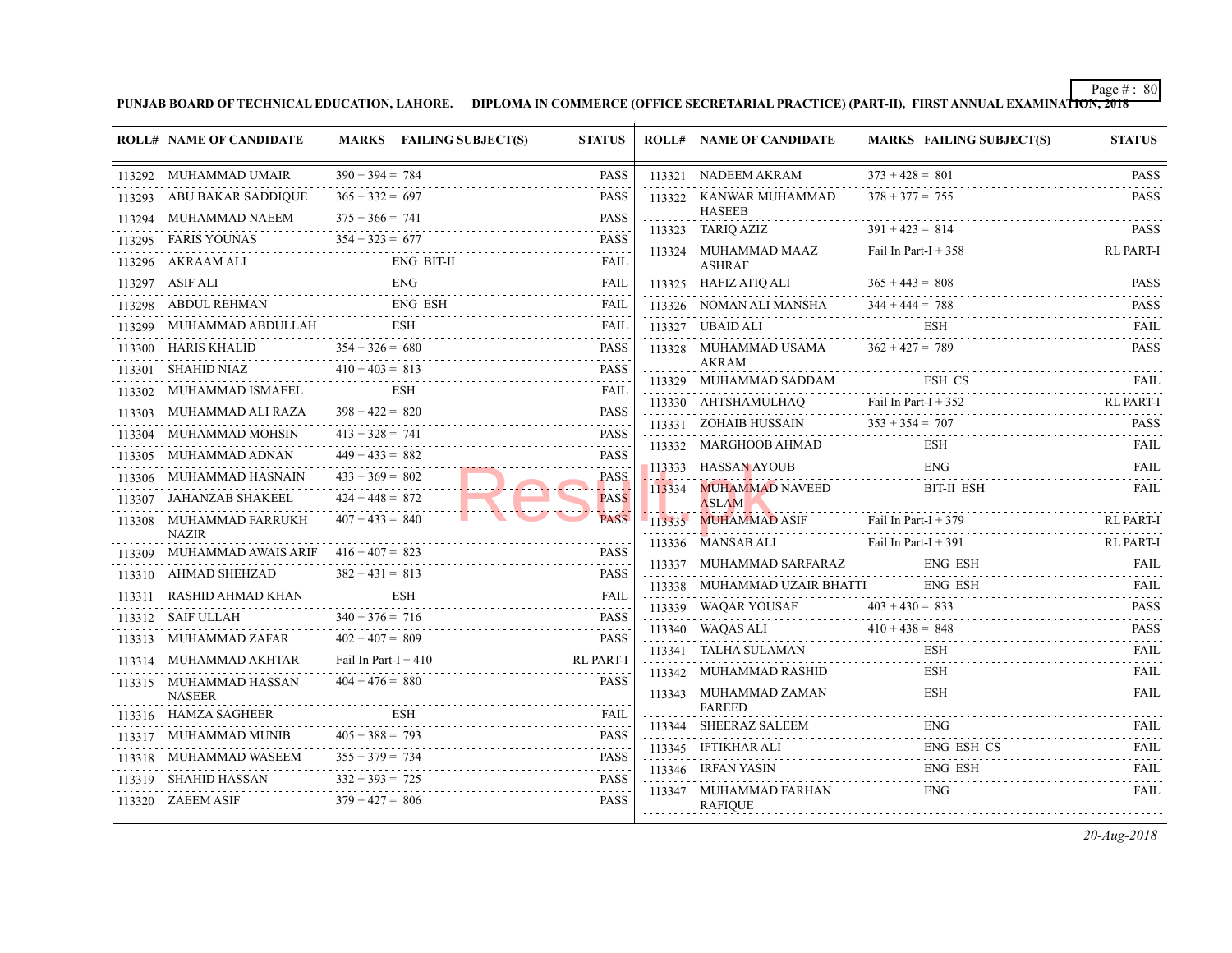| <b>ROLL# NAME OF CANDIDATE</b>                                                                          |                       | MARKS FAILING SUBJECT(S) | <b>STATUS</b>                                                                                                                                                                                                       | <b>ROLL# NAME OF CANDIDATE</b>                                   | <b>MARKS FAIL</b>     |
|---------------------------------------------------------------------------------------------------------|-----------------------|--------------------------|---------------------------------------------------------------------------------------------------------------------------------------------------------------------------------------------------------------------|------------------------------------------------------------------|-----------------------|
| 113292 MUHAMMAD UMAIR                                                                                   | $390 + 394 = 784$     |                          | <b>PASS</b>                                                                                                                                                                                                         | 113321 NADEEM AKRAM                                              | $373 + 428 = 801$     |
| 113293 ABU BAKAR SADDIQUE                                                                               | $365 + 332 = 697$     |                          | <b>PASS</b>                                                                                                                                                                                                         | 113322 KANWAR MUHAMMAD                                           | $378 + 377 = 755$     |
| 113294 MUHAMMAD NAEEM                                                                                   | $375 + 366 = 741$     |                          | <b>PASS</b><br>.                                                                                                                                                                                                    | <b>HASEEB</b><br>113323 TARIQ AZIZ                               | $391 + 423 = 814$     |
| 113295 FARIS YOUNAS<br>$354 + 323 = 677$                                                                | $354 + 323 = 677$     |                          | <b>PASS</b><br>$\mathcal{L}^{\mathcal{A}}\left( \mathcal{A}^{\mathcal{A}}\right) \mathcal{L}^{\mathcal{A}}\left( \mathcal{A}^{\mathcal{A}}\right) \mathcal{L}^{\mathcal{A}}\left( \mathcal{A}^{\mathcal{A}}\right)$ | 113324 MUHAMMAD MAAZ                                             | Fail In Part-I + $3$  |
| 113296 AKRAAM ALI ENG BIT-II                                                                            |                       |                          | FAIL                                                                                                                                                                                                                | <b>ASHRAF</b>                                                    |                       |
| 113297 ASIF ALI                                                                                         |                       |                          | FAIL                                                                                                                                                                                                                | 113325 HAFIZ ATIQ ALI                                            | $365 + 443 = 808$     |
| $\begin{tabular}{ll} 113298 & ABDUL REHMAN & \textbf{\textcolor{red}{EMG}} ESH \\ \hline \end{tabular}$ |                       |                          | FAIL                                                                                                                                                                                                                | 113326 NOMAN ALI MANSHA $344 + 444 = 788$                        |                       |
| 113299 MUHAMMAD ABDULLAH ESH                                                                            |                       |                          | FAIL                                                                                                                                                                                                                | 113327 UBAID ALI                                                 | ESH                   |
| 113300 HARIS KHALID                                                                                     | $354 + 326 = 680$     |                          | PASS<br>$-1 - 1 - 1 - 1$                                                                                                                                                                                            | 113328 MUHAMMAD USAMA $362 + 427 = 789$                          |                       |
| 113301 SHAHID NIAZ $410 + 403 = 813$                                                                    |                       |                          | <b>PASS</b>                                                                                                                                                                                                         | AKRAM<br>113329 MUHAMMAD SADDAM                                  | ESH                   |
| 113302 MUHAMMAD ISMAEEL                                                                                 | <b>ESH</b>            |                          | FAIL                                                                                                                                                                                                                |                                                                  |                       |
| 113303 MUHAMMAD ALI RAZA                                                                                | $398 + 422 = 820$     |                          | <b>PASS</b>                                                                                                                                                                                                         | 113330 AHTSHAMULHAQ Fail In Part-I + 3                           |                       |
| 113304 MUHAMMAD MOHSIN                                                                                  | $413 + 328 = 741$     |                          | <b>PASS</b>                                                                                                                                                                                                         | 113331 ZOHAIB HUSSAIN $353 + 354 = 707$<br>113332 MARGHOOB AHMAD |                       |
| 113305 MUHAMMAD ADNAN                                                                                   | $449 + 433 = 882$     |                          | <b>PASS</b>                                                                                                                                                                                                         |                                                                  | ESH                   |
| 113306 MUHAMMAD HASNAIN                                                                                 | $433 + 369 = 802$     |                          | <b>PASS</b>                                                                                                                                                                                                         | 113333 HASSAN AYOUB                                              | ENG.                  |
| 113307 JAHANZAB SHAKEEL                                                                                 | $424 + 448 = 872$     |                          | .<br><b>PASS</b>                                                                                                                                                                                                    | 113334 MUHAMMAD NAVEED<br><b>ASLAM</b>                           | BIT-I                 |
| 113308 MUHAMMAD FARRUKH                                                                                 | $407 + 433 = 840$     |                          | <b>PASS</b>                                                                                                                                                                                                         | 113335 MUHAMMAD ASIF Fail In Part-I + 3                          |                       |
| <b>NAZIR</b><br>113309 MUHAMMAD AWAIS ARIF $416 + 407 = 823$                                            |                       |                          | <b>PASS</b>                                                                                                                                                                                                         | 113336 MANSAB ALI                                                | Fail In Part- $I + 3$ |
|                                                                                                         | $382 + 431 = 813$     |                          |                                                                                                                                                                                                                     | 113337 MUHAMMAD SARFARAZ                                         | ENG I                 |
| 113310 AHMAD SHEHZAD                                                                                    |                       |                          | <b>PASS</b>                                                                                                                                                                                                         | 113338 MUHAMMAD UZAIR BHATTI                                     | ENGI                  |
| 113311 RASHID AHMAD KHAN ESH                                                                            |                       |                          | FAIL                                                                                                                                                                                                                | 113339 WAQAR YOUSAF $403 + 430 = 833$                            |                       |
| 113312 SAIF ULLAH<br>$340 + 376 = 716$                                                                  |                       | $340 + 376 = 716$ PASS   | <b>PASS</b>                                                                                                                                                                                                         | 113340 WAQAS ALI $410 + 438 = 848$                               |                       |
| 113313 MUHAMMAD ZAFAR $402 + 407 = 809$                                                                 |                       | R $402 + 407 = 809$ PASS | <b>PASS</b>                                                                                                                                                                                                         |                                                                  | ESH                   |
| 113314 MUHAMMAD AKHTAR                                                                                  | Fail In Part-I $+410$ |                          | + 410 RL PART-I<br>RL PART-I                                                                                                                                                                                        | 113342 MUHAMMAD RASHID                                           | ESH                   |
| 113315 MUHAMMAD HASSAN<br><b>NASEER</b>                                                                 | $404 + 476 = 880$     |                          | <b>PASS</b>                                                                                                                                                                                                         | 113343 MUHAMMAD ZAMAN                                            | ESH                   |
| 113316 HAMZA SAGHEER                                                                                    |                       | ESH                      | FAIL                                                                                                                                                                                                                | <b>FAREED</b><br>.                                               |                       |
| 113317 MUHAMMAD MUNIB                                                                                   | $405 + 388 = 793$     |                          | <b>PASS</b>                                                                                                                                                                                                         | 113344 SHEERAZ SALEEM<br>SHEERAZ SALEEM                          | <b>ENG</b>            |
| 113318 MUHAMMAD WASEEM                                                                                  | $355 + 379 = 734$     |                          | <b>PASS</b>                                                                                                                                                                                                         | 113345 IFTIKHAR ALI                                              | <b>ENG</b>            |
| 113319 SHAHID HASSAN $332 + 393 =$                                                                      | $332 + 393 = 725$     |                          | <b>PASS</b>                                                                                                                                                                                                         | 113346 IRFAN YASIN                                               | <b>ENG</b>            |
| 113320 ZAEEM ASIF                                                                                       | $379 + 427 = 806$     |                          | <b>PASS</b>                                                                                                                                                                                                         | 113347 MUHAMMAD FARHAN<br><b>RAFIOUE</b>                         | <b>ENG</b>            |
|                                                                                                         |                       |                          |                                                                                                                                                                                                                     |                                                                  |                       |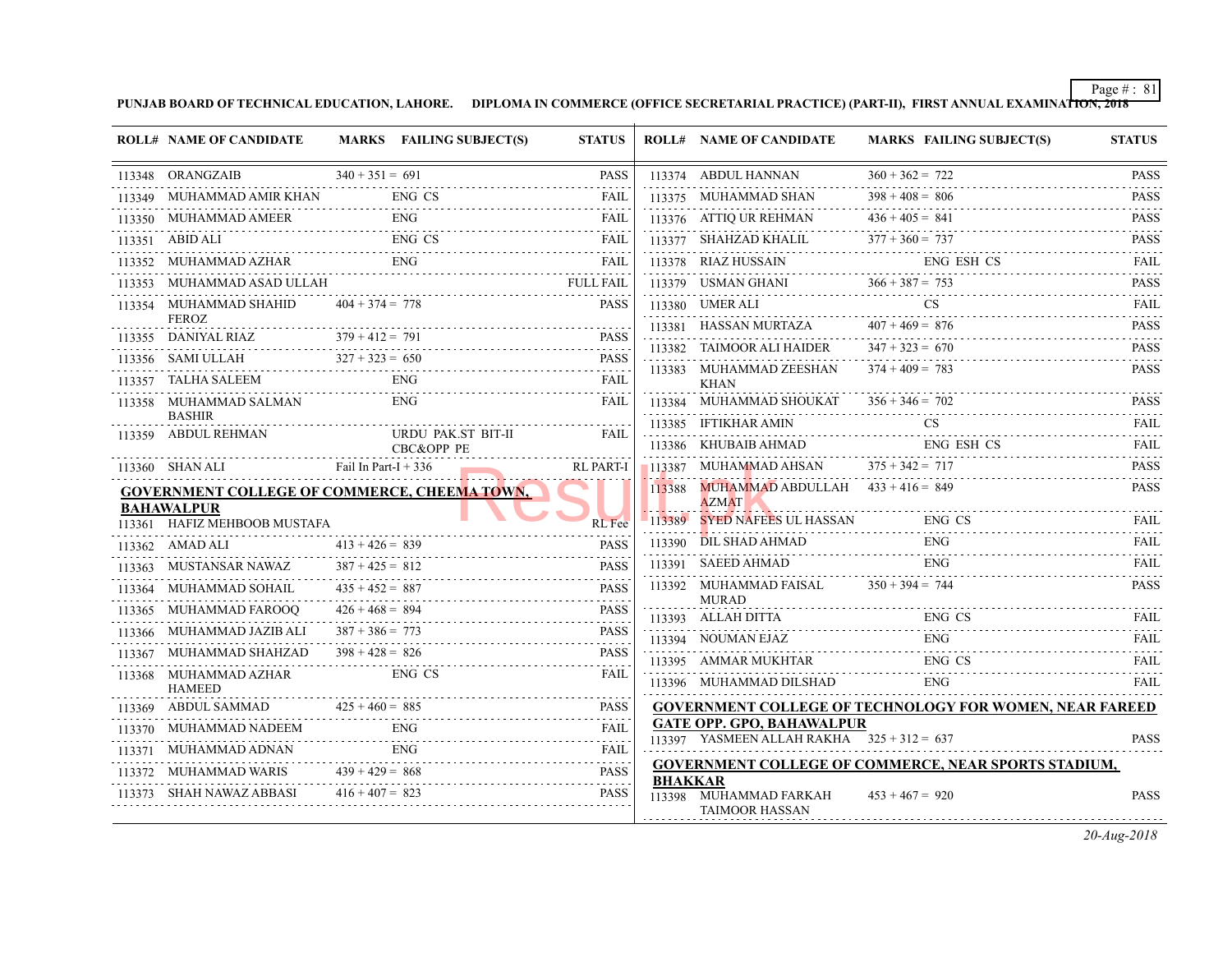| <b>ROLL# NAME OF CANDIDATE</b>                                                                                                    |                   | MARKS FAILING SUBJECT(S)     | <b>STATUS</b>    |                | <b>ROLL# NAME OF CANDIDATE</b>                                                   | <b>MARKS FAIL</b> |
|-----------------------------------------------------------------------------------------------------------------------------------|-------------------|------------------------------|------------------|----------------|----------------------------------------------------------------------------------|-------------------|
| 113348 ORANGZAIB $340 + 351 = 691$ PASS                                                                                           |                   |                              | <b>PASS</b>      |                | 113374 ABDUL HANNAN                                                              | $360 + 362 = 722$ |
| 113349 MUHAMMAD AMIR KHAN ENG CS FAIL                                                                                             |                   |                              |                  |                | 113375 MUHAMMAD SHAN                                                             | $398 + 408 = 806$ |
| 113350 MUHAMMAD AMEER                                                                                                             |                   |                              | FAIL             |                | 113376 ATTIQ UR REHMAN $436 + 405 = 841$                                         |                   |
| 113351 ABID ALI                                                                                                                   |                   | DALI ENG CS FAIL             |                  |                | 113377 SHAHZAD KHALIL 377 + 360 = 737                                            |                   |
|                                                                                                                                   |                   |                              | FAIL             |                | 113378 RIAZ HUSSAIN EN EN                                                        | <b>ENG</b>        |
| 113353 MUHAMMAD ASAD ULLAH FULL FAIL FULL FAIL                                                                                    |                   |                              |                  |                | 113379 USMAN GHANI $366 + 387 = 753$                                             |                   |
| 113354 MUHAMMAD SHAHID<br>FEROZ                                                                                                   | $404 + 374 = 778$ |                              | <b>PASS</b>      |                | 113380 UMER ALI                                                                  | <b>CS</b>         |
| 113355 DANIYAL RIAZ $379 + 412 = 791$ PASS                                                                                        |                   |                              |                  |                | 113381 HASSAN MURTAZA $407 + 469 = 876$                                          |                   |
| 113356 SAMI ULLAH $327 + 323 = 650$ PASS                                                                                          |                   |                              |                  |                | 113382 TAIMOOR ALI HAIDER $347 + 323 = 670$                                      |                   |
|                                                                                                                                   |                   | ENG                          | FAIL             |                | 113383 MUHAMMAD ZEESHAN $374 + 409 = 783$<br><b>KHAN</b>                         |                   |
| 113358 MUHAMMAD SALMAN                                                                                                            |                   | ENG                          | FAIL             |                | 113384 MUHAMMAD SHOUKAT $356 + 346 = 702$                                        |                   |
| <b>BASHIR</b><br>113359 ABDUL REHMAN                                                                                              |                   | URDU PAK.ST BIT-II           | <b>FAIL</b>      |                | 113385 IFTIKHAR AMIN                                                             |                   |
|                                                                                                                                   |                   | CBC&OPP PE                   |                  |                | 113386 KHUBAIB AHMAD                                                             | <b>ENG</b>        |
| $113360$ SHAN ALI Fail In Part-I + 336                                                                                            |                   |                              | <b>RL PART-I</b> |                | 113387 MUHAMMAD AHSAN $375 + 342 = 717$                                          |                   |
| <b>GOVERNMENT COLLEGE OF COMMERCE, CHEEMA TOWN,</b>                                                                               |                   |                              |                  |                | 113388 MUHAMMAD ABDULLAH $433 + 416 = 849$<br><b>AZMAT</b>                       |                   |
| <b>BAHAWALPUR</b><br>113361 HAFIZ MEHBOOB MUSTAFA                                                                                 |                   |                              | RL Fee           |                | 113389 SYED NAFEES UL HASSAN                                                     | <b>ENG</b>        |
| 113362 AMAD ALI<br>$413 + 426 = 839$                                                                                              |                   |                              | <b>PASS</b>      |                | 113390 DIL SHAD AHMAD                                                            | ENG I             |
| 113363 MUSTANSAR NAWAZ $387 + 425 = 812$                                                                                          |                   |                              | <b>PASS</b>      |                | 113391 SAEED AHMAD                                                               | <b>ENG</b>        |
| 113364 MUHAMMAD SOHAIL                                                                                                            | $435 + 452 = 887$ |                              | <b>PASS</b><br>. |                | 113392 MUHAMMAD FAISAL $350 + 394 = 744$<br>MURAD                                |                   |
| 113365 MUHAMMAD FAROOQ                                                                                                            | $426 + 468 = 894$ | $426 + 468 = 894$ PASS       | <b>PASS</b>      |                | 113393 ALLAH DITTA ENG                                                           | ENG.              |
| 113366 MUHAMMAD JAZIB ALI                                                                                                         |                   | $387 + 386 = 773$ PASS       | <b>PASS</b>      |                | 113394 NOUMAN EJAZ<br>AZ ENG                                                     | <b>ENG</b>        |
| 113367 MUHAMMAD SHAHZAD                                                                                                           |                   | $ZAD$ $398 + 428 = 826$ PASS |                  |                | 113395 AMMAR MUKHTAR                                                             | <b>ENG</b>        |
| 113368 MUHAMMAD AZHAR<br><b>HAMEED</b>                                                                                            |                   | ENG CS                       | FAIL             |                | 113396 MUHAMMAD DILSHAD                                                          | <b>ENG</b>        |
| 113369 ABDUL SAMMAD $425 + 460 = 885$                                                                                             |                   |                              | <b>PASS</b>      |                | <b>GOVERNMENT COLLEGE OF TECHNOLOGY</b>                                          |                   |
|                                                                                                                                   |                   |                              |                  |                | <b>GATE OPP. GPO, BAHAWALPUR</b><br>113397 YASMEEN ALLAH RAKHA $325 + 312 = 637$ |                   |
| 113371 MUHAMMAD ADNAN<br>$\begin{tabular}{llllllll} \bf 113371 & \bf MUHAMMAD ADNAN & \bf ENG & \bf FAIL \\ \hline \end{tabular}$ |                   |                              |                  |                |                                                                                  |                   |
| 113372 MUHAMMAD WARIS $439 + 429 = 868$                                                                                           |                   |                              | <b>PASS</b>      | <b>BHAKKAR</b> | <b>GOVERNMENT COLLEGE OF COMMERCE, I</b>                                         |                   |
| 113373 SHAH NAWAZ ABBASI $416 + 407 = 823$<br>H NAWAZ ABBASI 416 + 407 = 823 PASS                                                 |                   |                              |                  |                | 113398 MUHAMMAD FARKAH<br><b>TAIMOOR HASSAN</b>                                  | $453 + 467 = 920$ |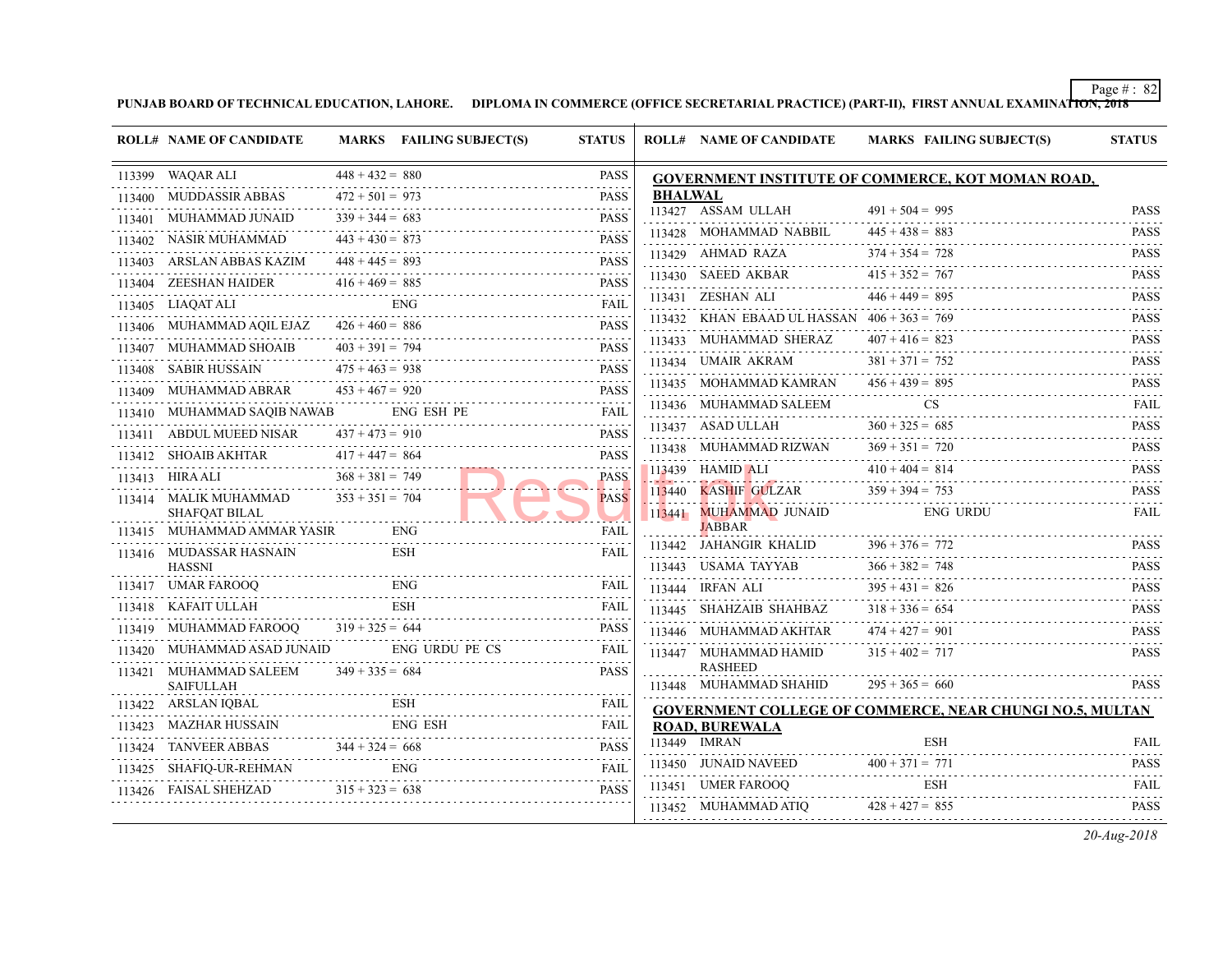| <b>ROLL# NAME OF CANDIDATE</b>                                                     |                   | MARKS FAILING SUBJECT(S)                                                                                      | <b>STATUS</b>    |                | <b>ROLL# NAME OF CANDIDATE</b>                | <b>MARKS FAIL</b>      |
|------------------------------------------------------------------------------------|-------------------|---------------------------------------------------------------------------------------------------------------|------------------|----------------|-----------------------------------------------|------------------------|
| 113399 WAQAR ALI                                                                   | $448 + 432 = 880$ |                                                                                                               | PASS             |                | <b>GOVERNMENT INSTITUTE OF COMMERCE,</b>      |                        |
| 113400 MUDDASSIR ABBAS                                                             | $472 + 501 = 973$ |                                                                                                               | <b>PASS</b>      | <b>BHALWAL</b> |                                               |                        |
| 113401 MUHAMMAD JUNAID                                                             | $339 + 344 = 683$ |                                                                                                               | <b>PASS</b>      |                | 113427 ASSAM ULLAH $491 + 504 = 995$          |                        |
| 113402 NASIR MUHAMMAD                                                              | $443 + 430 = 873$ | AD $443 + 430 = 873$ PASS                                                                                     |                  |                | 113428 MOHAMMAD NABBIL $445 + 438 = 883$      |                        |
| 113403 ARSLAN ABBAS KAZIM $448 + 445 = 893$ PASS                                   |                   |                                                                                                               |                  |                | 113429 AHMAD RAZA $374 + 354 = 728$           |                        |
| 113404 ZEESHAN HAIDER $416 + 469 = 885$ PAS                                        |                   |                                                                                                               | PASS             |                | 113430 SAEED AKBAR $415 + 352 = 767$          |                        |
| 113405 LIAQAT ALI                                                                  |                   | ENG<br>$[$ ENG FAIL                                                                                           |                  |                | 113431 ZESHAN ALI $446 + 449 = 895$           |                        |
| 113406 MUHAMMAD AQIL EJAZ $426 + 460 = 886$                                        |                   |                                                                                                               | PASS             |                | 113432 KHAN EBAAD UL HASSAN $406 + 363 = 769$ |                        |
| 113407 MUHAMMAD SHOAIB                                                             | $403 + 391 = 794$ | IB $403 + 391 = 794$ PASS                                                                                     | <b>PASS</b>      |                | 113433 MUHAMMAD SHERAZ                        | $407 + 416 = 823$      |
| 113408 SABIR HUSSAIN $475 + 463 = 938$                                             |                   | BIR HUSSAIN 475 + 463 = 938 PASS                                                                              | <b>PASS</b>      |                | 113434 UMAIR AKRAM                            | $381 + 371 = 752$      |
| 113409 MUHAMMAD ABRAR $453 + 467 = 920$                                            |                   | MMAD ABRAR 453 + 467 = 920 PASS                                                                               |                  |                | 113435 MOHAMMAD KAMRAN $456 + 439 = 895$      |                        |
| 113410 MUHAMMAD SAQIB NAWAB ENG ESH PE                                             |                   | AQIB NAWAB ENG ESH PE FAIL                                                                                    |                  |                | 113436 MUHAMMAD SALEEM<br>.                   | CS                     |
| 113411 ABDUL MUEED NISAR $437 + 473 = 910$ PASS                                    |                   |                                                                                                               | <b>PASS</b>      |                | 113437 ASAD ULLAH                             | $360 + 325 = 685$      |
| 113412 SHOAIB AKHTAR $417 + 447 = 864$                                             |                   |                                                                                                               | PASS             |                | 113438 MUHAMMAD RIZWAN $369 + 351 = 720$      |                        |
| 113413 HIRA ALI $368 + 381 = 749$                                                  |                   |                                                                                                               | <b>PASS</b>      |                | 113439 HAMID ALI $410 + 404 = 814$            |                        |
| 113414 MALIK MUHAMMAD $353 + 351 = 704$                                            |                   |                                                                                                               | .<br><b>PASS</b> |                | 113440 <b>KASHIF GULZAR</b> $359 + 394 = 753$ |                        |
| <b>SHAFOAT BILAL</b>                                                               |                   |                                                                                                               |                  |                | 113441 MUHAMMAD JUNAID<br><b>JABBAR</b>       | ENG                    |
| 113415 MUHAMMAD AMMAR YASIR                                                        |                   | ENG.                                                                                                          | FAIL             |                | 113442 JAHANGIR KHALID $396 + 376 = 772$      |                        |
| 113416 MUDASSAR HASNAIN<br><b>HASSNI</b>                                           |                   | ESH                                                                                                           | <b>FAIL</b>      |                | 113443 USAMA TAYYAB $366 + 382 = 748$         |                        |
| 113417 UMAR FAROOQ                                                                 |                   | . ENG EXECUTIVE ENG EXECUTIVE EXECUTIVE EXECUTIVE EXECUTIVE EXECUTIVE EXECUTIVE EXECUTIVE EXECUTIVE EXECUTIVE | FAIL             |                | 113444 IRFAN ALI $395 + 431 = 826$            |                        |
| 113418 KAFAIT ULLAH                                                                |                   | ESH                                                                                                           |                  |                | 113445 SHAHZAIB SHAHBAZ                       | $318 + 336 = 654$      |
| MUHAMMAD FAROOQ $319 + 325 = 644$<br>113419 MUHAMMAD FAROOQ $319 + 325 = 644$ PASS |                   |                                                                                                               |                  |                | 113446 MUHAMMAD AKHTAR                        | .<br>$474 + 427 = 901$ |
| 113420 MUHAMMAD ASAD JUNAID                                                        |                   | ENG URDU PE CS<br>NG URDU PE CS<br>                                                                           | FAIL             |                | 113447 MUHAMMAD HAMID                         | $315 + 402 = 717$      |
| 113421 MUHAMMAD SALEEM $349 + 335 = 684$                                           |                   |                                                                                                               | <b>PASS</b>      |                | <b>RASHEED</b>                                |                        |
| <b>SAIFULLAH</b>                                                                   |                   |                                                                                                               |                  |                | 113448 MUHAMMAD SHAHID                        | $295 + 365 = 660$      |
| 113422 ARSLAN IQBAL                                                                |                   | L FAIL FAIL FAIL                                                                                              |                  |                | <b>GOVERNMENT COLLEGE OF COMMERCE, I</b>      |                        |
| 113423 MAZHAR HUSSAIN ENG ESH FAIL                                                 |                   |                                                                                                               |                  |                | <b>ROAD, BUREWALA</b><br>113449 IMRAN         | <b>ESH</b>             |
| 113424 TANVEER ABBAS $344 + 324 = 668$                                             |                   |                                                                                                               | <b>PASS</b>      |                | 113450 JUNAID NAVEED $400 + 371 = 771$        |                        |
| 113425 SHAFIQ-UR-REHMAN ENG FAIL                                                   |                   |                                                                                                               |                  |                |                                               |                        |
| 113426 FAISAL SHEHZAD $315 + 323 = 638$<br>$315 + 323 = 638$ PASS<br>PASS          |                   |                                                                                                               | <b>PASS</b>      |                | 113451 UMER FAROOQ                            | ESH                    |
|                                                                                    |                   |                                                                                                               |                  |                | 113452 MUHAMMAD ATIQ                          | $428 + 427 = 855$      |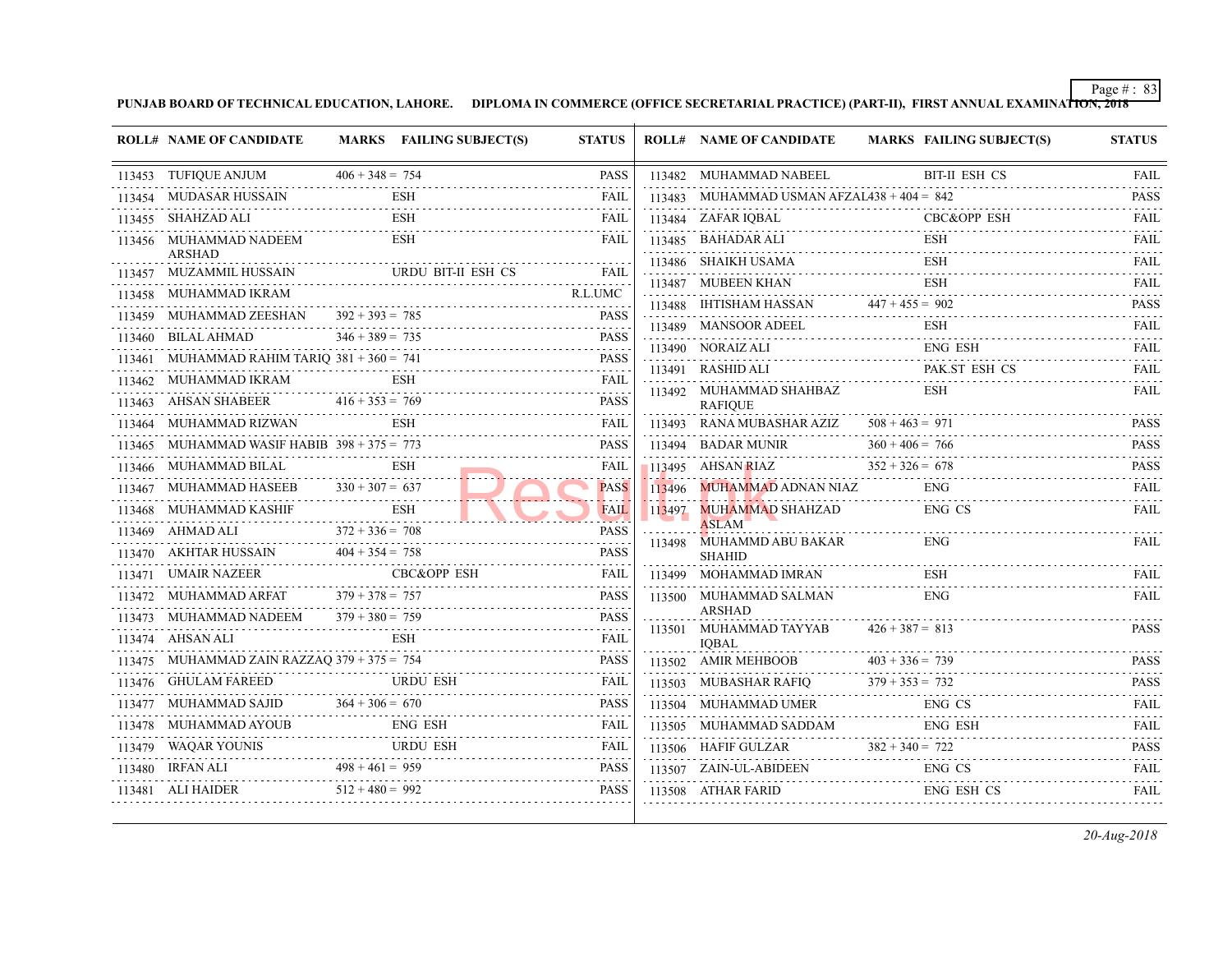| <b>ROLL# NAME OF CANDIDATE</b>                                               |   | MARKS FAILING SUBJECT(S)      | <b>STATUS</b> | <b>ROLL# NAME OF CANDIDATE</b>                                | <b>MARKS FAIL</b> |
|------------------------------------------------------------------------------|---|-------------------------------|---------------|---------------------------------------------------------------|-------------------|
| 113453 TUFIQUE ANJUM $406 + 348 = 754$                                       |   |                               | <b>PASS</b>   | 113482 MUHAMMAD NABEEL                                        | BIT-I             |
| 113454 MUDASAR HUSSAIN ESH FAIL                                              |   |                               | FAIL          | 113483 MUHAMMAD USMAN AFZAL438 + $404 = 842$                  |                   |
| 113455 SHAHZAD ALI                                                           | . | ESH                           | FAIL          | 113484 ZAFAR IOBAL                                            | <b>CBC</b>        |
| 113456 MUHAMMAD NADEEM                                                       |   | ESH                           | <b>FAIL</b>   | 113485 BAHADAR ALI                                            | <b>ESH</b>        |
| ARSHAD<br>113457 MUZAMMIL HUSSAIN                                            |   |                               | FAIL          | 113486 SHAIKH USAMA                                           | <b>ESH</b>        |
| 113458 MUHAMMAD IKRAM                                                        |   | SSAIN URDU BIT-II ESH CS FAIL | R.L.UMC       | 113487 MUBEEN KHAN                                            | ESH               |
| 113459 MUHAMMAD ZEESHAN $392 + 393 = 785$                                    |   |                               |               | 113488 IHTISHAM HASSAN $447 + 455 = 902$                      |                   |
| 113459 MUHAMMAD ZEESHAN $392 + 393 = 785$ PASS                               |   |                               |               | $113489$ MANSOOR ADEEL                                        | ESH               |
| $346 + 389 = 735$<br>113460 BILAL AHMAD                                      |   | AHMAD $346 + 389 = 735$ PASS  |               | 113490 NORAIZ ALI                                             | ENG I             |
| 113461 MUHAMMAD RAHIM TARIQ 381 + 360 = 741 PASS<br>113462 MUHAMMAD IKRAM    |   |                               |               | 113491 RASHID ALI                                             | PAK.              |
| 113462 MUHAMMAD IKRAM ESH FAIL<br>113463 AHSAN SHABEER $416 + 353 = 769$     |   |                               |               | 113492 MUHAMMAD SHAHBAZ                                       | ESH               |
| 113464 MUHAMMAD RIZWAN ESH                                                   |   | ER $416 + 353 = 769$ PASS     | <b>FAIL</b>   | <b>RAFIOUE</b><br>113493 RANA MUBASHAR AZIZ $508 + 463 = 971$ |                   |
| 113465 MUHAMMAD WASIF HABIB $398 + 375 = 773$                                |   |                               | PASS          | 113494 BADAR MUNIR $360 + 406 = 766$                          |                   |
| 113466 MUHAMMAD BILAL                                                        |   |                               | FAIL          | 113495 AHSAN RIAZ $352 + 326 = 678$                           |                   |
| 113467 MUHAMMAD HASEEB $330 + 307 = 637$                                     |   |                               | <b>PASS</b>   | 113496 MUHAMMAD ADNAN NIAZ                                    | <b>ENG</b>        |
| 113468 MUHAMMAD KASHIF                                                       |   | ESH                           | <b>FAIL</b>   | 113497 MUHAMMAD SHAHZAD                                       | ENG               |
|                                                                              |   |                               |               | <b>ASLAM</b>                                                  |                   |
| 113469 AHMAD ALI $372 + 336 = 708$ PASS                                      |   |                               | <b>PASS</b>   | 113498 MUHAMMD ABU BAKAR                                      | <b>ENG</b>        |
| 113470 AKHTAR HUSSAIN $404 + 354 = 758$                                      |   |                               | FAIL          | <b>SHAHID</b><br>113499 MOHAMMAD IMRAN                        | ESH               |
| 113471 UMAIR NAZEER CBC&OPP ESH<br>113472 MUHAMMAD ARFAT $379 + 378 = 757$   |   |                               |               | 113500 MUHAMMAD SALMAN                                        | ENG I             |
| 13472 MUHAMMAD ARFAT 379 + 378 = 757 PASS                                    |   |                               |               | <b>ARSHAD</b>                                                 |                   |
| 113473 MUHAMMAD NADEEM $379 + 380 = 759$ PASS<br>113474 AHSAN ALI            |   |                               | FAIL          | 113501 MUHAMMAD TAYYAB $426 + 387 = 813$                      |                   |
| 113475 MUHAMMAD ZAIN RAZZAQ $379 + 375 = 754$                                |   |                               | <b>PASS</b>   | IOBAL<br>113502 AMIR MEHBOOB                                  | $403 + 336 = 739$ |
|                                                                              |   |                               | FAIL          | 113503 MUBASHAR RAFIQ $379 + 353 = 732$                       |                   |
| 113476 GHULAM FAREED URDU ESH FAIL                                           |   |                               | <b>PASS</b>   | 113504 MUHAMMAD UMER                                          | ENG I             |
| 113477 MUHAMMAD SAJID $364 + 306 = 670$                                      |   |                               |               | 113505 MUHAMMAD SADDAM                                        | <b>ENG</b>        |
| 113478 MUHAMMAD AYOUB ENG ESH FAIL                                           |   |                               | FAIL          |                                                               |                   |
| 113479 WAQAR YOUNIS URDU ESH FAIL                                            |   |                               | <b>PASS</b>   | 113506 HAFIF GULZAR $382 + 340 = 722$                         | ENG.              |
| 113480 IRFAN ALI $498 + 461 = 959$<br>$512 + 480 = 992$<br>113481 ALI HAIDER |   |                               | <b>PASS</b>   | 113507 ZAIN-UL-ABIDEEN ENG<br>113508 ATHAR FARID              | <b>ENG</b>        |
|                                                                              |   |                               |               |                                                               |                   |

 $\mathbf{I}$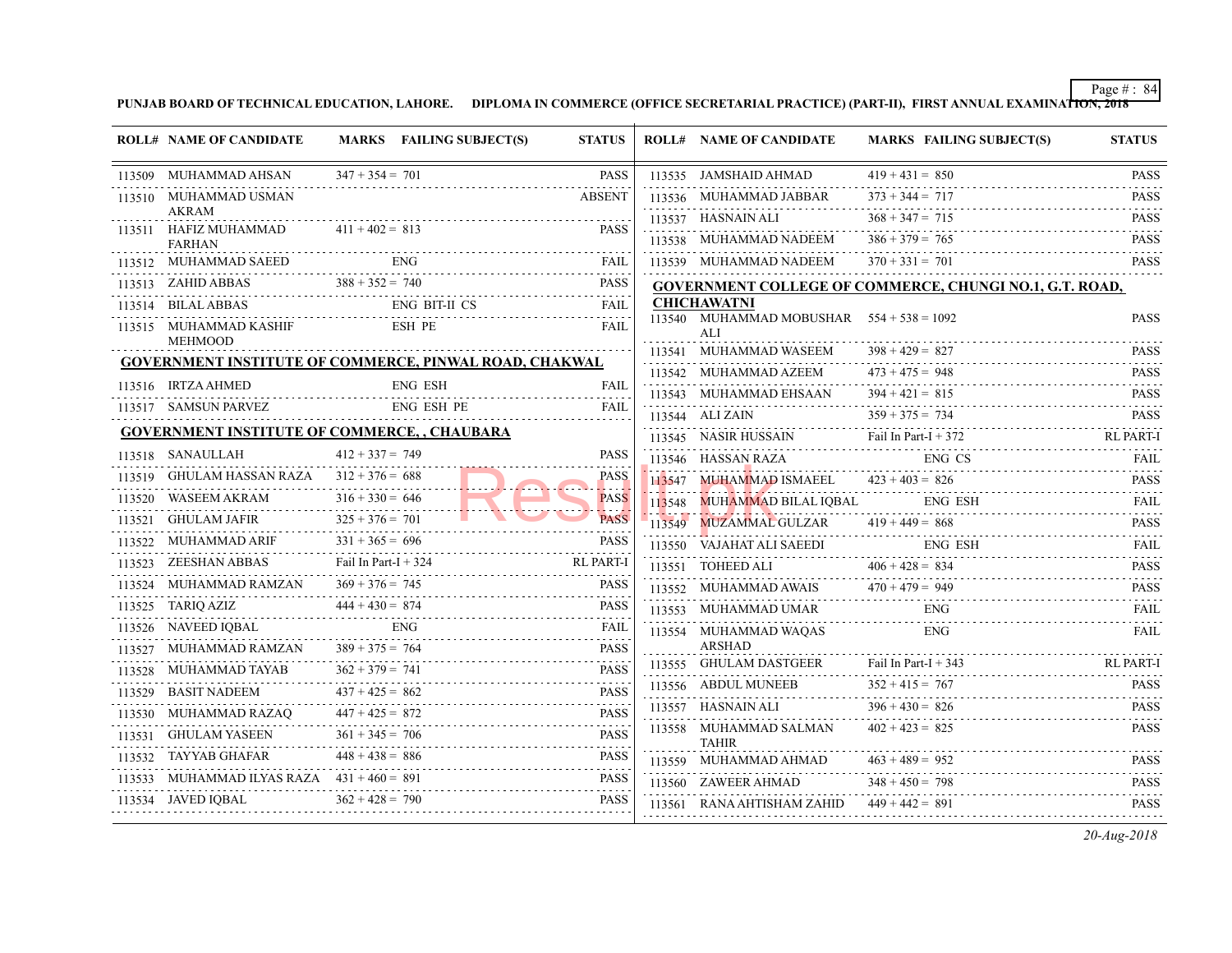| <b>ROLL# NAME OF CANDIDATE</b>                                       |                   | MARKS FAILING SUBJECT(S)         | <b>STATUS</b>           | <b>ROLL# NAME OF CANDIDATE</b>                             | <b>MARKS FAIL</b>   |
|----------------------------------------------------------------------|-------------------|----------------------------------|-------------------------|------------------------------------------------------------|---------------------|
| 113509 MUHAMMAD AHSAN                                                | $347 + 354 = 701$ |                                  | <b>PASS</b>             | 113535 JAMSHAID AHMAD                                      | $419 + 431 = 850$   |
| 113510 MUHAMMAD USMAN                                                |                   |                                  | <b>ABSENT</b>           | 113536 MUHAMMAD JABBAR                                     | $373 + 344 = 717$   |
| <b>AKRAM</b><br>113511 HAFIZ MUHAMMAD                                | $411 + 402 = 813$ |                                  | <b>PASS</b>             | 113537 HASNAIN ALI                                         | $368 + 347 = 715$   |
| <b>FARHAN</b>                                                        |                   |                                  |                         | 113538 MUHAMMAD NADEEM                                     | $386 + 379 = 765$   |
| 113512 MUHAMMAD SAEED<br>13512 MUHAMMAD SAEED ENG FAIL               |                   |                                  |                         | 113539 MUHAMMAD NADEEM                                     | $370 + 331 = 701$   |
| 113513 ZAHID ABBAS                                                   |                   | S $388 + 352 = 740$ PASS         |                         | <b>GOVERNMENT COLLEGE OF COMMERCE, 0</b>                   |                     |
| 113514 BILAL ABBAS                                                   |                   | S ENG BIT-II CS                  | FAIL<br>.               | CHICHAWATNI<br>113540 MUHAMMAD MOBUSHAR $554 + 538 = 1091$ |                     |
| 113515 MUHAMMAD KASHIF<br><b>MEHMOOD</b>                             |                   | ESH PE                           | FAIL                    | ALI                                                        |                     |
| <b>GOVERNMENT INSTITUTE OF COMMERCE, PINWAL ROAD, CHAKWAL</b>        |                   |                                  |                         | 113541 MUHAMMAD WASEEM                                     | $398 + 429 = 827$   |
| 113516 IRTZA AHMED                                                   |                   | ENG ESH                          | FAIL                    | 113542 MUHAMMAD AZEEM                                      | $473 + 475 = 948$   |
| 113517 SAMSUN PARVEZ                                                 |                   | ENG ESH PE                       | FAIL                    | 113543 MUHAMMAD EHSAAN                                     | $394 + 421 = 815$   |
|                                                                      |                   |                                  |                         | 113544 ALI ZAIN                                            | $359 + 375 = 734$   |
| <b>GOVERNMENT INSTITUTE OF COMMERCE,, CHAUBARA</b>                   |                   |                                  |                         | 113545 NASIR HUSSAIN Fail In Part-I + 3                    |                     |
| 113518 SANAULLAH                                                     | $412 + 337 = 749$ |                                  | <b>PASS</b>             | 113546 HASSAN RAZA                                         | <b>ENG</b>          |
| 113519 GHULAM HASSAN RAZA                                            | $312 + 376 = 688$ |                                  | <b>PASS</b><br><b>.</b> | 113547 MUHAMMAD ISMAEEL                                    | $423 + 403 = 826$   |
| 113520 WASEEM AKRAM                                                  | $316 + 330 = 646$ |                                  | <b>PASS</b>             | 113548 MUHAMMAD BILAL IQBAL                                | <b>ENG</b>          |
| 113521 GHULAM JAFIR $325 + 376 = 701$                                |                   |                                  | <b>PASS</b>             | 113549 MUZAMMAL GULZAR                                     | $419 + 449 = 868$   |
| 113522 MUHAMMAD ARIF $331 + 365 = 696$                               |                   |                                  | PASS                    | 113550 VAJAHAT ALI SAEEDI                                  | ENG I               |
| 113523 ZEESHAN ABBAS Fail In Part-I + 324                            |                   | NS Fail In Part-I + 324 RL PART- | RL PART-I               | 113551 TOHEED ALI                                          | $406 + 428 = 834$   |
| 113524 MUHAMMAD RAMZAN $369 + 376 = 745$                             |                   |                                  | <b>PASS</b>             | 113552 MUHAMMAD AWAIS $470 + 479 = 949$                    |                     |
| 113525 TARIQ AZIZ $444 + 430 = 874$ PASS                             |                   |                                  |                         | 113553 MUHAMMAD UMAR                                       | ENG.                |
| 113526 NAVEED IQBAL ENG<br>113526 NAVEED IQBAL ENG ENG FAIL          |                   |                                  | FAIL                    | 113554 MUHAMMAD WAQAS                                      | ENG I               |
| 113527 MUHAMMAD RAMZAN $389 + 375 = 764$                             |                   |                                  | <b>PASS</b>             | <b>ARSHAD</b>                                              | Fail In Part-I $+3$ |
| 113528 MUHAMMAD TAYAB<br>13528 MUHAMMAD TAYAB $362 + 379 = 741$ PASS | $362 + 379 = 741$ |                                  | <b>PASS</b>             | 113555 GHULAM DASTGEER                                     |                     |
| 113529 BASIT NADEEM $437 + 425 = 862$                                |                   |                                  | <b>PASS</b>             | 113556 ABDUL MUNEEB $352 + 4$                              | $352 + 415 = 767$   |
| 113530 MUHAMMAD RAZAQ $447 + 425 = 872$                              |                   | $PASS$ $447 + 425 = 872$ PASS    |                         | 113557 HASNAIN ALI                                         | $396 + 430 = 826$   |
| 113531 GHULAM YASEEN $361 + 345 = 706$                               |                   |                                  | <b>PASS</b>             | 113558 MUHAMMAD SALMAN<br><b>TAHIR</b>                     | $402 + 423 = 825$   |
| 113532 TAYYAB GHAFAR $448 + 438 = 886$                               |                   |                                  | <b>PASS</b>             | 113559 MUHAMMAD AHMAD                                      | $463 + 489 = 952$   |
| 113533 MUHAMMAD ILYAS RAZA $431 + 460 = 891$                         |                   |                                  | PASS                    | 113560 ZAWEER AHMAD                                        | $348 + 450 = 798$   |
| 113534 JAVED IQBAL                                                   | $362 + 428 = 790$ |                                  | PASS                    | 113561 RANA AHTISHAM ZAHID                                 | $449 + 442 = 891$   |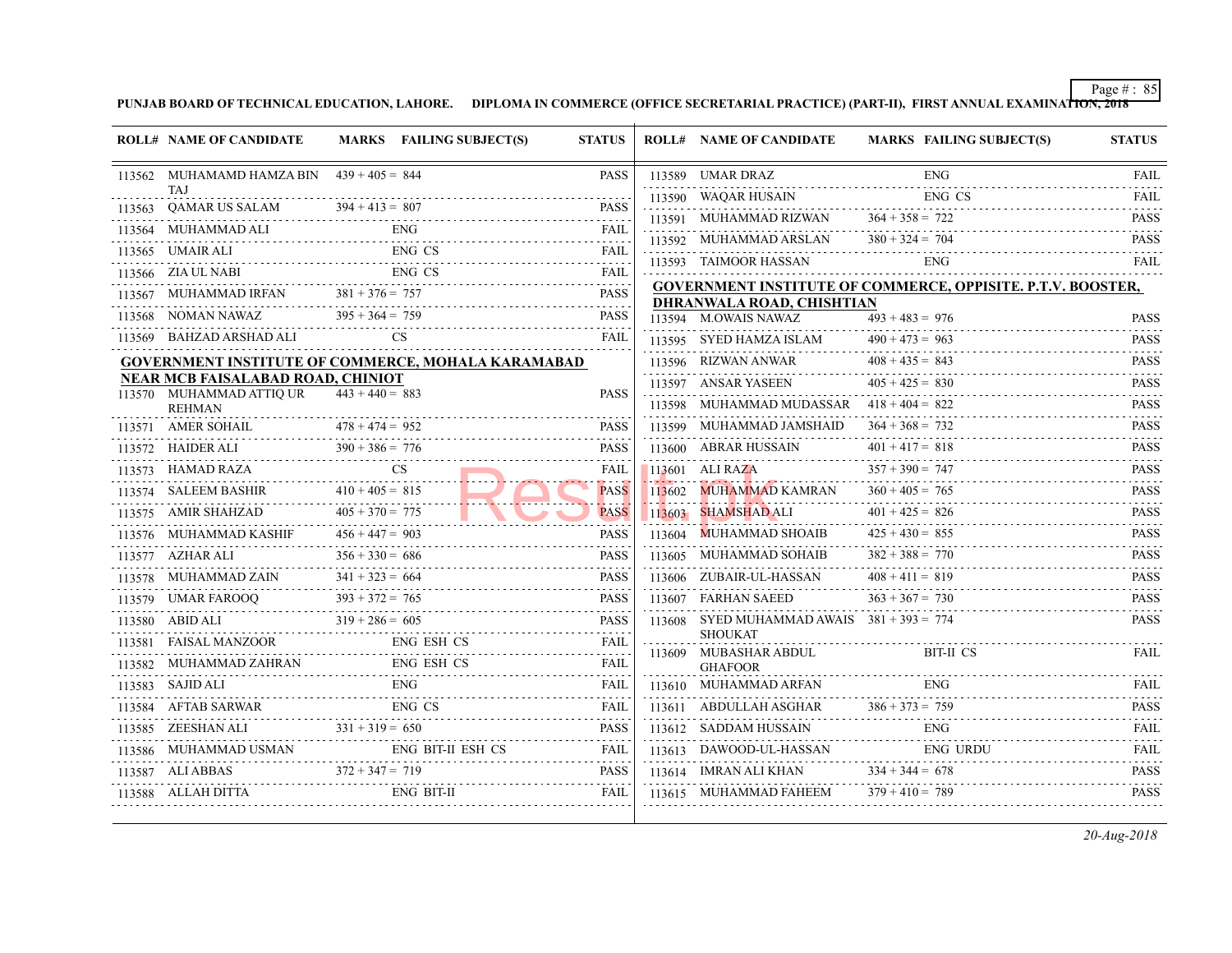| <b>ROLL# NAME OF CANDIDATE</b>                             | MARKS FAILING SUBJECT(S)                                                                                             | <b>STATUS</b>            | <b>ROLL# NAME OF CANDIDATE</b>               | <b>MARKS FAIL</b> |
|------------------------------------------------------------|----------------------------------------------------------------------------------------------------------------------|--------------------------|----------------------------------------------|-------------------|
| 113562 MUHAMAMD HAMZA BIN $439 + 405 = 844$                |                                                                                                                      | <b>PASS</b>              | 113589 UMAR DRAZ                             | <b>ENG</b>        |
| <b>TAJ</b><br>113563 QAMAR US SALAM                        |                                                                                                                      | <b>PASS</b>              | 113590 WAQAR HUSAIN                          | ENG.              |
|                                                            | AM $394 + 413 = 807$                                                                                                 | 2.2.2.2.2                | 113591 MUHAMMAD RIZWAN                       | $364 + 358 = 722$ |
| 113565 UMAIR ALI                                           | 113564 MUHAMMAD ALI ENG FAIL FAIL<br>ENG CS                                                                          |                          | 113592 MUHAMMAD ARSLAN                       | $380 + 324 = 704$ |
| 113566 ZIA UL NABI                                         | LI ENG CS FAIL                                                                                                       |                          | 113593 TAIMOOR HASSAN                        | <b>ENG</b>        |
| 113567 MUHAMMAD IRFAN $381 + 376 = 757$                    | VABI ENG CS FAIL                                                                                                     |                          | <b>GOVERNMENT INSTITUTE OF COMMERCE,</b>     |                   |
|                                                            | D IRFAN 381 + 376 = 757 PASS                                                                                         |                          | DHRANWALA ROAD, CHISHTIAN                    |                   |
| 113568 NOMAN NAWAZ                                         | $395 + 364 = 759$                                                                                                    | <b>PASS</b>              | 113594 M.OWAIS NAWAZ                         | $493 + 483 = 976$ |
| 113569 BAHZAD ARSHAD ALI                                   | CS.                                                                                                                  | <b>FAIL</b>              | 113595 SYED HAMZA ISLAM                      | $490 + 473 = 963$ |
|                                                            | <b>GOVERNMENT INSTITUTE OF COMMERCE. MOHALA KARAMABAD</b>                                                            |                          | 113596 RIZWAN ANWAR $408 + 435 = 843$        |                   |
| <b>NEAR MCB FAISALABAD ROAD, CHINIOT</b>                   |                                                                                                                      |                          | 113597 ANSAR YASEEN                          | $405 + 425 = 830$ |
| 113570 MUHAMMAD ATTIO UR<br><b>REHMAN</b>                  | $443 + 440 = 883$                                                                                                    | <b>PASS</b>              | 113598 MUHAMMAD MUDASSAR $418 + 404 = 822$   |                   |
| 113571 AMER SOHAIL<br>113571 AMER SOHAIL $478 + 474 = 952$ |                                                                                                                      | <b>PASS</b>              | 113599 MUHAMMAD JAMSHAID                     | $364 + 368 = 732$ |
| 113572 HAIDER ALI                                          | $390 + 386 = 776$                                                                                                    | <b>PASS</b>              | 113600 ABRAR HUSSAIN                         | $401 + 417 = 818$ |
| 113573 HAMAD RAZA CS                                       |                                                                                                                      | <b>FAIL</b>              | $113601$ ALI RAZA $357 + 390 = 747$          |                   |
| 113574 SALEEM BASHIR $410 + 405 = 815$                     | .                                                                                                                    | <b>PASS</b>              | 113602 MUHAMMAD KAMRAN                       | $360 + 405 = 765$ |
| 113575 AMIR SHAHZAD $405 + 370 = 775$                      |                                                                                                                      | <b>PASS</b>              | 113603 SHAMSHAD ALI                          | $401 + 425 = 826$ |
| 113576 MUHAMMAD KASHIF $456 + 447 = 903$                   |                                                                                                                      | <b>PASS</b>              | 113604 MUHAMMAD SHOAIB                       | $425 + 430 = 855$ |
| 113577 AZHAR ALI                                           | $356 + 330 = 686$                                                                                                    | <b>PASS</b>              | 113605 MUHAMMAD SOHAIB                       | $382 + 388 = 770$ |
| 113578 MUHAMMAD ZAIN $341 + 323 = 664$                     |                                                                                                                      | <b>PASS</b>              | 113606 ZUBAIR-UL-HASSAN                      | $408 + 411 = 819$ |
|                                                            | 113579 UMAR FAROOQ 393 + 372 = 765 PASS                                                                              |                          | 113607 FARHAN SAEED                          | $363 + 367 = 730$ |
| 113580 ABID ALI $319 + 286 = 605$                          |                                                                                                                      | <b>PASS</b><br>2.2.2.2.2 | 113608 SYED MUHAMMAD AWAIS $381 + 393 = 774$ |                   |
| 113581 FAISAL MANZOOR                                      | OR ENG ESH CS FAIL                                                                                                   |                          | <b>SHOUKAT</b>                               |                   |
|                                                            | $\begin{tabular}{lllllllll} \bf 113582 & \bf  MUHAMMAD ZAHRAN & \bf  ENG ESH CS & \bf  FAIL \\ \hline \end{tabular}$ |                          | 113609 MUBASHAR ABDUL<br><b>GHAFOOR</b>      | BIT-I             |
| 113583 SAJID ALI                                           | <b>ENG</b>                                                                                                           | <b>FAIL</b>              | 113610 MUHAMMAD ARFAN                        | ENG I             |
| 113584 AFTAB SARWAR ENG CS                                 | 113584 AFTAB SARWAR ENG CS FAIL                                                                                      |                          | 113611 ABDULLAH ASGHAR $386 + 373 = 759$     |                   |
| 113585 ZEESHAN ALI $331 + 319 = 650$                       |                                                                                                                      | <b>PASS</b>              | 113612 SADDAM HUSSAIN                        | <b>ENG</b>        |
|                                                            | 113586 MUHAMMAD USMAN ENG BIT-II ESH CS                                                                              | <b>FAIL</b>              | 113613 DAWOOD-UL-HASSAN                      | <b>ENG</b>        |
| 113587 ALI ABBAS                                           | $372 + 347 = 719$ PASS                                                                                               |                          | 113614 IMRAN ALI KHAN $334 + 344 = 678$      |                   |
| 113588 ALLAH DITTA                                         | ENG BIT-II                                                                                                           | FAIL                     | 113615 MUHAMMAD FAHEEM $379 + 410 = 789$     |                   |
|                                                            |                                                                                                                      |                          |                                              |                   |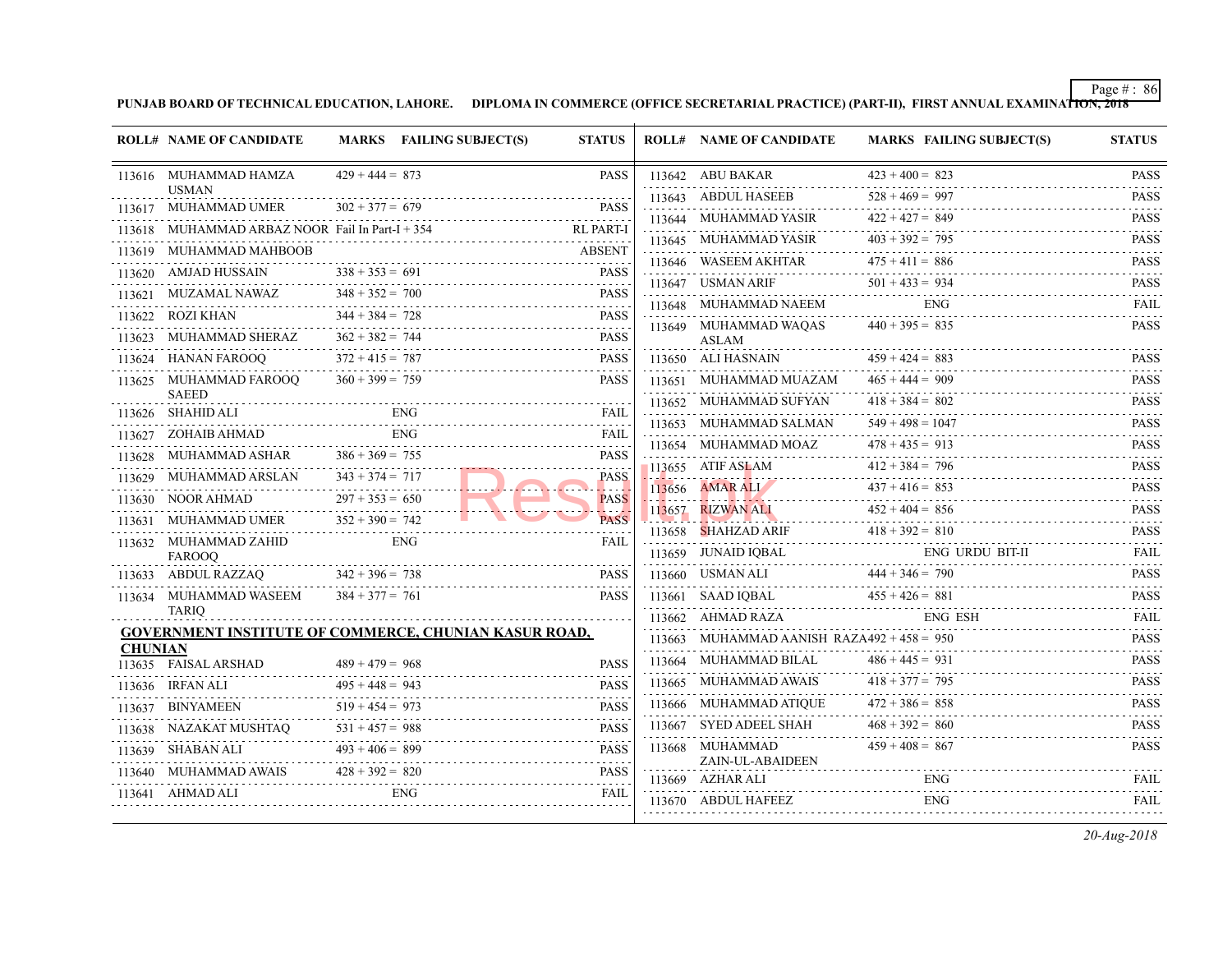|                | <b>ROLL# NAME OF CANDIDATE</b>                  |                        | MARKS FAILING SUBJECT(S)                                     | <b>STATUS</b>               | <b>ROLL# NAME OF CANDIDATE</b>                        | <b>MARKS FAIL</b>  |
|----------------|-------------------------------------------------|------------------------|--------------------------------------------------------------|-----------------------------|-------------------------------------------------------|--------------------|
|                | 113616 MUHAMMAD HAMZA                           | $429 + 444 = 873$      |                                                              | <b>PASS</b>                 | 113642 ABU BAKAR                                      | $423 + 400 = 823$  |
|                | <b>USMAN</b><br>113617 MUHAMMAD UMER            | $302 + 377 = 679$      |                                                              | <b>PASS</b>                 | 113643 ABDUL HASEEB                                   | $528 + 469 = 997$  |
|                | 113618 MUHAMMAD ARBAZ NOOR Fail In Part-I + 354 |                        | PAS<br>---------------------------------                     |                             | 113644 MUHAMMAD YASIR                                 | $422 + 427 = 849$  |
|                |                                                 |                        | BAZ NOOR Fail In Part-I + 354 RL PART-I                      |                             | 113645 MUHAMMAD YASIR                                 | $403 + 392 = 795$  |
|                | 113619 MUHAMMAD MAHBOOB                         |                        | <b>ABSENT</b>                                                |                             | 113646 WASEEM AKHTAR                                  | $475 + 411 = 886$  |
|                | 113620 AMJAD HUSSAIN                            | $338 + 353 = 691$      |                                                              | <b>PASS</b>                 | 113647 USMAN ARIF                                     | $501 + 433 = 934$  |
|                | 113621 MUZAMAL NAWAZ                            | $348 + 352 = 700$      |                                                              | <b>PASS</b>                 | 113648 MUHAMMAD NAEEM                                 | <b>ENG</b>         |
|                | 113622 ROZI KHAN                                | $344 + 384 = 728$      |                                                              | <b>PASS</b>                 | 113649 MUHAMMAD WAQAS                                 | $440 + 395 = 835$  |
|                | 113623 MUHAMMAD SHERAZ                          | $362 + 382 = 744$      |                                                              | <b>PASS</b>                 | ASLAM                                                 |                    |
|                | 113624 HANAN FAROOO                             | $372 + 415 = 787$      |                                                              | <b>PASS</b>                 | 113650 ALI HASNAIN                                    | $459 + 424 = 883$  |
|                | 113625 MUHAMMAD FAROOQ<br><b>SAEED</b>          | $360 + 399 = 759$      |                                                              | <b>PASS</b>                 | 113651 MUHAMMAD MUAZAM                                | $465 + 444 = 909$  |
|                | 113626 SHAHID ALI                               |                        | ENG-                                                         | FAIL                        | 113652 MUHAMMAD SUFYAN                                | $418 + 384 = 802$  |
|                | 113627 ZOHAIB AHMAD                             |                        | <b>ENG</b>                                                   | <b>FAIL</b>                 | 113653 MUHAMMAD SALMAN                                | $549 + 498 = 104'$ |
|                | 113628 MUHAMMAD ASHAR $386 + 369 = 755$         |                        |                                                              | <b>PASS</b>                 | 113654 MUHAMMAD MOAZ                                  | $478 + 435 = 913$  |
|                | 113629 MUHAMMAD ARSLAN                          | $343 + 374 = 717$      |                                                              | <b>PASS</b>                 | 113655 ATIF ASLAM                                     | $412 + 384 = 796$  |
|                | 113630 NOOR AHMAD                               | $297 + 353 = 650$      |                                                              | <b>PASS</b>                 | 113656 AMAR ALI $437 + 416 = 8$                       | $437 + 416 = 853$  |
|                | 113631 MUHAMMAD UMER                            | .<br>$352 + 390 = 742$ |                                                              | . <i>. .</i><br><b>PASS</b> | 113657 RIZWAN ALI $452 + 404 = 3$                     | $452 + 404 = 856$  |
|                | 113632 MUHAMMAD ZAHID                           |                        | ENG-                                                         | FAIL                        | SHAHZAD ARIF $418 + 392 = 810$<br>113658 SHAHZAD ARIF |                    |
|                | <b>FAROOO</b>                                   |                        |                                                              |                             | 113659 JUNAID IQBAL                                   | <b>ENG</b>         |
|                | 113633 ABDUL RAZZAQ $342 + 396 = 738$           |                        |                                                              | <b>PASS</b>                 | 113660 USMAN ALI $444 + 346 = 790$                    |                    |
|                | 113634 MUHAMMAD WASEEM                          | $384 + 377 = 761$      |                                                              | <b>PASS</b>                 | 113661 SAAD IQBAL                                     | $455 + 426 = 881$  |
|                | TARIO                                           |                        |                                                              |                             | 113662 AHMAD RAZA                                     | ENG.               |
| <b>CHUNIAN</b> |                                                 |                        | <b>GOVERNMENT INSTITUTE OF COMMERCE, CHUNIAN KASUR ROAD,</b> |                             | 113663 MUHAMMAD AANISH RAZA492 + 458 = 950            |                    |
|                | 113635 FAISAL ARSHAD                            | $489 + 479 = 968$      |                                                              | <b>PASS</b>                 | 113664 MUHAMMAD BILAL                                 | $486 + 445 = 931$  |
|                | 113636 IRFAN ALI                                | $495 + 448 = 943$      |                                                              | <b>PASS</b>                 | 113665 MUHAMMAD AWAIS                                 | $418 + 377 = 795$  |
|                | 113637 BINYAMEEN                                | $519 + 454 = 973$      |                                                              | <b>PASS</b>                 | 113666 MUHAMMAD ATIQUE                                | $472 + 386 = 858$  |
|                | 113638 NAZAKAT MUSHTAQ $531 + 457 = 988$        |                        |                                                              | <b>PASS</b>                 | 113667 SYED ADEEL SHAH                                | $468 + 392 = 860$  |
|                | $493 + 406 = 899$<br>113639 SHABAN ALI          |                        | $493 + 406 = 899$ PASS                                       | <b>PASS</b>                 | 113668 MUHAMMAD<br>ZAIN-UL-ABAIDEEN                   | $459 + 408 = 867$  |
|                | 113640 MUHAMMAD AWAIS $428 + 392 = 820$         |                        |                                                              | <b>PASS</b>                 | 113669 AZHAR ALI                                      | <b>ENG</b>         |
|                | 113641 AHMAD ALI                                |                        | <b>ENG</b>                                                   | FAIL                        | 113670 ABDUL HAFEEZ                                   | <b>ENG</b>         |
|                |                                                 |                        |                                                              |                             |                                                       |                    |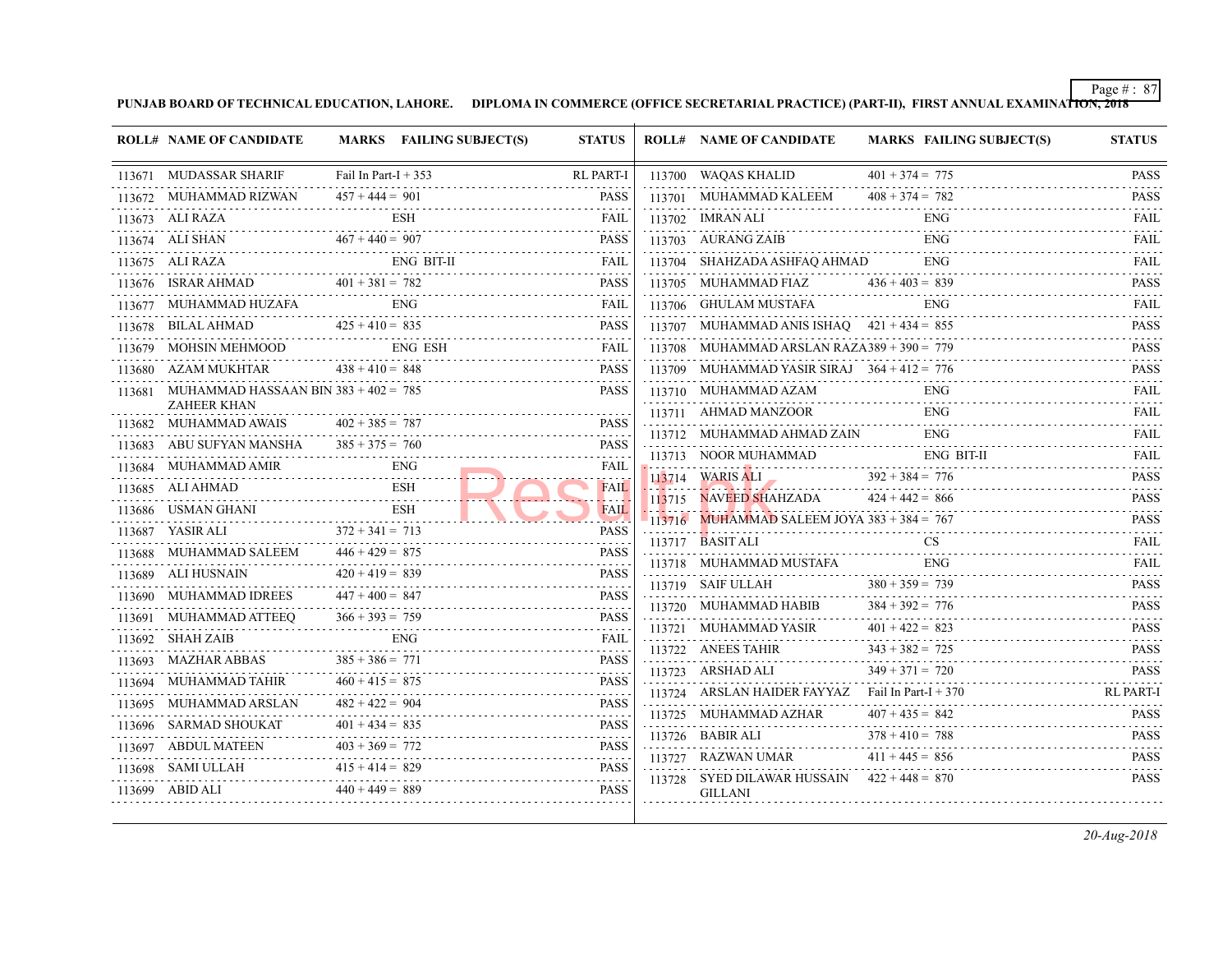| <b>ROLL# NAME OF CANDIDATE</b>                                    |                       | MARKS FAILING SUBJECT(S) | <b>STATUS</b>                         | <b>ROLL# NAME OF CANDIDATE</b>                                                        | <b>MARKS FAIL</b> |
|-------------------------------------------------------------------|-----------------------|--------------------------|---------------------------------------|---------------------------------------------------------------------------------------|-------------------|
| 113671 MUDASSAR SHARIF                                            | Fail In Part-I $+353$ |                          | RL PART-I                             | 113700 WAQAS KHALID                                                                   | $401 + 374 = 775$ |
| 113672 MUHAMMAD RIZWAN                                            | $457 + 444 = 901$     |                          | <b>PASS</b>                           | 113701 MUHAMMAD KALEEM                                                                | $408 + 374 = 782$ |
| 113673 ALI RAZA                                                   |                       |                          | FAIL                                  | 113702 IMRAN ALI                                                                      | ENG.              |
| 113674 ALI SHAN $467 + 440 = 907$ PASS                            |                       |                          | <b>PASS</b>                           | 113703 AURANG ZAIB                                                                    | <b>ENG</b>        |
| 113675 ALI RAZA ENG BIT-II FAIL                                   |                       |                          | FAIL                                  | 113704 SHAHZADA ASHFAQ AHMAD                                                          | <b>ENG</b>        |
| 113676 ISRAR AHMAD $401 + 381 = 782$                              |                       |                          | <b>PASS</b>                           | 113705 MUHAMMAD FIAZ $436 + 403 = 839$                                                |                   |
| 113677 MUHAMMAD HUZAFA                                            |                       | ENG                      | FAIL                                  | 113706 GHULAM MUSTAFA                                                                 | <b>ENG</b>        |
| $425 + 410 = 835$<br>113678 BILAL AHMAD                           |                       |                          | <b>PASS</b>                           | 113707 MUHAMMAD ANIS ISHAQ $421 + 434 = 855$                                          |                   |
| 113679 MOHSIN MEHMOOD ENG ESH                                     |                       |                          | FAIL                                  | 113708 MUHAMMAD ARSLAN RAZA389 + 390 = 779                                            |                   |
| 113680 AZAM MUKHTAR $438 + 410 = 848$                             |                       |                          | <b>PASS</b>                           | 113709 MUHAMMAD YASIR SIRAJ $364 + 412 = 776$                                         |                   |
| 113681 MUHAMMAD HASSAAN BIN 383 + 402 = 785<br><b>ZAHEER KHAN</b> |                       |                          | <b>PASS</b>                           | 113710 MUHAMMAD AZAM                                                                  | ENG I             |
| 113682 MUHAMMAD AWAIS                                             | $402 + 385 = 787$     |                          | <b>PASS</b>                           | 113711 AHMAD MANZOOR                                                                  | <b>ENG</b>        |
| 113683 ABU SUFYAN MANSHA $385 + 375 = 760$                        |                       |                          | <b>PASS</b><br>PASS                   | 113712 MUHAMMAD AHMAD ZAIN                                                            | <b>ENG</b>        |
| 113684 MUHAMMAD AMIR                                              |                       | <b>ENG</b>               | FAIL                                  | 113713 NOOR MUHAMMAD                                                                  | <b>ENG</b>        |
| 113685 ALI AHMAD ESH<br>113685 ALI AHMAD                          |                       |                          | <b>FAIL</b>                           | 113714 WARIS ALI $392 + 384 = 776$                                                    |                   |
| 113686 USMAN GHANI                                                |                       | ESH                      | .<br><b>FAIL</b>                      | $113715$ NAVEED SHAHZADA $424 + 442 = 866$                                            |                   |
| $372 + 341 = 713$<br>113687 YASIR ALI                             |                       |                          | للمستحدث<br><b>PASS</b>               | $113716$ MUHAMMAD SALEEM JOYA 383 + 384 = 767                                         |                   |
| 113688 MUHAMMAD SALEEM $446 + 429 = 875$                          |                       |                          | <b>PASS</b>                           | 113717 BASIT ALI                                                                      | CS.               |
| 113689 ALI HUSNAIN                                                | $420 + 419 = 839$     |                          | $420 + 419 = 839$ PASS                | 113718 MUHAMMAD MUSTAFA                                                               | ENG.              |
| 113690 MUHAMMAD IDREES $447 + 400 = 847$                          |                       |                          | <b>PASS</b><br>PASS                   | 113719 SAIF ULLAH $380 + 359 = 739$<br>113720 MUHAMMAD HABIB                          | $384 + 392 = 776$ |
| 113691 MUHAMMAD ATTEEQ $366 + 393 = 759$                          |                       |                          | <b>PASS</b>                           |                                                                                       |                   |
| 113692 SHAH ZAIB                                                  |                       | ENG                      | FAIL                                  | 113721 MUHAMMAD YASIR $401 + 422 = 823$<br>113722 ANEES TAHIR $343 + 382 = 725$       |                   |
| 113693 MAZHAR ABBAS $385 + 386 = 771$                             |                       |                          | <b>PASS</b><br>$385 + 386 = 771$ PASS |                                                                                       |                   |
| 113694 MUHAMMAD TAHIR $460 + 415 = 875$                           |                       |                          | PASS                                  | 113723 ARSHAD ALI<br>113724 ARSLAN HAIDER FAYYAZ Fail In Part-I + 3                   | $349 + 371 = 720$ |
| 113695 MUHAMMAD ARSLAN $482 + 422 = 904$                          |                       |                          | <b>PASS</b>                           | 113725 MUHAMMAD AZHAR                                                                 | $407 + 435 = 842$ |
| 113696 SARMAD SHOUKAT $401 + 434 = 835$ PASS                      |                       |                          | <b>PASS</b>                           |                                                                                       |                   |
| 113697 ABDUL MATEEN $403 + 369 = 772$                             |                       |                          | PASS                                  | 113726 BABIR ALI $378 + 410 = 788$                                                    |                   |
| 113698 SAMI ULLAH $415 + 414 = 829$                               |                       |                          | <b>PASS</b>                           | 113727 RAZWAN UMAR $411 + 445 = 856$<br>113728 SYED DILAWAR HUSSAIN $422 + 448 = 870$ |                   |
| 113699 ABID ALI                                                   | $440 + 449 = 889$     |                          | <b>PASS</b>                           | <b>GILLANI</b>                                                                        |                   |
|                                                                   |                       |                          |                                       |                                                                                       |                   |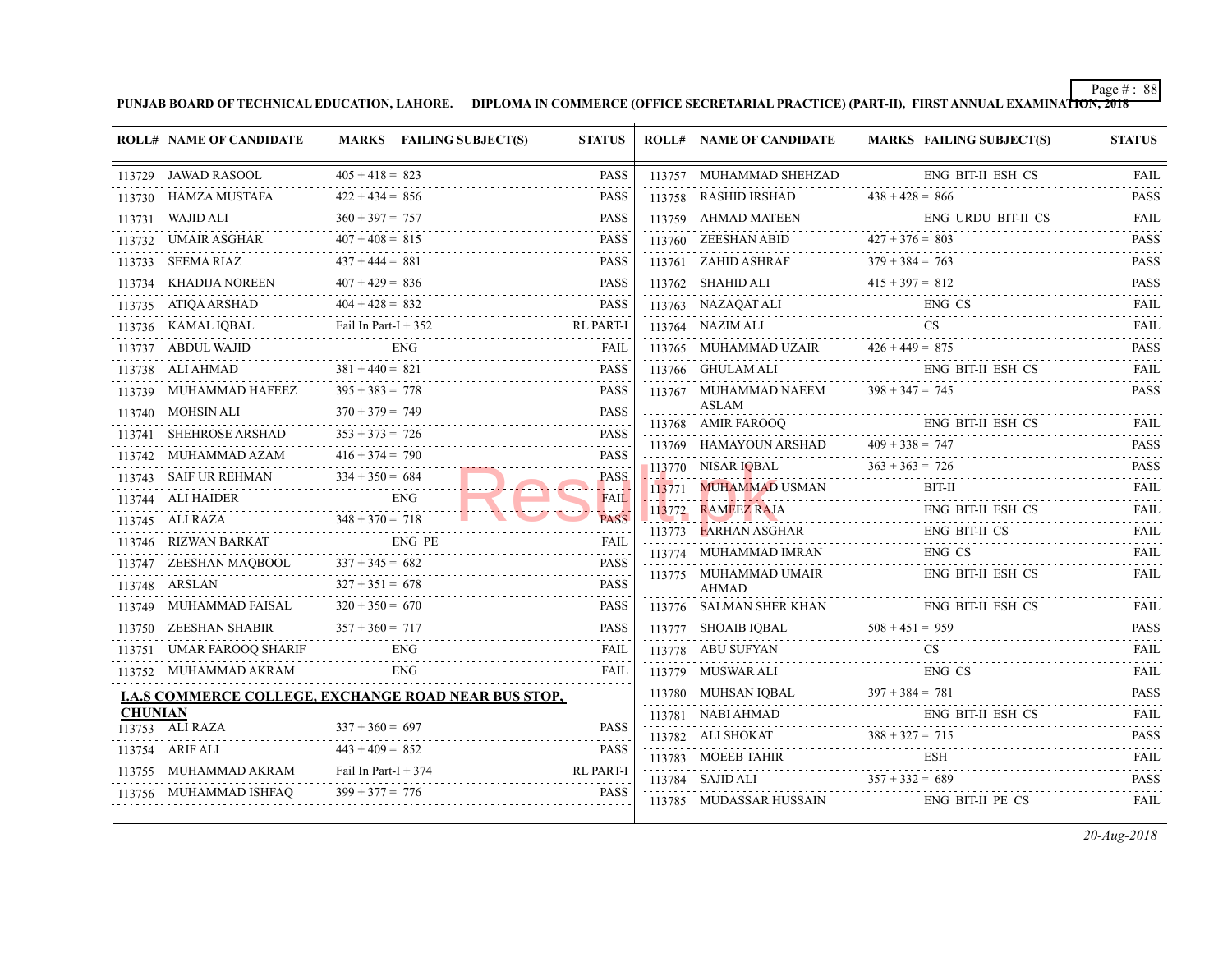|                | <b>ROLL# NAME OF CANDIDATE</b>                               |                       | MARKS FAILING SUBJECT(S)      | <b>STATUS</b>                                                                                                                                                                                                | <b>ROLL# NAME OF CANDIDATE</b>              | <b>MARKS FAIL</b> |
|----------------|--------------------------------------------------------------|-----------------------|-------------------------------|--------------------------------------------------------------------------------------------------------------------------------------------------------------------------------------------------------------|---------------------------------------------|-------------------|
|                | 113729 JAWAD RASOOL                                          | $405 + 418 = 823$     |                               | <b>PASS</b>                                                                                                                                                                                                  | 113757 MUHAMMAD SHEHZAD                     | <b>ENG</b>        |
|                | 113730 HAMZA MUSTAFA $422 + 434 = 856$                       |                       |                               | <b>PASS</b>                                                                                                                                                                                                  | 113758 RASHID IRSHAD $438 + 428 = 866$      |                   |
|                | $360 + 397 = 757$<br>113731 WAJID ALI                        |                       |                               | <b>PASS</b>                                                                                                                                                                                                  | 113759 AHMAD MATEEN                         | ENG               |
|                | 113732 UMAIR ASGHAR $407 + 408 = 815$ PASS                   |                       |                               |                                                                                                                                                                                                              | 113760 ZEESHAN ABID $427 + 376 = 803$       |                   |
|                | 113733 SEEMARIAZ $437 + 444 = 881$                           |                       |                               | <b>PASS</b>                                                                                                                                                                                                  | 113761 ZAHID ASHRAF $379 + 384 = 763$       |                   |
|                | 113734 KHADIJA NOREEN $407 + 429 = 836$ PASS                 |                       |                               | <b>PASS</b>                                                                                                                                                                                                  | 113762 SHAHID ALI $415 + 397 = 812$         |                   |
|                | 113735 ATIQA ARSHAD $404 + 428 = 832$ PASS                   |                       |                               |                                                                                                                                                                                                              | 113763 NAZAQAT ALI ENC                      | ENG.              |
|                | 113736 KAMAL IQBAL Fail In Part-I + 352 RL PART-I            |                       |                               |                                                                                                                                                                                                              | 113764 NAZIM ALI                            | CS                |
|                | 113737 ABDUL WAJID ENG                                       |                       |                               | FAIL                                                                                                                                                                                                         | 113765 MUHAMMAD UZAIR $426 + 449 = 875$     |                   |
|                | $381 + 440 = 821$<br>113738 ALI AHMAD $381 + 440 = 821$ PASS |                       |                               |                                                                                                                                                                                                              | 113766 GHULAM ALI                           | <b>ENG</b>        |
|                | 113739 MUHAMMAD HAFEEZ $395 + 383 = 778$                     |                       |                               | <b>PASS</b>                                                                                                                                                                                                  | 113767 MUHAMMAD NAEEM $398 + 347 = 745$     |                   |
|                | 113740 MOHSIN ALI                                            | $370 + 379 = 749$     | IN ALI $370 + 379 = 749$ PASS |                                                                                                                                                                                                              | ASLAM<br>113768 AMIR FAROOQ                 | ENG               |
|                | 113741 SHEHROSE ARSHAD $353 + 373 = 726$ PASS                |                       |                               |                                                                                                                                                                                                              | 113769 HAMAYOUN ARSHAD $409 + 338 = 747$    |                   |
|                | 113742 MUHAMMAD AZAM $416 + 374 = 790$                       |                       |                               | <b>PASS</b>                                                                                                                                                                                                  | 113770 NISAR IQBAL                          | $363 + 363 = 726$ |
|                | 113743 SAIF UR REHMAN $334 + 350 = 684$                      |                       |                               | <b>PASS</b>                                                                                                                                                                                                  |                                             | BIT-I             |
|                | 113744 ALI HAIDER ENG                                        |                       |                               | <b>FAIL</b><br>.                                                                                                                                                                                             | 113771 MUHAMMAD USMAN<br>113772 RAMEEZ RAJA | <b>ENG</b>        |
|                | 113745 ALI RAZA $348 + 370 = 718$                            |                       |                               | <b>PASS</b>                                                                                                                                                                                                  | RAMEEZ RAJA EN<br>113773 FARHAN ASGHAR      | <b>ENG</b>        |
|                | 113746 RIZWAN BARKAT ENG PE                                  |                       |                               | FAIL<br>$\mathcal{L}^{\mathcal{A}}\left( \mathcal{A}^{\mathcal{A}}\right) \mathcal{A}^{\mathcal{A}}\left( \mathcal{A}^{\mathcal{A}}\right) \mathcal{A}^{\mathcal{A}}\left( \mathcal{A}^{\mathcal{A}}\right)$ | 113774 MUHAMMAD IMRAN                       | <b>ENG</b>        |
|                | 113747 ZEESHAN MAQBOOL $337 + 345 = 682$ PASS                |                       |                               |                                                                                                                                                                                                              | 113775 MUHAMMAD UMAIR                       | <b>ENG</b>        |
|                | $327 + 351 = 678$<br>113748 ARSLAN                           |                       |                               | <b>PASS</b>                                                                                                                                                                                                  | AHMAD                                       |                   |
|                | 113749 MUHAMMAD FAISAL $320 + 350 = 670$                     |                       |                               | <b>PASS</b>                                                                                                                                                                                                  | 113776 SALMAN SHER KHAN                     | <b>ENG</b>        |
|                | 113750 ZEESHAN SHABIR $357 + 360 = 717$                      |                       | IR $357 + 360 = 717$          | <b>PASS</b>                                                                                                                                                                                                  | 113777 SHOAIB IQBAL $508 + 451 = 959$       |                   |
|                |                                                              |                       |                               | FAIL                                                                                                                                                                                                         | 113778 ABU SUFYAN CS                        | CS.               |
|                | 113752 MUHAMMAD AKRAM ENG                                    |                       |                               | <b>FAIL</b>                                                                                                                                                                                                  | 113779 MUSWAR ALI                           | <b>ENG</b>        |
|                | <b>I.A.S COMMERCE COLLEGE, EXCHANGE ROAD NEAR BUS STOP,</b>  |                       |                               |                                                                                                                                                                                                              | 113780 MUHSAN IQBAL 397 + 384 = 781         |                   |
| <b>CHUNIAN</b> |                                                              |                       |                               |                                                                                                                                                                                                              |                                             | <b>ENG</b>        |
|                | 113753 ALI RAZA                                              |                       | $337 + 360 = 697$ PASS        | <b>PASS</b>                                                                                                                                                                                                  | 113782 ALI SHOKAT 388 + 327 = 715           |                   |
|                | $443 + 409 = 852$<br>113754 ARIF ALI                         |                       | $443 + 409 = 852$ PASS        | <b>PASS</b>                                                                                                                                                                                                  | 113783 MOEEB TAHIR ESH                      | ESH               |
|                | 113755 MUHAMMAD AKRAM                                        | Fail In Part-I $+374$ |                               | RL PART-I                                                                                                                                                                                                    | 113784 SAJID ALI $357 + 332 = 689$          |                   |
|                | 113756 MUHAMMAD ISHFAQ                                       |                       | $399 + 377 = 776$ PAS         | <b>PASS</b>                                                                                                                                                                                                  | 113785 MUDASSAR HUSSAIN                     | <b>ENG</b>        |
|                |                                                              |                       |                               |                                                                                                                                                                                                              |                                             |                   |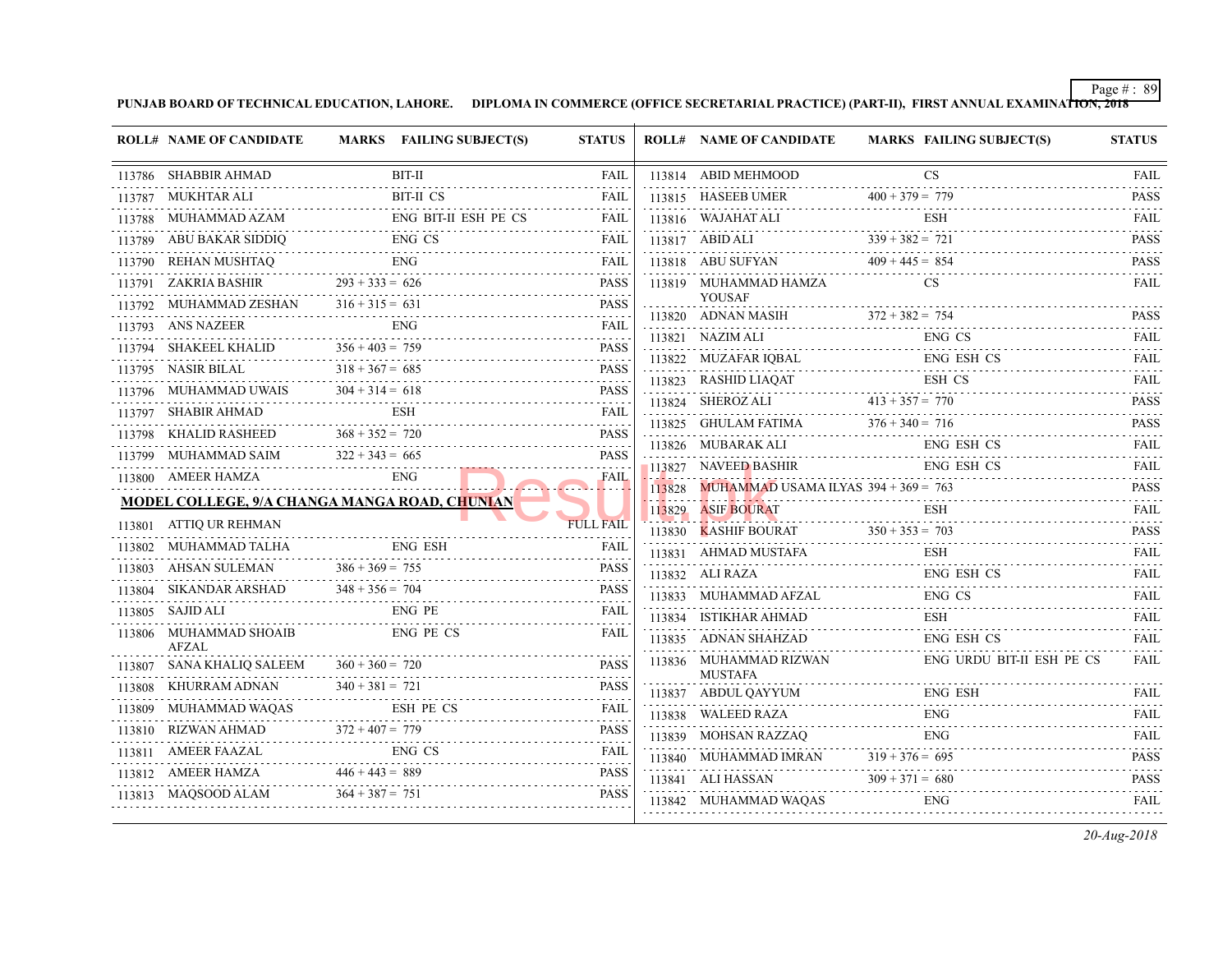| <b>ROLL# NAME OF CANDIDATE</b>                                                                                                                                                                                                                                                                                                                                         |          | MARKS FAILING SUBJECT(S)             | <b>STATUS</b>    | <b>ROLL# NAME OF CANDIDATE</b>                                                                                                    | <b>MARKS FAIL</b> |
|------------------------------------------------------------------------------------------------------------------------------------------------------------------------------------------------------------------------------------------------------------------------------------------------------------------------------------------------------------------------|----------|--------------------------------------|------------------|-----------------------------------------------------------------------------------------------------------------------------------|-------------------|
| 113786 SHABBIR AHMAD                                                                                                                                                                                                                                                                                                                                                   | $BIT-II$ |                                      | FAIL             | 113814 ABID MEHMOOD                                                                                                               | <b>CS</b>         |
|                                                                                                                                                                                                                                                                                                                                                                        |          |                                      |                  | 113815 HASEEB UMER $400 + 379 = 779$                                                                                              |                   |
| $\textbf{113788}\quad \textbf{MUHAMMAD AZAM}\qquad \qquad \textbf{ENG BIT-II ESH PE CS}$                                                                                                                                                                                                                                                                               |          |                                      | FAIL             |                                                                                                                                   | ESH               |
| 113789 ABU BAKAR SIDDIQ ENG CS FAIL                                                                                                                                                                                                                                                                                                                                    |          |                                      |                  | 113817 ABID ALI $339 + 382 = 721$                                                                                                 |                   |
| $\begin{tabular}{ll} 113790 & REHAN MUSHTAQ & \hspace{0.3cm} \textbf{ENG} \hspace{0.3cm} \textbf{FAIL} \end{tabular}$                                                                                                                                                                                                                                                  |          |                                      | FAIL             | 113818 ABU SUFYAN $409 + 445 = 854$                                                                                               |                   |
| 113791 ZAKRIA BASHIR 293 + 333 = 626 PASS                                                                                                                                                                                                                                                                                                                              |          |                                      |                  | 113819 MUHAMMAD HAMZA                                                                                                             | CS.               |
| 113792 MUHAMMAD ZESHAN $316 + 315 = 631$ PASS                                                                                                                                                                                                                                                                                                                          |          |                                      |                  | YOUSAF                                                                                                                            |                   |
| $\begin{tabular}{ll} 113793 & \text{ANS NAZEER} & \text{ENG} & \text{FAIL} \end{tabular}$<br>113793 ANS NAZEER                                                                                                                                                                                                                                                         |          |                                      | FAIL             | 113820 ADNAN MASIH $372 + 382 = 754$                                                                                              | ENG               |
| $113794 \quad \text{SHAKEEL KHALID} \qquad 356 + 403 = 759 \qquad \text{PASS} \qquad 113795 \quad \text{NASIR BILAL} \qquad 318 + 367 = 685 \qquad \text{PASS} \qquad 113795 \qquad \text{NASIR BILAL} \qquad 318 + 367 = 685 \qquad \text{PASS} \qquad 113795 \qquad \text{PASS} \qquad 113796 \qquad 113796 \qquad 113797 \qquad 113798 \qquad 113799 \qquad 113799$ |          |                                      |                  | $113821$ NAZIM ALI EN                                                                                                             | <b>ENG</b>        |
|                                                                                                                                                                                                                                                                                                                                                                        |          |                                      |                  | 113822 MUZAFAR IQBAL ENG                                                                                                          |                   |
| 113796 MUHAMMAD UWAIS $304 + 314 = 618$ PASS PASS                                                                                                                                                                                                                                                                                                                      |          |                                      |                  | $\begin{tabular}{ll} \hline 113823 & RASHID LIAQAT & ESH \\ \hline 113824 & SHEROZ ALI & 413 + 357 = 770 \\ \hline \end{tabular}$ |                   |
|                                                                                                                                                                                                                                                                                                                                                                        |          |                                      |                  |                                                                                                                                   |                   |
| 113797 SHABIR AHMAD ESH FAIL<br>113798 KHALID RASHEED 368 + 352 = 720 PASS<br>2011 - THE TRIM THE SERIES TO THE TRIM THE TRIM THE TRIM THE TRIM THE TRIM THE TRIM THE TRIM THE TRIM THE TRI                                                                                                                                                                            |          |                                      |                  | 113825 GHULAM FATIMA $376 + 340 = 716$                                                                                            | <b>ENG</b>        |
| 113799 MUHAMMAD SAIM $322 + 343 = 665$ PASS                                                                                                                                                                                                                                                                                                                            |          |                                      | PASS             | 113826 MUBARAK ALI ENG                                                                                                            | <b>ENG</b>        |
| 113800 AMEER HAMZA                                                                                                                                                                                                                                                                                                                                                     | ENG      |                                      | <b>FAIL</b>      | 113828 MUHAMMAD USAMA ILYAS $394 + 369 = 763$                                                                                     |                   |
| <b>MODEL COLLEGE, 9/A CHANGA MANGA ROAD, CHUNIAN</b>                                                                                                                                                                                                                                                                                                                   |          |                                      |                  | 113829 ASIF BOURAT                                                                                                                | ESH               |
| 113801 ATTIQ UR REHMAN                                                                                                                                                                                                                                                                                                                                                 |          |                                      | <b>FULL FAIL</b> | 113829 ASIF BOURAT ESH<br>113830 <b>KASHIF BOURAT</b> $350 + 353 = 703$                                                           |                   |
| 113802 MUHAMMAD TALHA                                                                                                                                                                                                                                                                                                                                                  |          | <b>ENG ESH</b>                       | FAIL             | 113831 AHMAD MUSTAFA                                                                                                              | ESH               |
| 113803 AHSAN SULEMAN $386 + 369 = 755$                                                                                                                                                                                                                                                                                                                                 |          |                                      | <b>PASS</b>      |                                                                                                                                   | <b>ENG</b>        |
| 113804 SIKANDAR ARSHAD $348 + 356 = 704$ PASS                                                                                                                                                                                                                                                                                                                          |          |                                      | <b>PASS</b>      | 113832 ALI RAZA ENG                                                                                                               | ENG               |
| 113805 SAJID ALI                                                                                                                                                                                                                                                                                                                                                       |          | The Real ENG PE                      |                  | 113833 MUHAMMAD AFZAL<br>113834 ISTIKHAR AHMAD ESE                                                                                | ESH               |
| 113806 MUHAMMAD SHOAIB<br>AFZAL                                                                                                                                                                                                                                                                                                                                        |          | ENG PE CS                            | FAIL             | 113835 ADNAN SHAHZAD                                                                                                              | <b>ENG</b>        |
| 113807 SANA KHALIQ SALEEM $360 + 360 = 720$                                                                                                                                                                                                                                                                                                                            |          | $\text{PASE}$ $360 + 360 = 720$ PASS | <b>PASS</b>      | 113836 MUHAMMAD RIZWAN                                                                                                            | <b>ENG</b>        |
| 113808 KHURRAM ADNAN $340 + 381 = 721$                                                                                                                                                                                                                                                                                                                                 |          | RRAM ADNAN 340 + 381 = 721 PASS      | PASS             | MUSTAFA                                                                                                                           | <b>ENG</b>        |
| 113809 MUHAMMAD WAQAS ESH PE CS FAIL                                                                                                                                                                                                                                                                                                                                   |          |                                      |                  | 113837 ABDUL QAYYUM EN<br>113838 WALEED RAZA                                                                                      | ENG               |
| 113810 RIZWAN AHMAD $372 + 407 = 779$ PASS                                                                                                                                                                                                                                                                                                                             |          |                                      | <b>PASS</b>      |                                                                                                                                   | <b>ENG</b>        |
| 113811 AMEER FAAZAL ENG CS FAIL ENGLES                                                                                                                                                                                                                                                                                                                                 |          |                                      |                  | 113839 MOHSAN RAZZAQ ENC<br>113840 MUHAMMAD IMRAN $319 + 376 = 695$                                                               |                   |
| 113812 AMEER HAMZA $446 + 443 = 889$ PASS                                                                                                                                                                                                                                                                                                                              |          |                                      |                  | 113841 ALI HASSAN $309 + 371 = 680$                                                                                               |                   |
| 113813 MAQSOOD ALAM $364 + 387 = 751$<br>3813 MAQSOOD ALAM $364 + 387 = 751$ PASS                                                                                                                                                                                                                                                                                      |          |                                      |                  | 113842 MUHAMMAD WAQAS                                                                                                             | <b>ENG</b>        |
|                                                                                                                                                                                                                                                                                                                                                                        |          |                                      |                  |                                                                                                                                   |                   |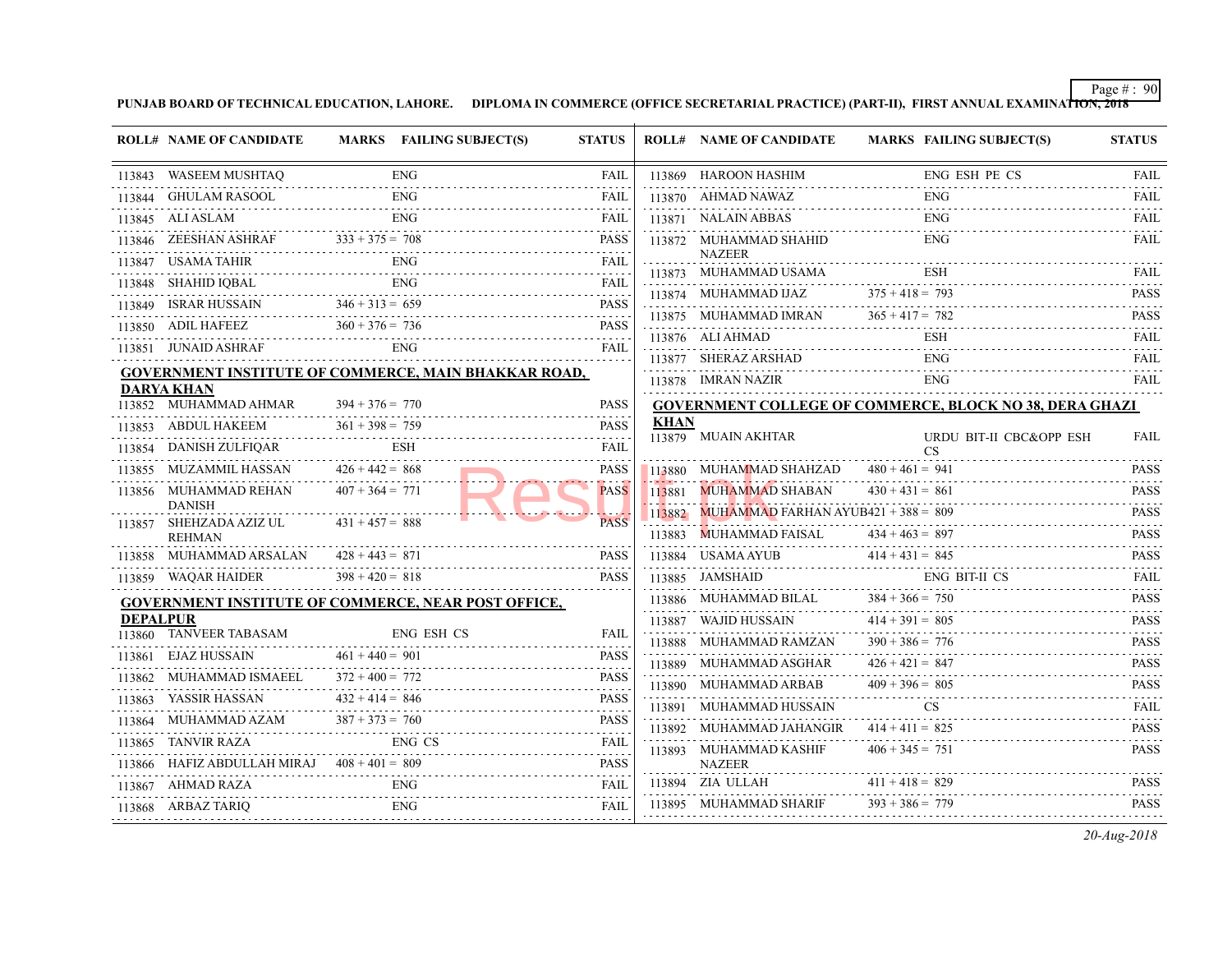|                 | <b>ROLL# NAME OF CANDIDATE</b>                             |                   | MARKS FAILING SUBJECT(S)                                                                     | <b>STATUS</b> |      | <b>ROLL# NAME OF CANDIDATE</b>                 | <b>MARKS FAIL</b> |
|-----------------|------------------------------------------------------------|-------------------|----------------------------------------------------------------------------------------------|---------------|------|------------------------------------------------|-------------------|
|                 | 113843 WASEEM MUSHTAO                                      |                   | ENG                                                                                          | <b>FAIL</b>   |      | 113869 HAROON HASHIM                           | <b>ENG</b>        |
|                 |                                                            |                   | 113844 GHULAM RASOOL ENG FAIL                                                                |               |      | 113870 AHMAD NAWAZ                             | <b>ENG</b>        |
|                 | 113845 ALI ASLAM                                           |                   | ENG-                                                                                         | FAIL          |      | 113871 NALAIN ABBAS                            | <b>ENG</b>        |
|                 |                                                            |                   | 113846 ZEESHAN ASHRAF $333 + 375 = 708$ PASS                                                 |               |      | 113872 MUHAMMAD SHAHID                         | <b>ENG</b>        |
|                 | 113847 USAMA TAHIR                                         |                   | 113847 USAMA TAHIR ENG FAIL                                                                  |               |      | <b>NAZEER</b><br>113873 MUHAMMAD USAMA         | ESH               |
|                 |                                                            |                   |                                                                                              |               |      | 113874 MUHAMMAD IJAZ $375 + 418 = 793$         |                   |
|                 |                                                            |                   | 113848 SHAHID IQBAL ENG FAIL PASS SHAHID IQBAL ENG FAIL PASS SHAHID IQBAL ENG FAIL PASS PASS |               |      |                                                |                   |
|                 | $360 + 376 = 736$<br>113850 ADIL HAFEEZ                    |                   |                                                                                              | <b>PASS</b>   |      | 113875 MUHAMMAD IMRAN $365 + 417 = 782$        | ESH               |
|                 | 113851 JUNAID ASHRAF                                       |                   | <b>ENG</b>                                                                                   | FAIL          |      | 113876 ALI AHMAD ESH                           | <b>ENG</b>        |
|                 |                                                            |                   | <b>GOVERNMENT INSTITUTE OF COMMERCE, MAIN BHAKKAR ROAD,</b>                                  |               |      | 113877 SHERAZ ARSHAD ENG<br>113878 IMRAN NAZIR | <b>ENG</b>        |
|                 | <b>DARYA KHAN</b><br>113852 MUHAMMAD AHMAR                 | $394 + 376 = 770$ |                                                                                              | <b>PASS</b>   |      | <b>GOVERNMENT COLLEGE OF COMMERCE, I</b>       |                   |
|                 | 113853 ABDUL HAKEEM $361 + 398 = 759$                      |                   |                                                                                              | <b>PASS</b>   | KHAN |                                                |                   |
|                 | 113854 DANISH ZULFIQAR                                     |                   | ESH                                                                                          | <b>FAIL</b>   |      | 113879 MUAIN AKHTAR                            | <b>URD</b>        |
|                 | 113855 MUZAMMIL HASSAN $426 + 442 = 868$                   |                   |                                                                                              | PASS          |      | 113880 MUHAMMAD SHAHZAD $480 + 461 = 941$      | CS                |
|                 | 113856 MUHAMMAD REHAN $407 + 364 = 771$                    |                   |                                                                                              | <b>PASS</b>   |      | 113881 MUHAMMAD SHABAN                         | $430 + 431 = 861$ |
|                 | <b>DANISH</b>                                              |                   |                                                                                              |               |      | $113882$ MUHAMMAD FARHAN AYUB421 + 388 = 809   |                   |
|                 | 113857 SHEHZADA AZIZ UL $431 + 457 = 888$<br><b>REHMAN</b> |                   |                                                                                              | <b>PASS</b>   |      | 113883 MUHAMMAD FAISAL                         | $434 + 463 = 897$ |
|                 | 113858 MUHAMMAD ARSALAN $428 + 443 = 871$                  |                   |                                                                                              | <b>PASS</b>   |      | 113884 USAMA AYUB $414 + 431 = 845$            |                   |
|                 | 113859 WAQAR HAIDER $398 + 420 = 818$                      |                   |                                                                                              | <b>PASS</b>   |      | 113885 JAMSHAID                                | <b>ENG</b>        |
|                 |                                                            |                   | <b>GOVERNMENT INSTITUTE OF COMMERCE, NEAR POST OFFICE,</b>                                   |               |      | 113886 MUHAMMAD BILAL $384 + 366 = 750$        |                   |
| <b>DEPALPUR</b> |                                                            |                   |                                                                                              |               |      | 113887 WAJID HUSSAIN $414 + 391 = 805$         |                   |
|                 | 113860 TANVEER TABASAM ENG ESH CS                          |                   |                                                                                              | FAIL          | .    | 113888 MUHAMMAD RAMZAN $390 + 386 = 776$       |                   |
|                 | 113861 EJAZ HUSSAIN                                        | $461 + 440 = 901$ | PASS<br>                                                                                     | <b>PASS</b>   |      | 113889 MUHAMMAD ASGHAR                         | $426 + 421 = 847$ |
|                 | 113862 MUHAMMAD ISMAEEL                                    | $372 + 400 = 772$ |                                                                                              | <b>PASS</b>   |      | 113890 MUHAMMAD ARBAB                          | $409 + 396 = 805$ |
| 113863          | YASSIR HASSAN                                              | $432 + 414 = 846$ |                                                                                              | <b>PASS</b>   |      | 113891 MUHAMMAD HUSSAIN                        | <b>CS</b>         |
|                 |                                                            |                   | 113864 MUHAMMAD AZAM $387 + 373 = 760$ PASS                                                  |               |      | 113892 MUHAMMAD JAHANGIR                       | $414 + 411 = 825$ |
| 113865          | TANVIR RAZA                                                |                   | ENG CS<br>ZA ENG CS FAIL                                                                     | FAIL          |      | 113893 MUHAMMAD KASHIF                         | $406 + 345 = 751$ |
|                 | 113866 HAFIZ ABDULLAH MIRAJ $408 + 401 = 809$              |                   |                                                                                              | <b>PASS</b>   |      | <b>NAZEER</b>                                  |                   |
|                 | 113867 AHMAD RAZA                                          |                   | ENG-                                                                                         | <b>FAIL</b>   |      | 113894 ZIA ULLAH                               | $411 + 418 = 829$ |
|                 | 113868 ARBAZ TARIQ                                         |                   | ENG                                                                                          | FAIL          |      | 113895 MUHAMMAD SHARIF                         | $393 + 386 = 779$ |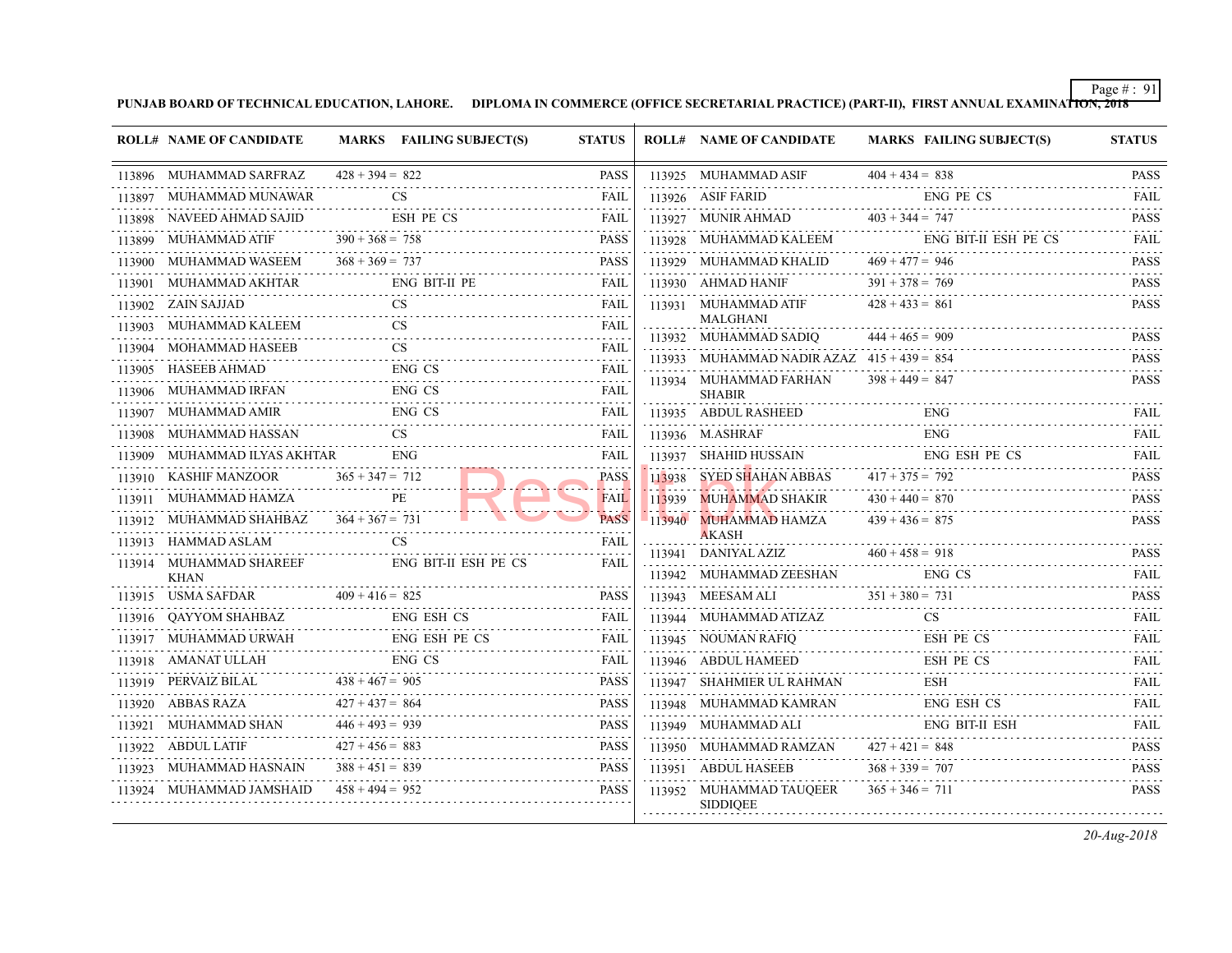| <b>ROLL# NAME OF CANDIDATE</b>                                                        |                   | MARKS FAILING SUBJECT(S)               | <b>STATUS</b>                                                                                                                                                                        | <b>ROLL# NAME OF CANDIDATE</b>                        | <b>MARKS FAIL</b> |
|---------------------------------------------------------------------------------------|-------------------|----------------------------------------|--------------------------------------------------------------------------------------------------------------------------------------------------------------------------------------|-------------------------------------------------------|-------------------|
| 113896 MUHAMMAD SARFRAZ                                                               | $428 + 394 = 822$ |                                        | <b>PASS</b>                                                                                                                                                                          | 113925 MUHAMMAD ASIF                                  | $404 + 434 = 838$ |
| 113897 MUHAMMAD MUNAWAR CS FAIL                                                       |                   |                                        | FAIL                                                                                                                                                                                 | 113926 ASIF FARID                                     | ENG.              |
| 113898 NAVEED AHMAD SAJID                                                             |                   | $\overline{S}$ SH PE CS                | FAIL                                                                                                                                                                                 | 113927 MUNIR AHMAD $403 + 344 = 747$                  |                   |
| 113899 MUHAMMAD ATIF $390 + 368 = 758$                                                |                   | $390 + 368 = 758$ PASS                 |                                                                                                                                                                                      | 113928 MUHAMMAD KALEEM                                | ENG               |
| 113900 MUHAMMAD WASEEM $368 + 369 = 737$ PASS                                         | $368 + 369 = 737$ |                                        |                                                                                                                                                                                      | 113929 MUHAMMAD KHALID                                | $469 + 477 = 946$ |
| 113901 MUHAMMAD AKHTAR                                                                |                   |                                        | FAIL                                                                                                                                                                                 | 113930 AHMAD HANIF 391 + 3                            | $391 + 378 = 769$ |
| 113902 ZAIN SAJJAD                                                                    |                   |                                        | FAIL<br>$\mathcal{L}^{\mathcal{A}}\left( \mathcal{L}^{\mathcal{A}}\left( \mathcal{L}^{\mathcal{A}}\right) \right) =\mathcal{L}^{\mathcal{A}}\left( \mathcal{L}^{\mathcal{A}}\right)$ | 113931 MUHAMMAD ATIF                                  | $428 + 433 = 861$ |
| 113903 MUHAMMAD KALEEM CS FAIL                                                        |                   |                                        | FAIL                                                                                                                                                                                 | MALGHANI<br>113932 MUHAMMAD SADIO                     | $444 + 465 = 909$ |
| 113904 MOHAMMAD HASEEB                                                                |                   | TAD HASEEB CS FAIL                     | FAIL                                                                                                                                                                                 | 113933 MUHAMMAD NADIR AZAZ $415 + 439 = 854$          |                   |
| 113905 HASEEB AHMAD ENG CS FAIL ENGLATION ENGLATION FAIL<br>113905 HASEEB AHMAD       |                   |                                        | FAIL                                                                                                                                                                                 | 113934 MUHAMMAD FARHAN                                | $398 + 449 = 847$ |
| 113906 MUHAMMAD IRFAN ENG CS FAIL                                                     |                   |                                        |                                                                                                                                                                                      | <b>SHABIR</b>                                         |                   |
| 113907 MUHAMMAD AMIR                                                                  |                   | $\sum_{i=1}^{n}$ ENG CS                | FAIL                                                                                                                                                                                 | 113935 ABDUL RASHEED                                  | ENG               |
| 113908 MUHAMMAD HASSAN                                                                |                   | ASSAN CS FAIL                          | FAIL                                                                                                                                                                                 | 113936 M.ASHRAF                                       | <b>ENG</b>        |
| 113909 MUHAMMAD ILYAS AKHTAR                                                          |                   | ENG                                    | FAIL                                                                                                                                                                                 | 113937 SHAHID HUSSAIN                                 | <b>ENG</b>        |
| 113910 KASHIF MANZOOR $365 + 347 = 712$                                               |                   |                                        | <b>PASS</b>                                                                                                                                                                          | 113938 SYED SHAHAN ABBAS $417 + 375 = 792$            |                   |
| 113911 MUHAMMAD HAMZA                                                                 |                   |                                        | <b>FAIL</b><br>1.1.1.                                                                                                                                                                | 113939 MUHAMMAD SHAKIR                                | $430 + 440 = 870$ |
| 113912 MUHAMMAD SHAHBAZ $364 + 367 = 731$                                             |                   |                                        | <b>PASS</b>                                                                                                                                                                          | 113940 MUHAMMAD HAMZA                                 | $439 + 436 = 875$ |
| 113913 HAMMAD ASLAM                                                                   |                   | CS.                                    | FAIL                                                                                                                                                                                 | <b>AKASH</b><br>113941 DANIYAL AZIZ $460 + 458 = 918$ |                   |
| 113914 MUHAMMAD SHAREEF                                                               |                   | ENG BIT-II ESH PE CS                   | FAIL                                                                                                                                                                                 | 113942 MUHAMMAD ZEESHAN                               | <b>ENG</b>        |
| <b>KHAN</b>                                                                           |                   |                                        | PASS                                                                                                                                                                                 | 113943 MEESAM ALI                                     | $351 + 380 = 731$ |
| 113915 USMA SAFDAR $409 + 416 = 825$ PASS                                             |                   | ENG ESH CS                             | FAIL                                                                                                                                                                                 |                                                       | <b>CS</b>         |
| 113916 QAYYOM SHAHBAZ<br>113917 MUHAMMAD URWAH ENG ESH PE CS FAIL                     |                   | NG ESH CS                              | <b>FAIL</b>                                                                                                                                                                          | $113944 \quad \text{MUHAMMAD ATIZAZ}$                 | ESH               |
| 113918 AMANAT ULLAH ENG CS FAIL                                                       |                   |                                        | FAIL                                                                                                                                                                                 | 113945 NOUMAN RAFIQ ESI<br>113946 ABDUL HAMEED        | ESH               |
|                                                                                       |                   |                                        | <b>PASS</b>                                                                                                                                                                          | 113947 SHAHMIER UL RAHMAN                             | ESH               |
| 113919 PERVAIZ BILAL $438 + 467 = 905$<br>113920 ABBAS RAZA $427 + 437 = 864$         |                   |                                        | <b>PASS</b>                                                                                                                                                                          | 113948 MUHAMMAD KAMRAN                                | <b>ENG</b>        |
| 113921 MUHAMMAD SHAN $446 + 493 = 939$<br>113921 MUHAMMAD SHAN $446 + 493 = 939$ PASS |                   | $427 + 437 = 864$ PASS                 | <b>PASS</b>                                                                                                                                                                          | 113949 MUHAMMAD ALI                                   | <b>ENG</b>        |
| $427 + 456 = 883$<br>113922 ABDUL LATIF                                               |                   |                                        | PASS                                                                                                                                                                                 | 113950 MUHAMMAD RAMZAN $427 + 421 = 848$              |                   |
| 113923 MUHAMMAD HASNAIN $388 + 451 = 839$                                             |                   | $[ANSNAIN \t 388 + 451 = 839 \t  PASS$ |                                                                                                                                                                                      | 113951 ABDUL HASEEB                                   | $368 + 339 = 707$ |
| 113924 MUHAMMAD JAMSHAID                                                              | $458 + 494 = 952$ |                                        | <b>PASS</b>                                                                                                                                                                          | 113952 MUHAMMAD TAUQEER<br><b>SIDDIQEE</b>            | $365 + 346 = 711$ |
|                                                                                       |                   |                                        |                                                                                                                                                                                      |                                                       |                   |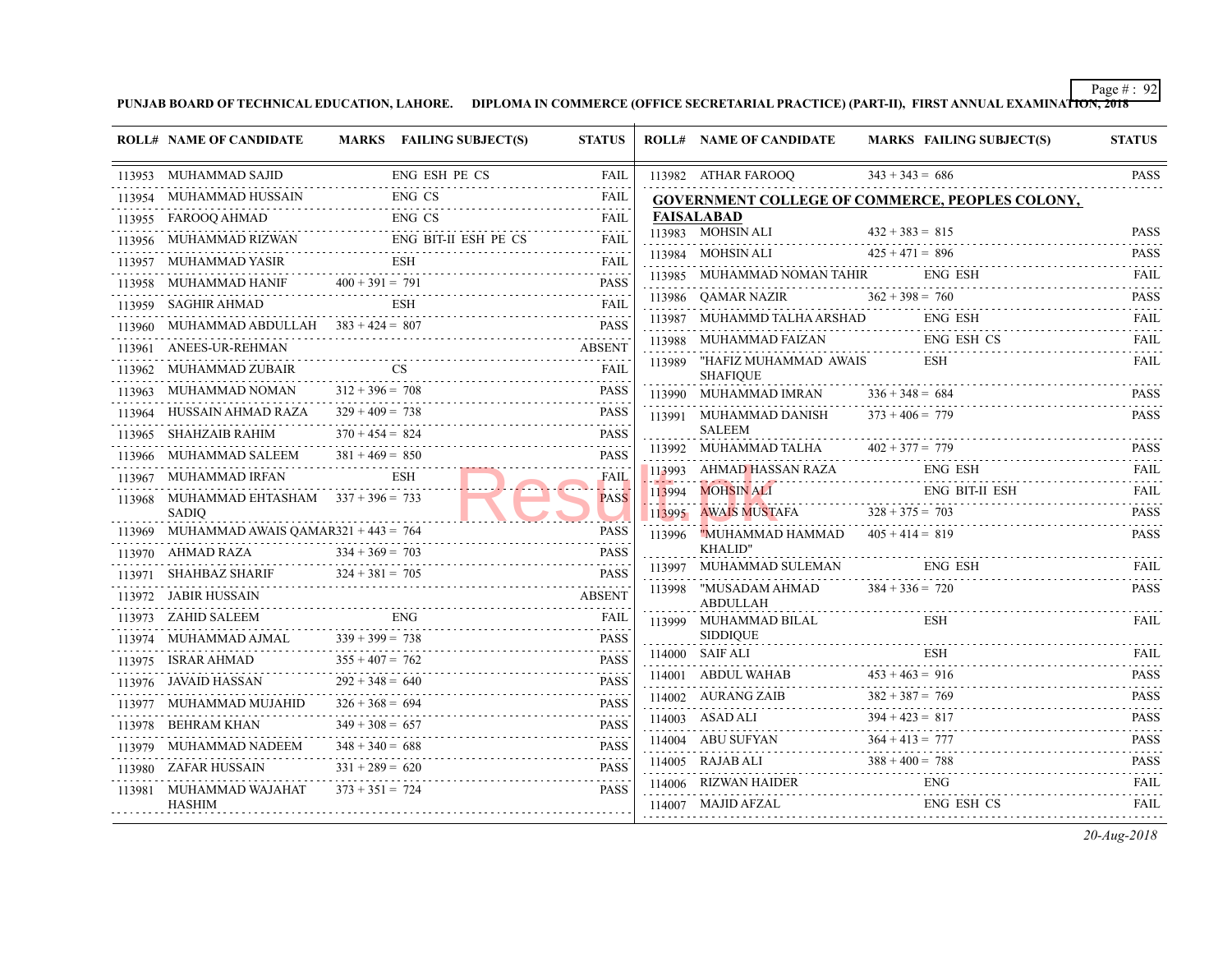|        | <b>ROLL# NAME OF CANDIDATE</b>                                        |                   | MARKS FAILING SUBJECT(S)            | <b>STATUS</b> | <b>ROLL# NAME OF CANDIDATE</b>                              | <b>MARKS FAIL</b> |
|--------|-----------------------------------------------------------------------|-------------------|-------------------------------------|---------------|-------------------------------------------------------------|-------------------|
|        | 113953 MUHAMMAD SAJID                                                 |                   | ENG ESH PE CS<br>ENG ESH PE CS FAIL | FAIL          | 113982 ATHAR FAROOQ                                         | $343 + 343 = 686$ |
|        | 113954 MUHAMMAD HUSSAIN                                               |                   | ENG CS<br>USSAIN ENG CS FAIL        | FAIL          | <b>GOVERNMENT COLLEGE OF COMMERCE, I</b>                    |                   |
|        | 113955 FAROOQ AHMAD                                                   |                   | D ENG CS EAL                        | FAIL          | FAISALABAD                                                  |                   |
|        | 113956 MUHAMMAD RIZWAN ENG BIT-II ESH PE CS FAIL                      |                   |                                     |               | 113983 MOHSIN ALI                                           | $432 + 383 = 815$ |
|        | 113957 MUHAMMAD YASIR<br>113957 MUHAMMAD YASIR ESH FAIL               |                   | ESH                                 | FAIL          | 113984 MOHSIN ALI                                           | $425 + 471 = 896$ |
|        | 113958 MUHAMMAD HANIF $400 + 391 = 791$ PASS                          |                   |                                     | <b>PASS</b>   | 113985 MUHAMMAD NOMAN TAHIR                                 | ENGI              |
|        | 113959 SAGHIR AHMAD                                                   |                   | ESH<br>AD ESH FAIL                  |               | 113986 QAMAR NAZIR                                          | $362 + 398 = 760$ |
|        | 113960 MUHAMMAD ABDULLAH $383 + 424 = 807$                            |                   | $\text{TLAH}$ 383 + 424 = 807 PASS  |               | 113987 MUHAMMD TALHA ARSHAD                                 | ENG               |
|        | 113961 ANEES-UR-REHMAN                                                |                   | MAN ABSENT                          |               | 113988 MUHAMMAD FAIZAN                                      | <b>ENG</b>        |
|        | 113962 MUHAMMAD ZUBAIR CS                                             |                   | CS FAIL                             |               | 113989 "HAFIZ MUHAMMAD AWAIS<br><b>SHAFIQUE</b>             | ESH               |
|        | 113963 MUHAMMAD NOMAN<br>113963 MUHAMMAD NOMAN $312 + 396 = 708$ PASS | $312 + 396 = 708$ |                                     |               | 113990 MUHAMMAD IMRAN $336 + 348 = 684$                     |                   |
|        | 113964 HUSSAIN AHMAD RAZA $329 + 409 = 738$                           |                   |                                     | PASS          | 113991 MUHAMMAD DANISH $373 + 406 = 779$                    |                   |
|        | 113965 SHAHZAIB RAHIM $370 + 454 = 824$                               |                   | $370 + 454 = 824$ PAS               | <b>PASS</b>   | <b>SALEEM</b>                                               |                   |
|        | 113966 MUHAMMAD SALEEM $381 + 469 = 850$                              |                   |                                     | <b>PASS</b>   | 113992 MUHAMMAD TALHA $402 + 377 = 779$                     |                   |
|        | 113967 MUHAMMAD IRFAN                                                 |                   | ESH                                 | <b>FAIL</b>   | 113993 AHMAD HASSAN RAZA                                    | ENG I             |
|        | 113968 MUHAMMAD EHTASHAM $337 + 396 = 733$                            |                   |                                     | <b>PASS</b>   | 113994 MOHSIN ALI                                           | <b>ENG</b>        |
|        | SADIQ                                                                 |                   |                                     |               | 113995 AWAIS MUSTAFA $328 + 375 = 703$                      |                   |
|        | 113969 MUHAMMAD AWAIS QAMAR321 + 443 = $764$                          |                   |                                     | <b>PASS</b>   | 113996 "MUHAMMAD HAMMAD $405 + 414 = 819$<br><b>KHALID"</b> |                   |
|        | 113970 AHMAD RAZA $334 + 369 = 703$ PASS                              |                   |                                     |               | 113997 MUHAMMAD SULEMAN                                     | ENG.              |
|        | 113971 SHAHBAZ SHARIF $324 + 381 = 705$                               |                   |                                     | <b>PASS</b>   | 113998 "MUSADAM AHMAD                                       | $384 + 336 = 720$ |
|        | 113972 JABIR HUSSAIN                                                  |                   |                                     | ABSENT        | ABDULLAH                                                    |                   |
|        | 113973 ZAHID SALEEM ENG FAIL                                          |                   |                                     |               | 113999 MUHAMMAD BILAL<br><b>SIDDIQUE</b>                    | ESH               |
|        | 113974 MUHAMMAD AJMAL $339 + 399 = 738$ PASS                          |                   |                                     | PASS          | 114000 SAIF ALI                                             | ESH               |
|        | 113975 ISRAR AHMAD $355 + 407 = 762$                                  |                   |                                     | PASS          | 114001 ABDUL WAHAB $453 + 463 = 916$                        |                   |
|        | 113976 JAVAID HASSAN $292 + 348 = 640$                                |                   | $292 + 348 = 640$ PASS              |               |                                                             |                   |
|        | 113977 MUHAMMAD MUJAHID                                               | $326 + 368 = 694$ |                                     | <b>PASS</b>   | 114002 AURANG ZAIB $382 + 387 = 769$                        |                   |
|        | 113978 BEHRAM KHAN                                                    | $349 + 308 = 657$ |                                     | <b>PASS</b>   | 114003 ASAD ALI $394 + 423 = 817$                           |                   |
| 113979 | MUHAMMAD NADEEM                                                       | $348 + 340 = 688$ |                                     | <b>PASS</b>   | 114004 ABU SUFYAN $364 + 413 = 777$                         |                   |
|        | 113980 ZAFAR HUSSAIN                                                  | $331 + 289 = 620$ |                                     | <b>PASS</b>   | 114005 RAJAB ALI $388 + 400 = 788$                          | ENG.              |
|        | 113981 MUHAMMAD WAJAHAT<br><b>HASHIM</b>                              | $373 + 351 = 724$ |                                     | <b>PASS</b>   | $114006$ RIZWAN HAIDER<br>114007 MAJID AFZAL                | <b>ENG</b>        |
|        |                                                                       |                   |                                     |               |                                                             |                   |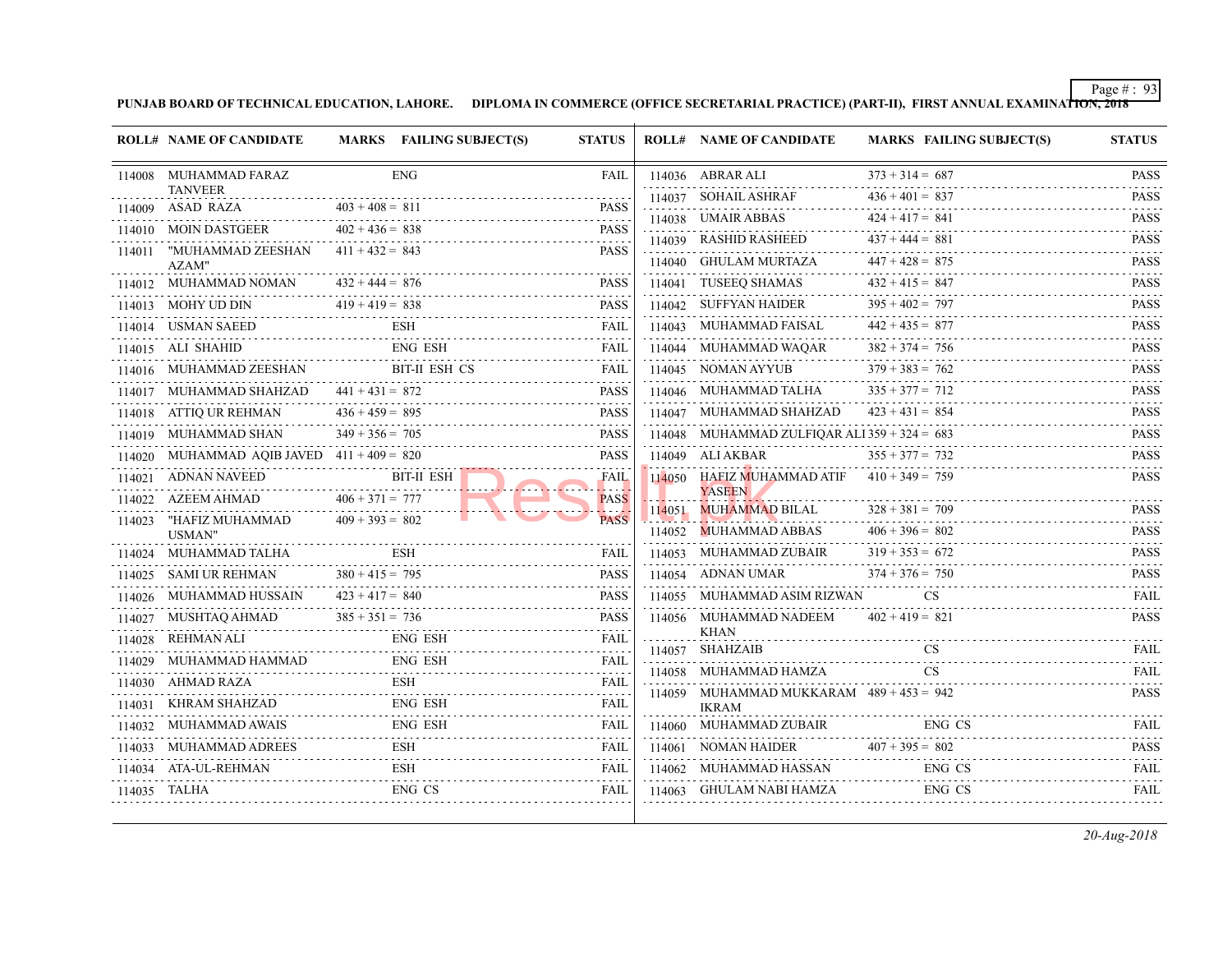|        | <b>ROLL# NAME OF CANDIDATE</b>                       |                   | MARKS FAILING SUBJECT(S)                            | <b>STATUS</b> | <b>ROLL# NAME OF CANDIDATE</b>               | <b>MARKS FAIL</b>                      |
|--------|------------------------------------------------------|-------------------|-----------------------------------------------------|---------------|----------------------------------------------|----------------------------------------|
|        | 114008 MUHAMMAD FARAZ                                |                   | <b>ENG</b>                                          | FAIL          | 114036 ABRAR ALI                             | $373 + 314 = 687$                      |
|        | <b>TANVEER</b><br>ASAD RAZA                          | $403 + 408 = 811$ |                                                     | <b>PASS</b>   | 114037 SOHAIL ASHRAF                         | $436 + 401 = 837$                      |
| 114009 | 114010 MOIN DASTGEER                                 | $402 + 436 = 838$ |                                                     | <b>PASS</b>   | 114038 UMAIR ABBAS                           | $424 + 417 = 841$                      |
|        | "MUHAMMAD ZEESHAN                                    | $411 + 432 = 843$ |                                                     | <b>PASS</b>   | 114039 RASHID RASHEED                        | $437 + 444 = 881$                      |
| 114011 | AZAM"                                                |                   |                                                     |               | 114040 GHULAM MURTAZA                        | $447 + 428 = 875$                      |
| 114012 | MUHAMMAD NOMAN<br>AMMAD NOMAN $432 + 444 = 876$ PASS | $432 + 444 = 876$ |                                                     |               | 114041 TUSEEQ SHAMAS                         | $432 + 415 = 847$                      |
|        | 114013 MOHY UD DIN                                   |                   | DIN $419 + 419 = 838$ PAS                           | <b>PASS</b>   | 114042 SUFFYAN HAIDER                        | $395 + 402 = 797$                      |
|        | 114014 USMAN SAEED                                   |                   |                                                     | FAIL          | 114043 MUHAMMAD FAISAL                       | $442 + 435 = 877$                      |
|        | 114015 ALI SHAHID                                    |                   | ENG ESH                                             | FAIL          | 114044 MUHAMMAD WAQAR                        | $382 + 374 = 756$                      |
|        | 114016 MUHAMMAD ZEESHAN                              |                   | BIT-II ESH CS<br>BIT-II ESH CS FAIL                 | <b>FAIL</b>   | 114045 NOMAN AYYUB                           | $379 + 383 = 762$                      |
|        | 114017 MUHAMMAD SHAHZAD                              | $441 + 431 = 872$ |                                                     | <b>PASS</b>   | 114046 MUHAMMAD TALHA                        | $335 + 377 = 712$                      |
|        | 114018 ATTIQ UR REHMAN                               | $436 + 459 = 895$ |                                                     | <b>PASS</b>   | 114047 MUHAMMAD SHAHZAD                      | $423 + 431 = 854$                      |
|        | 114019 MUHAMMAD SHAN                                 | $349 + 356 = 705$ |                                                     | <b>PASS</b>   | 114048 MUHAMMAD ZULFIQAR ALI 359 + 324 = 683 |                                        |
| 114020 | MUHAMMAD AQIB JAVED $411 + 409 = 820$                |                   |                                                     | <b>PASS</b>   | 114049 ALI AKBAR                             | $355 + 377 = 732$                      |
| 114021 | ADNAN NAVEED                                         |                   | BIT-II ESH                                          | <b>FAIL</b>   | 114050 HAFIZ MUHAMMAD ATIF $410 + 349 = 759$ |                                        |
| 114022 | AZEEM AHMAD                                          | $406 + 371 = 777$ |                                                     | <b>PASS</b>   | <b>YASEEN</b><br>114051 MUHAMMAD BILAL       | $328 + 381 = 709$                      |
| 114023 | "HAFIZ MUHAMMAD                                      | $409 + 393 = 802$ |                                                     | <b>PASS</b>   |                                              | $406 + 396 = 802$                      |
|        | USMAN"                                               |                   |                                                     |               | 114052 MUHAMMAD ABBAS                        |                                        |
| 114024 | MUHAMMAD TALHA                                       |                   | <b>ESH</b>                                          | FAIL          | 114053 MUHAMMAD ZUBAIR                       | $319 + 353 = 672$<br>$374 + 376 = 750$ |
|        | 114025 SAMI UR REHMAN                                | $380 + 415 = 795$ |                                                     | <b>PASS</b>   | 114054 ADNAN UMAR                            |                                        |
| 114026 | MUHAMMAD HUSSAIN                                     | $423 + 417 = 840$ |                                                     | <b>PASS</b>   | 114055 MUHAMMAD ASIM RIZWAN                  | CS                                     |
| 114027 | MUSHTAQ AHMAD $385 + 351 = 736$                      |                   |                                                     | <b>PASS</b>   | 114056 MUHAMMAD NADEEM<br><b>KHAN</b>        | $402 + 419 = 821$                      |
| 114028 | REHMAN ALI                                           |                   | ENG ESH FAIL                                        | <b>FAIL</b>   | 114057 SHAHZAIB                              | CS.                                    |
|        | 114029 MUHAMMAD HAMMAD ENG ESH FAIL                  |                   |                                                     |               | 114058 MUHAMMAD HAMZA                        | CS.                                    |
| 114030 | AHMAD RAZA                                           |                   | ESH                                                 | FAIL          | 114059 MUHAMMAD MUKKARAM $489 + 453 = 942$   |                                        |
| 114031 | KHRAM SHAHZAD                                        |                   | ENG ESH FAIL                                        |               | <b>IKRAM</b>                                 |                                        |
| 114032 | 114032 MUHAMMAD AWAIS ENG ESH FAIL                   |                   |                                                     | FAIL          | 114060 MUHAMMAD ZUBAIR                       | <b>ENG</b>                             |
|        | AD ADREES<br>114033 MUHAMMAD ADREES                  |                   | ESH<br>- 2011<br>---------------------------------- | FAIL          | 114061 NOMAN HAIDER $407 + 395 = 802$        |                                        |
|        | 114034 ATA-UL-REHMAN                                 |                   |                                                     | FAIL          | 114062 MUHAMMAD HASSAN                       | ENG I                                  |
|        | 114035 TALHA                                         |                   | ENG CS                                              | FAIL          | 114063 GHULAM NABI HAMZA                     | <b>ENG</b>                             |
|        |                                                      |                   |                                                     |               |                                              |                                        |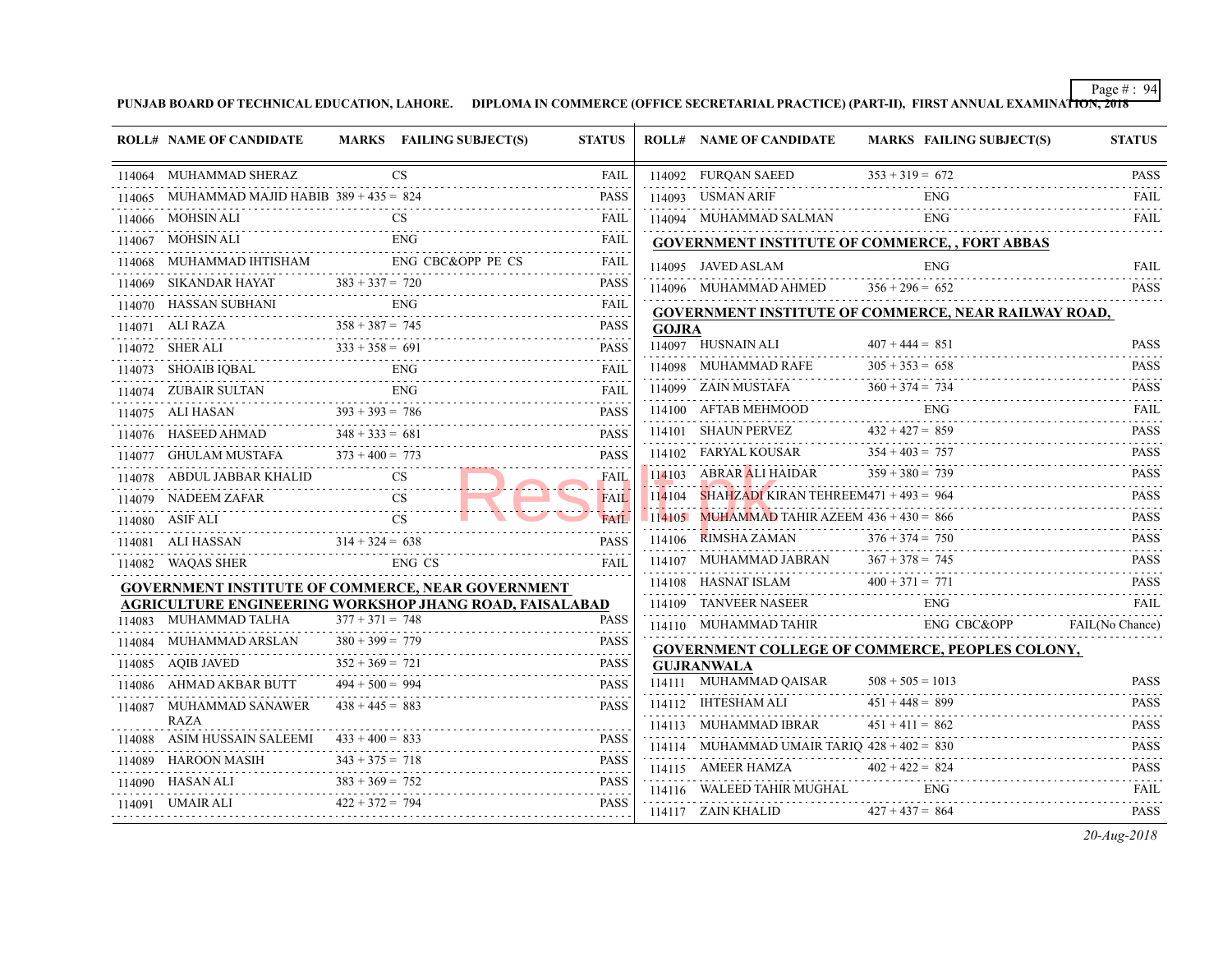| <b>ROLL# NAME OF CANDIDATE</b>                                                                |                   | MARKS FAILING SUBJECT(S)                                                                                               | <b>STATUS</b>          |              | <b>ROLL# NAME OF CANDIDATE</b>                 | <b>MARKS FAIL</b>  |
|-----------------------------------------------------------------------------------------------|-------------------|------------------------------------------------------------------------------------------------------------------------|------------------------|--------------|------------------------------------------------|--------------------|
| 114064 MUHAMMAD SHERAZ                                                                        |                   | CS                                                                                                                     | FAIL                   |              | 114092 FURQAN SAEED                            | $353 + 319 = 672$  |
| 114065 MUHAMMAD MAJID HABIB $389 + 435 = 824$                                                 |                   |                                                                                                                        | <b>PASS</b>            |              | 114093 USMAN ARIF                              | <b>ENG</b>         |
| 114066 MOHSIN ALI                                                                             |                   |                                                                                                                        | FAIL<br>2.2.2.2.2      |              | 114094 MUHAMMAD SALMAN                         | ENG                |
| 114067 MOHSIN ALI                                                                             |                   | ENG                                                                                                                    | FAIL<br>.              |              | <b>GOVERNMENT INSTITUTE OF COMMERCE,</b>       |                    |
| 114068 MUHAMMAD IHTISHAM ENG CBC&OPP PE CS<br>114068 MUHAMMAD IHTISHAM ENG CBC&OPP PE CS FAIL |                   |                                                                                                                        | FAIL                   |              | 114095 JAVED ASLAM                             | <b>ENG</b>         |
| 114069 SIKANDAR HAYAT 383 + 337 = 720                                                         |                   |                                                                                                                        | <b>PASS</b>            |              | 114096 MUHAMMAD AHMED $356 + 296 = 652$        |                    |
| 114070 HASSAN SUBHANI ENG FAIL                                                                |                   |                                                                                                                        |                        |              | <b>GOVERNMENT INSTITUTE OF COMMERCE,</b>       |                    |
| 114071 ALI RAZA $358 + 387 = 745$ PASS                                                        |                   |                                                                                                                        | <b>PASS</b>            | <b>GOJRA</b> |                                                |                    |
| 114072 SHER ALI $333 + 358 = 691$ PASS                                                        |                   |                                                                                                                        | <b>PASS</b>            |              | 114097 HUSNAIN ALI                             | $407 + 444 = 851$  |
| 114073 SHOAIB IQBAL ENG FAIL                                                                  |                   |                                                                                                                        |                        |              | 114098 MUHAMMAD RAFE $305 + 353 = 658$         |                    |
| 114074 ZUBAIR SULTAN ENG FAIL                                                                 |                   |                                                                                                                        | <b>FAIL</b>            |              | 114099 ZAIN MUSTAFA $360 + 374 = 734$          |                    |
| 114075 ALI HASAN                                                                              |                   | HASAN $393 + 393 = 786$ PASS                                                                                           | <b>PASS</b>            |              | 114100 AFTAB MEHMOOD                           | <b>ENG</b>         |
| 114076 HASEED AHMAD $348 + 333 = 681$ PASS                                                    |                   |                                                                                                                        | <b>PASS</b>            |              | 114101 SHAUN PERVEZ $432 + 427 = 859$          |                    |
| 114077 GHULAM MUSTAFA $373 + 400 = 773$                                                       |                   |                                                                                                                        | <b>PASS</b>            |              | 114102 FARYAL KOUSAR $354 + 403 = 757$         |                    |
| 114078 ABDUL JABBAR KHALID CS                                                                 |                   |                                                                                                                        | <b>FAIL</b>            |              | 114103 ABRAR ALI HAIDAR $359 + 380 = 739$      |                    |
| 114079 NADEEM ZAFAR CS                                                                        |                   | <u> a shekara ta 1999 a shekara ta 1999 a shekara ta 1999 a shekara ta 1999 a shekara ta 1999 a shekara ta 1999 a </u> | .<br><b>FAIL</b>       |              | $114104$ SHAHZADI KIRAN TEHREEM471 + 493 = 964 |                    |
| $114080$ ASIF ALI CS                                                                          |                   |                                                                                                                        | $1 - 1$<br><b>FAIL</b> |              | 114105 MUHAMMAD TAHIR AZEEM $436 + 430 = 866$  |                    |
| 114081 ALI HASSAN $314 + 324 = 638$                                                           |                   |                                                                                                                        | <b>PASS</b>            |              | 114106 RIMSHA ZAMAN $376 + 374 = 750$          |                    |
| 114082 WAQAS SHER                                                                             |                   | ENG CS                                                                                                                 | FAIL                   |              | 114107 MUHAMMAD JABRAN $367 + 378 = 745$       |                    |
| <b>GOVERNMENT INSTITUTE OF COMMERCE, NEAR GOVERNMENT</b>                                      |                   |                                                                                                                        |                        |              | 114108 HASNAT ISLAM $400 + 371 = 771$          |                    |
| <b>AGRICULTURE ENGINEERING WORKSHOP JHANG ROAD, FAISALABAD</b>                                |                   |                                                                                                                        |                        |              | 114109 TANVEER NASEER                          | <b>ENG</b>         |
| 114083 MUHAMMAD TALHA                                                                         | $377 + 371 = 748$ |                                                                                                                        | <b>PASS</b>            |              | 114110 MUHAMMAD TAHIR                          | ENGI               |
| 114084 MUHAMMAD ARSLAN                                                                        | $380 + 399 = 779$ |                                                                                                                        | <b>PASS</b>            |              | <b>GOVERNMENT COLLEGE OF COMMERCE, I</b>       |                    |
| 114085 AQIB JAVED                                                                             | $352 + 369 = 721$ |                                                                                                                        | PASS<br>.              |              | <b>GUJRANWALA</b>                              |                    |
| 114086 AHMAD AKBAR BUTT                                                                       | $494 + 500 = 994$ |                                                                                                                        | <b>PASS</b>            |              | 114111 MUHAMMAD QAISAR                         | $508 + 505 = 1011$ |
| 114087 MUHAMMAD SANAWER<br><b>RAZA</b>                                                        | $438 + 445 = 883$ |                                                                                                                        | <b>PASS</b>            |              | 114112 IHTESHAM ALI                            | $451 + 448 = 899$  |
| 114088 ASIM HUSSAIN SALEEMI $433 + 400 = 833$                                                 |                   |                                                                                                                        |                        |              | 114113 MUHAMMAD IBRAR                          | $451 + 411 = 862$  |
|                                                                                               |                   |                                                                                                                        |                        |              | 114114 MUHAMMAD UMAIR TARIQ $428 + 402 = 830$  |                    |
| 114089 HAROON MASIH $343 + 375 = 718$ PASS                                                    |                   |                                                                                                                        | <b>PASS</b>            |              | 114115 AMEER HAMZA $402 + 422 = 824$           |                    |
| 114090 HASAN ALI $383 + 369 = 752$<br>114091 UMAIR ALI $422 + 372 = 794$                      |                   |                                                                                                                        | <b>PASS</b>            |              | 114116 WALEED TAHIR MUGHAL                     | <b>ENG</b>         |
|                                                                                               |                   |                                                                                                                        |                        |              | 114117 ZAIN KHALID                             | $427 + 437 = 864$  |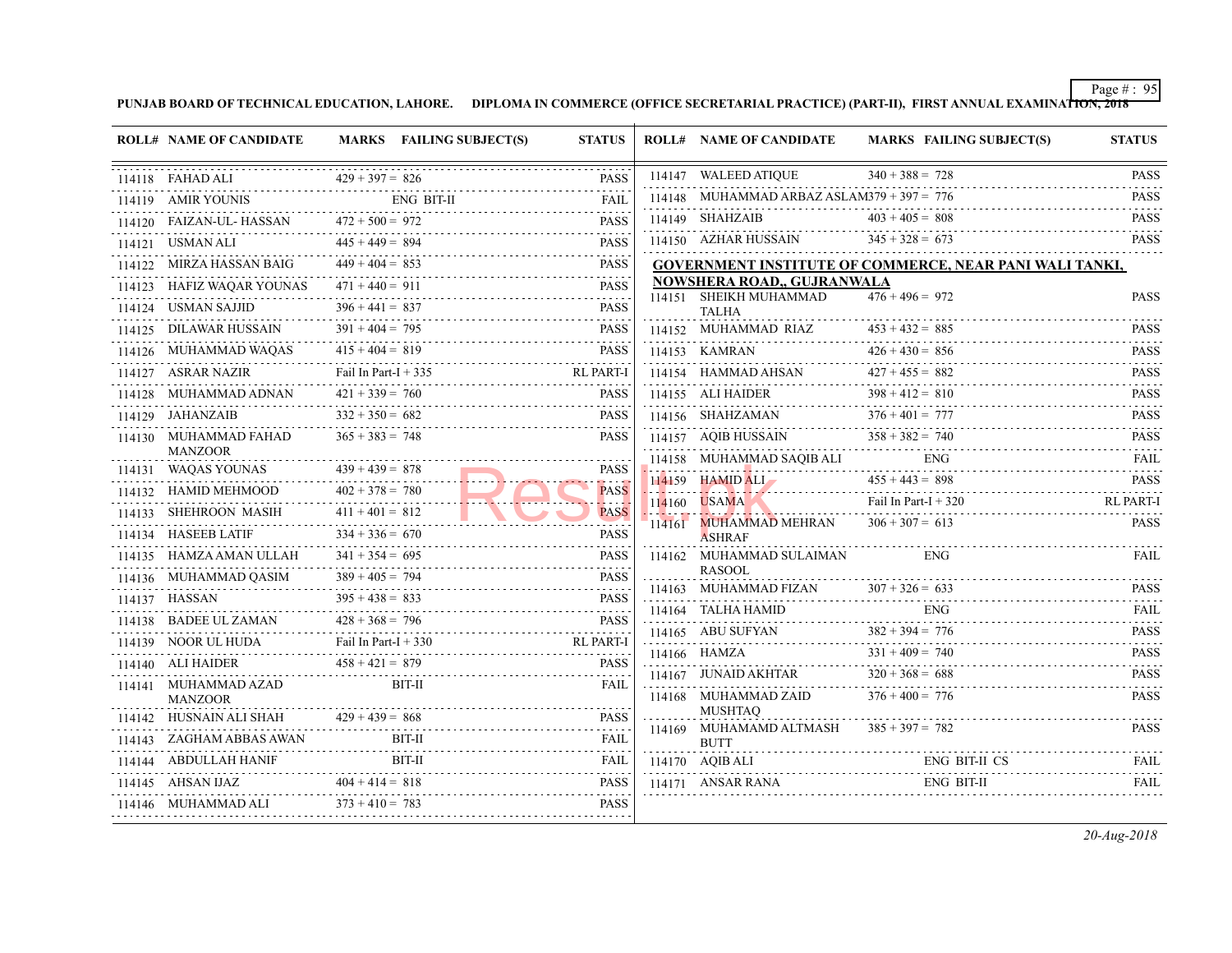|        | <b>ROLL# NAME OF CANDIDATE</b>                                      | MARKS FAILING SUBJECT(S) | <b>STATUS</b> |             | <b>ROLL# NAME OF CANDIDATE</b>                     | <b>MARKS FAIL</b>                      |
|--------|---------------------------------------------------------------------|--------------------------|---------------|-------------|----------------------------------------------------|----------------------------------------|
|        | 114118 FAHAD ALI                                                    | $429 + 397 = 826$        | <b>PASS</b>   |             | 114147 WALEED ATIQUE                               | $340 + 388 = 728$                      |
|        | 114119 AMIR YOUNIS                                                  | ENG BIT-II               | FAIL          |             | 114148 MUHAMMAD ARBAZ ASLAM379 + 397 = 776         |                                        |
|        | 114120 FAIZAN-UL-HASSAN $472 + 500 = 972$                           |                          | <b>PASS</b>   |             | 114149 SHAHZAIB                                    | $403 + 405 = 808$                      |
|        | 114121 USMAN ALI                                                    | $445 + 449 = 894$        | <b>PASS</b>   |             | 114150 AZHAR HUSSAIN                               | $345 + 328 = 673$                      |
| .      | 114122 MIRZA HASSAN BAIG $449 + 404 = 853$                          |                          | <b>PASS</b>   |             | <b>GOVERNMENT INSTITUTE OF COMMERCE,</b>           |                                        |
| 114123 | HAFIZ WAQAR YOUNAS                                                  | $471 + 440 = 911$        | <b>PASS</b>   |             | NOWSHERA ROAD., GUJRANWALA                         |                                        |
|        | 114124 USMAN SAJJID                                                 | $396 + 441 = 837$        | <b>PASS</b>   |             | 114151 SHEIKH MUHAMMAD<br><b>TALHA</b>             | $476 + 496 = 972$                      |
| 114125 | DILAWAR HUSSAIN                                                     | .<br>$391 + 404 = 795$   | <b>PASS</b>   |             | 114152 MUHAMMAD RIAZ                               | $453 + 432 = 885$                      |
|        | 114126 MUHAMMAD WAQAS                                               | $415 + 404 = 819$        | <b>PASS</b>   |             | 114153 KAMRAN                                      | $426 + 430 = 856$                      |
|        | 114127 ASRAR NAZIR                                                  | Fail In Part-I + $335$   | RL PART-I     |             | 114154 HAMMAD AHSAN $427 + 455 = 3$                | $427 + 455 = 882$                      |
|        | 114128 MUHAMMAD ADNAN                                               | $421 + 339 = 760$        | PASS          |             | 114155 ALI HAIDER                                  | $398 + 412 = 810$                      |
|        | 114129 JAHANZAIB                                                    | $332 + 350 = 682$        | PASS          |             | 114156 SHAHZAMAN $376 + 401 = 777$                 |                                        |
|        | 114130 MUHAMMAD FAHAD<br><b>MANZOOR</b>                             | $365 + 383 = 748$        | <b>PASS</b>   |             | 114157 AQIB HUSSAIN                                | $358 + 382 = 740$<br>.                 |
|        | 114131 WAQAS YOUNAS                                                 | $439 + 439 = 878$        | <b>PASS</b>   |             | 114158 MUHAMMAD SAQIB ALI                          | <b>ENG</b>                             |
|        | 114132 HAMID MEHMOOD                                                | $402 + 378 = 780$        |               | <b>PASS</b> | 114159 HAMIDALI 455 + 443 =                        | $455 + 443 = 898$                      |
|        | 114133 SHEHROON MASIH $411 + 401 = 812$                             |                          | .             | <b>PASS</b> | $114160$ USAMA<br>a di Japanese Bandal de La Banda | Fail In Part-I + $3$                   |
| 114134 | HASEEB LATIF                                                        | $334 + 336 = 670$        | <b>PASS</b>   |             | 114161 MUHAMMAD MEHRAN<br><b>ASHRAF</b>            | $306 + 307 = 613$                      |
|        | 114135 HAMZA AMAN ULLAH $341 + 354 = 695$                           |                          | <b>PASS</b>   |             | 114162 MUHAMMAD SULAIMAN                           | ENG.                                   |
|        | 114136 MUHAMMAD QASIM<br>114136 MUHAMMAD QASIM 389 + 405 = 794 PASS | $389 + 405 = 794$        | <b>PASS</b>   |             | <b>RASOOL</b>                                      |                                        |
|        | 114137 HASSAN                                                       | $395 + 438 = 833$        | PASS          |             | 114163 MUHAMMAD FIZAN $307 + 326 = 633$            |                                        |
|        | 114138 BADEE UL ZAMAN $428 + 368 = 796$ PASS                        |                          | PASS          |             | 114164 TALHA HAMID                                 | ENG                                    |
|        | 114139 NOOR UL HUDA                                                 | Fail In Part-I $+330$    | RL PART-I     |             | 114165 ABU SUFYAN $382 + 394 = 776$                |                                        |
|        | 114140 ALI HAIDER                                                   | $458 + 421 = 879$        | <b>PASS</b>   |             |                                                    |                                        |
|        | 114141 MUHAMMAD AZAD                                                | $BIT-II$                 | FAIL          |             | 114167 JUNAID AKHTAR                               | $320 + 368 = 688$<br>$376 + 400 = 776$ |
|        | <b>MANZOOR</b><br>114142 HUSNAIN ALI SHAH                           | $429 + 439 = 868$        |               | <b>PASS</b> | 114168 MUHAMMAD ZAID<br><b>MUSHTAQ</b>             |                                        |
|        | 114143 ZAGHAM ABBAS AWAN                                            | $BIT-II$                 |               | <b>FAIL</b> | 114169 MUHAMAMD ALTMASH                            | $385 + 397 = 782$                      |
|        | 114144 ABDULLAH HANIF                                               | BIT-II                   |               | FAIL        | <b>BUTT</b><br>114170 AQIB ALI                     | <b>ENG</b>                             |
|        | 114145 AHSAN IJAZ                                                   | $404 + 414 = 818$        | <b>PASS</b>   |             | 114171 ANSAR RANA                                  | <b>ENG</b>                             |
|        | 114146 MUHAMMAD ALI $373 + 410 = 783$                               |                          | PASS          |             |                                                    |                                        |
|        |                                                                     |                          |               |             |                                                    |                                        |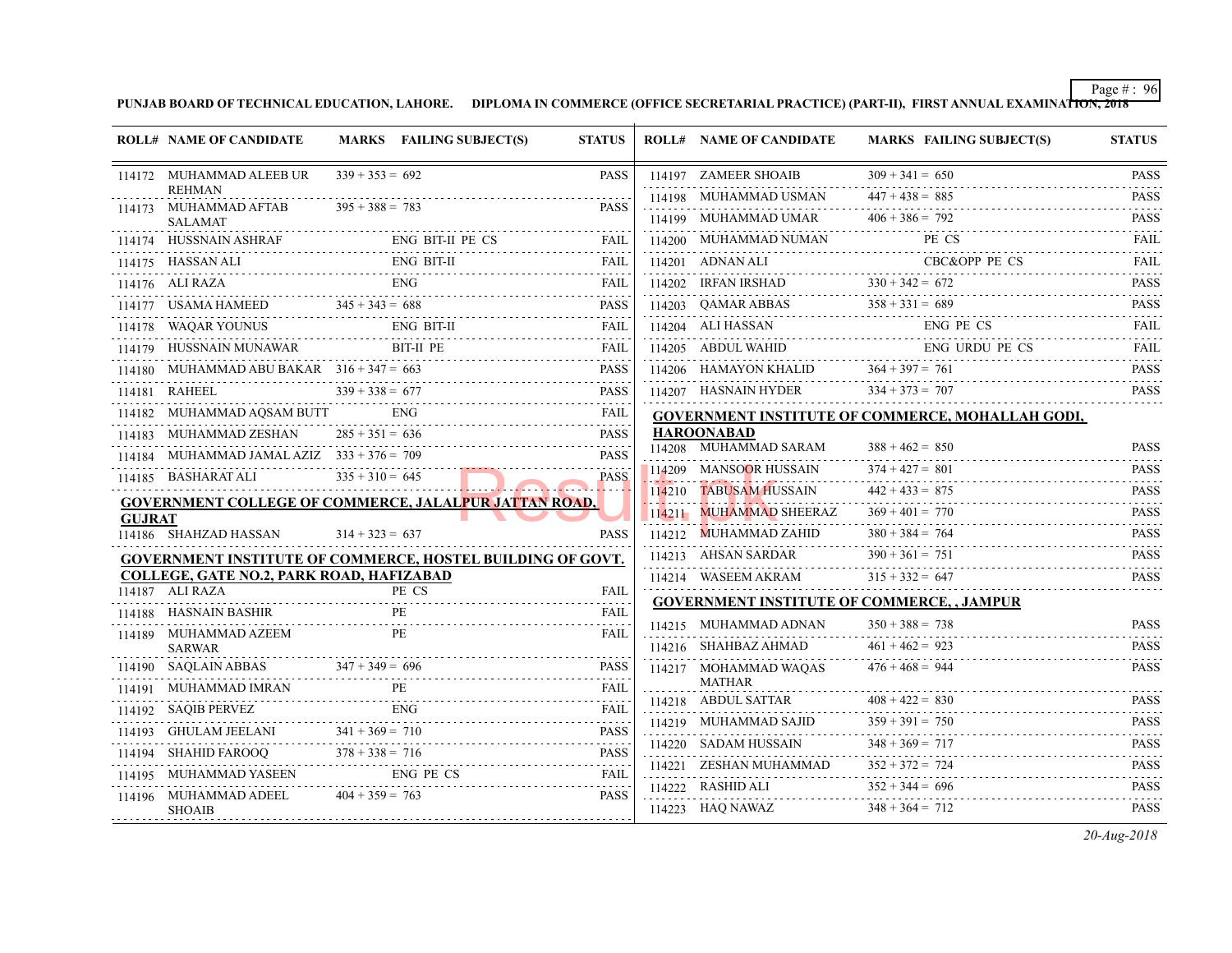|               | <b>ROLL# NAME OF CANDIDATE</b>                                                                                                                                 |                   | MARKS FAILING SUBJECT(S)         | <b>STATUS</b> | <b>ROLL# NAME OF CANDIDATE</b>                                            | <b>MARKS FAIL</b> |
|---------------|----------------------------------------------------------------------------------------------------------------------------------------------------------------|-------------------|----------------------------------|---------------|---------------------------------------------------------------------------|-------------------|
|               | 114172 MUHAMMAD ALEEB UR                                                                                                                                       | $339 + 353 = 692$ |                                  | <b>PASS</b>   | 114197 ZAMEER SHOAIB                                                      | $309 + 341 = 650$ |
|               | <b>REHMAN</b><br>114173 MUHAMMAD AFTAB                                                                                                                         | $395 + 388 = 783$ |                                  | <b>PASS</b>   | 114198 MUHAMMAD USMAN                                                     | $447 + 438 = 885$ |
|               | <b>SALAMAT</b>                                                                                                                                                 |                   |                                  |               | 114199 MUHAMMAD UMAR $406 + 386 = 792$                                    |                   |
|               | 114174 HUSSNAIN ASHRAF ENG BIT-II PE CS FAIL                                                                                                                   |                   |                                  |               | 114200 MUHAMMAD NUMAN                                                     | PE C              |
|               | $\begin{tabular}{ll} 114175 & HASSAN ALL & ENG BIT-II & FAIL \\ \hline \end{tabular} \begin{tabular}{ll} \textbf{ENG BIT-II} & \textbf{FAIL} \\ \end{tabular}$ |                   |                                  |               | 114201 ADNAN ALI<br>$114201$ ADNAN ALI CBC                                | <b>CBC</b>        |
|               | 114176 ALI RAZA                                                                                                                                                |                   | $\overline{A}$ ENG               | FAIL          | 114202 IRFAN IRSHAD $330 + 342 = 672$                                     |                   |
|               | 114177 USAMA HAMEED $345 + 343 = 688$ PASS PASS                                                                                                                |                   |                                  | PASS          | 114203 QAMAR ABBAS $358 + 331 = 689$                                      |                   |
|               | 114178 WAQAR YOUNUS ENG BIT-II FAIL                                                                                                                            |                   |                                  | FAIL          | 114204 ALI HASSAN ENC                                                     | ENG I             |
|               | 114179 HUSSNAIN MUNAWAR                                                                                                                                        |                   |                                  | FAIL          | 114205 ABDUL WAHID EN                                                     | ENG               |
|               | 114180 MUHAMMAD ABU BAKAR $316 + 347 = 663$                                                                                                                    |                   |                                  |               | 114206 HAMAYON KHALID $364 + 397 = 761$                                   |                   |
|               | 114181 RAHEEL $339 + 338 = 677$                                                                                                                                |                   |                                  | PASS          | 114207 HASNAIN HYDER $334 + 373 = 707$                                    |                   |
|               | 114182 MUHAMMAD AQSAM BUTT ENG                                                                                                                                 |                   |                                  | FAIL          | <b>GOVERNMENT INSTITUTE OF COMMERCE,</b>                                  |                   |
|               | 114183 MUHAMMAD ZESHAN                                                                                                                                         |                   |                                  |               | <b>HAROONABAD</b>                                                         |                   |
|               | 114184 MUHAMMAD JAMAL AZIZ $333 + 376 = 709$                                                                                                                   |                   | PASS                             | <b>PASS</b>   | 114208 MUHAMMAD SARAM                                                     | $388 + 462 = 850$ |
|               | 114185 BASHARAT ALI $335 + 310 = 645$                                                                                                                          |                   | $\blacksquare$                   | <b>PASS</b>   | 114209 MANSOOR HUSSAIN                                                    | $374 + 427 = 801$ |
|               | <b>GOVERNMENT COLLEGE OF COMMERCE, JALALPUR JATTAN ROAD,</b>                                                                                                   |                   |                                  |               | $114210$ TABUSAM HUSSAIN $442 + 433 = 875$                                |                   |
| <b>GUJRAT</b> |                                                                                                                                                                |                   |                                  |               | $114211$ MUHAMMAD SHEERAZ $369 + 401 = 770$                               |                   |
|               | 114186 SHAHZAD HASSAN $314 + 323 = 637$                                                                                                                        |                   |                                  | <b>PASS</b>   | 114212 MUHAMMAD ZAHID $380 + 384 = 764$                                   |                   |
|               | <b>GOVERNMENT INSTITUTE OF COMMERCE, HOSTEL BUILDING OF GOVT.</b>                                                                                              |                   |                                  |               | 114213 AHSAN SARDAR $390 + 361 = 751$                                     |                   |
|               | COLLEGE, GATE NO.2, PARK ROAD, HAFIZABAD<br>114187 ALI RAZA                                                                                                    |                   |                                  | FAIL          | 114214 WASEEM AKRAM $315 + 332 = 647$                                     |                   |
|               |                                                                                                                                                                |                   | $\lambda$ PE CS                  | .             | <b>GOVERNMENT INSTITUTE OF COMMERCE,</b>                                  |                   |
|               | 114188 HASNAIN BASHIR PE FAIL                                                                                                                                  |                   | PE                               |               | 114215 MUHAMMAD ADNAN                                                     | $350 + 388 = 738$ |
|               | 114189 MUHAMMAD AZEEM<br><b>SARWAR</b>                                                                                                                         |                   |                                  | <b>FAIL</b>   | 114216 SHAHBAZ AHMAD                                                      | $461 + 462 = 923$ |
|               | 114190 SAOLAIN ABBAS                                                                                                                                           |                   | $347 + 349 = 696$                | <b>PASS</b>   | 114217 MOHAMMAD WAQAS                                                     | $476 + 468 = 944$ |
|               | $\begin{tabular}{lllllllllll} \bf 114191 & \bf MUHAMMAD IMRAN & \bf PE & \bf FAIL \\ \hline \end{tabular}$                                                     |                   |                                  |               | <b>MATHAR</b><br>114218 ABDUL SATTAR                                      | $408 + 422 = 830$ |
| 114192        | SAOIB PERVEZ                                                                                                                                                   |                   | $\mathbb{E} \mathbf{Z}$ ENG FAIL | FAIL          |                                                                           |                   |
| 114193        | GHULAM JEELANI 341 + 369 = 710 PASS                                                                                                                            |                   |                                  |               | 114219 MUHAMMAD SAJID $359 + 391 = 750$                                   |                   |
|               | 114194 SHAHID FAROOQ 378 + 338 = 716                                                                                                                           |                   | AROOQ 378 + 338 = 716 PASS       |               | 114220 SADAM HUSSAIN $348 + 369 = 717$                                    |                   |
|               | 114195 MUHAMMAD YASEEN                                                                                                                                         |                   | ENG PE CS FAIL                   | FAIL          | 114221 ZESHAN MUHAMMAD                                                    | $352 + 372 = 724$ |
|               | 114196 MUHAMMAD ADEEL $404 + 359 = 763$                                                                                                                        |                   |                                  | <b>PASS</b>   | 114222 RASHID ALI $352 + 344 = 696$<br>114223 HAQ NAWAZ $348 + 364 = 712$ |                   |
| .             | <b>SHOAIB</b>                                                                                                                                                  |                   |                                  |               |                                                                           |                   |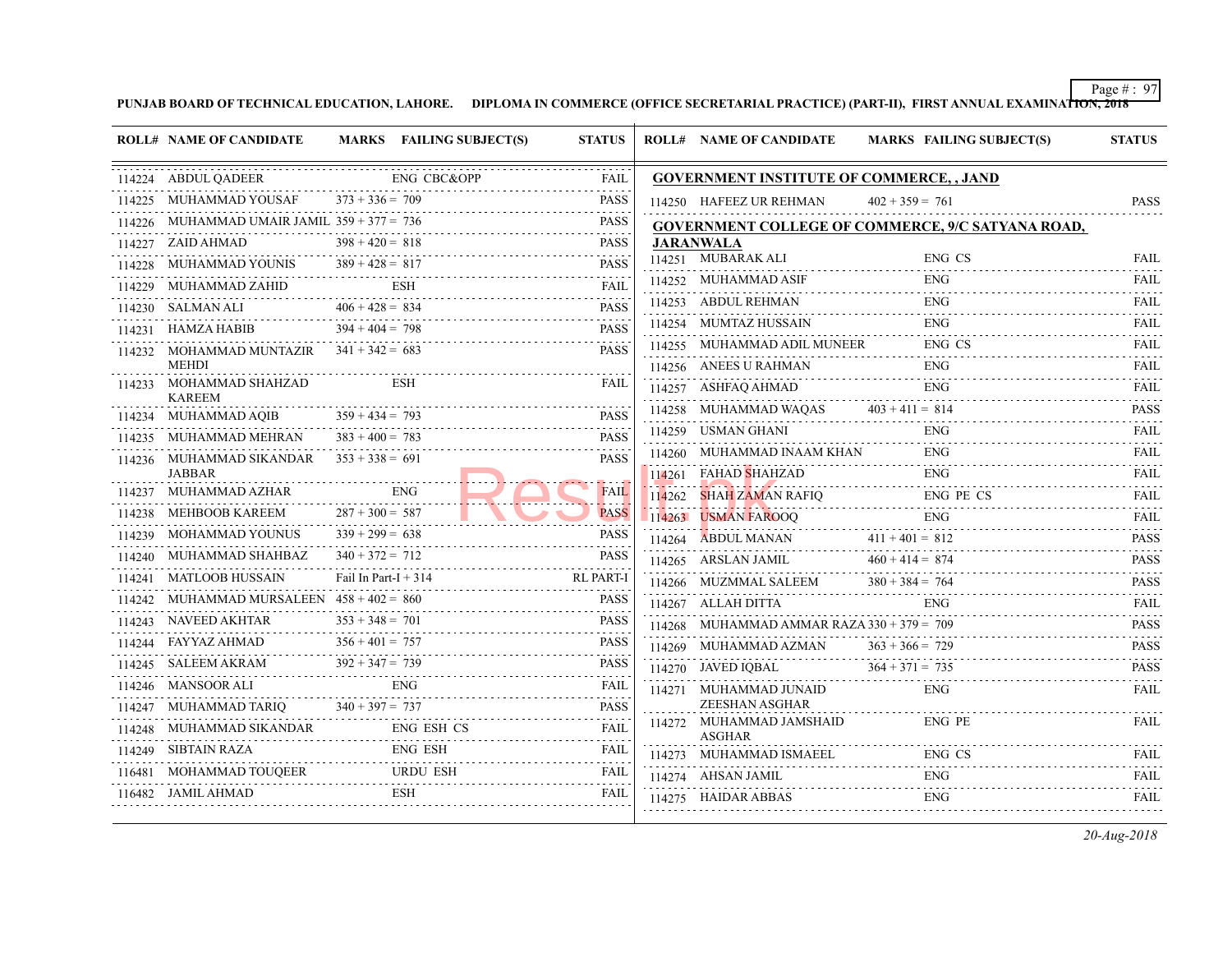|   | <b>ROLL# NAME OF CANDIDATE</b>                               |                   | MARKS FAILING SUBJECT(S) | <b>STATUS</b>            | <b>ROLL# NAME OF CANDIDATE</b>               | <b>MARKS FAIL</b> |
|---|--------------------------------------------------------------|-------------------|--------------------------|--------------------------|----------------------------------------------|-------------------|
|   | 114224 ABDUL QADEER                                          |                   | ENG CBC&OPP              | FAIL                     | <b>GOVERNMENT INSTITUTE OF COMMERCE,</b>     |                   |
|   | 114225 MUHAMMAD YOUSAF $373 + 336 = 709$                     |                   |                          | <b>PASS</b>              | 114250 HAFEEZ UR REHMAN                      | $402 + 359 = 761$ |
|   | 114226 MUHAMMAD UMAIR JAMIL $359 + 377 = 736$                |                   |                          | <b>PASS</b>              | <b>GOVERNMENT COLLEGE OF COMMERCE, 9</b>     |                   |
| . | 114227 ZAID AHMAD                                            | $398 + 420 = 818$ |                          | <b>PASS</b>              | <b>JARANWALA</b>                             |                   |
|   | 114228 MUHAMMAD YOUNIS $389 + 428 = 817$                     |                   |                          | <b>PASS</b>              | 114251 MUBARAK ALI                           | <b>ENG</b>        |
|   | 114229 MUHAMMAD ZAHID                                        |                   | ESH                      | FAIL                     | 114252 MUHAMMAD ASIF                         | <b>ENG</b>        |
|   | $406 + 428 = 834$<br>114230 SALMAN ALI                       |                   |                          | <b>PASS</b>              | 114253 ABDUL REHMAN                          | <b>ENG</b>        |
|   | $394 + 404 = 798$<br>114231 HAMZA HABIB                      |                   |                          | <b>PASS</b><br>2.2.2.2.2 | 114254 MUMTAZ HUSSAIN                        | <b>ENG</b>        |
|   | 114232 MOHAMMAD MUNTAZIR $341 + 342 = 683$                   |                   |                          | <b>PASS</b>              | 114255 MUHAMMAD ADIL MUNEER                  | <b>ENG</b>        |
|   | <b>MEHDI</b>                                                 |                   | <b>ESH</b>               |                          | 114256 ANEES U RAHMAN                        | <b>ENG</b>        |
|   | 114233 MOHAMMAD SHAHZAD<br><b>KAREEM</b>                     |                   |                          | FAIL                     | 114257 ASHFAQ AHMAD                          | ENG I             |
|   | 114234 MUHAMMAD AQIB                                         | $359 + 434 = 793$ | $359 + 434 = 793$ PASS   | <b>PASS</b>              | 114258 MUHAMMAD WAQAS $403 + 411 = 814$      |                   |
|   | 114235 MUHAMMAD MEHRAN                                       | $383 + 400 = 783$ |                          | <b>PASS</b>              | 114259 USMAN GHANI                           | <b>ENG</b>        |
|   | 114236 MUHAMMAD SIKANDAR $353 + 338 = 691$                   |                   |                          | <b>PASS</b>              | 114260 MUHAMMAD INAAM KHAN                   | <b>ENG</b>        |
|   | <b>JABBAR</b><br>114237 MUHAMMAD AZHAR                       |                   | ENG-                     | <b>FAIL</b>              | 114261 FAHAD SHAHZAD                         | <b>ENG</b>        |
|   | 114238 MEHBOOB KAREEM                                        | $287 + 300 = 587$ |                          |                          | 114262 SHAH ZAMAN RAFIQ                      | ENG               |
|   |                                                              |                   |                          | <b>PASS</b>              | 114263 USMAN FAROOQ ENG                      | ENG.              |
|   | 114239 MOHAMMAD YOUNUS                                       | $339 + 299 = 638$ |                          | PASS                     | 114264 ABDUL MANAN $411 + 401 = 812$         |                   |
|   | 114240 MUHAMMAD SHAHBAZ                                      | $340 + 372 = 712$ |                          | PASS                     | 114265 ARSLAN JAMIL $460 + 414 = 874$        |                   |
|   | 114241 MATLOOB HUSSAIN Fail In Part-I + 314 RL PART-         |                   |                          | RL PART-I                | 114266 MUZMMAL SALEEM $380 + 384 = 764$      |                   |
|   | 114242 MUHAMMAD MURSALEEN $458 + 402 = 860$                  |                   |                          | PASS                     | 114267 ALLAH DITTA                           | <b>ENG</b>        |
|   | 114243 NAVEED AKHTAR $353 + 348 = 701$ PASS                  |                   |                          |                          | 114268 MUHAMMAD AMMAR RAZA $330 + 379 = 709$ |                   |
|   | 114244 FAYYAZ AHMAD $356 + 401 = 757$<br>114244 FAYYAZ AHMAD |                   |                          | PASS                     | 114269 MUHAMMAD AZMAN $363 + 366 = 729$      |                   |
|   | 114245 SALEEM AKRAM $392 + 347 = 739$                        |                   |                          | <b>PASS</b>              | 114270 JAVED IQBAL                           | $364 + 371 = 735$ |
|   | 114246 MANSOOR ALI                                           |                   | ENG                      | FAIL                     | 114271 MUHAMMAD JUNAID                       | <b>ENG</b>        |
| . | 114247 MUHAMMAD TARIQ $340 + 397 = 737$                      |                   |                          | <b>PASS</b>              | ZEESHAN ASGHAR<br>114272 MUHAMMAD JAMSHAID   | <b>ENG</b>        |
|   | 114248 MUHAMMAD SIKANDAR ENG ESH CS                          |                   |                          | FAIL                     | ASGHAR                                       |                   |
|   | 114249 SIBTAIN RAZA                                          |                   | 1. ENG ESH FAIL          |                          | 114273 MUHAMMAD ISMAEEL                      | <b>ENG</b>        |
|   | 116481 MOHAMMAD TOUQEER URDU ESH FAIL                        |                   |                          |                          | 114274 AHSAN JAMIL                           | ENG I             |
|   | 116482 JAMIL AHMAD                                           |                   | ESH                      | FAIL                     | 114275 HAIDAR ABBAS                          | <b>ENG</b>        |
|   |                                                              |                   |                          |                          |                                              |                   |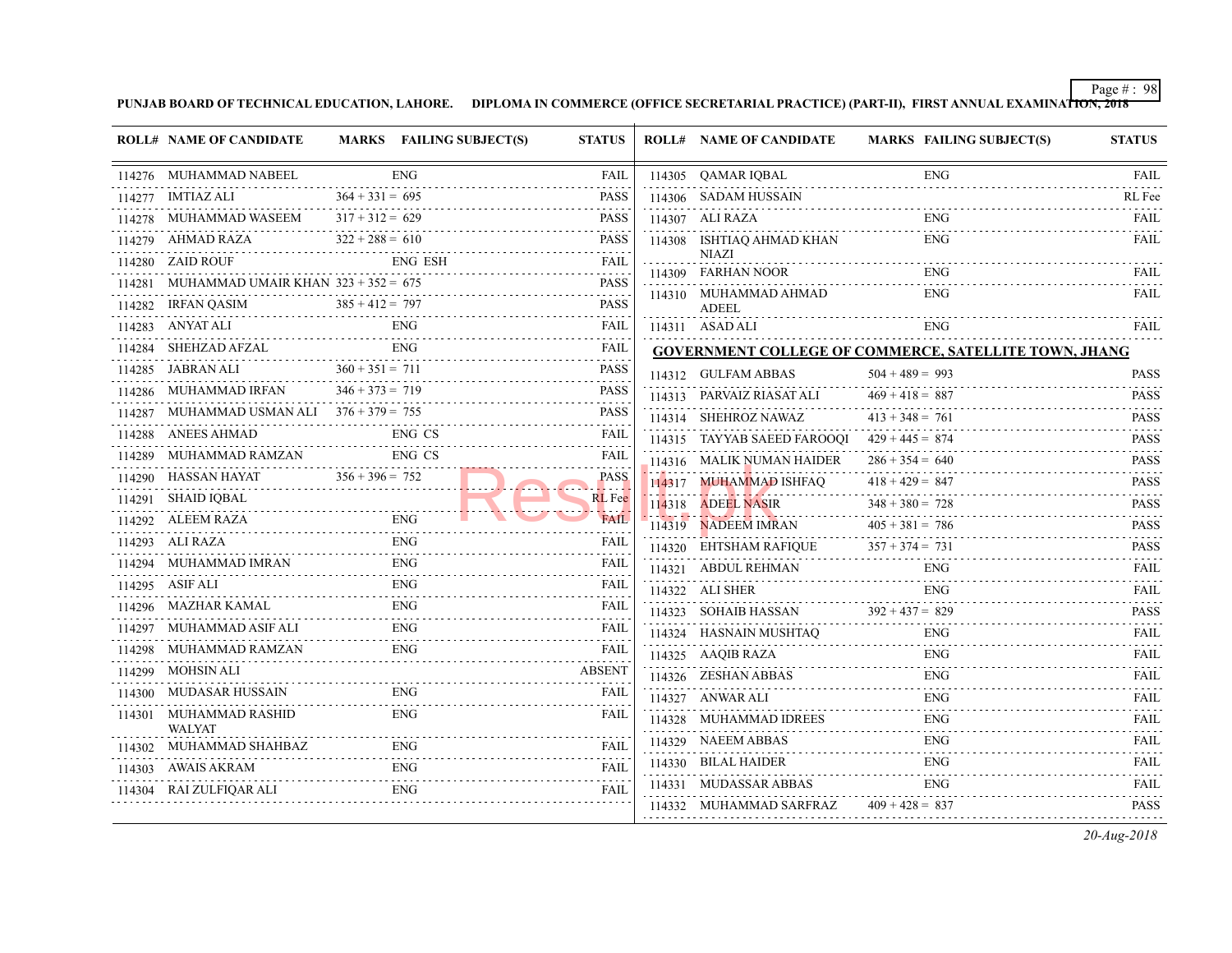| <b>ROLL# NAME OF CANDIDATE</b>                                              |                   | MARKS FAILING SUBJECT(S) | <b>STATUS</b>                                                                                                                                                                                                                                                                                                                                                                                                                                                                                         | <b>ROLL# NAME OF CANDIDATE</b>                     | <b>MARKS FAIL</b>      |
|-----------------------------------------------------------------------------|-------------------|--------------------------|-------------------------------------------------------------------------------------------------------------------------------------------------------------------------------------------------------------------------------------------------------------------------------------------------------------------------------------------------------------------------------------------------------------------------------------------------------------------------------------------------------|----------------------------------------------------|------------------------|
| 114276 MUHAMMAD NABEEL                                                      |                   | <b>ENG</b>               | FAIL                                                                                                                                                                                                                                                                                                                                                                                                                                                                                                  | 114305 QAMAR IQBAL                                 | ENG                    |
| 114277 IMTIAZ ALI                                                           | $364 + 331 = 695$ |                          | <b>PASS</b>                                                                                                                                                                                                                                                                                                                                                                                                                                                                                           | 114306 SADAM HUSSAIN                               |                        |
| 114278 MUHAMMAD WASEEM                                                      | $317 + 312 = 629$ |                          | <b>PASS</b><br>.                                                                                                                                                                                                                                                                                                                                                                                                                                                                                      | 114307 ALI RAZA                                    | <b>ENG</b>             |
| 114279 AHMAD RAZA                                                           | $322 + 288 = 610$ |                          | <b>PASS</b><br>$\mathcal{L}^{\mathcal{A}}\left( \mathcal{A}^{\mathcal{A}}\right) \mathcal{A}^{\mathcal{A}}\left( \mathcal{A}^{\mathcal{A}}\right) \mathcal{A}^{\mathcal{A}}\left( \mathcal{A}^{\mathcal{A}}\right)$                                                                                                                                                                                                                                                                                   | 114308 ISHTIAQ AHMAD KHAN                          | ENG                    |
| 114280 ZAID ROUF                                                            |                   | <b>ENG ESH</b>           | <b>FAIL</b><br>.                                                                                                                                                                                                                                                                                                                                                                                                                                                                                      | NIAZI<br>114309 FARHAN NOOR                        | ENG.                   |
| 114281 MUHAMMAD UMAIR KHAN $323 + 352 = 675$                                |                   |                          | <b>PASS</b><br>$\begin{array}{cccccccccccccc} \multicolumn{2}{c}{} & \multicolumn{2}{c}{} & \multicolumn{2}{c}{} & \multicolumn{2}{c}{} & \multicolumn{2}{c}{} & \multicolumn{2}{c}{} & \multicolumn{2}{c}{} & \multicolumn{2}{c}{} & \multicolumn{2}{c}{} & \multicolumn{2}{c}{} & \multicolumn{2}{c}{} & \multicolumn{2}{c}{} & \multicolumn{2}{c}{} & \multicolumn{2}{c}{} & \multicolumn{2}{c}{} & \multicolumn{2}{c}{} & \multicolumn{2}{c}{} & \multicolumn{2}{c}{} & \multicolumn{2}{c}{} & \$ | 114310 MUHAMMAD AHMAD                              | <b>ENG</b>             |
| 114282 IRFAN QASIM                                                          | $385 + 412 = 797$ |                          | <b>PASS</b><br>.                                                                                                                                                                                                                                                                                                                                                                                                                                                                                      | ADEEL                                              |                        |
| 114283 ANYAT ALI                                                            |                   | <b>ENG</b>               | <b>FAIL</b><br>$\omega_{\alpha}=\omega_{\alpha}=\omega_{\alpha}=\omega_{\alpha}$                                                                                                                                                                                                                                                                                                                                                                                                                      | 114311 ASAD ALI                                    | <b>ENG</b>             |
| 114284 SHEHZAD AFZAL                                                        |                   | <b>ENG</b>               | <b>FAIL</b><br>.                                                                                                                                                                                                                                                                                                                                                                                                                                                                                      | <b>GOVERNMENT COLLEGE OF COMMERCE, 9</b>           |                        |
| 114285 JABRAN ALI                                                           | $360 + 351 = 711$ |                          | <b>PASS</b><br>.                                                                                                                                                                                                                                                                                                                                                                                                                                                                                      | 114312 GULFAM ABBAS                                | $504 + 489 = 993$      |
| 114286 MUHAMMAD IRFAN                                                       | $346 + 373 = 719$ |                          | <b>PASS</b><br>$\frac{1}{2} \left( \frac{1}{2} \right) \left( \frac{1}{2} \right) \left( \frac{1}{2} \right) \left( \frac{1}{2} \right) \left( \frac{1}{2} \right) \left( \frac{1}{2} \right)$                                                                                                                                                                                                                                                                                                        | 114313 PARVAIZ RIASAT ALI                          | $469 + 418 = 887$      |
| 114287 MUHAMMAD USMAN ALI $376 + 379 = 755$                                 |                   |                          | <b>PASS</b>                                                                                                                                                                                                                                                                                                                                                                                                                                                                                           | 114314 SHEHROZ NAWAZ                               | .<br>$413 + 348 = 761$ |
| 114288 ANEES AHMAD                                                          |                   | ENG CS                   | <b>FAIL</b>                                                                                                                                                                                                                                                                                                                                                                                                                                                                                           | 114315 TAYYAB SAEED FAROOQI                        | $429 + 445 = 874$      |
| 114289 MUHAMMAD RAMZAN                                                      |                   | ENG CS                   | <b>FAIL</b>                                                                                                                                                                                                                                                                                                                                                                                                                                                                                           | 114316 MALIK NUMAN HAIDER                          | $286 + 354 = 640$      |
| 114290 HASSAN HAYAT                                                         | $356 + 396 = 752$ |                          | <b>PASS</b>                                                                                                                                                                                                                                                                                                                                                                                                                                                                                           | 114317 MUHAMMAD ISHFAQ                             | .<br>$418 + 429 = 847$ |
| 114291 SHAID IQBAL                                                          |                   |                          | <b>RL</b> Fee                                                                                                                                                                                                                                                                                                                                                                                                                                                                                         | 114318 ADEEL NASIR                                 | $348 + 380 = 728$      |
| 114292 ALEEM RAZA<br>114292 ALEEM RAZA ENG                                  |                   |                          | <b>FAIL</b>                                                                                                                                                                                                                                                                                                                                                                                                                                                                                           | 2000 - 1000 - 1000 - 1000 -<br>114319 NADEEM IMRAN | $405 + 381 = 786$      |
| 114293 ALI RAZA                                                             |                   | ENG.                     | FAIL                                                                                                                                                                                                                                                                                                                                                                                                                                                                                                  | 114320 EHTSHAM RAFIQUE                             | .<br>$357 + 374 = 731$ |
| $\begin{tabular}{ll} 114294 & MUHAMMAD IMRAN & ENG \\ \hline \end{tabular}$ |                   |                          | FAIL<br>$\mathcal{L}^{\mathcal{A}}\left( \mathcal{A}^{\mathcal{A}}\right) =\mathcal{L}^{\mathcal{A}}\left( \mathcal{A}^{\mathcal{A}}\right)$                                                                                                                                                                                                                                                                                                                                                          | 114321 ABDUL REHMAN                                | ENG                    |
| 114295 ASIF ALI                                                             |                   | <b>ENG</b>               | <b>FAIL</b>                                                                                                                                                                                                                                                                                                                                                                                                                                                                                           | 114322 ALI SHER                                    | <b>ENG</b>             |
| 114296 MAZHAR KAMAL                                                         |                   | ENG.                     | <b>FAIL</b>                                                                                                                                                                                                                                                                                                                                                                                                                                                                                           | 114323 SOHAIB HASSAN                               | $392 + 437 = 829$      |
| 114297 MUHAMMAD ASIF ALI                                                    |                   | <b>ENG</b>               | FAIL<br>.                                                                                                                                                                                                                                                                                                                                                                                                                                                                                             | 114324 HASNAIN MUSHTAQ                             | ENG.                   |
| 114298 MUHAMMAD RAMZAN                                                      |                   | <b>ENG</b>               | <b>FAIL</b>                                                                                                                                                                                                                                                                                                                                                                                                                                                                                           | 114325 AAQIB RAZA                                  | ENG.                   |
| 114299 MOHSIN ALI                                                           |                   |                          | <b>ABSENT</b>                                                                                                                                                                                                                                                                                                                                                                                                                                                                                         | 114326 ZESHAN ABBAS                                | ENG                    |
| 114300 MUDASAR HUSSAIN                                                      |                   | ENG-                     | FAIL<br>.                                                                                                                                                                                                                                                                                                                                                                                                                                                                                             | 114327 ANWAR ALI                                   | <b>ENG</b>             |
| 114301 MUHAMMAD RASHID<br><b>WALYAT</b>                                     |                   | <b>ENG</b>               | FAIL                                                                                                                                                                                                                                                                                                                                                                                                                                                                                                  | 114328 MUHAMMAD IDREES                             | ENG.                   |
| 114302 MUHAMMAD SHAHBAZ                                                     |                   | <b>ENG</b>               | .<br><b>FAIL</b>                                                                                                                                                                                                                                                                                                                                                                                                                                                                                      | 114329 NAEEM ABBAS                                 | ENG                    |
| 114303 AWAIS AKRAM                                                          |                   | <b>ENG</b>               | <b>FAIL</b>                                                                                                                                                                                                                                                                                                                                                                                                                                                                                           | 114330 BILAL HAIDER                                | <b>ENG</b>             |
| 114304 RAI ZULFIQAR ALI                                                     |                   | <b>ENG</b>               | <b>FAIL</b>                                                                                                                                                                                                                                                                                                                                                                                                                                                                                           | 114331 MUDASSAR ABBAS                              | <b>ENG</b>             |
|                                                                             |                   |                          |                                                                                                                                                                                                                                                                                                                                                                                                                                                                                                       | 114332 MUHAMMAD SARFRAZ                            | $409 + 428 = 837$      |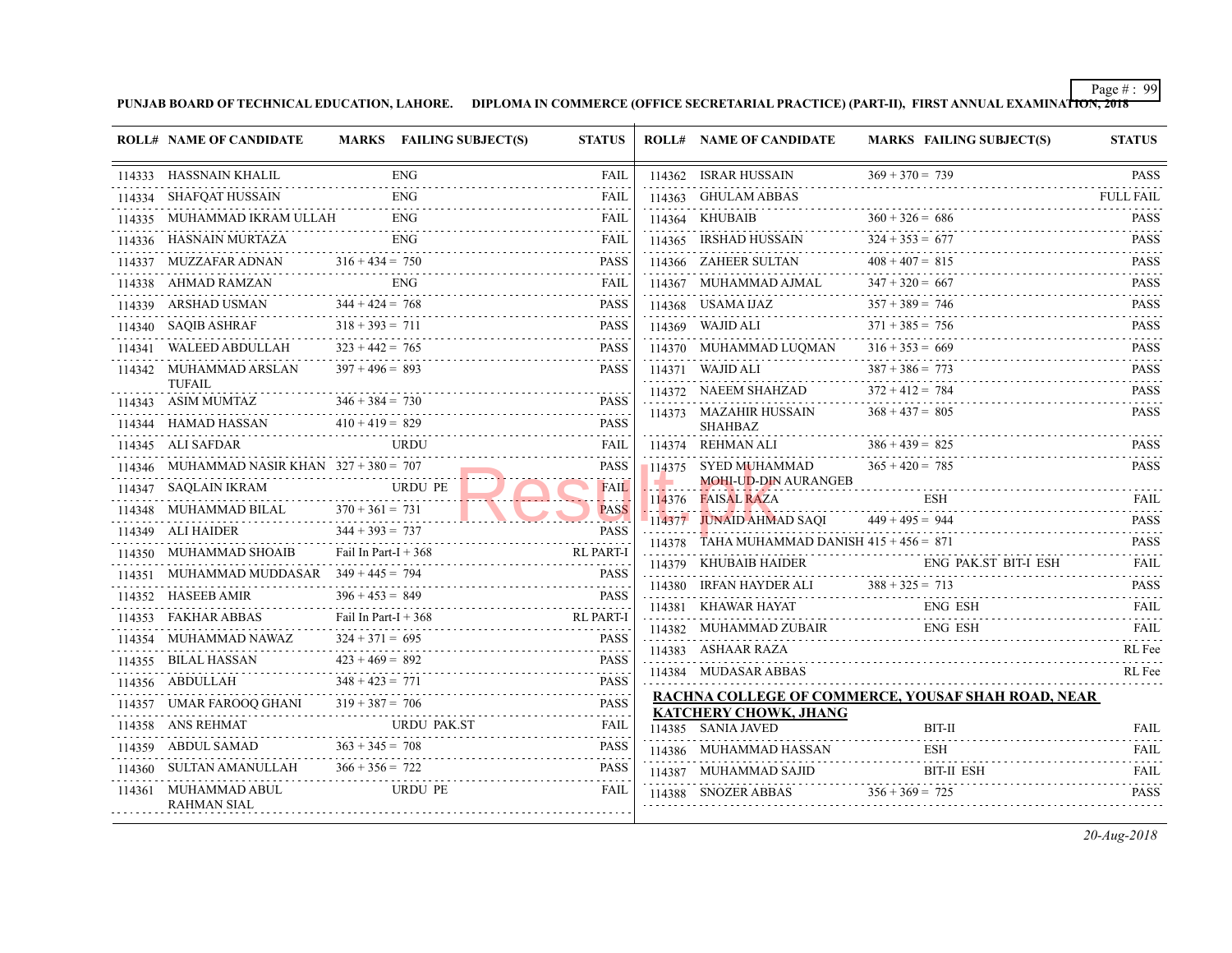|   | <b>ROLL# NAME OF CANDIDATE</b>                                        |                        | MARKS FAILING SUBJECT(S)                            | <b>STATUS</b>               |        | <b>ROLL# NAME OF CANDIDATE</b>              | <b>MARKS FAIL</b> |
|---|-----------------------------------------------------------------------|------------------------|-----------------------------------------------------|-----------------------------|--------|---------------------------------------------|-------------------|
|   | 114333 HASSNAIN KHALIL                                                |                        | <b>ENG</b>                                          | <b>FAIL</b>                 |        | 114362 ISRAR HUSSAIN                        | $369 + 370 = 739$ |
|   | 114334 SHAFQAT HUSSAIN                                                |                        | <b>ENG</b>                                          | FAIL                        |        | 114363 GHULAM ABBAS                         |                   |
|   | 114335 MUHAMMAD IKRAM ULLAH                                           |                        | <b>ENG</b>                                          | FAIL                        |        | 114364 KHUBAIB                              | $360 + 326 = 686$ |
|   | 114336 HASNAIN MURTAZA                                                |                        | <b>ENG</b>                                          | <b>FAIL</b>                 |        | 114365 IRSHAD HUSSAIN                       | $324 + 353 = 677$ |
|   | 114337 MUZZAFAR ADNAN                                                 | $316 + 434 = 750$      |                                                     | PASS                        |        | 114366 ZAHEER SULTAN                        | $408 + 407 = 815$ |
|   | 114338 AHMAD RAMZAN                                                   |                        | <b>ENG</b>                                          | FAIL                        |        | 114367 MUHAMMAD AJMAL                       | $347 + 320 = 667$ |
|   | 114339 ARSHAD USMAN $344 + 424 = 768$                                 |                        |                                                     | <b>PASS</b>                 |        | 114368 USAMA IJAZ                           | $357 + 389 = 746$ |
|   | 114340 SAQIB ASHRAF                                                   | $318 + 393 = 711$      |                                                     | PASS                        |        | 114369 WAJID ALI                            | $371 + 385 = 756$ |
|   | 114341 WALEED ABDULLAH $323 + 442 = 765$                              |                        |                                                     | <b>PASS</b>                 |        | 114370 MUHAMMAD LUQMAN                      | $316 + 353 = 669$ |
|   | 114342 MUHAMMAD ARSLAN                                                | $397 + 496 = 893$      |                                                     | <b>PASS</b>                 |        | 114371 WAJID ALI                            | $387 + 386 = 773$ |
|   | <b>TUFAIL</b><br>114343 ASIM MUMTAZ                                   | $346 + 384 = 730$      |                                                     | <b>PASS</b>                 |        | 114372 NAEEM SHAHZAD                        | $372 + 412 = 784$ |
|   | 114344 HAMAD HASSAN $410 + 419 = 829$                                 |                        | IAZ $346 + 384 = 730$                               | <b>PASS</b>                 |        | 114373 MAZAHIR HUSSAIN                      | $368 + 437 = 805$ |
|   | 114345 ALI SAFDAR                                                     |                        | <b>URDU</b>                                         | <b>FAIL</b>                 |        | <b>SHAHBAZ</b><br>114374 REHMAN ALI         | $386 + 439 = 825$ |
|   | 114346 MUHAMMAD NASIR KHAN $327 + 380 = 707$                          |                        |                                                     | <b>PASS</b>                 |        | 114375 SYED MUHAMMAD                        | $365 + 420 = 785$ |
|   | 114347 SAQLAIN IKRAM                                                  |                        | URDU PE                                             | <b>FAIL</b>                 |        | <b>MOHI-UD-DIN AURANGEB</b>                 |                   |
|   | 114348 MUHAMMAD BILAL $370 + 361 = 731$                               |                        |                                                     | .<br><b>PASS</b>            |        | 114376 FAISAL RAZA                          | ESH               |
| . | $344 + 393 = 737$<br>114349 ALI HAIDER                                |                        |                                                     | <b>PASS</b>                 |        | 114377 JUNAID AHMAD SAOI                    | $449 + 495 = 944$ |
|   | 114350 MUHAMMAD SHOAIB                                                | Fail In Part-I $+368$  |                                                     | .<br>RL PART-I              | 114378 | TAHA MUHAMMAD DANISH $415 + 456 = 871$      |                   |
|   | 114351 MUHAMMAD MUDDASAR $349 + 445 = 794$                            |                        |                                                     | <b>PASS</b>                 |        | 114379 KHUBAIB HAIDER                       | <b>ENG</b>        |
|   | 114351 MUHAMMAD MUDDASAR $349 + 445 = 794$ PASS<br>114352 HASEEB AMIR |                        |                                                     | <b>PASS</b>                 |        | 114380 IRFAN HAYDER ALI $388 + 325 = 713$   |                   |
|   | 114353 FAKHAR ABBAS                                                   | Fail In Part-I + $368$ | $396 + 453 = 849$ PASS                              |                             |        | 114381 KHAWAR HAYAT                         | ENG.              |
|   | 114354 MUHAMMAD NAWAZ $324 + 371 = 695$                               |                        | AS Fail In Part-I + 368 RL PART-I                   | <b>PASS</b>                 |        | 114382 MUHAMMAD ZUBAIR                      | <b>ENG</b>        |
|   | 114355 BILAL HASSAN                                                   | $423 + 469 = 892$      |                                                     | <b>PASS</b>                 |        | 114383 ASHAAR RAZA                          |                   |
|   | ASSAN<br>- - - - - - - - - - - - - - - -<br>114356 ABDULLAH           | $348 + 423 = 771$      | $423 + 469 = 892$                                   | $-1 - 1 - 1$<br><b>PASS</b> |        | 114384 MUDASAR ABBAS                        |                   |
|   | 114357 UMAR FAROOQ GHANI                                              |                        |                                                     | PASS                        |        | <b>RACHNA COLLEGE OF COMMERCE, YOUSA</b>    |                   |
| . | 114358 ANS REHMAT                                                     |                        | OQ GHANI 319 + 387 = 706 PASS<br><b>URDU PAK.ST</b> | FAIL                        |        | KATCHERY CHOWK, JHANG<br>114385 SANIA JAVED | $BIT-I$           |
|   | $363 + 345 = 708$<br>114359 ABDUL SAMAD                               |                        | URDU PAK.ST<br>$363 + 345 = 708$                    | PASS                        |        | 114386 MUHAMMAD HASSAN                      | ESH               |
|   | 114360 SULTAN AMANULLAH                                               | $366 + 356 = 722$      |                                                     | PASS                        |        | 114387 MUHAMMAD SAJID                       | $BIT-I$           |
|   | 114361 MUHAMMAD ABUL<br><b>RAHMAN SIAL</b>                            |                        | <b>URDU PE</b>                                      | FAIL                        |        | 114388 SNOZER ABBAS                         | $356 + 369 = 725$ |
|   |                                                                       |                        |                                                     |                             |        |                                             |                   |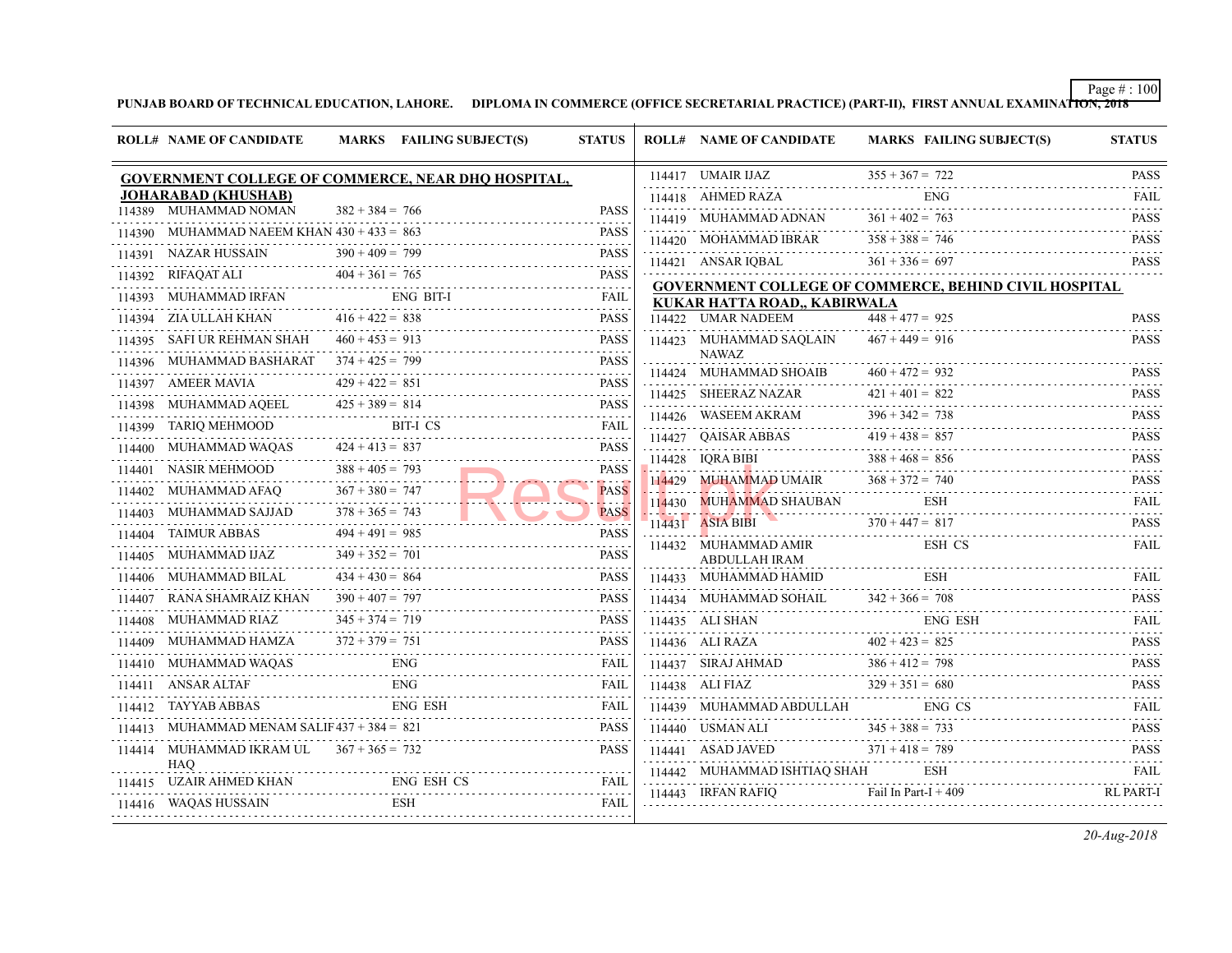| <b>ROLL# NAME OF CANDIDATE</b>                           | MARKS FAILING SUBJECT(S)                                                                                                                                 | <b>STATUS</b>    | <b>ROLL# NAME OF CANDIDATE</b>                                           | <b>MARKS FAIL</b> |
|----------------------------------------------------------|----------------------------------------------------------------------------------------------------------------------------------------------------------|------------------|--------------------------------------------------------------------------|-------------------|
|                                                          | <b>GOVERNMENT COLLEGE OF COMMERCE, NEAR DHQ HOSPITAL,</b>                                                                                                |                  | 114417 UMAIR IJAZ                                                        | $355 + 367 = 722$ |
| <b>JOHARABAD (KHUSHAB)</b>                               |                                                                                                                                                          |                  | 114418 AHMED RAZA                                                        | ENG I             |
| 114389 MUHAMMAD NOMAN                                    | $382 + 384 = 766$                                                                                                                                        | <b>PASS</b>      | 114419 MUHAMMAD ADNAN $361 + 402 = 763$                                  |                   |
| 114390 MUHAMMAD NAEEM KHAN $430 + 433 = 863$             |                                                                                                                                                          | <b>PASS</b>      | 114420 MOHAMMAD IBRAR $358 + 388 = 746$                                  |                   |
|                                                          | 114391 NAZAR HUSSAIN $390 + 409 = 799$ PASS                                                                                                              |                  | 114421 ANSAR IQBAL $361 + 336 = 697$                                     |                   |
| 114392 RIFAQAT ALI                                       | ALI 104 + 361 = 765 PASS                                                                                                                                 |                  |                                                                          |                   |
|                                                          | $\begin{tabular}{lllllllll} \bf 114393 & \text{MUHAMMAD IRFAN} & \text{ENG BIT-I} & \text{FAIL} & \text{FAIL} \end{tabular}$                             |                  | <b>GOVERNMENT COLLEGE OF COMMERCE, I</b><br>KUKAR HATTA ROAD,, KABIRWALA |                   |
| 114394 ZIA ULLAH KHAN $416 + 422 = 838$                  | N $416 + 422 = 838$ PASS                                                                                                                                 | <b>PASS</b>      | 114422 UMAR NADEEM                                                       | $448 + 477 = 925$ |
| 114395 SAFI UR REHMAN SHAH $460 + 453 = 913$             | UR REHMAN SHAH $460 + 453 = 913$ PASS                                                                                                                    | <b>PASS</b>      | 114423 MUHAMMAD SAQLAIN                                                  | $467 + 449 = 916$ |
| 114396 MUHAMMAD BASHARAT $374 + 425 = 799$               |                                                                                                                                                          | <b>PASS</b>      | NAWAZ                                                                    |                   |
|                                                          | 114397 AMEER MAVIA $429 + 422 = 851$ PASS                                                                                                                |                  | 114424 MUHAMMAD SHOAIB                                                   | $460 + 472 = 932$ |
|                                                          | 114398 MUHAMMAD AQEEL 425 + 389 = 814 PASS                                                                                                               |                  | 114425 SHEERAZ NAZAR $421 + 401 = 822$                                   |                   |
|                                                          |                                                                                                                                                          |                  | 114426 WASEEM AKRAM $396 + 342 = 738$                                    |                   |
|                                                          | BIT-I CS FAIL<br>114400 MUHAMMAD WAQAS $424 + 413 = 837$                                                                                                 |                  | 114427 QAISAR ABBAS 419 + 438 = 857                                      |                   |
| 114401 NASIR MEHMOOD $388 + 405 = 793$                   |                                                                                                                                                          | <b>PASS</b>      | 114428 IQRA BIBI 388 + 468 = 856                                         |                   |
| 114402 MUHAMMAD AFAQ $367 + 380 = 747$                   |                                                                                                                                                          | <b>PASS</b>      | 114429 MUHAMMAD UMAIR $368 + 372 = 740$                                  |                   |
|                                                          | 114403 MUHAMMAD SAJJAD $378 + 365 = 743$                                                                                                                 | .<br><b>PASS</b> | 114430 MUHAMMAD SHAUBAN                                                  | <b>ESH</b>        |
|                                                          | 114404 TAIMUR ABBAS $494 + 491 = 985$ PASS PASS                                                                                                          | a diaman         | 114431 ASIA BIBI $370 + 447 = 817$                                       |                   |
|                                                          | 114405 MUHAMMAD IJAZ $349 + 352 = 701$                                                                                                                   | <b>PASS</b>      | 114432 MUHAMMAD AMIR<br>ABDULLAH IRAM                                    | ESH               |
|                                                          | 114406 MUHAMMAD BILAL $434 + 430 = 864$ PASS                                                                                                             |                  | 114433 MUHAMMAD HAMID                                                    | ESH               |
| RANA SHAMRAIZ KHAN $390 + 407 = 797$                     | 114407 RANA SHAMRAIZ KHAN $390 + 407 = 797$ PASS                                                                                                         |                  | 114434 MUHAMMAD SOHAIL $342 + 366 = 708$                                 |                   |
|                                                          | 114408 MUHAMMAD RIAZ $345 + 374 = 719$                                                                                                                   | <b>PASS</b>      |                                                                          | <b>ENG</b>        |
|                                                          | 114409 MUHAMMAD HAMZA $372 + 379 = 751$ PASS                                                                                                             | <b>PASS</b>      | 114436 ALI RAZA $402 + 423 = 825$                                        |                   |
|                                                          | $\begin{tabular}{lllllllll} \bf 114410 & \bf MUHAMMAD WAQAS & \bf ENG & \bf FAIL \\ \hline \end{tabular}$                                                |                  | 114437 SIRAJ AHMAD $386 + 412 = 798$                                     |                   |
| 114411 ANSAR ALTAF                                       |                                                                                                                                                          |                  | 114438 ALI FIAZ $329 + 351 = 680$                                        |                   |
| 114412 TAYYAB ABBAS ENG ESH                              | ENG ESH FAIL                                                                                                                                             |                  | 114439 MUHAMMAD ABDULLAH                                                 | <b>ENG</b>        |
| 114413 MUHAMMAD MENAM SALIF437 + 384 = 821               |                                                                                                                                                          | <b>PASS</b>      | 114440 USMAN ALI $345 + 388 = 733$                                       |                   |
| 114414 MUHAMMAD IKRAM UL $367 + 365 = 732$<br><b>HAO</b> |                                                                                                                                                          | <b>PASS</b>      | 114441 ASAD JAVED $371 + 418 = 789$                                      |                   |
|                                                          | 114415 UZAIR AHMED KHAN ENG ESH CS FAIL                                                                                                                  |                  | 114442 MUHAMMAD ISHTIAQ SHAH                                             | ESH               |
|                                                          | $\begin{tabular}{ll} 114416 & WAQAS HUSSAIN & ESH & FAIL \\ \hline \end{tabular} \begin{tabular}{ll} \multicolumn{3}{l}{} & ESH & FAIL \\ \end{tabular}$ |                  | 114443 IRFAN RAFIQ Fail In Part-I + 4                                    |                   |
|                                                          |                                                                                                                                                          |                  |                                                                          |                   |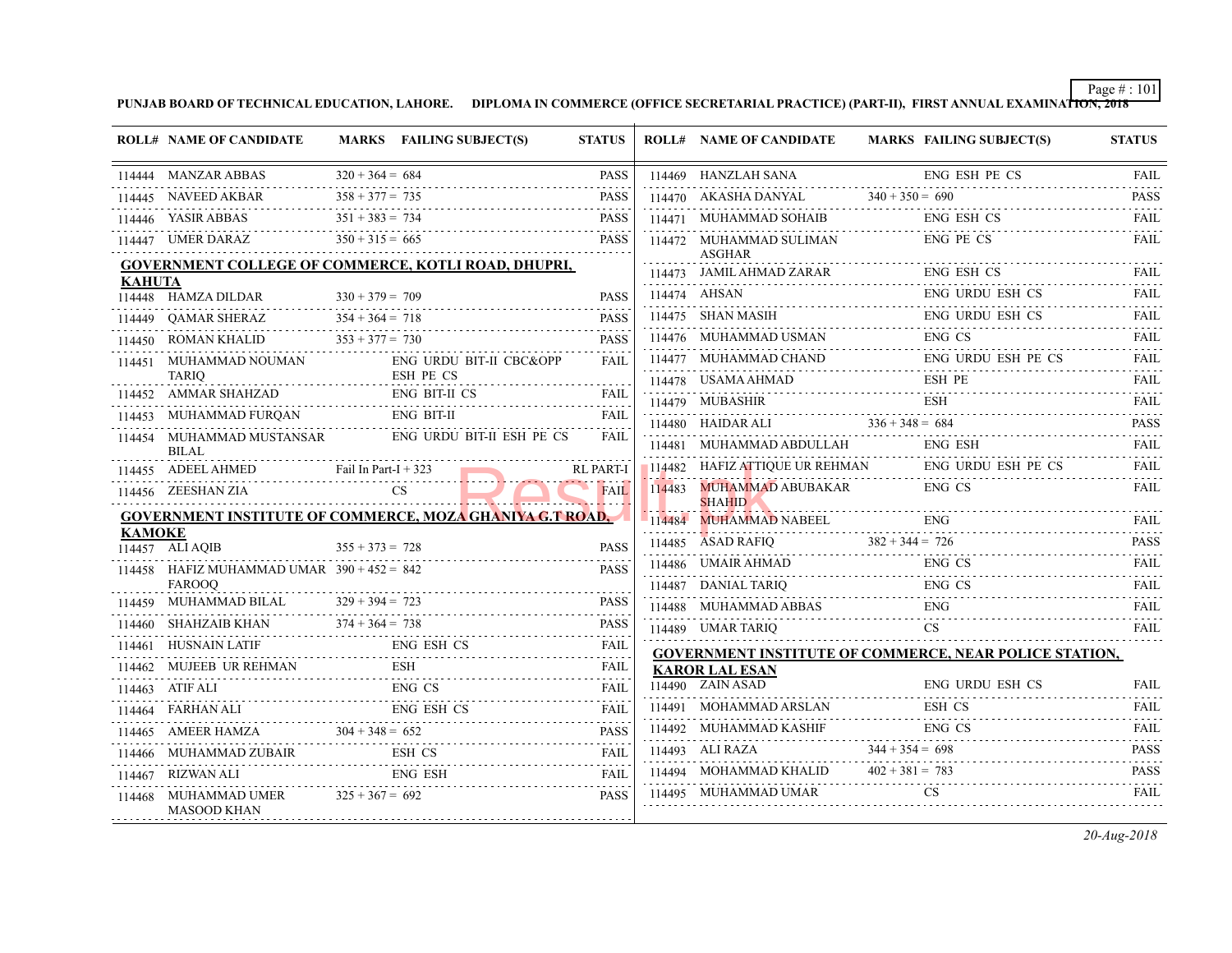|               | <b>ROLL# NAME OF CANDIDATE</b>                      |                   | MARKS FAILING SUBJECT(S)                                        | <b>STATUS</b>    |        | <b>ROLL# NAME OF CANDIDATE</b>                        | <b>MARKS FAIL</b> |
|---------------|-----------------------------------------------------|-------------------|-----------------------------------------------------------------|------------------|--------|-------------------------------------------------------|-------------------|
|               | 114444 MANZAR ABBAS                                 | $320 + 364 = 684$ |                                                                 | <b>PASS</b>      |        | 114469 HANZLAH SANA                                   | <b>ENG</b>        |
|               | AKBAR $358 + 377 = 735$<br>114445 NAVEED AKBAR      |                   |                                                                 | <b>PASS</b>      |        | 114470 AKASHA DANYAL $340 + 350 = 690$                |                   |
|               | $351 + 383 = 734$<br>114446 YASIR ABBAS             |                   |                                                                 | <b>PASS</b>      |        | 114471 MUHAMMAD SOHAIB                                | ENG.              |
|               | 114447 UMER DARAZ $350 + 315 = 665$                 |                   |                                                                 | <b>PASS</b>      |        | 114472 MUHAMMAD SULIMAN                               | ENG.              |
|               |                                                     |                   | GOVERNMENT COLLEGE OF COMMERCE, KOTLI ROAD, DHUPRI,             |                  |        | <b>ASGHAR</b><br>114473 JAMIL AHMAD ZARAR             | <b>ENG</b>        |
| <b>KAHUTA</b> |                                                     |                   |                                                                 |                  |        | 114473 JAMIL AHMAD ZARAR ENG                          | <b>ENG</b>        |
|               | 114448 HAMZA DILDAR                                 | $330 + 379 = 709$ |                                                                 | <b>PASS</b>      |        | 114474 AHSAN                                          |                   |
|               | $\frac{354 + 364 = 718}{}$<br>114449 QAMAR SHERAZ   |                   |                                                                 | <b>PASS</b>      |        | 114475 SHAN MASIH                                     | <b>ENG</b>        |
|               | 114450 ROMAN KHALID                                 | $353 + 377 = 730$ |                                                                 | <b>PASS</b>      |        | 114476 MUHAMMAD USMAN ENG                             | <b>ENG</b>        |
|               | 114451 MUHAMMAD NOUMAN<br>TARIQ                     |                   | ENG URDU BIT-II CBC&OPP<br>ESH PE CS                            | FAIL             |        | 114477 MUHAMMAD CHAND<br><br>                         | ENG.              |
| 114452        | AMMAR SHAHZAD                                       |                   |                                                                 |                  |        | USAMA AHMAD ESH<br>114478 USAMA AHMAD                 | ESH               |
|               |                                                     |                   | CAD ENG BIT-II CS FAIL<br>ENG BIT-II                            | FAII             |        | 114479 MUBASHIR                                       | <b>ESH</b>        |
|               | 114453 MUHAMMAD FURQAN<br>114454 MUHAMMAD MUSTANSAR |                   | ENG URDU BIT-II ESH PE CS                                       | <b>FAII</b>      |        | 114480 HAIDAR ALI $336 + 348 = 684$                   |                   |
|               | BILAL                                               |                   |                                                                 |                  |        | 114481 MUHAMMAD ABDULLAH                              | <b>ENG</b>        |
|               | 114455 ADEEL AHMED Fail In Part-I+323               |                   |                                                                 | <b>RL PART-I</b> |        | 114482 HAFIZ ATTIQUE UR REHMAN                        | <b>ENG</b>        |
|               | 114456 ZEESHAN ZIA                                  |                   | <b>CS</b>                                                       | <b>FAIL</b>      |        | 114483 MUHAMMAD ABUBAKAR<br><b>SHAHID</b>             | ENG.              |
|               |                                                     |                   | <b>GOVERNMENT INSTITUTE OF COMMERCE, MOZA GHANIYA G.T ROAD,</b> |                  | 114484 | MUHAMMAD NABEEL                                       | <b>ENG</b>        |
| <b>KAMOKE</b> | 114457 ALI AQIB                                     | $355 + 373 = 728$ |                                                                 | <b>PASS</b>      |        | .<br>114485 $\overline{ASAD}$ RAFIQ $382 + 344 = 726$ |                   |
|               | 114458 HAFIZ MUHAMMAD UMAR $390 + 452 = 842$        |                   |                                                                 | <b>PASS</b>      |        | 114486 UMAIR AHMAD                                    | <b>ENG</b>        |
|               | <b>FAROOO</b>                                       |                   |                                                                 |                  |        | 114487 DANIAL TARIO                                   | <b>ENG</b>        |
|               |                                                     |                   | 114459 MUHAMMAD BILAL $329 + 394 = 723$                         | <b>PASS</b>      |        | 114488 MUHAMMAD ABBAS ENC                             | <b>ENG</b>        |
|               |                                                     |                   | 114460 SHAHZAIB KHAN $374 + 364 = 738$                          | <b>PASS</b>      |        | 114489 UMAR TARIQ                                     | <b>CS</b>         |
|               | 114461 HUSNAIN LATIF                                |                   | LATIF ENG ESH CS                                                | FAIL             |        | <b>GOVERNMENT INSTITUTE OF COMMERCE,</b>              |                   |
|               |                                                     |                   | 114462 MUJEEB UR REHMAN ESH ESH                                 | FAIL<br>.        |        | <b>KAROR LAL ESAN</b>                                 |                   |
|               | 114463 ATIF ALI                                     |                   | ATIF ALI ENG CS FAIL                                            |                  |        | 114490 ZAIN ASAD                                      | ENG.              |
| 114464        |                                                     |                   | 114464 FARHAN ALI ENG ESH CS FAIL                               |                  |        | 114491 MOHAMMAD ARSLAN                                | <b>ESH</b>        |
|               |                                                     |                   | 114465 AMEER HAMZA $304 + 348 = 652$ PASS                       | <b>PASS</b>      |        | 114492 MUHAMMAD KASHIF                                | <b>ENG</b>        |
|               |                                                     |                   | 114466 MUHAMMAD ZUBAIR ESH CS FAIL                              |                  |        | 12 RAZA 344 + 354 = 698<br>114493 ALI RAZA            |                   |
|               | 114467 RIZWAN ALI                                   |                   | <b>ENG ESH</b>                                                  | <b>FAIL</b>      |        | 114494 MOHAMMAD KHALID $402 + 381 = 783$              |                   |
|               | 114468 MUHAMMAD UMER<br><b>MASOOD KHAN</b>          | $325 + 367 = 692$ |                                                                 | <b>PASS</b>      |        | 114495 MUHAMMAD UMAR                                  | CS.               |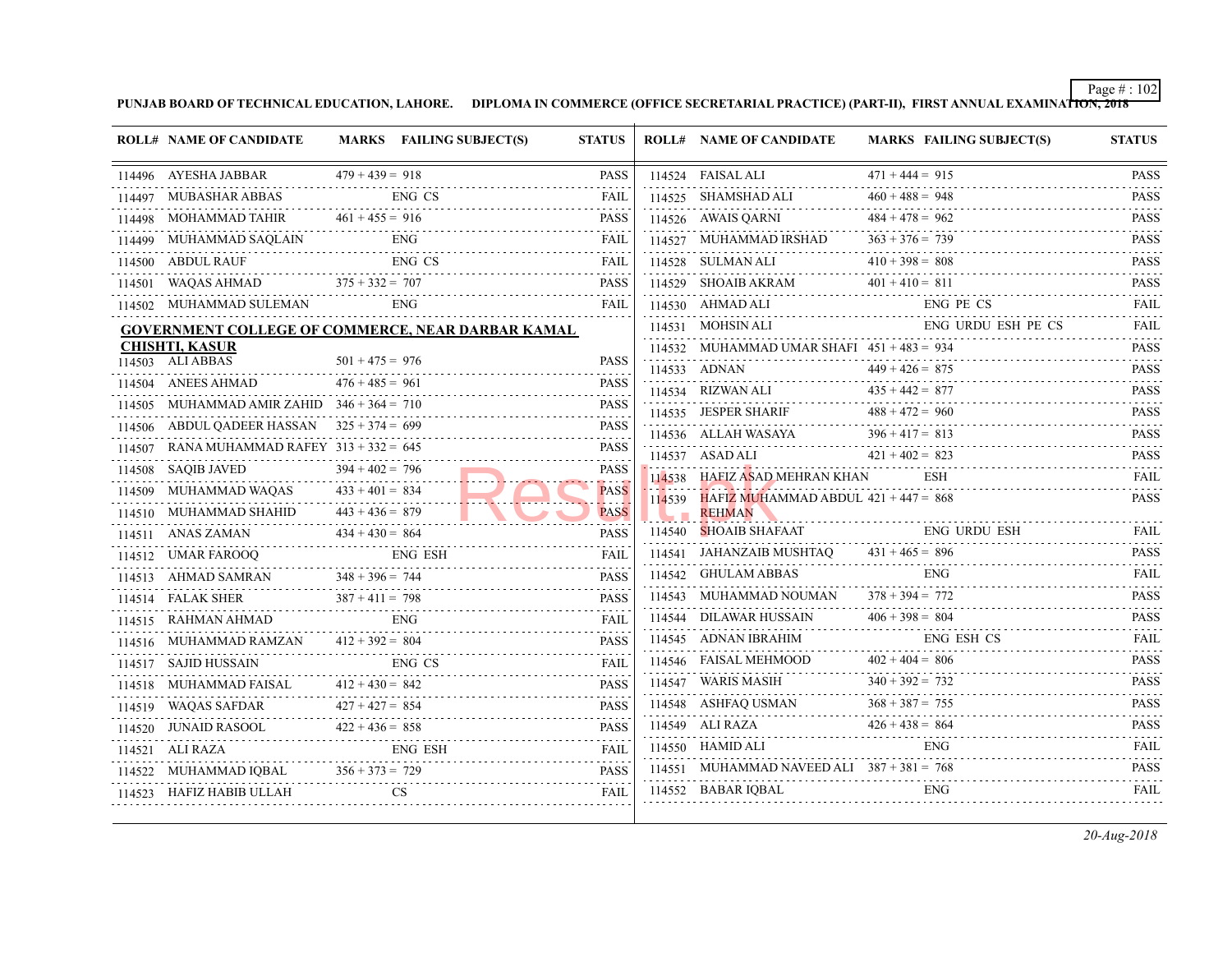| <b>ROLL# NAME OF CANDIDATE</b>               | MARKS FAILING SUBJECT(S)                                 | <b>STATUS</b>                | <b>ROLL# NAME OF CANDIDATE</b>                | <b>MARKS FAIL</b> |
|----------------------------------------------|----------------------------------------------------------|------------------------------|-----------------------------------------------|-------------------|
| 114496 AYESHA JABBAR $479 + 439 = 918$       | $3AR$ $479 + 439 = 918$ PAS                              | <b>PASS</b>                  | 114524 FAISAL ALI                             | $471 + 444 = 915$ |
| 114497 MUBASHAR ABBAS                        | ENG CS                                                   | FAIL                         | 114525 SHAMSHAD ALI                           | $460 + 488 = 948$ |
| 114498 MOHAMMAD TAHIR $461 + 455 = 916$      |                                                          | <b>PASS</b>                  | 114526 AWAIS QARNI $484 + 478 = 962$          |                   |
|                                              | 114499 MUHAMMAD SAQLAIN ENG FAIL FAIL                    |                              | 114527 MUHAMMAD IRSHAD $363 + 376 = 739$      |                   |
|                                              | 114500 ABDUL RAUF ENG CS FAIL                            | FAIL                         | 114528 SULMAN ALI $410 + 398 = 808$           |                   |
|                                              | 114501 WAQAS AHMAD $375 + 332 = 707$ PASS                |                              | 114529 SHOAIB AKRAM $401 + 410 = 811$         |                   |
| 114502 MUHAMMAD SULEMAN                      | ENG                                                      | FAIL                         | 114530 AHMAD ALI ENG                          | ENG.              |
|                                              | <b>GOVERNMENT COLLEGE OF COMMERCE, NEAR DARBAR KAMAL</b> |                              | 114531 MOHSIN ALI                             | <b>ENG</b>        |
| <b>CHISHTI, KASUR</b>                        |                                                          |                              | 114532 MUHAMMAD UMAR SHAFI $451 + 483 = 934$  |                   |
| 114503 ALI ABBAS                             | $\overline{ABBAS}$ $501 + 475 = 976$ PASS                |                              | 114533 ADNAN $449 + 426 = 875$                |                   |
| 114504 ANEES AHMAD $476 + 485 = 961$         | PASS                                                     | <b>PASS</b>                  | 114534 RIZWAN ALI $435 + 442 = 877$           |                   |
| 114505 MUHAMMAD AMIR ZAHID $346 + 364 = 710$ | $6 + 364 = 710$ PASS                                     | <b>PASS</b>                  | 114535 JESPER SHARIF $488 + 472 = 960$        |                   |
| 114506 ABDUL QADEER HASSAN $325 + 374 = 699$ | SAN $325 + 374 = 699$ PASS                               |                              | 114536 ALLAH WASAYA $396 + 417 = 813$         |                   |
| 114507 RANA MUHAMMAD RAFEY $313 + 332 = 645$ | RANA MUHAMMAD RAFEY $313 + 332 = 645$ PASS               | <b>PASS</b>                  | 114537 ASAD ALI $421 + 402 = 823$             |                   |
| $394 + 402 = 796$<br>114508 SAQIB JAVED      |                                                          | <b>PASS</b>                  | 114538 HAFIZ ASAD MEHRAN KHAN                 | ESH               |
| 114509 MUHAMMAD WAQAS $433 + 401 = 834$      |                                                          | <b>PASS</b><br>and the state | 114539 HAFIZ MUHAMMAD ABDUL $421 + 447 = 868$ |                   |
| 114510 MUHAMMAD SHAHID $443 + 436 = 879$     |                                                          | <b>PASS</b>                  | REHMAN                                        |                   |
| 114511 ANAS ZAMAN $434 + 430 = 864$          |                                                          | <b>PASS</b>                  | 114540 SHOAIB SHAFAAT                         | ENG.              |
|                                              | 114512 UMAR FAROOQ ENG ESH FAIL                          |                              | 114541 JAHANZAIB MUSHTAQ $431 + 465 = 896$    |                   |
|                                              | 114513 AHMAD SAMRAN $348 + 396 = 744$ PASS               | PASS                         | 114542 GHULAM ABBAS                           | <b>ENG</b>        |
|                                              | 114514 FALAK SHER $387 + 411 = 798$ PASS                 |                              | 114543 MUHAMMAD NOUMAN $378 + 394 = 772$      |                   |
|                                              | ENG<br>114515 RAHMAN AHMAD ENG FAIL                      | FAIL                         | 114544 DILAWAR HUSSAIN $406 + 398 = 804$      |                   |
| 114516 MUHAMMAD RAMZAN $412 + 392 = 804$     | AD RAMZAN $412 + 392 = 804$ PASS                         | <b>PASS</b>                  | 114545 ADNAN IBRAHIM ENC                      | <b>ENG</b>        |
| 114517 SAJID HUSSAIN ENG CS                  |                                                          | <b>FAII</b>                  | 114546 FAISAL MEHMOOD $402 + 404 = 806$       |                   |
|                                              | 114518 MUHAMMAD FAISAL $412 + 430 = 842$ PASS            |                              | 114547 WARIS MASIH $340 + 392 = 732$          |                   |
|                                              | 114519 WAQAS SAFDAR $427 + 427 = 854$ PASS               | PASS                         | 114548 ASHFAQ USMAN $368 + 387 = 755$         |                   |
|                                              | 114520 JUNAID RASOOL $422 + 436 = 858$ PASS              |                              | 114549 ALI RAZA $426 + 438 = 864$             |                   |
| 114521 ALI RAZA                              | 114521 ALI RAZA ENG ESH FAIL                             |                              | 114550 HAMID ALI                              | ENG I             |
| 114522 MUHAMMAD IQBAL $356 + 373 = 729$      | 114522 MUHAMMAD IQBAL $356 + 373 = 729$ PASS             | <b>PASS</b>                  | 114551 MUHAMMAD NAVEED ALI $387 + 381 = 768$  |                   |
| 114523 HAFIZ HABIB ULLAH                     | <b>CS</b>                                                | FAIL                         | 114552 BABAR IQBAL                            | ENG.              |
|                                              |                                                          |                              |                                               |                   |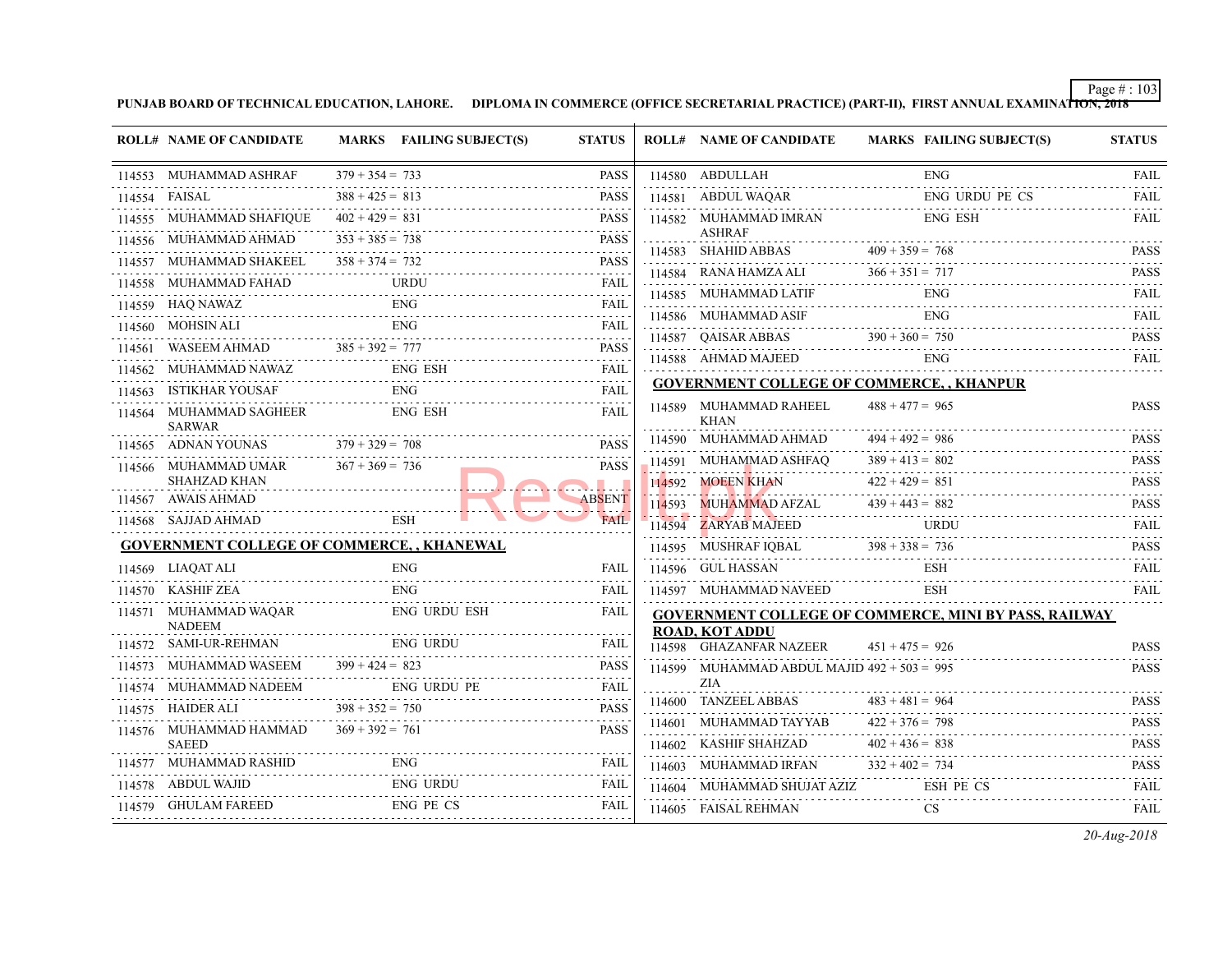|        | <b>ROLL# NAME OF CANDIDATE</b>                                          | MARKS FAILING SUBJECT(S)                          | <b>STATUS</b>                                                                                                                                                                                                                                                                 | <b>ROLL# NAME OF CANDIDATE</b>                                                                                                                  | <b>MARKS FAIL</b>                      |
|--------|-------------------------------------------------------------------------|---------------------------------------------------|-------------------------------------------------------------------------------------------------------------------------------------------------------------------------------------------------------------------------------------------------------------------------------|-------------------------------------------------------------------------------------------------------------------------------------------------|----------------------------------------|
|        | 114553 MUHAMMAD ASHRAF                                                  | $379 + 354 = 733$<br>.                            | <b>PASS</b>                                                                                                                                                                                                                                                                   | 114580 ABDULLAH                                                                                                                                 | <b>ENG</b>                             |
|        | 114554 FAISAL                                                           | $388 + 425 = 813$                                 | <b>PASS</b>                                                                                                                                                                                                                                                                   | 114581 ABDUL WAQAR                                                                                                                              | <b>ENG</b>                             |
|        | 114555 MUHAMMAD SHAFIQUE                                                | .<br>$402 + 429 = 831$                            | <b>PASS</b>                                                                                                                                                                                                                                                                   | 114582 MUHAMMAD IMRAN                                                                                                                           | <b>ENG</b>                             |
|        | 114556 MUHAMMAD AHMAD                                                   | $353 + 385 = 738$ PASS                            | <b>PASS</b>                                                                                                                                                                                                                                                                   | <b>ASHRAF</b>                                                                                                                                   |                                        |
|        | 114557 MUHAMMAD SHAKEEL                                                 | EEL $358 + 374 = 732$ PASS                        | PASS                                                                                                                                                                                                                                                                          | 114583 SHAHID ABBAS                                                                                                                             | $409 + 359 = 768$                      |
|        | 114558 MUHAMMAD FAHAD                                                   | <b>URDU</b>                                       | FAIL                                                                                                                                                                                                                                                                          | 114584 RANA HAMZA ALI                                                                                                                           | $366 + 351 = 717$                      |
|        | 114559 HAQ NAWAZ                                                        | ENG.                                              | $\mathcal{L}^{\mathcal{A}}\left( \mathcal{L}^{\mathcal{A}}\right) \mathcal{L}^{\mathcal{A}}\left( \mathcal{L}^{\mathcal{A}}\right) \mathcal{L}^{\mathcal{A}}\left( \mathcal{L}^{\mathcal{A}}\right) \mathcal{L}^{\mathcal{A}}\left( \mathcal{L}^{\mathcal{A}}\right)$<br>FAIL | 114585 MUHAMMAD LATIF                                                                                                                           | ENG.                                   |
|        | 114560 MOHSIN ALI                                                       | ENG                                               | FAIL                                                                                                                                                                                                                                                                          | 114586 MUHAMMAD ASIF                                                                                                                            | <b>ENG</b>                             |
| 114561 | WASEEM AHMAD                                                            | $385 + 392 = 777$                                 | <b>PASS</b>                                                                                                                                                                                                                                                                   | 114587 QAISAR ABBAS $390 + 360 = 750$                                                                                                           |                                        |
| 114562 | MUHAMMAD NAWAZ                                                          | ENG ESH                                           | FAIL                                                                                                                                                                                                                                                                          | 114588 AHMAD MAJEED                                                                                                                             | <b>ENG</b>                             |
|        | 114563 ISTIKHAR YOUSAF                                                  | <b>ENG</b>                                        | <b>FAIL</b>                                                                                                                                                                                                                                                                   | <b>GOVERNMENT COLLEGE OF COMMERCE</b>                                                                                                           |                                        |
|        | 114564 MUHAMMAD SAGHEER<br><b>SARWAR</b>                                | <b>ENG ESH</b>                                    | .<br>FAIL                                                                                                                                                                                                                                                                     | 114589 MUHAMMAD RAHEEL<br>KHAN                                                                                                                  | $488 + 477 = 965$                      |
|        | 114565 ADNAN YOUNAS                                                     | $379 + 329 = 708$                                 | <b>PASS</b>                                                                                                                                                                                                                                                                   | 114590 MUHAMMAD AHMAD                                                                                                                           | $494 + 492 = 986$                      |
|        | 114566 MUHAMMAD UMAR<br>SHAHZAD KHAN                                    | $367 + 369 = 736$                                 | <b>PASS</b>                                                                                                                                                                                                                                                                   | 114591 MUHAMMAD ASHFAQ<br>114592 MOEEN KHAN                                                                                                     | $389 + 413 = 802$<br>$422 + 429 = 851$ |
|        | 114567 AWAIS AHMAD                                                      | D<br>------------------------------               | <b>ABSENT</b>                                                                                                                                                                                                                                                                 | 114593 MUHAMMAD AFZAL                                                                                                                           | $439 + 443 = 882$                      |
|        | 114568 SAJJAD AHMAD                                                     |                                                   | FAIL                                                                                                                                                                                                                                                                          | <b>The Mac Island and American construction of the Community of the Community of the Community of the Community of </b><br>114594 ZARYAB MAJEED | <b>URD</b>                             |
|        |                                                                         | <b>GOVERNMENT COLLEGE OF COMMERCE,, KHANEWAL</b>  |                                                                                                                                                                                                                                                                               | 114595 MUSHRAF IQBAL $398 + 338 = 736$                                                                                                          |                                        |
|        | 114569 LIAQAT ALI                                                       | <b>ENG</b>                                        | FAIL                                                                                                                                                                                                                                                                          | 114596 GUL HASSAN                                                                                                                               | ESH                                    |
|        | 114570 KASHIF ZEA                                                       | <b>ENG</b>                                        | FAIL                                                                                                                                                                                                                                                                          | 114597 MUHAMMAD NAVEED                                                                                                                          | <b>ESH</b>                             |
|        | 114571 MUHAMMAD WAQAR<br><b>NADEEM</b>                                  | ENG URDU ESH                                      | FAIL                                                                                                                                                                                                                                                                          | <b>GOVERNMENT COLLEGE OF COMMERCE, I</b><br><b>ROAD, KOT ADDU</b>                                                                               |                                        |
|        | 114572 SAMI-UR-REHMAN                                                   | <b>ENG URDU</b>                                   | <b>FAIL</b>                                                                                                                                                                                                                                                                   | 114598 GHAZANFAR NAZEER                                                                                                                         | $451 + 475 = 926$                      |
| 114573 | MUHAMMAD WASEEM                                                         | $399 + 424 = 823$                                 | <b>PASS</b>                                                                                                                                                                                                                                                                   | 114599 MUHAMMAD ABDUL MAJID $492 + 503 = 995$                                                                                                   |                                        |
|        | 114574 MUHAMMAD NADEEM                                                  | MUHAMMAD NADEEM ENG URDU PE                       | FAIL                                                                                                                                                                                                                                                                          | ZIA                                                                                                                                             |                                        |
|        | 114575 HAIDER ALI                                                       | $398 + 352 = 750$                                 | <b>PASS</b>                                                                                                                                                                                                                                                                   | 114600 TANZEEL ABBAS                                                                                                                            | $483 + 481 = 964$                      |
|        | 114576 MUHAMMAD HAMMAD<br><b>SAEED</b>                                  | .<br>$369 + 392 = 761$                            | <b>PASS</b>                                                                                                                                                                                                                                                                   | 114601 MUHAMMAD TAYYAB<br>114602 KASHIF SHAHZAD                                                                                                 | $422 + 376 = 798$<br>$402 + 436 = 838$ |
|        | 114577 MUHAMMAD RASHID<br><u>\D RASHID</u><br>------------------------- | ENG.                                              | FAIL                                                                                                                                                                                                                                                                          | 114603 MUHAMMAD IRFAN                                                                                                                           | $332 + 402 = 734$                      |
|        | 114578 ABDUL WAJID                                                      | 3NG<br>------------------------------<br>ENG URDU | FAIL                                                                                                                                                                                                                                                                          | 114604 MUHAMMAD SHUJAT AZIZ                                                                                                                     | <b>ESH</b>                             |
|        | 114579 GHULAM FAREED                                                    | ENG PE CS                                         | FAIL                                                                                                                                                                                                                                                                          | 114605 FAISAL REHMAN                                                                                                                            | <b>CS</b>                              |
|        |                                                                         |                                                   |                                                                                                                                                                                                                                                                               |                                                                                                                                                 |                                        |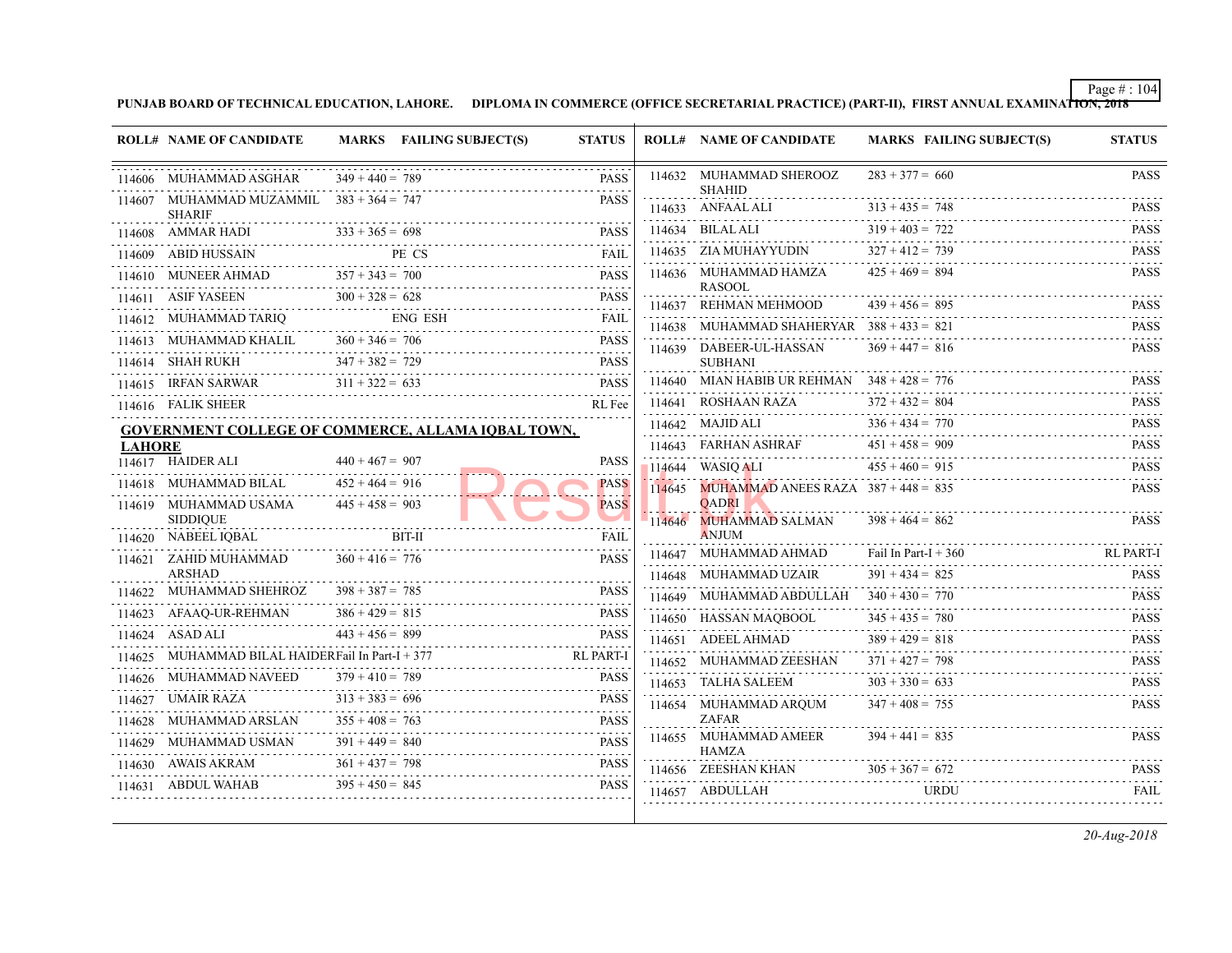|               | <b>ROLL# NAME OF CANDIDATE</b>                            |                        | MARKS FAILING SUBJECT(S) | <b>STATUS</b> | <b>ROLL# NAME OF CANDIDATE</b>                 | <b>MARKS FAIL</b>   |
|---------------|-----------------------------------------------------------|------------------------|--------------------------|---------------|------------------------------------------------|---------------------|
|               | 114606 MUHAMMAD ASGHAR                                    | $349 + 440 = 789$      |                          | <b>PASS</b>   | 114632 MUHAMMAD SHEROOZ<br><b>SHAHID</b>       | $283 + 377 = 660$   |
| 114607        | MUHAMMAD MUZAMMIL $383 + 364 = 747$<br><b>SHARIF</b>      |                        |                          | <b>PASS</b>   | 114633 ANFAAL ALI                              | $313 + 435 = 748$   |
|               | 114608 AMMAR HADI                                         | $333 + 365 = 698$      |                          | <b>PASS</b>   | 114634 BILALALI                                | $319 + 403 = 722$   |
|               | 114609 ABID HUSSAIN                                       |                        | PE CS                    | FAIL          | 114635 ZIA MUHAYYUDIN                          | $327 + 412 = 739$   |
|               | 114610 MUNEER AHMAD                                       | $357 + 343 = 700$      |                          | <b>PASS</b>   | 114636 MUHAMMAD HAMZA                          | $425 + 469 = 894$   |
|               | 114611 ASIF YASEEN                                        | $300 + 328 = 628$      |                          | <b>PASS</b>   | <b>RASOOL</b><br>114637 REHMAN MEHMOOD         | $439 + 456 = 895$   |
|               | 114612 MUHAMMAD TARIQ                                     |                        | ENG ESH                  | FAIL          | 114638 MUHAMMAD SHAHERYAR $388 + 433 = 821$    |                     |
|               | 114613 MUHAMMAD KHALIL                                    | $360 + 346 = 706$      |                          | <b>PASS</b>   |                                                | $369 + 447 = 816$   |
|               | 114614 SHAH RUKH                                          | $347 + 382 = 729$      |                          | <b>PASS</b>   | 114639 DABEER-UL-HASSAN<br><b>SUBHANI</b>      |                     |
|               | 114615 IRFAN SARWAR                                       | .<br>$311 + 322 = 633$ |                          | <b>PASS</b>   | 114640 MIAN HABIB UR REHMAN $348 + 428 = 776$  |                     |
|               | 114616 FALIK SHEER                                        |                        |                          | RL Fee        | 114641 ROSHAAN RAZA                            | $372 + 432 = 804$   |
|               | <b>GOVERNMENT COLLEGE OF COMMERCE, ALLAMA IOBAL TOWN,</b> |                        |                          |               | 114642 MAJID ALI                               | $336 + 434 = 770$   |
| <b>LAHORE</b> |                                                           |                        |                          |               | 114643 FARHAN ASHRAF                           | $451 + 458 = 909$   |
|               | 114617 HAIDER ALI                                         | $440 + 467 = 907$      |                          | <b>PASS</b>   | $114644$ WASIQ ALI                             | $455 + 460 = 915$   |
|               | 114618 MUHAMMAD BILAL                                     | $452 + 464 = 916$      |                          | <b>PASS</b>   | $114645$ MUHAMMAD ANEES RAZA $387 + 448 = 835$ |                     |
|               | 114619 MUHAMMAD USAMA<br><b>SIDDIOUE</b>                  | $445 + 458 = 903$      |                          | <b>PASS</b>   | <b>OADRI</b><br>114646 MUHAMMAD SALMAN         | $398 + 464 = 862$   |
|               | 114620 NABEEL IQBAL                                       |                        | <b>BIT-II</b>            | <b>FAIL</b>   | <b>ANJUM</b>                                   |                     |
|               | 114621 ZAHID MUHAMMAD                                     | $360 + 416 = 776$      |                          | <b>PASS</b>   | 114647 MUHAMMAD AHMAD                          | Fail In Part-I $+3$ |
|               | <b>ARSHAD</b>                                             |                        |                          |               | 114648 MUHAMMAD UZAIR                          | $391 + 434 = 825$   |
| 114622        | MUHAMMAD SHEHROZ                                          | $398 + 387 = 785$<br>. |                          | <b>PASS</b>   | 114649 MUHAMMAD ABDULLAH                       | $340 + 430 = 770$   |
| .             | 114623 AFAAQ-UR-REHMAN                                    | $386 + 429 = 815$      |                          | <b>PASS</b>   | 114650 HASSAN MAOBOOL                          | $345 + 435 = 780$   |
|               | 114624 ASAD ALI                                           | $443 + 456 = 899$      |                          | <b>PASS</b>   | 114651 ADEEL AHMAD                             | $389 + 429 = 818$   |
| 114625        | MUHAMMAD BILAL HAIDERFail In Part-I + 377                 |                        |                          | RL PART-I     | 114652 MUHAMMAD ZEESHAN                        | $371 + 427 = 798$   |
|               | 114626 MUHAMMAD NAVEED                                    | $379 + 410 = 789$      |                          | <b>PASS</b>   | 114653 TALHA SALEEM                            | $303 + 330 = 633$   |
|               | 114627 UMAIR RAZA                                         | $313 + 383 = 696$      |                          | <b>PASS</b>   | 114654 MUHAMMAD ARQUM                          | $347 + 408 = 755$   |
|               | 114628 MUHAMMAD ARSLAN                                    | $355 + 408 = 763$      |                          | <b>PASS</b>   | <b>ZAFAR</b>                                   |                     |
|               | 114629 MUHAMMAD USMAN                                     | $391 + 449 = 840$      |                          | <b>PASS</b>   | 114655 MUHAMMAD AMEER<br><b>HAMZA</b>          | $394 + 441 = 835$   |
|               | 114630 AWAIS AKRAM                                        | $361 + 437 = 798$      |                          | <b>PASS</b>   | 114656 ZEESHAN KHAN                            | $305 + 367 = 672$   |
|               | 114631 ABDUL WAHAB                                        | $395 + 450 = 845$      |                          | <b>PASS</b>   | 114657 ABDULLAH                                | <b>URD</b>          |
|               |                                                           |                        |                          |               |                                                |                     |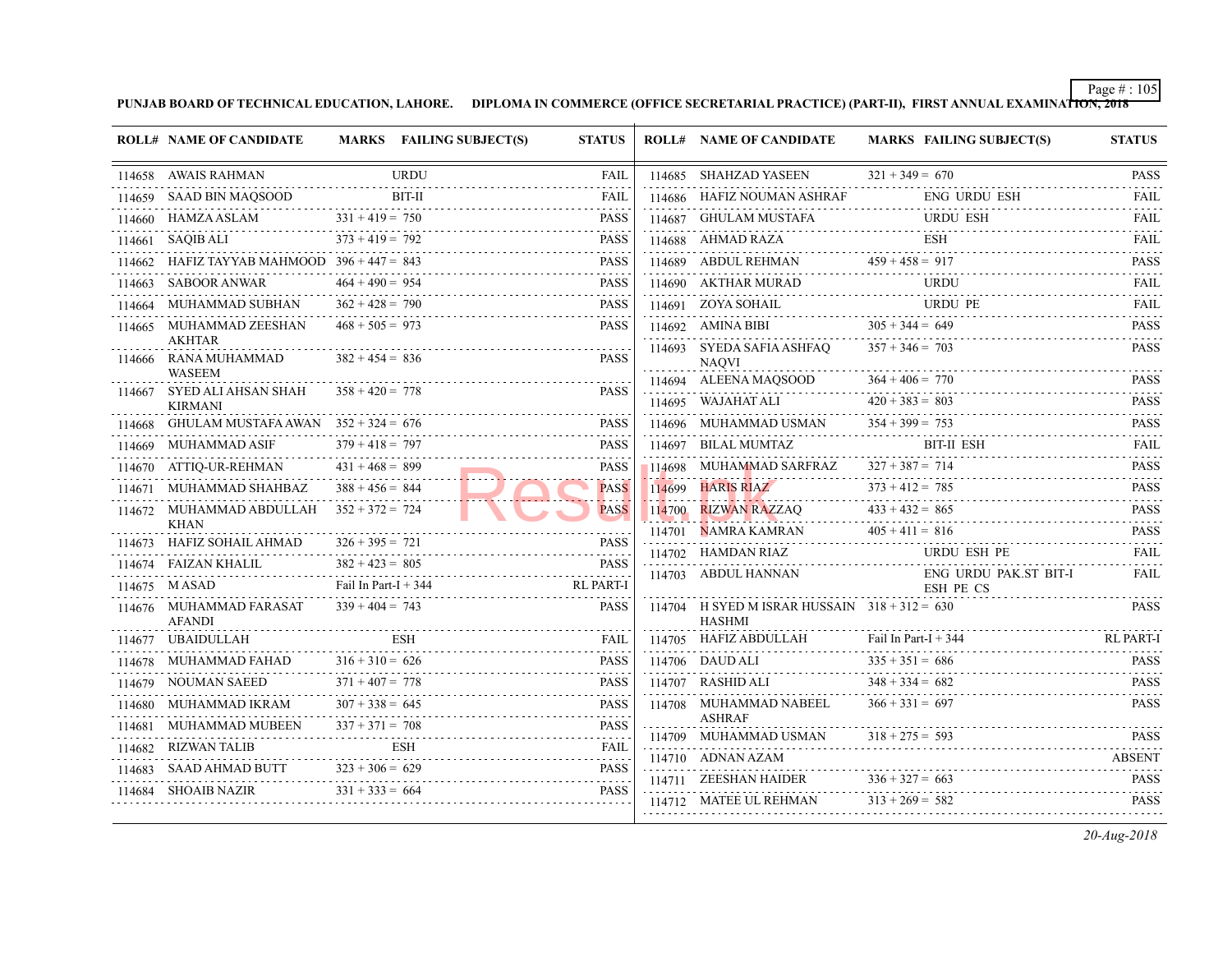| <b>ROLL# NAME OF CANDIDATE</b>                                   |                       | MARKS FAILING SUBJECT(S) | <b>STATUS</b>                   | <b>ROLL# NAME OF CANDIDATE</b>                                                      | <b>MARKS FAIL</b>    |
|------------------------------------------------------------------|-----------------------|--------------------------|---------------------------------|-------------------------------------------------------------------------------------|----------------------|
| 114658 AWAIS RAHMAN                                              |                       | URDU                     | FAIL                            | 114685 SHAHZAD YASEEN                                                               | $321 + 349 = 670$    |
| 114659 SAAD BIN MAOSOOD                                          |                       | BIT-II                   | <b>FAIL</b>                     | 114686 HAFIZ NOUMAN ASHRAF                                                          | <b>ENG</b>           |
| 114660 HAMZA ASLAM                                               | $331 + 419 = 750$     |                          | <b>PASS</b>                     | 114687 GHULAM MUSTAFA                                                               | <b>URD</b>           |
| 114661 SAQIB ALI                                                 |                       |                          | PASS<br>$373 + 419 = 792$ PASS  | 114688 AHMAD RAZA                                                                   | ESH                  |
| 114662 HAFIZ TAYYAB MAHMOOD $396 + 447 = 843$                    |                       |                          | <b>PASS</b>                     | 114689 ABDUL REHMAN $459 + 458 = 917$                                               |                      |
| 114663 SABOOR ANWAR $464 + 490 = 954$                            |                       |                          | <b>PASS</b>                     | 114690 AKTHAR MURAD UR                                                              | <b>URDI</b>          |
| 114664 MUHAMMAD SUBHAN                                           | $362 + 428 = 790$     |                          | PASS                            | 114691 ZOYA SOHAIL URL                                                              | <b>URD</b>           |
| 114665 MUHAMMAD ZEESHAN                                          | $468 + 505 = 973$     |                          | <b>PASS</b>                     | 114692 AMINA BIBI $305 + 344 = 649$                                                 |                      |
| <b>AKHTAR</b><br>114666 RANA MUHAMMAD                            | $382 + 454 = 836$     |                          | <b>PASS</b>                     | 114693 SYEDA SAFIA ASHFAQ 3<br><b>NAQVI</b>                                         | $357 + 346 = 703$    |
| <b>WASEEM</b><br>114667 SYED ALI AHSAN SHAH                      | $358 + 420 = 778$     |                          | <b>PASS</b>                     | 114694 ALEENA MAQSOOD                                                               | $364 + 406 = 770$    |
| <b>KIRMANI</b>                                                   |                       |                          |                                 | 114695 WAJAHAT ALI                                                                  | $420 + 383 = 803$    |
| 114668 GHULAM MUSTAFA AWAN $352 + 324 = 676$                     |                       |                          | <b>PASS</b>                     | 114696 MUHAMMAD USMAN $354 + 399 = 753$                                             |                      |
| 114669 MUHAMMAD ASIF                                             | $379 + 418 = 797$     |                          | <b>PASS</b>                     | 114697 BILAL MUMTAZ                                                                 | BIT-I                |
| 114670 ATTIQ-UR-REHMAN $431 + 468 = 899$                         |                       |                          | <b>PASS</b>                     | $114698$ MUHAMMAD SARFRAZ $327 + 387 = 714$                                         |                      |
| 114671 MUHAMMAD SHAHBAZ                                          | $388 + 456 = 844$     |                          | <b>PASS</b>                     | 114699 HARIS RIAZ                                                                   | $373 + 412 = 785$    |
| 114672 MUHAMMAD ABDULLAH $352 + 372 = 724$<br><b>KHAN</b>        |                       |                          | <b>PASS</b>                     | 114700 RIZWAN RAZZAQ 433 + 432 =                                                    | $433 + 432 = 865$    |
| 114673 HAFIZ SOHAIL AHMAD                                        | $326 + 395 = 721$     |                          | <b>PASS</b>                     | 114701 NAMRA KAMRAN $405 + 411 = 816$                                               |                      |
| 114674 FAIZAN KHALIL<br>FAIZAN KHALIL $382 + 423 = 805$ PASS     |                       |                          |                                 | 114702 HAMDAN RIAZ                                                                  | URDI                 |
| 114675 M ASAD                                                    | Fail In Part-I $+344$ |                          | <b>RL PART-I</b>                | 114703 ABDUL HANNAN                                                                 | <b>ENG</b><br>ESH    |
| 114676 MUHAMMAD FARASAT $339 + 404 = 743$<br>AFANDI              |                       |                          | <b>PASS</b>                     | 114704 H SYED M ISRAR HUSSAIN $318 + 312 = 630$<br>HASHMI                           |                      |
| 114677 UBAIDULLAH                                                |                       | ESH                      | FAIL                            | $114705$ HAFIZ ABDULLAH                                                             | Fail In Part-I + $3$ |
| 114678 MUHAMMAD FAHAD $316 + 310 = 626$                          |                       |                          | <b>PASS</b>                     | 114706 DAUD ALI                                                                     | $335 + 351 = 686$    |
| 114679 NOUMAN SAEED $371 + 407 = 778$                            |                       |                          | PASS                            | 114707 RASHID ALI $348 + 334 = 682$                                                 |                      |
| 114680 MUHAMMAD IKRAM $307 + 338 = 645$                          |                       |                          | AD IKRAM $307 + 338 = 645$ PASS | 114708 MUHAMMAD NABEEL                                                              | $366 + 331 = 697$    |
| 114681 MUHAMMAD MUBEEN<br>MUHAMMAD MUBEEN $337 + 371 = 708$ PASS | $337 + 371 = 708$     |                          |                                 | <b>ASHRAF</b><br>114709 MUHAMMAD USMAN                                              | $318 + 275 = 593$    |
| 114682 RIZWAN TALIB                                              |                       | ESH                      | FAIL                            |                                                                                     |                      |
| 114683 SAAD AHMAD BUTT $323 + 306 = 629$ PASS                    |                       |                          |                                 | 114710 ADNAN AZAM                                                                   |                      |
| 114684 SHOAIB NAZIR                                              | $331 + 333 = 664$     |                          | PASS                            | 114711 ZEESHAN HAIDER $336 + 327 = 663$<br>114712 MATEE UL REHMAN $313 + 269 = 582$ |                      |
|                                                                  |                       |                          |                                 |                                                                                     |                      |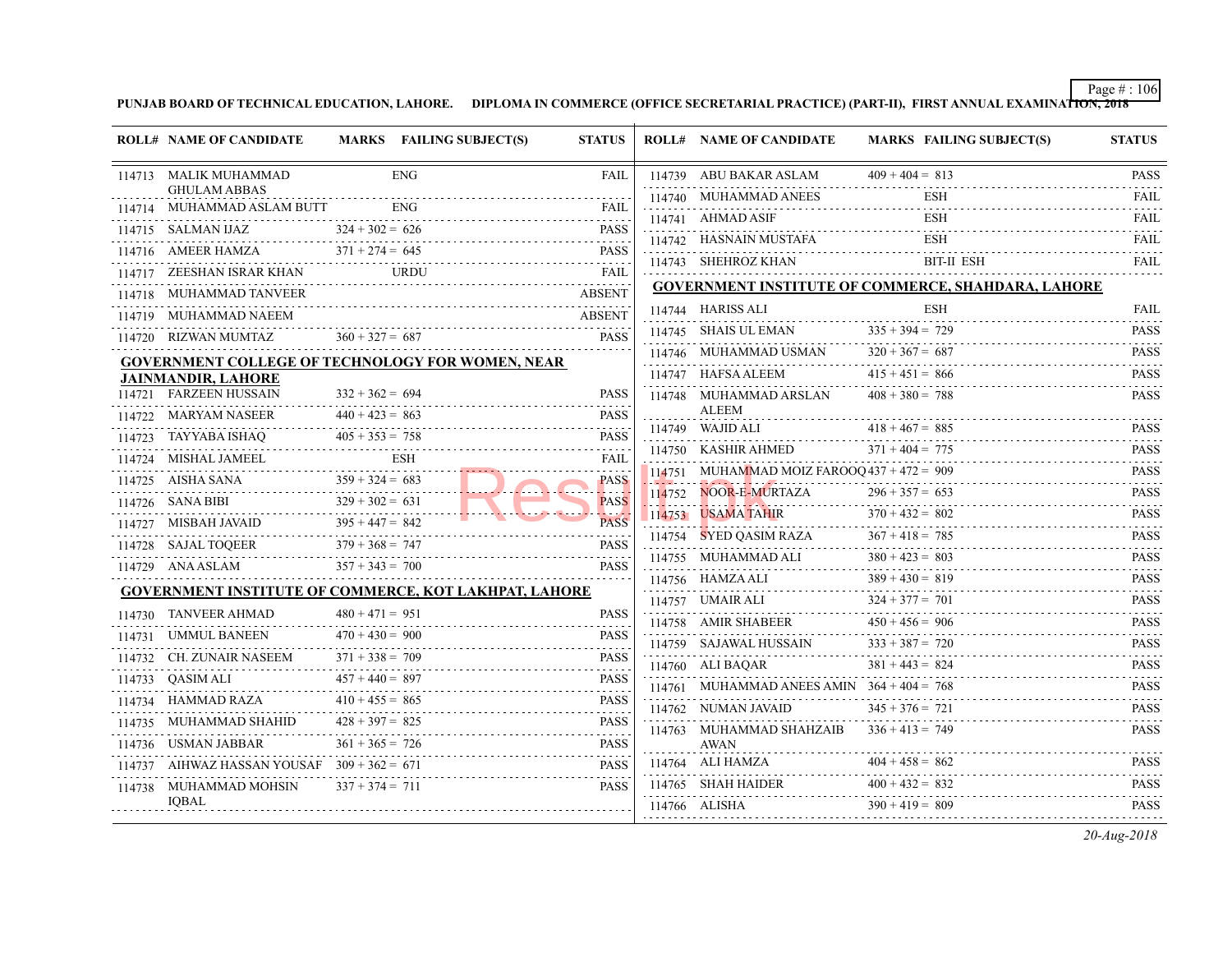|        | <b>ROLL# NAME OF CANDIDATE</b>                                                |                   | MARKS FAILING SUBJECT(S) | <b>STATUS</b>                                     | <b>ROLL# NAME OF CANDIDATE</b>                                          | <b>MARKS FAIL</b> |
|--------|-------------------------------------------------------------------------------|-------------------|--------------------------|---------------------------------------------------|-------------------------------------------------------------------------|-------------------|
|        | 114713 MALIK MUHAMMAD                                                         |                   | <b>ENG</b>               | <b>FAIL</b>                                       | 114739 ABU BAKAR ASLAM                                                  | $409 + 404 = 813$ |
|        | <b>GHULAM ABBAS</b><br>114714 MUHAMMAD ASLAM BUTT                             |                   | ENG.                     | <b>FAIL</b>                                       | 114740 MUHAMMAD ANEES                                                   | ESH               |
|        | 114715 SALMAN IJAZ $324 + 302 = 626$                                          |                   |                          |                                                   | 114741 AHMAD ASIF                                                       | ESH               |
|        | 114715 SALMAN IJAZ $324 + 302 = 626$ PASS                                     |                   |                          | <b>PASS</b>                                       | 114742 HASNAIN MUSTAFA                                                  | <b>ESH</b>        |
|        | 114716 AMEER HAMZA $371 + 274 = 645$                                          |                   |                          |                                                   | 114743 SHEHROZ KHAN                                                     | BIT-I             |
|        | 114717 ZEESHAN ISRAR KHAN<br>114718 MUHAMMAD TANVEER                          |                   | 4N URDU FAIL             |                                                   | <b>GOVERNMENT INSTITUTE OF COMMERCE,</b>                                |                   |
|        | 114719 MUHAMMAD NAEEM                                                         |                   |                          | <b>ABSENT</b>                                     | 114744 HARISS ALI                                                       | ESH               |
|        | 114720 RIZWAN MUMTAZ $360 + 327 = 687$                                        |                   |                          | <b>PASS</b>                                       | 114745 SHAIS UL EMAN $335 + 394 = 729$                                  |                   |
|        |                                                                               |                   |                          |                                                   | 114746 MUHAMMAD USMAN                                                   | $320 + 367 = 687$ |
|        | <b>GOVERNMENT COLLEGE OF TECHNOLOGY FOR WOMEN, NEAR</b><br>JAINMANDIR, LAHORE |                   |                          |                                                   | 114747 HAFSA ALEEM                                                      | $415 + 451 = 866$ |
|        | 114721 FARZEEN HUSSAIN                                                        | $332 + 362 = 694$ |                          | <b>PASS</b>                                       | 114748 MUHAMMAD ARSLAN                                                  | $408 + 380 = 788$ |
|        | 114722 MARYAM NASEER                                                          | $440 + 423 = 863$ |                          | <b>PASS</b>                                       | ALEEM                                                                   |                   |
|        | 114723 TAYYABA ISHAQ $405 + 353 = 758$                                        |                   |                          | <b>PASS</b>                                       | 114749 WAJID ALI $418 + 467 = 885$                                      |                   |
|        | 114724 MISHAL JAMEEL                                                          |                   | ESH                      | FAIL                                              | 114750 KASHIR AHMED                                                     | $371 + 404 = 775$ |
|        | 114725 AISHA SANA $359 + 324 = 683$                                           |                   |                          | <b>PASS</b>                                       | 114751 MUHAMMAD MOIZ FAROOQ437 + 472 = 909                              |                   |
|        | 114726 SANA BIBI $329 + 302 = 631$                                            |                   |                          | .<br><b>PASS</b>                                  | 114752 NOOR-E-MURTAZA                                                   | $296 + 357 = 653$ |
|        | 114727 MISBAH JAVAID $395 + 447 = 842$                                        |                   |                          | <b>PASS</b>                                       | $114753$ USAMA TAHIR $370 + 432 = 802$                                  |                   |
|        | 114728 SAJAL TOQEER $379 + 368 = 747$                                         |                   |                          | $\sim$ $\sim$ $\sim$ $\sim$ $\sim$<br><b>PASS</b> | 114754 SYED QASIM RAZA $367 + 418 = 785$                                |                   |
|        | $357 + 343 = 700$<br>114729 ANA ASLAM                                         |                   |                          | .<br><b>PASS</b>                                  | 114755 MUHAMMAD ALI $380 + 423 =$                                       | $380 + 423 = 803$ |
|        | <b>GOVERNMENT INSTITUTE OF COMMERCE, KOT LAKHPAT, LAHORE</b>                  |                   |                          |                                                   | 114756 HAMZA ALI $389 + 430 = 819$                                      |                   |
|        | 114730 TANVEER AHMAD                                                          | $480 + 471 = 951$ |                          | <b>PASS</b>                                       | 114757 UMAIR ALI $324 + 377 = 701$                                      |                   |
|        | 114731 UMMUL BANEEN                                                           | $470 + 430 = 900$ |                          | <b>PASS</b>                                       | 114758 AMIR SHABEER                                                     | $450 + 456 = 906$ |
|        | 114732 CH. ZUNAIR NASEEM $371 + 338 = 709$                                    |                   |                          | <b>PASS</b>                                       | 114759 SAJAWAL HUSSAIN $333 + 387 = 720$                                |                   |
|        | $457 + 440 = 897$<br>114733 QASIM ALI                                         |                   |                          | <b>PASS</b>                                       | 114760 ALI BAQAR $381 + 443 = 824$                                      |                   |
| 114734 | HAMMAD RAZA $410 + 455 = 865$                                                 |                   |                          | <b>PASS</b>                                       | 114761 MUHAMMAD ANEES AMIN $364 + 404 = 768$                            |                   |
| 114735 | MUHAMMAD SHAHID $428 + 397 = 825$                                             |                   |                          | <b>PASS</b>                                       | 114762 NUMAN JAVAID                                                     | $345 + 376 = 721$ |
|        | 114736 USMAN JABBAR                                                           |                   |                          | .                                                 | 114763 MUHAMMAD SHAHZAIB $336 + 413 = 749$<br>AWAN                      |                   |
|        | 114737 AIHWAZ HASSAN YOUSAF $309 + 362 = 671$                                 |                   | $361 + 365 = 726$ PASS   | <b>PASS</b>                                       | 114764 ALI HAMZA                                                        | $404 + 458 = 862$ |
|        | 114738 MUHAMMAD MOHSIN                                                        | $337 + 374 = 711$ |                          | <b>PASS</b>                                       |                                                                         |                   |
|        | IOBAL                                                                         |                   |                          |                                                   | 114765 SHAH HAIDER $400 + 432 = 832$<br>114766 ALISHA $390 + 419 = 809$ |                   |
|        |                                                                               |                   |                          |                                                   |                                                                         |                   |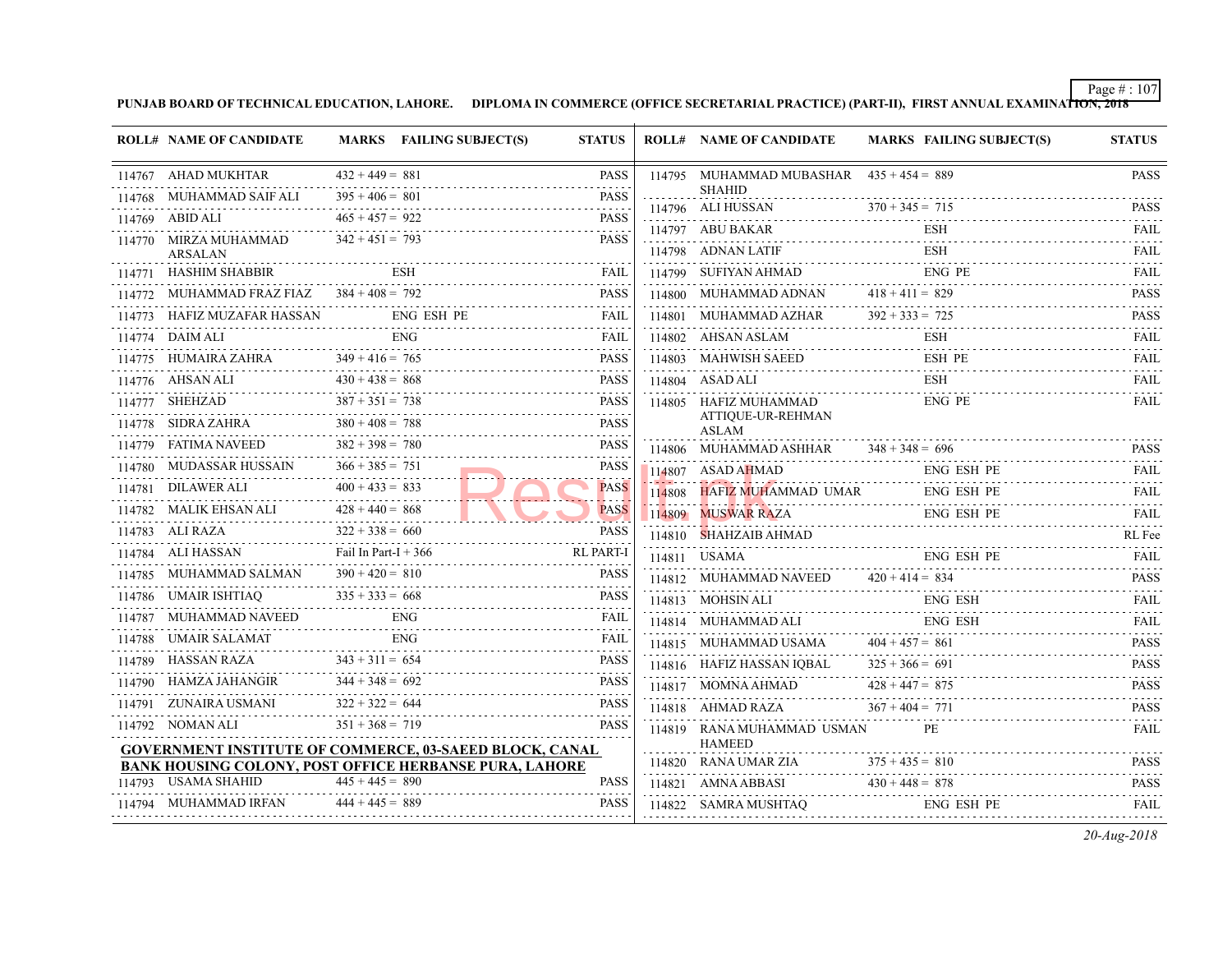|        | <b>ROLL# NAME OF CANDIDATE</b>                                 |                   | MARKS FAILING SUBJECT(S) | <b>STATUS</b>    |        | <b>ROLL# NAME OF CANDIDATE</b>             | <b>MARKS FAIL</b> |
|--------|----------------------------------------------------------------|-------------------|--------------------------|------------------|--------|--------------------------------------------|-------------------|
|        | 114767 AHAD MUKHTAR                                            | $432 + 449 = 881$ |                          | <b>PASS</b><br>. |        | 114795 MUHAMMAD MUBASHAR $435 + 454 = 889$ |                   |
|        | 114768 MUHAMMAD SAIF ALI                                       | $395 + 406 = 801$ |                          | <b>PASS</b>      |        | <b>SHAHID</b>                              | $370 + 345 = 715$ |
|        | 114769 ABID ALI                                                | $465 + 457 = 922$ |                          | <b>PASS</b>      |        | 114796 ALI HUSSAN                          |                   |
|        | 114770 MIRZA MUHAMMAD $342 + 451 = 793$                        |                   |                          | <b>PASS</b>      |        | 114797 ABU BAKAR                           | ESH               |
|        | ARSALAN                                                        |                   |                          |                  |        | 114798 ADNAN LATIF                         | ESH               |
|        | 114771 HASHIM SHABBIR                                          |                   | <b>ESH</b>               | FAIL             |        | 114799 SUFIYAN AHMAD                       | <b>ENG</b>        |
|        | 114772 MUHAMMAD FRAZ FIAZ $384 + 408 = 792$                    |                   |                          | <b>PASS</b>      |        | 114800 MUHAMMAD ADNAN $418 + 411 = 829$    |                   |
|        | 114773 HAFIZ MUZAFAR HASSAN                                    |                   |                          |                  |        | 114801 MUHAMMAD AZHAR $392 + 333 = 725$    |                   |
|        | 114774 DAIM ALI                                                |                   | <b>ENG</b>               | FAIL             |        | 114802 AHSAN ASLAM                         | ESH               |
|        | 114775 HUMAIRA ZAHRA $349 + 416 = 765$ PASS                    |                   |                          |                  |        | 114803 MAHWISH SAEED                       | ESH               |
|        | 114776 AHSAN ALI $430 + 438 = 868$                             |                   |                          | <b>PASS</b>      |        | 114804 ASAD ALI                            | ESH               |
|        | 114777 SHEHZAD $387 + 351 = 738$                               |                   |                          | <b>PASS</b>      |        | 114805 HAFIZ MUHAMMAD                      | <b>ENG</b>        |
| 114778 | SIDRA ZAHRA $380 + 408 = 788$                                  |                   |                          | PASS             |        | ATTIQUE-UR-REHMAN<br>ASLAM                 |                   |
|        | 114779 FATIMA NAVEED $382 + 398 = 780$                         |                   |                          | PASS             |        | 114806 MUHAMMAD ASHHAR $348 + 348 = 696$   |                   |
|        | 114780 MUDASSAR HUSSAIN $366 + 385 = 751$                      |                   |                          | <b>PASS</b>      |        | 114807 ASAD AHMAD                          | ENG I             |
|        | 114781 DILAWER ALI                                             | $400 + 433 = 833$ |                          | <b>PASS</b>      | 114808 | HAFIZ MUHAMMAD UMAR                        | ENG               |
|        | 114782 MALIK EHSAN ALI $428 + 440 = 868$                       |                   |                          | <b>PASS</b>      |        | 114809 MUSWAR RAZA                         | <b>ENG</b>        |
|        | 114783 ALI RAZA $322 + 338 = 660$                              |                   |                          | PASS             |        | 114810 SHAHZAIB AHMAD                      |                   |
|        | 114784 ALI HASSAN Fail In Part-I + 366                         |                   |                          | RL PART-I        |        | 114811 USAMA                               | ENG.              |
|        | 114785 MUHAMMAD SALMAN $390 + 420 = 810$                       |                   |                          | <b>PASS</b>      |        | 114812 MUHAMMAD NAVEED $420 + 414 = 834$   |                   |
|        | 114786 UMAIR ISHTIAQ                                           | $335 + 333 = 668$ |                          | <b>PASS</b>      |        | 114813 MOHSIN ALI                          | ENG I             |
|        | 114787 MUHAMMAD NAVEED                                         |                   | ENG                      | FAIL             |        | 114814 MUHAMMAD ALI                        | <b>ENG</b>        |
|        | 114788 UMAIR SALAMAT                                           |                   | <b>ENG</b>               | FAIL             |        | 114815 MUHAMMAD USAMA $404 + 457 = 861$    |                   |
|        | 114789 HASSAN RAZA $343 + 311 = 654$                           |                   |                          | PASS             |        | 114816 HAFIZ HASSAN IQBAL                  | $325 + 366 = 691$ |
|        | 114790 HAMZA JAHANGIR $344 + 348 = 692$                        |                   |                          | <b>PASS</b>      |        | 114817 MOMNA AHMAD                         | $428 + 447 = 875$ |
| .      | 114791 ZUNAIRA USMANI                                          | $322 + 322 = 644$ |                          | <b>PASS</b>      |        | 114818 AHMAD RAZA $367 + 404 = 771$        |                   |
|        | $351 + 368 = 719$<br>114792 NOMAN ALI                          |                   |                          | <b>PASS</b>      |        | 114819     RANA MUHAMMAD  USMAN            | PE                |
|        | <b>GOVERNMENT INSTITUTE OF COMMERCE, 03-SAEED BLOCK, CANAL</b> |                   |                          |                  |        | <b>HAMEED</b>                              |                   |
|        | <b>BANK HOUSING COLONY, POST OFFICE HERBANSE PURA, LAHORE</b>  |                   |                          |                  |        | 114820 RANA UMAR ZIA                       | $375 + 435 = 810$ |
|        | 114793 USAMA SHAHID                                            | $445 + 445 = 890$ |                          | <b>PASS</b>      |        | 114821 AMNA ABBASI                         | $430 + 448 = 878$ |
|        | 114794 MUHAMMAD IRFAN                                          | $444 + 445 = 889$ |                          | <b>PASS</b>      |        | 114822 SAMRA MUSHTAQ                       | <b>ENG</b>        |
|        |                                                                |                   |                          |                  |        |                                            |                   |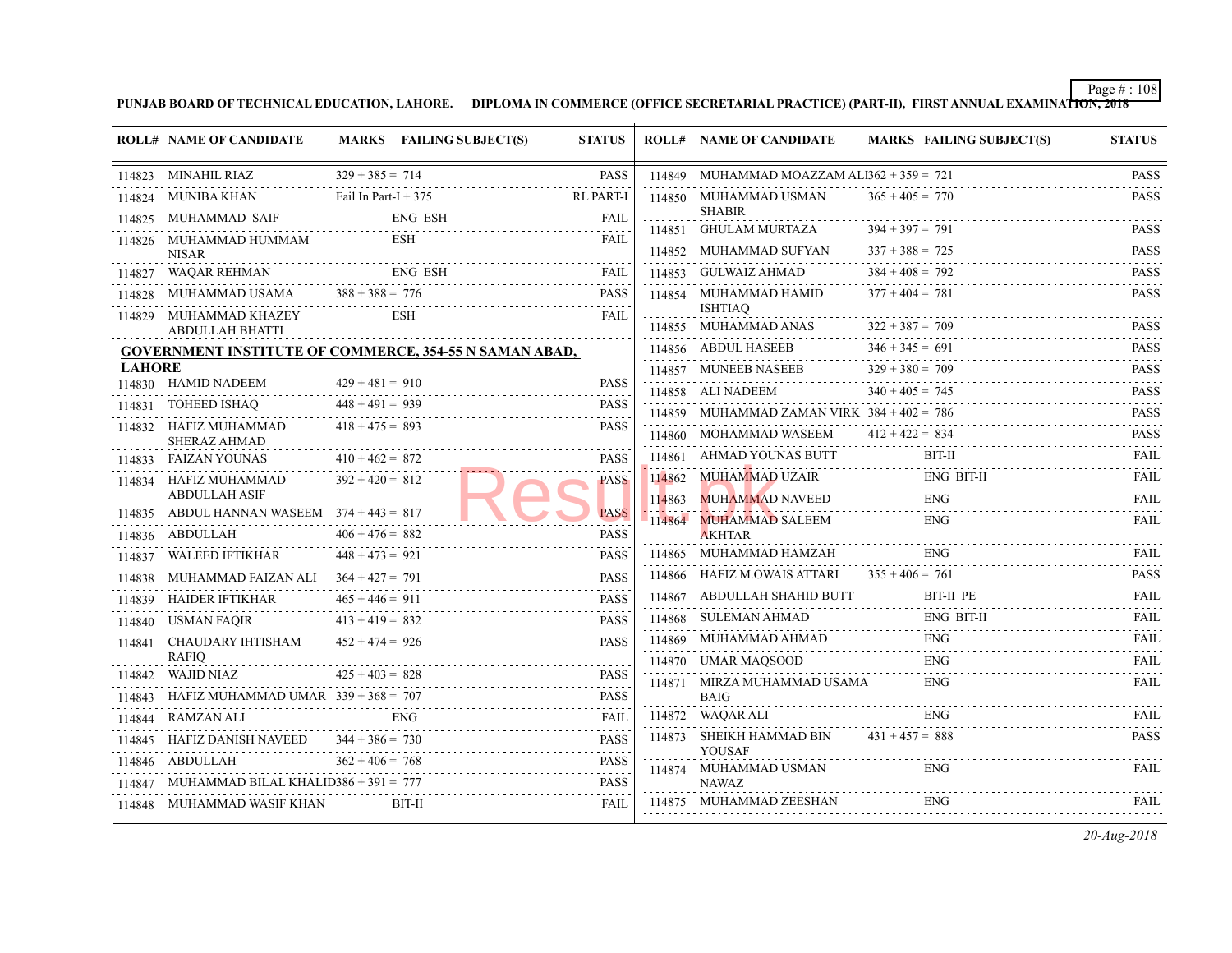|               | <b>ROLL# NAME OF CANDIDATE</b>                                       |                        | MARKS FAILING SUBJECT(S)           | <b>STATUS</b> |        | <b>ROLL# NAME OF CANDIDATE</b>                | <b>MARKS FAIL</b> |
|---------------|----------------------------------------------------------------------|------------------------|------------------------------------|---------------|--------|-----------------------------------------------|-------------------|
|               | 114823 MINAHIL RIAZ                                                  |                        |                                    | <b>PASS</b>   |        | 114849 MUHAMMAD MOAZZAM ALI362 + 359 = 721    |                   |
|               | 114824 MUNIBA KHAN                                                   | Fail In Part-I + $375$ | Fail In Part-I + 375 RL PART       | RL PART-I     |        | 114850 MUHAMMAD USMAN                         | $365 + 405 = 770$ |
|               | 114825 MUHAMMAD SAIF                                                 |                        | ENG ESH                            | FAIL          |        | <b>SHABIR</b>                                 | $394 + 397 = 791$ |
|               | 114826 MUHAMMAD HUMMAM                                               |                        | ESH                                | FAIL          |        | 114851 GHULAM MURTAZA                         |                   |
|               | <b>NISAR</b>                                                         |                        |                                    |               |        | 114852 MUHAMMAD SUFYAN                        | $337 + 388 = 725$ |
|               | 114827 WAQAR REHMAN                                                  |                        | <b>ENG ESH</b><br>AAN ENG ESH FAIL | FAIL          |        | 114853 GULWAIZ AHMAD                          | $384 + 408 = 792$ |
| 114828        | MUHAMMAD USAMA                                                       | $388 + 388 = 776$      | $388 + 388 = 776$                  | <b>PASS</b>   |        | 114854 MUHAMMAD HAMID<br><b>ISHTIAQ</b>       | $377 + 404 = 781$ |
|               | 114829 MUHAMMAD KHAZEY<br><b>ABDULLAH BHATTI</b>                     |                        | ESH                                | FAIL          |        | 114855 MUHAMMAD ANAS                          | $322 + 387 = 709$ |
|               | <b>GOVERNMENT INSTITUTE OF COMMERCE, 354-55 N SAMAN ABAD,</b>        |                        |                                    |               |        | 114856 ABDUL HASEEB                           | $346 + 345 = 691$ |
| <b>LAHORE</b> |                                                                      |                        |                                    |               |        | 114857 MUNEEB NASEEB $329 + 380 = 709$        |                   |
|               | 114830 HAMID NADEEM                                                  | $429 + 481 = 910$      |                                    | <b>PASS</b>   |        | 114858 ALI NADEEM                             | $340 + 405 = 745$ |
| 114831        | TOHEED ISHAQ                                                         | $448 + 491 = 939$      |                                    | <b>PASS</b>   |        | 114859 MUHAMMAD ZAMAN VIRK $384 + 402 = 786$  |                   |
|               | 114832 HAFIZ MUHAMMAD<br>SHERAZ AHMAD                                | $418 + 475 = 893$      |                                    | <b>PASS</b>   |        | 114860 MOHAMMAD WASEEM                        | $412 + 422 = 834$ |
| 114833        | FAIZAN YOUNAS                                                        | $410 + 462 = 872$      |                                    | <b>PASS</b>   |        | 114861 AHMAD YOUNAS BUTT                      | BIT-I             |
| 114834        | HAFIZ MUHAMMAD                                                       | $392 + 420 = 812$      |                                    | <b>PASS</b>   |        | 114862 MUHAMMAD UZAIR                         | ENG I             |
|               | <b>ABDULLAH ASIF</b><br>114835 ABDUL HANNAN WASEEM $374 + 443 = 817$ |                        |                                    | <b>PASS</b>   | 114863 | MUHAMMAD NAVEED                               | <b>ENG</b>        |
|               |                                                                      |                        |                                    |               |        | 114864 MUHAMMAD SALEEM                        | <b>ENG</b>        |
|               | $406 + 476 = 882$<br>114836 ABDULLAH                                 |                        |                                    | <b>PASS</b>   |        | <b>AKHTAR</b><br>114865 MUHAMMAD HAMZAH       | <b>ENG</b>        |
|               | 114837 WALEED IFTIKHAR $448 + 473 = 921$                             |                        |                                    | <b>PASS</b>   |        | 114866 HAFIZ M.OWAIS ATTARI $355 + 406 = 761$ |                   |
|               | 114838 MUHAMMAD FAIZAN ALI $364 + 427 = 791$                         |                        |                                    | <b>PASS</b>   |        | 114867 ABDULLAH SHAHID BUTT                   |                   |
|               | 114839 HAIDER IFTIKHAR                                               | $465 + 446 = 911$      |                                    | <b>PASS</b>   |        | . <del>.</del> <b>.</b>                       | BIT-I             |
|               | 114840 USMAN FAQIR                                                   | $413 + 419 = 832$      |                                    | <b>PASS</b>   |        | 114868 SULEMAN AHMAD                          | <b>ENG</b>        |
|               | 114841 CHAUDARY IHTISHAM $452 + 474 = 926$<br>RAFIQ                  |                        |                                    | <b>PASS</b>   |        | 114869 MUHAMMAD AHMAD EI                      | ENG               |
|               | $425 + 403 = 828$<br>114842 WAJID NIAZ                               |                        |                                    | PASS          |        | 114870 UMAR MAQSOOD                           | <b>ENG</b>        |
|               | 114843 HAFIZ MUHAMMAD UMAR $339 + 368 = 707$                         |                        | $25 + 403 = 828$ PASS              | <b>PASS</b>   |        | 114871 MIRZA MUHAMMAD USAMA<br><b>BAIG</b>    | <b>ENG</b>        |
|               | 114844 RAMZAN ALI                                                    |                        | <b>ENG</b>                         | FAIL          |        | 114872 WAQAR ALI                              | <b>ENG</b>        |
| 114845        | HAFIZ DANISH NAVEED $344 + 386 = 730$                                |                        |                                    | PASS          |        | 114873 SHEIKH HAMMAD BIN                      | $431 + 457 = 888$ |
|               | 114846 ABDULLAH                                                      | $362 + 406 = 768$      | 768 PASS                           |               |        | <b>YOUSAF</b>                                 |                   |
|               | 114847 MUHAMMAD BILAL KHALID386 + 391 = $777$                        |                        |                                    | <b>PASS</b>   |        | 114874 MUHAMMAD USMAN<br><b>NAWAZ</b>         | ENG.              |
|               | 114848 MUHAMMAD WASIF KHAN                                           |                        |                                    |               |        | 114875 MUHAMMAD ZEESHAN                       | <b>ENG</b>        |
|               |                                                                      |                        |                                    |               |        |                                               |                   |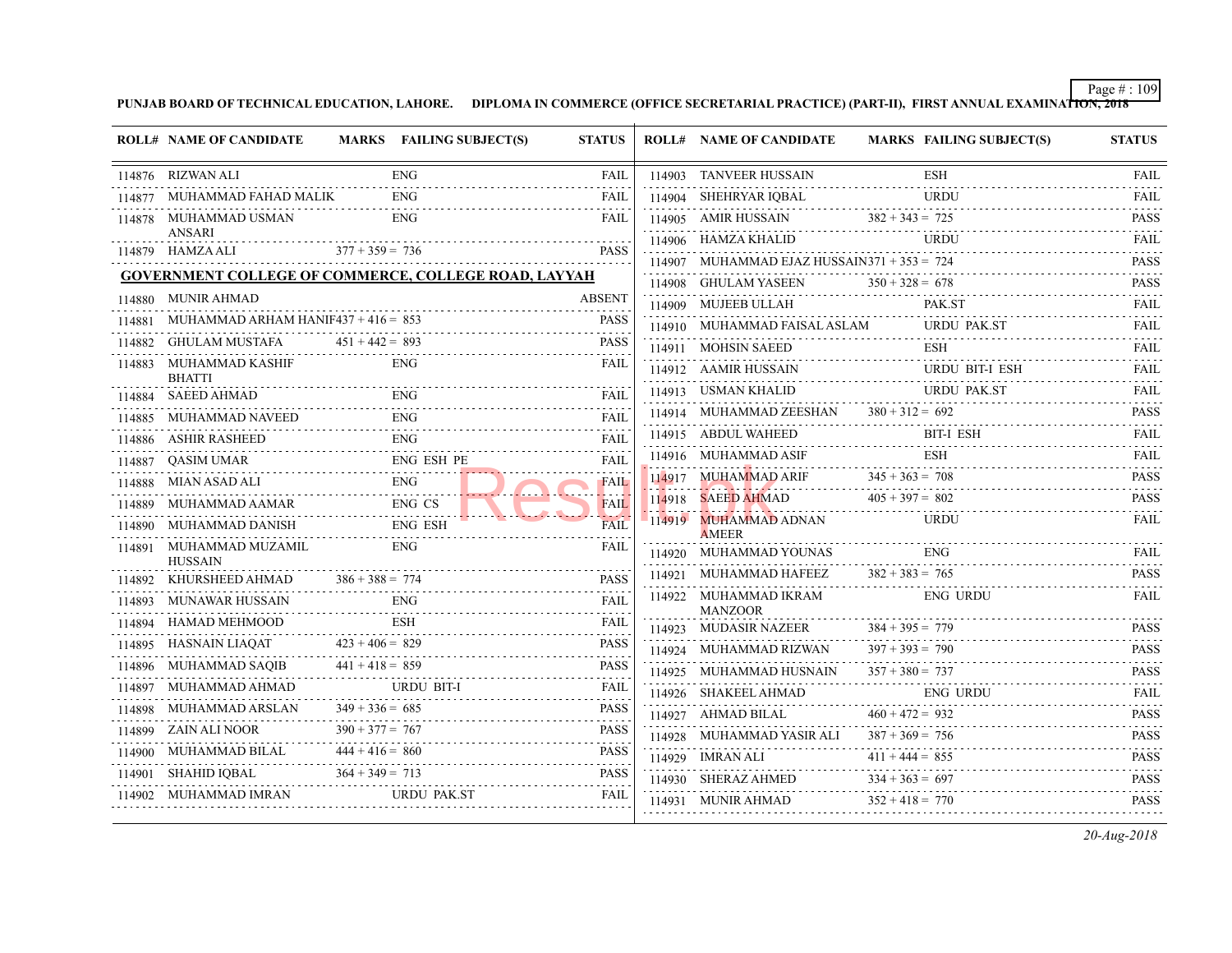|        | <b>ROLL# NAME OF CANDIDATE</b>                                                           |                   | MARKS FAILING SUBJECT(S)         | <b>STATUS</b> | <b>ROLL# NAME OF CANDIDATE</b>              | <b>MARKS FAIL</b> |
|--------|------------------------------------------------------------------------------------------|-------------------|----------------------------------|---------------|---------------------------------------------|-------------------|
|        | 114876 RIZWAN ALI                                                                        |                   | ENG-                             | FAIL          | 114903 TANVEER HUSSAIN                      | ESH               |
|        | 114877 MUHAMMAD FAHAD MALIK                                                              |                   | <b>ENG</b>                       | <b>FAIL</b>   | 114904 SHEHRYAR IOBAL                       | <b>URD</b>        |
|        | 114878 MUHAMMAD USMAN                                                                    |                   | <b>ENG</b>                       | FAIL          | 114905 AMIR HUSSAIN $382 + 343 = 725$       |                   |
|        | ANSARI<br>$377 + 359 = 736$<br>114879 HAMZA ALI                                          |                   |                                  | <b>PASS</b>   | 114906 HAMZA KHALID                         | <b>URD</b>        |
|        |                                                                                          |                   |                                  |               | 114907 MUHAMMAD EJAZ HUSSAIN371 + 353 = 724 |                   |
|        | GOVERNMENT COLLEGE OF COMMERCE, COLLEGE ROAD, LAYYAH                                     |                   |                                  |               | 114908 GHULAM YASEEN $350 + 328 = 678$      |                   |
|        | 114880 MUNIR AHMAD                                                                       |                   |                                  | <b>ABSENT</b> | 114909 MUJEEB ULLAH                         | PAK.              |
|        | 114881 MUHAMMAD ARHAM HANIF437 + 416 = 853                                               |                   |                                  | <b>PASS</b>   | 114910 MUHAMMAD FAISAL ASLAM                | <b>URD</b>        |
|        | 114882 GHULAM MUSTAFA                                                                    | $451 + 442 = 893$ |                                  | <b>PASS</b>   | 114911 MOHSIN SAEED                         | ESH               |
|        | 114883 MUHAMMAD KASHIF<br><b>BHATTI</b>                                                  |                   | <b>ENG</b>                       | FAIL          | 114912 AAMIR HUSSAIN                        | <b>URD</b>        |
|        | 114884 SAEED AHMAD                                                                       |                   |                                  |               | 114913 USMAN KHALID                         | <b>URD</b>        |
|        | $114885 \quad \text{MUHAMMAD NAVEED} \qquad \qquad \text{ENG} \qquad \qquad \text{FAII}$ |                   |                                  | FAIL          | 114914 MUHAMMAD ZEESHAN $380 + 312 = 692$   |                   |
|        | 114886 ASHIR RASHEED                                                                     |                   | ED ENG FAIL                      | FAIL          | 114915 ABDUL WAHEED                         | BIT-I             |
| 114887 | OASIM UMAR                                                                               |                   | ENG ESH PE                       |               | 114916 MUHAMMAD ASIF                        | ESH               |
|        | NASADALI ENG<br>114888 MIAN ASAD ALI                                                     |                   |                                  | <b>FAIL</b>   | 114917 MUHAMMAD ARIF $345 + 363 = 708$      |                   |
| 114889 | MUHAMMAD AAMAR                                                                           |                   | R ENG CS                         | <b>FAIL</b>   | 114918 SAEED AHMAD $405 + 397 = 802$        |                   |
|        | 114890 MUHAMMAD DANISH                                                                   | .                 | ENG ESH                          | <b>FAIL</b>   | 114919 MUHAMMAD ADNAN<br><b>AMEER</b>       | <b>URD</b>        |
|        | 114891 MUHAMMAD MUZAMIL<br><b>HUSSAIN</b>                                                |                   | <b>ENG</b>                       | FAIL          | 114920 MUHAMMAD YOUNAS                      | ENG I             |
|        | 114892 KHURSHEED AHMAD                                                                   |                   | $AD$ $386 + 388 = 774$           | <b>PASS</b>   | 114921 MUHAMMAD HAFEEZ                      | $382 + 383 = 765$ |
|        | 114893 MUNAWAR HUSSAIN                                                                   |                   | ENG                              | FAIL          | 114922 MUHAMMAD IKRAM<br>MANZOOR            | ENG.              |
|        | 114894 HAMAD MEHMOOD                                                                     |                   | <b>ESH</b><br>)OD ESH FAIL       | FAIL          | 114923 MUDASIR NAZEER                       | $384 + 395 = 779$ |
|        | 114895 HASNAIN LIAQAT $423 + 406 = 829$ PASS                                             |                   |                                  | <b>PASS</b>   | 114924 MUHAMMAD RIZWAN                      | $397 + 393 = 790$ |
|        | 114896 MUHAMMAD SAQIB $441 + 418 = 859$                                                  |                   |                                  | PASS          | 114925 MUHAMMAD HUSNAIN                     | $357 + 380 = 737$ |
|        | 114897 MUHAMMAD AHMAD                                                                    |                   | URDU BIT-I                       | <b>FAIL</b>   | 114926 SHAKEEL AHMAD                        | <b>ENG</b>        |
|        | 114898 MUHAMMAD ARSLAN                                                                   |                   | $PASSLAN$ $349 + 336 = 685$ PASS | <b>PASS</b>   | 114927 AHMAD BILAL $460 + 472 = 932$        | .                 |
|        | 114899 ZAIN ALI NOOR $390 + 377 = 767$                                                   |                   | R $390 + 377 = 767$ PASS         | PASS          | 114928 MUHAMMAD YASIR ALI $387 + 369 = 756$ |                   |
|        | 114900 MUHAMMAD BILAL $444 + 416 = 860$                                                  |                   | PASS                             | PASS          | 114929 IMRAN ALI $411 + 444 = 8$            | $411 + 444 = 855$ |
|        | 114901 SHAHID IQBAL                                                                      |                   | L $364 + 349 = 713$              | <b>PASS</b>   | 114930 SHERAZ AHMED $334 + 363 = 697$       |                   |
|        | 114902 MUHAMMAD IMRAN                                                                    |                   | <b>URDU PAK.ST</b>               | FAIL          | 114931 MUNIR AHMAD $352 + 418 = 770$        |                   |
|        |                                                                                          |                   |                                  |               |                                             |                   |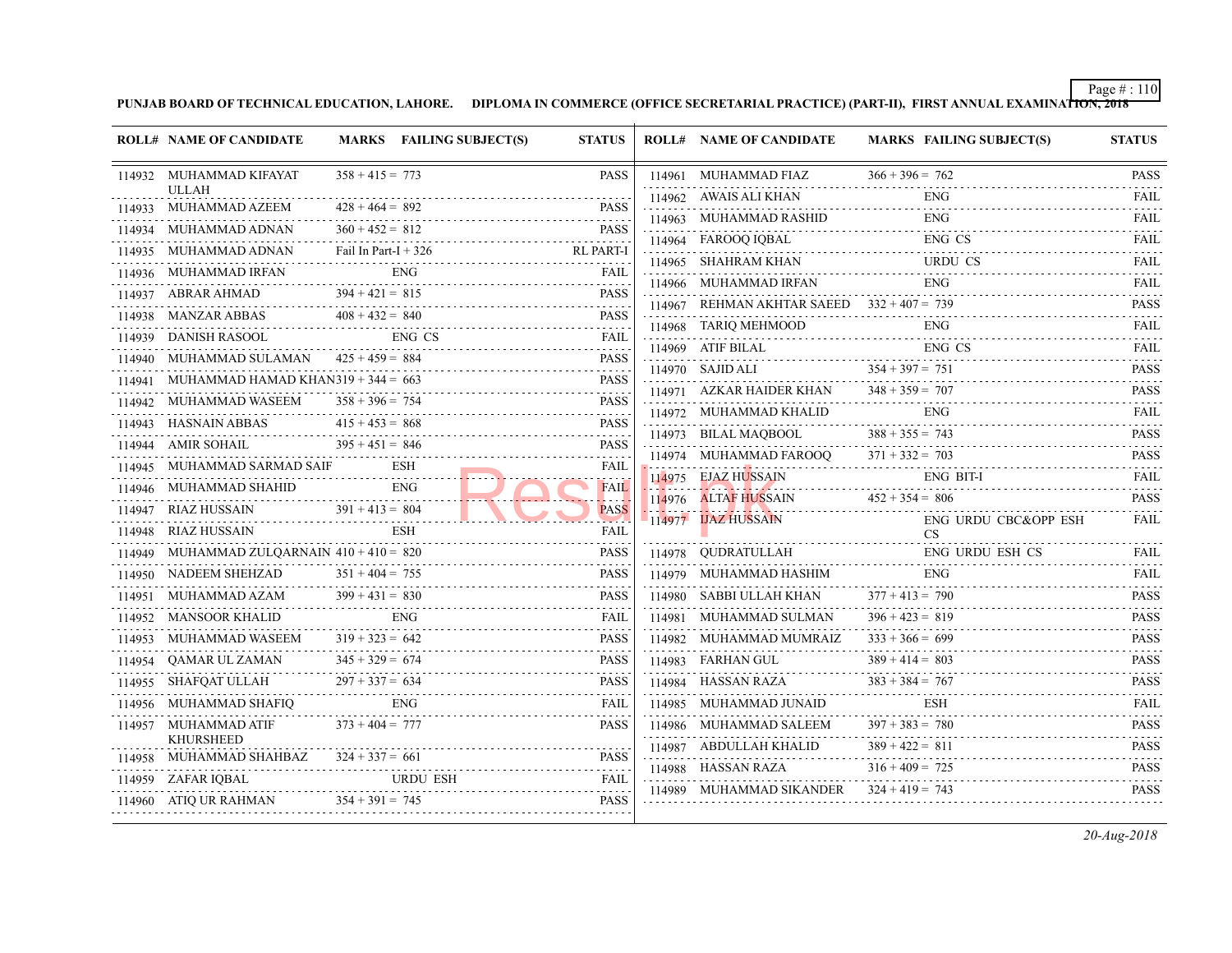|        | <b>ROLL# NAME OF CANDIDATE</b>                                                              |                   | MARKS FAILING SUBJECT(S)                                                                                                                                                                                                        | <b>STATUS</b>         | <b>ROLL# NAME OF CANDIDATE</b>                      | <b>MARKS FAIL</b> |
|--------|---------------------------------------------------------------------------------------------|-------------------|---------------------------------------------------------------------------------------------------------------------------------------------------------------------------------------------------------------------------------|-----------------------|-----------------------------------------------------|-------------------|
|        | 114932 MUHAMMAD KIFAYAT                                                                     | $358 + 415 = 773$ |                                                                                                                                                                                                                                 | <b>PASS</b>           | 114961 MUHAMMAD FIAZ                                | $366 + 396 = 762$ |
|        | ULLAH<br>114933 MUHAMMAD AZEEM                                                              | $428 + 464 = 892$ |                                                                                                                                                                                                                                 | <b>PASS</b>           | 114962 AWAIS ALI KHAN                               | <b>ENG</b>        |
|        | 114934 MUHAMMAD ADNAN                                                                       |                   | $28 + 464 = 892$ PASS                                                                                                                                                                                                           | <b>PASS</b>           | 114963 MUHAMMAD RASHID ENG                          | <b>ENG</b>        |
|        |                                                                                             |                   | HAMMAD ADNAN $360 + 452 = 812$ PASS                                                                                                                                                                                             |                       | 114964 FAROOQ IQBAL<br>1964    FAROOQ    IQBAL    E | ENG               |
|        | 114935 MUHAMMAD ADNAN Fail In Part-I + 326 RL PART-I                                        |                   |                                                                                                                                                                                                                                 |                       | 114965 SHAHRAM KHAN UF                              | <b>URD</b>        |
|        | 114936 MUHAMMAD IRFAN ENG FAIL FAIL                                                         |                   |                                                                                                                                                                                                                                 |                       | 114966 MUHAMMAD IRFAN                               | <b>ENG</b>        |
|        | 114937 ABRAR AHMAD $394 + 421 = 815$ PASS PASS                                              |                   |                                                                                                                                                                                                                                 |                       | 114967 REHMAN AKHTAR SAEED $332 + 407 = 739$        |                   |
|        | 114938 MANZAR ABBAS $408 + 432 = 840$ PASS                                                  |                   |                                                                                                                                                                                                                                 | PASS                  | 114968 TARIQ MEHMOOD                                | ENG I             |
|        | 114939 DANISH RASOOL ENG CS                                                                 |                   | OL ENG CS FAIL                                                                                                                                                                                                                  |                       | 114969 ATIF BILAL ENG                               | <b>ENG</b>        |
|        | 114940 MUHAMMAD SULAMAN $425 + 459 = 884$                                                   |                   | ULAMAN 425 + 459 = 884 PASS                                                                                                                                                                                                     | <b>PASS</b>           | 114970 SAJID ALI $354 + 397 = 751$                  |                   |
|        | 114941 MUHAMMAD HAMAD KHAN319 + 344 = $663$                                                 |                   |                                                                                                                                                                                                                                 | PASS                  | 114971 AZKAR HAIDER KHAN $348 + 359 = 707$          |                   |
|        | 114942 MUHAMMAD WASEEM $358 + 396 = 754$                                                    |                   |                                                                                                                                                                                                                                 | <b>PASS</b>           | 114972 MUHAMMAD KHALID                              | <b>ENG</b>        |
|        | 114943 HASNAIN ABBAS $415 + 453 = 868$ PASS                                                 |                   |                                                                                                                                                                                                                                 | <b>PASS</b>           | 114973 BILAL MAQBOOL $388 + 355 = 743$              |                   |
| 114944 | $395 + 451 = 846$<br>AMIR SOHAIL                                                            |                   |                                                                                                                                                                                                                                 | PASS                  | 114974 MUHAMMAD FAROOQ $371 + 332 = 703$            |                   |
|        | 114945 MUHAMMAD SARMAD SAIF ESH                                                             |                   |                                                                                                                                                                                                                                 | FAIL<br>.             | 114975 EJAZ HUSSAIN                                 | <b>ENG</b>        |
|        | 114946 MUHAMMAD SHAHID ENG                                                                  |                   |                                                                                                                                                                                                                                 | <b>FAIL</b><br>.      | 114976 ALTAF HUSSAIN $452 + 354 = 806$              |                   |
|        | 114947 RIAZ HUSSAIN $391 + 413 = 804$                                                       |                   |                                                                                                                                                                                                                                 | <b>PASS</b><br>33. LA | 114977 IJAZ HUSSAIN                                 | <b>ENG</b>        |
|        | 114948 RIAZ HUSSAIN                                                                         |                   | ESH                                                                                                                                                                                                                             | FAIL                  | <b>The Common</b>                                   | CS                |
|        | 114949 MUHAMMAD ZULQARNAIN $410 + 410 = 820$                                                |                   |                                                                                                                                                                                                                                 | <b>PASS</b>           | 114978 QUDRATULLAH                                  | <b>ENG</b>        |
|        | 114950 NADEEM SHEHZAD $351 + 404 = 755$                                                     |                   |                                                                                                                                                                                                                                 | <b>PASS</b>           | 114979 MUHAMMAD HASHIM                              | <b>ENG</b>        |
|        | 114951 MUHAMMAD AZAM $399 + 431 = 830$                                                      |                   |                                                                                                                                                                                                                                 | <b>PASS</b>           | 114980 SABBI ULLAH KHAN $377 + 413 = 790$           |                   |
|        | 114952 MANSOOR KHALID ENG                                                                   |                   | للله المستخدم المستخدم المستخدم المستخدم المستخدم المستخدم المستخدم المستخدم المستخدم المستخدم المستخدم المستخ<br>المستخدمات المستخدمات المستخدمات المستخدمات المستخدمات المستخدمات المستخدمات المستخدمات المستخدمات المستخدمات | FAIL                  | 114981 MUHAMMAD SULMAN                              | $396 + 423 = 819$ |
|        | 114953 MUHAMMAD WASEEM $319 + 323 = 642$                                                    |                   |                                                                                                                                                                                                                                 | <b>PASS</b>           | 114982 MUHAMMAD MUMRAIZ $333 + 366 = 699$           |                   |
|        | 114954 QAMAR UL ZAMAN $345 + 329 = 674$                                                     |                   |                                                                                                                                                                                                                                 | <b>PASS</b>           | 114983 FARHAN GUL                                   | $389 + 414 = 803$ |
|        | 114955 SHAFQAT ULLAH $297 + 337 = 634$                                                      |                   | .H $297 + 337 = 634$                                                                                                                                                                                                            | <b>PASS</b>           | 114984 HASSAN RAZA                                  | $383 + 384 = 767$ |
|        | 114956 MUHAMMAD SHAFIQ ENG                                                                  |                   |                                                                                                                                                                                                                                 | FAIL                  | 114985 MUHAMMAD JUNAID                              | ESH               |
|        | 114957 MUHAMMAD ATIF                                                                        | $373 + 404 = 777$ |                                                                                                                                                                                                                                 | <b>PASS</b>           | 114986 MUHAMMAD SALEEM $397 + 383 = 780$            |                   |
|        | <b>KHURSHEED</b>                                                                            |                   |                                                                                                                                                                                                                                 |                       | 114987 ABDULLAH KHALID $389 + 422 = 811$            |                   |
|        | 114958 MUHAMMAD SHAHBAZ $324 + 337 = 661$<br>114958 MUHAMMAD SHAHBAZ $324 + 337 = 661$ PASS |                   |                                                                                                                                                                                                                                 | <b>PASS</b>           | 114988 HASSAN RAZA $316 + 409 = 725$                |                   |
|        | 114959 ZAFAR IQBAL                                                                          |                   | <b>URDU ESH</b><br>URDU ESH FAIL                                                                                                                                                                                                | FAIL                  | 114989 MUHAMMAD SIKANDER $324 + 419 = 743$          |                   |
|        | 114960 ATIQ UR RAHMAN $354 + 391 = 745$                                                     |                   |                                                                                                                                                                                                                                 | <b>PASS</b>           |                                                     |                   |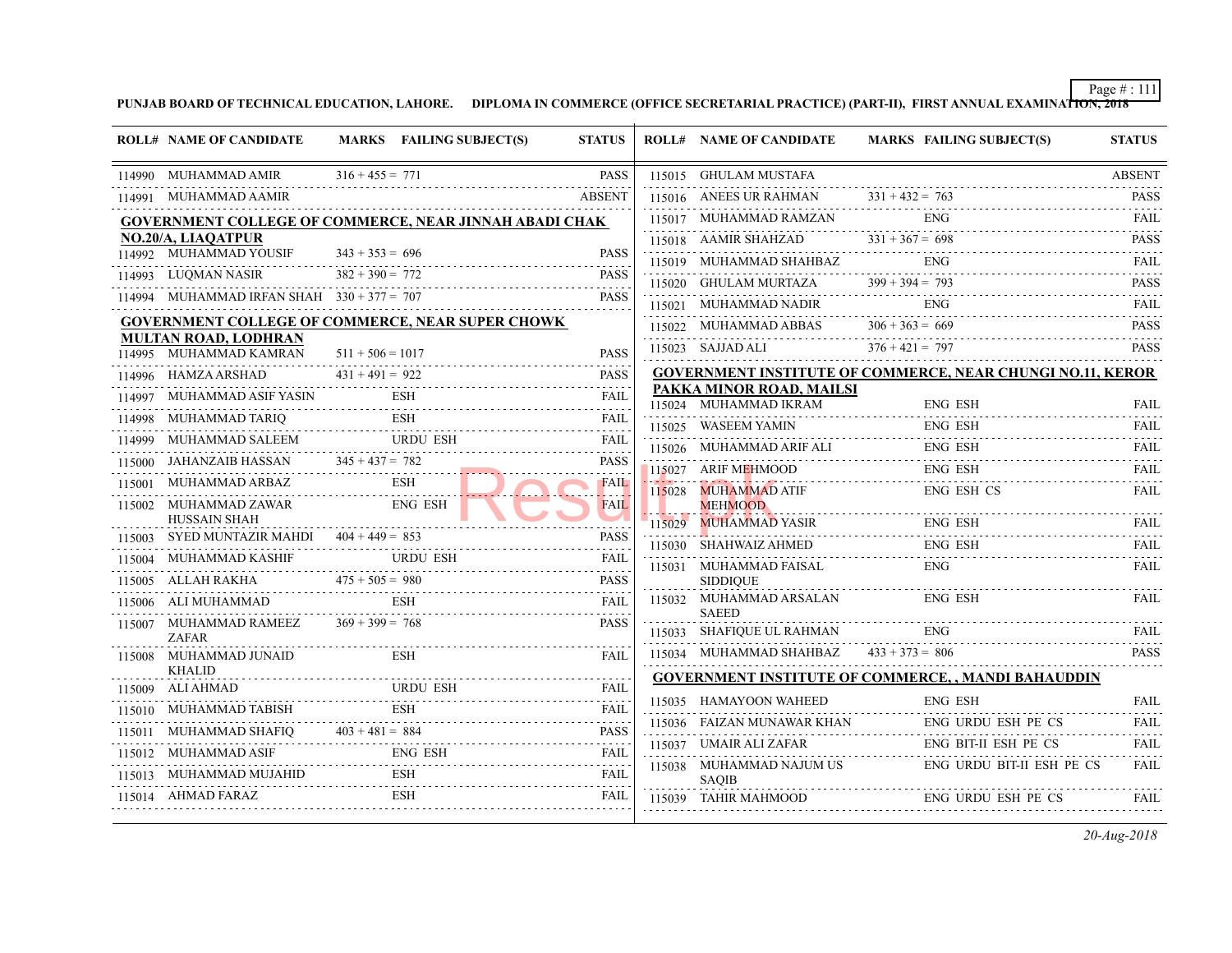| PUNJAB BOARD OF TECHNICAL EDUCATION, LAHORE. |                          |  | DIPLOMA IN COMMERCE (OFFICE SECRETARIAL PRACTICE) (PART-II), FIRST |                   |
|----------------------------------------------|--------------------------|--|--------------------------------------------------------------------|-------------------|
| <b>ROLL# NAME OF CANDIDATE</b>               | MARKS FAILING SUBJECT(S) |  | STATUS   ROLL# NAME OF CANDIDATE                                   | <b>MARKS FAIL</b> |

| 114990 | MUHAMMAD AMIR                                         | $316 + 455 = 771$                                             | <b>PASS</b>                                                                                                                                                         |        | 115015 GHULAM MUSTAFA                             |                   |
|--------|-------------------------------------------------------|---------------------------------------------------------------|---------------------------------------------------------------------------------------------------------------------------------------------------------------------|--------|---------------------------------------------------|-------------------|
|        | 114991 MUHAMMAD AAMIR                                 |                                                               | <b>ABSENT</b>                                                                                                                                                       |        | 115016 ANEES UR RAHMAN                            | $331 + 432 = 763$ |
|        |                                                       | <b>GOVERNMENT COLLEGE OF COMMERCE, NEAR JINNAH ABADI CHAK</b> |                                                                                                                                                                     |        | 115017 MUHAMMAD RAMZAN                            | ENG I             |
|        | <b>NO.20/A, LIAOATPUR</b>                             |                                                               |                                                                                                                                                                     |        | 115018 AAMIR SHAHZAD                              | $331 + 367 = 698$ |
|        | 114992 MUHAMMAD YOUSIF                                | $343 + 353 = 696$                                             | PASS<br>and a state                                                                                                                                                 |        | 115019 MUHAMMAD SHAHBAZ                           | <b>ENG</b>        |
|        | 114993 LUQMAN NASIR                                   | $382 + 390 = 772$                                             | <b>PASS</b><br>$-1 - 1 - 1 - 1$                                                                                                                                     |        | 115020 GHULAM MURTAZA                             | $399 + 394 = 793$ |
| 114994 | MUHAMMAD IRFAN SHAH $330 + 377 = 707$                 |                                                               | <b>PASS</b>                                                                                                                                                         |        | 115021 MUHAMMAD NADIR                             | ENG I             |
|        |                                                       | <b>GOVERNMENT COLLEGE OF COMMERCE, NEAR SUPER CHOWK</b>       |                                                                                                                                                                     |        | 115022 MUHAMMAD ABBAS                             | $306 + 363 = 669$ |
|        | <b>MULTAN ROAD, LODHRAN</b><br>114995 MUHAMMAD KAMRAN | $511 + 506 = 1017$                                            | <b>PASS</b>                                                                                                                                                         |        | 115023 SAJJAD ALI                                 | $376 + 421 = 797$ |
|        | 114996 HAMZA ARSHAD                                   | $431 + 491 = 922$                                             | <b>PASS</b>                                                                                                                                                         |        | <b>GOVERNMENT INSTITUTE OF COMMERCE,</b>          |                   |
| 114997 | MUHAMMAD ASIF YASIN                                   | <b>ESH</b>                                                    | الداعات عامان<br>FAIL<br>$- - - - - -$                                                                                                                              |        | PAKKA MINOR ROAD, MAILSI<br>115024 MUHAMMAD IKRAM | <b>ENG</b>        |
|        | 114998 MUHAMMAD TARIO                                 | ESH                                                           | FAIL                                                                                                                                                                |        | 115025 WASEEM YAMIN                               | <b>ENG</b>        |
| 114999 | MUHAMMAD SALEEM                                       | <b>URDU ESH</b>                                               | $\frac{1}{2} \left( \frac{1}{2} \right) \left( \frac{1}{2} \right) \left( \frac{1}{2} \right) \left( \frac{1}{2} \right) \left( \frac{1}{2} \right)$<br><b>FAIL</b> |        | 115026 MUHAMMAD ARIF ALI                          | ENG I             |
|        | 115000 JAHANZAIB HASSAN                               | $345 + 437 = 782$                                             | <b>PASS</b>                                                                                                                                                         |        | 115027 ARIF MEHMOOD                               | <b>ENG</b>        |
| 115001 | MUHAMMAD ARBAZ                                        | ESH                                                           | <b>FAIL</b><br><b>Service</b>                                                                                                                                       |        | 115028 MUHAMMAD ATIF                              | ENG.              |
| 115002 | MUHAMMAD ZAWAR<br><b>HUSSAIN SHAH</b>                 | <b>ENG ESH</b>                                                | FAIL                                                                                                                                                                | 115029 | <b>MEHMOOD</b><br><b>MUHAMMAD YASIR</b>           | <b>ENG</b>        |
| 115003 | SYED MUNTAZIR MAHDI $404 + 449 = 853$                 |                                                               | <b>PASS</b>                                                                                                                                                         |        | 115030 SHAHWAIZ AHMED                             | ENG.              |
|        | 115004 MUHAMMAD KASHIF                                | <b>URDU ESH</b>                                               | <b>FAIL</b><br>.                                                                                                                                                    | 115031 | MUHAMMAD FAISAL                                   | ENG I             |
|        | 115005 ALLAH RAKHA                                    | $475 + 505 = 980$                                             | <b>PASS</b>                                                                                                                                                         |        | <b>SIDDIQUE</b>                                   |                   |
|        | 115006 ALI MUHAMMAD                                   | ESH                                                           | FAIL<br>.                                                                                                                                                           |        | 115032 MUHAMMAD ARSALAN<br><b>SAEED</b>           | ENG I             |
|        | 115007 MUHAMMAD RAMEEZ<br>ZAFAR                       | $369 + 399 = 768$                                             | <b>PASS</b>                                                                                                                                                         |        | 115033 SHAFIQUE UL RAHMAN                         | ENG I             |
| 115008 | MUHAMMAD JUNAID<br>KHALID                             | <b>ESH</b>                                                    | <b>FAII</b>                                                                                                                                                         |        | 115034 MUHAMMAD SHAHBAZ                           | $433 + 373 = 806$ |
| 115009 | ALI AHMAD                                             | <b>URDU ESH</b>                                               | <b>FAIL</b>                                                                                                                                                         |        | <b>GOVERNMENT INSTITUTE OF COMMERCE.</b>          |                   |
| 115010 | MUHAMMAD TABISH                                       | <b>ESH</b>                                                    | FAIL                                                                                                                                                                |        | 115035 HAMAYOON WAHEED                            | <b>ENG</b>        |
| 115011 | MUHAMMAD SHAFIQ                                       | $403 + 481 = 884$                                             | .<br><b>PASS</b>                                                                                                                                                    |        | 115036 FAIZAN MUNAWAR KHAN                        | <b>ENG</b>        |
| 115012 | MUHAMMAD ASIF                                         | ENG ESH                                                       | .<br>FAIL                                                                                                                                                           |        | 115037 UMAIR ALI ZAFAR                            | <b>ENG</b>        |
| 115013 | MUHAMMAD MUJAHID                                      | <b>ESH</b>                                                    | FAIL                                                                                                                                                                |        | 115038 MUHAMMAD NAJUM US<br><b>SAOIB</b>          | <b>ENG</b>        |
|        | 115014 AHMAD FARAZ                                    | <b>ESH</b>                                                    | .<br>FAIL                                                                                                                                                           |        | 115039 TAHIR MAHMOOD                              | <b>ENG</b>        |
|        |                                                       |                                                               |                                                                                                                                                                     |        |                                                   |                   |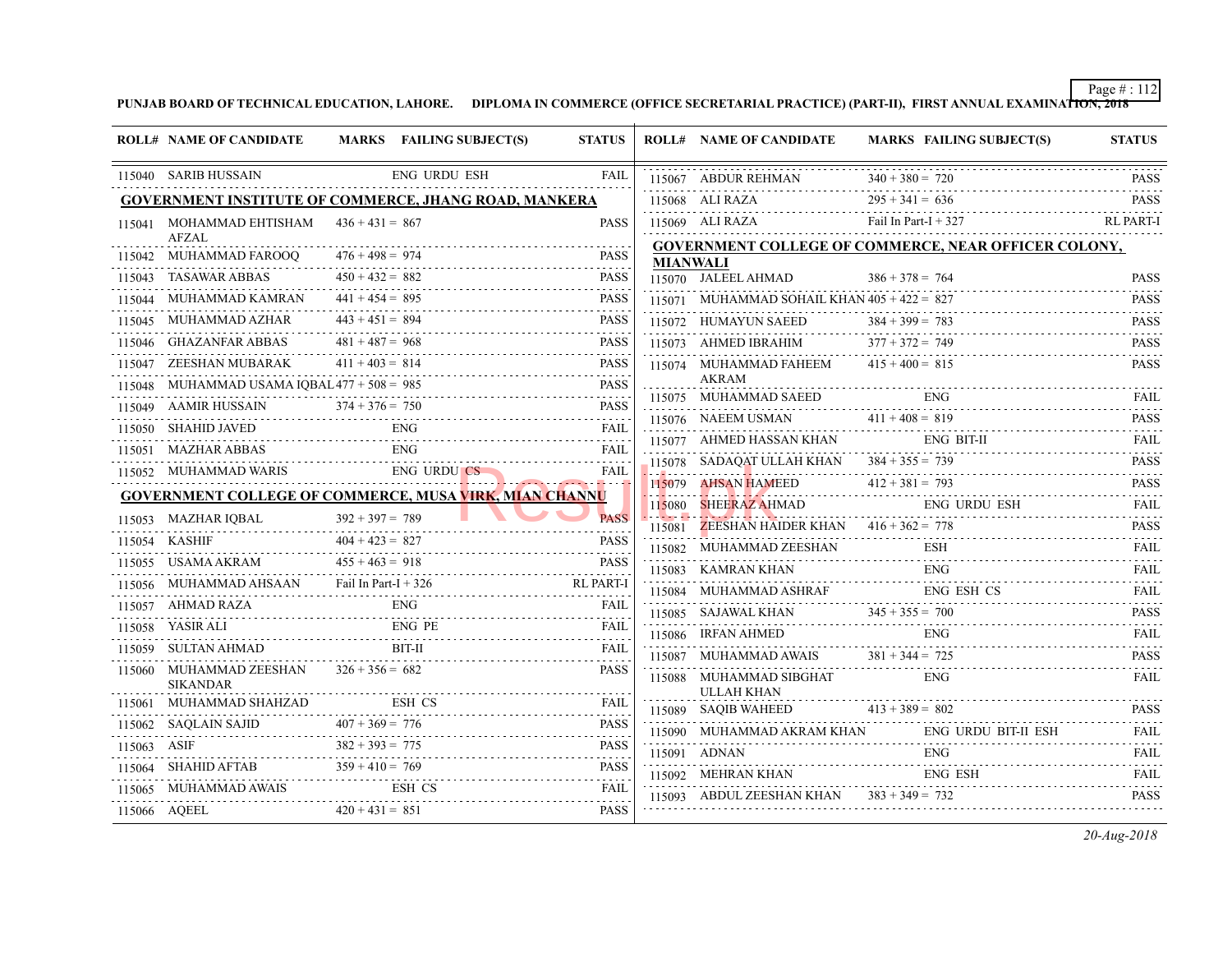| <b>ROLL# NAME OF CANDIDATE</b>                                                                                          | MARKS FAILING SUBJECT(S)        | <b>STATUS</b> |                 | <b>ROLL# NAME OF CANDIDATE</b>                                    | <b>MARKS FAIL</b> |
|-------------------------------------------------------------------------------------------------------------------------|---------------------------------|---------------|-----------------|-------------------------------------------------------------------|-------------------|
| 115040 SARIB HUSSAIN                                                                                                    | <b>ENG URDU ESH</b>             | FAIL          |                 | 115067 ABDUR REHMAN $340 + 380 = 720$                             |                   |
| GOVERNMENT INSTITUTE OF COMMERCE. JHANG ROAD. MANKERA                                                                   |                                 |               |                 | 115068 ALI RAZA $295 + 341 = 636$                                 |                   |
| 115041 MOHAMMAD EHTISHAM $436 + 431 = 867$                                                                              |                                 | PASS          |                 | 115069 ALI RAZA Fail In Part-I + 3                                |                   |
| <b>AFZAL</b><br>115042 MUHAMMAD FAROOQ $476 + 498 = 974$<br>115042 MUHAMMAD FAROOQ 476 + 498 = 974 PASS                 |                                 |               |                 | <b>GOVERNMENT COLLEGE OF COMMERCE, N</b>                          |                   |
| 115043 TASAWAR ABBAS $450 + 432 = 882$                                                                                  |                                 | <b>PASS</b>   | <b>MIANWALI</b> | 115070 JALEEL AHMAD                                               | $386 + 378 = 764$ |
| 115044 MUHAMMAD KAMRAN $441 + 454 = 895$                                                                                |                                 |               |                 | 115071 MUHAMMAD SOHAIL KHAN $405 + 422 = 827$                     |                   |
| 115045 MUHAMMAD AZHAR $443 + 451 = 894$<br>115045 MUHAMMAD AZHAR 443 + 451 = 894 PASS                                   |                                 | PASS          |                 | 115072 HUMAYUN SAEED $384 + 399 = 783$                            |                   |
| 115046 GHAZANFAR ABBAS $481 + 487 = 968$                                                                                | BBAS $481 + 487 = 968$ PASS     | <b>PASS</b>   |                 | 115073 AHMED IBRAHIM $377 + 372 = 749$                            |                   |
| 115047 ZEESHAN MUBARAK $411 + 403 = 814$                                                                                | N MUBARAK 411 + 403 = 814 PASS  | PASS          |                 | 115074 MUHAMMAD FAHEEM $415 + 400 = 815$                          |                   |
| 115048 MUHAMMAD USAMA IQBAL $477 + 508 = 985$                                                                           | SAMA IQBAL 477 + 508 = 985 PASS |               |                 | <b>AKRAM</b>                                                      | ENG I             |
| 115049 AAMIR HUSSAIN $374 + 376 = 750$ PASS                                                                             |                                 |               |                 | 115075 MUHAMMAD SAEED ENG<br>115076 NAEEM USMAN $411 + 408 = 819$ |                   |
| $\begin{tabular}{ll} 115050 & SHAHD JAVED & ENG & FAIL & T. \end{tabular}$                                              |                                 | <b>FAIL</b>   |                 | 115077 AHMED HASSAN KHAN ENG                                      |                   |
| 115051 MAZHAR ABBAS ENG FAIL                                                                                            |                                 |               |                 | $115078$ SADAQAT ULLAH KHAN $384 + 355 = 739$                     |                   |
| 115052 MUHAMMAD WARIS ENG URDU CS FAIL                                                                                  |                                 |               |                 | 115079 AHSAN HAMEED $412 + 381 = 793$                             |                   |
| <b>GOVERNMENT COLLEGE OF COMMERCE, MUSA VIRK, MIAN CHANNU</b>                                                           |                                 |               |                 | 115080 SHEERAZ AHMAD                                              | ENG.              |
| 115053 MAZHAR IQBAL $392 + 397 = 789$ PASS                                                                              |                                 | <b>PASS</b>   |                 | $11508$ <sup>T</sup> ZEESHAN HAIDER KHAN $416 + 362 = 778$        |                   |
| 115054 KASHIF $404 + 423 = 827$ PASS                                                                                    |                                 | <b>PASS</b>   |                 | 115082 MUHAMMAD ZEESHAN ES                                        | ESH               |
| 115055 USAMA AKRAM $455 + 463 = 918$ PASS                                                                               |                                 |               |                 | 115083 KAMRAN KHAN                                                | ENG I             |
| 115056 MUHAMMAD AHSAAN Fail In Part-I + 326 RL PART-I                                                                   |                                 |               |                 | 115084 MUHAMMAD ASHRAF                                            | ENG I             |
| $\begin{tabular}{lllllllll} \bf 115057 & AHMAD RAZA & \hspace*{2.5mm}ENG & \hspace*{2.5mm}FAIL \\ \hline \end{tabular}$ |                                 |               |                 | 115085 SAJAWAL KHAN $345 + 355 = 700$                             |                   |
| 115058 YASIR ALI                                                                                                        |                                 |               |                 | 115086 IRFAN AHMED ENC                                            | <b>ENG</b>        |
| 115059 SULTAN AHMAD BIT-II                                                                                              | PEIT-II FAIL                    | FAIL          |                 | 115087 MUHAMMAD AWAIS $381 + 344 = 725$                           |                   |
| 115060 MUHAMMAD ZEESHAN $326 + 356 = 682$<br><b>SIKANDAR</b>                                                            |                                 | <b>PASS</b>   |                 | 115088 MUHAMMAD SIBGHAT                                           | ENG.              |
| 115061 MUHAMMAD SHAHZAD ESH CS FAIL                                                                                     |                                 |               |                 | ULLAH KHAN<br>115089 SAQIB WAHEED $413 + 389 = 802$               |                   |
| 115062 SAQLAIN SAJID $407 + 369 = 776$ PASS                                                                             |                                 | <b>PASS</b>   |                 | 115090 MUHAMMAD AKRAM KHAN                                        | ENG I             |
| 115063 ASIF $382 + 393 = 775$ PASS                                                                                      |                                 |               |                 | 115091 ADNAN                                                      | ENG I             |
| 115064 SHAHID AFTAB $359 + 410 = 769$ PASS                                                                              |                                 |               |                 | 115091 ADNAN EN<br>115092 MEHRAN KHAN                             | ENG.              |
| 115065 MUHAMMAD AWAIS                                                                                                   | ESH CS                          | FAIL          |                 | 115093 ABDUL ZEESHAN KHAN $383 + 349 = 732$                       |                   |
| $420 + 431 = 851$<br>115066 AQEEL                                                                                       |                                 | <b>PASS</b>   |                 |                                                                   |                   |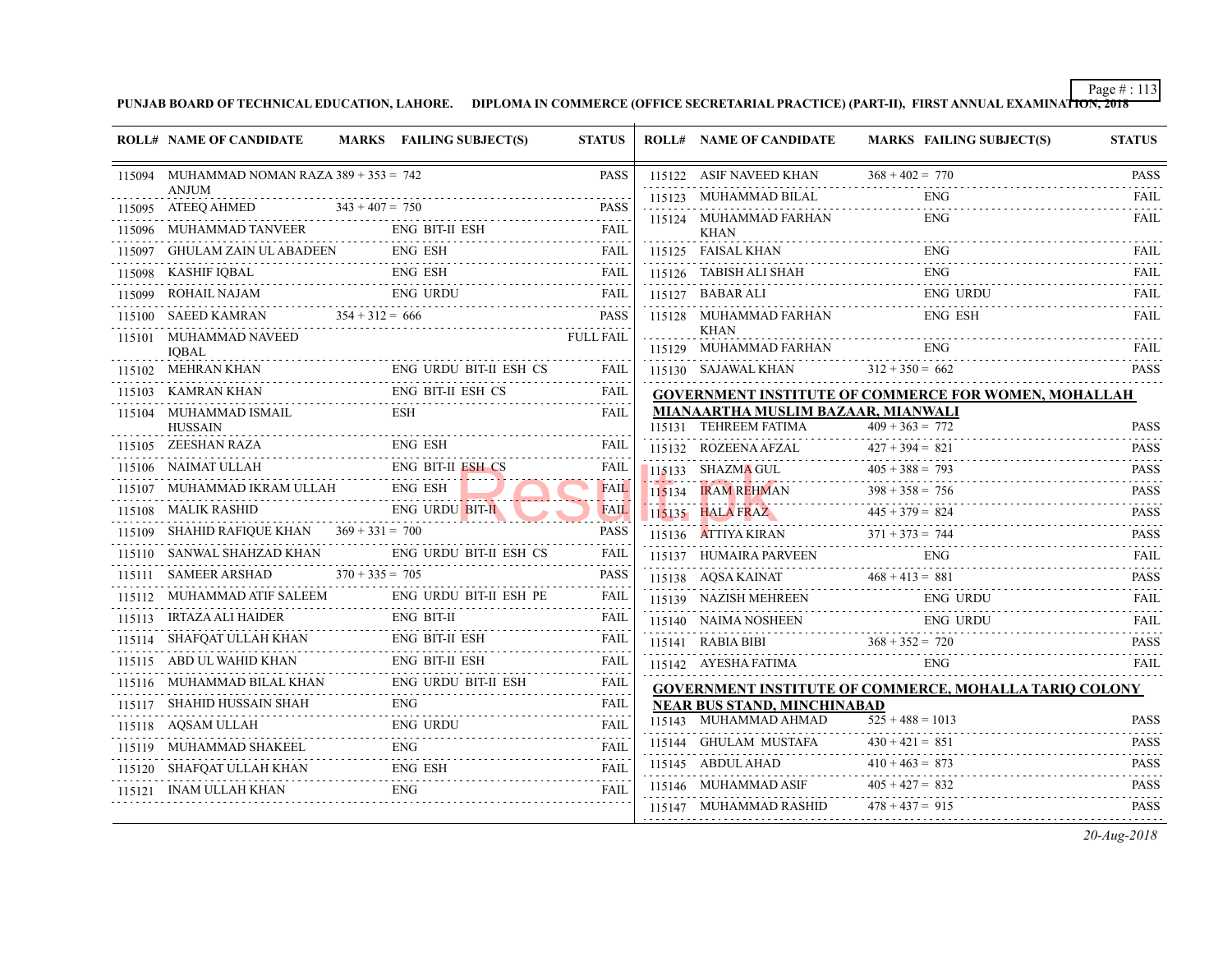| <b>ROLL# NAME OF CANDIDATE</b>                           | MARKS FAILING SUBJECT(S) | <b>STATUS</b>    | <b>ROLL# NAME OF CANDIDATE</b>                         | <b>MARKS FAIL</b>  |
|----------------------------------------------------------|--------------------------|------------------|--------------------------------------------------------|--------------------|
| 115094 MUHAMMAD NOMAN RAZA $389 + 353 = 742$             |                          | PASS             | 115122 ASIF NAVEED KHAN                                | $368 + 402 = 770$  |
| <b>ANJUM</b><br>115095 ATEEQ AHMED                       |                          |                  | 115123 MUHAMMAD BILAL                                  | <b>ENG</b>         |
|                                                          | $343 + 407 = 750$ PASS   |                  | 115124 MUHAMMAD FARHAN                                 | <b>ENG</b>         |
| 115096 MUHAMMAD TANVEER                                  |                          |                  | <b>KHAN</b>                                            |                    |
| 115097 GHULAM ZAIN ULABADEEN ENG ESH FAIL                |                          | FAIL             | 115125 FAISAL KHAN                                     | ENG.               |
| 115098 KASHIF IQBAL                                      | L ENG ESH FAIL           |                  | $115126 \quad \text{TABLEH ALI SHAH} \quad \text{ENW}$ | <b>ENG</b>         |
| 115099 ROHAIL NAJAM<br>115099 ROHAIL NAJAM ENG URDU FAIL |                          |                  | 115127 BABAR ALI                                       | <b>ENG</b>         |
| 115100 SAEED KAMRAN $354 + 312 = 666$                    | $354 + 312 = 666$ PASS   | <b>PASS</b>      | 115128 MUHAMMAD FARHAN<br><b>KHAN</b>                  | <b>ENG</b>         |
| 115101 MUHAMMAD NAVEED<br><b>IOBAL</b>                   |                          | <b>FULL FAIL</b> | 115129 MUHAMMAD FARHAN                                 | <b>ENG</b>         |
| 115102 MEHRAN KHAN                                       | ENG URDU BIT-II ESH CS   | <b>FAIL</b>      | 115130 SAJAWAL KHAN                                    | $312 + 350 = 662$  |
| 115103 KAMRAN KHAN                                       | HAN ENG BIT-II ESH CS    | FAIL             | <b>GOVERNMENT INSTITUTE OF COMMERCE</b>                |                    |
| 115104 MUHAMMAD ISMAIL                                   | <b>ESH</b>               | FAIL             | MIANAARTHA MUSLIM BAZAAR, MIANWAL                      |                    |
| <b>HUSSAIN</b>                                           |                          |                  | 115131 TEHREEM FATIMA                                  | $409 + 363 = 772$  |
| 115105 ZEESHAN RAZA                                      | A ENG ESH FAIL           | FAIL             | 115132 ROZEENA AFZAL $427 + 394 =$                     | $427 + 394 = 821$  |
| H<br>----------------------<br>115106 NAIMAT ULLAH       | <b>ENG BIT-II ESH CS</b> | FAIL             | 115133 SHAZMA GUL $405 + 388 = 79$                     | $405 + 388 = 793$  |
| 115107 MUHAMMAD IKRAM ULLAH ENG ESH                      |                          | <b>FAIL</b>      | 115134 IRAM REHMAN $398 + 358 = 756$                   |                    |
| 115108 MALIK RASHID                                      | ENG URDU BIT-II          | <b>FAIL</b>      | 115135 HALA FRAZ 445 + 379 = 824                       |                    |
| 115109 SHAHID RAFIQUE KHAN $369 + 331 = 700$             |                          | <b>PASS</b>      | 115136 ATTIYA KIRAN $371 + 373 = 744$                  |                    |
| 115110 SANWAL SHAHZAD KHAN                               | ENG URDU BIT-II ESH CS   | FAIL             | 115137 HUMAIRA PARVEEN                                 | <b>ENG</b>         |
| 115111 SAMEER ARSHAD<br>$370 + 335 = 705$                |                          | <b>PASS</b>      | 115138 AQSA KAINAT $468 + 413 = 881$                   |                    |
| 115112 MUHAMMAD ATIF SALEEM ENG URDU BIT-II ESH PE       |                          | <b>FAIL</b>      | 115139 NAZISH MEHREEN ENG                              | <b>ENG</b>         |
|                                                          |                          | FAIL             | 115140 NAIMA NOSHEEN                                   | <b>ENG</b>         |
| 115114 SHAFQAT ULLAH KHAN                                | ENG BIT-II ESH           | FAIL             | 115141 RABIA BIBI $368 + 352 = 720$                    |                    |
| 115115 ABD UL WAHID KHAN                                 | ENG BIT-II ESH           | <b>FAIL</b>      | 115142 AYESHA FATIMA                                   | <b>ENG</b>         |
| 115116 MUHAMMAD BILAL KHAN<br>.                          | ENG URDU BIT-II ESH      | <b>FAIL</b>      | <b>GOVERNMENT INSTITUTE OF COMMERCE,</b>               |                    |
| 115117 SHAHID HUSSAIN SHAH                               | IN SHAH ENG FAIL         | FAIL             | <b>NEAR BUS STAND, MINCHINABAD</b>                     |                    |
| 115118 AQSAM ULLAH                                       | $ENG$ URDU               | <b>FAIL</b>      | 115143 MUHAMMAD AHMAD                                  | $525 + 488 = 1011$ |
| 115119 MUHAMMAD SHAKEEL ENG FAIL FAIL                    |                          |                  | 115144 GHULAM MUSTAFA                                  | $430 + 421 = 851$  |
| 115120 SHAFQAT ULLAH KHAN ENG ESH FAIL                   |                          | <b>FAIL</b>      | 115145 ABDUL AHAD                                      | $410 + 463 = 873$  |
| 115121 INAM ULLAH KHAN                                   | ENG-                     | <b>FAIL</b>      | 115146 MUHAMMAD ASIF                                   | $405 + 427 = 832$  |
|                                                          |                          |                  | 115147 MUHAMMAD RASHID                                 | $478 + 437 = 915$  |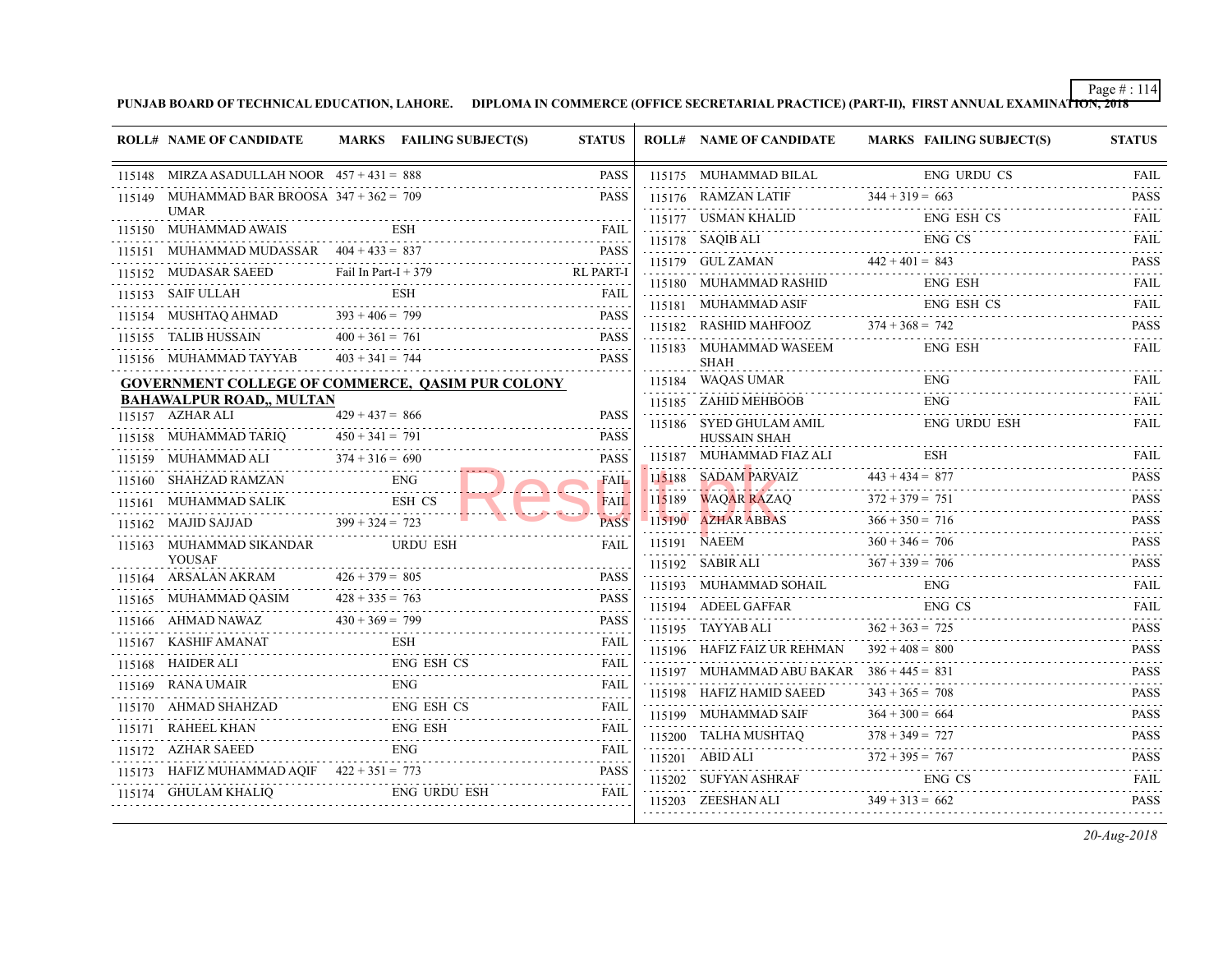| <b>ROLL# NAME OF CANDIDATE</b>                                                                                                                           |                   | MARKS FAILING SUBJECT(S)            | <b>STATUS</b>    | <b>ROLL# NAME OF CANDIDATE</b>                                  | <b>MARKS FAIL</b> |
|----------------------------------------------------------------------------------------------------------------------------------------------------------|-------------------|-------------------------------------|------------------|-----------------------------------------------------------------|-------------------|
| 115148 MIRZA ASADULLAH NOOR $457 + 431 = 888$                                                                                                            |                   |                                     | <b>PASS</b>      | 115175 MUHAMMAD BILAL                                           | <b>ENG</b>        |
| 115149 MUHAMMAD BAR BROOSA $347 + 362 = 709$                                                                                                             |                   |                                     | <b>PASS</b>      | 115176 RAMZAN LATIF $344 + 319 = 663$                           |                   |
| <b>UMAR</b><br>115150 MUHAMMAD AWAIS ESH                                                                                                                 |                   |                                     |                  |                                                                 | <b>ENG</b>        |
| 115151 MUHAMMAD MUDASSAR $404 + 433 = 837$                                                                                                               |                   |                                     | <b>PASS</b>      |                                                                 | <b>ENG</b>        |
| 115151 MUHAMMAD MUDASSAR $404 + 433 = 837$ PASS                                                                                                          |                   |                                     |                  | 115179 GUL ZAMAN $442 + 401 = 843$                              |                   |
| 115152 MUDASAR SAEED Fail In Part-I + 379 RL PART-I                                                                                                      |                   |                                     |                  | 115180 MUHAMMAD RASHID                                          | ENG I             |
| 115154 MUSHTAQ AHMAD $393 + 406 = 799$                                                                                                                   |                   |                                     | <b>PASS</b>      | 115181 MUHAMMAD ASIF                                            | <b>ENG</b>        |
| 115155 TALIB HUSSAIN $400 + 361 = 761$                                                                                                                   |                   | $\text{MAD}$ $393 + 406 = 799$ PASS |                  | 115182 RASHID MAHFOOZ $374 + 368 = 742$                         |                   |
| 115156 MUHAMMAD TAYYAB $403 + 341 = 744$                                                                                                                 |                   | HUSSAIN $400 + 361 = 761$ PASS      | <b>PASS</b>      | 115183 MUHAMMAD WASEEM<br>SHAH                                  | <b>ENG</b>        |
| <b>GOVERNMENT COLLEGE OF COMMERCE, OASIM PUR COLONY</b>                                                                                                  |                   |                                     |                  |                                                                 | <b>ENG</b>        |
| <b>BAHAWALPUR ROAD,, MULTAN</b>                                                                                                                          |                   |                                     |                  | 115185 ZAHID MEHBOOB                                            | ENG               |
| 115157 AZHAR ALI                                                                                                                                         | $429 + 437 = 866$ | $429 + 437 = 866$ PASS              | <b>PASS</b>      | 115186 SYED GHULAM AMIL                                         | ENG I             |
| 115158 MUHAMMAD TARIQ $450 + 341 = 791$                                                                                                                  |                   |                                     | <b>PASS</b>      | HUSSAIN SHAH                                                    |                   |
| 115159 MUHAMMAD ALI $374 + 316 = 690$                                                                                                                    |                   |                                     | <b>PASS</b>      | 115187 MUHAMMAD FIAZ ALI                                        | ESH               |
| 115160 SHAHZAD RAMZAN ENG                                                                                                                                |                   |                                     | <b>FAIL</b><br>. | $115188$ SADAM PARVAIZ $443 + 434 = 877$                        |                   |
| 115161 MUHAMMAD SALIK ESH CS<br>115162 MAJID SAJJAD 399 + 324 = 723<br>115162 MAJID SAJJAD 399 + 324 = 723                                               |                   | <u>and the se</u>                   | <b>FAIL</b>      | 115189 WAQAR RAZAQ 372 + 379 = 751                              |                   |
|                                                                                                                                                          |                   |                                     | <b>PASS</b>      | 115190 AZHAR ABBAS $366 + 350 = 716$                            |                   |
| 115163 MUHAMMAD SIKANDAR URDU ESH<br><b>YOUSAF</b>                                                                                                       |                   |                                     | FAIL             | 115191 NAEEM $360 + 346 = 706$                                  |                   |
| 115164 ARSALAN AKRAM $426 + 379 = 805$                                                                                                                   |                   | M $426 + 379 = 805$ PASS            | <b>PASS</b>      | 115192 SABIR ALI $367 + 339 = 706$                              |                   |
| 115165 MUHAMMAD QASIM $428 + 335 = 763$ PASS                                                                                                             |                   |                                     |                  | 115193 MUHAMMAD SOHAIL ENG                                      | ENG               |
| 115166 AHMAD NAWAZ $430 + 369 = 799$ PASS                                                                                                                |                   |                                     | <b>PASS</b>      | 115194 ADEEL GAFFAR ENC                                         | <b>ENG</b>        |
| $\begin{tabular}{ll} 115167 & KASHIF AMANAT & ESH & FAIL \\ \hline \end{tabular} \begin{tabular}{ll} \multicolumn{3}{l}{} & ESH & FAIL \\ \end{tabular}$ |                   |                                     | FAIL             | 115195 TAYYAB ALI $362 + 363 = 725$                             |                   |
| 115168 HAIDER ALI                                                                                                                                        |                   | ERALI ENG ESH CS FAIL               |                  | 115196 HAFIZ FAIZ UR REHMAN $392 + 408 = 800$                   |                   |
| 115169 RANA UMAIR ENG FAIL                                                                                                                               |                   |                                     |                  | 115197 MUHAMMAD ABU BAKAR $386 + 445 = 831$                     |                   |
| $\begin{tabular}{lllllllll} \bf 115170 & AHMAD SHAHZAD & \textbf{ENG ESH CS} & \textbf{FAIL} \\ \hline \end{tabular}$                                    |                   |                                     |                  | 115198 HAFIZ HAMID SAEED                                        | $343 + 365 = 708$ |
| 115171 RAHEEL KHAN ENG ESH FAIL                                                                                                                          |                   |                                     | FAIL             | 115199 MUHAMMAD SAIF $364 + 300 = 664$                          |                   |
| 115172 AZHAR SAEED ENG FAIL                                                                                                                              |                   |                                     |                  | 115200 TALHA MUSHTAQ $378 + 349 = 727$                          |                   |
| 115173 HAFIZ MUHAMMAD AQIF $422 + 351 = 773$ PASS                                                                                                        |                   |                                     | <b>PASS</b>      | 115201 ABID ALI $372 + 395 = 767$                               |                   |
| 115174 GHULAM KHALIQ ENG URDU ESH FAIL                                                                                                                   |                   |                                     | FAIL             | 115202 SUFYAN ASHRAF EN<br>115203 ZEESHAN ALI $349 + 313 = 662$ | <b>ENG</b>        |
|                                                                                                                                                          |                   |                                     |                  |                                                                 |                   |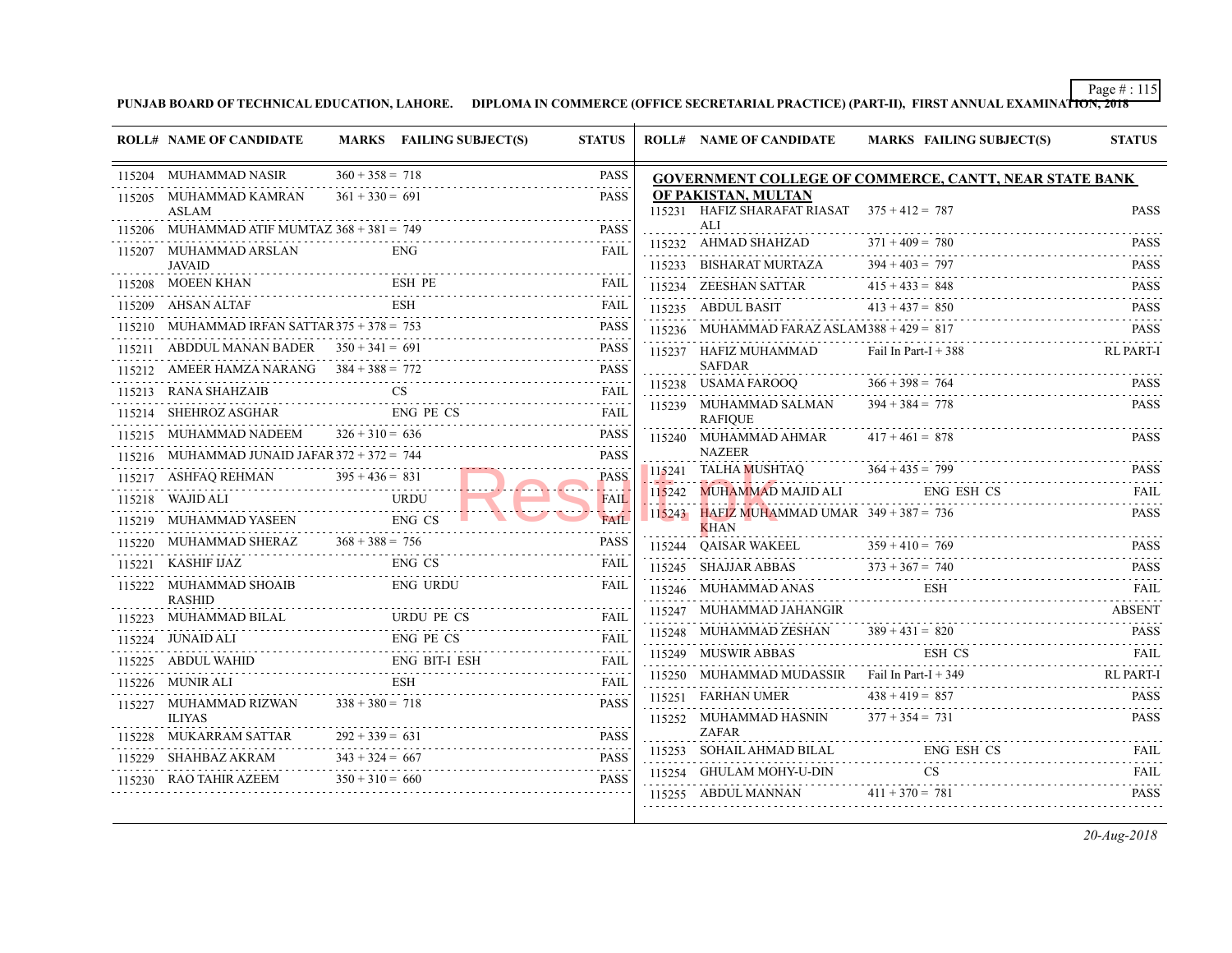|        | <b>ROLL# NAME OF CANDIDATE</b>                                                                                                                  |                   | MARKS FAILING SUBJECT(S)        | <b>STATUS</b>    | <b>ROLL# NAME OF CANDIDATE</b>                                                   | <b>MARKS FAIL</b>    |
|--------|-------------------------------------------------------------------------------------------------------------------------------------------------|-------------------|---------------------------------|------------------|----------------------------------------------------------------------------------|----------------------|
|        | 115204 MUHAMMAD NASIR                                                                                                                           | $360 + 358 = 718$ |                                 | <b>PASS</b>      | <b>GOVERNMENT COLLEGE OF COMMERCE, 0</b>                                         |                      |
|        | 115205 MUHAMMAD KAMRAN<br>ASLAM                                                                                                                 | $361 + 330 = 691$ |                                 | <b>PASS</b>      | OF PAKISTAN, MULTAN<br>115231 HAFIZ SHARAFAT RIASAT $375 + 412 = 787$            |                      |
|        | 115206 MUHAMMAD ATIF MUMTAZ $368 + 381 = 749$                                                                                                   |                   |                                 | <b>PASS</b>      | ALI                                                                              |                      |
|        | 115207 MUHAMMAD ARSLAN<br><b>JAVAID</b>                                                                                                         |                   | ENG.                            | FAIL             | 115232 AHMAD SHAHZAD<br>115233 BISHARAT MURTAZA $394 + 403 = 797$                | $371 + 409 = 780$    |
|        | 115208 MOEEN KHAN                                                                                                                               |                   | N ESH PE                        | FAIL             | 115234 ZEESHAN SATTAR $415 + 433 = 848$                                          |                      |
|        | 115209 AHSAN ALTAF                                                                                                                              |                   | <b>ESH</b>                      |                  | 115235 ABDUL BASIT 413 + 437 = 850                                               |                      |
|        | 115210 MUHAMMAD IRFAN SATTAR 375 + 378 = 753                                                                                                    |                   |                                 | PASS             | 115236 MUHAMMAD FARAZ ASLAM388 + 429 = $817$                                     |                      |
|        | 115211 ABDDUL MANAN BADER $350 + 341 = 691$                                                                                                     |                   |                                 | <b>PASS</b>      | 115237 HAFIZ MUHAMMAD                                                            | Fail In Part-I + $3$ |
|        | 115212 AMEER HAMZA NARANG $384 + 388 = 772$                                                                                                     |                   |                                 | <b>PASS</b>      | <b>SAFDAR</b>                                                                    |                      |
|        | 115213 RANA SHAHZAIB                                                                                                                            |                   | AHZAIB CS FAIL                  |                  | 115238 USAMA FAROOQ                                                              | $366 + 398 = 764$    |
|        | 115214 SHEHROZ ASGHAR ENG PE CS FAIL                                                                                                            |                   |                                 |                  | 115239 MUHAMMAD SALMAN<br><b>RAFIOUE</b>                                         | $394 + 384 = 778$    |
|        | 115215 MUHAMMAD NADEEM $326 + 310 = 636$                                                                                                        |                   | MAD NADEEM 326 + 310 = 636 PASS | <b>PASS</b>      | 115240 MUHAMMAD AHMAR                                                            | $417 + 461 = 878$    |
|        | 115216 MUHAMMAD JUNAID JAFAR $372 + 372 = 744$                                                                                                  |                   |                                 | PASS             | NAZEER                                                                           |                      |
|        | 115217 ASHFAQ REHMAN $395 + 436 = 831$                                                                                                          |                   |                                 | <b>PASS</b>      | $115241$ TALHA MUSHTAQ $364 + 435 = 799$                                         |                      |
|        | $\begin{minipage}{0.9\linewidth} \begin{tabular}{l} \hline 115218 & \text{WAJID ALL} \end{tabular} & \text{URDU} \end{minipage} \end{minipage}$ |                   | $\sim$ and $\sim$               | .<br><b>FAIL</b> | 115242 MUHAMMAD MAJID ALI                                                        | ENG I                |
|        | 115219 MUHAMMAD YASEEN                                                                                                                          |                   | ENG CS                          | <b>FAIL</b>      | 115243 HAFIZ MUHAMMAD UMAR $349 + 387 = 736$<br><b>KHAN</b>                      |                      |
|        | 115220 MUHAMMAD SHERAZ $368 + 388 = 756$ PASS                                                                                                   |                   |                                 |                  | 115244 QAISAR WAKEEL $359 + 410 = 769$                                           |                      |
|        | 115221 KASHIF IJAZ                                                                                                                              |                   | ENG CS<br>AZ ENG CS             | FAIL             | 115245 SHAJJAR ABBAS $373 + 367 = 740$                                           |                      |
|        | 115222 MUHAMMAD SHOAIB<br><b>RASHID</b>                                                                                                         | .                 | <b>ENG URDU</b>                 | FAIL             | 115246 MUHAMMAD ANAS                                                             | ESH                  |
|        | 115223 MUHAMMAD BILAL URDU PE CS FAIL                                                                                                           |                   |                                 |                  | 115247 MUHAMMAD JAHANGIR                                                         |                      |
|        | 115224 JUNAID ALI ENG PE CS FAIL<br>115224 JUNAID ALI                                                                                           |                   | ENG PE CS                       |                  | 115248 MUHAMMAD ZESHAN $389 + 431 = 820$                                         |                      |
|        | 115225 ABDUL WAHID ENG BIT-I ESH                                                                                                                |                   |                                 | FAIL             | 115249 MUSWIR ABBAS                                                              | ESH                  |
|        | 115226 MUNIR ALI                                                                                                                                |                   | <b>ESH</b>                      |                  | 115250 MUHAMMAD MUDASSIR Fail In Part-I + 3                                      |                      |
|        | 115227 MUHAMMAD RIZWAN $338 + 380 = 718$<br><b>ILIYAS</b>                                                                                       |                   |                                 | <b>PASS</b>      | 115251 FARHAN UMER $438 + 419 = 857$<br>115252 MUHAMMAD HASNIN $377 + 354 = 731$ |                      |
| 115228 | MUKARRAM SATTAR $292 + 339 = 631$                                                                                                               |                   | SATTAR $292 + 339 = 631$ PASS   |                  | <b>ZAFAR</b>                                                                     |                      |
|        | 115229 SHAHBAZ AKRAM $343 + 324 = 667$<br>115229 SHAHBAZ AKRAM $343 + 324 = 667$ PASS                                                           |                   |                                 | <b>PASS</b>      | 115253 SOHAIL AHMAD BILAL                                                        | ENG                  |
|        | 115230 RAO TAHIR AZEEM                                                                                                                          | $350 + 310 = 660$ |                                 | <b>PASS</b>      | 115254 GHULAM MOHY-U-DIN                                                         | CS.                  |
|        |                                                                                                                                                 |                   |                                 |                  | 115255 ABDUL MANNAN $411 + 370 = 781$                                            |                      |
|        |                                                                                                                                                 |                   |                                 |                  |                                                                                  |                      |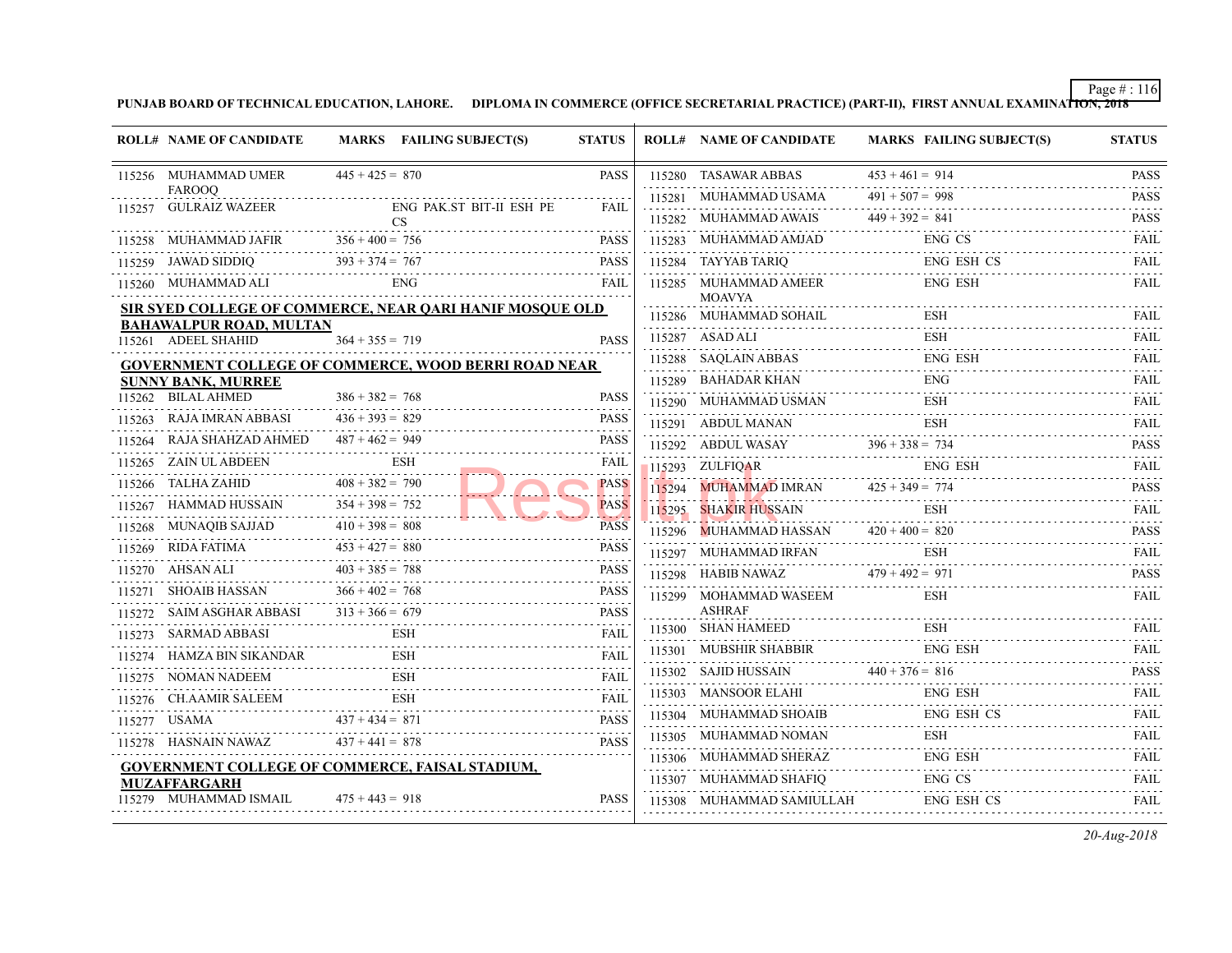| <b>ROLL# NAME OF CANDIDATE</b>                                                                 |                   | MARKS FAILING SUBJECT(S)                                                                       | <b>STATUS</b>    | <b>ROLL# NAME OF CANDIDATE</b>                               | <b>MARKS FAIL</b>      |
|------------------------------------------------------------------------------------------------|-------------------|------------------------------------------------------------------------------------------------|------------------|--------------------------------------------------------------|------------------------|
| 115256 MUHAMMAD UMER                                                                           | $445 + 425 = 870$ |                                                                                                | <b>PASS</b>      | 115280 TASAWAR ABBAS                                         | $453 + 461 = 914$<br>. |
| <b>FAROOQ</b><br>115257 GULRAIZ WAZEER                                                         |                   | ENG PAK ST BIT-II ESH PE                                                                       | FAIL             | 115281 MUHAMMAD USAMA                                        | $491 + 507 = 998$      |
|                                                                                                |                   | CS                                                                                             |                  | 115282 MUHAMMAD AWAIS $449 + 392 = 841$                      |                        |
|                                                                                                |                   | 115258 MUHAMMAD JAFIR $356 + 400 = 756$ PASS                                                   |                  | 115283 MUHAMMAD AMJAD                                        | ENG.                   |
|                                                                                                |                   | 115259 JAWAD SIDDIQ 393 + 374 = 767 PASS                                                       | <b>PASS</b>      | 115284 TAYYAB TARIQ                                          | <b>ENG</b>             |
|                                                                                                |                   | 115260 MUHAMMAD ALI ENG FAIL                                                                   |                  | 115285 MUHAMMAD AMEER                                        | ENG I                  |
|                                                                                                |                   | SIR SYED COLLEGE OF COMMERCE, NEAR OARI HANIF MOSOUE OLD                                       |                  | <b>MOAVYA</b>                                                | ESH                    |
| <b>BAHAWALPUR ROAD, MULTAN</b>                                                                 |                   |                                                                                                |                  | 115286 MUHAMMAD SOHAIL ESF<br>115287 ASAD ALI                | ESH                    |
| 115261 ADEEL SHAHID                                                                            | $364 + 355 = 719$ |                                                                                                | <b>PASS</b>      | 115287 ASAD ALI ESH                                          | ENG I                  |
| <b>SUNNY BANK, MURREE</b>                                                                      |                   | <b>GOVERNMENT COLLEGE OF COMMERCE, WOOD BERRI ROAD NEAR</b>                                    |                  | $115288$ SAQLAIN ABBAS                                       | <b>ENG</b>             |
| 115262 BILAL AHMED                                                                             | $386 + 382 = 768$ |                                                                                                | <b>PASS</b>      | 115290 MUHAMMAD USMAN                                        | ESH                    |
| 115263 RAJA IMRAN ABBASI $436 + 393 = 829$                                                     |                   |                                                                                                | <b>PASS</b>      |                                                              | ESH                    |
| 115264 RAJA SHAHZAD AHMED $487 + 462 = 949$                                                    |                   |                                                                                                | <b>PASS</b>      | $115291$ ABDUL MANAN<br>115292 ABDUL WASAY $396 + 338 = 734$ |                        |
| $\underbrace{\text{115265}\quad \text{ZAIN ULABDEEN}\qquad \qquad \text{ESH}}_{\text{115265}}$ |                   |                                                                                                | FAIL             | 115293 ZULFIQAR                                              | <b>ENG</b>             |
| 115266 TALHA ZAHID $408 + 382 = 790$                                                           |                   |                                                                                                | <b>PASS</b>      | 115294 MUHAMMAD IMRAN $425 + 349 = 774$                      |                        |
|                                                                                                |                   | 115267 HAMMAD HUSSAIN $354 + 398 = 752$                                                        | <b>PASS</b>      | 115295 SHAKIR HUSSAIN                                        | <b>ESH</b>             |
|                                                                                                |                   | 115268 MUNAQIB SAJJAD $410 + 398 = 808$                                                        | <b>PASS</b>      | 115296 MUHAMMAD HASSAN $420 + 400 = 820$                     |                        |
| 115269 RIDA FATIMA $453 + 427 = 880$                                                           |                   |                                                                                                | <b>PASS</b>      | 115297 MUHAMMAD IRFAN                                        | ESH                    |
| 115270 AHSAN ALI $403 + 385 = 788$                                                             |                   |                                                                                                | PASS             | 115298 HABIB NAWAZ $479 + 492 = 971$                         |                        |
| 115271 SHOAIB HASSAN $366 + 402 = 768$                                                         |                   |                                                                                                | PASS<br>.        | 115299 MOHAMMAD WASEEM                                       | ESH                    |
| 115272 SAIM ASGHAR ABBASI $313 + 366 = 679$                                                    |                   |                                                                                                | <b>PASS</b>      | <b>ASHRAF</b>                                                |                        |
| 115273 SARMAD ABBASI                                                                           |                   |                                                                                                | <b>FAIL</b>      | 115300 SHAN HAMEED                                           | ESH                    |
|                                                                                                |                   | 115274 HAMZA BIN SIKANDAR ESH FAIL                                                             |                  | 115301 MUBSHIR SHABBIR                                       | <b>ENG</b>             |
| 115275 NOMAN NADEEM                                                                            |                   |                                                                                                |                  | 115302 SAJID HUSSAIN $440 + 376 = 816$                       |                        |
|                                                                                                |                   | $\begin{tabular}{lllllllll} \bf 115276 & CH.AAMIR SALEEM & ESH & FAIL \\ \hline \end{tabular}$ | <b>FAIL</b>      | 115303 MANSOOR ELAHI                                         | ENG I                  |
| 115277 USAMA $437 + 434 = 871$                                                                 |                   |                                                                                                | <b>PASS</b>      | 115304 MUHAMMAD SHOAIB                                       | <b>ENG</b>             |
| 115278 HASNAIN NAWAZ $437 + 441 = 878$                                                         |                   |                                                                                                | .<br><b>PASS</b> | 115305 MUHAMMAD NOMAN                                        | ESH                    |
| <b>GOVERNMENT COLLEGE OF COMMERCE, FAISAL STADIUM,</b>                                         |                   |                                                                                                |                  | 115306 MUHAMMAD SHERAZ                                       | <b>ENG</b>             |
| <b>MUZAFFARGARH</b>                                                                            |                   |                                                                                                |                  | 115307 MUHAMMAD SHAFIO                                       | <b>ENG</b>             |
| 115279 MUHAMMAD ISMAIL                                                                         | $475 + 443 = 918$ |                                                                                                | <b>PASS</b>      | 115308 MUHAMMAD SAMIULLAH                                    | <b>ENG</b>             |
|                                                                                                |                   |                                                                                                |                  |                                                              |                        |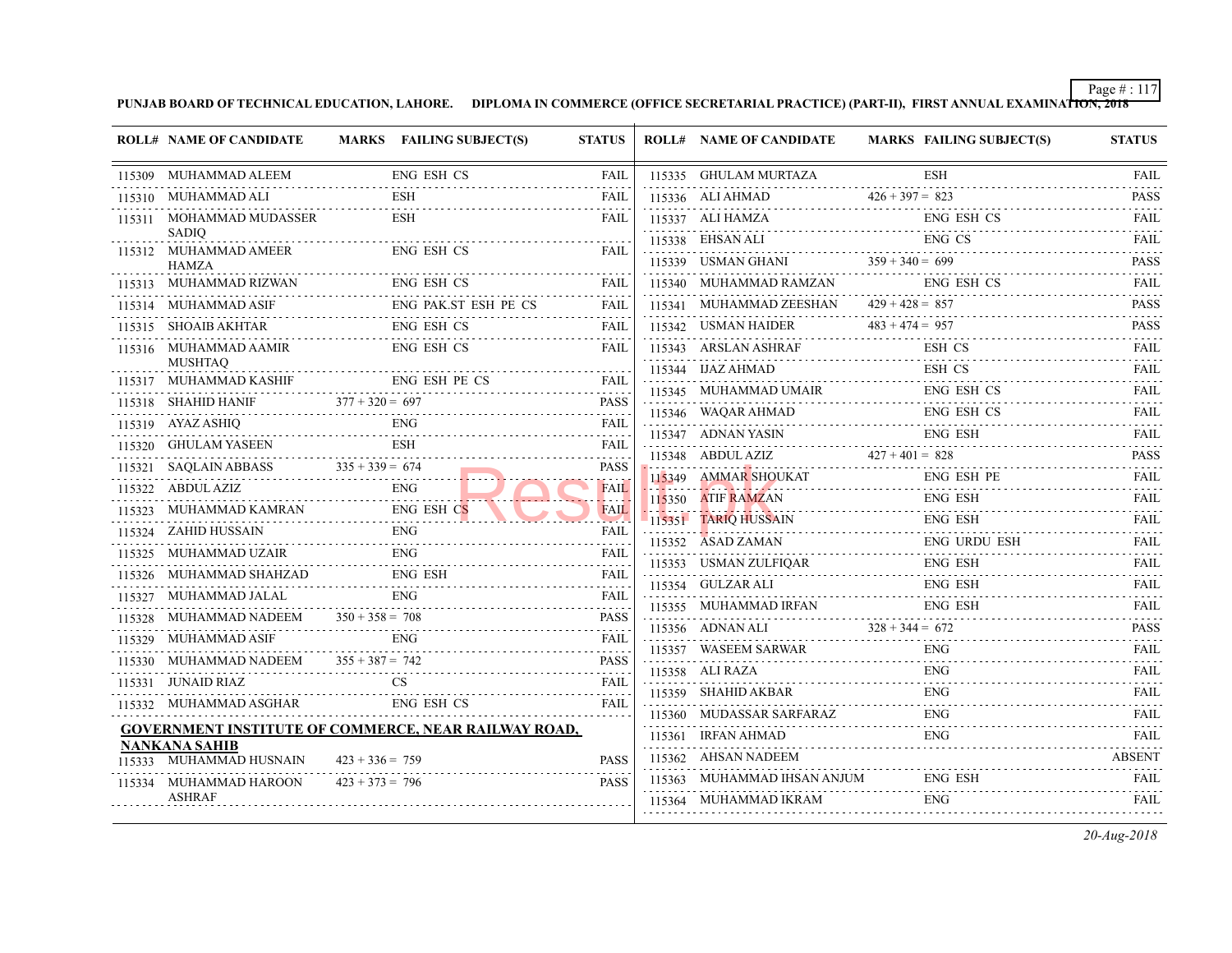|        | <b>ROLL# NAME OF CANDIDATE</b>                                                                                                              | MARKS FAILING SUBJECT(S)                                            | <b>STATUS</b>                 |                  | <b>ROLL# NAME OF CANDIDATE</b>             | <b>MARKS FAIL</b>                       |
|--------|---------------------------------------------------------------------------------------------------------------------------------------------|---------------------------------------------------------------------|-------------------------------|------------------|--------------------------------------------|-----------------------------------------|
|        | 115309 MUHAMMAD ALEEM                                                                                                                       | ENG ESH CS<br>LEEM ENG ESH CS                                       |                               | FAIL             | 115335 GHULAM MURTAZA                      | ESH                                     |
|        | 115310 MUHAMMAD ALI                                                                                                                         | ESH                                                                 |                               | FAIL             | 115336 ALI AHMAD                           | AD $426 + 397 = 823$                    |
|        | 115311 MOHAMMAD MUDASSER                                                                                                                    | ESH                                                                 |                               | <b>FAIL</b>      | 115337 ALI HAMZA ENC                       | <b>ENG</b>                              |
|        | <b>SADIO</b><br>115312 MUHAMMAD AMEER                                                                                                       | ENG ESH CS                                                          |                               | FAIL             | 115338 EHSAN ALI                           | <b>ENG</b><br>.                         |
|        | <b>HAMZA</b>                                                                                                                                |                                                                     |                               |                  | 115339 USMAN GHANI $359 + 340 = 699$       |                                         |
|        | 115313 MUHAMMAD RIZWAN                                                                                                                      |                                                                     |                               | FAII.            | 115340 MUHAMMAD RAMZAN                     | ENG I                                   |
|        | 115314 MUHAMMAD ASIF                                                                                                                        |                                                                     |                               |                  | 115341 MUHAMMAD ZEESHAN $429 + 428 = 857$  |                                         |
|        | 115315 SHOAIB AKHTAR                                                                                                                        | R EN<br>ENG ESH CS                                                  |                               | FAIL             | 115342 USMAN HAIDER $483 + 474 = 957$      |                                         |
|        | 115316 MUHAMMAD AAMIR                                                                                                                       | ENG ESH CS                                                          |                               | FAIL             | 115343 ARSLAN ASHRAF                       | ESH                                     |
|        | <b>MUSHTAO</b>                                                                                                                              |                                                                     |                               |                  | 115344 IJAZ AHMAD                          | ESH                                     |
|        | 115318 SHAHID HANIF                                                                                                                         |                                                                     |                               | <b>PASS</b>      | 115345 MUHAMMAD UMAIR                      | <b>ENG</b>                              |
|        | 115318 SHAHID HANIF $377 + 320 = 697$ PASS<br>$115319$ AYAZ ASHIQ                                                                           | ENG                                                                 |                               | FAIL             | 115346 WAQAR AHMAD                         | $\mathbb{R}^{\mathsf{N}}$<br><b>ENG</b> |
|        | 115320 GHULAM YASEEN                                                                                                                        | ESH                                                                 |                               |                  | 115347 ADNAN YASIN ENC                     | <b>ENG</b>                              |
|        |                                                                                                                                             |                                                                     | ESH FAIL                      | <b>PASS</b>      | 115348 ABDULAZIZ $427 + 401 = 828$         |                                         |
|        | 115321 SAQLAIN ABBASS $335 + 339 = 674$<br>115322 ABDUL AZIZ                                                                                | <b>ENG</b>                                                          |                               | <b>FAIL</b>      | 115349 AMMAR SHOUKAT                       | <b>ENG</b>                              |
|        |                                                                                                                                             |                                                                     |                               | .<br><b>FAIL</b> | 115350 ATIF RAMZAN                         | ENG.                                    |
|        | 115323 MUHAMMAD KAMRAN ENG ESH CS<br>115324 ZAHID HUSSAIN                                                                                   |                                                                     |                               |                  | 115351 TARIQ HUSSAIN                       | <b>ENG</b>                              |
|        | $\begin{tabular}{lllllllll} \bf 115324 & ZAHID HUSSAIN & \textbf{ENG} & \textbf{FAIL} \\ \hline \bf \end{tabular}$<br>115325 MUHAMMAD UZAIR | ENG                                                                 |                               | FAIL             | 115352 ASAD ZAMAN                          | <b>ENG</b>                              |
|        |                                                                                                                                             | 2<br>------------------                                             |                               |                  |                                            | ENG I                                   |
| 115327 | 115326 MUHAMMAD SHAHZAD ENG ESH FAIL<br>MUHAMMAD JALAL                                                                                      | <b>ENG</b>                                                          |                               |                  | 115354 GULZAR ALI<br>115354 GULZAR ALI ENG | <b>ENG</b>                              |
| 115328 | MUHAMMAD NADEEM $350 + 358 = 708$                                                                                                           |                                                                     | L ENG FAIL                    | <b>PASS</b>      | 115355 MUHAMMAD IRFAN                      | <b>ENG</b>                              |
|        | 115329 MUHAMMAD ASIF                                                                                                                        |                                                                     | NADEEM 350+358 = 708 PASS     | FAIL             | 115356 ADNAN ALI $328 + 344 = 672$         |                                         |
|        | 115330 MUHAMMAD NADEEM $355 + 387 = 742$                                                                                                    |                                                                     | D NADEEM 355 + 387 = 742 PASS |                  | 115357 WASEEM SARWAR                       | <b>ENG</b>                              |
|        | 115331 JUNAID RIAZ                                                                                                                          |                                                                     |                               | FAII.            | $115358$ ALI RAZA ENC                      | <b>ENG</b>                              |
|        | 115332 MUHAMMAD ASGHAR                                                                                                                      | $\overline{A}Z$ CS continuous contract $\overline{C}$<br>ENG ESH CS | a a a a al                    | FAIL             | $115359$ SHAHID AKBAR                      | <b>ENG</b>                              |
|        | <b>GOVERNMENT INSTITUTE OF COMMERCE, NEAR RAILWAY ROAD,</b>                                                                                 |                                                                     |                               |                  | 115360 MUDASSAR SARFARAZ EN                | <b>ENG</b>                              |
|        | <b>NANKANA SAHIB</b>                                                                                                                        |                                                                     |                               |                  | 115361 IRFAN AHMAD                         | <b>ENG</b>                              |
|        | 115333 MUHAMMAD HUSNAIN                                                                                                                     | $423 + 336 = 759$                                                   |                               | <b>PASS</b>      | 115362 AHSAN NADEEM                        |                                         |
|        | 115334 MUHAMMAD HAROON                                                                                                                      | $423 + 373 = 796$                                                   |                               | <b>PASS</b>      | 115363 MUHAMMAD IHSAN ANJUM                | <b>ENG</b>                              |
|        | <b>ASHRAF</b>                                                                                                                               |                                                                     |                               |                  | 115364 MUHAMMAD IKRAM                      | <b>ENG</b>                              |
|        |                                                                                                                                             |                                                                     |                               |                  |                                            |                                         |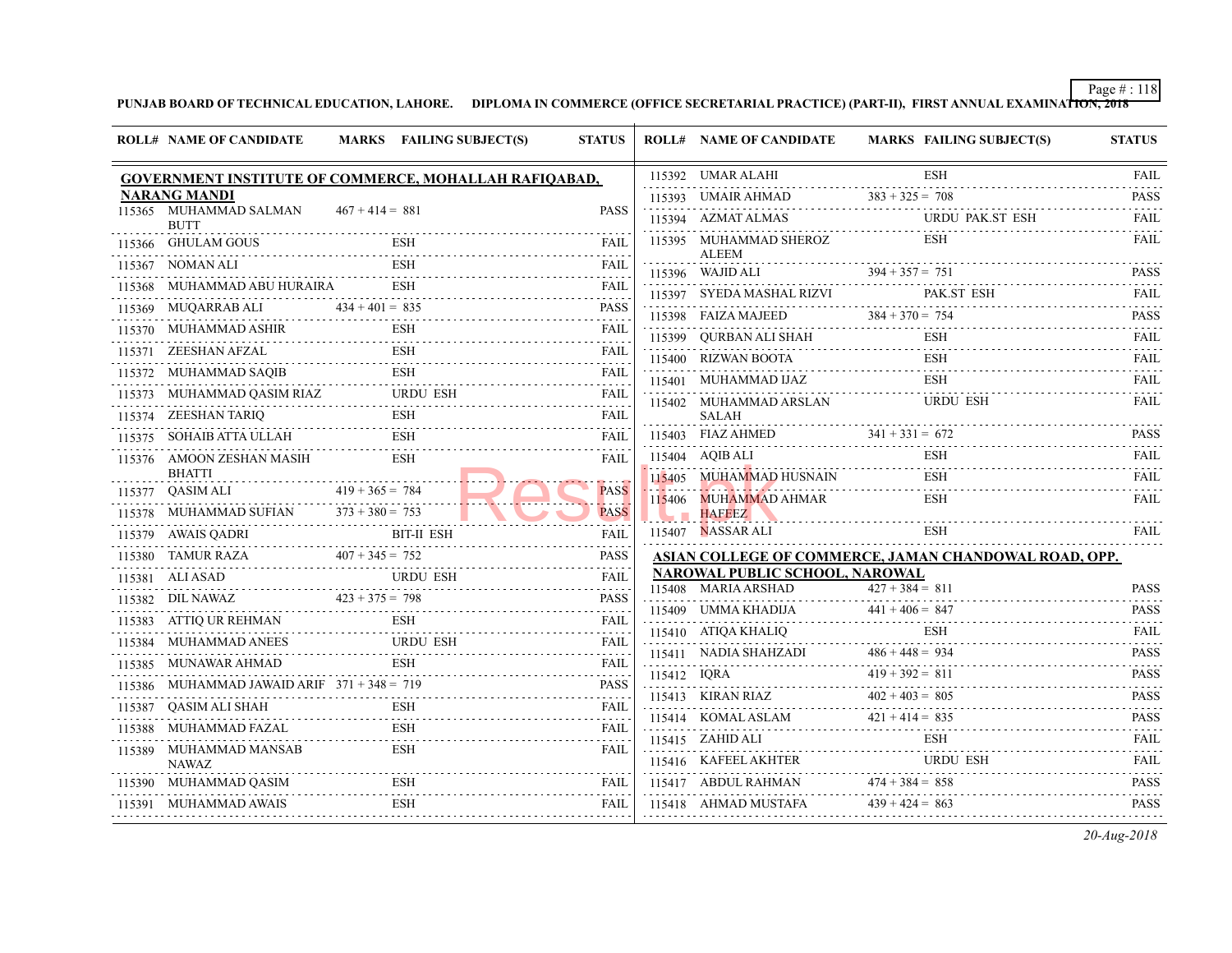|  | <b>ROLL# NAME OF CANDIDATE</b>                             | MARKS FAILING SUBJECT(S)                                                                                                                                                          | <b>STATUS</b>    |               | <b>ROLL# NAME OF CANDIDATE</b>                                                     | <b>MARKS FAIL</b> |
|--|------------------------------------------------------------|-----------------------------------------------------------------------------------------------------------------------------------------------------------------------------------|------------------|---------------|------------------------------------------------------------------------------------|-------------------|
|  |                                                            | <b>GOVERNMENT INSTITUTE OF COMMERCE, MOHALLAH RAFIQABAD,</b>                                                                                                                      |                  |               | 115392 UMAR ALAHI                                                                  | <b>ESH</b>        |
|  | <b>NARANG MANDI</b>                                        |                                                                                                                                                                                   |                  |               | 115393 UMAIR AHMAD $383 + 325 = 708$                                               |                   |
|  | 115365 MUHAMMAD SALMAN<br><b>BUTT</b>                      | $467 + 414 = 881$                                                                                                                                                                 | <b>PASS</b>      |               | 115394 AZMAT ALMAS                                                                 | <b>URD</b>        |
|  | 115366 GHULAM GOUS                                         | OUS ESH FAIL                                                                                                                                                                      |                  |               | 115395 MUHAMMAD SHEROZ<br>ALEEM                                                    | <b>ESH</b>        |
|  | 115367 NOMAN ALI                                           | $\underbrace{\text{FSH}} \qquad \qquad \text{FAIL} \qquad \qquad \text{FAIL} \qquad \qquad \text{FAIL}$                                                                           |                  |               |                                                                                    |                   |
|  |                                                            |                                                                                                                                                                                   |                  |               | 115396 WAJID ALI $394 + 357 = 751$                                                 | PAK.              |
|  |                                                            | 115368 MUHAMMAD ABU HURAIRA ESH<br>115369 MUQARRAB ALI 434 + 401 = 835 PASS<br>115369 MUQARRAB ALI 434 + 401 = 835                                                                |                  |               | 115397 SYEDA MASHAL RIZVI PAK                                                      |                   |
|  |                                                            | 115370 MUHAMMAD ASHIR ESH FAIL                                                                                                                                                    | FAIL             |               | 115398 FAIZA MAJEED $384 + 370 = 754$                                              | ESH               |
|  | 115371 ZEESHAN AFZAL                                       | L ESH FAIL                                                                                                                                                                        |                  |               | 115399 QURBAN ALI SHAH ESH                                                         | ESH               |
|  | 115372 MUHAMMAD SAQIB                                      | ESH FAIL                                                                                                                                                                          | FAIL             |               | 115400 RIZWAN BOOTA ES                                                             | ESH               |
|  |                                                            | 115373 MUHAMMAD QASIM RIAZ URDU ESH FAIL                                                                                                                                          |                  |               | $115401$ MUHAMMAD IJAZ<br>115402 MUHAMMAD ARSLAN                                   | <b>URD</b>        |
|  | 115374 ZEESHAN TARIQ                                       | 115374 ZEESHAN TARIQ ESH FAIL                                                                                                                                                     |                  |               | SALAH                                                                              |                   |
|  | 115375 SOHAIB ATTA ULLAH                                   | <b>ESH</b>                                                                                                                                                                        | FAIL             |               | 115403 FIAZ AHMED $341 + 331 = 672$                                                |                   |
|  | 115376 AMOON ZESHAN MASIH                                  | ESH                                                                                                                                                                               | <b>FAIL</b>      |               | 115404 AQIB ALI                                                                    | ESH               |
|  | <b>BHATTI</b>                                              |                                                                                                                                                                                   |                  |               | 115405 MUHAMMAD HUSNAIN ESH                                                        | ESH               |
|  | 115377 QASIM ALI<br>115378 MUHAMMAD SUFIAN 373 + 380 = 753 |                                                                                                                                                                                   | <b>PASS</b><br>. |               | 115406 MUHAMMAD AHMAR                                                              | ESH               |
|  |                                                            |                                                                                                                                                                                   | <b>PASS</b>      | $\sim$ $\sim$ | <b>HAFEEZ</b>                                                                      |                   |
|  |                                                            | 115379 AWAIS QADRI BIT-II ESH FAIL                                                                                                                                                |                  |               | 115407 NASSAR ALI                                                                  | ESH               |
|  |                                                            | 115380 TAMUR RAZA $407 + 345 = 752$ PASS                                                                                                                                          | <b>PASS</b>      |               | <b>ASIAN COLLEGE OF COMMERCE, JAMAN C</b>                                          |                   |
|  |                                                            |                                                                                                                                                                                   |                  |               | NAROWAL PUBLIC SCHOOL, NAROWAL<br>115408 MARIA ARSHAD $\overline{427 + 384} = 811$ |                   |
|  |                                                            | 115382 DIL NAWAZ $423 + 375 = 798$ PASS PASS                                                                                                                                      |                  |               |                                                                                    |                   |
|  |                                                            | $\begin{tabular}{ll} 115383 & ATTIQ UR REHMAN & ESH & FAIL \\ \hline \end{tabular} \begin{tabular}{ll} \multicolumn{3}{l}{} & ESH & FAIL \\ \end{tabular}$                        |                  |               | 115409 UMMA KHADIJA $441 + 406 = 847$<br>115410 ATIQA KHALIQ                       | ESH               |
|  |                                                            | 115384 MUHAMMAD ANEES URDU ESH FAIL                                                                                                                                               |                  |               |                                                                                    |                   |
|  | 115385 MUNAWAR AHMAD                                       | $\begin{minipage}{0.9\linewidth} \begin{tabular}{l} \bf ESH & \bf FAIL \\ \bf \end{tabular} \end{minipage}$                                                                       |                  |               | 115411 NADIA SHAHZADI $486 + 448 = 934$                                            |                   |
|  | 115386 MUHAMMAD JAWAID ARIF $371 + 348 = 719$              | 115386 MUHAMMAD JAWAID ARIF $371 + 348 = 719$ PASS                                                                                                                                |                  |               | 115412 IQRA $419 + 392 = 811$                                                      |                   |
|  | 115387 QASIM ALI SHAH                                      | [ ESH FAIL                                                                                                                                                                        |                  |               | 115413 KIRAN RIAZ $402 + 403 = 805$                                                |                   |
|  |                                                            | $\begin{tabular}{ll} 115388 & MUHAMMAD FAZAL & ESH & FAIL \\ \hline \end{tabular} \begin{tabular}{ll} \bf 115388 & MUHAMMAD FAZAL & \bf 12512 & \bf 13538 & TAL \\ \end{tabular}$ |                  |               | 115414 KOMAL ASLAM $421 + 414 = 835$                                               | ESH               |
|  | 115389 MUHAMMAD MANSAB<br>NAWAZ                            | <b>ESH</b>                                                                                                                                                                        | FAIL             |               | 115415 ZAHID ALI ESH<br>115416 KAFEEL AKHTER UR                                    | URDI              |
|  | 115390 MUHAMMAD QASIM                                      |                                                                                                                                                                                   | FAIL             |               | 115417 ABDUL RAHMAN $474 + 384 = 858$                                              |                   |
|  | 115391 MUHAMMAD AWAIS                                      | ESH                                                                                                                                                                               | FAIL             |               | 115418 AHMAD MUSTAFA                                                               | $439 + 424 = 863$ |
|  |                                                            |                                                                                                                                                                                   |                  |               |                                                                                    |                   |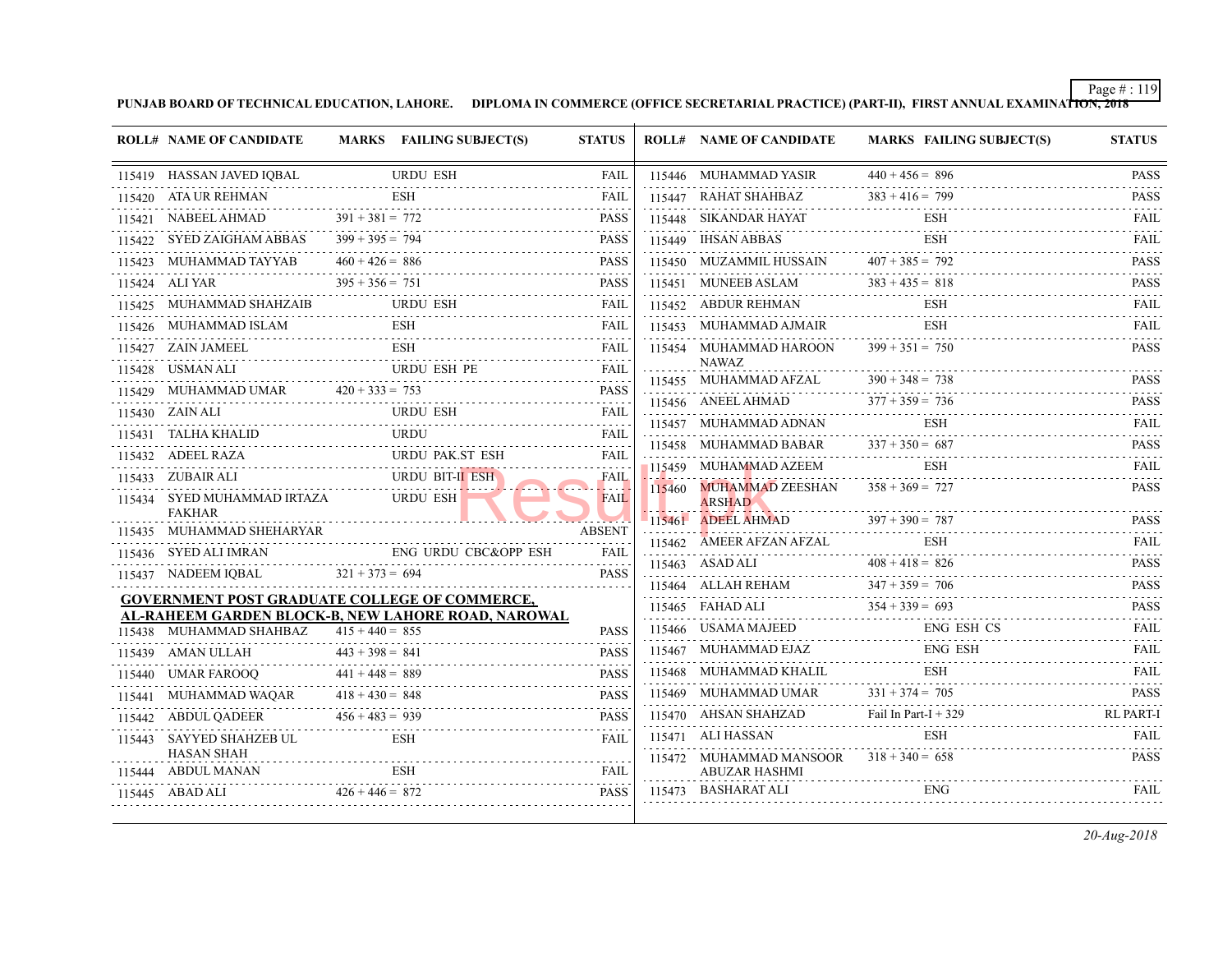|        | <b>ROLL# NAME OF CANDIDATE</b>                                                                                 |                   | MARKS FAILING SUBJECT(S) | <b>STATUS</b>            | <b>ROLL# NAME OF CANDIDATE</b>                             | <b>MARKS FAIL</b>    |
|--------|----------------------------------------------------------------------------------------------------------------|-------------------|--------------------------|--------------------------|------------------------------------------------------------|----------------------|
|        | 115419 HASSAN JAVED IQBAL                                                                                      |                   | <b>URDU ESH</b>          | <b>FAIL</b>              | 115446 MUHAMMAD YASIR                                      | $440 + 456 = 896$    |
| 115420 | ATA UR REHMAN                                                                                                  |                   | <b>ESH</b>               | <b>FAIL</b><br>.         | 115447 RAHAT SHAHBAZ                                       | $383 + 416 = 799$    |
|        | 115421 NABEEL AHMAD                                                                                            | $391 + 381 = 772$ |                          | PASS                     | 115448 SIKANDAR HAYAT                                      | ESH                  |
|        | 115422 SYED ZAIGHAM ABBAS $399 + 395 = 794$                                                                    |                   |                          |                          | 115449 IHSAN ABBAS                                         | <b>ESH</b>           |
|        | 115423 MUHAMMAD TAYYAB $460 + 426 = 886$ PASS                                                                  |                   |                          |                          | 115450 MUZAMMIL HUSSAIN $407 + 385 = 792$                  |                      |
|        | 115424 ALI YAR                                                                                                 |                   | R $395 + 356 = 751$      | <b>PASS</b>              | 115451 MUNEEB ASLAM $383 + 435 = 818$                      |                      |
|        | 115425 MUHAMMAD SHAHZAIB URDU ESH URDU ATALIAN MENERI ATASI ANG PARAMETER ANG PARAMETER ANG PARAMETER ANG PARA |                   |                          | <b>FAIL</b><br>2.2.2.2.2 | 115452 ABDUR REHMAN                                        | <b>ESH</b>           |
|        | 115426 MUHAMMAD ISLAM ESH FAIL                                                                                 |                   |                          |                          | 115453 MUHAMMAD AJMAIR                                     | <b>ESH</b>           |
|        | 115427 ZAIN JAMEEL                                                                                             |                   |                          | FAIL                     | 115454 MUHAMMAD HAROON                                     | $399 + 351 = 750$    |
|        | 115428 USMAN ALI                                                                                               |                   | VRDU ESH PE FAIL         | $\omega$ in the same     | <b>NAWAZ</b>                                               |                      |
|        | 115429 MUHAMMAD UMAR $420 + 333 = 753$ PASS                                                                    |                   |                          |                          | 115455 MUHAMMAD AFZAL                                      | $390 + 348 = 738$    |
|        | 115430 ZAIN ALI                                                                                                |                   | VRDU ESH FAIL            |                          | 115456 ANEEL AHMAD                                         | $377 + 359 = 736$    |
|        | 115431 TALHA KHALID URDU URDU                                                                                  |                   |                          | <b>FAIL</b>              | 115457 MUHAMMAD ADNAN                                      | <b>ESH</b>           |
|        | 115432 ADEEL RAZA                                                                                              |                   | URDU PAK.ST ESH          | .<br><b>FAIL</b>         | 115458 MUHAMMAD BABAR                                      | $337 + 350 = 687$    |
|        | 115433 ZUBAIR ALI                                                                                              |                   | URDU BIT-II ESH          | FAIL                     | 115459 MUHAMMAD AZEEM                                      | <b>ESH</b>           |
|        | 115434 SYED MUHAMMAD IRTAZA                                                                                    |                   | <b>URDU ESH</b>          | .<br><b>FAIL</b>         | 115460 MUHAMMAD ZEESHAN<br><b>ARSHAD</b>                   | $358 + 369 = 727$    |
|        | <b>FAKHAR</b><br>115435 MUHAMMAD SHEHARYAR                                                                     |                   |                          | <b>ABSENT</b>            | 115461 ADEEL AHMAD                                         | $397 + 390 = 787$    |
|        |                                                                                                                |                   |                          | FAIL                     | 115462 AMEER AFZAN AFZAL                                   | ESH                  |
|        | 115436 SYED ALI IMRAN ENG URDU CBC&OPP ESH<br>115437 NADEEM IQBAL $321 + 373 = 694$                            |                   |                          | <b>PASS</b>              | 115463 ASAD ALI $408 + 418 = 826$                          |                      |
|        |                                                                                                                |                   |                          |                          | 115464 ALLAH REHAM $347 + 359 = 706$                       |                      |
|        | <b>GOVERNMENT POST GRADUATE COLLEGE OF COMMERCE,</b><br>AL-RAHEEM GARDEN BLOCK-B, NEW LAHORE ROAD, NAROWAL     |                   |                          |                          | 115465 FAHAD ALI $354 + 339 = 693$                         |                      |
|        | 115438 MUHAMMAD SHAHBAZ                                                                                        | $415 + 440 = 855$ |                          | <b>PASS</b>              | 115466 USAMA MAJEED                                        | ENG I                |
|        | 115439 AMAN ULLAH                                                                                              | $443 + 398 = 841$ |                          | <b>PASS</b>              | 115467 MUHAMMAD EJAZ                                       | <b>ENG</b>           |
|        | 115440 UMAR FAROOO                                                                                             | $441 + 448 = 889$ |                          | <b>PASS</b>              | 115468 MUHAMMAD KHALIL                                     | ESH                  |
| 115441 | MUHAMMAD WAQAR                                                                                                 | $418 + 430 = 848$ |                          | <b>PASS</b>              | 115469 MUHAMMAD UMAR $331 + 374 = 705$                     |                      |
|        | 115442 ABDUL QADEER                                                                                            | $456 + 483 = 939$ |                          | 2.2.2.2.2<br><b>PASS</b> | 115470 AHSAN SHAHZAD Fail In Part-I + 1                    | Fail In Part-I + $3$ |
|        | 115443 SAYYED SHAHZEB UL                                                                                       |                   | <b>ESH</b>               | <b>FAIL</b>              | 115471 ALI HASSAN                                          | <b>ESH</b>           |
|        | HASAN SHAH<br>115444 ABDUL MANAN                                                                               |                   | ESH                      | <b>FAIL</b>              | 115472 MUHAMMAD MANSOOR $318 + 340 = 658$<br>ABUZAR HASHMI |                      |
|        | $426 + 446 = 872$<br>115445 ABAD ALI                                                                           |                   |                          | <b>PASS</b>              | 115473 BASHARAT ALI                                        | <b>ENG</b>           |
|        |                                                                                                                |                   |                          |                          |                                                            |                      |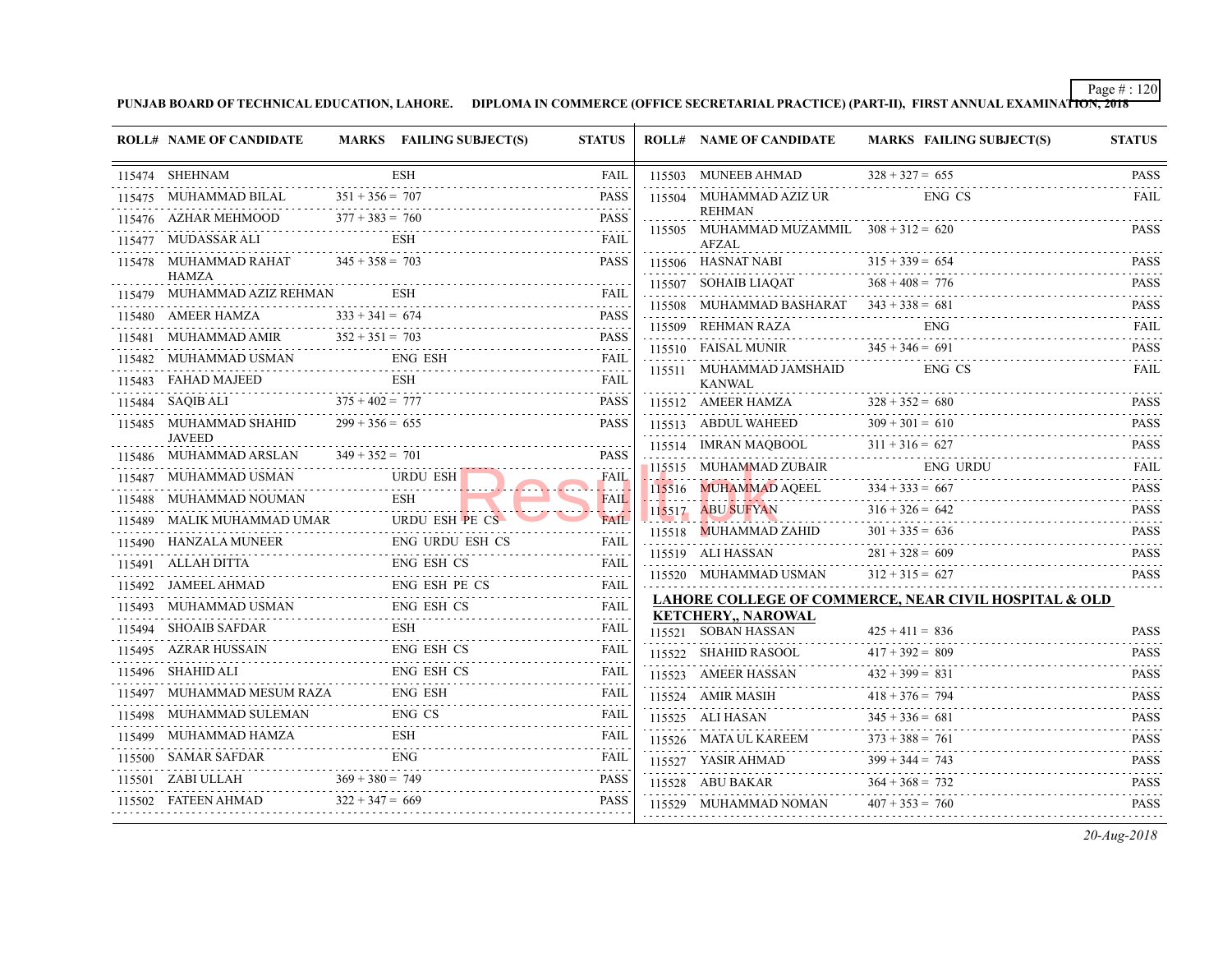| <b>ROLL# NAME OF CANDIDATE</b>                                                                                                                      |                   | MARKS FAILING SUBJECT(S)          | <b>STATUS</b>            | <b>ROLL# NAME OF CANDIDATE</b>                              | <b>MARKS FAIL</b>  |
|-----------------------------------------------------------------------------------------------------------------------------------------------------|-------------------|-----------------------------------|--------------------------|-------------------------------------------------------------|--------------------|
| 115474 SHEHNAM                                                                                                                                      |                   | <b>ESH</b>                        | FAIL                     | 115503 MUNEEB AHMAD                                         | $328 + 327 = 655$  |
| 115475 MUHAMMAD BILAL $351 + 356 = 707$                                                                                                             |                   |                                   | <b>PASS</b>              | 115504 MUHAMMAD AZIZ UR                                     | ENG.               |
| 115476 AZHAR MEHMOOD $377 + 383 = 760$                                                                                                              |                   |                                   | <b>PASS</b><br>2.2.2.2.2 | <b>REHMAN</b><br>115505 MUHAMMAD MUZAMMIL $308 + 312 = 620$ |                    |
| 115477 MUDASSAR ALI                                                                                                                                 |                   | ESH                               | FAIL                     | AFZAL                                                       |                    |
| 115478 MUHAMMAD RAHAT $345 + 358 = 703$<br>HAMZA                                                                                                    |                   |                                   | <b>PASS</b>              | 115506 HASNAT NABI                                          | $315 + 339 = 654$  |
| 115479 MUHAMMAD AZIZ REHMAN                                                                                                                         |                   |                                   | FAIL                     | 115507 SOHAIB LIAQAT                                        | $-368 + 408 = 776$ |
| 115480 AMEER HAMZA $333 + 341 = 674$                                                                                                                |                   | $333 + 341 = 674$ PASS            |                          | 115508 MUHAMMAD BASHARAT $343 + 338 = 681$                  |                    |
| 115481 MUHAMMAD AMIR $352 + 351 = 703$<br>115481 MUHAMMAD AMIR $352 + 351 = 703$ PASS                                                               |                   |                                   |                          | 115509 REHMAN RAZA                                          | <b>ENG</b>         |
| $\begin{tabular}{ll} 115482 & MUHAMMAD USMAN & \textbf{\textcolor{red}{EMG}} ESH \\ \hline \end{tabular}$                                           |                   |                                   | FAIL                     | 115510 FAISAL MUNIR $345 + 346 = 691$                       |                    |
| $\begin{tabular}{ll} 115483 & FAHAD MAJEED & ESH \\ \hline \end{tabular} \begin{tabular}{ll} \textbf{115483} & FAHAD MAJEED & ESH \\ \end{tabular}$ |                   |                                   | FAIL                     | 115511 MUHAMMAD JAMSHAID<br>KANWAL                          | ENG I              |
| $375 + 402 = 777$<br>115484 SAQIB ALI                                                                                                               |                   |                                   | <b>PASS</b>              | 115512 AMEER HAMZA                                          | $328 + 352 = 680$  |
| 115485 MUHAMMAD SHAHID $299 + 356 = 655$                                                                                                            |                   |                                   | <b>PASS</b>              | 115513 ABDUL WAHEED $309 + 301 = 610$                       |                    |
| JAVEED<br>115486 MUHAMMAD ARSLAN $349 + 352 = 701$                                                                                                  |                   |                                   | <b>PASS</b>              | 115514 IMRAN MAQBOOL $311 + 316 = 627$                      |                    |
| 115487 MUHAMMAD USMAN                                                                                                                               |                   | URDU ESH                          | FAIL                     | 115515 MUHAMMAD ZUBAIR                                      | <b>ENG</b>         |
| 115488 MUHAMMAD NOUMAN                                                                                                                              |                   | ESH                               | <b>FAIL</b>              | 115516 MUHAMMAD AQEEL $334 + 333 = 667$                     |                    |
|                                                                                                                                                     |                   |                                   | الدامات<br><b>FAIL</b>   | 115517 ABU SUFYAN                                           | $316 + 326 = 642$  |
| 115489 MALIK MUHAMMAD UMAR URDU ESH PE CS                                                                                                           |                   |                                   | <u>.</u>                 | 115518 MUHAMMAD ZAHID $301 + 335 = 636$                     |                    |
| 115490 HANZALA MUNEER ENG URDU ESH CS FAIL<br>115491 ALLAH DITTA                                                                                    |                   | ENG ESH CS                        | FAIL                     | 115519 ALI HASSAN                                           | $281 + 328 = 609$  |
| TTA<br>----------------------------                                                                                                                 |                   | $ENG$ ESH CS                      |                          | 115520 MUHAMMAD USMAN                                       | $312 + 315 = 627$  |
| 115492 JAMEEL AHMAD ENG ESH PE CS FAIL                                                                                                              |                   |                                   |                          | <b>LAHORE COLLEGE OF COMMERCE, NEAR 0</b>                   |                    |
| 115493 MUHAMMAD USMAN ENG ESH CS FAIL                                                                                                               |                   |                                   | FAIL                     | <b>KETCHERY,, NAROWAL</b>                                   |                    |
| 115494 SHOAIB SAFDAR                                                                                                                                |                   | \[\]<br>\]                        | FAIL                     | 115521 SOBAN HASSAN                                         | $425 + 411 = 836$  |
| 115495 AZRAR HUSSAIN ENG ESH CS                                                                                                                     |                   |                                   | FAIL                     | 115522 SHAHID RASOOL                                        | $417 + 392 = 809$  |
| 115496 SHAHID ALI                                                                                                                                   |                   | ENG ESH CS ENGLASH COMPARENT PAIL |                          | 115523 AMEER HASSAN $432 + 399 =$                           | $432 + 399 = 831$  |
|                                                                                                                                                     |                   |                                   | FAIL                     | 115524 AMIR MASIH                                           | $418 + 376 = 794$  |
| 115498 MUHAMMAD SULEMAN ENG CS                                                                                                                      |                   |                                   | FAIL                     | 115525 ALI HASAN $345 + 336 = 681$                          |                    |
| 115499 MUHAMMAD HAMZA ESH                                                                                                                           |                   | ESH                               | FAIL                     | 115526 MATA UL KAREEM $373 + 388 = 761$                     |                    |
| 115500 SAMAR SAFDAR                                                                                                                                 |                   | ENG                               | FAIL                     | 115527 YASIR AHMAD $399 + 344 = 743$                        |                    |
| 115501 ZABI ULLAH $369 + 380 = 749$                                                                                                                 |                   |                                   | PASS                     | 115528 ABU BAKAR $364 + 368 = 732$                          |                    |
| 115502 FATEEN AHMAD                                                                                                                                 | $322 + 347 = 669$ |                                   | PASS                     | 115529 MUHAMMAD NOMAN                                       | $407 + 353 = 760$  |
|                                                                                                                                                     |                   |                                   |                          |                                                             |                    |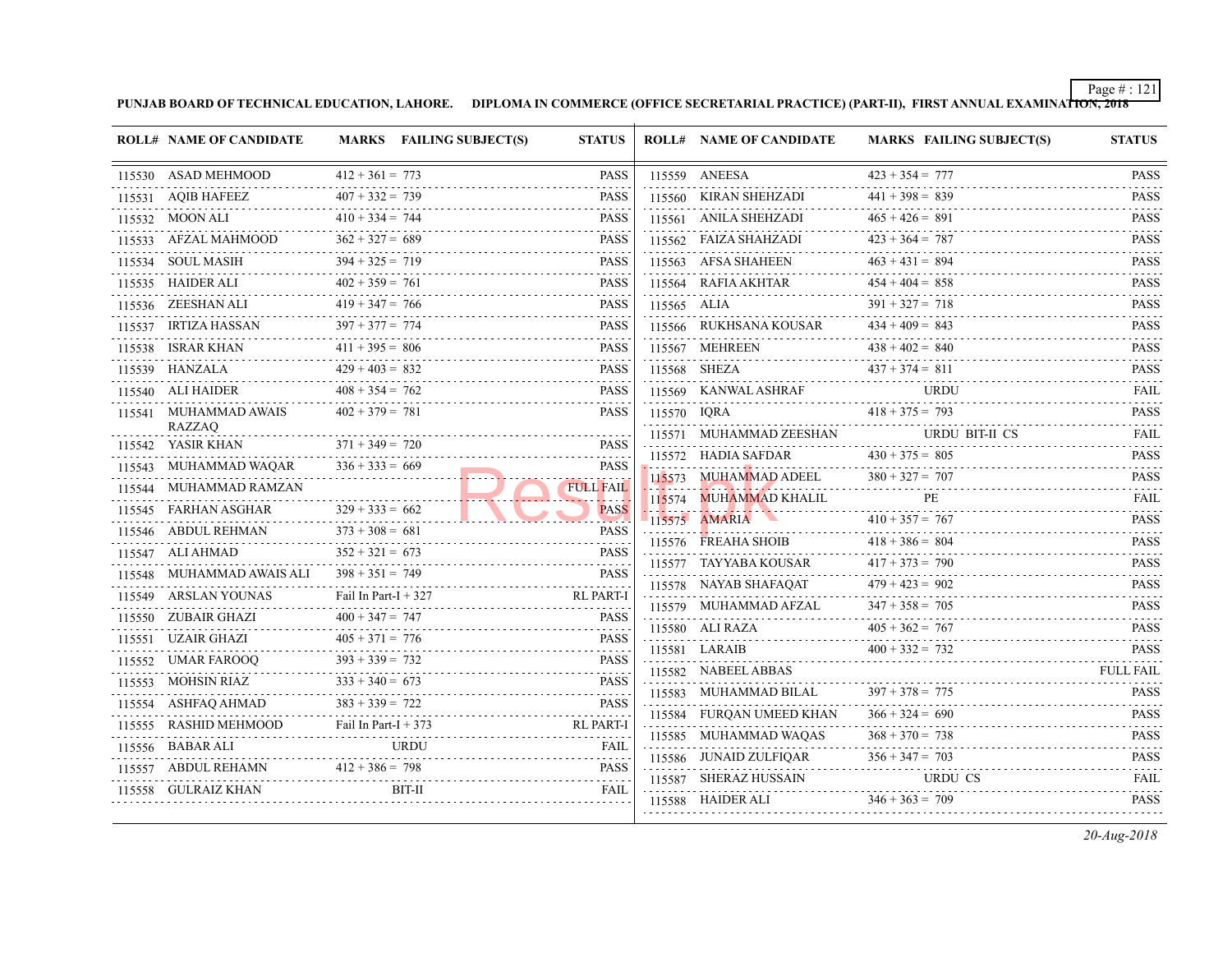| <b>ROLL# NAME OF CANDIDATE</b>                                 |                        | <b>MARKS FAILING SUBJECT(S)</b> | <b>STATUS</b>                                                                                                                                                                               | <b>ROLL# NAME OF CANDIDATE</b>          | <b>MARKS FAIL</b> |
|----------------------------------------------------------------|------------------------|---------------------------------|---------------------------------------------------------------------------------------------------------------------------------------------------------------------------------------------|-----------------------------------------|-------------------|
| 115530 ASAD MEHMOOD                                            | $412 + 361 = 773$      |                                 | <b>PASS</b>                                                                                                                                                                                 | 115559 ANEESA                           | $423 + 354 = 777$ |
| 115531 AQIB HAFEEZ                                             | $407 + 332 = 739$      |                                 | <b>PASS</b>                                                                                                                                                                                 | 115560 KIRAN SHEHZADI                   | $441 + 398 = 839$ |
| 115532 MOON ALI                                                | $410 + 334 = 744$      |                                 | <b>PASS</b>                                                                                                                                                                                 | 115561 ANILA SHEHZADI                   | $465 + 426 = 891$ |
| 115533 AFZAL MAHMOOD                                           | $362 + 327 = 689$      |                                 | <b>PASS</b>                                                                                                                                                                                 | 115562 FAIZA SHAHZADI                   | $423 + 364 = 787$ |
| 115534 SOUL MASIH $394 + 325 = 719$                            |                        |                                 | <b>PASS</b>                                                                                                                                                                                 | 115563 AFSA SHAHEEN                     | $463 + 431 = 894$ |
| 15535 HAIDER ALI $402 + 359 = 761$<br>115535 HAIDER ALI        |                        |                                 | <b>PASS</b>                                                                                                                                                                                 | 115564 RAFIA AKHTAR 454 + 404 =         | $454 + 404 = 858$ |
| $419 + 347 = 766$<br>115536 ZEESHAN ALI                        |                        |                                 | <b>PASS</b>                                                                                                                                                                                 | 115565 ALIA<br>.                        | $391 + 327 = 718$ |
| 115537 IRTIZA HASSAN                                           | $397 + 377 = 774$      |                                 | $\mathcal{L}^{\mathcal{A}}\left( \mathcal{L}^{\mathcal{A}}\left( \mathcal{L}^{\mathcal{A}}\right) \right) =\mathcal{L}^{\mathcal{A}}\left( \mathcal{L}^{\mathcal{A}}\right)$<br><b>PASS</b> | 115566 RUKHSANA KOUSAR                  | $434 + 409 = 843$ |
| 115538 ISRAR KHAN                                              |                        |                                 | <b>PASS</b>                                                                                                                                                                                 | 115567 MEHREEN $438 + 402 =$            | $438 + 402 = 840$ |
| $429 + 403 = 832$<br>115539 HANZALA                            |                        |                                 | $- - - - - -$<br><b>PASS</b>                                                                                                                                                                | 115568 SHEZA                            | $437 + 374 = 811$ |
| 115540 ALI HAIDER                                              | $408 + 354 = 762$      |                                 | PASS                                                                                                                                                                                        | 115569 KANWAL ASHRAF URI                | <b>URD</b>        |
| 115541 MUHAMMAD AWAIS $402 + 379 = 781$                        |                        |                                 | <b>PASS</b>                                                                                                                                                                                 | 115570 IQRA                             | $418 + 375 = 793$ |
| RAZZAQ<br>115542 YASIR KHAN                                    | $371 + 349 = 720$      |                                 | <b>PASS</b>                                                                                                                                                                                 | 115571 MUHAMMAD ZEESHAN                 | URD               |
| 115543 MUHAMMAD WAQAR                                          | $336 + 333 = 669$      |                                 | <b>PASS</b>                                                                                                                                                                                 | 115572 HADIA SAFDAR                     | $430 + 375 = 805$ |
| 115544 MUHAMMAD RAMZAN                                         |                        |                                 | <b>FULL FAIL</b>                                                                                                                                                                            | 115573 MUHAMMAD ADEEL                   | $380 + 327 = 707$ |
| 115545 FARHAN ASGHAR                                           | $329 + 333 = 662$      |                                 | .<br><b>PASS</b>                                                                                                                                                                            | 115574 MUHAMMAD KHALIL                  | РE                |
| 115546 ABDUL REHMAN                                            | $373 + 308 = 681$      |                                 | a San A<br>PASS                                                                                                                                                                             | 115575 AMARIA                           | $410 + 357 = 767$ |
| 115547 ALI AHMAD                                               | $352 + 321 = 673$      |                                 | <b>PASS</b>                                                                                                                                                                                 | 115576 FREAHA SHOIB $418 + 386 = 804$   |                   |
| 115548 MUHAMMAD AWAIS ALI                                      |                        |                                 | .                                                                                                                                                                                           | 115577 TAYYABA KOUSAR $417 + 373 = 790$ |                   |
| 115549 ARSLAN YOUNAS                                           | Fail In Part-I + $327$ |                                 | RL PART-I                                                                                                                                                                                   | 115578 NAYAB SHAFAQAT                   | $479 + 423 = 902$ |
| ARSLAN YOUNAS Fail In Part-I + 327<br>115550 ZUBAIR GHAZI      | $400 + 347 = 747$      |                                 | RL PART-<br><b>PASS</b>                                                                                                                                                                     | 115579 MUHAMMAD AFZAL                   | $347 + 358 = 705$ |
| 115551 UZAIR GHAZI                                             | $405 + 371 = 776$      |                                 | PASS                                                                                                                                                                                        | 115580 ALI RAZA $405 + 362$             | $405 + 362 = 767$ |
|                                                                | $393 + 339 = 732$      |                                 | .<br><b>PASS</b>                                                                                                                                                                            | 115581 LARAIB                           | $400 + 332 = 732$ |
| 115552 UMAR FAROOQ<br>115553 MOHSIN RIAZ                       |                        |                                 |                                                                                                                                                                                             | 115582 NABEEL ABBAS                     |                   |
| 115553 MOHSIN RIAZ $333 + 340 = 673$ PASS                      |                        |                                 |                                                                                                                                                                                             | 115583 MUHAMMAD BILAL                   | $397 + 378 = 775$ |
| 115554 ASHFAQ AHMAD                                            |                        | AD $383 + 339 = 722$            | PASS<br>.<br>RL PART-I                                                                                                                                                                      | 115584 FURQAN UMEED KHAN                | $366 + 324 = 690$ |
| 115555 RASHID MEHMOOD Fail In Part-I + 373<br>115556 BABAR ALI |                        | <b>URDU</b>                     | FAIL                                                                                                                                                                                        | 115585 MUHAMMAD WAQAS                   | $368 + 370 = 738$ |
| 115557 ABDUL REHAMN $412 + 386 = 798$                          |                        |                                 | <b>PASS</b>                                                                                                                                                                                 | 115586 JUNAID ZULFIQAR                  | $356 + 347 = 703$ |
|                                                                |                        |                                 |                                                                                                                                                                                             | 115587 SHERAZ HUSSAIN                   | <b>URD</b>        |
| 115558 GULRAIZ KHAN                                            |                        | BIT-II                          | FAIL                                                                                                                                                                                        | 115588 HAIDER ALI                       | $346 + 363 = 709$ |
|                                                                |                        |                                 |                                                                                                                                                                                             |                                         |                   |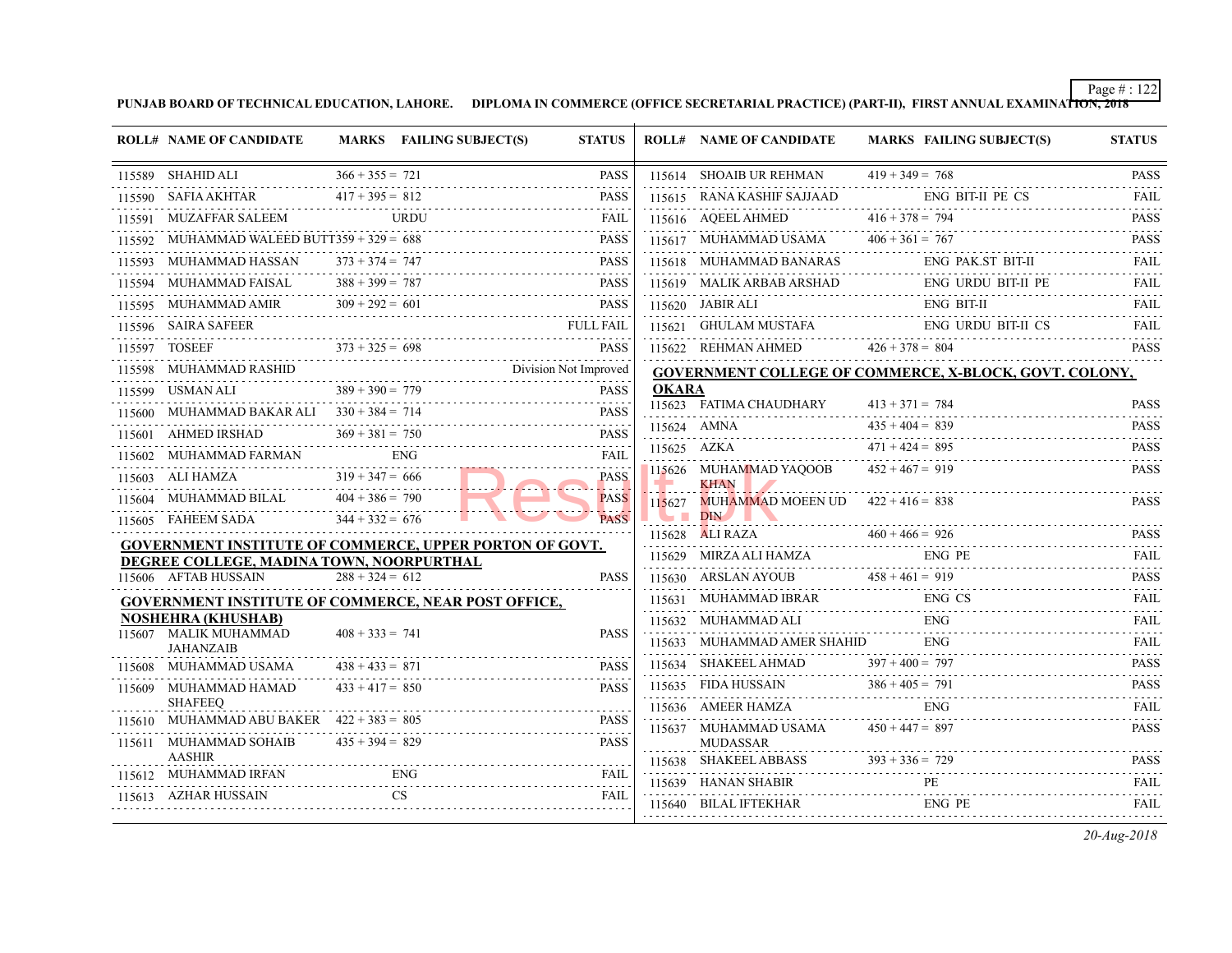|   | <b>ROLL# NAME OF CANDIDATE</b>                                                   |                   | MARKS FAILING SUBJECT(S) | <b>STATUS</b>                                                                                                                                       |              | <b>ROLL# NAME OF CANDIDATE</b>                                | <b>MARKS FAIL</b>               |
|---|----------------------------------------------------------------------------------|-------------------|--------------------------|-----------------------------------------------------------------------------------------------------------------------------------------------------|--------------|---------------------------------------------------------------|---------------------------------|
|   | 115589 SHAHID ALI                                                                | $366 + 355 = 721$ |                          | <b>PASS</b>                                                                                                                                         |              | 115614 SHOAIB UR REHMAN                                       | $419 + 349 = 768$               |
|   | 115590 SAFIA AKHTAR $417 + 395 = 812$                                            |                   |                          | <b>PASS</b>                                                                                                                                         |              | 115615 RANA KASHIF SAJJAAD                                    | <b>ENG</b>                      |
|   | 115591 MUZAFFAR SALEEM URDU                                                      |                   |                          | <b>FAIL</b>                                                                                                                                         |              | 115616 AQEEL AHMED $416 + 378 = ?$                            | $416 + 378 = 794$               |
|   | 115592 MUHAMMAD WALEED BUTT359 + 329 = $688$                                     |                   |                          | $\mathcal{L}^{\mathcal{A}}\left( \mathcal{A}^{\mathcal{A}}\right) =\mathcal{L}^{\mathcal{A}}\left( \mathcal{A}^{\mathcal{A}}\right)$<br><b>PASS</b> |              | 115617 MUHAMMAD USAMA $406 + 361 = 767$                       |                                 |
|   | 115593 MUHAMMAD HASSAN $373 + 374 = 747$                                         |                   |                          | <b>PASS</b>                                                                                                                                         |              | 115618 MUHAMMAD BANARAS                                       | ENG.                            |
|   | 115594 MUHAMMAD FAISAL $388 + 399 = 787$                                         |                   |                          | <b>PASS</b>                                                                                                                                         |              | 115619 MALIK ARBAB ARSHAD                                     | <b>ENG</b>                      |
|   | 115595 MUHAMMAD AMIR $309 + 292 = 601$ PASS                                      |                   |                          | <b>PASS</b>                                                                                                                                         |              | 115620 JABIR ALI                                              | <b>ENG</b>                      |
|   | 115596 SAIRA SAFEER<br>115596 SAIRA SAFEER FULL FAIL                             |                   |                          |                                                                                                                                                     |              | 115621 GHULAM MUSTAFA                                         | ENG                             |
|   | 115597 TOSEEF $373 + 325 = 698$ PASS                                             |                   |                          | <b>PASS</b>                                                                                                                                         |              | 115622 REHMAN AHMED $426 + 378 = 804$                         |                                 |
|   |                                                                                  |                   |                          |                                                                                                                                                     |              | <b>GOVERNMENT COLLEGE OF COMMERCE, 2</b>                      |                                 |
|   | 115599 USMAN ALI $389 + 390 = 779$                                               |                   |                          | <b>PASS</b>                                                                                                                                         | <b>OKARA</b> |                                                               |                                 |
|   | 115600 MUHAMMAD BAKAR ALI $330 + 384 = 714$                                      |                   |                          | <b>PASS</b>                                                                                                                                         |              | 115623 FATIMA CHAUDHARY                                       | $413 + 371 = 784$               |
|   | 115601 AHMED IRSHAD $369 + 381 = 750$                                            |                   |                          | .<br><b>PASS</b><br>.                                                                                                                               |              | 115624 AMNA $435 + 404 =$                                     | $435 + 404 = 839$               |
| . | 115602 MUHAMMAD FARMAN ENG                                                       |                   |                          | FAIL                                                                                                                                                |              | 115625 AZKA                                                   | $471 + 424 = 895$               |
|   | 115603 ALI HAMZA $319 + 347 = 666$                                               |                   |                          | <b>PASS</b><br>.                                                                                                                                    |              | 115626 MUHAMMAD YAQOOB<br>KHAN                                | $452 + 467 = 919$               |
|   | 115604 MUHAMMAD BILAL $404 + 386 = 790$                                          |                   |                          | <b>PASS</b>                                                                                                                                         |              | 115627 MUHAMMAD MOEEN UD $422 + 416 = 838$                    |                                 |
|   | 115605 FAHEEM SADA $344 + 332 = 676$                                             |                   |                          | <b>PASS</b>                                                                                                                                         | <b>START</b> | DIN N                                                         |                                 |
|   | <b>GOVERNMENT INSTITUTE OF COMMERCE, UPPER PORTON OF GOVT.</b>                   |                   |                          |                                                                                                                                                     |              | 115628 ALI RAZA<br>115629 MIRZA ALI HAMZA                     | $460 + 466 = 926$<br><b>ENG</b> |
|   | DEGREE COLLEGE, MADINA TOWN, NOORPURTHAL<br>115606 AFTAB HUSSAIN                 | $288 + 324 = 612$ |                          | <b>PASS</b>                                                                                                                                         |              | 115630 ARSLAN AYOUB $458 + 461 = 919$                         |                                 |
|   |                                                                                  |                   |                          |                                                                                                                                                     |              |                                                               | <b>ENG</b>                      |
|   | GOVERNMENT INSTITUTE OF COMMERCE, NEAR POST OFFICE,<br><b>NOSHEHRA (KHUSHAB)</b> |                   |                          |                                                                                                                                                     |              | 115631 MUHAMMAD IBRAR EN                                      | <b>ENG</b>                      |
|   | 115607 MALIK MUHAMMAD                                                            | $408 + 333 = 741$ |                          | <b>PASS</b>                                                                                                                                         |              | 115632 MUHAMMAD ALI<br>115633 MUHAMMAD AMER SHAHID ENG        |                                 |
|   | JAHANZAIB                                                                        |                   |                          |                                                                                                                                                     |              | 115634 SHAKEEL AHMAD $397 + 400 = 797$                        |                                 |
|   | 115608 MUHAMMAD USAMA                                                            | $438 + 433 = 871$ |                          | <b>PASS</b>                                                                                                                                         |              | 115635 FIDA HUSSAIN $386 + 405 = 791$                         |                                 |
|   | 115609 MUHAMMAD HAMAD<br><b>SHAFEEO</b>                                          | $433 + 417 = 850$ |                          | <b>PASS</b>                                                                                                                                         |              |                                                               | ENG                             |
|   | 115610 MUHAMMAD ABU BAKER $422 + 383 = 805$                                      |                   |                          | <b>PASS</b>                                                                                                                                         |              | 115636 AMEER HAMZA<br>115637 MUHAMMAD USAMA $450 + 447 = 897$ |                                 |
|   | 115611 MUHAMMAD SOHAIB                                                           | $435 + 394 = 829$ |                          | <b>PASS</b>                                                                                                                                         |              | MUDASSAR                                                      |                                 |
|   | <b>AASHIR</b>                                                                    |                   |                          |                                                                                                                                                     |              | 115638 SHAKEEL ABBASS $393 + 336 = 729$                       |                                 |
|   | 115612 MUHAMMAD IRFAN                                                            |                   | <b>ENG</b>               | FAIL                                                                                                                                                |              | 115639 HANAN SHABIR                                           | PE                              |
|   | 115613 AZHAR HUSSAIN                                                             |                   | CS                       | FAII.                                                                                                                                               |              | 115640 BILAL IFTEKHAR                                         | <b>ENG</b>                      |
|   |                                                                                  |                   |                          |                                                                                                                                                     |              |                                                               |                                 |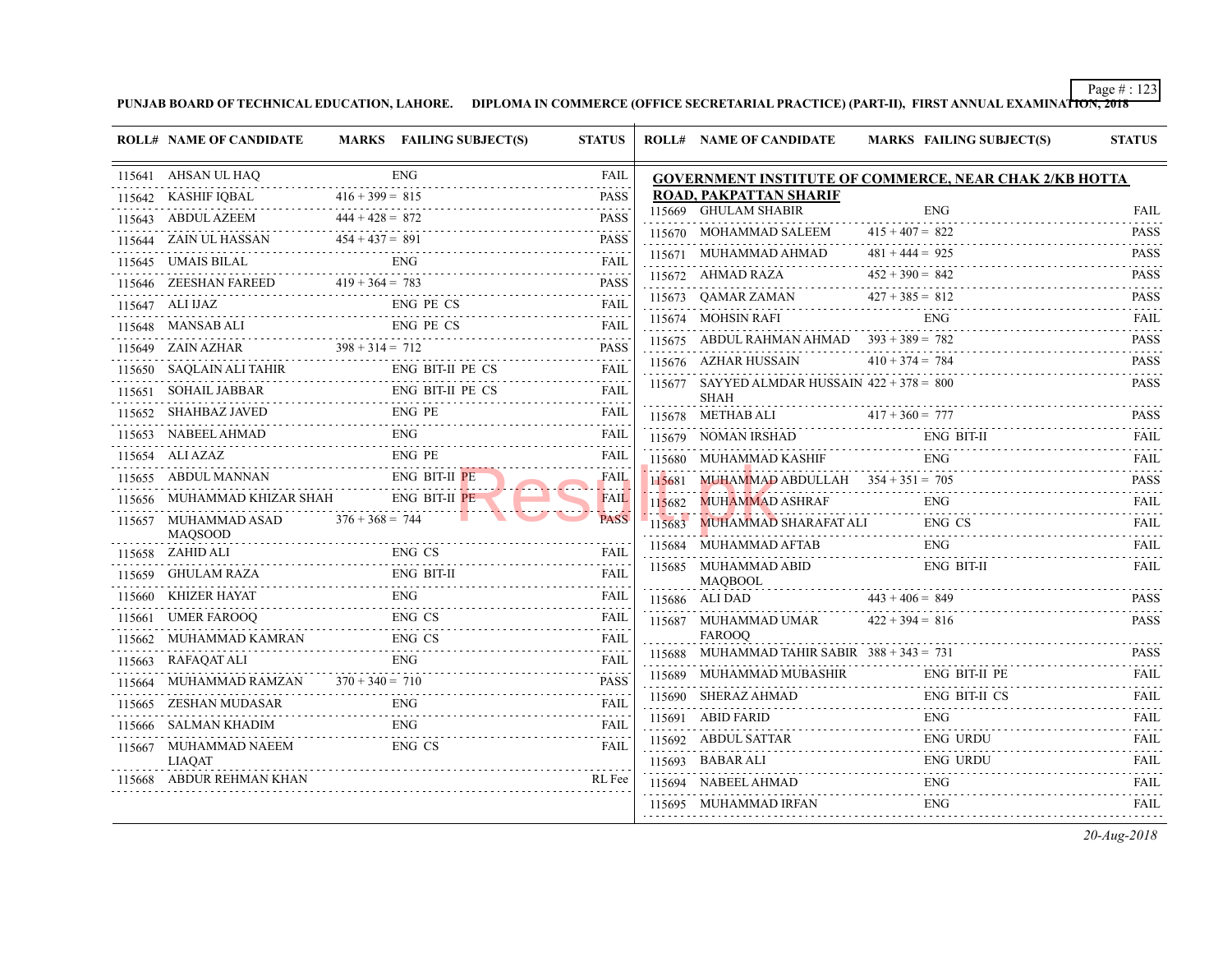| <b>ROLL# NAME OF CANDIDATE</b>                                                           |                   | MARKS FAILING SUBJECT(S)       | <b>STATUS</b>          | <b>ROLL# NAME OF CANDIDATE</b>                         | <b>MARKS FAIL</b>        |
|------------------------------------------------------------------------------------------|-------------------|--------------------------------|------------------------|--------------------------------------------------------|--------------------------|
| 115641 AHSAN UL HAQ                                                                      |                   | ENG                            | FAIL                   | <b>GOVERNMENT INSTITUTE OF COMMERCE,</b>               |                          |
| L $416 + 399 = 815$<br>115642 KASHIF IQBAL                                               |                   |                                | <b>PASS</b>            | <b>ROAD, PAKPATTAN SHARIF</b>                          |                          |
| 115643 ABDUL AZEEM<br>115643 ABDULAZEEM $444 + 428 = 872$                                | $444 + 428 = 872$ |                                | <b>PASS</b>            | 115669 GHULAM SHABIR                                   | <b>ENG</b>               |
| 115644 ZAIN UL HASSAN $454 + 437 = 891$ PASS                                             |                   |                                | 1.1.1.1<br><b>PASS</b> | 115670 MOHAMMAD SALEEM                                 | $415 + 407 = 822$        |
| 115645 UMAIS BILAL<br>115645 UMAIS BILAL ENG FAIL FAIL                                   |                   |                                |                        | 115671 MUHAMMAD AHMAD                                  | $481 + 444 = 925$        |
| 115646 ZEESHAN FAREED $419 + 364 = 783$                                                  |                   |                                | <b>PASS</b>            | 115672 AHMAD RAZA $452 +$                              | $452 + 390 = 842$        |
| 115647 ALI IJAZ ENG PE CS FAIL                                                           |                   |                                |                        | 115673 QAMAR ZAMAN $427 + 385 = 812$                   |                          |
| 115648 MANSAB ALI ENG PE CS FAIL                                                         |                   |                                |                        | 115674 MOHSIN RAFI                                     | ENG                      |
| 115649 ZAIN AZHAR $398 + 314 = 712$ PASS<br>115649 ZAIN AZHAR                            |                   |                                | <b>PASS</b>            | 115675 ABDUL RAHMAN AHMAD $393 + 389 = 782$            |                          |
| 115650 SAQLAIN ALI TAHIR ENG BIT-II PE CS FAIL                                           |                   |                                |                        | 115676 AZHAR HUSSAIN                                   | $410 + 374 = 784$        |
| 115651 SOHAIL JABBAR<br>115651 SOHAIL JABBAR ENG BIT-II PE CS FAIL                       |                   | ENG BIT-II PE CS               |                        | 115677 SAYYED ALMDAR HUSSAIN $422 + 378 = 800$<br>SHAH |                          |
| 115652 SHAHBAZ JAVED                                                                     |                   | ENG PE                         | FAIL                   | 115678 METHAB ALI $417 + 360 = 777$                    |                          |
| 115653 NABEEL AHMAD                                                                      |                   | ENG                            | FAIL                   | 115679 NOMAN IRSHAD                                    | <b>ENG</b>               |
| 115654 ALI AZAZ                                                                          |                   | ENG PE FAIL                    | FAIL                   | 115680 MUHAMMAD KASHIF                                 | <b>ENG</b>               |
| 115655 ABDUL MANNAN                                                                      |                   | ENG BIT-II PE                  | <b>FAIL</b><br>.       | 115681 MUHAMMAD ABDULLAH $354 + 351 = 705$             |                          |
| 115656 MUHAMMAD KHIZAR SHAH                                                              |                   | ENG BIT-II PE                  | <b>FAIL</b>            | 115682 MUHAMMAD ASHRAF                                 | <b>ENG</b>               |
| 115657 MUHAMMAD ASAD<br><b>MAOSOOD</b>                                                   | $376 + 368 = 744$ |                                | <b>PASS</b>            | $115683$ MUHAMMAD SHARAFAT ALI                         | ENG I                    |
| .<br>115658 ZAHID ALI                                                                    |                   | ENG CS<br>I ENG CS FAIL        |                        | 115684 MUHAMMAD AFTAB                                  | <b>ENG</b>               |
| 115659 GHULAM RAZA                                                                       |                   |                                | <b>FAIL</b>            | 115685 MUHAMMAD ABID<br><b>MAOBOOL</b>                 | <b>ENG</b>               |
| 115660 KHIZER HAYAT                                                                      |                   | $\text{C}$ ENG $\text{C}$      | FAIL                   | $443 + 406 = 849$<br>115686 ALI DAD                    |                          |
| 115661 UMER FAROOQ                                                                       |                   | ENG CS FAIL<br>ENG CS          |                        | 115687 MUHAMMAD UMAR $422 + 394 = 816$                 |                          |
| $\begin{tabular}{ll} 115662 & MUHAMMAD KAMRAN & \textit{ENG CS} \\ \hline \end{tabular}$ |                   |                                | FAIL                   | <b>FAROOO</b>                                          |                          |
| 115663 RAFAQAT ALI                                                                       |                   | [                         FAIL |                        | 115688 MUHAMMAD TAHIR SABIR $388 + 343 = 731$          |                          |
| 115664 MUHAMMAD RAMZAN $370 + 340 = 710$                                                 |                   | D RAMZAN 370 + 340 = 710 PASS  |                        | 115689 MUHAMMAD MUBASHIR                               | <b>ENG</b>               |
| 115665 ZESHAN MUDASAR<br>\SAR<br>                                                        |                   | ENG                            | FAIL                   | 115690 SHERAZ AHMAD ENC                                | <b>ENG</b>               |
| 115666 SALMAN KHADIM                                                                     |                   | ENG<br>M ENG ENG               | <b>FAIL</b>            | 115691 ABID FARID                                      | ENG I                    |
| 115667 MUHAMMAD NAEEM<br><b>LIAQAT</b>                                                   |                   | ENG CS                         | FAIL                   | 115692 ABDUL SATTAR EN                                 | <b>ENG</b><br><b>ENG</b> |
| 115668 ABDUR REHMAN KHAN                                                                 |                   |                                | RL Fee                 | 115693 BABAR ALI ENC<br>115694 NABEEL AHMAD            | <b>ENG</b>               |
|                                                                                          |                   |                                |                        |                                                        |                          |
|                                                                                          |                   |                                |                        | 115695 MUHAMMAD IRFAN                                  | <b>ENG</b>               |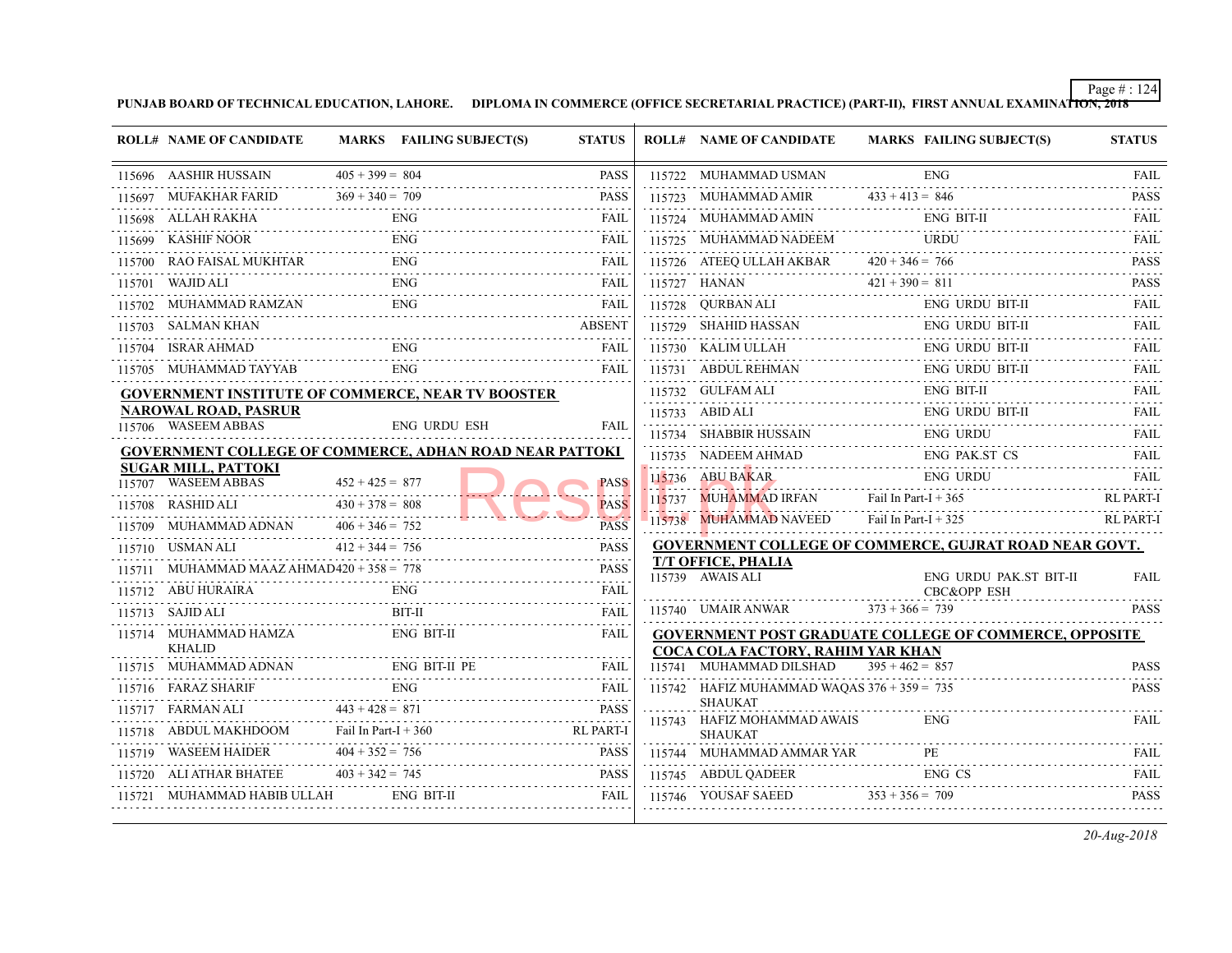| <b>ROLL# NAME OF CANDIDATE</b>                                                                                                       |                   | MARKS FAILING SUBJECT(S)          | <b>STATUS</b>                  | <b>ROLL# NAME OF CANDIDATE</b>                | <b>MARKS FAIL</b> |
|--------------------------------------------------------------------------------------------------------------------------------------|-------------------|-----------------------------------|--------------------------------|-----------------------------------------------|-------------------|
| 115696 AASHIR HUSSAIN                                                                                                                | $405 + 399 = 804$ |                                   | <b>PASS</b>                    | 115722 MUHAMMAD USMAN                         | <b>ENG</b>        |
| 115697 MUFAKHAR FARID $369 + 340 = 709$ PASS                                                                                         |                   |                                   |                                | 115723 MUHAMMAD AMIR $433 + 413 = 846$        |                   |
| 115698 ALLAH RAKHA                                                                                                                   |                   |                                   | FAIL                           | 115724 MUHAMMAD AMIN                          | ENG.              |
| $\underbrace{\text{FAI}}_{\text{}} \underbrace{\text{FAIL}}_{\text{}} \underbrace{\text{FAIL}}_{\text{}}$                            |                   |                                   |                                | 115725 MUHAMMAD NADEEM                        | <b>URD</b>        |
| $\begin{tabular}{lllllllll} \bf 115700 & RAO FAISAL MUKHTAR & \hspace*{2.5mm}ENG & \hspace*{2.5mm} FAIL \\ \hline \end{tabular}$     |                   | ${\rm ENG}$                       |                                | 115726 ATEEQ ULLAH AKBAR $420 + 346 = 766$    |                   |
| 115701 WAJID ALI                                                                                                                     |                   | ENG FAIL                          |                                | 115727 HANAN $421 + 390 = 811$                |                   |
|                                                                                                                                      |                   |                                   |                                | $115728$ QURBAN ALI EN                        | <b>ENG</b>        |
| 115703 SALMAN KHAN ABSENT                                                                                                            |                   |                                   |                                | 115729 SHAHID HASSAN                          | <b>ENG</b>        |
| 115704 ISRAR AHMAD                                                                                                                   |                   | FAL                               |                                | 115730 KALIM ULLAH                            | ENG               |
| 115705 MUHAMMAD TAYYAB                                                                                                               |                   | ENG                               | FAIL                           | $115731$ ABDUL REHMAN                         | <b>ENG</b>        |
| <b>GOVERNMENT INSTITUTE OF COMMERCE, NEAR TV BOOSTER</b>                                                                             |                   |                                   |                                | $115732 \quad \text{GULEAM ALL}$              | <b>ENG</b>        |
| <b>NAROWAL ROAD, PASRUR</b>                                                                                                          |                   |                                   |                                | 115733 ABID ALI                               | <b>ENG</b>        |
| 115706 WASEEM ABBAS                                                                                                                  |                   | <b>ENG URDU ESH</b>               | FAII.                          | 115734 SHABBIR HUSSAIN EN                     | <b>ENG</b>        |
| <b>GOVERNMENT COLLEGE OF COMMERCE, ADHAN ROAD NEAR PATTOKI</b>                                                                       |                   |                                   |                                | 115735 NADEEM AHMAD ENG                       | <b>ENG</b>        |
| <b>SUGAR MILL, PATTOKI</b><br>115707 WASEEM ABBAS $-$ 452 + 425 = 877                                                                |                   |                                   | <b>PASS</b>                    | 115736 ABU BAKAR                              | <b>ENG</b>        |
| 115708 RASHID ALI $430 + 378 = 808$                                                                                                  |                   |                                   | .<br><b>PASS</b>               | 115737 MUHAMMAD IRFAN Fail In Part-I + 3      |                   |
| 115709 MUHAMMAD ADNAN $406 + 346 = 752$                                                                                              |                   |                                   | <b>Contract</b><br><b>PASS</b> | 115738 MUHAMMAD NAVEED Fail In Part-I + 3     |                   |
| $412 + 344 = 756$<br>115710 USMAN ALI                                                                                                |                   |                                   | <b>PASS</b>                    | <b>GOVERNMENT COLLEGE OF COMMERCE, 0</b>      |                   |
| 115711 MUHAMMAD MAAZ AHMAD420 + 358 = 778                                                                                            |                   |                                   |                                | <b>T/T OFFICE, PHALIA</b>                     |                   |
| 115712 ABU HURAIRA                                                                                                                   |                   | <b>ENG</b>                        |                                | 115739 AWAIS ALI                              | <b>ENG</b><br>CBC |
| 115712 ABU HURAIRA ENG FAIL<br>115713 SAJID ALI                                                                                      |                   | BIT-II                            | FAIL                           | 115740 UMAIR ANWAR $373 + 366 = 739$          |                   |
| 115714 MUHAMMAD HAMZA                                                                                                                |                   | ENG BIT-II                        | <b>FAIL</b>                    | <b>GOVERNMENT POST GRADUATE COLLEGE</b>       |                   |
| <b>KHALID</b>                                                                                                                        |                   |                                   |                                | COCA COLA FACTORY, RAHIM YAR KHAN             |                   |
| $\begin{tabular}{lllllllllll} \bf 115715 & \bf MUHAMMAD ADNAN & \bf ENG BIT-II PE \\ \hline \end{tabular}$                           |                   |                                   | FAIL                           | 115741 MUHAMMAD DILSHAD                       | $395 + 462 = 857$ |
| $\begin{tabular}{lllllllll} \bf 115716 & FARAZ SHARIF & \hspace*{2.5cm} \textbf{FAIL} & \hspace*{2.5cm} \textbf{FAIL} \end{tabular}$ |                   |                                   |                                | 115742 HAFIZ MUHAMMAD WAQAS $376 + 359 = 735$ |                   |
| $443 + 428 = 871$<br>115717 FARMAN ALI<br>115717 FARMAN ALI $443 + 428 = 871$ PASS                                                   |                   |                                   |                                | <b>SHAUKAT</b><br>115743 HAFIZ MOHAMMAD AWAIS | <b>ENG</b>        |
| 115718 ABDUL MAKHDOOM Fail In Part-I + 360 RL PART-I                                                                                 |                   |                                   |                                | <b>SHAUKAT</b>                                |                   |
| 115719 WASEEM HAIDER $404 + 352 = 756$                                                                                               |                   | EEM HAIDER $404 + 352 = 756$ PASS |                                | 115744 MUHAMMAD AMMAR YAR                     |                   |
| 115720 ALI ATHAR BHATEE                                                                                                              |                   | BHATEE $403 + 342 = 745$ PASS     | PASS                           | 115745 ABDUL QADEER F                         | ENG I             |
| 115721 MUHAMMAD HABIB ULLAH ENG BIT-II                                                                                               |                   |                                   | FAIL                           | 115746 YOUSAF SAEED $353 + 356 = 709$         |                   |
|                                                                                                                                      |                   |                                   |                                |                                               |                   |

 $\mathbf{I}$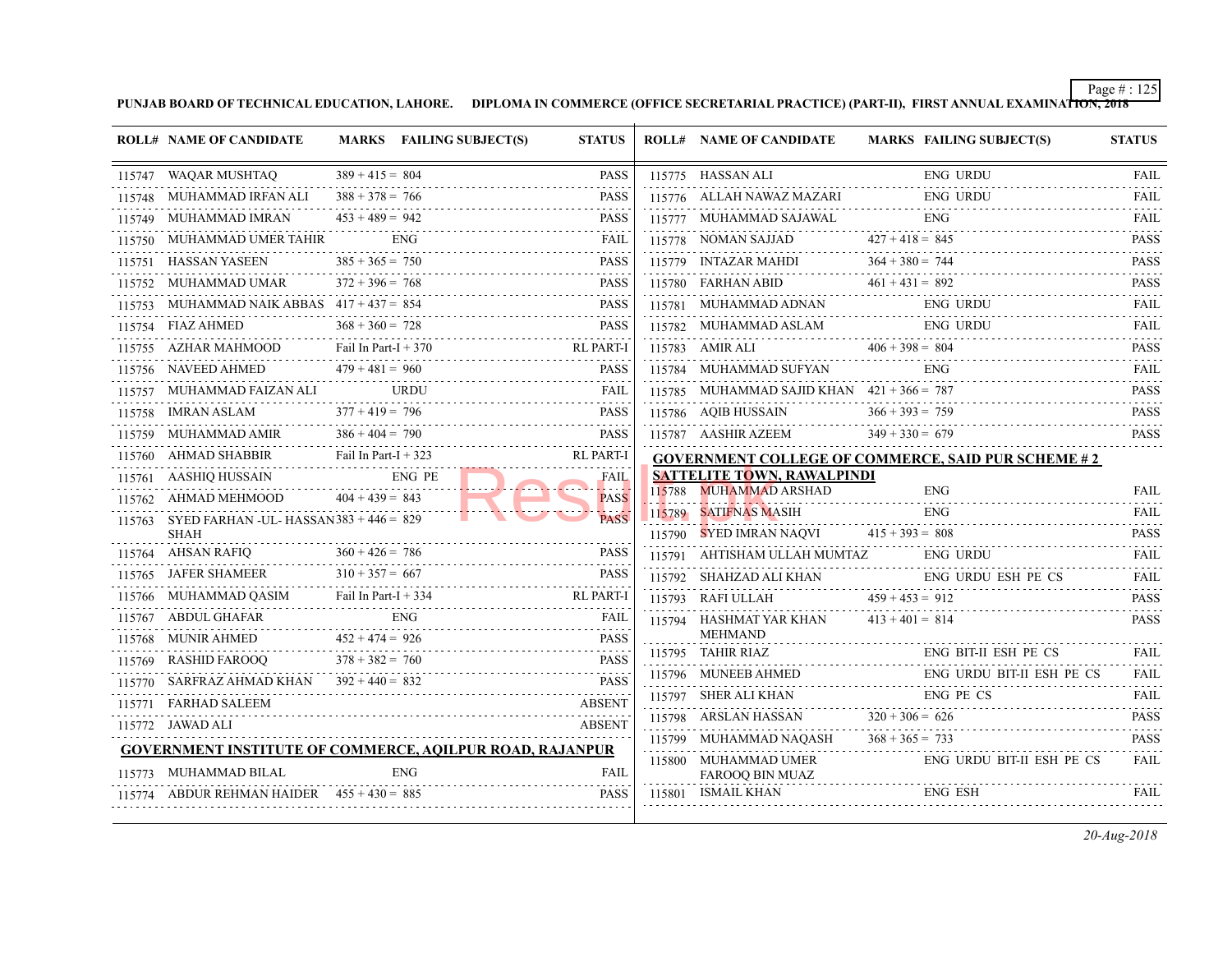|        | <b>ROLL# NAME OF CANDIDATE</b>                                                                  |                   | MARKS FAILING SUBJECT(S) |                        | <b>STATUS</b>               | <b>ROLL# NAME OF CANDIDATE</b>                   | <b>MARKS FAIL</b>               |
|--------|-------------------------------------------------------------------------------------------------|-------------------|--------------------------|------------------------|-----------------------------|--------------------------------------------------|---------------------------------|
|        | 115747 WAQAR MUSHTAQ                                                                            | $389 + 415 = 804$ |                          |                        | <b>PASS</b>                 | 115775 HASSAN ALI                                | <b>ENG</b>                      |
| 115748 | MUHAMMAD IRFAN ALI                                                                              | $388 + 378 = 766$ |                          |                        | <b>PASS</b>                 | 115776 ALLAH NAWAZ MAZARI                        | <b>ENG</b>                      |
| 115749 | MUHAMMAD IMRAN                                                                                  | $453 + 489 = 942$ |                          |                        | <b>PASS</b>                 | 115777 MUHAMMAD SAJAWAL                          | <b>ENG</b>                      |
|        | 115750 MUHAMMAD UMER TAHIR                                                                      |                   | ENG.                     |                        | FAIL                        | 115778 NOMAN SAJJAD $427 + 418 = 845$            |                                 |
|        | 115751 HASSAN YASEEN                                                                            | $385 + 365 = 750$ |                          |                        | PASS                        | 115779 INTAZAR MAHDI $364 + 380 = 744$           |                                 |
| 115752 | MUHAMMAD UMAR $372 + 396 = 768$<br>D UMAR $372 + 396 = 768$ PASS                                |                   |                          |                        |                             | 115780 FARHAN ABID $461 + 431 = 892$             |                                 |
|        | 115753 MUHAMMAD NAIK ABBAS $417 + 437 = 854$                                                    |                   |                          |                        | <b>PASS</b>                 | 115781 MUHAMMAD ADNAN                            | <b>ENG</b>                      |
|        | 115754 FIAZ AHMED<br>ED $368 + 360 = 728$ PASS                                                  | $368 + 360 = 728$ |                          |                        | PASS                        | 115782 MUHAMMAD ASLAM                            | ENG                             |
|        | 115755 AZHAR MAHMOOD Fail In Part-I + 370<br>15755 AZHAR MAHMOOD Fail In Part-I + 370 RL PART-I |                   |                          |                        |                             | 115783 AMIR ALI                                  | $406 + 398 = 804$               |
|        | 115756 NAVEED AHMED $479 + 481 = 960$                                                           |                   |                          |                        | <b>PASS</b>                 | 115784 MUHAMMAD SUFYAN                           | <b>ENG</b>                      |
|        | 115757 MUHAMMAD FAIZAN ALI                                                                      |                   |                          |                        |                             | 115785 MUHAMMAD SAJID KHAN $421 + 366 = 787$     |                                 |
|        | $377 + 419 = 796$<br>115758 IMRAN ASLAM                                                         |                   |                          | $377 + 419 = 796$ PASS |                             | 115786 AQIB HUSSAIN                              | $366 + 393 = 759$               |
|        | 115759 MUHAMMAD AMIR $386 + 404 = 790$                                                          |                   |                          |                        | <b>PASS</b>                 | 115787 AASHIR AZEEM                              | $349 + 330 = 679$               |
|        | 115760 AHMAD SHABBIR Fail In Part-I + 323                                                       |                   |                          |                        | RL PART-I                   | <b>GOVERNMENT COLLEGE OF COMMERCE, S</b>         |                                 |
| 115761 | AASHIQ HUSSAIN                                                                                  |                   | ENG PE                   |                        | <b>FAIL</b><br>.            | <b>SATTELITE TOWN, RAWALPINDI</b>                |                                 |
|        | 115762 AHMAD MEHMOOD $404 + 439 = 843$                                                          |                   |                          | $\sim$                 | <b>PASS</b>                 | 115788 MUHAMMAD ARSHAD                           | <b>ENG</b>                      |
|        | 115763 SYED FARHAN - UL-HASSAN383 + 446 = 829<br><b>SHAH</b>                                    |                   |                          |                        | <b>PASS</b>                 | 115789 SATIFNAS MASIH<br>115790 SYED IMRAN NAQVI | <b>ENG</b><br>$415 + 393 = 808$ |
|        | 115764 AHSAN RAFIQ                                                                              | $360 + 426 = 786$ |                          |                        | <b>PASS</b>                 | 115791 AHTISHAM ULLAH MUMTAZ                     | ENG.                            |
|        | 115765 JAFER SHAMEER                                                                            | $310 + 357 = 667$ |                          |                        | PASS                        | 115792 SHAHZAD ALI KHAN                          | <b>ENG</b>                      |
|        | 115766 MUHAMMAD QASIM Fail In Part-I + 334 RL PART-I                                            |                   |                          | RL PART-I              |                             | 115793 RAFI ULLAH $459 + 453 = 912$              |                                 |
|        | 115767 ABDUL GHAFAR ENG FAIL                                                                    |                   |                          |                        | FAIL                        | 115794 HASHMAT YAR KHAN $413 + 401 = 814$        |                                 |
|        | 115768 MUNIR AHMED $452 + 474 = 926$                                                            |                   |                          |                        | <b>PASS</b>                 | MEHMAND                                          |                                 |
| 115769 | RASHID FAROOQ                                                                                   | $378 + 382 = 760$ |                          |                        | $QQ$ $378 + 382 = 760$ PASS | 115795 TAHIR RIAZ                                | <b>ENG</b>                      |
|        | 115770 SARFRAZ AHMAD KHAN $392 + 440 = 832$<br>AHMAD KHAN 392 + 440 = 832 PASS                  |                   |                          |                        | <b>PASS</b>                 | 115796 MUNEEB AHMED                              | <b>ENG</b>                      |
|        | 115771 FARHAD SALEEM                                                                            |                   |                          |                        | ABSENT                      | 115797 SHER ALI KHAN                             | <b>ENG</b>                      |
|        | 115772 JAWAD ALI                                                                                |                   |                          |                        | <b>ABSENT</b>               | 115798 ARSLAN HASSAN $320 + 306 = 626$           |                                 |
|        | <b>GOVERNMENT INSTITUTE OF COMMERCE, AQILPUR ROAD, RAJANPUR</b>                                 |                   |                          |                        |                             | 115799 MUHAMMAD NAQASH                           | $368 + 365 = 733$               |
|        | 115773 MUHAMMAD BILAL                                                                           |                   | <b>ENG</b>               |                        | FAIL                        | 115800 MUHAMMAD UMER<br>FAROOQ BIN MUAZ          | <b>ENG</b>                      |
|        | 115774 ABDUR REHMAN HAIDER $455 + 430 = 885$                                                    |                   |                          |                        | <b>PASS</b>                 | 115801 ISMAIL KHAN                               | <b>ENG</b>                      |
|        |                                                                                                 |                   |                          |                        |                             |                                                  |                                 |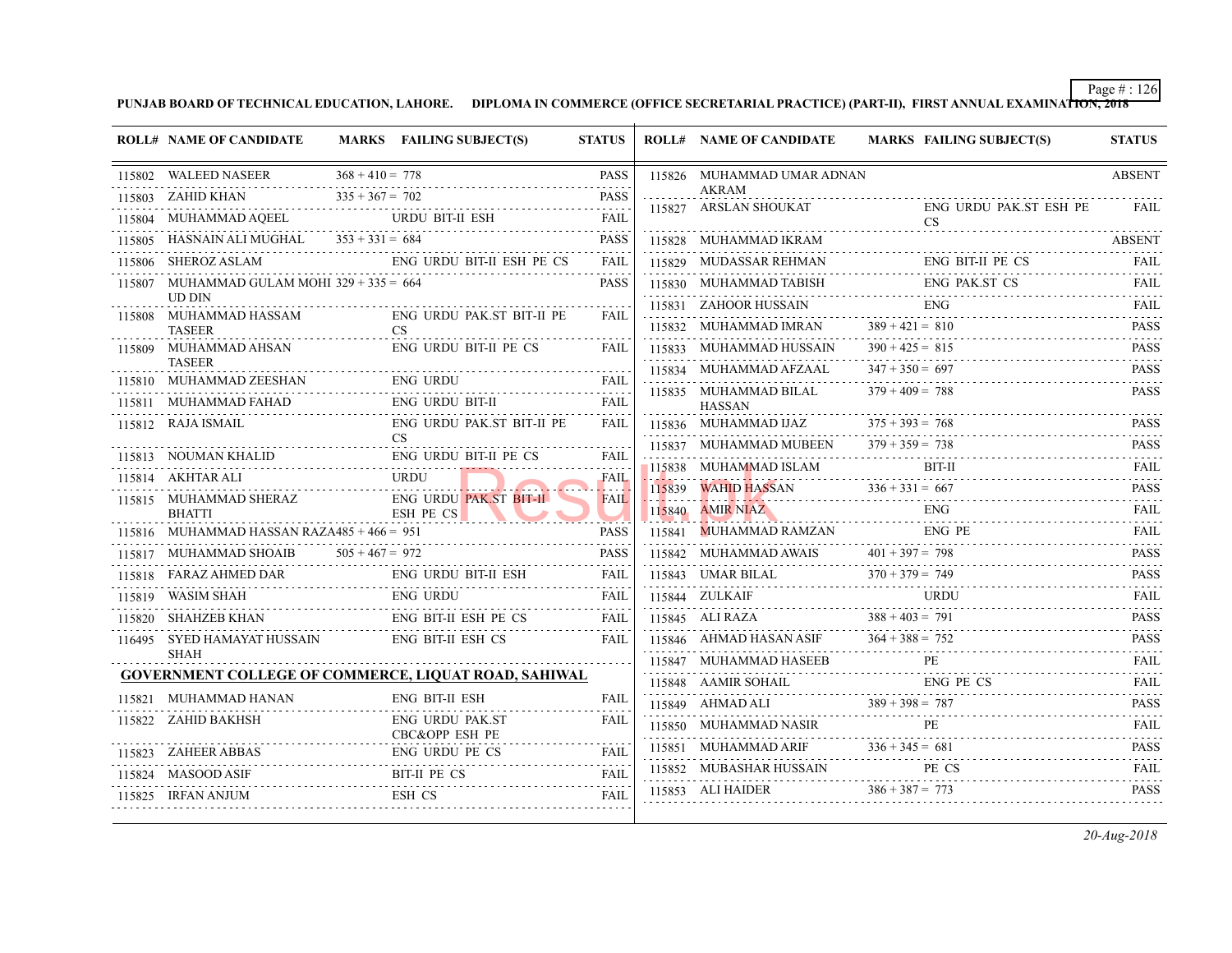| <b>ROLL# NAME OF CANDIDATE</b>                                                                                                                                                                                                                                                                                                                                                                                                                                                                            |                                   | MARKS FAILING SUBJECT(S)                                                                                             | <b>STATUS</b>    | <b>ROLL# NAME OF CANDIDATE</b>                               | <b>MARKS FAIL</b> |
|-----------------------------------------------------------------------------------------------------------------------------------------------------------------------------------------------------------------------------------------------------------------------------------------------------------------------------------------------------------------------------------------------------------------------------------------------------------------------------------------------------------|-----------------------------------|----------------------------------------------------------------------------------------------------------------------|------------------|--------------------------------------------------------------|-------------------|
| 115802 WALEED NASEER $368 + 410 = 778$ PASS                                                                                                                                                                                                                                                                                                                                                                                                                                                               |                                   |                                                                                                                      | <b>PASS</b>      | 115826 MUHAMMAD UMAR ADNAN                                   |                   |
| 115803 ZAHID KHAN $335 + 367 = 702$ PASS                                                                                                                                                                                                                                                                                                                                                                                                                                                                  |                                   |                                                                                                                      | <b>PASS</b>      | <b>AKRAM</b><br>115827 ARSLAN SHOUKAT                        | <b>ENG</b>        |
| 115804 MUHAMMAD AQEEL URDU BIT-II ESH FAIL                                                                                                                                                                                                                                                                                                                                                                                                                                                                |                                   |                                                                                                                      |                  |                                                              | CS.               |
| 115805 HASNAIN ALI MUGHAL $353 + 331 = 684$                                                                                                                                                                                                                                                                                                                                                                                                                                                               |                                   |                                                                                                                      | <b>PASS</b>      | 115828 MUHAMMAD IKRAM                                        |                   |
| $\begin{tabular}{lllllllllll} \bf 115806 & SHEROZ ASLAM & \bf \textcolor{red}{EMG} & \bf \textcolor{red}{EMG} & \bf \textcolor{red}{BIT-II} & \bf \textcolor{red}{ES} & \bf \textcolor{red}{PSF} & \bf \textcolor{red}{PSF} & \bf \textcolor{red}{PSF} & \bf \textcolor{red}{PSF} & \bf \textcolor{red}{PSF} & \bf \textcolor{red}{PSF} & \bf \textcolor{red}{PSF} & \bf \textcolor{red}{PSF} & \bf \textcolor{red}{PSF} & \bf \textcolor{red}{PSF} & \bf \textcolor{red}{PSF} & \bf \textcolor{red}{PSF$ |                                   |                                                                                                                      | FAIL             | 115829 MUDASSAR REHMAN                                       | ENG I             |
| 115807 MUHAMMAD GULAM MOHI $329 + 335 = 664$<br><b>UD DIN</b>                                                                                                                                                                                                                                                                                                                                                                                                                                             |                                   |                                                                                                                      | <b>PASS</b>      | 115830 MUHAMMAD TABISH EN                                    | <b>ENG</b>        |
| 115808 MUHAMMAD HASSAM                                                                                                                                                                                                                                                                                                                                                                                                                                                                                    |                                   | ENG URDU PAK.ST BIT-II PE                                                                                            | <b>FAIL</b>      | 115831 ZAHOOR HUSSAIN ENG                                    | <b>ENG</b>        |
| <b>TASEER</b>                                                                                                                                                                                                                                                                                                                                                                                                                                                                                             | CS                                |                                                                                                                      |                  | 115832 MUHAMMAD IMRAN $389 + 421 = 810$                      |                   |
| 115809 MUHAMMAD AHSAN ENG URDU BIT-II PE CS                                                                                                                                                                                                                                                                                                                                                                                                                                                               |                                   |                                                                                                                      | FAIL             | 115833 MUHAMMAD HUSSAIN $390 + 425 = 815$                    |                   |
| <b>TASEER</b>                                                                                                                                                                                                                                                                                                                                                                                                                                                                                             |                                   |                                                                                                                      |                  | 115834 MUHAMMAD AFZAAL $347 + 350 = 697$                     |                   |
| $\begin{tabular}{lllllllllll} \bf 115810 & \bf  MUHAMMAD ZEESHAN & \bf  ENG URDU & \bf  FAIL \\ \hline \end{tabular}$<br>115811 MUHAMMAD FAHAD                                                                                                                                                                                                                                                                                                                                                            |                                   | ENG URDU BIT-II                                                                                                      | FAIL             | 115835 MUHAMMAD BILAL                                        | $379 + 409 = 788$ |
| 115812 RAJA ISMAIL                                                                                                                                                                                                                                                                                                                                                                                                                                                                                        |                                   | ENG URDU PAK.ST BIT-II PE                                                                                            | FAIL             | HASSAN<br>115836 MUHAMMAD IJAZ $375 + 393 = 768$             |                   |
| CS 2000 CS 2000 CS 2000 CS 2000 CS 2000 CS 2000 CS 2000 CS 2000 CS 2000 CS 2000 CS 2000 CS 2000 CS 2000 CS 200                                                                                                                                                                                                                                                                                                                                                                                            | CS                                |                                                                                                                      |                  | 115837 MUHAMMAD MUBEEN $379 + 359 = 738$                     |                   |
| ENG URDU BIT-II PE CS FAIL                                                                                                                                                                                                                                                                                                                                                                                                                                                                                |                                   |                                                                                                                      | FAIL             |                                                              | BIT-I             |
| 115814 AKHTAR ALI                                                                                                                                                                                                                                                                                                                                                                                                                                                                                         |                                   | URDU <b>DE CALCADE DE CALCADE DE CALCADE DE CALCADE DE CALCADE DE CALCADE DE CALCADE DE CALCADE DE CALCADE DE CA</b> | <b>FAIL</b><br>. | 115838 MUHAMMAD ISLAM B                                      |                   |
| 115815 MUHAMMAD SHERAZ ENG URDU PAK ST BIT-II                                                                                                                                                                                                                                                                                                                                                                                                                                                             |                                   |                                                                                                                      | <b>FAIL</b>      | 115839 WAHID HASSAN $336 + 331 = 667$<br>115840 AMIR NIAZ EN | ENG               |
| 115816 MUHAMMAD HASSAN RAZA485 + 466 = 951                                                                                                                                                                                                                                                                                                                                                                                                                                                                |                                   |                                                                                                                      | <b>PASS</b>      | 115841 MUHAMMAD RAMZAN EN                                    | <b>ENG</b>        |
| 115817 MUHAMMAD SHOAIB $505 + 467 = 972$                                                                                                                                                                                                                                                                                                                                                                                                                                                                  |                                   |                                                                                                                      | <b>PASS</b>      | 115842 MUHAMMAD AWAIS $401 + 397 = 798$                      |                   |
| 115818 FARAZ AHMED DAR ENG URDU BIT-II ESH FAIL                                                                                                                                                                                                                                                                                                                                                                                                                                                           |                                   |                                                                                                                      | FAIL             | 115843 UMAR BILAL $370 + 379 = 749$                          |                   |
| 115819 WASIM SHAH                                                                                                                                                                                                                                                                                                                                                                                                                                                                                         |                                   | H ENG URDU FAIL                                                                                                      | FAIL             | 115844 ZULKAIF UI                                            | <b>URD</b>        |
| 115820 SHAHZEB KHAN ENG BIT-II ESH PE CS FAIL                                                                                                                                                                                                                                                                                                                                                                                                                                                             |                                   |                                                                                                                      |                  | 115845 ALI RAZA $388 + 403 = 791$                            |                   |
| 116495 SYED HAMAYAT HUSSAIN ENG BIT-II ESH CS                                                                                                                                                                                                                                                                                                                                                                                                                                                             |                                   |                                                                                                                      | <b>FAIL</b>      | 115846 AHMAD HASAN ASIF $364 + 388 = 752$                    |                   |
| SHAH                                                                                                                                                                                                                                                                                                                                                                                                                                                                                                      |                                   |                                                                                                                      |                  |                                                              |                   |
| <b>GOVERNMENT COLLEGE OF COMMERCE, LIQUAT ROAD, SAHIWAL</b>                                                                                                                                                                                                                                                                                                                                                                                                                                               |                                   |                                                                                                                      |                  |                                                              | <b>ENG</b>        |
| 115821 MUHAMMAD HANAN                                                                                                                                                                                                                                                                                                                                                                                                                                                                                     | ENG BIT-II ESH                    |                                                                                                                      | <b>FAIL</b>      | 115849 AHMAD ALI $389 + 398 = 787$                           |                   |
| 115822 ZAHID BAKHSH                                                                                                                                                                                                                                                                                                                                                                                                                                                                                       | ENG URDU PAK.ST<br>CBC&OPP ESH PE |                                                                                                                      | FAIL             | 115850 MUHAMMAD NASIR PE                                     |                   |
| 115823 ZAHEER ABBAS ENG URDU PE CS FAIL                                                                                                                                                                                                                                                                                                                                                                                                                                                                   |                                   |                                                                                                                      | FAIL             | 115851 MUHAMMAD ARIF $336 + 345 = 681$                       |                   |
| $\begin{tabular}{lllllllllll} \bf 115824 & MASOOD ASIF & \bf BIT-II PE CS & \bf FAIL \\ \hline \end{tabular}$                                                                                                                                                                                                                                                                                                                                                                                             |                                   |                                                                                                                      | <b>FAIL</b>      | 115852 MUBASHAR HUSSAIN PE C                                 |                   |
| 115825 IRFAN ANJUM ESH CS FAIL<br>115825 IRFAN ANJUM                                                                                                                                                                                                                                                                                                                                                                                                                                                      |                                   |                                                                                                                      | FAIL             | 115853 ALI HAIDER $386 + 387 = 773$                          |                   |
|                                                                                                                                                                                                                                                                                                                                                                                                                                                                                                           |                                   |                                                                                                                      |                  |                                                              |                   |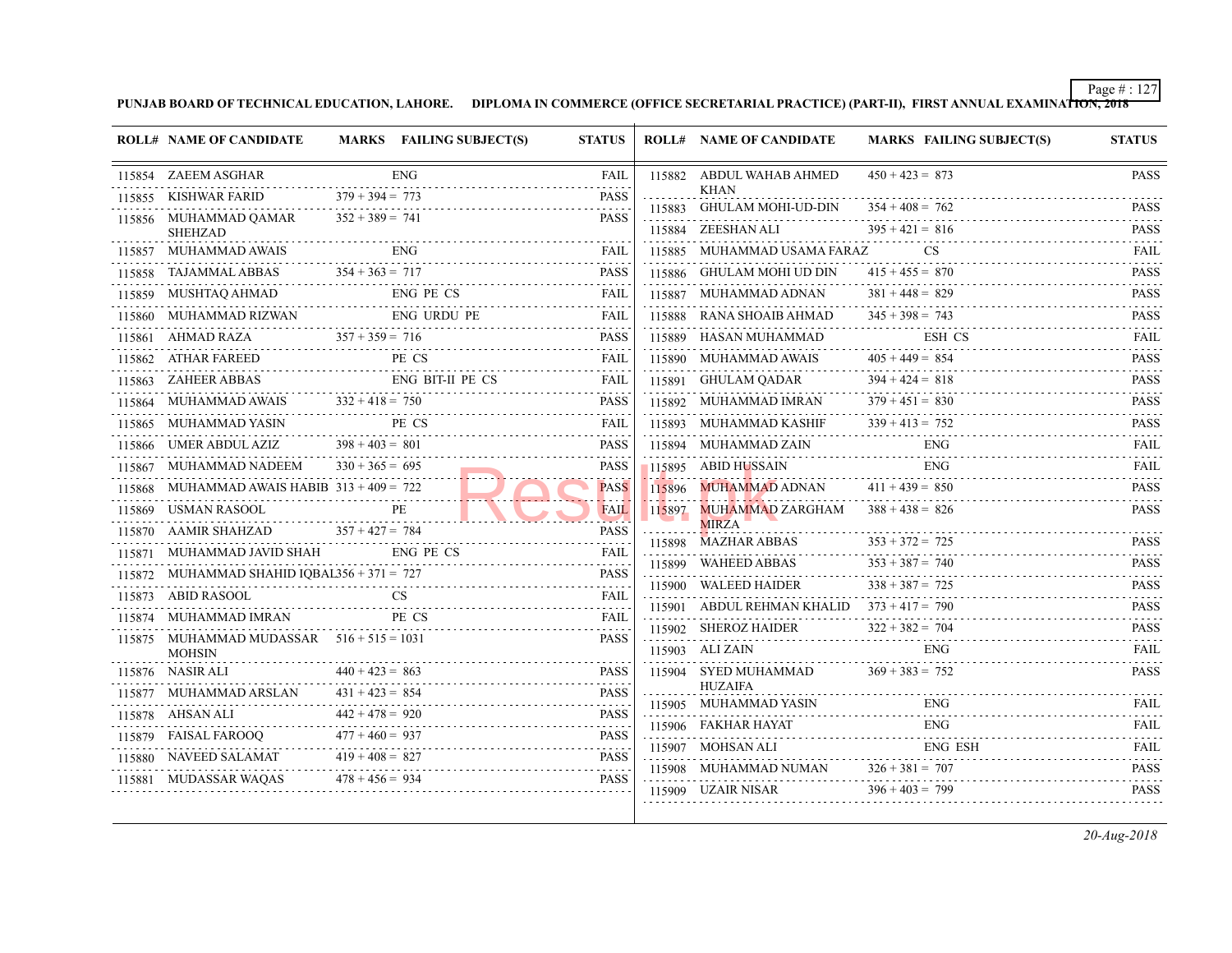|        | <b>ROLL# NAME OF CANDIDATE</b>                                                                 |                   | MARKS FAILING SUBJECT(S)                                                                                                                               | <b>STATUS</b>                   | <b>ROLL# NAME OF CANDIDATE</b>                                                  | <b>MARKS FAIL</b>        |
|--------|------------------------------------------------------------------------------------------------|-------------------|--------------------------------------------------------------------------------------------------------------------------------------------------------|---------------------------------|---------------------------------------------------------------------------------|--------------------------|
|        | 115854 ZAEEM ASGHAR                                                                            |                   | <b>ENG</b>                                                                                                                                             | <b>FAIL</b>                     | 115882 ABDUL WAHAB AHMED                                                        | $450 + 423 = 873$        |
| 115855 | KISHWAR FARID                                                                                  | $379 + 394 = 773$ |                                                                                                                                                        | <b>PASS</b><br>and a state      | KHAN<br>115883 GHULAM MOHI-UD-DIN                                               | $354 + 408 = 762$        |
|        | 115856 MUHAMMAD QAMAR                                                                          | $352 + 389 = 741$ |                                                                                                                                                        | <b>PASS</b>                     | 115884 ZEESHAN ALI                                                              |                          |
|        | <b>SHEHZAD</b><br>115857 MUHAMMAD AWAIS                                                        |                   | ENG-                                                                                                                                                   | <b>FAIL</b>                     | 115885 MUHAMMAD USAMA FARAZ                                                     | $395 + 421 = 816$<br>CS. |
|        |                                                                                                | $354 + 363 = 717$ |                                                                                                                                                        |                                 |                                                                                 |                          |
|        | 115858 TAJAMMAL ABBAS                                                                          |                   |                                                                                                                                                        | <b>PASS</b>                     | 115886 GHULAM MOHI UD DIN                                                       | $415 + 455 = 870$        |
|        | 115859 MUSHTAQ AHMAD                                                                           |                   | TAQ AHMAD ENG PE CS FAIL                                                                                                                               |                                 | 115887 MUHAMMAD ADNAN                                                           | $381 + 448 = 829$        |
|        | 115860 MUHAMMAD RIZWAN ENG URDU PE FAIL                                                        |                   |                                                                                                                                                        | <b>FAIL</b>                     | 115888 RANA SHOAIB AHMAD                                                        | $345 + 398 = 743$        |
|        | 115861 AHMAD RAZA $357 + 359 = 716$ PASS                                                       |                   |                                                                                                                                                        | <b>PASS</b>                     | 115889 HASAN MUHAMMAD                                                           | ESH                      |
|        | 115862 ATHAR FAREED PE CS FAIL                                                                 |                   | PE CS                                                                                                                                                  |                                 | 115890 MUHAMMAD AWAIS                                                           | $405 + 449 = 854$        |
|        | 115863 ZAHEER ABBAS                                                                            |                   | ENG BIT-II PE CS<br>ENG BIT-II PE CS<br>https://www.com/communications/communications/communications/communications/communications/communications/comm | <b>FAIL</b>                     | 115891 GHULAM QADAR $394 + 424 = 818$                                           |                          |
|        | 115864 MUHAMMAD AWAIS $332 + 418 = 750$                                                        |                   | $\text{HS} \quad 332 + 418 = 750 \quad \text{PASS}$                                                                                                    | PASS                            | 115892 MUHAMMAD IMRAN $379 + 451 = 830$                                         |                          |
|        | 115865 MUHAMMAD YASIN                                                                          |                   | PE CS                                                                                                                                                  | FAIL                            | 115893 MUHAMMAD KASHIF                                                          | $339 + 413 = 752$        |
|        | 115866 UMER ABDUL AZIZ $398 + 403 = 801$                                                       |                   |                                                                                                                                                        | <b>PASS</b>                     | 115894 MUHAMMAD ZAIN                                                            | ENG                      |
|        | 115867 MUHAMMAD NADEEM $330 + 365 = 695$                                                       |                   |                                                                                                                                                        | <b>PASS</b>                     | 115895 ABID HUSSAIN                                                             | ENG                      |
|        | 115868 MUHAMMAD AWAIS HABIB $313 + 409 = 722$                                                  |                   |                                                                                                                                                        | <b>PASS</b>                     | $115896$ MUHAMMAD ADNAN $411 + 439 = 850$                                       |                          |
|        | 115869 USMAN RASOOL                                                                            |                   | PE                                                                                                                                                     | <b>FAIL</b>                     | $115897$ MUHAMMAD ZARGHAM $388 + 438 = 826$                                     |                          |
|        | 115870 AAMIR SHAHZAD $357 + 427 = 784$                                                         |                   |                                                                                                                                                        | <b>PASS</b><br>$-1 - 1 - 1 - 1$ | <b>MIRZA</b><br>115898 MAZHAR ABBAS                                             | $353 + 372 = 725$        |
|        | $115871 \quad$ MUHAMMAD JAVID SHAH $\qquad \qquad$ ENG PE CS                                   |                   |                                                                                                                                                        | <b>FAIL</b>                     | 115899 WAHEED ABBAS $353 + 387 = 740$                                           |                          |
|        | 115872 MUHAMMAD SHAHID IOBAL356 + 371 = 727<br>15872 MUHAMMAD SHAHID IQBAL356 + 371 = 727 PASS |                   |                                                                                                                                                        | <b>PASS</b>                     |                                                                                 |                          |
|        | 115873 ABID RASOOL                                                                             |                   | OOL CS FAIL                                                                                                                                            |                                 | 115900 WALEED HAIDER $338 + 387 = 725$                                          |                          |
|        | 115874 MUHAMMAD IMRAN PE CS                                                                    |                   |                                                                                                                                                        | <b>FAIL</b>                     | 115901 ABDUL REHMAN KHALID $373 + 417 = 790$                                    |                          |
|        | 115875 MUHAMMAD MUDASSAR $516 + 515 = 1031$                                                    |                   |                                                                                                                                                        | <b>PASS</b>                     | 115902 SHEROZ HAIDER $322 + 382 = 704$                                          |                          |
|        | <b>MOHSIN</b>                                                                                  |                   |                                                                                                                                                        |                                 | 115903 ALI ZAIN                                                                 | ENG I                    |
|        | 115876 NASIR ALI                                                                               | $440 + 423 = 863$ | $240 + 423 = 863$ PASS                                                                                                                                 | PASS                            | 115904 SYED MUHAMMAD $369 + 383 = 752$<br><b>HUZAIFA</b>                        |                          |
|        | 115877 MUHAMMAD ARSLAN<br>115877 MUHAMMAD ARSLAN $431 + 423 = 854$ PASS                        | $431 + 423 = 854$ |                                                                                                                                                        |                                 |                                                                                 | ENG.                     |
|        | 115878 AHSAN ALI                                                                               | $442 + 478 = 920$ | $442 + 478 = 920$ PASS                                                                                                                                 | <b>PASS</b>                     | 115905 MUHAMMAD YASIN EN                                                        | <b>ENG</b>               |
|        | 115879 FAISAL FAROOQ 477 + 460 = 937                                                           |                   | $ISAL FAROOQ$ $477 + 460 = 937$ PASS                                                                                                                   |                                 | 115907 MOHSAN ALI                                                               | <b>ENG</b>               |
|        | 115880 NAVEED SALAMAT $419 + 408 = 827$ PASS                                                   | $419 + 408 = 827$ |                                                                                                                                                        | <b>PASS</b>                     |                                                                                 |                          |
|        | 115881 MUDASSAR WAQAS                                                                          | $478 + 456 = 934$ |                                                                                                                                                        | <b>PASS</b>                     | 115908 MUHAMMAD NUMAN $326 + 381 = 707$<br>115909 UZAIR NISAR $396 + 403 = 799$ |                          |
|        |                                                                                                |                   |                                                                                                                                                        |                                 |                                                                                 |                          |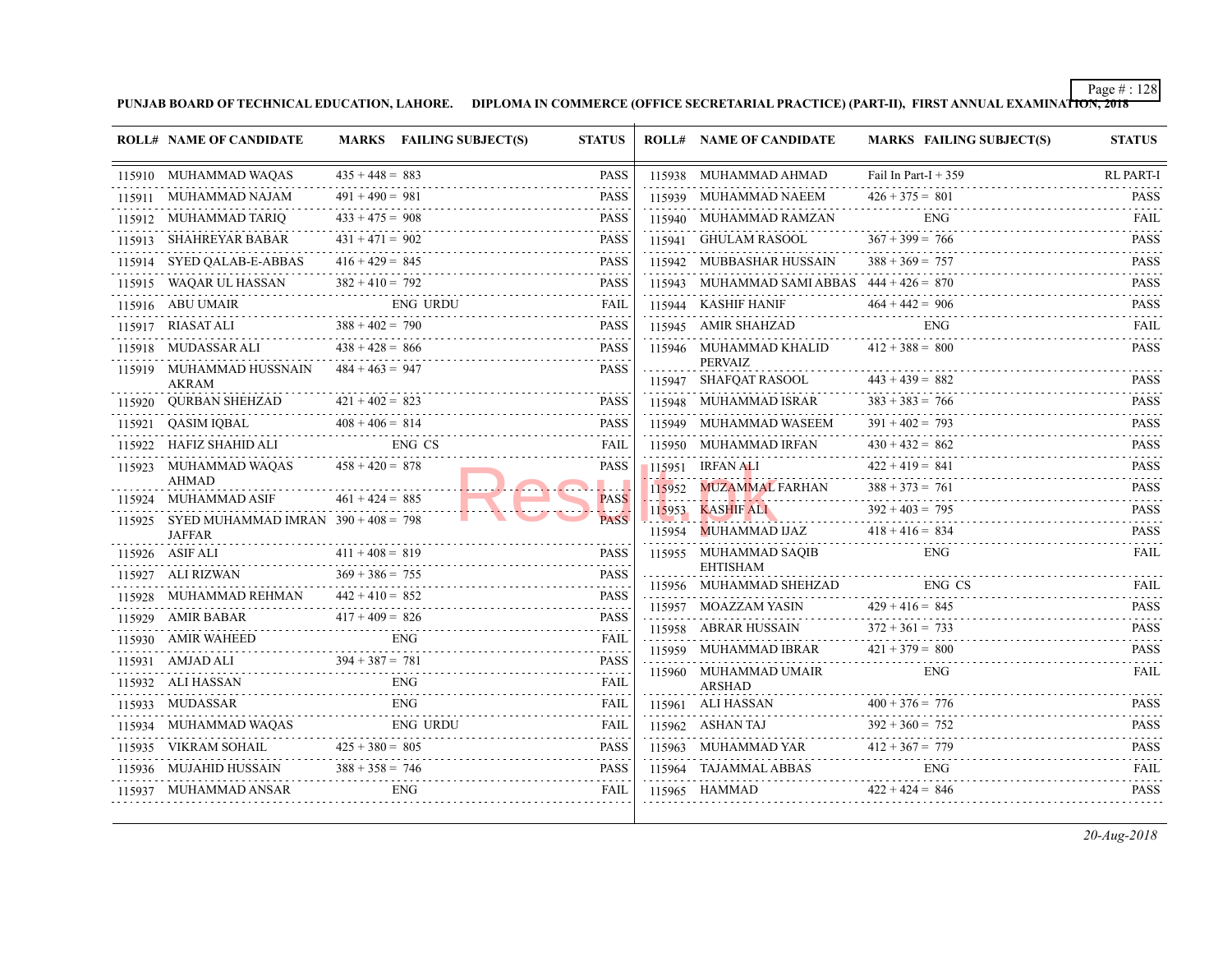|            | <b>ROLL# NAME OF CANDIDATE</b>                                                          |                   | MARKS FAILING SUBJECT(S)   | <b>STATUS</b> | <b>ROLL# NAME OF CANDIDATE</b>                                  | <b>MARKS FAIL</b>    |
|------------|-----------------------------------------------------------------------------------------|-------------------|----------------------------|---------------|-----------------------------------------------------------------|----------------------|
|            | 115910 MUHAMMAD WAQAS                                                                   | $435 + 448 = 883$ |                            | <b>PASS</b>   | 115938 MUHAMMAD AHMAD                                           | Fail In Part-I + $3$ |
|            | 115911 MUHAMMAD NAJAM                                                                   | $491 + 490 = 981$ |                            | <b>PASS</b>   | 115939 MUHAMMAD NAEEM                                           | $426 + 375 = 801$    |
|            | 115912 MUHAMMAD TARIQ                                                                   | $433 + 475 = 908$ |                            | <b>PASS</b>   | 115940 MUHAMMAD RAMZAN                                          | <b>ENG</b>           |
|            | 115913 SHAHREYAR BABAR                                                                  | $431 + 471 = 902$ | $431 + 471 = 902$ PASS     | <b>PASS</b>   | 115941 GHULAM RASOOL                                            | $367 + 399 = 766$    |
|            | 115914 SYED OALAB-E-ABBAS                                                               | $416 + 429 = 845$ |                            | <b>PASS</b>   | 115942 MUBBASHAR HUSSAIN                                        | $388 + 369 = 757$    |
|            | 115915 WAQAR UL HASSAN                                                                  | $382 + 410 = 792$ |                            | <b>PASS</b>   | 115943 MUHAMMAD SAMI ABBAS $444 + 426 = 870$                    |                      |
|            | 115916 ABU UMAIR                                                                        |                   |                            | FAIL          | 115944 KASHIF HANIF                                             | $464 + 442 = 906$    |
|            | 115917 RIASAT ALI $388 + 402 = 790$ PASS                                                |                   |                            | <b>PASS</b>   | 115945 AMIR SHAHZAD                                             | <b>ENG</b>           |
|            | 115918 MUDASSAR ALI $438 + 428 = 866$                                                   |                   |                            | <b>PASS</b>   | 115946 MUHAMMAD KHALID                                          | $412 + 388 = 800$    |
|            | 115919 MUHAMMAD HUSSNAIN<br>AKRAM                                                       | $484 + 463 = 947$ |                            | <b>PASS</b>   | <b>PERVAIZ</b><br>115947 SHAFQAT RASOOL                         | $443 + 439 = 882$    |
|            | 115920 QURBAN SHEHZAD $421 + 402 = 823$                                                 |                   | HEHZAD 421 + 402 = 823 PAS | <b>PASS</b>   | 115948 MUHAMMAD ISRAR                                           | $383 + 383 = 766$    |
|            | 115921 QASIM IQBAL                                                                      | $408 + 406 = 814$ | L $408 + 406 = 814$        | <b>PASS</b>   | 115949 MUHAMMAD WASEEM                                          | $391 + 402 = 793$    |
|            | 115922 HAFIZ SHAHID ALI                                                                 |                   | ENG CS                     | FAIL          | 115950 MUHAMMAD IRFAN                                           | $430 + 432 = 862$    |
|            | 115923 MUHAMMAD WAQAS                                                                   | $458 + 420 = 878$ |                            | <b>PASS</b>   | 115951 IRFAN ALI                                                | $422 + 419 = 841$    |
|            | <b>AHMAD</b>                                                                            |                   |                            |               | 115952 MUZAMMAL FARHAN                                          | $388 + 373 = 761$    |
|            | 115924 MUHAMMAD ASIF                                                                    | $461 + 424 = 885$ |                            | <b>PASS</b>   | 115953 KASHIF ALI                                               | $392 + 403 = 795$    |
|            | 115925 SYED MUHAMMAD IMRAN $390 + 408 = 798$<br><b>JAFFAR</b>                           |                   |                            | <b>PASS</b>   | 115954 MUHAMMAD IJAZ $418 + 416 = 834$                          |                      |
|            | 115926 ASIF ALI                                                                         | $411 + 408 = 819$ |                            | <b>PASS</b>   | 115955 MUHAMMAD SAQIB                                           | <b>ENG</b>           |
|            | 115927 ALI RIZWAN $369 + 386 = 755$                                                     |                   |                            | <b>PASS</b>   | <b>EHTISHAM</b><br>115956 MUHAMMAD SHEHZAD                      |                      |
|            | 115928 MUHAMMAD REHMAN<br>115928 MUHAMMAD REHMAN $442 + 410 = 852$ PASS                 | $442 + 410 = 852$ |                            | <b>PASS</b>   | 115957 MOAZZAM YASIN $429 + 416 = 845$                          | <b>ENG</b>           |
|            | 115929 AMIR BABAR                                                                       |                   | BABAR $417 + 409 = 826$    | <b>PASS</b>   | .                                                               |                      |
|            | 115930 AMIR WAHEED ENG FAIL                                                             |                   |                            | FAIL          | 115958 ABRAR HUSSAIN $372 + 361 = 733$<br>115959 MUHAMMAD IBRAR |                      |
|            | 115931 AMJAD ALI                                                                        |                   | $1$ $394 + 387 = 781$ PASS |               | MMAD IBRAR $421 + 379 = 800$                                    |                      |
| . <u>.</u> | 115932 ALI HASSAN                                                                       |                   |                            | FAIL          | 115960 MUHAMMAD UMAIR<br>ARSHAD                                 | <b>ENG</b>           |
|            | 115933 MUDASSAR                                                                         |                   | ENG                        | FAIL          | 115961 ALI HASSAN $400 + 376 = 776$                             |                      |
|            | 115934 MUHAMMAD WAQAS ENG URDU                                                          |                   |                            | FAIL          | 115962 ASHAN TAJ $392 + 360 = 752$                              |                      |
|            | 115935 VIKRAM SOHAIL $425 + 380 = 805$                                                  |                   |                            | <b>PASS</b>   | 115963 MUHAMMAD YAR $412 + 367 = 779$                           |                      |
|            | 115936 MUJAHID HUSSAIN $388 + 358 = 746$<br>5936 MUJAHID HUSSAIN $388 + 358 = 746$ PASS |                   |                            | <b>PASS</b>   | 115964 TAJAMMAL ABBAS ENG                                       | <b>ENG</b>           |
|            | 115937 MUHAMMAD ANSAR                                                                   |                   | <b>ENG</b>                 | FAIL          | $422 + 424 = 846$<br>115965 HAMMAD                              |                      |
|            |                                                                                         |                   |                            |               |                                                                 |                      |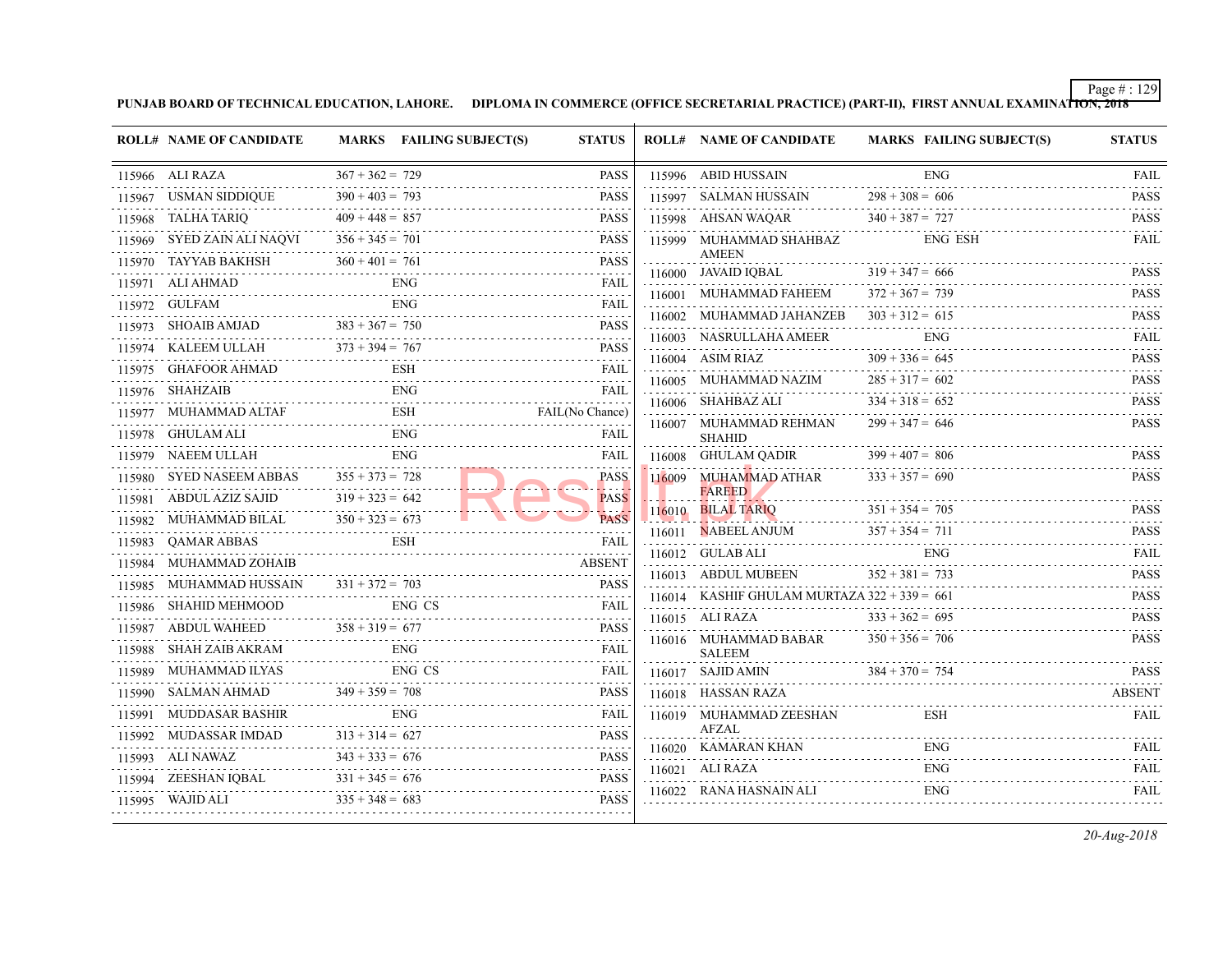|        | <b>ROLL# NAME OF CANDIDATE</b>               | MARKS FAILING SUBJECT(S) | <b>STATUS</b>          | <b>ROLL# NAME OF CANDIDATE</b>                                       | <b>MARKS FAIL</b> |
|--------|----------------------------------------------|--------------------------|------------------------|----------------------------------------------------------------------|-------------------|
|        | 115966 ALI RAZA                              | $367 + 362 = 729$<br>.   | <b>PASS</b>            | 115996 ABID HUSSAIN                                                  | <b>ENG</b>        |
|        | 115967 USMAN SIDDIQUE                        | $390 + 403 = 793$        | <b>PASS</b>            | 115997 SALMAN HUSSAIN                                                | $298 + 308 = 606$ |
|        | 115968 TALHA TARIQ                           | $409 + 448 = 857$        | PASS                   | 115998 AHSAN WAQAR                                                   | $340 + 387 = 727$ |
|        | 115969 SYED ZAIN ALI NAQVI $356 + 345 = 701$ |                          | <b>PASS</b>            | 115999 MUHAMMAD SHAHBAZ                                              | <b>ENG</b>        |
|        | 115970 TAYYAB BAKHSH $360 + 401 = 761$       |                          | <b>PASS</b>            | <b>AMEEN</b><br>116000 JAVAID IOBAL                                  | $319 + 347 = 666$ |
|        | 115971 ALI AHMAD ENG<br>115971 ALI AHMAD     |                          | FAIL<br>.              |                                                                      |                   |
|        | 115972 GULFAM                                | ENG.                     | FAIL                   | 116001 MUHAMMAD FAHEEM<br>116002 MUHAMMAD JAHANZEB $303 + 312 = 615$ | $372 + 367 = 739$ |
|        | 115973 SHOAIB AMJAD $383 + 367 = 750$        |                          | <b>PASS</b>            |                                                                      |                   |
|        | 115974 KALEEM ULLAH $373 + 394 = 767$        |                          | <b>PASS</b>            | 116003 NASRULLAHA AMEER                                              | ENG I             |
|        | 115975 GHAFOOR AHMAD                         |                          |                        | 116004 ASIM RIAZ                                                     | $309 + 336 = 645$ |
|        | 115976 SHAHZAIB                              |                          | FAIL                   | 116005 MUHAMMAD NAZIM                                                | $285 + 317 = 602$ |
|        | 115977 MUHAMMAD ALTAF                        | ESH                      | <b>FAIL(No Chance)</b> | 116006 SHAHBAZ ALI                                                   | $334 + 318 = 652$ |
|        | 115978 GHULAM ALI                            | <b>ENG</b>               | FAIL                   | 116007 MUHAMMAD REHMAN<br><b>SHAHID</b>                              | $299 + 347 = 646$ |
|        | 115979 NAEEM ULLAH                           | ENG                      | FAIL                   | 116008 GHULAM QADIR                                                  | $399 + 407 = 806$ |
| 115980 | SYED NASEEM ABBAS                            | .<br>$355 + 373 = 728$   | <b>PASS</b>            | 116009 MUHAMMAD ATHAR                                                | $333 + 357 = 690$ |
|        | 115981 ABDUL AZIZ SAJID                      | $319 + 323 = 642$        | <b>PASS</b>            | <b>FAREED</b>                                                        |                   |
|        | 115982 MUHAMMAD BILAL $350 + 323 = 673$      |                          | <b>PASS</b>            | 116010 BILAL TARIQ<br>l Nord Harry State                             | $351 + 354 = 705$ |
|        | 115983 QAMAR ABBAS                           | <b>ESH</b>               | FAIL                   | 116011 NABEEL ANJUM                                                  | $357 + 354 = 711$ |
|        | 115984 MUHAMMAD ZOHAIB                       |                          | <b>ABSENT</b>          | 116012 GULAB ALI                                                     | <b>ENG</b>        |
|        | 115985 MUHAMMAD HUSSAIN                      | $331 + 372 = 703$        | <b>PASS</b>            | 116013 ABDUL MUBEEN $352 + 381 = 733$                                |                   |
|        | 115986 SHAHID MEHMOOD                        | <b>ENG CS</b>            | FAIL                   | 116014 KASHIF GHULAM MURTAZA $322 + 339 = 661$                       |                   |
|        | 115987 ABDUL WAHEED $358 + 319 = 677$        |                          | .<br><b>PASS</b>       | 116015 ALI RAZA                                                      | $333 + 362 = 695$ |
|        | 115988 SHAH ZAIB AKRAM                       | ENG                      | .<br>FAIL              | 116016 MUHAMMAD BABAR<br><b>SALEEM</b>                               | $350 + 356 = 706$ |
|        | 115989 MUHAMMAD ILYAS                        | ENG CS                   | FAIL                   | $116017$ SAJID AMIN                                                  | $384 + 370 = 754$ |
|        | 115990 SALMAN AHMAD $349 + 359 = 708$        |                          | <b>PASS</b>            | 116018 HASSAN RAZA                                                   |                   |
|        | 115991 MUDDASAR BASHIR                       | ENG.                     | FAIL                   | 116019 MUHAMMAD ZEESHAN                                              | ESH               |
|        | 115992 MUDASSAR IMDAD $313 + 314 = 627$      | .                        | .<br><b>PASS</b>       | AFZAL                                                                |                   |
|        | 115993 ALI NAWAZ                             | .<br>$343 + 333 = 676$   | PASS<br>PASS           | 116020 KAMARAN KHAN                                                  | <b>ENG</b>        |
|        | 115994 ZEESHAN IQBAL 331 + 345 = 676         |                          | <b>PASS</b>            | 116021 ALI RAZA                                                      | <b>ENG</b>        |
|        | 115995 WAJID ALI                             | $335 + 348 = 683$        | <b>PASS</b>            | 116022 RANA HASNAIN ALI                                              | <b>ENG</b>        |
|        |                                              |                          |                        |                                                                      |                   |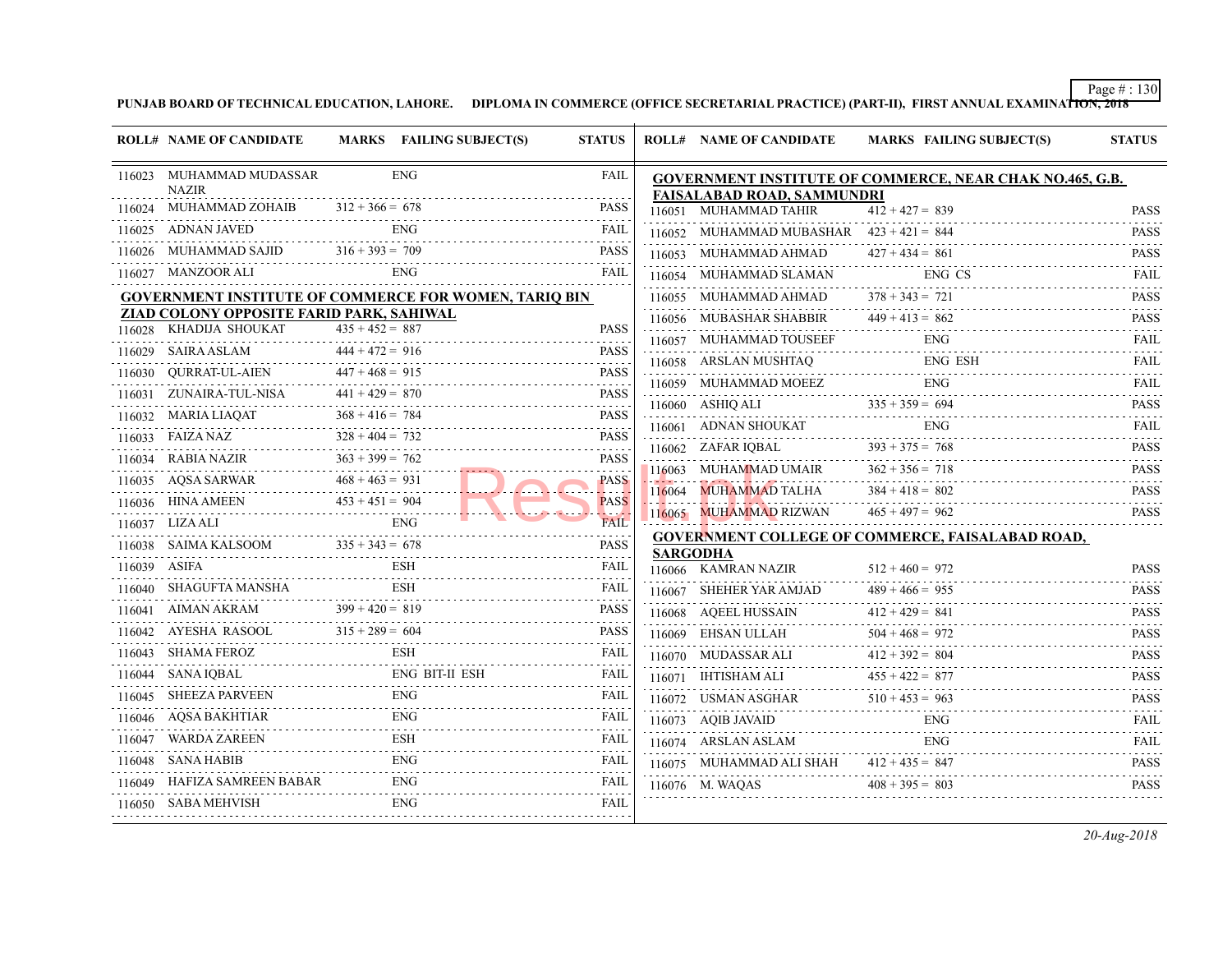|              | <b>ROLL# NAME OF CANDIDATE</b>                               |                   | MARKS FAILING SUBJECT(S)                            | <b>STATUS</b>                 |                 | <b>ROLL# NAME OF CANDIDATE</b>                                                | <b>MARKS FAIL</b> |
|--------------|--------------------------------------------------------------|-------------------|-----------------------------------------------------|-------------------------------|-----------------|-------------------------------------------------------------------------------|-------------------|
|              | 116023 MUHAMMAD MUDASSAR<br><b>NAZIR</b>                     |                   | <b>ENG</b>                                          | <b>FAIL</b>                   |                 | <b>GOVERNMENT INSTITUTE OF COMMERCE,</b><br><b>FAISALABAD ROAD, SAMMUNDRI</b> |                   |
|              | 116024 MUHAMMAD ZOHAIB $312 + 366 = 678$                     |                   |                                                     | <b>PASS</b>                   |                 | 116051 MUHAMMAD TAHIR                                                         | $412 + 427 = 839$ |
|              | 116025 ADNAN JAVED                                           |                   | ED ENG FAIL                                         |                               |                 | 116052 MUHAMMAD MUBASHAR $423 + 421 = 844$                                    |                   |
|              | 116026 MUHAMMAD SAJID $316 + 393 = 709$ PASS                 |                   |                                                     | <b>PASS</b>                   |                 | 116053 MUHAMMAD AHMAD                                                         | $427 + 434 = 861$ |
|              | 116027 MANZOOR ALI                                           |                   | <b>ENG</b>                                          | FAIL                          |                 | 116054 MUHAMMAD SLAMAN                                                        | <b>ENG</b>        |
|              | <b>GOVERNMENT INSTITUTE OF COMMERCE FOR WOMEN, TARIQ BIN</b> |                   |                                                     |                               |                 | 116055 MUHAMMAD AHMAD $378 + 343 = 721$                                       |                   |
|              | ZIAD COLONY OPPOSITE FARID PARK, SAHIWAL                     |                   |                                                     |                               |                 | 116056 MUBASHAR SHABBIR $449 + 413 = 862$                                     |                   |
|              | 116028 KHADIJA SHOUKAT                                       | $435 + 452 = 887$ |                                                     | <b>PASS</b>                   |                 | 116057 MUHAMMAD TOUSEEF                                                       | <b>ENG</b>        |
|              | 116029 SAIRA ASLAM $444 + 472 = 916$ PASS                    |                   |                                                     |                               |                 | 116058 ARSLAN MUSHTAQ EN                                                      | <b>ENG</b>        |
|              | 116030 QURRAT-UL-AIEN $447 + 468 = 915$ PASS                 |                   |                                                     |                               |                 | 116059 MUHAMMAD MOEEZ                                                         | <b>ENG</b>        |
| 116031       | $ZUNAIRA-TUL-NISA$ $441 + 429 = 870$                         |                   |                                                     | <b>PASS</b>                   |                 | 116060 ASHIQ ALI $335 + 359 = 694$                                            |                   |
|              | 116032 MARIA LIAQAT 368 + 416 = 784 PASS                     |                   |                                                     |                               |                 | 116061 ADNAN SHOUKAT EN                                                       | <b>ENG</b>        |
|              | 116033 FAIZA NAZ $328 + 404 = 732$ PASS<br>116033 FAIZA NAZ  |                   |                                                     |                               |                 | 116062 ZAFAR IQBAL $393 + 375 = 768$                                          |                   |
|              | 116034 RABIA NAZIR $363 + 399 = 762$                         |                   |                                                     | <b>PASS</b><br>.              |                 | 116063 MUHAMMAD UMAIR 362 + 356 = 718                                         |                   |
|              | 116035 AQSA SARWAR $468 + 463 = 931$                         |                   | $D_{\Omega}$                                        | <b>PASS</b><br>11. <b>.</b> . |                 | $116064$ MUHAMMAD TALHA $384 + 418 = 802$                                     |                   |
|              | $HNA AMEEN$ $453 + 451 = 904$<br>116036 HINA AMEEN           |                   | $\sim$ and $\sim$                                   | <b>PASS</b>                   |                 | 116065 MUHAMMAD RIZWAN                                                        | $465 + 497 = 962$ |
|              | 116037 LIZA ALI                                              |                   | ENG                                                 | <b>FAIL</b><br>.              |                 | <b>GOVERNMENT COLLEGE OF COMMERCE, I</b>                                      |                   |
|              | 116038 SAIMA KALSOOM $335 + 343 = 678$                       |                   |                                                     | <b>PASS</b>                   | <b>SARGODHA</b> |                                                                               |                   |
| 116039 ASIFA |                                                              |                   |                                                     | FAIL                          |                 | 116066 KAMRAN NAZIR                                                           | $512 + 460 = 972$ |
|              | 116040 SHAGUFTA MANSHA ESH FAIL                              |                   |                                                     |                               |                 | 116067 SHEHER YAR AMJAD $489 + 466 = 955$                                     |                   |
|              | 116041 AIMAN AKRAM $399 + 420 = 819$                         |                   |                                                     | <b>PASS</b>                   |                 | 116068 AQEEL HUSSAIN $412 + 429 = 841$                                        |                   |
|              | 116042 AYESHA RASOOL $315 + 289 = 604$ PASS                  |                   |                                                     |                               |                 | 116069 EHSAN ULLAH $504 + 468 = 972$                                          |                   |
|              | 116043 SHAMA FEROZ ESH FAIL                                  |                   |                                                     |                               |                 | 116070 MUDASSAR ALI $412 + 392 = 804$                                         |                   |
|              | 116044 SANA IQBAL                                            |                   | ENG BIT-II ESH FAIL                                 |                               |                 | 116071 IHTISHAM ALI $455 + 422 = 877$                                         |                   |
|              | 116045 SHEEZA PARVEEN                                        |                   | $EN$ ENG $ENG$                                      | FAIL                          |                 | 116072 USMAN ASGHAR $510 + 453 = 963$                                         |                   |
|              | 116046 AQSA BAKHTIAR                                         |                   |                                                     |                               |                 | 116073 AQIB JAVAID ENG                                                        | <b>ENG</b>        |
|              | 116047 WARDA ZAREEN                                          |                   |                                                     |                               |                 | 116074 ARSLAN ASLAM EN                                                        | ENG I             |
|              | 116048 SANA HABIB                                            |                   | $\overline{\text{BIB}}$ ENG $\overline{\text{ENG}}$ | FAIL                          |                 | 116075 MUHAMMAD ALI SHAH 412 + 435 = 847                                      |                   |
|              | 116049 HAFIZA SAMREEN BABAR                                  |                   | <b>ENG</b>                                          | FAIL                          |                 | 116076 M. WAQAS $408 + 395 = 803$                                             |                   |
|              | 116050 SABA MEHVISH                                          |                   | <b>ENG</b>                                          | FAIL                          |                 |                                                                               |                   |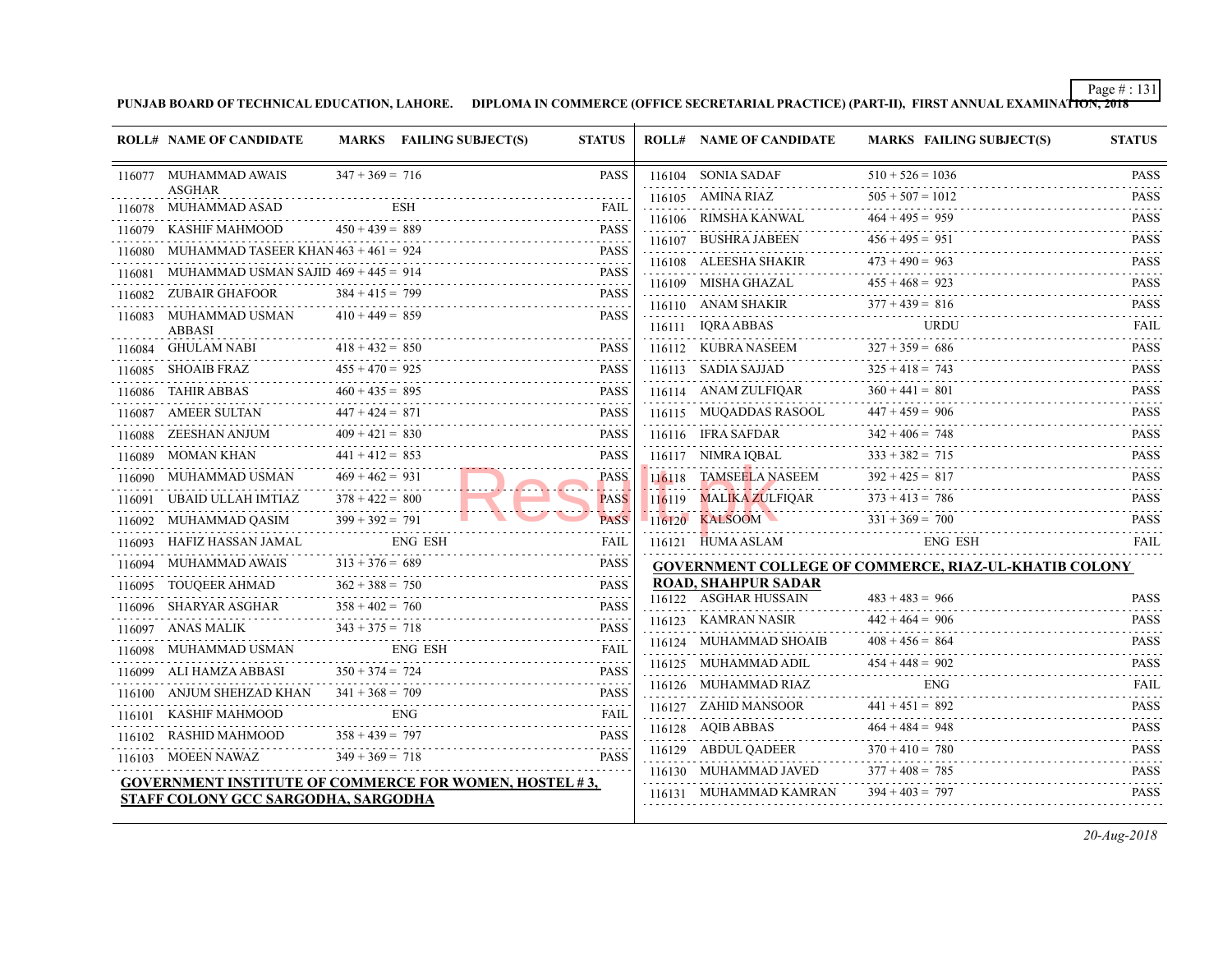|        | <b>ROLL# NAME OF CANDIDATE</b>                |                        | MARKS FAILING SUBJECT(S)                                      | <b>STATUS</b>    | <b>ROLL# NAME OF CANDIDATE</b>           | <b>MARKS FAIL</b>  |
|--------|-----------------------------------------------|------------------------|---------------------------------------------------------------|------------------|------------------------------------------|--------------------|
|        | 116077 MUHAMMAD AWAIS                         | $347 + 369 = 716$      |                                                               | <b>PASS</b>      | 116104 SONIA SADAF                       | $510 + 526 = 103$  |
|        | <b>ASGHAR</b><br>116078 MUHAMMAD ASAD         |                        | <b>ESH</b>                                                    | FAIL             | 116105 AMINA RIAZ                        | $505 + 507 = 1012$ |
|        | 116079 KASHIF MAHMOOD                         | $450 + 439 = 889$      |                                                               | <b>PASS</b>      | 116106 RIMSHA KANWAL                     | $464 + 495 = 959$  |
|        | 116080 MUHAMMAD TASEER KHAN $463 + 461 = 924$ |                        |                                                               | <b>PASS</b>      | 116107 BUSHRA JABEEN                     | $456 + 495 = 951$  |
|        | MUHAMMAD USMAN SAJID $469 + 445 = 914$        |                        |                                                               | <b>PASS</b>      | 116108 ALEESHA SHAKIR                    | $473 + 490 = 963$  |
| 116081 |                                               |                        |                                                               |                  | 116109 MISHA GHAZAL                      | $455 + 468 = 923$  |
| 116082 | ZUBAIR GHAFOOR                                | $384 + 415 = 799$      |                                                               | <b>PASS</b>      | 116110 ANAM SHAKIR $377 + 439 = 81$      | $377 + 439 = 816$  |
| 116083 | MUHAMMAD USMAN<br><b>ABBASI</b>               | $410 + 449 = 859$      |                                                               | <b>PASS</b>      | 116111 IQRA ABBAS                        | <b>URD</b>         |
| 116084 | GHULAM NABI                                   | $418 + 432 = 850$      |                                                               | PASS             | 116112 KUBRA NASEEM $327 + 359 = 686$    |                    |
| 116085 | SHOAIB FRAZ                                   | $455 + 470 = 925$      | $\frac{7}{2}$ $455 + 470 = 925$                               | <b>PASS</b>      | 116113 SADIA SAJJAD                      | $325 + 418 = 743$  |
| 116086 | $460 + 435 = 895$<br>TAHIR ABBAS              |                        |                                                               | <b>PASS</b>      | 116114 ANAM ZULFIQAR                     | $360 + 441 = 801$  |
| 116087 |                                               |                        | AMEER SULTAN $447 + 424 = 871$                                | <b>PASS</b>      | 116115 MUQADDAS RASOOL                   | $447 + 459 = 906$  |
|        | 116088 ZEESHAN ANJUM $409 + 421 = 830$        |                        |                                                               | <b>PASS</b>      | 116116 IFRA SAFDAR                       | $342 + 406 = 748$  |
|        | 116089 MOMAN KHAN                             | $441 + 412 = 853$      |                                                               | <b>PASS</b>      | 116117 NIMRA IQBAL                       | $333 + 382 = 715$  |
|        | 116090 MUHAMMAD USMAN                         | $469 + 462 = 931$      |                                                               | <b>PASS</b>      | 116118 TAMSEELA NASEEM                   | $392 + 425 = 817$  |
|        | 116091 UBAID ULLAH IMTIAZ                     | $378 + 422 = 800$      |                                                               | <b>PASS</b>      | 116119 MALIKA ZULFIQAR                   | $373 + 413 = 786$  |
|        | 116092 MUHAMMAD QASIM                         | .<br>$399 + 392 = 791$ |                                                               | <b>PASS</b>      | 116120 KALSOOM                           | $331 + 369 = 700$  |
| 116093 | HAFIZ HASSAN JAMAL                            |                        | ENG ESH                                                       | FAIL             | 116121 HUMA ASLAM                        | ENG.               |
|        | 116094 MUHAMMAD AWAIS                         | $313 + 376 = 689$      |                                                               | <b>PASS</b>      | <b>GOVERNMENT COLLEGE OF COMMERCE, I</b> |                    |
|        | 116095 TOUQEER AHMAD $362 + 388 = 750$        |                        |                                                               | <b>PASS</b>      | <b>ROAD, SHAHPUR SADAR</b>               |                    |
|        | 116096 SHARYAR ASGHAR                         | $358 + 402 = 760$      |                                                               | <b>PASS</b>      | 116122 ASGHAR HUSSAIN                    | $483 + 483 = 966$  |
|        | 116097 ANAS MALIK $343 + 375 = 718$           |                        |                                                               | .<br><b>PASS</b> | 116123 KAMRAN NASIR                      | $442 + 464 = 906$  |
|        | 116098 MUHAMMAD USMAN ENG ESH                 |                        |                                                               | FAIL             | 116124 MUHAMMAD SHOAIB                   | $408 + 456 = 864$  |
|        | 116099 ALI HAMZA ABBASI                       | $350 + 374 = 724$      |                                                               | <b>PASS</b>      | 116125 MUHAMMAD ADIL                     | $454 + 448 = 902$  |
|        | 116100 ANJUM SHEHZAD KHAN $341 + 368 = 709$   |                        |                                                               | <b>PASS</b>      | 116126 MUHAMMAD RIAZ                     | <b>ENG</b>         |
|        | 116101 KASHIF MAHMOOD                         |                        | <b>ENG</b>                                                    | <b>FAIL</b>      | 116127 ZAHID MANSOOR                     | $441 + 451 = 892$  |
| 116102 | RASHID MAHMOOD $358 + 439 = 797$              |                        |                                                               | <b>PASS</b>      | 116128 AQIB ABBAS                        | $464 + 484 = 948$  |
|        | 116103 MOEEN NAWAZ $349 + 369 = 718$          |                        |                                                               | <b>PASS</b>      | 116129 ABDUL QADEER                      | $370 + 410 = 780$  |
|        |                                               |                        | <b>GOVERNMENT INSTITUTE OF COMMERCE FOR WOMEN, HOSTEL #3,</b> |                  | 116130 MUHAMMAD JAVED                    | $377 + 408 = 785$  |
|        | STAFF COLONY GCC SARGODHA, SARGODHA           |                        |                                                               |                  | 116131 MUHAMMAD KAMRAN                   | $394 + 403 = 797$  |
|        |                                               |                        |                                                               |                  |                                          |                    |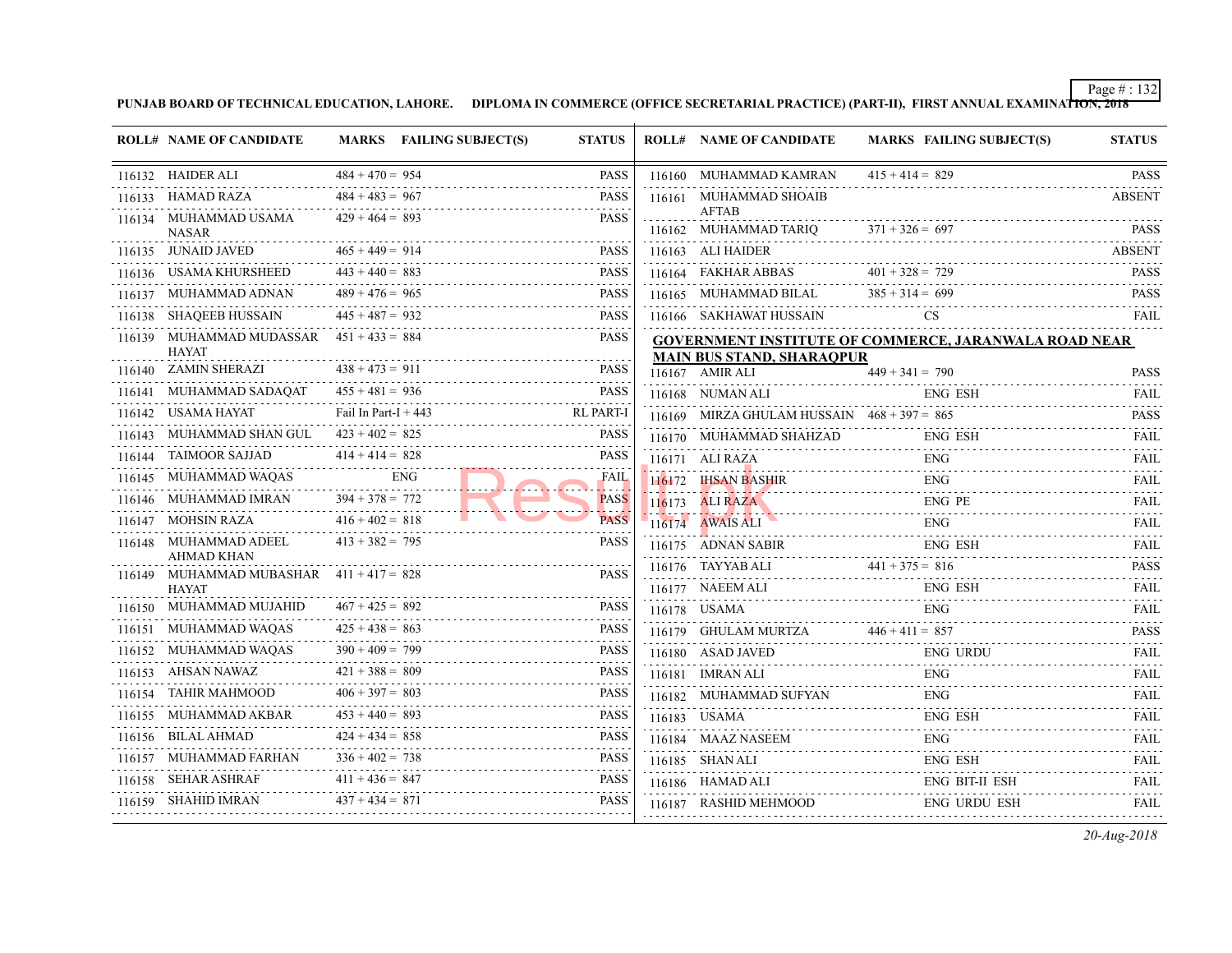| <b>ROLL# NAME OF CANDIDATE</b>                                     |                        | <b>MARKS</b> FAILING SUBJECT(S) | <b>STATUS</b>    | <b>ROLL# NAME OF CANDIDATE</b>                                                                                                                                                                                                                     | <b>MARKS FAIL</b>    |
|--------------------------------------------------------------------|------------------------|---------------------------------|------------------|----------------------------------------------------------------------------------------------------------------------------------------------------------------------------------------------------------------------------------------------------|----------------------|
| 116132 HAIDER ALI                                                  | $484 + 470 = 954$      |                                 | <b>PASS</b>      | 116160 MUHAMMAD KAMRAN                                                                                                                                                                                                                             | $415 + 414 = 829$    |
| 116133 HAMAD RAZA                                                  | $484 + 483 = 967$      |                                 | <b>PASS</b>      | 116161 MUHAMMAD SHOAIB                                                                                                                                                                                                                             |                      |
| 116134 MUHAMMAD USAMA                                              | $429 + 464 = 893$      |                                 | <b>PASS</b>      | <b>AFTAB</b><br>116162 MUHAMMAD TARIQ $371 + 326 = 697$                                                                                                                                                                                            |                      |
| <b>NASAR</b><br>116135 JUNAID JAVED                                | $465 + 449 = 914$      |                                 | <b>PASS</b>      | 116163 ALI HAIDER                                                                                                                                                                                                                                  |                      |
| 116136 USAMA KHURSHEED $443 + 440 = 883$                           |                        |                                 | <b>PASS</b>      | 116164 FAKHAR ABBAS                                                                                                                                                                                                                                |                      |
| 116137 MUHAMMAD ADNAN $489 + 476 = 965$                            |                        |                                 | <b>PASS</b>      | 116165 MUHAMMAD BILAL $385 + 314 = 699$                                                                                                                                                                                                            | AS $401 + 328 = 729$ |
| 116138 SHAQEEB HUSSAIN $445 + 487 = 932$                           |                        |                                 | <b>PASS</b>      | 116166 SAKHAWAT HUSSAIN                                                                                                                                                                                                                            | CS.                  |
| 116139 MUHAMMAD MUDASSAR $451 + 433 = 884$                         |                        |                                 | <b>PASS</b>      |                                                                                                                                                                                                                                                    |                      |
| <b>HAYAT</b>                                                       |                        |                                 |                  | <b>GOVERNMENT INSTITUTE OF COMMERCE,</b><br><b>MAIN BUS STAND, SHARAOPUR</b>                                                                                                                                                                       |                      |
| 116140 ZAMIN SHERAZI                                               | $438 + 473 = 911$      |                                 | <b>PASS</b>      | 116167 AMIR ALI                                                                                                                                                                                                                                    | $449 + 341 = 790$    |
| 116141 MUHAMMAD SADAQAT                                            | $455 + 481 = 936$      | DAQAT 455 + 481 = 936 PAS       | <b>PASS</b>      | 116168 NUMAN ALI                                                                                                                                                                                                                                   | ENG.                 |
| 116142 USAMA HAYAT                                                 | Fail In Part-I + $443$ |                                 |                  | 116169 MIRZA GHULAM HUSSAIN $468 + 397 = 865$                                                                                                                                                                                                      |                      |
| 116143 MUHAMMAD SHAN GUL $423 + 402 = 825$                         |                        |                                 | <b>PASS</b>      | 116170 MUHAMMAD SHAHZAD                                                                                                                                                                                                                            | <b>ENG</b>           |
| 116144 TAIMOOR SAJJAD                                              | $414 + 414 = 828$      |                                 | <b>PASS</b>      | 116171 ALI RAZA                                                                                                                                                                                                                                    | <b>ENG</b>           |
| 116145 MUHAMMAD WAQAS ENG                                          |                        | .                               | <b>FAIL</b><br>. | 116172 IHSAN BASHIR                                                                                                                                                                                                                                | <b>ENG</b>           |
| 116146 MUHAMMAD IMRAN $394 + 378 = 772$                            |                        | $\sim$                          | <b>PASS</b>      | 116173 ALI RAZA                                                                                                                                                                                                                                    | <b>ENG</b>           |
| 116147 MOHSIN RAZA $416 + 402 = 818$                               |                        |                                 | <b>PASS</b>      | and a second contract of the second second second second second second second second second second second second second second second second second second second second second second second second second second second seco<br>116174 AWAIS ALI | <b>ENG</b>           |
| 116148 MUHAMMAD ADEEL $413 + 382 = 795$<br><b>AHMAD KHAN</b>       |                        |                                 | PASS             | 116175 ADNAN SABIR ENG                                                                                                                                                                                                                             | <b>ENG</b>           |
| 116149 MUHAMMAD MUBASHAR $411 + 417 = 828$                         |                        |                                 | <b>PASS</b>      | 116176 TAYYAB ALI $441 + 375 = 816$                                                                                                                                                                                                                |                      |
| HAYAT                                                              |                        |                                 |                  | 116177 NAEEM ALI                                                                                                                                                                                                                                   | <b>ENG</b>           |
| 116150 MUHAMMAD MUJAHID                                            | $467 + 425 = 892$      |                                 | <b>PASS</b>      | 116178 USAMA                                                                                                                                                                                                                                       | <b>ENG</b>           |
| 116151 MUHAMMAD WAQAS                                              | $425 + 438 = 863$      |                                 | <b>PASS</b>      | 116179 GHULAM MURTZA $446 + 411 = 857$                                                                                                                                                                                                             |                      |
| 116152 MUHAMMAD WAQAS                                              | $390 + 409 = 799$      |                                 | PASS             | 116180 ASAD JAVED                                                                                                                                                                                                                                  | <b>ENG</b>           |
| 116153 AHSAN NAWAZ                                                 | $421 + 388 = 809$      |                                 | <b>PASS</b>      | 116181 IMRAN ALI                                                                                                                                                                                                                                   | <b>ENG</b>           |
| 116154 TAHIR MAHMOOD                                               | $406 + 397 = 803$      |                                 | PASS             | 116182 MUHAMMAD SUFYAN<br>HAMMAD SUFYAN<br>                                                                                                                                                                                                        | <b>ENG</b>           |
| 116155 MUHAMMAD AKBAR                                              | $453 + 440 = 893$      |                                 | <b>PASS</b>      | 116183 USAMA                                                                                                                                                                                                                                       | <b>ENG</b>           |
| 116156 BILAL AHMAD                                                 | $424 + 434 = 858$      |                                 | <b>PASS</b>      | 116184 MAAZ NASEEM ENC                                                                                                                                                                                                                             | <b>ENG</b>           |
| 116157 MUHAMMAD FARHAN<br>116157 MUHAMMAD FARHAN $336 + 402 = 738$ | $336 + 402 = 738$      |                                 | <b>PASS</b>      | 116185 SHAN ALI                                                                                                                                                                                                                                    | <b>ENG</b>           |
| 116158 SEHAR ASHRAF                                                | $411 + 436 = 847$      |                                 | <b>PASS</b>      | 116186 HAMAD ALI                                                                                                                                                                                                                                   | <b>ENG</b>           |
| 116159 SHAHID IMRAN                                                | $437 + 434 = 871$      |                                 | PASS             | 116187 RASHID MEHMOOD                                                                                                                                                                                                                              | <b>ENG</b>           |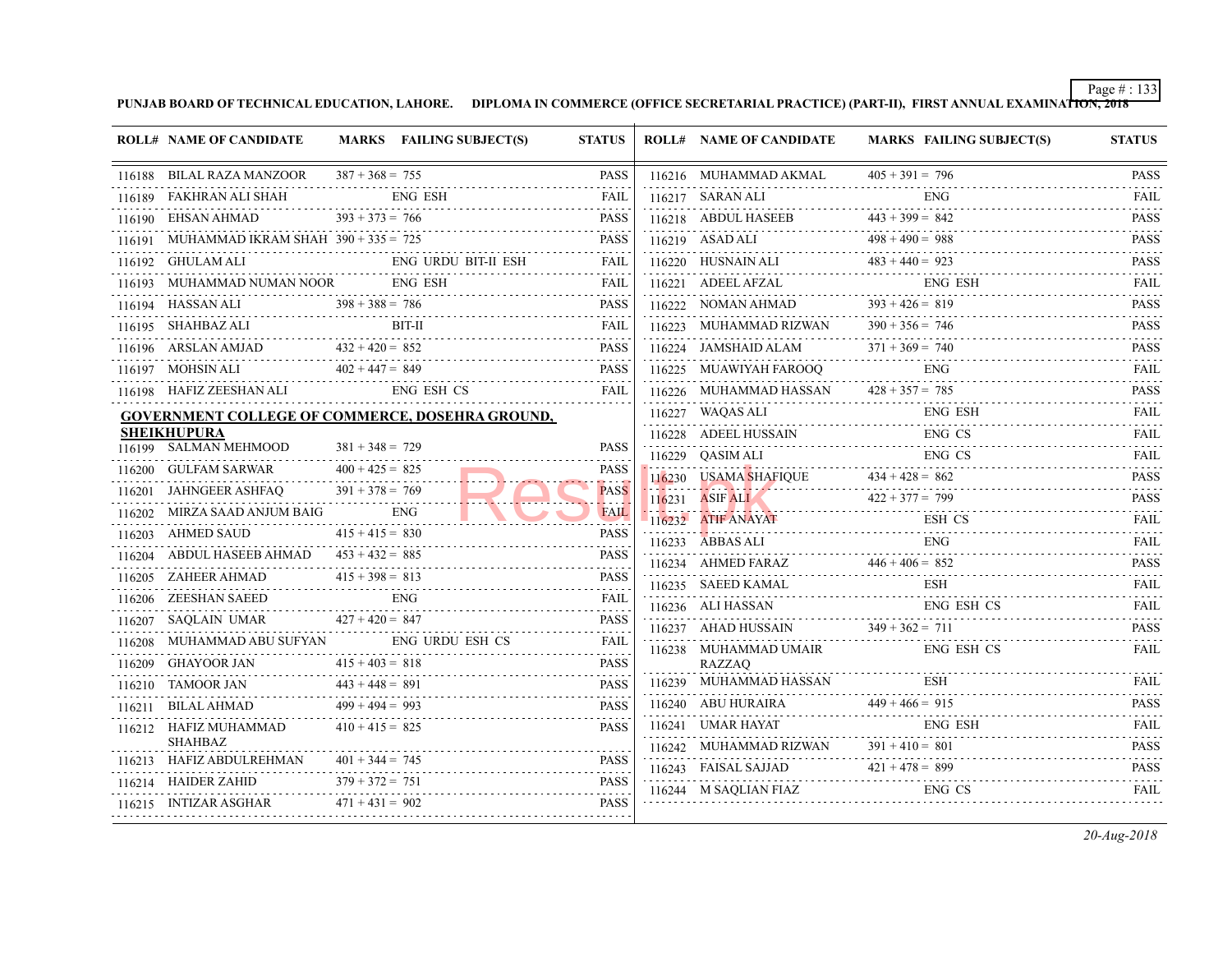|                                                        |   | <b>ROLL# NAME OF CANDIDATE</b>                            |                   | MARKS FAILING SUBJECT(S) | <b>STATUS</b>    | <b>ROLL# NAME OF CANDIDATE</b>            | <b>MARKS FAIL</b> |
|--------------------------------------------------------|---|-----------------------------------------------------------|-------------------|--------------------------|------------------|-------------------------------------------|-------------------|
|                                                        |   | 116188 BILAL RAZA MANZOOR                                 | $387 + 368 = 755$ |                          | <b>PASS</b>      | 116216 MUHAMMAD AKMAL                     | $405 + 391 = 796$ |
|                                                        |   | 116189 FAKHRAN ALI SHAH ENG ESH                           |                   |                          | FAIL             | 116217 SARAN ALI                          | <b>ENG</b>        |
|                                                        |   | 116190 EHSAN AHMAD $393 + 373 = 766$                      |                   | $393 + 373 = 766$        | <b>PASS</b>      | 116218 ABDUL HASEEB $443 + 399 = 842$     |                   |
|                                                        |   | 116191 MUHAMMAD IKRAM SHAH $390 + 335 = 725$              |                   |                          | <b>PASS</b>      | 116219 ASAD ALI $498 + 490 = 988$         |                   |
|                                                        |   | 116192 GHULAM ALI ENG URDU BIT-II ESH FAIL                |                   |                          |                  | 116220 HUSNAIN ALI $483 + 440 = 923$      |                   |
|                                                        |   | 116193 MUHAMMAD NUMAN NOOR ENG ESH                        |                   |                          | FAIL             | 116221 ADEEL AFZAL                        | ENG               |
|                                                        |   | 116194 HASSAN ALI $398 + 388 = 786$                       |                   |                          | <b>PASS</b>      | 116222 NOMAN AHMAD $393 + 426 = 819$      |                   |
|                                                        |   | 116195 SHAHBAZ ALI                                        |                   | BIT-II                   | FAIL             | 116223 MUHAMMAD RIZWAN $390 + 356 = 746$  |                   |
|                                                        |   | 116196 ARSLAN AMJAD $432 + 420 = 852$                     |                   |                          | <b>PASS</b>      | 116224 JAMSHAID ALAM $371 + 369 = 740$    |                   |
|                                                        |   | 116197 MOHSIN ALI $402 + 447 = 849$                       |                   |                          | <b>PASS</b>      | 116225 MUAWIYAH FAROOQ                    | ENG.              |
|                                                        |   | 116198 HAFIZ ZEESHAN ALI ENG ESH CS                       |                   |                          | FAIL             | 116226 MUHAMMAD HASSAN $428 + 357 = 785$  |                   |
| <b>GOVERNMENT COLLEGE OF COMMERCE, DOSEHRA GROUND,</b> |   |                                                           |                   |                          |                  | 116227 WAQAS ALI                          | ENG               |
|                                                        |   | <b>SHEIKHUPURA</b>                                        |                   |                          |                  | 116228 ADEEL HUSSAIN                      | <b>ENG</b>        |
|                                                        |   | 116199 SALMAN MEHMOOD                                     | $381 + 348 = 729$ |                          | <b>PASS</b>      | 116229 QASIM ALI                          | <b>ENG</b>        |
|                                                        |   | 116200 GULFAM SARWAR $400 + 425 = 825$                    |                   |                          | <b>PASS</b>      | $116230$ USAMA SHAFIQUE $434 + 428 = 862$ |                   |
|                                                        |   | 116201 JAHNGEER ASHFAQ $391 + 378 = 769$                  |                   |                          | <b>PASS</b><br>. | 116231 ASIF ALI 422 + 377 = 799           |                   |
|                                                        |   | 116202 MIRZA SAAD ANJUM BAIG ENG                          |                   |                          | <b>FAIL</b>      | 116232 ATIF ANAYAT                        | ESH               |
|                                                        |   | 116203 AHMED SAUD<br>$415 + 415 = 830$                    |                   |                          | <b>PASS</b>      | $116233$ $\overline{A}$ BBAS ALI          | <b>ENG</b>        |
|                                                        |   | 116204 ABDUL HASEEB AHMAD $453 + 432 = 885$               |                   |                          | <b>PASS</b>      | 116234 AHMED FARAZ $446 + 406 = 852$      |                   |
|                                                        |   | 116205 ZAHEER AHMAD $415 + 398 = 813$ PASS                |                   |                          | <b>PASS</b>      | 116235 SAEED KAMAL                        | ESH               |
|                                                        |   | 116206 ZEESHAN SAEED                                      |                   | <b>ENG</b>               | FAIL             | 116236 ALI HASSAN                         | <b>ENG</b>        |
|                                                        |   | 116207 SAQLAIN UMAR $427 + 420 = 847$                     |                   |                          | <b>PASS</b>      | 116237 AHAD HUSSAIN $349 + 362 = 711$     |                   |
|                                                        |   | 116208 MUHAMMAD ABU SUFYAN ENG URDU ESH CS                |                   |                          | FAIL             | 116238 MUHAMMAD UMAIR                     | ENG-              |
|                                                        | . | 116209 GHAYOOR JAN $415 + 403 = 818$                      |                   |                          | <b>PASS</b>      | <b>RAZZAO</b>                             |                   |
|                                                        |   | 116210 TAMOOR JAN $443 + 448 = 891$                       |                   |                          | <b>PASS</b>      | 116239 MUHAMMAD HASSAN                    | ESH               |
|                                                        |   | 116211 BILAL AHMAD $499 + 494 = 993$                      |                   |                          | <b>PASS</b>      | 116240 ABU HURAIRA $449 + 466 = 915$      |                   |
|                                                        |   | 116212 HAFIZ MUHAMMAD $410 + 415 = 825$<br><b>SHAHBAZ</b> |                   |                          | <b>PASS</b>      | 116241 UMAR HAYAT                         | ENG.              |
|                                                        |   | 116213 HAFIZ ABDULREHMAN $401 + 344 = 745$                |                   |                          | <b>PASS</b>      | 116242 MUHAMMAD RIZWAN $391 + 410 = 801$  |                   |
|                                                        |   | 116214 HAIDER ZAHID $379 + 372 = 751$                     |                   |                          | <b>PASS</b>      | 116243 FAISAL SAJJAD $421 + 478 = 899$    |                   |
|                                                        |   | 116215 INTIZAR ASGHAR $471 + 431 = 902$                   |                   |                          | <b>PASS</b>      | 116244 M SAOLIAN FIAZ                     | ENG.              |
|                                                        |   |                                                           |                   |                          |                  |                                           |                   |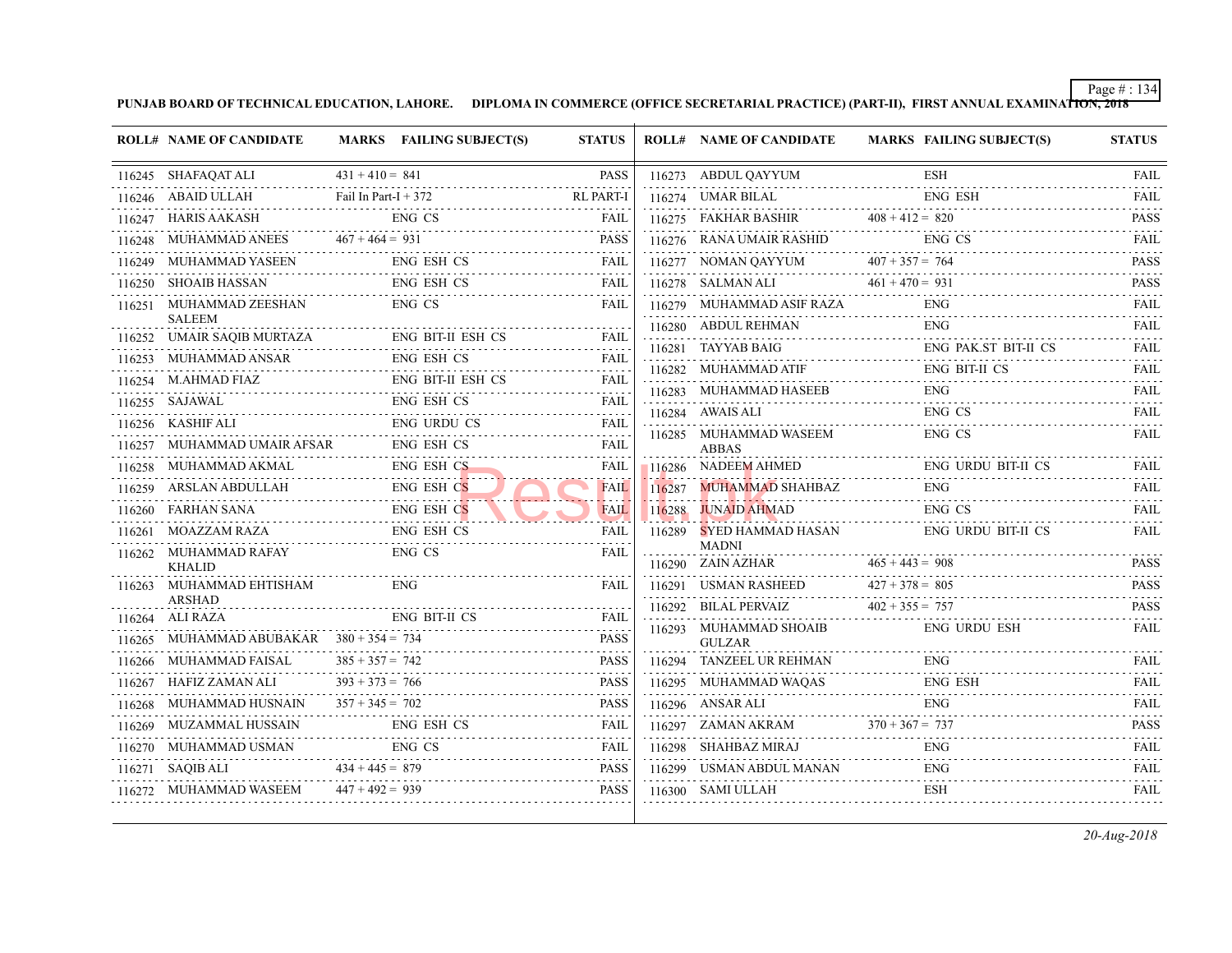|        | <b>ROLL# NAME OF CANDIDATE</b>                                                   |                   | MARKS FAILING SUBJECT(S)                    | <b>STATUS</b>       |        | <b>ROLL# NAME OF CANDIDATE</b>                      | <b>MARKS FAIL</b> |
|--------|----------------------------------------------------------------------------------|-------------------|---------------------------------------------|---------------------|--------|-----------------------------------------------------|-------------------|
|        | 116245 SHAFAQAT ALI                                                              | $431 + 410 = 841$ | LI $431 + 410 = 841$ PASS                   | <b>PASS</b>         |        | 116273 ABDUL QAYYUM                                 | <b>ESH</b>        |
|        | 116246 ABAID ULLAH                                                               |                   | AH Fail In Part-I + 372 RL PART             | RL PART-I           |        | 116274 UMAR BILAL                                   | <b>ENG</b>        |
|        | 116247 HARIS AAKASH                                                              |                   | ENG CS FAIL                                 | FAIL                |        | 116275 FAKHAR BASHIR $408 + 412 = 820$              |                   |
|        | 116248 MUHAMMAD ANEES $467 + 464 = 931$<br>MUHAMMAD ANEES $467 + 464 = 931$ PASS |                   |                                             |                     |        | 116276 RANA UMAIR RASHID                            | <b>ENG</b>        |
|        | 116249 MUHAMMAD YASEEN                                                           |                   | ENG ESH CS<br>YASEEN ENG ESH CS FAIL        | FAIL                |        | 116277 NOMAN QAYYUM $407 + 357 = 764$               |                   |
|        | .<br>116250 SHOAIB HASSAN                                                        |                   | $ENG$ ESH CS                                | FAIL                |        | 116278 SALMAN ALI $461 + 470 = 931$                 |                   |
|        | 116251 MUHAMMAD ZEESHAN<br><b>SALEEM</b>                                         |                   | ENG CS                                      | FAIL                |        | 116279 MUHAMMAD ASIF RAZA                           | ENG.              |
|        | 116252 UMAIR SAQIB MURTAZA                                                       | .                 | ENG BIT-II ESH CS<br>ENG BIT-II ESH CS FAIL |                     |        | 116280 ABDUL REHMAN<br>116280 ABDUL REHMAN ENC      | <b>ENG</b>        |
|        | 116253 MUHAMMAD ANSAR                                                            |                   |                                             |                     |        | 116281 TAYYAB BAIG                                  | <b>ENG</b>        |
|        | 116254 M.AHMAD FIAZ                                                              |                   | ENG BIT-II ESH CS                           | ESH CS FAIL<br>FAIL |        | 116282 MUHAMMAD ATIF                                | <b>ENG</b>        |
|        | 116255 SAJAWAL                                                                   |                   | $ENG$ $ESH$ $CS$ $FAIL$                     |                     |        | 116283 MUHAMMAD HASEEB ENC                          | <b>ENG</b>        |
|        | 116256 KASHIF ALI                                                                |                   | ENG URDU CS FAIL                            | FAIL                |        | 116284 AWAIS ALI                                    | ENG.              |
|        | 116257 MUHAMMAD UMAIR AFSAR                                                      |                   | <b>ENG ESH CS</b>                           | FAIL                |        | 116285 MUHAMMAD WASEEM<br><b>ABBAS</b>              | <b>ENG</b>        |
|        | 116258 MUHAMMAD AKMAL                                                            | AL<br>.           | ENG ESH CS<br>ENG ESH CS                    | FAIL                |        | 116286 NADEEM AHMED                                 | <b>ENG</b>        |
|        | 116259 ARSLAN ABDULLAH ENG ESH CS                                                |                   | ENG ESH CS                                  | <b>FAIL</b>         | 116287 | MUHAMMAD SHAHBAZ ENG                                | <b>ENG</b>        |
|        | 116260 FARHAN SANA ENG ESH CS                                                    |                   | ENG ESH CS                                  | <b>FAIL</b>         |        | 116288 JUNAID AHMAD                                 | <b>ENG</b>        |
|        | 116261 MOAZZAM RAZA                                                              |                   | ENG ESH CS                                  | FAIL                |        | 116289 SYED HAMMAD HASAN                            | <b>ENG</b>        |
|        | 116262 MUHAMMAD RAFAY<br><b>KHALID</b>                                           |                   | ENG CS                                      | FAIL                |        | <b>MADNI</b><br>116290 ZAIN AZHAR $465 + 443 = 908$ |                   |
|        | 116263 MUHAMMAD EHTISHAM                                                         |                   | ENG                                         | FAIL                |        | 116291 USMAN RASHEED $427 + 378 = 805$              |                   |
|        | <b>ARSHAD</b>                                                                    |                   |                                             |                     |        | 116292 BILAL PERVAIZ $402 + 355 = 757$              |                   |
|        | 116264 ALI RAZA                                                                  |                   | ENG BIT-II CS                               |                     |        | 116293 MUHAMMAD SHOAIB                              | ENG.              |
| 116265 | MUHAMMAD ABUBAKAR $380 + 354 = 734$                                              |                   |                                             | PASS                |        | <b>GULZAR</b>                                       |                   |
|        | 116266 MUHAMMAD FAISAL $385 + 357 = 742$                                         |                   | FAISAL 385 + 357 = 742 PASS                 | <b>PASS</b>         |        | 116294 TANZEEL UR REHMAN                            | ENG.              |
|        | 116267 HAFIZ ZAMAN ALI $393 + 373 = 766$                                         |                   | 766<br>-------------------------------      | <b>PASS</b>         |        | 116295 MUHAMMAD WAQAS                               | <b>ENG</b>        |
|        | 116268 MUHAMMAD HUSNAIN $357 + 345 = 702$                                        |                   | VAIN 357 + 345 = 702 PASS                   | PASS                |        | 116296 ANSAR ALI ENC                                | <b>ENG</b>        |
|        | 116269 MUZAMMAL HUSSAIN ENG ESH CS FAIL                                          |                   |                                             |                     |        | 116297 ZAMAN AKRAM $370 + 367 = 737$                |                   |
|        | 116270 MUHAMMAD USMAN ENG CS                                                     |                   | AAD USMAN ENG CS FAIL                       | FAIL                |        | 116298 SHAHBAZ MIRAJ                                | <b>ENG</b>        |
|        | $434 + 445 = 879$<br>116271 SAQIB ALI                                            |                   | $1$ $434 + 445 = 879$                       | PASS                |        | $116299$ USMAN ABDUL MANAN                          | <b>ENG</b>        |
|        | 116272 MUHAMMAD WASEEM                                                           | $447 + 492 = 939$ |                                             | <b>PASS</b>         |        | 116300 SAMI ULLAH                                   | ESH               |
|        |                                                                                  |                   |                                             |                     |        |                                                     |                   |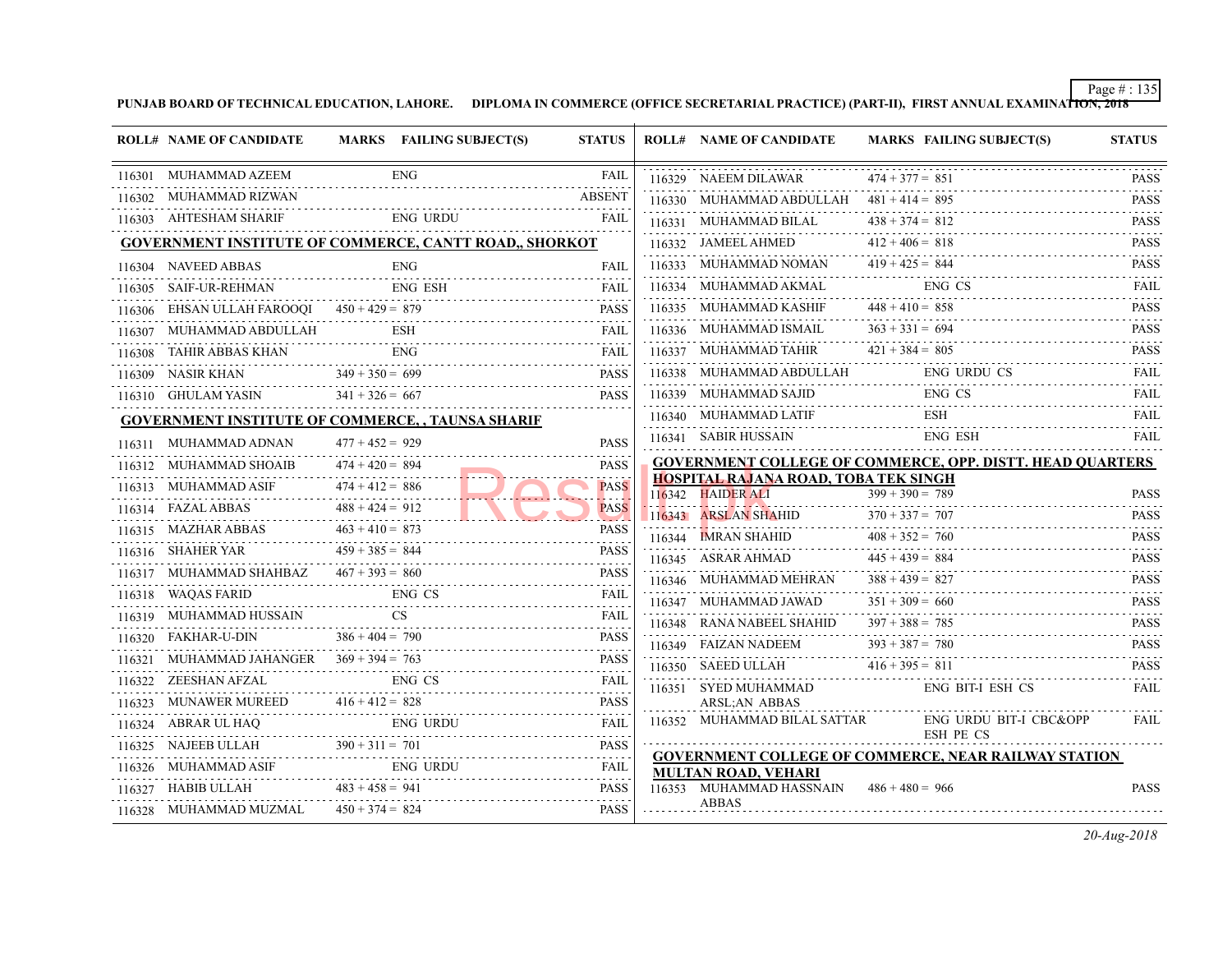|                                                          | <b>ROLL# NAME OF CANDIDATE</b>               | MARKS FAILING SUBJECT(S)                                      | <b>STATUS</b>    |  | <b>ROLL# NAME OF CANDIDATE</b>                                   | <b>MARKS FAIL</b> |
|----------------------------------------------------------|----------------------------------------------|---------------------------------------------------------------|------------------|--|------------------------------------------------------------------|-------------------|
|                                                          | 116301 MUHAMMAD AZEEM                        | <b>ENG</b>                                                    | FAIL             |  | 116329 NAEEM DILAWAR                                             | $474 + 377 = 851$ |
|                                                          | 116302 MUHAMMAD RIZWAN                       |                                                               | <b>ABSENT</b>    |  | 116330 MUHAMMAD ABDULLAH $481 + 414 = 895$                       |                   |
|                                                          | 116303 AHTESHAM SHARIF                       | ENG URDU                                                      | FAIL             |  | 116331 MUHAMMAD BILAL                                            | $438 + 374 = 812$ |
|                                                          |                                              | <b>GOVERNMENT INSTITUTE OF COMMERCE, CANTT ROAD,, SHORKOT</b> |                  |  | 116332 JAMEEL AHMED                                              | $412 + 406 = 818$ |
|                                                          | 116304 NAVEED ABBAS                          | ENG-                                                          | FAIL             |  | 116333 MUHAMMAD NOMAN $419 + 425 = 844$                          |                   |
|                                                          | 116305 SAIF-UR-REHMAN                        | ENG ESH                                                       | <b>FAIL</b>      |  | 116334 MUHAMMAD AKMAL                                            | ENG               |
|                                                          | 116306 EHSAN ULLAH FAROOQI $450 + 429 = 879$ |                                                               | <b>PASS</b>      |  | 116335 MUHAMMAD KASHIF                                           | $448 + 410 = 858$ |
|                                                          | 116307 MUHAMMAD ABDULLAH                     | ESH                                                           | FAIL             |  | 116336 MUHAMMAD ISMAIL                                           | $363 + 331 = 694$ |
|                                                          | 116308 TAHIR ABBAS KHAN                      | <b>ENG</b>                                                    | FAIL             |  | 116337 MUHAMMAD TAHIR                                            | $421 + 384 = 805$ |
|                                                          | 116309 NASIR KHAN                            | $349 + 350 = 699$                                             | <b>PASS</b>      |  | 116338 MUHAMMAD ABDULLAH                                         | ENG.              |
|                                                          | 116310 GHULAM YASIN $341 + 326 = 667$        |                                                               | <b>PASS</b>      |  | 116339 MUHAMMAD SAJID                                            | ENG.              |
| <b>GOVERNMENT INSTITUTE OF COMMERCE, , TAUNSA SHARIF</b> |                                              |                                                               |                  |  | 116340 MUHAMMAD LATIF                                            | <b>ESH</b>        |
|                                                          | 116311 MUHAMMAD ADNAN                        | $477 + 452 = 929$                                             | <b>PASS</b>      |  | 116341 SABIR HUSSAIN                                             | ENG I             |
|                                                          | 116312 MUHAMMAD SHOAIB                       | $474 + 420 = 894$                                             | <b>PASS</b>      |  | <b>GOVERNMENT COLLEGE OF COMMERCE, 0</b>                         |                   |
|                                                          | 116313 MUHAMMAD ASIF                         | $474 + 412 = 886$                                             | <b>PASS</b>      |  | <b>HOSPITAL RAJANA ROAD, TOBA TEK SINGH</b><br>116342 HAIDER ALI | $399 + 390 = 789$ |
|                                                          | 116314 FAZAL ABBAS                           | $488 + 424 = 912$                                             | .<br><b>PASS</b> |  | 116343 ARSLAN SHAHID                                             | $370 + 337 = 707$ |
|                                                          | 116315 MAZHAR ABBAS $463 + 410 = 873$        |                                                               | <b>PASS</b>      |  | 116344 IMRAN SHAHID                                              | $408 + 352 = 760$ |
|                                                          | 116316 SHAHER YAR                            | $459 + 385 = 844$                                             | <b>PASS</b>      |  | 116345 ASRAR AHMAD                                               | $445 + 439 = 884$ |
|                                                          | 116317 MUHAMMAD SHAHBAZ $467 + 393 = 860$    |                                                               | <b>PASS</b>      |  | 116346 MUHAMMAD MEHRAN                                           | $388 + 439 = 827$ |
|                                                          | 116318 WAQAS FARID                           | D ENG CS FAIL                                                 |                  |  | 116347 MUHAMMAD JAWAD                                            | $351 + 309 = 660$ |
|                                                          | 116319 MUHAMMAD HUSSAIN CS                   | LS PAIL                                                       | FAIL             |  | 116348 RANA NABEEL SHAHID                                        | $397 + 388 = 785$ |
|                                                          | 116320 FAKHAR-U-DIN                          | $386 + 404 = 790$<br>$\text{IN}$ $386 + 404 = 790$ PASS       | <b>PASS</b>      |  | 116349 FAIZAN NADEEM                                             | $393 + 387 = 780$ |
|                                                          | 116321 MUHAMMAD JAHANGER $369 + 394 = 763$   |                                                               | PASS             |  | 116350 SAEED ULLAH                                               | $416 + 395 = 811$ |
|                                                          | 116322 ZEESHAN AFZAL                         | ENG CS<br>FAIL                                                |                  |  | 116351 SYED MUHAMMAD                                             | ENG I             |
|                                                          | 116323 MUNAWER MUREED                        | $416 + 412 = 828$                                             | <b>PASS</b>      |  | ARSL;AN ABBAS                                                    |                   |
|                                                          | 116324 ABRAR UL HAQ                          | 2 ENG URDU FAIL                                               |                  |  | 116352 MUHAMMAD BILAL SATTAR                                     | <b>ENG</b><br>ESH |
|                                                          |                                              | 116325 NAJEEB ULLAH $390 + 311 = 701$ PASS                    |                  |  | <b>GOVERNMENT COLLEGE OF COMMERCE, N</b>                         |                   |
|                                                          | 116326 MUHAMMAD ASIF                         | ENG URDU FAIL                                                 | FAIL             |  | <b>MULTAN ROAD, VEHARI</b>                                       |                   |
|                                                          | 116327 HABIB ULLAH                           | $483 + 458 = 941$                                             | <b>PASS</b>      |  | 116353 MUHAMMAD HASSNAIN                                         | $486 + 480 = 966$ |
|                                                          | 116328 MUHAMMAD MUZMAL                       | $450 + 374 = 824$                                             | <b>PASS</b>      |  | <b>ABBAS</b>                                                     |                   |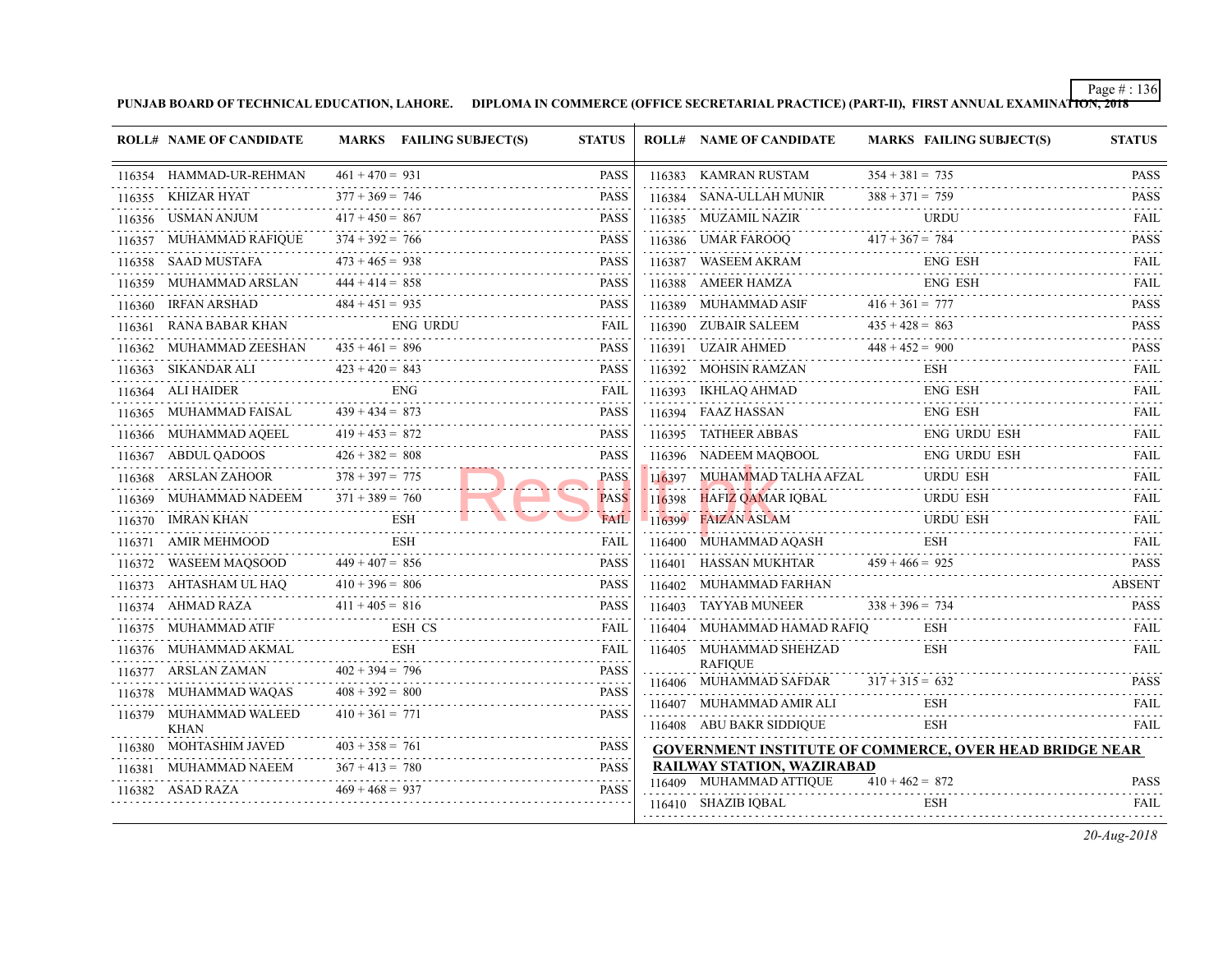|        | <b>ROLL# NAME OF CANDIDATE</b>                   |                        | MARKS FAILING SUBJECT(S)           | <b>STATUS</b>                                     |        | <b>ROLL# NAME OF CANDIDATE</b>           | <b>MARKS FAIL</b> |
|--------|--------------------------------------------------|------------------------|------------------------------------|---------------------------------------------------|--------|------------------------------------------|-------------------|
|        | 116354 HAMMAD-UR-REHMAN                          | $461 + 470 = 931$      |                                    | <b>PASS</b>                                       |        | 116383 KAMRAN RUSTAM                     | $354 + 381 = 735$ |
|        | 116355 KHIZAR HYAT                               | $377 + 369 = 746$      |                                    | <b>PASS</b>                                       |        | 116384 SANA-ULLAH MUNIR                  | $388 + 371 = 759$ |
|        | 116356 USMAN ANJUM                               | $417 + 450 = 867$      |                                    | <b>PASS</b>                                       |        | 116385 MUZAMIL NAZIR                     | <b>URD</b>        |
|        | 116357 MUHAMMAD RAFIQUE                          | $374 + 392 = 766$<br>. |                                    | <b>PASS</b>                                       |        | 116386 UMAR FAROOQ                       | $417 + 367 = 784$ |
| 116358 | SAAD MUSTAFA                                     | $473 + 465 = 938$      |                                    | <b>PASS</b>                                       |        | 116387 WASEEM AKRAM                      | ENG               |
| 116359 | MUHAMMAD ARSLAN                                  | $444 + 414 = 858$      |                                    | <b>PASS</b>                                       |        | 116388 AMEER HAMZA                       | ENG               |
|        | 116360 IRFAN ARSHAD                              | $484 + 451 = 935$      | $\text{AD}$ $484 + 451 = 935$ PASS | <b>PASS</b>                                       |        | 116389 MUHAMMAD ASIF $416 + 361 = 777$   |                   |
| 116361 | RANA BABAR KHAN                                  |                        | <b>ENG URDU</b>                    | FAIL                                              |        | 116390 ZUBAIR SALEEM $435 + 428 = 863$   |                   |
| 116362 | MUHAMMAD ZEESHAN $435 + 461 = 896$               |                        |                                    | PASS                                              |        | 116391 UZAIR AHMED                       | $448 + 452 = 900$ |
|        | 116363 SIKANDAR ALI<br>ANDAR ALI 423 + 420 = 843 | $423 + 420 = 843$      |                                    | <b>PASS</b>                                       |        | 116392 MOHSIN RAMZAN                     | ESH               |
|        | 116364 ALI HAIDER                                |                        | <b>ENG</b>                         | FAIL                                              |        | 116393 IKHLAQ AHMAD                      | <b>ENG</b>        |
| 116365 | MUHAMMAD FAISAL $439 + 434 = 873$                |                        |                                    | <b>PASS</b>                                       |        | 116394 FAAZ HASSAN                       | ENG.              |
|        | 116366 MUHAMMAD AQEEL $419 + 453 = 872$          |                        |                                    | <b>PASS</b>                                       |        | 116395 TATHEER ABBAS                     | <b>ENG</b>        |
|        | 116367 ABDUL QADOOS                              | $426 + 382 = 808$      |                                    | PASS                                              |        | 116396 NADEEM MAQBOOL                    | <b>ENG</b>        |
| 116368 | ARSLAN ZAHOOR                                    | $378 + 397 = 775$      |                                    | <b>PASS</b><br>.                                  | 116397 | MUHAMMAD TALHA AFZAL                     | <b>URD</b>        |
|        | 116369 MUHAMMAD NADEEM                           | $371 + 389 = 760$      |                                    | <b>PASS</b>                                       | 116398 | <b>HAFIZ QAMAR IQBAL</b>                 | <b>URD</b>        |
| 116370 | IMRAN KHAN                                       |                        | <b>ESH</b>                         | <b>FAIL</b>                                       | 116399 | FAIZAN ASLAM                             | <b>URD</b>        |
| 116371 | AMIR MEHMOOD                                     |                        | <b>ESH</b>                         | FAIL                                              | 116400 | MUHAMMAD AQASH                           | ESH               |
|        | 116372 WASEEM MAQSOOD $449 + 407 = 856$          |                        | AQSOOD 449 + 407 = 856 PASS        | <b>PASS</b>                                       |        | 116401 HASSAN MUKHTAR                    | $459 + 466 = 925$ |
|        | 116373 AHTASHAM UL HAQ $410 + 396 = 806$         |                        |                                    | PASS                                              |        | 116402 MUHAMMAD FARHAN                   |                   |
|        | 116374 AHMAD RAZA $411 + 405 = 816$              |                        |                                    | <b>PASS</b>                                       |        | 116403 TAYYAB MUNEER                     | $338 + 396 = 734$ |
|        | 116375 MUHAMMAD ATIF                             |                        |                                    | FAIL                                              |        | 116404 MUHAMMAD HAMAD RAFIO              | ESH               |
|        | 116376 MUHAMMAD AKMAL                            |                        | <b>ESH</b>                         | FAIL<br>$\omega$ , $\omega$ , $\omega$ , $\omega$ |        | 116405 MUHAMMAD SHEHZAD                  | ESH               |
|        | 116377 ARSLAN ZAMAN                              | $402 + 394 = 796$      |                                    | <b>PASS</b>                                       |        | <b>RAFIOUE</b><br>116406 MUHAMMAD SAFDAR | $317 + 315 = 632$ |
|        | 116378 MUHAMMAD WAQAS                            | $408 + 392 = 800$      |                                    | <b>PASS</b>                                       |        | 116407 MUHAMMAD AMIR ALI                 | ESH               |
| 116379 | MUHAMMAD WALEED<br>KHAN                          | $410 + 361 = 771$      |                                    | <b>PASS</b>                                       |        | 116408 ABU BAKR SIDDIQUE                 | ESH               |
| 116380 | MOHTASHIM JAVED                                  | .<br>$403 + 358 = 761$ |                                    | PASS                                              |        | <b>GOVERNMENT INSTITUTE OF COMMERCE,</b> |                   |
|        | 116381 MUHAMMAD NAEEM                            | $367 + 413 = 780$      |                                    | <b>PASS</b>                                       |        | <b>RAILWAY STATION, WAZIRABAD</b>        |                   |
|        | 116382 ASAD RAZA                                 | $469 + 468 = 937$      |                                    | <b>PASS</b>                                       |        | 116409 MUHAMMAD ATTIQUE                  | $410 + 462 = 872$ |
|        |                                                  |                        |                                    |                                                   |        | 116410 SHAZIB IQBAL                      | <b>ESH</b>        |